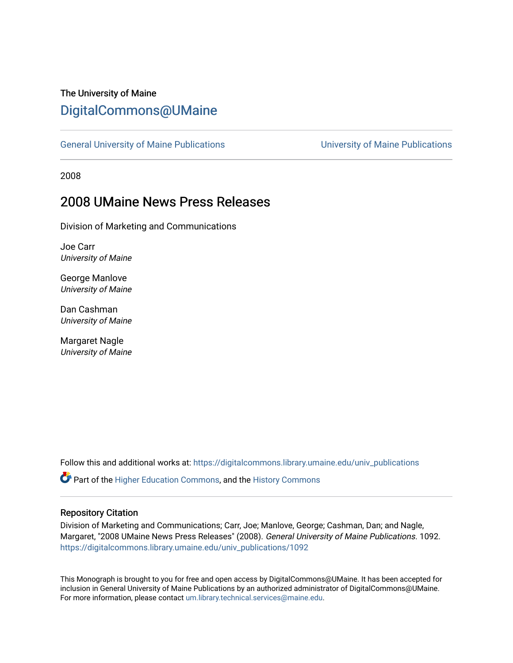# The University of Maine [DigitalCommons@UMaine](https://digitalcommons.library.umaine.edu/)

[General University of Maine Publications](https://digitalcommons.library.umaine.edu/univ_publications) [University of Maine Publications](https://digitalcommons.library.umaine.edu/umaine_publications) 

2008

# 2008 UMaine News Press Releases

Division of Marketing and Communications

Joe Carr University of Maine

George Manlove University of Maine

Dan Cashman University of Maine

Margaret Nagle University of Maine

Follow this and additional works at: [https://digitalcommons.library.umaine.edu/univ\\_publications](https://digitalcommons.library.umaine.edu/univ_publications?utm_source=digitalcommons.library.umaine.edu%2Funiv_publications%2F1092&utm_medium=PDF&utm_campaign=PDFCoverPages) 

Part of the [Higher Education Commons,](http://network.bepress.com/hgg/discipline/1245?utm_source=digitalcommons.library.umaine.edu%2Funiv_publications%2F1092&utm_medium=PDF&utm_campaign=PDFCoverPages) and the [History Commons](http://network.bepress.com/hgg/discipline/489?utm_source=digitalcommons.library.umaine.edu%2Funiv_publications%2F1092&utm_medium=PDF&utm_campaign=PDFCoverPages)

#### Repository Citation

Division of Marketing and Communications; Carr, Joe; Manlove, George; Cashman, Dan; and Nagle, Margaret, "2008 UMaine News Press Releases" (2008). General University of Maine Publications. 1092. [https://digitalcommons.library.umaine.edu/univ\\_publications/1092](https://digitalcommons.library.umaine.edu/univ_publications/1092?utm_source=digitalcommons.library.umaine.edu%2Funiv_publications%2F1092&utm_medium=PDF&utm_campaign=PDFCoverPages)

This Monograph is brought to you for free and open access by DigitalCommons@UMaine. It has been accepted for inclusion in General University of Maine Publications by an authorized administrator of DigitalCommons@UMaine. For more information, please contact [um.library.technical.services@maine.edu](mailto:um.library.technical.services@maine.edu).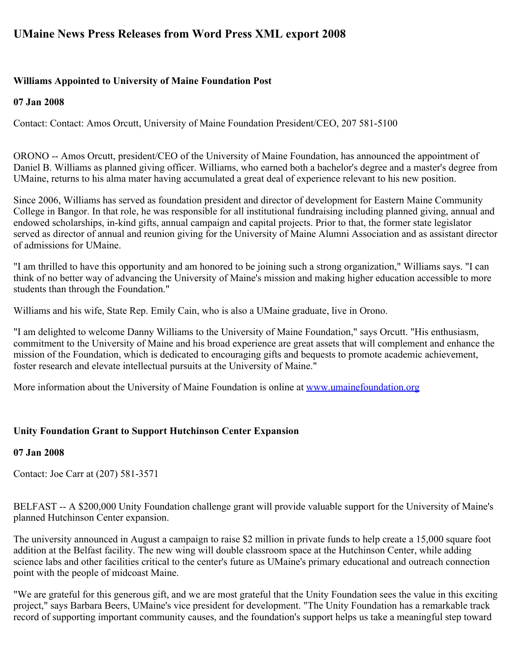# **UMaine News Press Releases from Word Press XML export 2008**

## **Williams Appointed to University of Maine Foundation Post**

## **07 Jan 2008**

Contact: Contact: Amos Orcutt, University of Maine Foundation President/CEO, 207 581-5100

ORONO -- Amos Orcutt, president/CEO of the University of Maine Foundation, has announced the appointment of Daniel B. Williams as planned giving officer. Williams, who earned both a bachelor's degree and a master's degree from UMaine, returns to his alma mater having accumulated a great deal of experience relevant to his new position.

Since 2006, Williams has served as foundation president and director of development for Eastern Maine Community College in Bangor. In that role, he was responsible for all institutional fundraising including planned giving, annual and endowed scholarships, in-kind gifts, annual campaign and capital projects. Prior to that, the former state legislator served as director of annual and reunion giving for the University of Maine Alumni Association and as assistant director of admissions for UMaine.

"I am thrilled to have this opportunity and am honored to be joining such a strong organization," Williams says. "I can think of no better way of advancing the University of Maine's mission and making higher education accessible to more students than through the Foundation."

Williams and his wife, State Rep. Emily Cain, who is also a UMaine graduate, live in Orono.

"I am delighted to welcome Danny Williams to the University of Maine Foundation," says Orcutt. "His enthusiasm, commitment to the University of Maine and his broad experience are great assets that will complement and enhance the mission of the Foundation, which is dedicated to encouraging gifts and bequests to promote academic achievement, foster research and elevate intellectual pursuits at the University of Maine."

More information about the University of Maine Foundation is online at [www.umainefoundation.org](http://www.umainefoundation.org/)

## **Unity Foundation Grant to Support Hutchinson Center Expansion**

## **07 Jan 2008**

Contact: Joe Carr at (207) 581-3571

BELFAST -- A \$200,000 Unity Foundation challenge grant will provide valuable support for the University of Maine's planned Hutchinson Center expansion.

The university announced in August a campaign to raise \$2 million in private funds to help create a 15,000 square foot addition at the Belfast facility. The new wing will double classroom space at the Hutchinson Center, while adding science labs and other facilities critical to the center's future as UMaine's primary educational and outreach connection point with the people of midcoast Maine.

"We are grateful for this generous gift, and we are most grateful that the Unity Foundation sees the value in this exciting project," says Barbara Beers, UMaine's vice president for development. "The Unity Foundation has a remarkable track record of supporting important community causes, and the foundation's support helps us take a meaningful step toward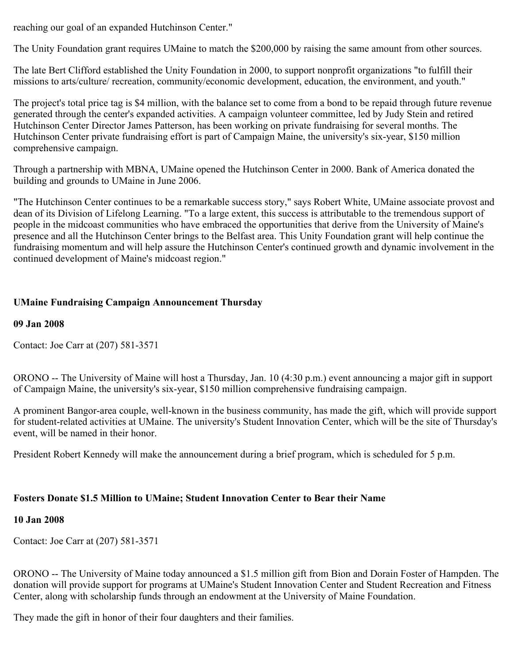reaching our goal of an expanded Hutchinson Center."

The Unity Foundation grant requires UMaine to match the \$200,000 by raising the same amount from other sources.

The late Bert Clifford established the Unity Foundation in 2000, to support nonprofit organizations "to fulfill their missions to arts/culture/ recreation, community/economic development, education, the environment, and youth."

The project's total price tag is \$4 million, with the balance set to come from a bond to be repaid through future revenue generated through the center's expanded activities. A campaign volunteer committee, led by Judy Stein and retired Hutchinson Center Director James Patterson, has been working on private fundraising for several months. The Hutchinson Center private fundraising effort is part of Campaign Maine, the university's six-year, \$150 million comprehensive campaign.

Through a partnership with MBNA, UMaine opened the Hutchinson Center in 2000. Bank of America donated the building and grounds to UMaine in June 2006.

"The Hutchinson Center continues to be a remarkable success story," says Robert White, UMaine associate provost and dean of its Division of Lifelong Learning. "To a large extent, this success is attributable to the tremendous support of people in the midcoast communities who have embraced the opportunities that derive from the University of Maine's presence and all the Hutchinson Center brings to the Belfast area. This Unity Foundation grant will help continue the fundraising momentum and will help assure the Hutchinson Center's continued growth and dynamic involvement in the continued development of Maine's midcoast region."

## **UMaine Fundraising Campaign Announcement Thursday**

**09 Jan 2008**

Contact: Joe Carr at (207) 581-3571

ORONO -- The University of Maine will host a Thursday, Jan. 10 (4:30 p.m.) event announcing a major gift in support of Campaign Maine, the university's six-year, \$150 million comprehensive fundraising campaign.

A prominent Bangor-area couple, well-known in the business community, has made the gift, which will provide support for student-related activities at UMaine. The university's Student Innovation Center, which will be the site of Thursday's event, will be named in their honor.

President Robert Kennedy will make the announcement during a brief program, which is scheduled for 5 p.m.

## **Fosters Donate \$1.5 Million to UMaine; Student Innovation Center to Bear their Name**

## **10 Jan 2008**

Contact: Joe Carr at (207) 581-3571

ORONO -- The University of Maine today announced a \$1.5 million gift from Bion and Dorain Foster of Hampden. The donation will provide support for programs at UMaine's Student Innovation Center and Student Recreation and Fitness Center, along with scholarship funds through an endowment at the University of Maine Foundation.

They made the gift in honor of their four daughters and their families.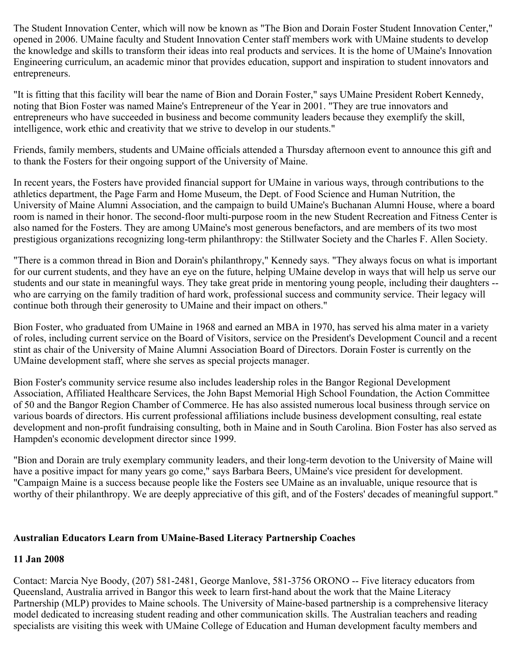The Student Innovation Center, which will now be known as "The Bion and Dorain Foster Student Innovation Center," opened in 2006. UMaine faculty and Student Innovation Center staff members work with UMaine students to develop the knowledge and skills to transform their ideas into real products and services. It is the home of UMaine's Innovation Engineering curriculum, an academic minor that provides education, support and inspiration to student innovators and entrepreneurs.

"It is fitting that this facility will bear the name of Bion and Dorain Foster," says UMaine President Robert Kennedy, noting that Bion Foster was named Maine's Entrepreneur of the Year in 2001. "They are true innovators and entrepreneurs who have succeeded in business and become community leaders because they exemplify the skill, intelligence, work ethic and creativity that we strive to develop in our students."

Friends, family members, students and UMaine officials attended a Thursday afternoon event to announce this gift and to thank the Fosters for their ongoing support of the University of Maine.

In recent years, the Fosters have provided financial support for UMaine in various ways, through contributions to the athletics department, the Page Farm and Home Museum, the Dept. of Food Science and Human Nutrition, the University of Maine Alumni Association, and the campaign to build UMaine's Buchanan Alumni House, where a board room is named in their honor. The second-floor multi-purpose room in the new Student Recreation and Fitness Center is also named for the Fosters. They are among UMaine's most generous benefactors, and are members of its two most prestigious organizations recognizing long-term philanthropy: the Stillwater Society and the Charles F. Allen Society.

"There is a common thread in Bion and Dorain's philanthropy," Kennedy says. "They always focus on what is important for our current students, and they have an eye on the future, helping UMaine develop in ways that will help us serve our students and our state in meaningful ways. They take great pride in mentoring young people, including their daughters - who are carrying on the family tradition of hard work, professional success and community service. Their legacy will continue both through their generosity to UMaine and their impact on others."

Bion Foster, who graduated from UMaine in 1968 and earned an MBA in 1970, has served his alma mater in a variety of roles, including current service on the Board of Visitors, service on the President's Development Council and a recent stint as chair of the University of Maine Alumni Association Board of Directors. Dorain Foster is currently on the UMaine development staff, where she serves as special projects manager.

Bion Foster's community service resume also includes leadership roles in the Bangor Regional Development Association, Affiliated Healthcare Services, the John Bapst Memorial High School Foundation, the Action Committee of 50 and the Bangor Region Chamber of Commerce. He has also assisted numerous local business through service on various boards of directors. His current professional affiliations include business development consulting, real estate development and non-profit fundraising consulting, both in Maine and in South Carolina. Bion Foster has also served as Hampden's economic development director since 1999.

"Bion and Dorain are truly exemplary community leaders, and their long-term devotion to the University of Maine will have a positive impact for many years go come," says Barbara Beers, UMaine's vice president for development. "Campaign Maine is a success because people like the Fosters see UMaine as an invaluable, unique resource that is worthy of their philanthropy. We are deeply appreciative of this gift, and of the Fosters' decades of meaningful support."

## **Australian Educators Learn from UMaine-Based Literacy Partnership Coaches**

## **11 Jan 2008**

Contact: Marcia Nye Boody, (207) 581-2481, George Manlove, 581-3756 ORONO -- Five literacy educators from Queensland, Australia arrived in Bangor this week to learn first-hand about the work that the Maine Literacy Partnership (MLP) provides to Maine schools. The University of Maine-based partnership is a comprehensive literacy model dedicated to increasing student reading and other communication skills. The Australian teachers and reading specialists are visiting this week with UMaine College of Education and Human development faculty members and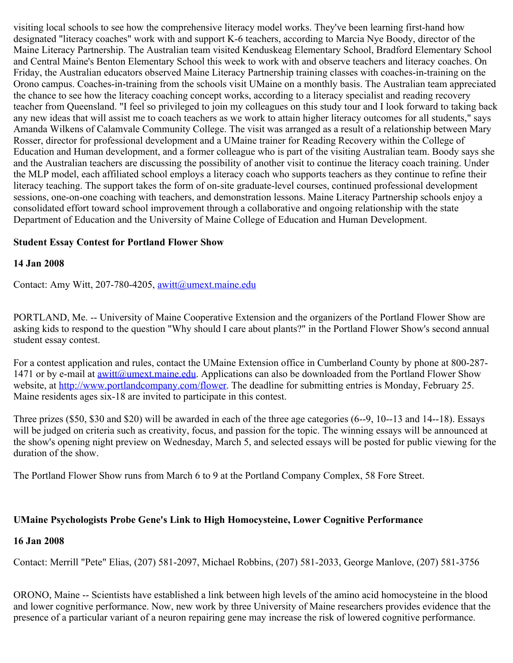visiting local schools to see how the comprehensive literacy model works. They've been learning first-hand how designated "literacy coaches" work with and support K-6 teachers, according to Marcia Nye Boody, director of the Maine Literacy Partnership. The Australian team visited Kenduskeag Elementary School, Bradford Elementary School and Central Maine's Benton Elementary School this week to work with and observe teachers and literacy coaches. On Friday, the Australian educators observed Maine Literacy Partnership training classes with coaches-in-training on the Orono campus. Coaches-in-training from the schools visit UMaine on a monthly basis. The Australian team appreciated the chance to see how the literacy coaching concept works, according to a literacy specialist and reading recovery teacher from Queensland. "I feel so privileged to join my colleagues on this study tour and I look forward to taking back any new ideas that will assist me to coach teachers as we work to attain higher literacy outcomes for all students," says Amanda Wilkens of Calamvale Community College. The visit was arranged as a result of a relationship between Mary Rosser, director for professional development and a UMaine trainer for Reading Recovery within the College of Education and Human development, and a former colleague who is part of the visiting Australian team. Boody says she and the Australian teachers are discussing the possibility of another visit to continue the literacy coach training. Under the MLP model, each affiliated school employs a literacy coach who supports teachers as they continue to refine their literacy teaching. The support takes the form of on-site graduate-level courses, continued professional development sessions, one-on-one coaching with teachers, and demonstration lessons. Maine Literacy Partnership schools enjoy a consolidated effort toward school improvement through a collaborative and ongoing relationship with the state Department of Education and the University of Maine College of Education and Human Development.

### **Student Essay Contest for Portland Flower Show**

#### **14 Jan 2008**

Contact: Amy Witt, 207-780-4205, [awitt@umext.maine.edu](mailto:awitt@umext.maine.edu)

PORTLAND, Me. -- University of Maine Cooperative Extension and the organizers of the Portland Flower Show are asking kids to respond to the question "Why should I care about plants?" in the Portland Flower Show's second annual student essay contest.

For a contest application and rules, contact the UMaine Extension office in Cumberland County by phone at 800-287- 1471 or by e-mail at  $\frac{awitt(\partial_0 u \cdot m \cdot \partial_0 u)}{u}$ . Applications can also be downloaded from the Portland Flower Show website, at<http://www.portlandcompany.com/flower>. The deadline for submitting entries is Monday, February 25. Maine residents ages six-18 are invited to participate in this contest.

Three prizes (\$50, \$30 and \$20) will be awarded in each of the three age categories (6--9, 10--13 and 14--18). Essays will be judged on criteria such as creativity, focus, and passion for the topic. The winning essays will be announced at the show's opening night preview on Wednesday, March 5, and selected essays will be posted for public viewing for the duration of the show.

The Portland Flower Show runs from March 6 to 9 at the Portland Company Complex, 58 Fore Street.

## **UMaine Psychologists Probe Gene's Link to High Homocysteine, Lower Cognitive Performance**

#### **16 Jan 2008**

Contact: Merrill "Pete" Elias, (207) 581-2097, Michael Robbins, (207) 581-2033, George Manlove, (207) 581-3756

ORONO, Maine -- Scientists have established a link between high levels of the amino acid homocysteine in the blood and lower cognitive performance. Now, new work by three University of Maine researchers provides evidence that the presence of a particular variant of a neuron repairing gene may increase the risk of lowered cognitive performance.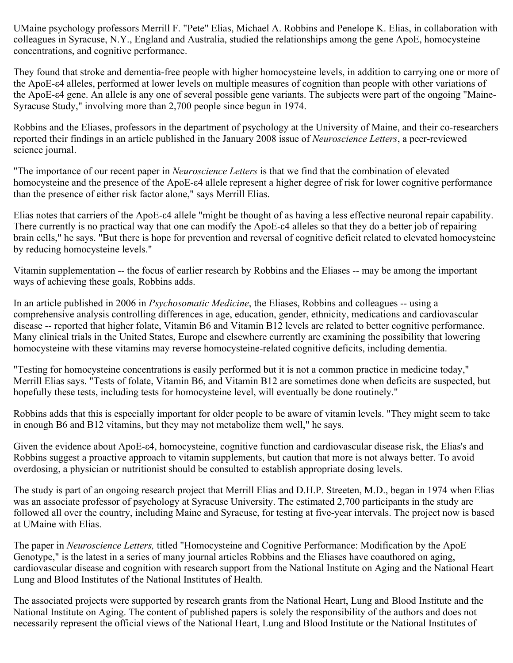UMaine psychology professors Merrill F. "Pete" Elias, Michael A. Robbins and Penelope K. Elias, in collaboration with colleagues in Syracuse, N.Y., England and Australia, studied the relationships among the gene ApoE, homocysteine concentrations, and cognitive performance.

They found that stroke and dementia-free people with higher homocysteine levels, in addition to carrying one or more of the ApoE-ε4 alleles, performed at lower levels on multiple measures of cognition than people with other variations of the ApoE-ε4 gene. An allele is any one of several possible gene variants. The subjects were part of the ongoing "Maine-Syracuse Study," involving more than 2,700 people since begun in 1974.

Robbins and the Eliases, professors in the department of psychology at the University of Maine, and their co-researchers reported their findings in an article published in the January 2008 issue of *Neuroscience Letters*, a peer-reviewed science journal.

"The importance of our recent paper in *Neuroscience Letters* is that we find that the combination of elevated homocysteine and the presence of the ApoE-ε4 allele represent a higher degree of risk for lower cognitive performance than the presence of either risk factor alone," says Merrill Elias.

Elias notes that carriers of the ApoE-ε4 allele "might be thought of as having a less effective neuronal repair capability. There currently is no practical way that one can modify the ApoE-ε4 alleles so that they do a better job of repairing brain cells," he says. "But there is hope for prevention and reversal of cognitive deficit related to elevated homocysteine by reducing homocysteine levels."

Vitamin supplementation -- the focus of earlier research by Robbins and the Eliases -- may be among the important ways of achieving these goals, Robbins adds.

In an article published in 2006 in *Psychosomatic Medicine*, the Eliases, Robbins and colleagues -- using a comprehensive analysis controlling differences in age, education, gender, ethnicity, medications and cardiovascular disease -- reported that higher folate, Vitamin B6 and Vitamin B12 levels are related to better cognitive performance. Many clinical trials in the United States, Europe and elsewhere currently are examining the possibility that lowering homocysteine with these vitamins may reverse homocysteine-related cognitive deficits, including dementia.

"Testing for homocysteine concentrations is easily performed but it is not a common practice in medicine today," Merrill Elias says. "Tests of folate, Vitamin B6, and Vitamin B12 are sometimes done when deficits are suspected, but hopefully these tests, including tests for homocysteine level, will eventually be done routinely."

Robbins adds that this is especially important for older people to be aware of vitamin levels. "They might seem to take in enough B6 and B12 vitamins, but they may not metabolize them well," he says.

Given the evidence about ApoE-ε4, homocysteine, cognitive function and cardiovascular disease risk, the Elias's and Robbins suggest a proactive approach to vitamin supplements, but caution that more is not always better. To avoid overdosing, a physician or nutritionist should be consulted to establish appropriate dosing levels.

The study is part of an ongoing research project that Merrill Elias and D.H.P. Streeten, M.D., began in 1974 when Elias was an associate professor of psychology at Syracuse University. The estimated 2,700 participants in the study are followed all over the country, including Maine and Syracuse, for testing at five-year intervals. The project now is based at UMaine with Elias.

The paper in *Neuroscience Letters,* titled "Homocysteine and Cognitive Performance: Modification by the ApoE Genotype," is the latest in a series of many journal articles Robbins and the Eliases have coauthored on aging, cardiovascular disease and cognition with research support from the National Institute on Aging and the National Heart Lung and Blood Institutes of the National Institutes of Health.

The associated projects were supported by research grants from the National Heart, Lung and Blood Institute and the National Institute on Aging. The content of published papers is solely the responsibility of the authors and does not necessarily represent the official views of the National Heart, Lung and Blood Institute or the National Institutes of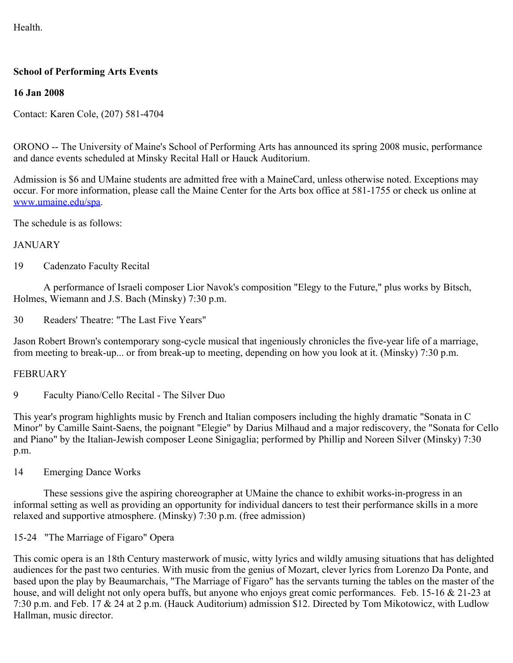Health.

## **School of Performing Arts Events**

## **16 Jan 2008**

Contact: Karen Cole, (207) 581-4704

ORONO -- The University of Maine's School of Performing Arts has announced its spring 2008 music, performance and dance events scheduled at Minsky Recital Hall or Hauck Auditorium.

Admission is \$6 and UMaine students are admitted free with a MaineCard, unless otherwise noted. Exceptions may occur. For more information, please call the Maine Center for the Arts box office at 581-1755 or check us online at [www.umaine.edu/spa.](http://www.umaine.edu/spa)

The schedule is as follows:

## JANUARY

19 Cadenzato Faculty Recital

 A performance of Israeli composer Lior Navok's composition "Elegy to the Future," plus works by Bitsch, Holmes, Wiemann and J.S. Bach (Minsky) 7:30 p.m.

30 Readers' Theatre: "The Last Five Years"

Jason Robert Brown's contemporary song-cycle musical that ingeniously chronicles the five-year life of a marriage, from meeting to break-up... or from break-up to meeting, depending on how you look at it. (Minsky) 7:30 p.m.

## FEBRUARY

9 Faculty Piano/Cello Recital - The Silver Duo

This year's program highlights music by French and Italian composers including the highly dramatic "Sonata in C Minor" by Camille Saint-Saens, the poignant "Elegie" by Darius Milhaud and a major rediscovery, the "Sonata for Cello and Piano" by the Italian-Jewish composer Leone Sinigaglia; performed by Phillip and Noreen Silver (Minsky) 7:30 p.m.

14 Emerging Dance Works

 These sessions give the aspiring choreographer at UMaine the chance to exhibit works-in-progress in an informal setting as well as providing an opportunity for individual dancers to test their performance skills in a more relaxed and supportive atmosphere. (Minsky) 7:30 p.m. (free admission)

15-24 "The Marriage of Figaro" Opera

This comic opera is an 18th Century masterwork of music, witty lyrics and wildly amusing situations that has delighted audiences for the past two centuries. With music from the genius of Mozart, clever lyrics from Lorenzo Da Ponte, and based upon the play by Beaumarchais, "The Marriage of Figaro" has the servants turning the tables on the master of the house, and will delight not only opera buffs, but anyone who enjoys great comic performances. Feb. 15-16 & 21-23 at 7:30 p.m. and Feb. 17 & 24 at 2 p.m. (Hauck Auditorium) admission \$12. Directed by Tom Mikotowicz, with Ludlow Hallman, music director.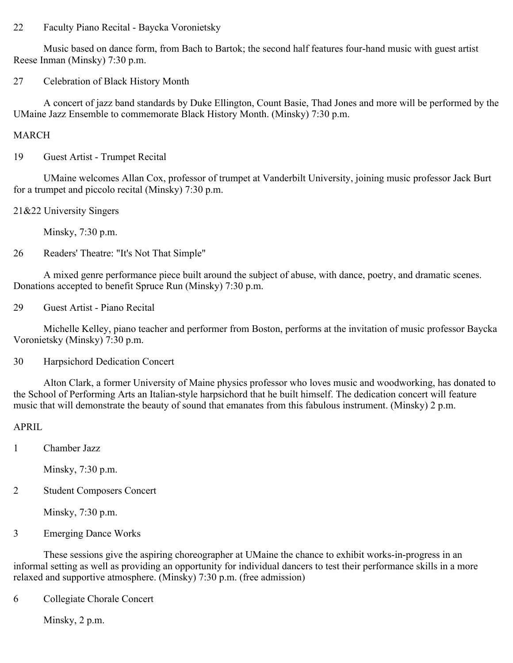22 Faculty Piano Recital - Baycka Voronietsky

 Music based on dance form, from Bach to Bartok; the second half features four-hand music with guest artist Reese Inman (Minsky) 7:30 p.m.

27 Celebration of Black History Month

 A concert of jazz band standards by Duke Ellington, Count Basie, Thad Jones and more will be performed by the UMaine Jazz Ensemble to commemorate Black History Month. (Minsky) 7:30 p.m.

MARCH

19 Guest Artist - Trumpet Recital

 UMaine welcomes Allan Cox, professor of trumpet at Vanderbilt University, joining music professor Jack Burt for a trumpet and piccolo recital (Minsky) 7:30 p.m.

21&22 University Singers

Minsky, 7:30 p.m.

26 Readers' Theatre: "It's Not That Simple"

 A mixed genre performance piece built around the subject of abuse, with dance, poetry, and dramatic scenes. Donations accepted to benefit Spruce Run (Minsky) 7:30 p.m.

29 Guest Artist - Piano Recital

 Michelle Kelley, piano teacher and performer from Boston, performs at the invitation of music professor Baycka Voronietsky (Minsky) 7:30 p.m.

30 Harpsichord Dedication Concert

 Alton Clark, a former University of Maine physics professor who loves music and woodworking, has donated to the School of Performing Arts an Italian-style harpsichord that he built himself. The dedication concert will feature music that will demonstrate the beauty of sound that emanates from this fabulous instrument. (Minsky) 2 p.m.

## APRIL

1 Chamber Jazz

Minsky, 7:30 p.m.

2 Student Composers Concert

Minsky, 7:30 p.m.

3 Emerging Dance Works

 These sessions give the aspiring choreographer at UMaine the chance to exhibit works-in-progress in an informal setting as well as providing an opportunity for individual dancers to test their performance skills in a more relaxed and supportive atmosphere. (Minsky) 7:30 p.m. (free admission)

6 Collegiate Chorale Concert

Minsky, 2 p.m.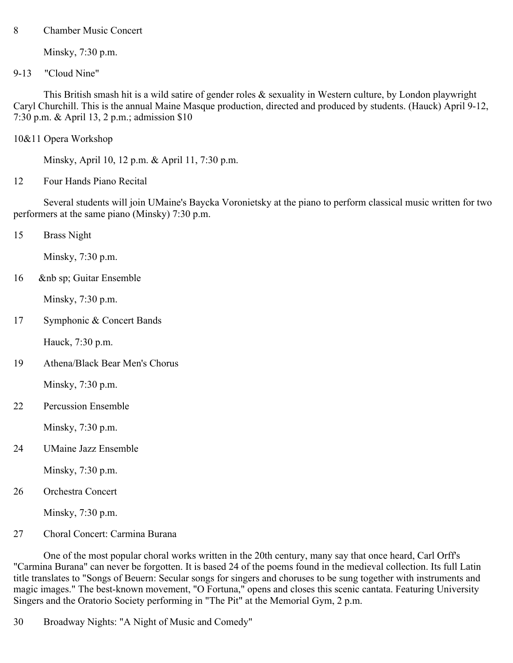8 Chamber Music Concert

Minsky, 7:30 p.m.

9-13 "Cloud Nine"

 This British smash hit is a wild satire of gender roles & sexuality in Western culture, by London playwright Caryl Churchill. This is the annual Maine Masque production, directed and produced by students. (Hauck) April 9-12, 7:30 p.m. & April 13, 2 p.m.; admission \$10

10&11 Opera Workshop

Minsky, April 10, 12 p.m. & April 11, 7:30 p.m.

12 Four Hands Piano Recital

 Several students will join UMaine's Baycka Voronietsky at the piano to perform classical music written for two performers at the same piano (Minsky) 7:30 p.m.

15 Brass Night

Minsky, 7:30 p.m.

16 &nb sp; Guitar Ensemble

Minsky, 7:30 p.m.

17 Symphonic & Concert Bands

Hauck, 7:30 p.m.

19 Athena/Black Bear Men's Chorus

Minsky, 7:30 p.m.

22 Percussion Ensemble

Minsky, 7:30 p.m.

24 UMaine Jazz Ensemble

Minsky, 7:30 p.m.

26 Orchestra Concert

Minsky, 7:30 p.m.

27 Choral Concert: Carmina Burana

 One of the most popular choral works written in the 20th century, many say that once heard, Carl Orff's "Carmina Burana" can never be forgotten. It is based 24 of the poems found in the medieval collection. Its full Latin title translates to "Songs of Beuern: Secular songs for singers and choruses to be sung together with instruments and magic images." The best-known movement, "O Fortuna," opens and closes this scenic cantata. Featuring University Singers and the Oratorio Society performing in "The Pit" at the Memorial Gym, 2 p.m.

30 Broadway Nights: "A Night of Music and Comedy"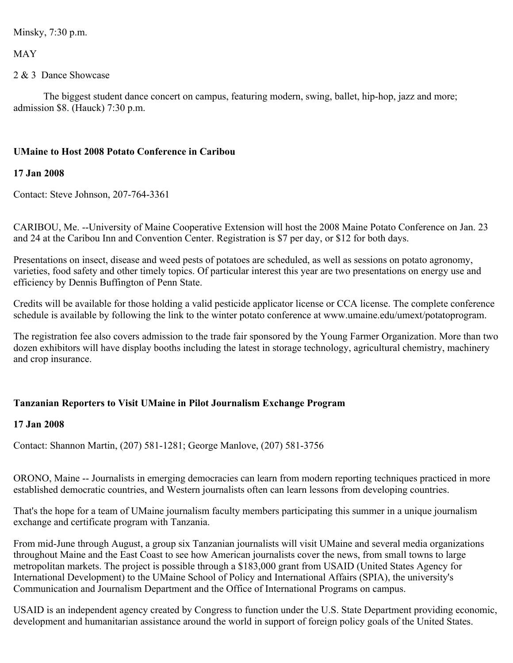Minsky, 7:30 p.m.

MAY

## 2 & 3 Dance Showcase

 The biggest student dance concert on campus, featuring modern, swing, ballet, hip-hop, jazz and more; admission \$8. (Hauck) 7:30 p.m.

## **UMaine to Host 2008 Potato Conference in Caribou**

## **17 Jan 2008**

Contact: Steve Johnson, 207-764-3361

CARIBOU, Me. --University of Maine Cooperative Extension will host the 2008 Maine Potato Conference on Jan. 23 and 24 at the Caribou Inn and Convention Center. Registration is \$7 per day, or \$12 for both days.

Presentations on insect, disease and weed pests of potatoes are scheduled, as well as sessions on potato agronomy, varieties, food safety and other timely topics. Of particular interest this year are two presentations on energy use and efficiency by Dennis Buffington of Penn State.

Credits will be available for those holding a valid pesticide applicator license or CCA license. The complete conference schedule is available by following the link to the winter potato conference at www.umaine.edu/umext/potatoprogram.

The registration fee also covers admission to the trade fair sponsored by the Young Farmer Organization. More than two dozen exhibitors will have display booths including the latest in storage technology, agricultural chemistry, machinery and crop insurance.

## **Tanzanian Reporters to Visit UMaine in Pilot Journalism Exchange Program**

## **17 Jan 2008**

Contact: Shannon Martin, (207) 581-1281; George Manlove, (207) 581-3756

ORONO, Maine -- Journalists in emerging democracies can learn from modern reporting techniques practiced in more established democratic countries, and Western journalists often can learn lessons from developing countries.

That's the hope for a team of UMaine journalism faculty members participating this summer in a unique journalism exchange and certificate program with Tanzania.

From mid-June through August, a group six Tanzanian journalists will visit UMaine and several media organizations throughout Maine and the East Coast to see how American journalists cover the news, from small towns to large metropolitan markets. The project is possible through a \$183,000 grant from USAID (United States Agency for International Development) to the UMaine School of Policy and International Affairs (SPIA), the university's Communication and Journalism Department and the Office of International Programs on campus.

USAID is an independent agency created by Congress to function under the U.S. State Department providing economic, development and humanitarian assistance around the world in support of foreign policy goals of the United States.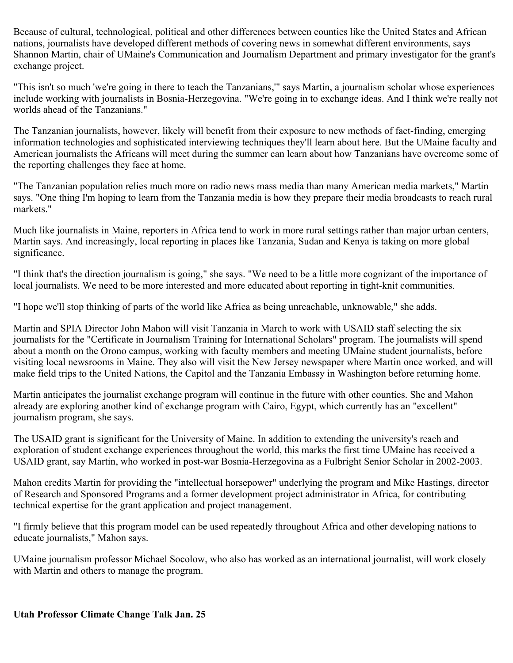Because of cultural, technological, political and other differences between counties like the United States and African nations, journalists have developed different methods of covering news in somewhat different environments, says Shannon Martin, chair of UMaine's Communication and Journalism Department and primary investigator for the grant's exchange project.

"This isn't so much 'we're going in there to teach the Tanzanians,'" says Martin, a journalism scholar whose experiences include working with journalists in Bosnia-Herzegovina. "We're going in to exchange ideas. And I think we're really not worlds ahead of the Tanzanians."

The Tanzanian journalists, however, likely will benefit from their exposure to new methods of fact-finding, emerging information technologies and sophisticated interviewing techniques they'll learn about here. But the UMaine faculty and American journalists the Africans will meet during the summer can learn about how Tanzanians have overcome some of the reporting challenges they face at home.

"The Tanzanian population relies much more on radio news mass media than many American media markets," Martin says. "One thing I'm hoping to learn from the Tanzania media is how they prepare their media broadcasts to reach rural markets."

Much like journalists in Maine, reporters in Africa tend to work in more rural settings rather than major urban centers, Martin says. And increasingly, local reporting in places like Tanzania, Sudan and Kenya is taking on more global significance.

"I think that's the direction journalism is going," she says. "We need to be a little more cognizant of the importance of local journalists. We need to be more interested and more educated about reporting in tight-knit communities.

"I hope we'll stop thinking of parts of the world like Africa as being unreachable, unknowable," she adds.

Martin and SPIA Director John Mahon will visit Tanzania in March to work with USAID staff selecting the six journalists for the "Certificate in Journalism Training for International Scholars" program. The journalists will spend about a month on the Orono campus, working with faculty members and meeting UMaine student journalists, before visiting local newsrooms in Maine. They also will visit the New Jersey newspaper where Martin once worked, and will make field trips to the United Nations, the Capitol and the Tanzania Embassy in Washington before returning home.

Martin anticipates the journalist exchange program will continue in the future with other counties. She and Mahon already are exploring another kind of exchange program with Cairo, Egypt, which currently has an "excellent" journalism program, she says.

The USAID grant is significant for the University of Maine. In addition to extending the university's reach and exploration of student exchange experiences throughout the world, this marks the first time UMaine has received a USAID grant, say Martin, who worked in post-war Bosnia-Herzegovina as a Fulbright Senior Scholar in 2002-2003.

Mahon credits Martin for providing the "intellectual horsepower" underlying the program and Mike Hastings, director of Research and Sponsored Programs and a former development project administrator in Africa, for contributing technical expertise for the grant application and project management.

"I firmly believe that this program model can be used repeatedly throughout Africa and other developing nations to educate journalists," Mahon says.

UMaine journalism professor Michael Socolow, who also has worked as an international journalist, will work closely with Martin and others to manage the program.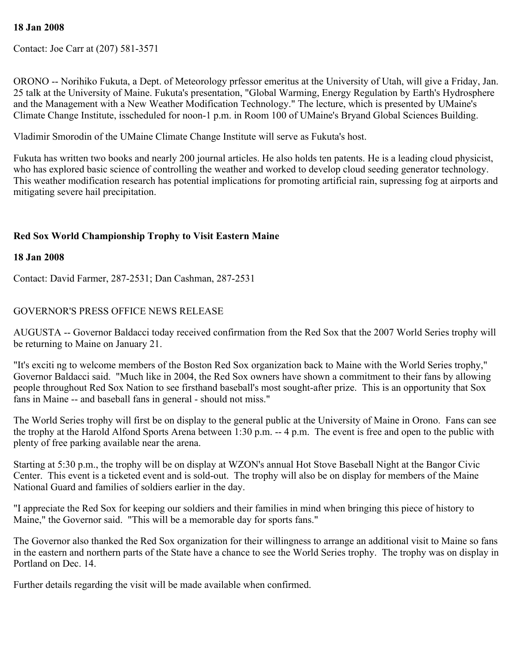### **18 Jan 2008**

Contact: Joe Carr at (207) 581-3571

ORONO -- Norihiko Fukuta, a Dept. of Meteorology prfessor emeritus at the University of Utah, will give a Friday, Jan. 25 talk at the University of Maine. Fukuta's presentation, "Global Warming, Energy Regulation by Earth's Hydrosphere and the Management with a New Weather Modification Technology." The lecture, which is presented by UMaine's Climate Change Institute, isscheduled for noon-1 p.m. in Room 100 of UMaine's Bryand Global Sciences Building.

Vladimir Smorodin of the UMaine Climate Change Institute will serve as Fukuta's host.

Fukuta has written two books and nearly 200 journal articles. He also holds ten patents. He is a leading cloud physicist, who has explored basic science of controlling the weather and worked to develop cloud seeding generator technology. This weather modification research has potential implications for promoting artificial rain, supressing fog at airports and mitigating severe hail precipitation.

## **Red Sox World Championship Trophy to Visit Eastern Maine**

#### **18 Jan 2008**

Contact: David Farmer, 287-2531; Dan Cashman, 287-2531

### GOVERNOR'S PRESS OFFICE NEWS RELEASE

AUGUSTA -- Governor Baldacci today received confirmation from the Red Sox that the 2007 World Series trophy will be returning to Maine on January 21.

"It's exciti ng to welcome members of the Boston Red Sox organization back to Maine with the World Series trophy," Governor Baldacci said. "Much like in 2004, the Red Sox owners have shown a commitment to their fans by allowing people throughout Red Sox Nation to see firsthand baseball's most sought-after prize. This is an opportunity that Sox fans in Maine -- and baseball fans in general - should not miss."

The World Series trophy will first be on display to the general public at the University of Maine in Orono. Fans can see the trophy at the Harold Alfond Sports Arena between 1:30 p.m. -- 4 p.m. The event is free and open to the public with plenty of free parking available near the arena.

Starting at 5:30 p.m., the trophy will be on display at WZON's annual Hot Stove Baseball Night at the Bangor Civic Center. This event is a ticketed event and is sold-out. The trophy will also be on display for members of the Maine National Guard and families of soldiers earlier in the day.

"I appreciate the Red Sox for keeping our soldiers and their families in mind when bringing this piece of history to Maine," the Governor said. "This will be a memorable day for sports fans."

The Governor also thanked the Red Sox organization for their willingness to arrange an additional visit to Maine so fans in the eastern and northern parts of the State have a chance to see the World Series trophy. The trophy was on display in Portland on Dec. 14.

Further details regarding the visit will be made available when confirmed.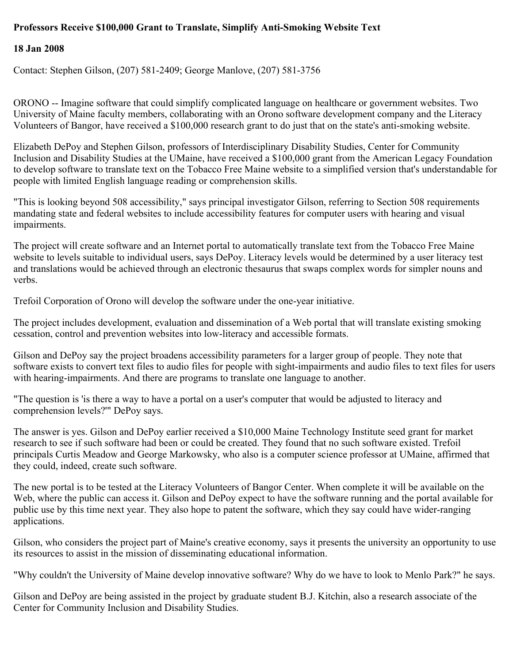## **Professors Receive \$100,000 Grant to Translate, Simplify Anti-Smoking Website Text**

## **18 Jan 2008**

Contact: Stephen Gilson, (207) 581-2409; George Manlove, (207) 581-3756

ORONO -- Imagine software that could simplify complicated language on healthcare or government websites. Two University of Maine faculty members, collaborating with an Orono software development company and the Literacy Volunteers of Bangor, have received a \$100,000 research grant to do just that on the state's anti-smoking website.

Elizabeth DePoy and Stephen Gilson, professors of Interdisciplinary Disability Studies, Center for Community Inclusion and Disability Studies at the UMaine, have received a \$100,000 grant from the American Legacy Foundation to develop software to translate text on the Tobacco Free Maine website to a simplified version that's understandable for people with limited English language reading or comprehension skills.

"This is looking beyond 508 accessibility," says principal investigator Gilson, referring to Section 508 requirements mandating state and federal websites to include accessibility features for computer users with hearing and visual impairments.

The project will create software and an Internet portal to automatically translate text from the Tobacco Free Maine website to levels suitable to individual users, says DePoy. Literacy levels would be determined by a user literacy test and translations would be achieved through an electronic thesaurus that swaps complex words for simpler nouns and verbs.

Trefoil Corporation of Orono will develop the software under the one-year initiative.

The project includes development, evaluation and dissemination of a Web portal that will translate existing smoking cessation, control and prevention websites into low-literacy and accessible formats.

Gilson and DePoy say the project broadens accessibility parameters for a larger group of people. They note that software exists to convert text files to audio files for people with sight-impairments and audio files to text files for users with hearing-impairments. And there are programs to translate one language to another.

"The question is 'is there a way to have a portal on a user's computer that would be adjusted to literacy and comprehension levels?'" DePoy says.

The answer is yes. Gilson and DePoy earlier received a \$10,000 Maine Technology Institute seed grant for market research to see if such software had been or could be created. They found that no such software existed. Trefoil principals Curtis Meadow and George Markowsky, who also is a computer science professor at UMaine, affirmed that they could, indeed, create such software.

The new portal is to be tested at the Literacy Volunteers of Bangor Center. When complete it will be available on the Web, where the public can access it. Gilson and DePoy expect to have the software running and the portal available for public use by this time next year. They also hope to patent the software, which they say could have wider-ranging applications.

Gilson, who considers the project part of Maine's creative economy, says it presents the university an opportunity to use its resources to assist in the mission of disseminating educational information.

"Why couldn't the University of Maine develop innovative software? Why do we have to look to Menlo Park?" he says.

Gilson and DePoy are being assisted in the project by graduate student B.J. Kitchin, also a research associate of the Center for Community Inclusion and Disability Studies.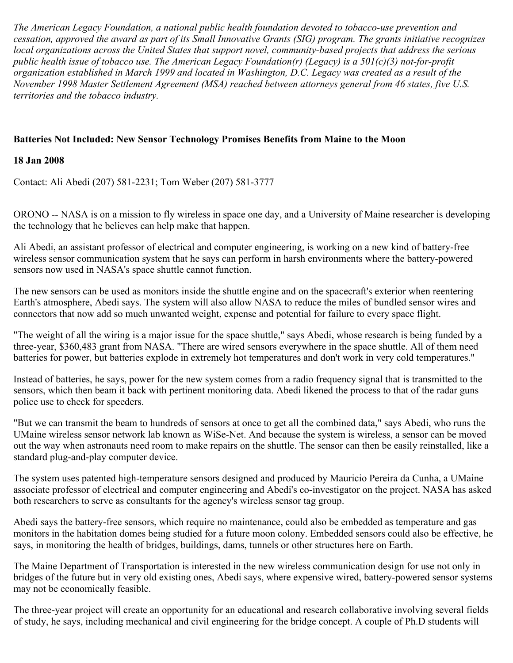*The American Legacy Foundation, a national public health foundation devoted to tobacco-use prevention and cessation, approved the award as part of its Small Innovative Grants (SIG) program. The grants initiative recognizes local organizations across the United States that support novel, community-based projects that address the serious public health issue of tobacco use. The American Legacy Foundation(r) (Legacy) is a 501(c)(3) not-for-profit organization established in March 1999 and located in Washington, D.C. Legacy was created as a result of the November 1998 Master Settlement Agreement (MSA) reached between attorneys general from 46 states, five U.S. territories and the tobacco industry.*

## **Batteries Not Included: New Sensor Technology Promises Benefits from Maine to the Moon**

### **18 Jan 2008**

Contact: Ali Abedi (207) 581-2231; Tom Weber (207) 581-3777

ORONO -- NASA is on a mission to fly wireless in space one day, and a University of Maine researcher is developing the technology that he believes can help make that happen.

Ali Abedi, an assistant professor of electrical and computer engineering, is working on a new kind of battery-free wireless sensor communication system that he says can perform in harsh environments where the battery-powered sensors now used in NASA's space shuttle cannot function.

The new sensors can be used as monitors inside the shuttle engine and on the spacecraft's exterior when reentering Earth's atmosphere, Abedi says. The system will also allow NASA to reduce the miles of bundled sensor wires and connectors that now add so much unwanted weight, expense and potential for failure to every space flight.

"The weight of all the wiring is a major issue for the space shuttle," says Abedi, whose research is being funded by a three-year, \$360,483 grant from NASA. "There are wired sensors everywhere in the space shuttle. All of them need batteries for power, but batteries explode in extremely hot temperatures and don't work in very cold temperatures."

Instead of batteries, he says, power for the new system comes from a radio frequency signal that is transmitted to the sensors, which then beam it back with pertinent monitoring data. Abedi likened the process to that of the radar guns police use to check for speeders.

"But we can transmit the beam to hundreds of sensors at once to get all the combined data," says Abedi, who runs the UMaine wireless sensor network lab known as WiSe-Net. And because the system is wireless, a sensor can be moved out the way when astronauts need room to make repairs on the shuttle. The sensor can then be easily reinstalled, like a standard plug-and-play computer device.

The system uses patented high-temperature sensors designed and produced by Mauricio Pereira da Cunha, a UMaine associate professor of electrical and computer engineering and Abedi's co-investigator on the project. NASA has asked both researchers to serve as consultants for the agency's wireless sensor tag group.

Abedi says the battery-free sensors, which require no maintenance, could also be embedded as temperature and gas monitors in the habitation domes being studied for a future moon colony. Embedded sensors could also be effective, he says, in monitoring the health of bridges, buildings, dams, tunnels or other structures here on Earth.

The Maine Department of Transportation is interested in the new wireless communication design for use not only in bridges of the future but in very old existing ones, Abedi says, where expensive wired, battery-powered sensor systems may not be economically feasible.

The three-year project will create an opportunity for an educational and research collaborative involving several fields of study, he says, including mechanical and civil engineering for the bridge concept. A couple of Ph.D students will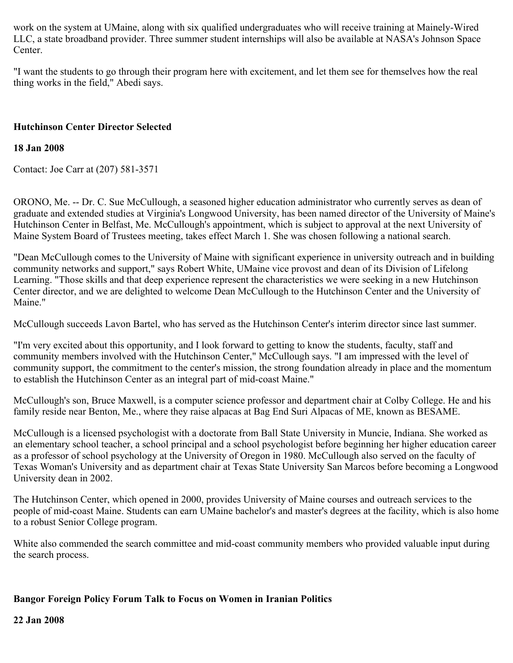work on the system at UMaine, along with six qualified undergraduates who will receive training at Mainely-Wired LLC, a state broadband provider. Three summer student internships will also be available at NASA's Johnson Space Center.

"I want the students to go through their program here with excitement, and let them see for themselves how the real thing works in the field," Abedi says.

## **Hutchinson Center Director Selected**

## **18 Jan 2008**

Contact: Joe Carr at (207) 581-3571

ORONO, Me. -- Dr. C. Sue McCullough, a seasoned higher education administrator who currently serves as dean of graduate and extended studies at Virginia's Longwood University, has been named director of the University of Maine's Hutchinson Center in Belfast, Me. McCullough's appointment, which is subject to approval at the next University of Maine System Board of Trustees meeting, takes effect March 1. She was chosen following a national search.

"Dean McCullough comes to the University of Maine with significant experience in university outreach and in building community networks and support," says Robert White, UMaine vice provost and dean of its Division of Lifelong Learning. "Those skills and that deep experience represent the characteristics we were seeking in a new Hutchinson Center director, and we are delighted to welcome Dean McCullough to the Hutchinson Center and the University of Maine."

McCullough succeeds Lavon Bartel, who has served as the Hutchinson Center's interim director since last summer.

"I'm very excited about this opportunity, and I look forward to getting to know the students, faculty, staff and community members involved with the Hutchinson Center," McCullough says. "I am impressed with the level of community support, the commitment to the center's mission, the strong foundation already in place and the momentum to establish the Hutchinson Center as an integral part of mid-coast Maine."

McCullough's son, Bruce Maxwell, is a computer science professor and department chair at Colby College. He and his family reside near Benton, Me., where they raise alpacas at Bag End Suri Alpacas of ME, known as BESAME.

McCullough is a licensed psychologist with a doctorate from Ball State University in Muncie, Indiana. She worked as an elementary school teacher, a school principal and a school psychologist before beginning her higher education career as a professor of school psychology at the University of Oregon in 1980. McCullough also served on the faculty of Texas Woman's University and as department chair at Texas State University San Marcos before becoming a Longwood University dean in 2002.

The Hutchinson Center, which opened in 2000, provides University of Maine courses and outreach services to the people of mid-coast Maine. Students can earn UMaine bachelor's and master's degrees at the facility, which is also home to a robust Senior College program.

White also commended the search committee and mid-coast community members who provided valuable input during the search process.

## **Bangor Foreign Policy Forum Talk to Focus on Women in Iranian Politics**

#### **22 Jan 2008**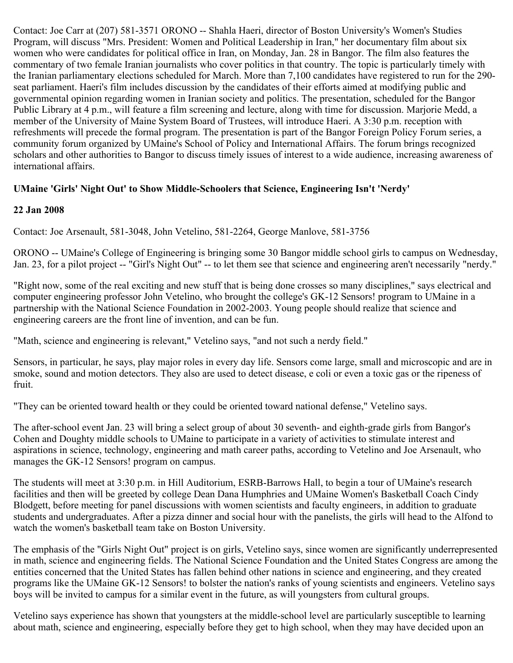Contact: Joe Carr at (207) 581-3571 ORONO -- Shahla Haeri, director of Boston University's Women's Studies Program, will discuss "Mrs. President: Women and Political Leadership in Iran," her documentary film about six women who were candidates for political office in Iran, on Monday, Jan. 28 in Bangor. The film also features the commentary of two female Iranian journalists who cover politics in that country. The topic is particularly timely with the Iranian parliamentary elections scheduled for March. More than 7,100 candidates have registered to run for the 290 seat parliament. Haeri's film includes discussion by the candidates of their efforts aimed at modifying public and governmental opinion regarding women in Iranian society and politics. The presentation, scheduled for the Bangor Public Library at 4 p.m., will feature a film screening and lecture, along with time for discussion. Marjorie Medd, a member of the University of Maine System Board of Trustees, will introduce Haeri. A 3:30 p.m. reception with refreshments will precede the formal program. The presentation is part of the Bangor Foreign Policy Forum series, a community forum organized by UMaine's School of Policy and International Affairs. The forum brings recognized scholars and other authorities to Bangor to discuss timely issues of interest to a wide audience, increasing awareness of international affairs.

## **UMaine 'Girls' Night Out' to Show Middle-Schoolers that Science, Engineering Isn't 'Nerdy'**

## **22 Jan 2008**

Contact: Joe Arsenault, 581-3048, John Vetelino, 581-2264, George Manlove, 581-3756

ORONO -- UMaine's College of Engineering is bringing some 30 Bangor middle school girls to campus on Wednesday, Jan. 23, for a pilot project -- "Girl's Night Out" -- to let them see that science and engineering aren't necessarily "nerdy."

"Right now, some of the real exciting and new stuff that is being done crosses so many disciplines," says electrical and computer engineering professor John Vetelino, who brought the college's GK-12 Sensors! program to UMaine in a partnership with the National Science Foundation in 2002-2003. Young people should realize that science and engineering careers are the front line of invention, and can be fun.

"Math, science and engineering is relevant," Vetelino says, "and not such a nerdy field."

Sensors, in particular, he says, play major roles in every day life. Sensors come large, small and microscopic and are in smoke, sound and motion detectors. They also are used to detect disease, e coli or even a toxic gas or the ripeness of fruit.

"They can be oriented toward health or they could be oriented toward national defense," Vetelino says.

The after-school event Jan. 23 will bring a select group of about 30 seventh- and eighth-grade girls from Bangor's Cohen and Doughty middle schools to UMaine to participate in a variety of activities to stimulate interest and aspirations in science, technology, engineering and math career paths, according to Vetelino and Joe Arsenault, who manages the GK-12 Sensors! program on campus.

The students will meet at 3:30 p.m. in Hill Auditorium, ESRB-Barrows Hall, to begin a tour of UMaine's research facilities and then will be greeted by college Dean Dana Humphries and UMaine Women's Basketball Coach Cindy Blodgett, before meeting for panel discussions with women scientists and faculty engineers, in addition to graduate students and undergraduates. After a pizza dinner and social hour with the panelists, the girls will head to the Alfond to watch the women's basketball team take on Boston University.

The emphasis of the "Girls Night Out" project is on girls, Vetelino says, since women are significantly underrepresented in math, science and engineering fields. The National Science Foundation and the United States Congress are among the entities concerned that the United States has fallen behind other nations in science and engineering, and they created programs like the UMaine GK-12 Sensors! to bolster the nation's ranks of young scientists and engineers. Vetelino says boys will be invited to campus for a similar event in the future, as will youngsters from cultural groups.

Vetelino says experience has shown that youngsters at the middle-school level are particularly susceptible to learning about math, science and engineering, especially before they get to high school, when they may have decided upon an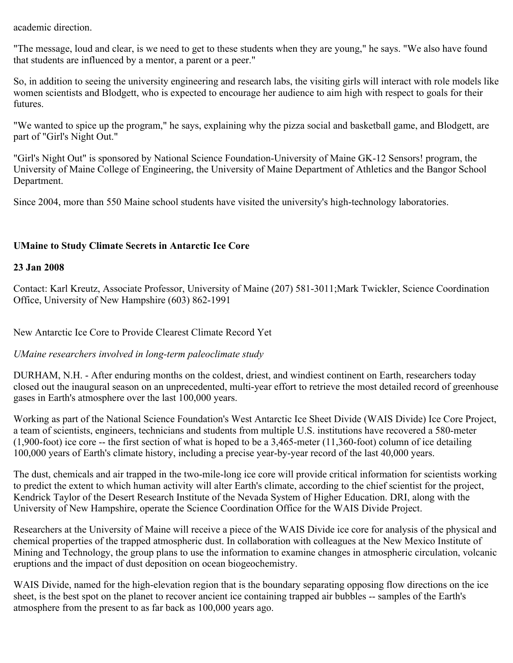academic direction.

"The message, loud and clear, is we need to get to these students when they are young," he says. "We also have found that students are influenced by a mentor, a parent or a peer."

So, in addition to seeing the university engineering and research labs, the visiting girls will interact with role models like women scientists and Blodgett, who is expected to encourage her audience to aim high with respect to goals for their futures.

"We wanted to spice up the program," he says, explaining why the pizza social and basketball game, and Blodgett, are part of "Girl's Night Out."

"Girl's Night Out" is sponsored by National Science Foundation-University of Maine GK-12 Sensors! program, the University of Maine College of Engineering, the University of Maine Department of Athletics and the Bangor School Department.

Since 2004, more than 550 Maine school students have visited the university's high-technology laboratories.

## **UMaine to Study Climate Secrets in Antarctic Ice Core**

### **23 Jan 2008**

Contact: Karl Kreutz, Associate Professor, University of Maine (207) 581-3011;Mark Twickler, Science Coordination Office, University of New Hampshire (603) 862-1991

New Antarctic Ice Core to Provide Clearest Climate Record Yet

## *UMaine researchers involved in long-term paleoclimate study*

DURHAM, N.H. - After enduring months on the coldest, driest, and windiest continent on Earth, researchers today closed out the inaugural season on an unprecedented, multi-year effort to retrieve the most detailed record of greenhouse gases in Earth's atmosphere over the last 100,000 years.

Working as part of the National Science Foundation's West Antarctic Ice Sheet Divide (WAIS Divide) Ice Core Project, a team of scientists, engineers, technicians and students from multiple U.S. institutions have recovered a 580-meter (1,900-foot) ice core -- the first section of what is hoped to be a 3,465-meter (11,360-foot) column of ice detailing 100,000 years of Earth's climate history, including a precise year-by-year record of the last 40,000 years.

The dust, chemicals and air trapped in the two-mile-long ice core will provide critical information for scientists working to predict the extent to which human activity will alter Earth's climate, according to the chief scientist for the project, Kendrick Taylor of the Desert Research Institute of the Nevada System of Higher Education. DRI, along with the University of New Hampshire, operate the Science Coordination Office for the WAIS Divide Project.

Researchers at the University of Maine will receive a piece of the WAIS Divide ice core for analysis of the physical and chemical properties of the trapped atmospheric dust. In collaboration with colleagues at the New Mexico Institute of Mining and Technology, the group plans to use the information to examine changes in atmospheric circulation, volcanic eruptions and the impact of dust deposition on ocean biogeochemistry.

WAIS Divide, named for the high-elevation region that is the boundary separating opposing flow directions on the ice sheet, is the best spot on the planet to recover ancient ice containing trapped air bubbles -- samples of the Earth's atmosphere from the present to as far back as 100,000 years ago.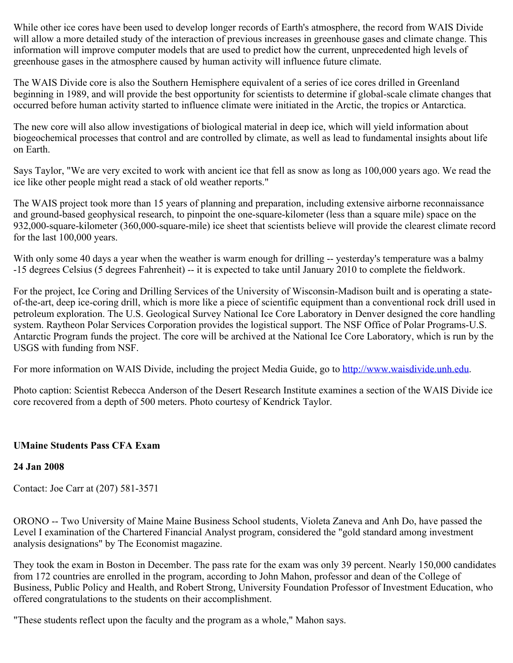While other ice cores have been used to develop longer records of Earth's atmosphere, the record from WAIS Divide will allow a more detailed study of the interaction of previous increases in greenhouse gases and climate change. This information will improve computer models that are used to predict how the current, unprecedented high levels of greenhouse gases in the atmosphere caused by human activity will influence future climate.

The WAIS Divide core is also the Southern Hemisphere equivalent of a series of ice cores drilled in Greenland beginning in 1989, and will provide the best opportunity for scientists to determine if global-scale climate changes that occurred before human activity started to influence climate were initiated in the Arctic, the tropics or Antarctica.

The new core will also allow investigations of biological material in deep ice, which will yield information about biogeochemical processes that control and are controlled by climate, as well as lead to fundamental insights about life on Earth.

Says Taylor, "We are very excited to work with ancient ice that fell as snow as long as 100,000 years ago. We read the ice like other people might read a stack of old weather reports."

The WAIS project took more than 15 years of planning and preparation, including extensive airborne reconnaissance and ground-based geophysical research, to pinpoint the one-square-kilometer (less than a square mile) space on the 932,000-square-kilometer (360,000-square-mile) ice sheet that scientists believe will provide the clearest climate record for the last 100,000 years.

With only some 40 days a year when the weather is warm enough for drilling -- yesterday's temperature was a balmy -15 degrees Celsius (5 degrees Fahrenheit) -- it is expected to take until January 2010 to complete the fieldwork.

For the project, Ice Coring and Drilling Services of the University of Wisconsin-Madison built and is operating a stateof-the-art, deep ice-coring drill, which is more like a piece of scientific equipment than a conventional rock drill used in petroleum exploration. The U.S. Geological Survey National Ice Core Laboratory in Denver designed the core handling system. Raytheon Polar Services Corporation provides the logistical support. The NSF Office of Polar Programs-U.S. Antarctic Program funds the project. The core will be archived at the National Ice Core Laboratory, which is run by the USGS with funding from NSF.

For more information on WAIS Divide, including the project Media Guide, go to [http://www.waisdivide.unh.edu](http://www.waisdivide.unh.edu/).

Photo caption: Scientist Rebecca Anderson of the Desert Research Institute examines a section of the WAIS Divide ice core recovered from a depth of 500 meters. Photo courtesy of Kendrick Taylor.

## **UMaine Students Pass CFA Exam**

## **24 Jan 2008**

Contact: Joe Carr at (207) 581-3571

ORONO -- Two University of Maine Maine Business School students, Violeta Zaneva and Anh Do, have passed the Level I examination of the Chartered Financial Analyst program, considered the "gold standard among investment analysis designations" by The Economist magazine.

They took the exam in Boston in December. The pass rate for the exam was only 39 percent. Nearly 150,000 candidates from 172 countries are enrolled in the program, according to John Mahon, professor and dean of the College of Business, Public Policy and Health, and Robert Strong, University Foundation Professor of Investment Education, who offered congratulations to the students on their accomplishment.

"These students reflect upon the faculty and the program as a whole," Mahon says.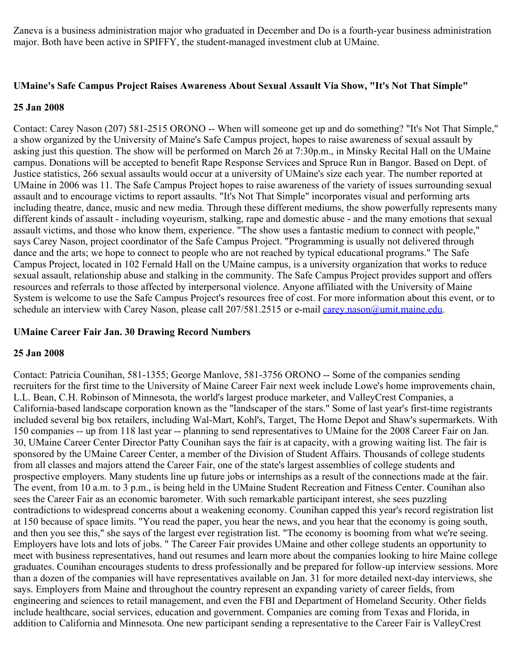Zaneva is a business administration major who graduated in December and Do is a fourth-year business administration major. Both have been active in SPIFFY, the student-managed investment club at UMaine.

#### **UMaine's Safe Campus Project Raises Awareness About Sexual Assault Via Show, "It's Not That Simple"**

#### **25 Jan 2008**

Contact: Carey Nason (207) 581-2515 ORONO -- When will someone get up and do something? "It's Not That Simple," a show organized by the University of Maine's Safe Campus project, hopes to raise awareness of sexual assault by asking just this question. The show will be performed on March 26 at 7:30p.m., in Minsky Recital Hall on the UMaine campus. Donations will be accepted to benefit Rape Response Services and Spruce Run in Bangor. Based on Dept. of Justice statistics, 266 sexual assaults would occur at a university of UMaine's size each year. The number reported at UMaine in 2006 was 11. The Safe Campus Project hopes to raise awareness of the variety of issues surrounding sexual assault and to encourage victims to report assaults. "It's Not That Simple" incorporates visual and performing arts including theatre, dance, music and new media. Through these different mediums, the show powerfully represents many different kinds of assault - including voyeurism, stalking, rape and domestic abuse - and the many emotions that sexual assault victims, and those who know them, experience. "The show uses a fantastic medium to connect with people," says Carey Nason, project coordinator of the Safe Campus Project. "Programming is usually not delivered through dance and the arts; we hope to connect to people who are not reached by typical educational programs." The Safe Campus Project, located in 102 Fernald Hall on the UMaine campus, is a university organization that works to reduce sexual assault, relationship abuse and stalking in the community. The Safe Campus Project provides support and offers resources and referrals to those affected by interpersonal violence. Anyone affiliated with the University of Maine System is welcome to use the Safe Campus Project's resources free of cost. For more information about this event, or to schedule an interview with Carey Nason, please call 207/581.2515 or e-mail [carey.nason@umit.maine.edu](mailto:carey.nason@umit.maine.edu).

## **UMaine Career Fair Jan. 30 Drawing Record Numbers**

## **25 Jan 2008**

Contact: Patricia Counihan, 581-1355; George Manlove, 581-3756 ORONO -- Some of the companies sending recruiters for the first time to the University of Maine Career Fair next week include Lowe's home improvements chain, L.L. Bean, C.H. Robinson of Minnesota, the world's largest produce marketer, and ValleyCrest Companies, a California-based landscape corporation known as the "landscaper of the stars." Some of last year's first-time registrants included several big box retailers, including Wal-Mart, Kohl's, Target, The Home Depot and Shaw's supermarkets. With 150 companies -- up from 118 last year -- planning to send representatives to UMaine for the 2008 Career Fair on Jan. 30, UMaine Career Center Director Patty Counihan says the fair is at capacity, with a growing waiting list. The fair is sponsored by the UMaine Career Center, a member of the Division of Student Affairs. Thousands of college students from all classes and majors attend the Career Fair, one of the state's largest assemblies of college students and prospective employers. Many students line up future jobs or internships as a result of the connections made at the fair. The event, from 10 a.m. to 3 p.m., is being held in the UMaine Student Recreation and Fitness Center. Counihan also sees the Career Fair as an economic barometer. With such remarkable participant interest, she sees puzzling contradictions to widespread concerns about a weakening economy. Counihan capped this year's record registration list at 150 because of space limits. "You read the paper, you hear the news, and you hear that the economy is going south, and then you see this," she says of the largest ever registration list. "The economy is booming from what we're seeing. Employers have lots and lots of jobs. " The Career Fair provides UMaine and other college students an opportunity to meet with business representatives, hand out resumes and learn more about the companies looking to hire Maine college graduates. Counihan encourages students to dress professionally and be prepared for follow-up interview sessions. More than a dozen of the companies will have representatives available on Jan. 31 for more detailed next-day interviews, she says. Employers from Maine and throughout the country represent an expanding variety of career fields, from engineering and sciences to retail management, and even the FBI and Department of Homeland Security. Other fields include healthcare, social services, education and government. Companies are coming from Texas and Florida, in addition to California and Minnesota. One new participant sending a representative to the Career Fair is ValleyCrest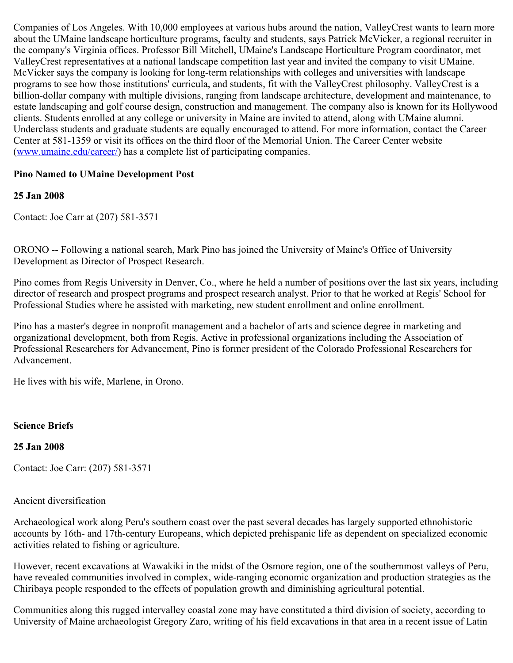Companies of Los Angeles. With 10,000 employees at various hubs around the nation, ValleyCrest wants to learn more about the UMaine landscape horticulture programs, faculty and students, says Patrick McVicker, a regional recruiter in the company's Virginia offices. Professor Bill Mitchell, UMaine's Landscape Horticulture Program coordinator, met ValleyCrest representatives at a national landscape competition last year and invited the company to visit UMaine. McVicker says the company is looking for long-term relationships with colleges and universities with landscape programs to see how those institutions' curricula, and students, fit with the ValleyCrest philosophy. ValleyCrest is a billion-dollar company with multiple divisions, ranging from landscape architecture, development and maintenance, to estate landscaping and golf course design, construction and management. The company also is known for its Hollywood clients. Students enrolled at any college or university in Maine are invited to attend, along with UMaine alumni. Underclass students and graduate students are equally encouraged to attend. For more information, contact the Career Center at 581-1359 or visit its offices on the third floor of the Memorial Union. The Career Center website ([www.umaine.edu/career/](http://www.umaine.edu/career/)) has a complete list of participating companies.

## **Pino Named to UMaine Development Post**

## **25 Jan 2008**

Contact: Joe Carr at (207) 581-3571

ORONO -- Following a national search, Mark Pino has joined the University of Maine's Office of University Development as Director of Prospect Research.

Pino comes from Regis University in Denver, Co., where he held a number of positions over the last six years, including director of research and prospect programs and prospect research analyst. Prior to that he worked at Regis' School for Professional Studies where he assisted with marketing, new student enrollment and online enrollment.

Pino has a master's degree in nonprofit management and a bachelor of arts and science degree in marketing and organizational development, both from Regis. Active in professional organizations including the Association of Professional Researchers for Advancement, Pino is former president of the Colorado Professional Researchers for Advancement.

He lives with his wife, Marlene, in Orono.

## **Science Briefs**

## **25 Jan 2008**

Contact: Joe Carr: (207) 581-3571

#### Ancient diversification

Archaeological work along Peru's southern coast over the past several decades has largely supported ethnohistoric accounts by 16th- and 17th-century Europeans, which depicted prehispanic life as dependent on specialized economic activities related to fishing or agriculture.

However, recent excavations at Wawakiki in the midst of the Osmore region, one of the southernmost valleys of Peru, have revealed communities involved in complex, wide-ranging economic organization and production strategies as the Chiribaya people responded to the effects of population growth and diminishing agricultural potential.

Communities along this rugged intervalley coastal zone may have constituted a third division of society, according to University of Maine archaeologist Gregory Zaro, writing of his field excavations in that area in a recent issue of Latin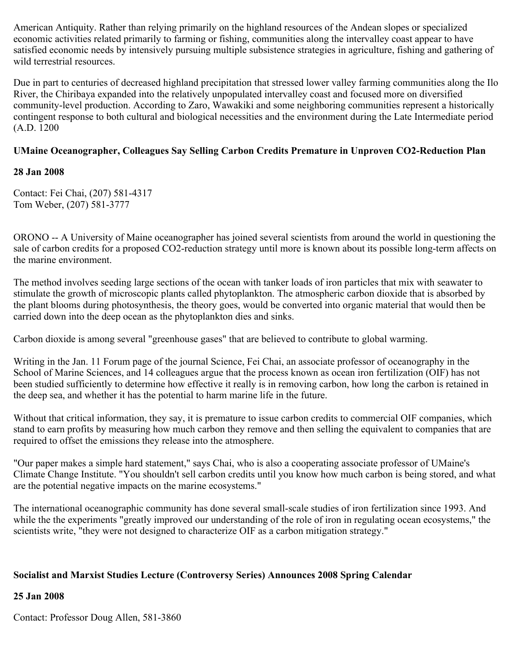American Antiquity. Rather than relying primarily on the highland resources of the Andean slopes or specialized economic activities related primarily to farming or fishing, communities along the intervalley coast appear to have satisfied economic needs by intensively pursuing multiple subsistence strategies in agriculture, fishing and gathering of wild terrestrial resources.

Due in part to centuries of decreased highland precipitation that stressed lower valley farming communities along the Ilo River, the Chiribaya expanded into the relatively unpopulated intervalley coast and focused more on diversified community-level production. According to Zaro, Wawakiki and some neighboring communities represent a historically contingent response to both cultural and biological necessities and the environment during the Late Intermediate period (A.D. 1200

## **UMaine Oceanographer, Colleagues Say Selling Carbon Credits Premature in Unproven CO2-Reduction Plan**

## **28 Jan 2008**

Contact: Fei Chai, (207) 581-4317 Tom Weber, (207) 581-3777

ORONO -- A University of Maine oceanographer has joined several scientists from around the world in questioning the sale of carbon credits for a proposed CO2-reduction strategy until more is known about its possible long-term affects on the marine environment.

The method involves seeding large sections of the ocean with tanker loads of iron particles that mix with seawater to stimulate the growth of microscopic plants called phytoplankton. The atmospheric carbon dioxide that is absorbed by the plant blooms during photosynthesis, the theory goes, would be converted into organic material that would then be carried down into the deep ocean as the phytoplankton dies and sinks.

Carbon dioxide is among several "greenhouse gases" that are believed to contribute to global warming.

Writing in the Jan. 11 Forum page of the journal Science, Fei Chai, an associate professor of oceanography in the School of Marine Sciences, and 14 colleagues argue that the process known as ocean iron fertilization (OIF) has not been studied sufficiently to determine how effective it really is in removing carbon, how long the carbon is retained in the deep sea, and whether it has the potential to harm marine life in the future.

Without that critical information, they say, it is premature to issue carbon credits to commercial OIF companies, which stand to earn profits by measuring how much carbon they remove and then selling the equivalent to companies that are required to offset the emissions they release into the atmosphere.

"Our paper makes a simple hard statement," says Chai, who is also a cooperating associate professor of UMaine's Climate Change Institute. "You shouldn't sell carbon credits until you know how much carbon is being stored, and what are the potential negative impacts on the marine ecosystems."

The international oceanographic community has done several small-scale studies of iron fertilization since 1993. And while the the experiments "greatly improved our understanding of the role of iron in regulating ocean ecosystems," the scientists write, "they were not designed to characterize OIF as a carbon mitigation strategy."

## **Socialist and Marxist Studies Lecture (Controversy Series) Announces 2008 Spring Calendar**

## **25 Jan 2008**

Contact: Professor Doug Allen, 581-3860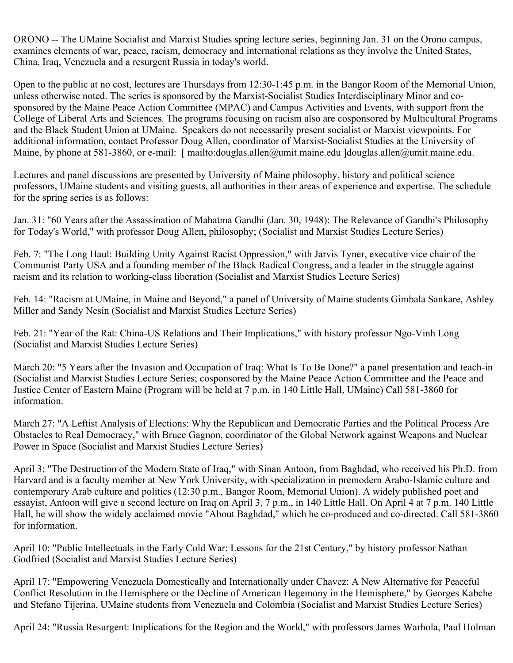ORONO -- The UMaine Socialist and Marxist Studies spring lecture series, beginning Jan. 31 on the Orono campus, examines elements of war, peace, racism, democracy and international relations as they involve the United States, China, Iraq, Venezuela and a resurgent Russia in today's world.

Open to the public at no cost, lectures are Thursdays from 12:30-1:45 p.m. in the Bangor Room of the Memorial Union, unless otherwise noted. The series is sponsored by the Marxist-Socialist Studies Interdisciplinary Minor and cosponsored by the Maine Peace Action Committee (MPAC) and Campus Activities and Events, with support from the College of Liberal Arts and Sciences. The programs focusing on racism also are cosponsored by Multicultural Programs and the Black Student Union at UMaine. Speakers do not necessarily present socialist or Marxist viewpoints. For additional information, contact Professor Doug Allen, coordinator of Marxist-Socialist Studies at the University of Maine, by phone at 581-3860, or e-mail: [ mailto:douglas.allen@umit.maine.edu ]douglas.allen@umit.maine.edu.

Lectures and panel discussions are presented by University of Maine philosophy, history and political science professors, UMaine students and visiting guests, all authorities in their areas of experience and expertise. The schedule for the spring series is as follows:

Jan. 31: "60 Years after the Assassination of Mahatma Gandhi (Jan. 30, 1948): The Relevance of Gandhi's Philosophy for Today's World," with professor Doug Allen, philosophy; (Socialist and Marxist Studies Lecture Series)

Feb. 7: "The Long Haul: Building Unity Against Racist Oppression," with Jarvis Tyner, executive vice chair of the Communist Party USA and a founding member of the Black Radical Congress, and a leader in the struggle against racism and its relation to working-class liberation (Socialist and Marxist Studies Lecture Series)

Feb. 14: "Racism at UMaine, in Maine and Beyond," a panel of University of Maine students Gimbala Sankare, Ashley Miller and Sandy Nesin (Socialist and Marxist Studies Lecture Series)

Feb. 21: "Year of the Rat: China-US Relations and Their Implications," with history professor Ngo-Vinh Long (Socialist and Marxist Studies Lecture Series)

March 20: "5 Years after the Invasion and Occupation of Iraq: What Is To Be Done?" a panel presentation and teach-in (Socialist and Marxist Studies Lecture Series; cosponsored by the Maine Peace Action Committee and the Peace and Justice Center of Eastern Maine (Program will be held at 7 p.m. in 140 Little Hall, UMaine) Call 581-3860 for information.

March 27: "A Leftist Analysis of Elections: Why the Republican and Democratic Parties and the Political Process Are Obstacles to Real Democracy," with Bruce Gagnon, coordinator of the Global Network against Weapons and Nuclear Power in Space (Socialist and Marxist Studies Lecture Series)

April 3: "The Destruction of the Modern State of Iraq," with Sinan Antoon, from Baghdad, who received his Ph.D. from Harvard and is a faculty member at New York University, with specialization in premodern Arabo-Islamic culture and contemporary Arab culture and politics (12:30 p.m., Bangor Room, Memorial Union). A widely published poet and essayist, Antoon will give a second lecture on Iraq on April 3, 7 p.m., in 140 Little Hall. On April 4 at 7 p.m. 140 Little Hall, he will show the widely acclaimed movie "About Baghdad," which he co-produced and co-directed. Call 581-3860 for information.

April 10: "Public Intellectuals in the Early Cold War: Lessons for the 21st Century," by history professor Nathan Godfried (Socialist and Marxist Studies Lecture Series)

April 17: "Empowering Venezuela Domestically and Internationally under Chavez: A New Alternative for Peaceful Conflict Resolution in the Hemisphere or the Decline of American Hegemony in the Hemisphere," by Georges Kabche and Stefano Tijerina, UMaine students from Venezuela and Colombia (Socialist and Marxist Studies Lecture Series)

April 24: "Russia Resurgent: Implications for the Region and the World," with professors James Warhola, Paul Holman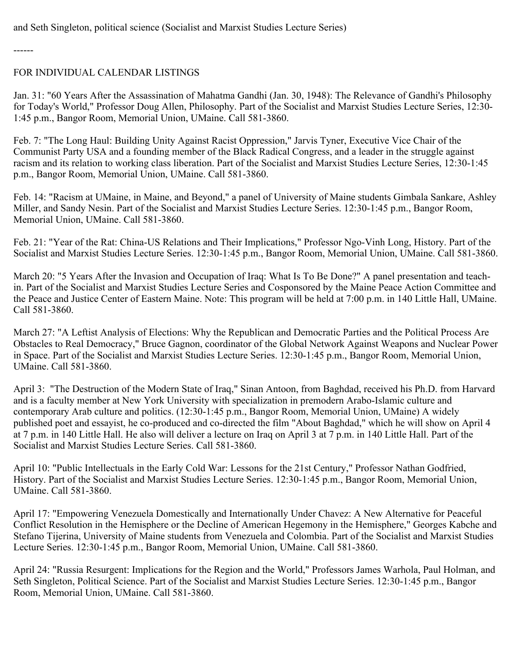and Seth Singleton, political science (Socialist and Marxist Studies Lecture Series)

------

## FOR INDIVIDUAL CALENDAR LISTINGS

Jan. 31: "60 Years After the Assassination of Mahatma Gandhi (Jan. 30, 1948): The Relevance of Gandhi's Philosophy for Today's World," Professor Doug Allen, Philosophy. Part of the Socialist and Marxist Studies Lecture Series, 12:30- 1:45 p.m., Bangor Room, Memorial Union, UMaine. Call 581-3860.

Feb. 7: "The Long Haul: Building Unity Against Racist Oppression," Jarvis Tyner, Executive Vice Chair of the Communist Party USA and a founding member of the Black Radical Congress, and a leader in the struggle against racism and its relation to working class liberation. Part of the Socialist and Marxist Studies Lecture Series, 12:30-1:45 p.m., Bangor Room, Memorial Union, UMaine. Call 581-3860.

Feb. 14: "Racism at UMaine, in Maine, and Beyond," a panel of University of Maine students Gimbala Sankare, Ashley Miller, and Sandy Nesin. Part of the Socialist and Marxist Studies Lecture Series. 12:30-1:45 p.m., Bangor Room, Memorial Union, UMaine. Call 581-3860.

Feb. 21: "Year of the Rat: China-US Relations and Their Implications," Professor Ngo-Vinh Long, History. Part of the Socialist and Marxist Studies Lecture Series. 12:30-1:45 p.m., Bangor Room, Memorial Union, UMaine. Call 581-3860.

March 20: "5 Years After the Invasion and Occupation of Iraq: What Is To Be Done?" A panel presentation and teachin. Part of the Socialist and Marxist Studies Lecture Series and Cosponsored by the Maine Peace Action Committee and the Peace and Justice Center of Eastern Maine. Note: This program will be held at 7:00 p.m. in 140 Little Hall, UMaine. Call 581-3860.

March 27: "A Leftist Analysis of Elections: Why the Republican and Democratic Parties and the Political Process Are Obstacles to Real Democracy," Bruce Gagnon, coordinator of the Global Network Against Weapons and Nuclear Power in Space. Part of the Socialist and Marxist Studies Lecture Series. 12:30-1:45 p.m., Bangor Room, Memorial Union, UMaine. Call 581-3860.

April 3: "The Destruction of the Modern State of Iraq," Sinan Antoon, from Baghdad, received his Ph.D. from Harvard and is a faculty member at New York University with specialization in premodern Arabo-Islamic culture and contemporary Arab culture and politics. (12:30-1:45 p.m., Bangor Room, Memorial Union, UMaine) A widely published poet and essayist, he co-produced and co-directed the film "About Baghdad," which he will show on April 4 at 7 p.m. in 140 Little Hall. He also will deliver a lecture on Iraq on April 3 at 7 p.m. in 140 Little Hall. Part of the Socialist and Marxist Studies Lecture Series. Call 581-3860.

April 10: "Public Intellectuals in the Early Cold War: Lessons for the 21st Century," Professor Nathan Godfried, History. Part of the Socialist and Marxist Studies Lecture Series. 12:30-1:45 p.m., Bangor Room, Memorial Union, UMaine. Call 581-3860.

April 17: "Empowering Venezuela Domestically and Internationally Under Chavez: A New Alternative for Peaceful Conflict Resolution in the Hemisphere or the Decline of American Hegemony in the Hemisphere," Georges Kabche and Stefano Tijerina, University of Maine students from Venezuela and Colombia. Part of the Socialist and Marxist Studies Lecture Series. 12:30-1:45 p.m., Bangor Room, Memorial Union, UMaine. Call 581-3860.

April 24: "Russia Resurgent: Implications for the Region and the World," Professors James Warhola, Paul Holman, and Seth Singleton, Political Science. Part of the Socialist and Marxist Studies Lecture Series. 12:30-1:45 p.m., Bangor Room, Memorial Union, UMaine. Call 581-3860.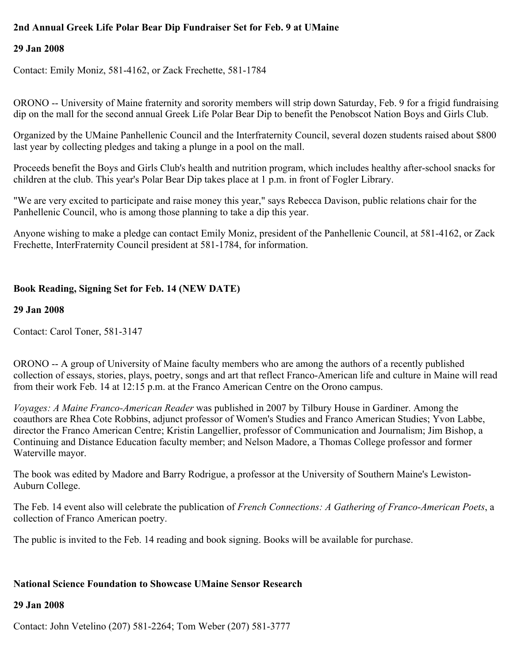## **2nd Annual Greek Life Polar Bear Dip Fundraiser Set for Feb. 9 at UMaine**

## **29 Jan 2008**

Contact: Emily Moniz, 581-4162, or Zack Frechette, 581-1784

ORONO -- University of Maine fraternity and sorority members will strip down Saturday, Feb. 9 for a frigid fundraising dip on the mall for the second annual Greek Life Polar Bear Dip to benefit the Penobscot Nation Boys and Girls Club.

Organized by the UMaine Panhellenic Council and the Interfraternity Council, several dozen students raised about \$800 last year by collecting pledges and taking a plunge in a pool on the mall.

Proceeds benefit the Boys and Girls Club's health and nutrition program, which includes healthy after-school snacks for children at the club. This year's Polar Bear Dip takes place at 1 p.m. in front of Fogler Library.

"We are very excited to participate and raise money this year," says Rebecca Davison, public relations chair for the Panhellenic Council, who is among those planning to take a dip this year.

Anyone wishing to make a pledge can contact Emily Moniz, president of the Panhellenic Council, at 581-4162, or Zack Frechette, InterFraternity Council president at 581-1784, for information.

## **Book Reading, Signing Set for Feb. 14 (NEW DATE)**

### **29 Jan 2008**

Contact: Carol Toner, 581-3147

ORONO -- A group of University of Maine faculty members who are among the authors of a recently published collection of essays, stories, plays, poetry, songs and art that reflect Franco-American life and culture in Maine will read from their work Feb. 14 at 12:15 p.m. at the Franco American Centre on the Orono campus.

*Voyages: A Maine Franco-American Reader* was published in 2007 by Tilbury House in Gardiner. Among the coauthors are Rhea Cote Robbins, adjunct professor of Women's Studies and Franco American Studies; Yvon Labbe, director the Franco American Centre; Kristin Langellier, professor of Communication and Journalism; Jim Bishop, a Continuing and Distance Education faculty member; and Nelson Madore, a Thomas College professor and former Waterville mayor.

The book was edited by Madore and Barry Rodrigue, a professor at the University of Southern Maine's Lewiston-Auburn College.

The Feb. 14 event also will celebrate the publication of *French Connections: A Gathering of Franco-American Poets*, a collection of Franco American poetry.

The public is invited to the Feb. 14 reading and book signing. Books will be available for purchase.

## **National Science Foundation to Showcase UMaine Sensor Research**

#### **29 Jan 2008**

Contact: John Vetelino (207) 581-2264; Tom Weber (207) 581-3777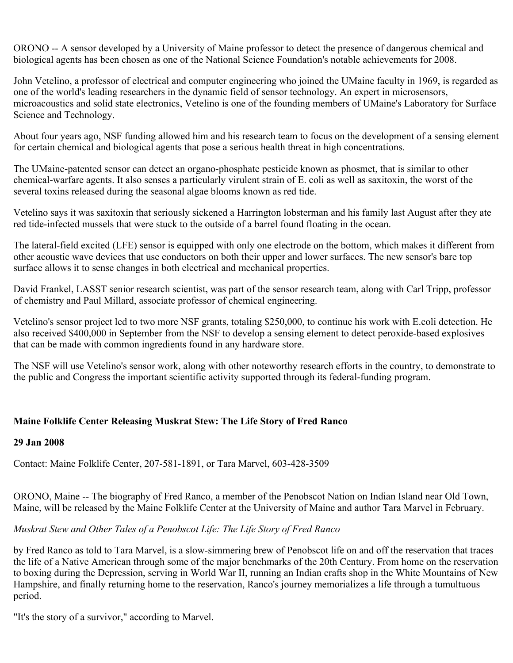ORONO -- A sensor developed by a University of Maine professor to detect the presence of dangerous chemical and biological agents has been chosen as one of the National Science Foundation's notable achievements for 2008.

John Vetelino, a professor of electrical and computer engineering who joined the UMaine faculty in 1969, is regarded as one of the world's leading researchers in the dynamic field of sensor technology. An expert in microsensors, microacoustics and solid state electronics, Vetelino is one of the founding members of UMaine's Laboratory for Surface Science and Technology.

About four years ago, NSF funding allowed him and his research team to focus on the development of a sensing element for certain chemical and biological agents that pose a serious health threat in high concentrations.

The UMaine-patented sensor can detect an organo-phosphate pesticide known as phosmet, that is similar to other chemical-warfare agents. It also senses a particularly virulent strain of E. coli as well as saxitoxin, the worst of the several toxins released during the seasonal algae blooms known as red tide.

Vetelino says it was saxitoxin that seriously sickened a Harrington lobsterman and his family last August after they ate red tide-infected mussels that were stuck to the outside of a barrel found floating in the ocean.

The lateral-field excited (LFE) sensor is equipped with only one electrode on the bottom, which makes it different from other acoustic wave devices that use conductors on both their upper and lower surfaces. The new sensor's bare top surface allows it to sense changes in both electrical and mechanical properties.

David Frankel, LASST senior research scientist, was part of the sensor research team, along with Carl Tripp, professor of chemistry and Paul Millard, associate professor of chemical engineering.

Vetelino's sensor project led to two more NSF grants, totaling \$250,000, to continue his work with E.coli detection. He also received \$400,000 in September from the NSF to develop a sensing element to detect peroxide-based explosives that can be made with common ingredients found in any hardware store.

The NSF will use Vetelino's sensor work, along with other noteworthy research efforts in the country, to demonstrate to the public and Congress the important scientific activity supported through its federal-funding program.

## **Maine Folklife Center Releasing Muskrat Stew: The Life Story of Fred Ranco**

## **29 Jan 2008**

Contact: Maine Folklife Center, 207-581-1891, or Tara Marvel, 603-428-3509

ORONO, Maine -- The biography of Fred Ranco, a member of the Penobscot Nation on Indian Island near Old Town, Maine, will be released by the Maine Folklife Center at the University of Maine and author Tara Marvel in February.

## *Muskrat Stew and Other Tales of a Penobscot Life: The Life Story of Fred Ranco*

by Fred Ranco as told to Tara Marvel, is a slow-simmering brew of Penobscot life on and off the reservation that traces the life of a Native American through some of the major benchmarks of the 20th Century. From home on the reservation to boxing during the Depression, serving in World War II, running an Indian crafts shop in the White Mountains of New Hampshire, and finally returning home to the reservation, Ranco's journey memorializes a life through a tumultuous period.

"It's the story of a survivor," according to Marvel.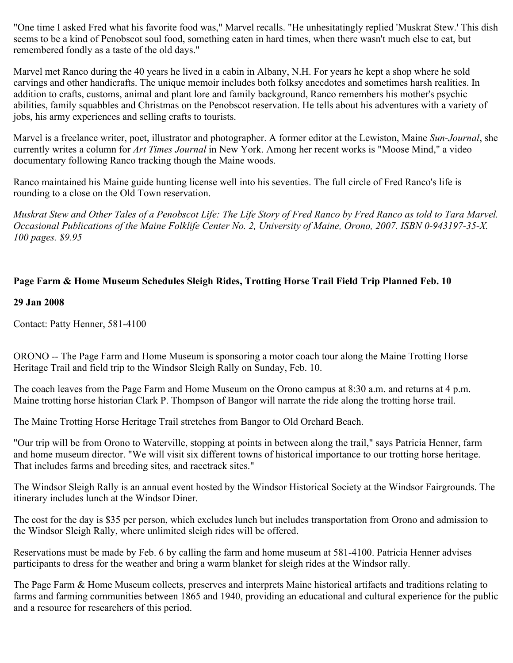"One time I asked Fred what his favorite food was," Marvel recalls. "He unhesitatingly replied 'Muskrat Stew.' This dish seems to be a kind of Penobscot soul food, something eaten in hard times, when there wasn't much else to eat, but remembered fondly as a taste of the old days."

Marvel met Ranco during the 40 years he lived in a cabin in Albany, N.H. For years he kept a shop where he sold carvings and other handicrafts. The unique memoir includes both folksy anecdotes and sometimes harsh realities. In addition to crafts, customs, animal and plant lore and family background, Ranco remembers his mother's psychic abilities, family squabbles and Christmas on the Penobscot reservation. He tells about his adventures with a variety of jobs, his army experiences and selling crafts to tourists.

Marvel is a freelance writer, poet, illustrator and photographer. A former editor at the Lewiston, Maine *Sun-Journal*, she currently writes a column for *Art Times Journal* in New York. Among her recent works is "Moose Mind," a video documentary following Ranco tracking though the Maine woods.

Ranco maintained his Maine guide hunting license well into his seventies. The full circle of Fred Ranco's life is rounding to a close on the Old Town reservation.

*Muskrat Stew and Other Tales of a Penobscot Life: The Life Story of Fred Ranco by Fred Ranco as told to Tara Marvel. Occasional Publications of the Maine Folklife Center No. 2, University of Maine, Orono, 2007. ISBN 0-943197-35-X. 100 pages. \$9.95*

## **Page Farm & Home Museum Schedules Sleigh Rides, Trotting Horse Trail Field Trip Planned Feb. 10**

### **29 Jan 2008**

Contact: Patty Henner, 581-4100

ORONO -- The Page Farm and Home Museum is sponsoring a motor coach tour along the Maine Trotting Horse Heritage Trail and field trip to the Windsor Sleigh Rally on Sunday, Feb. 10.

The coach leaves from the Page Farm and Home Museum on the Orono campus at 8:30 a.m. and returns at 4 p.m. Maine trotting horse historian Clark P. Thompson of Bangor will narrate the ride along the trotting horse trail.

The Maine Trotting Horse Heritage Trail stretches from Bangor to Old Orchard Beach.

"Our trip will be from Orono to Waterville, stopping at points in between along the trail," says Patricia Henner, farm and home museum director. "We will visit six different towns of historical importance to our trotting horse heritage. That includes farms and breeding sites, and racetrack sites."

The Windsor Sleigh Rally is an annual event hosted by the Windsor Historical Society at the Windsor Fairgrounds. The itinerary includes lunch at the Windsor Diner.

The cost for the day is \$35 per person, which excludes lunch but includes transportation from Orono and admission to the Windsor Sleigh Rally, where unlimited sleigh rides will be offered.

Reservations must be made by Feb. 6 by calling the farm and home museum at 581-4100. Patricia Henner advises participants to dress for the weather and bring a warm blanket for sleigh rides at the Windsor rally.

The Page Farm & Home Museum collects, preserves and interprets Maine historical artifacts and traditions relating to farms and farming communities between 1865 and 1940, providing an educational and cultural experience for the public and a resource for researchers of this period.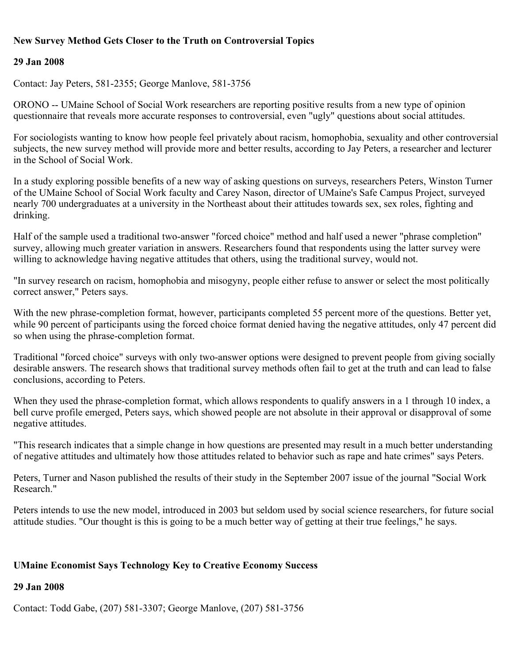## **New Survey Method Gets Closer to the Truth on Controversial Topics**

### **29 Jan 2008**

Contact: Jay Peters, 581-2355; George Manlove, 581-3756

ORONO -- UMaine School of Social Work researchers are reporting positive results from a new type of opinion questionnaire that reveals more accurate responses to controversial, even "ugly" questions about social attitudes.

For sociologists wanting to know how people feel privately about racism, homophobia, sexuality and other controversial subjects, the new survey method will provide more and better results, according to Jay Peters, a researcher and lecturer in the School of Social Work.

In a study exploring possible benefits of a new way of asking questions on surveys, researchers Peters, Winston Turner of the UMaine School of Social Work faculty and Carey Nason, director of UMaine's Safe Campus Project, surveyed nearly 700 undergraduates at a university in the Northeast about their attitudes towards sex, sex roles, fighting and drinking.

Half of the sample used a traditional two-answer "forced choice" method and half used a newer "phrase completion" survey, allowing much greater variation in answers. Researchers found that respondents using the latter survey were willing to acknowledge having negative attitudes that others, using the traditional survey, would not.

"In survey research on racism, homophobia and misogyny, people either refuse to answer or select the most politically correct answer," Peters says.

With the new phrase-completion format, however, participants completed 55 percent more of the questions. Better yet, while 90 percent of participants using the forced choice format denied having the negative attitudes, only 47 percent did so when using the phrase-completion format.

Traditional "forced choice" surveys with only two-answer options were designed to prevent people from giving socially desirable answers. The research shows that traditional survey methods often fail to get at the truth and can lead to false conclusions, according to Peters.

When they used the phrase-completion format, which allows respondents to qualify answers in a 1 through 10 index, a bell curve profile emerged, Peters says, which showed people are not absolute in their approval or disapproval of some negative attitudes.

"This research indicates that a simple change in how questions are presented may result in a much better understanding of negative attitudes and ultimately how those attitudes related to behavior such as rape and hate crimes" says Peters.

Peters, Turner and Nason published the results of their study in the September 2007 issue of the journal "Social Work Research."

Peters intends to use the new model, introduced in 2003 but seldom used by social science researchers, for future social attitude studies. "Our thought is this is going to be a much better way of getting at their true feelings," he says.

## **UMaine Economist Says Technology Key to Creative Economy Success**

### **29 Jan 2008**

Contact: Todd Gabe, (207) 581-3307; George Manlove, (207) 581-3756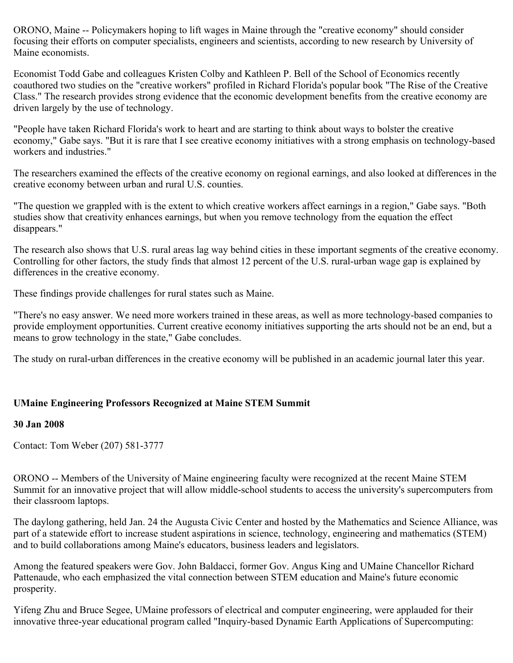ORONO, Maine -- Policymakers hoping to lift wages in Maine through the "creative economy" should consider focusing their efforts on computer specialists, engineers and scientists, according to new research by University of Maine economists.

Economist Todd Gabe and colleagues Kristen Colby and Kathleen P. Bell of the School of Economics recently coauthored two studies on the "creative workers" profiled in Richard Florida's popular book "The Rise of the Creative Class." The research provides strong evidence that the economic development benefits from the creative economy are driven largely by the use of technology.

"People have taken Richard Florida's work to heart and are starting to think about ways to bolster the creative economy," Gabe says. "But it is rare that I see creative economy initiatives with a strong emphasis on technology-based workers and industries."

The researchers examined the effects of the creative economy on regional earnings, and also looked at differences in the creative economy between urban and rural U.S. counties.

"The question we grappled with is the extent to which creative workers affect earnings in a region," Gabe says. "Both studies show that creativity enhances earnings, but when you remove technology from the equation the effect disappears."

The research also shows that U.S. rural areas lag way behind cities in these important segments of the creative economy. Controlling for other factors, the study finds that almost 12 percent of the U.S. rural-urban wage gap is explained by differences in the creative economy.

These findings provide challenges for rural states such as Maine.

"There's no easy answer. We need more workers trained in these areas, as well as more technology-based companies to provide employment opportunities. Current creative economy initiatives supporting the arts should not be an end, but a means to grow technology in the state," Gabe concludes.

The study on rural-urban differences in the creative economy will be published in an academic journal later this year.

## **UMaine Engineering Professors Recognized at Maine STEM Summit**

#### **30 Jan 2008**

Contact: Tom Weber (207) 581-3777

ORONO -- Members of the University of Maine engineering faculty were recognized at the recent Maine STEM Summit for an innovative project that will allow middle-school students to access the university's supercomputers from their classroom laptops.

The daylong gathering, held Jan. 24 the Augusta Civic Center and hosted by the Mathematics and Science Alliance, was part of a statewide effort to increase student aspirations in science, technology, engineering and mathematics (STEM) and to build collaborations among Maine's educators, business leaders and legislators.

Among the featured speakers were Gov. John Baldacci, former Gov. Angus King and UMaine Chancellor Richard Pattenaude, who each emphasized the vital connection between STEM education and Maine's future economic prosperity.

Yifeng Zhu and Bruce Segee, UMaine professors of electrical and computer engineering, were applauded for their innovative three-year educational program called "Inquiry-based Dynamic Earth Applications of Supercomputing: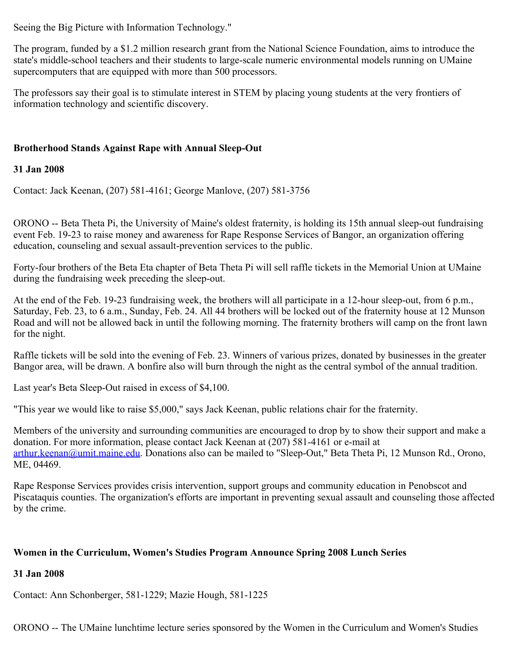Seeing the Big Picture with Information Technology."

The program, funded by a \$1.2 million research grant from the National Science Foundation, aims to introduce the state's middle-school teachers and their students to large-scale numeric environmental models running on UMaine supercomputers that are equipped with more than 500 processors.

The professors say their goal is to stimulate interest in STEM by placing young students at the very frontiers of information technology and scientific discovery.

## **Brotherhood Stands Against Rape with Annual Sleep-Out**

## **31 Jan 2008**

Contact: Jack Keenan, (207) 581-4161; George Manlove, (207) 581-3756

ORONO -- Beta Theta Pi, the University of Maine's oldest fraternity, is holding its 15th annual sleep-out fundraising event Feb. 19-23 to raise money and awareness for Rape Response Services of Bangor, an organization offering education, counseling and sexual assault-prevention services to the public.

Forty-four brothers of the Beta Eta chapter of Beta Theta Pi will sell raffle tickets in the Memorial Union at UMaine during the fundraising week preceding the sleep-out.

At the end of the Feb. 19-23 fundraising week, the brothers will all participate in a 12-hour sleep-out, from 6 p.m., Saturday, Feb. 23, to 6 a.m., Sunday, Feb. 24. All 44 brothers will be locked out of the fraternity house at 12 Munson Road and will not be allowed back in until the following morning. The fraternity brothers will camp on the front lawn for the night.

Raffle tickets will be sold into the evening of Feb. 23. Winners of various prizes, donated by businesses in the greater Bangor area, will be drawn. A bonfire also will burn through the night as the central symbol of the annual tradition.

Last year's Beta Sleep-Out raised in excess of \$4,100.

"This year we would like to raise \$5,000," says Jack Keenan, public relations chair for the fraternity.

Members of the university and surrounding communities are encouraged to drop by to show their support and make a donation. For more information, please contact Jack Keenan at (207) 581-4161 or e-mail at [arthur.keenan@umit.maine.edu](mailto:arthur.keenan@umit.maine.edu). Donations also can be mailed to "Sleep-Out," Beta Theta Pi, 12 Munson Rd., Orono, ME, 04469.

Rape Response Services provides crisis intervention, support groups and community education in Penobscot and Piscataquis counties. The organization's efforts are important in preventing sexual assault and counseling those affected by the crime.

## **Women in the Curriculum, Women's Studies Program Announce Spring 2008 Lunch Series**

## **31 Jan 2008**

Contact: Ann Schonberger, 581-1229; Mazie Hough, 581-1225

ORONO -- The UMaine lunchtime lecture series sponsored by the Women in the Curriculum and Women's Studies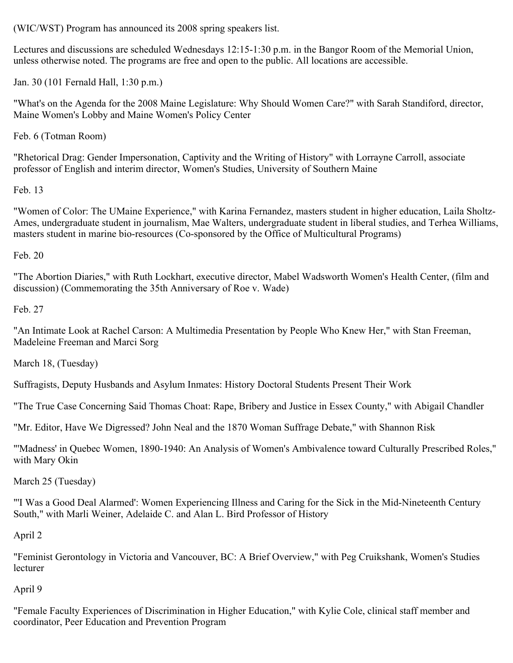(WIC/WST) Program has announced its 2008 spring speakers list.

Lectures and discussions are scheduled Wednesdays 12:15-1:30 p.m. in the Bangor Room of the Memorial Union, unless otherwise noted. The programs are free and open to the public. All locations are accessible.

Jan. 30 (101 Fernald Hall, 1:30 p.m.)

"What's on the Agenda for the 2008 Maine Legislature: Why Should Women Care?" with Sarah Standiford, director, Maine Women's Lobby and Maine Women's Policy Center

Feb. 6 (Totman Room)

"Rhetorical Drag: Gender Impersonation, Captivity and the Writing of History" with Lorrayne Carroll, associate professor of English and interim director, Women's Studies, University of Southern Maine

Feb. 13

"Women of Color: The UMaine Experience," with Karina Fernandez, masters student in higher education, Laila Sholtz-Ames, undergraduate student in journalism, Mae Walters, undergraduate student in liberal studies, and Terhea Williams, masters student in marine bio-resources (Co-sponsored by the Office of Multicultural Programs)

Feb. 20

"The Abortion Diaries," with Ruth Lockhart, executive director, Mabel Wadsworth Women's Health Center, (film and discussion) (Commemorating the 35th Anniversary of Roe v. Wade)

Feb. 27

"An Intimate Look at Rachel Carson: A Multimedia Presentation by People Who Knew Her," with Stan Freeman, Madeleine Freeman and Marci Sorg

March 18, (Tuesday)

Suffragists, Deputy Husbands and Asylum Inmates: History Doctoral Students Present Their Work

"The True Case Concerning Said Thomas Choat: Rape, Bribery and Justice in Essex County," with Abigail Chandler

"Mr. Editor, Have We Digressed? John Neal and the 1870 Woman Suffrage Debate," with Shannon Risk

"'Madness' in Quebec Women, 1890-1940: An Analysis of Women's Ambivalence toward Culturally Prescribed Roles," with Mary Okin

March 25 (Tuesday)

"'I Was a Good Deal Alarmed': Women Experiencing Illness and Caring for the Sick in the Mid-Nineteenth Century South," with Marli Weiner, Adelaide C. and Alan L. Bird Professor of History

April 2

"Feminist Gerontology in Victoria and Vancouver, BC: A Brief Overview," with Peg Cruikshank, Women's Studies lecturer

April 9

"Female Faculty Experiences of Discrimination in Higher Education," with Kylie Cole, clinical staff member and coordinator, Peer Education and Prevention Program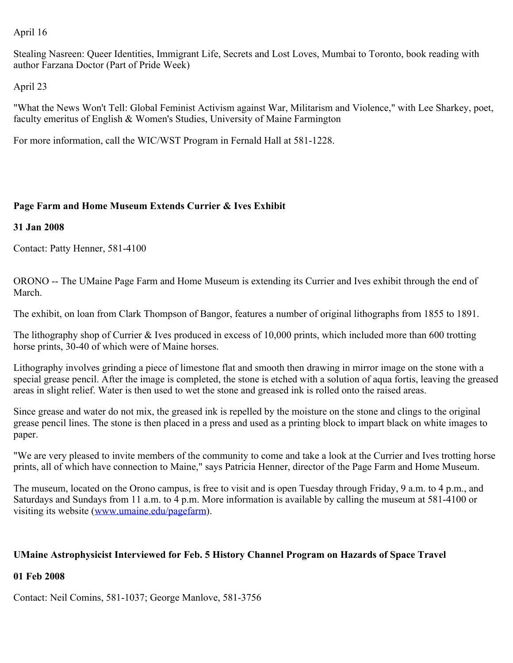#### April 16

Stealing Nasreen: Queer Identities, Immigrant Life, Secrets and Lost Loves, Mumbai to Toronto, book reading with author Farzana Doctor (Part of Pride Week)

April 23

"What the News Won't Tell: Global Feminist Activism against War, Militarism and Violence," with Lee Sharkey, poet, faculty emeritus of English & Women's Studies, University of Maine Farmington

For more information, call the WIC/WST Program in Fernald Hall at 581-1228.

## **Page Farm and Home Museum Extends Currier & Ives Exhibit**

## **31 Jan 2008**

Contact: Patty Henner, 581-4100

ORONO -- The UMaine Page Farm and Home Museum is extending its Currier and Ives exhibit through the end of March.

The exhibit, on loan from Clark Thompson of Bangor, features a number of original lithographs from 1855 to 1891.

The lithography shop of Currier & Ives produced in excess of 10,000 prints, which included more than 600 trotting horse prints, 30-40 of which were of Maine horses.

Lithography involves grinding a piece of limestone flat and smooth then drawing in mirror image on the stone with a special grease pencil. After the image is completed, the stone is etched with a solution of aqua fortis, leaving the greased areas in slight relief. Water is then used to wet the stone and greased ink is rolled onto the raised areas.

Since grease and water do not mix, the greased ink is repelled by the moisture on the stone and clings to the original grease pencil lines. The stone is then placed in a press and used as a printing block to impart black on white images to paper.

"We are very pleased to invite members of the community to come and take a look at the Currier and Ives trotting horse prints, all of which have connection to Maine," says Patricia Henner, director of the Page Farm and Home Museum.

The museum, located on the Orono campus, is free to visit and is open Tuesday through Friday, 9 a.m. to 4 p.m., and Saturdays and Sundays from 11 a.m. to 4 p.m. More information is available by calling the museum at 581-4100 or visiting its website [\(www.umaine.edu/pagefarm](http://www.umaine.edu/pagefarm)).

## **UMaine Astrophysicist Interviewed for Feb. 5 History Channel Program on Hazards of Space Travel**

## **01 Feb 2008**

Contact: Neil Comins, 581-1037; George Manlove, 581-3756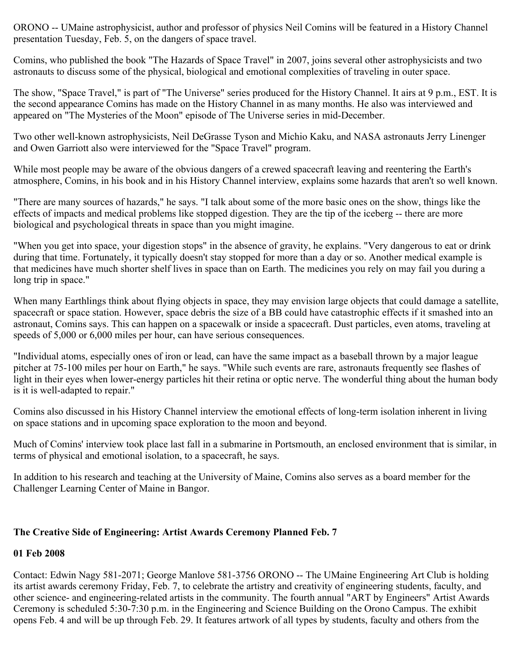ORONO -- UMaine astrophysicist, author and professor of physics Neil Comins will be featured in a History Channel presentation Tuesday, Feb. 5, on the dangers of space travel.

Comins, who published the book "The Hazards of Space Travel" in 2007, joins several other astrophysicists and two astronauts to discuss some of the physical, biological and emotional complexities of traveling in outer space.

The show, "Space Travel," is part of "The Universe" series produced for the History Channel. It airs at 9 p.m., EST. It is the second appearance Comins has made on the History Channel in as many months. He also was interviewed and appeared on "The Mysteries of the Moon" episode of The Universe series in mid-December.

Two other well-known astrophysicists, Neil DeGrasse Tyson and Michio Kaku, and NASA astronauts Jerry Linenger and Owen Garriott also were interviewed for the "Space Travel" program.

While most people may be aware of the obvious dangers of a crewed spacecraft leaving and reentering the Earth's atmosphere, Comins, in his book and in his History Channel interview, explains some hazards that aren't so well known.

"There are many sources of hazards," he says. "I talk about some of the more basic ones on the show, things like the effects of impacts and medical problems like stopped digestion. They are the tip of the iceberg -- there are more biological and psychological threats in space than you might imagine.

"When you get into space, your digestion stops" in the absence of gravity, he explains. "Very dangerous to eat or drink during that time. Fortunately, it typically doesn't stay stopped for more than a day or so. Another medical example is that medicines have much shorter shelf lives in space than on Earth. The medicines you rely on may fail you during a long trip in space."

When many Earthlings think about flying objects in space, they may envision large objects that could damage a satellite, spacecraft or space station. However, space debris the size of a BB could have catastrophic effects if it smashed into an astronaut, Comins says. This can happen on a spacewalk or inside a spacecraft. Dust particles, even atoms, traveling at speeds of 5,000 or 6,000 miles per hour, can have serious consequences.

"Individual atoms, especially ones of iron or lead, can have the same impact as a baseball thrown by a major league pitcher at 75-100 miles per hour on Earth," he says. "While such events are rare, astronauts frequently see flashes of light in their eyes when lower-energy particles hit their retina or optic nerve. The wonderful thing about the human body is it is well-adapted to repair."

Comins also discussed in his History Channel interview the emotional effects of long-term isolation inherent in living on space stations and in upcoming space exploration to the moon and beyond.

Much of Comins' interview took place last fall in a submarine in Portsmouth, an enclosed environment that is similar, in terms of physical and emotional isolation, to a spacecraft, he says.

In addition to his research and teaching at the University of Maine, Comins also serves as a board member for the Challenger Learning Center of Maine in Bangor.

## **The Creative Side of Engineering: Artist Awards Ceremony Planned Feb. 7**

#### **01 Feb 2008**

Contact: Edwin Nagy 581-2071; George Manlove 581-3756 ORONO -- The UMaine Engineering Art Club is holding its artist awards ceremony Friday, Feb. 7, to celebrate the artistry and creativity of engineering students, faculty, and other science- and engineering-related artists in the community. The fourth annual "ART by Engineers" Artist Awards Ceremony is scheduled 5:30-7:30 p.m. in the Engineering and Science Building on the Orono Campus. The exhibit opens Feb. 4 and will be up through Feb. 29. It features artwork of all types by students, faculty and others from the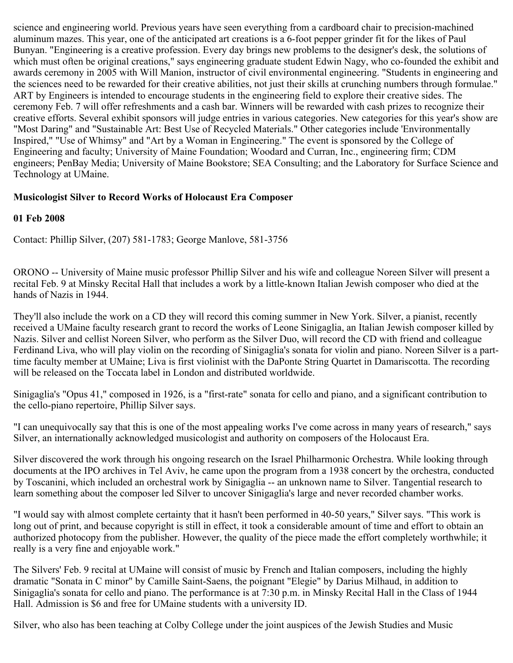science and engineering world. Previous years have seen everything from a cardboard chair to precision-machined aluminum mazes. This year, one of the anticipated art creations is a 6-foot pepper grinder fit for the likes of Paul Bunyan. "Engineering is a creative profession. Every day brings new problems to the designer's desk, the solutions of which must often be original creations," says engineering graduate student Edwin Nagy, who co-founded the exhibit and awards ceremony in 2005 with Will Manion, instructor of civil environmental engineering. "Students in engineering and the sciences need to be rewarded for their creative abilities, not just their skills at crunching numbers through formulae." ART by Engineers is intended to encourage students in the engineering field to explore their creative sides. The ceremony Feb. 7 will offer refreshments and a cash bar. Winners will be rewarded with cash prizes to recognize their creative efforts. Several exhibit sponsors will judge entries in various categories. New categories for this year's show are "Most Daring" and "Sustainable Art: Best Use of Recycled Materials." Other categories include 'Environmentally Inspired," "Use of Whimsy" and "Art by a Woman in Engineering." The event is sponsored by the College of Engineering and faculty; University of Maine Foundation; Woodard and Curran, Inc., engineering firm; CDM engineers; PenBay Media; University of Maine Bookstore; SEA Consulting; and the Laboratory for Surface Science and Technology at UMaine.

## **Musicologist Silver to Record Works of Holocaust Era Composer**

## **01 Feb 2008**

Contact: Phillip Silver, (207) 581-1783; George Manlove, 581-3756

ORONO -- University of Maine music professor Phillip Silver and his wife and colleague Noreen Silver will present a recital Feb. 9 at Minsky Recital Hall that includes a work by a little-known Italian Jewish composer who died at the hands of Nazis in 1944.

They'll also include the work on a CD they will record this coming summer in New York. Silver, a pianist, recently received a UMaine faculty research grant to record the works of Leone Sinigaglia, an Italian Jewish composer killed by Nazis. Silver and cellist Noreen Silver, who perform as the Silver Duo, will record the CD with friend and colleague Ferdinand Liva, who will play violin on the recording of Sinigaglia's sonata for violin and piano. Noreen Silver is a parttime faculty member at UMaine; Liva is first violinist with the DaPonte String Quartet in Damariscotta. The recording will be released on the Toccata label in London and distributed worldwide.

Sinigaglia's "Opus 41," composed in 1926, is a "first-rate" sonata for cello and piano, and a significant contribution to the cello-piano repertoire, Phillip Silver says.

"I can unequivocally say that this is one of the most appealing works I've come across in many years of research," says Silver, an internationally acknowledged musicologist and authority on composers of the Holocaust Era.

Silver discovered the work through his ongoing research on the Israel Philharmonic Orchestra. While looking through documents at the IPO archives in Tel Aviv, he came upon the program from a 1938 concert by the orchestra, conducted by Toscanini, which included an orchestral work by Sinigaglia -- an unknown name to Silver. Tangential research to learn something about the composer led Silver to uncover Sinigaglia's large and never recorded chamber works.

"I would say with almost complete certainty that it hasn't been performed in 40-50 years," Silver says. "This work is long out of print, and because copyright is still in effect, it took a considerable amount of time and effort to obtain an authorized photocopy from the publisher. However, the quality of the piece made the effort completely worthwhile; it really is a very fine and enjoyable work."

The Silvers' Feb. 9 recital at UMaine will consist of music by French and Italian composers, including the highly dramatic "Sonata in C minor" by Camille Saint-Saens, the poignant "Elegie" by Darius Milhaud, in addition to Sinigaglia's sonata for cello and piano. The performance is at 7:30 p.m. in Minsky Recital Hall in the Class of 1944 Hall. Admission is \$6 and free for UMaine students with a university ID.

Silver, who also has been teaching at Colby College under the joint auspices of the Jewish Studies and Music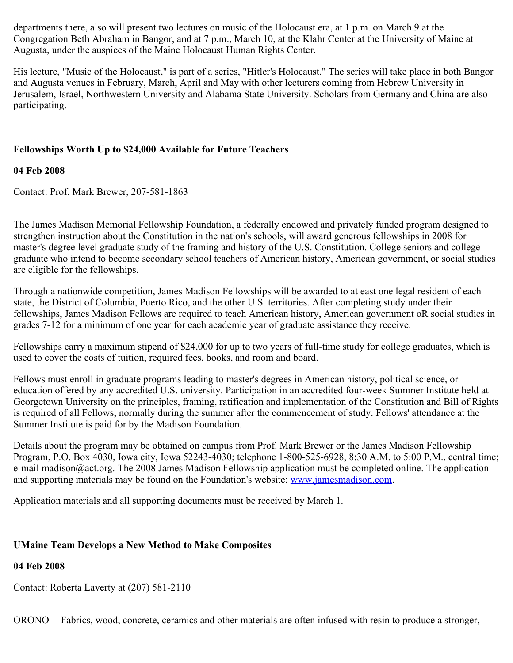departments there, also will present two lectures on music of the Holocaust era, at 1 p.m. on March 9 at the Congregation Beth Abraham in Bangor, and at 7 p.m., March 10, at the Klahr Center at the University of Maine at Augusta, under the auspices of the Maine Holocaust Human Rights Center.

His lecture, "Music of the Holocaust," is part of a series, "Hitler's Holocaust." The series will take place in both Bangor and Augusta venues in February, March, April and May with other lecturers coming from Hebrew University in Jerusalem, Israel, Northwestern University and Alabama State University. Scholars from Germany and China are also participating.

## **Fellowships Worth Up to \$24,000 Available for Future Teachers**

## **04 Feb 2008**

Contact: Prof. Mark Brewer, 207-581-1863

The James Madison Memorial Fellowship Foundation, a federally endowed and privately funded program designed to strengthen instruction about the Constitution in the nation's schools, will award generous fellowships in 2008 for master's degree level graduate study of the framing and history of the U.S. Constitution. College seniors and college graduate who intend to become secondary school teachers of American history, American government, or social studies are eligible for the fellowships.

Through a nationwide competition, James Madison Fellowships will be awarded to at east one legal resident of each state, the District of Columbia, Puerto Rico, and the other U.S. territories. After completing study under their fellowships, James Madison Fellows are required to teach American history, American government oR social studies in grades 7-12 for a minimum of one year for each academic year of graduate assistance they receive.

Fellowships carry a maximum stipend of \$24,000 for up to two years of full-time study for college graduates, which is used to cover the costs of tuition, required fees, books, and room and board.

Fellows must enroll in graduate programs leading to master's degrees in American history, political science, or education offered by any accredited U.S. university. Participation in an accredited four-week Summer Institute held at Georgetown University on the principles, framing, ratification and implementation of the Constitution and Bill of Rights is required of all Fellows, normally during the summer after the commencement of study. Fellows' attendance at the Summer Institute is paid for by the Madison Foundation.

Details about the program may be obtained on campus from Prof. Mark Brewer or the James Madison Fellowship Program, P.O. Box 4030, Iowa city, Iowa 52243-4030; telephone 1-800-525-6928, 8:30 A.M. to 5:00 P.M., central time; e-mail madison@act.org. The 2008 James Madison Fellowship application must be completed online. The application and supporting materials may be found on the Foundation's website: [www.jamesmadison.com](http://www.jamesmadison.com/).

Application materials and all supporting documents must be received by March 1.

## **UMaine Team Develops a New Method to Make Composites**

## **04 Feb 2008**

Contact: Roberta Laverty at (207) 581-2110

ORONO -- Fabrics, wood, concrete, ceramics and other materials are often infused with resin to produce a stronger,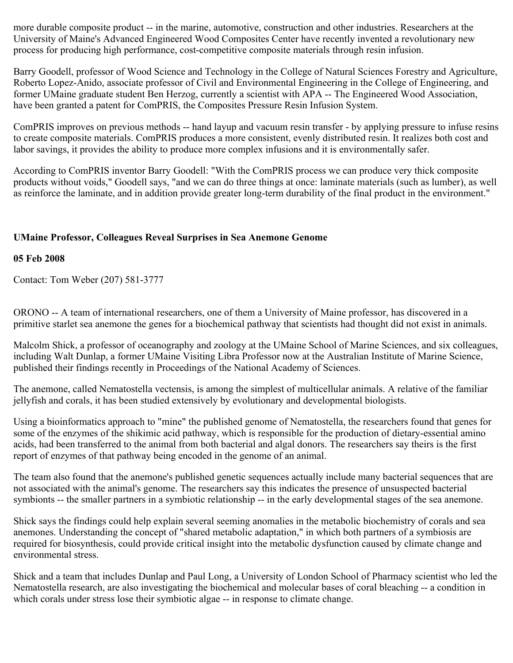more durable composite product -- in the marine, automotive, construction and other industries. Researchers at the University of Maine's Advanced Engineered Wood Composites Center have recently invented a revolutionary new process for producing high performance, cost-competitive composite materials through resin infusion.

Barry Goodell, professor of Wood Science and Technology in the College of Natural Sciences Forestry and Agriculture, Roberto Lopez-Anido, associate professor of Civil and Environmental Engineering in the College of Engineering, and former UMaine graduate student Ben Herzog, currently a scientist with APA -- The Engineered Wood Association, have been granted a patent for ComPRIS, the Composites Pressure Resin Infusion System.

ComPRIS improves on previous methods -- hand layup and vacuum resin transfer - by applying pressure to infuse resins to create composite materials. ComPRIS produces a more consistent, evenly distributed resin. It realizes both cost and labor savings, it provides the ability to produce more complex infusions and it is environmentally safer.

According to ComPRIS inventor Barry Goodell: "With the ComPRIS process we can produce very thick composite products without voids," Goodell says, "and we can do three things at once: laminate materials (such as lumber), as well as reinforce the laminate, and in addition provide greater long-term durability of the final product in the environment."

## **UMaine Professor, Colleagues Reveal Surprises in Sea Anemone Genome**

#### **05 Feb 2008**

Contact: Tom Weber (207) 581-3777

ORONO -- A team of international researchers, one of them a University of Maine professor, has discovered in a primitive starlet sea anemone the genes for a biochemical pathway that scientists had thought did not exist in animals.

Malcolm Shick, a professor of oceanography and zoology at the UMaine School of Marine Sciences, and six colleagues, including Walt Dunlap, a former UMaine Visiting Libra Professor now at the Australian Institute of Marine Science, published their findings recently in Proceedings of the National Academy of Sciences.

The anemone, called Nematostella vectensis, is among the simplest of multicellular animals. A relative of the familiar jellyfish and corals, it has been studied extensively by evolutionary and developmental biologists.

Using a bioinformatics approach to "mine" the published genome of Nematostella, the researchers found that genes for some of the enzymes of the shikimic acid pathway, which is responsible for the production of dietary-essential amino acids, had been transferred to the animal from both bacterial and algal donors. The researchers say theirs is the first report of enzymes of that pathway being encoded in the genome of an animal.

The team also found that the anemone's published genetic sequences actually include many bacterial sequences that are not associated with the animal's genome. The researchers say this indicates the presence of unsuspected bacterial symbionts -- the smaller partners in a symbiotic relationship -- in the early developmental stages of the sea anemone.

Shick says the findings could help explain several seeming anomalies in the metabolic biochemistry of corals and sea anemones. Understanding the concept of "shared metabolic adaptation," in which both partners of a symbiosis are required for biosynthesis, could provide critical insight into the metabolic dysfunction caused by climate change and environmental stress.

Shick and a team that includes Dunlap and Paul Long, a University of London School of Pharmacy scientist who led the Nematostella research, are also investigating the biochemical and molecular bases of coral bleaching -- a condition in which corals under stress lose their symbiotic algae -- in response to climate change.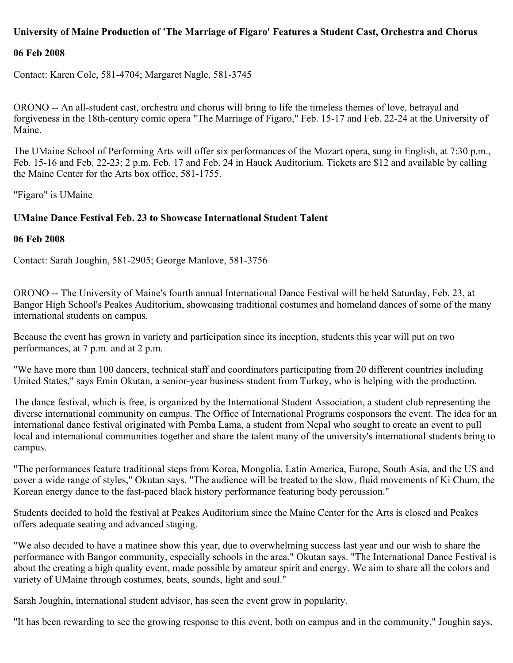## **University of Maine Production of 'The Marriage of Figaro' Features a Student Cast, Orchestra and Chorus**

#### **06 Feb 2008**

Contact: Karen Cole, 581-4704; Margaret Nagle, 581-3745

ORONO -- An all-student cast, orchestra and chorus will bring to life the timeless themes of love, betrayal and forgiveness in the 18th-century comic opera "The Marriage of Figaro," Feb. 15-17 and Feb. 22-24 at the University of Maine.

The UMaine School of Performing Arts will offer six performances of the Mozart opera, sung in English, at 7:30 p.m., Feb. 15-16 and Feb. 22-23; 2 p.m. Feb. 17 and Feb. 24 in Hauck Auditorium. Tickets are \$12 and available by calling the Maine Center for the Arts box office, 581-1755.

"Figaro" is UMaine

#### **UMaine Dance Festival Feb. 23 to Showcase International Student Talent**

#### **06 Feb 2008**

Contact: Sarah Joughin, 581-2905; George Manlove, 581-3756

ORONO -- The University of Maine's fourth annual International Dance Festival will be held Saturday, Feb. 23, at Bangor High School's Peakes Auditorium, showcasing traditional costumes and homeland dances of some of the many international students on campus.

Because the event has grown in variety and participation since its inception, students this year will put on two performances, at 7 p.m. and at 2 p.m.

"We have more than 100 dancers, technical staff and coordinators participating from 20 different countries including United States," says Emin Okutan, a senior-year business student from Turkey, who is helping with the production.

The dance festival, which is free, is organized by the International Student Association, a student club representing the diverse international community on campus. The Office of International Programs cosponsors the event. The idea for an international dance festival originated with Pemba Lama, a student from Nepal who sought to create an event to pull local and international communities together and share the talent many of the university's international students bring to campus.

"The performances feature traditional steps from Korea, Mongolia, Latin America, Europe, South Asia, and the US and cover a wide range of styles," Okutan says. "The audience will be treated to the slow, fluid movements of Ki Chum, the Korean energy dance to the fast-paced black history performance featuring body percussion."

Students decided to hold the festival at Peakes Auditorium since the Maine Center for the Arts is closed and Peakes offers adequate seating and advanced staging.

"We also decided to have a matinee show this year, due to overwhelming success last year and our wish to share the performance with Bangor community, especially schools in the area," Okutan says. "The International Dance Festival is about the creating a high quality event, made possible by amateur spirit and energy. We aim to share all the colors and variety of UMaine through costumes, beats, sounds, light and soul."

Sarah Joughin, international student advisor, has seen the event grow in popularity.

"It has been rewarding to see the growing response to this event, both on campus and in the community," Joughin says.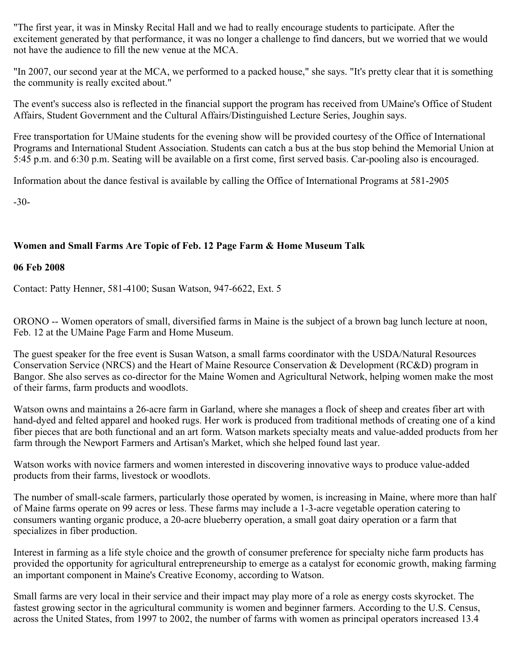"The first year, it was in Minsky Recital Hall and we had to really encourage students to participate. After the excitement generated by that performance, it was no longer a challenge to find dancers, but we worried that we would not have the audience to fill the new venue at the MCA.

"In 2007, our second year at the MCA, we performed to a packed house," she says. "It's pretty clear that it is something the community is really excited about."

The event's success also is reflected in the financial support the program has received from UMaine's Office of Student Affairs, Student Government and the Cultural Affairs/Distinguished Lecture Series, Joughin says.

Free transportation for UMaine students for the evening show will be provided courtesy of the Office of International Programs and International Student Association. Students can catch a bus at the bus stop behind the Memorial Union at 5:45 p.m. and 6:30 p.m. Seating will be available on a first come, first served basis. Car-pooling also is encouraged.

Information about the dance festival is available by calling the Office of International Programs at 581-2905

-30-

# **Women and Small Farms Are Topic of Feb. 12 Page Farm & Home Museum Talk**

### **06 Feb 2008**

Contact: Patty Henner, 581-4100; Susan Watson, 947-6622, Ext. 5

ORONO -- Women operators of small, diversified farms in Maine is the subject of a brown bag lunch lecture at noon, Feb. 12 at the UMaine Page Farm and Home Museum.

The guest speaker for the free event is Susan Watson, a small farms coordinator with the USDA/Natural Resources Conservation Service (NRCS) and the Heart of Maine Resource Conservation & Development (RC&D) program in Bangor. She also serves as co-director for the Maine Women and Agricultural Network, helping women make the most of their farms, farm products and woodlots.

Watson owns and maintains a 26-acre farm in Garland, where she manages a flock of sheep and creates fiber art with hand-dyed and felted apparel and hooked rugs. Her work is produced from traditional methods of creating one of a kind fiber pieces that are both functional and an art form. Watson markets specialty meats and value-added products from her farm through the Newport Farmers and Artisan's Market, which she helped found last year.

Watson works with novice farmers and women interested in discovering innovative ways to produce value-added products from their farms, livestock or woodlots.

The number of small-scale farmers, particularly those operated by women, is increasing in Maine, where more than half of Maine farms operate on 99 acres or less. These farms may include a 1-3-acre vegetable operation catering to consumers wanting organic produce, a 20-acre blueberry operation, a small goat dairy operation or a farm that specializes in fiber production.

Interest in farming as a life style choice and the growth of consumer preference for specialty niche farm products has provided the opportunity for agricultural entrepreneurship to emerge as a catalyst for economic growth, making farming an important component in Maine's Creative Economy, according to Watson.

Small farms are very local in their service and their impact may play more of a role as energy costs skyrocket. The fastest growing sector in the agricultural community is women and beginner farmers. According to the U.S. Census, across the United States, from 1997 to 2002, the number of farms with women as principal operators increased 13.4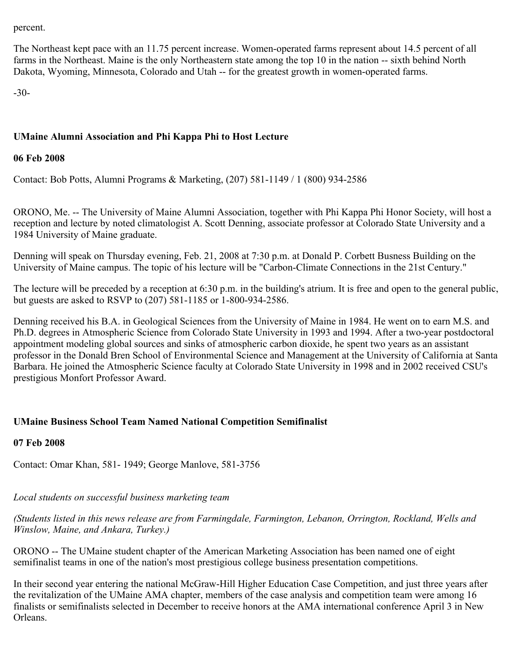percent.

The Northeast kept pace with an 11.75 percent increase. Women-operated farms represent about 14.5 percent of all farms in the Northeast. Maine is the only Northeastern state among the top 10 in the nation -- sixth behind North Dakota, Wyoming, Minnesota, Colorado and Utah -- for the greatest growth in women-operated farms.

-30-

# **UMaine Alumni Association and Phi Kappa Phi to Host Lecture**

### **06 Feb 2008**

Contact: Bob Potts, Alumni Programs & Marketing, (207) 581-1149 / 1 (800) 934-2586

ORONO, Me. -- The University of Maine Alumni Association, together with Phi Kappa Phi Honor Society, will host a reception and lecture by noted climatologist A. Scott Denning, associate professor at Colorado State University and a 1984 University of Maine graduate.

Denning will speak on Thursday evening, Feb. 21, 2008 at 7:30 p.m. at Donald P. Corbett Busness Building on the University of Maine campus. The topic of his lecture will be "Carbon-Climate Connections in the 21st Century."

The lecture will be preceded by a reception at 6:30 p.m. in the building's atrium. It is free and open to the general public, but guests are asked to RSVP to (207) 581-1185 or 1-800-934-2586.

Denning received his B.A. in Geological Sciences from the University of Maine in 1984. He went on to earn M.S. and Ph.D. degrees in Atmospheric Science from Colorado State University in 1993 and 1994. After a two-year postdoctoral appointment modeling global sources and sinks of atmospheric carbon dioxide, he spent two years as an assistant professor in the Donald Bren School of Environmental Science and Management at the University of California at Santa Barbara. He joined the Atmospheric Science faculty at Colorado State University in 1998 and in 2002 received CSU's prestigious Monfort Professor Award.

## **UMaine Business School Team Named National Competition Semifinalist**

## **07 Feb 2008**

Contact: Omar Khan, 581- 1949; George Manlove, 581-3756

# *Local students on successful business marketing team*

*(Students listed in this news release are from Farmingdale, Farmington, Lebanon, Orrington, Rockland, Wells and Winslow, Maine, and Ankara, Turkey.)*

ORONO -- The UMaine student chapter of the American Marketing Association has been named one of eight semifinalist teams in one of the nation's most prestigious college business presentation competitions.

In their second year entering the national McGraw-Hill Higher Education Case Competition, and just three years after the revitalization of the UMaine AMA chapter, members of the case analysis and competition team were among 16 finalists or semifinalists selected in December to receive honors at the AMA international conference April 3 in New Orleans.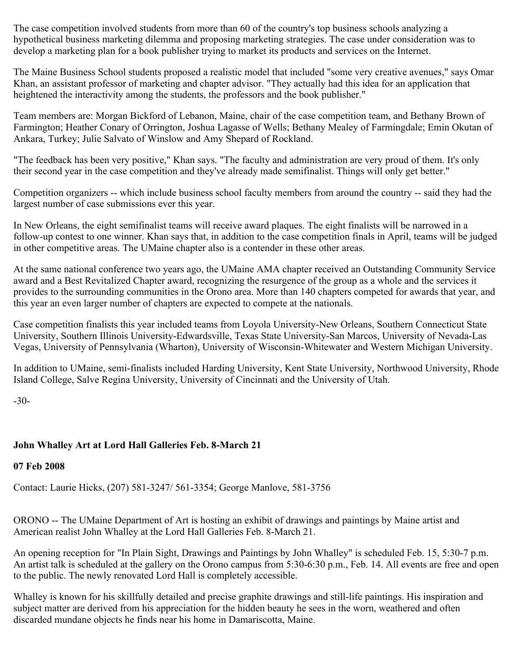The case competition involved students from more than 60 of the country's top business schools analyzing a hypothetical business marketing dilemma and proposing marketing strategies. The case under consideration was to develop a marketing plan for a book publisher trying to market its products and services on the Internet.

The Maine Business School students proposed a realistic model that included "some very creative avenues," says Omar Khan, an assistant professor of marketing and chapter advisor. "They actually had this idea for an application that heightened the interactivity among the students, the professors and the book publisher."

Team members are: Morgan Bickford of Lebanon, Maine, chair of the case competition team, and Bethany Brown of Farmington; Heather Conary of Orrington, Joshua Lagasse of Wells; Bethany Mealey of Farmingdale; Emin Okutan of Ankara, Turkey; Julie Salvato of Winslow and Amy Shepard of Rockland.

"The feedback has been very positive," Khan says. "The faculty and administration are very proud of them. It's only their second year in the case competition and they've already made semifinalist. Things will only get better."

Competition organizers -- which include business school faculty members from around the country -- said they had the largest number of case submissions ever this year.

In New Orleans, the eight semifinalist teams will receive award plaques. The eight finalists will be narrowed in a follow-up contest to one winner. Khan says that, in addition to the case competition finals in April, teams will be judged in other competitive areas. The UMaine chapter also is a contender in these other areas.

At the same national conference two years ago, the UMaine AMA chapter received an Outstanding Community Service award and a Best Revitalized Chapter award, recognizing the resurgence of the group as a whole and the services it provides to the surrounding communities in the Orono area. More than 140 chapters competed for awards that year, and this year an even larger number of chapters are expected to compete at the nationals.

Case competition finalists this year included teams from Loyola University-New Orleans, Southern Connecticut State University, Southern Illinois University-Edwardsville, Texas State University-San Marcos, University of Nevada-Las Vegas, University of Pennsylvania (Wharton), University of Wisconsin-Whitewater and Western Michigan University.

In addition to UMaine, semi-finalists included Harding University, Kent State University, Northwood University, Rhode Island College, Salve Regina University, University of Cincinnati and the University of Utah.

-30-

# **John Whalley Art at Lord Hall Galleries Feb. 8-March 21**

## **07 Feb 2008**

Contact: Laurie Hicks, (207) 581-3247/ 561-3354; George Manlove, 581-3756

ORONO -- The UMaine Department of Art is hosting an exhibit of drawings and paintings by Maine artist and American realist John Whalley at the Lord Hall Galleries Feb. 8-March 21.

An opening reception for "In Plain Sight, Drawings and Paintings by John Whalley" is scheduled Feb. 15, 5:30-7 p.m. An artist talk is scheduled at the gallery on the Orono campus from 5:30-6:30 p.m., Feb. 14. All events are free and open to the public. The newly renovated Lord Hall is completely accessible.

Whalley is known for his skillfully detailed and precise graphite drawings and still-life paintings. His inspiration and subject matter are derived from his appreciation for the hidden beauty he sees in the worn, weathered and often discarded mundane objects he finds near his home in Damariscotta, Maine.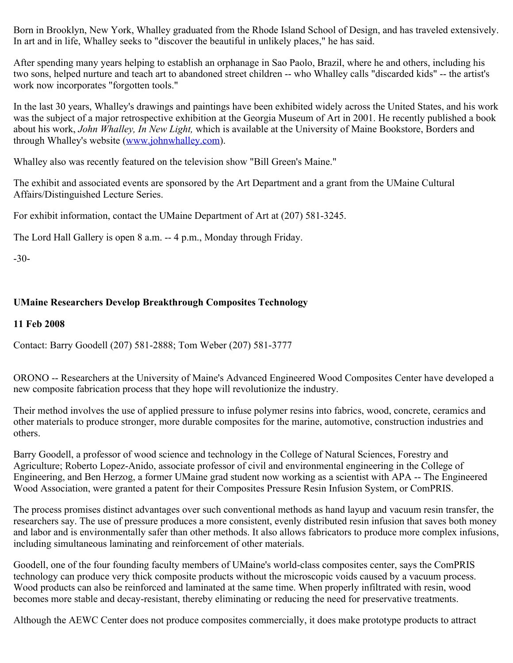Born in Brooklyn, New York, Whalley graduated from the Rhode Island School of Design, and has traveled extensively. In art and in life, Whalley seeks to "discover the beautiful in unlikely places," he has said.

After spending many years helping to establish an orphanage in Sao Paolo, Brazil, where he and others, including his two sons, helped nurture and teach art to abandoned street children -- who Whalley calls "discarded kids" -- the artist's work now incorporates "forgotten tools."

In the last 30 years, Whalley's drawings and paintings have been exhibited widely across the United States, and his work was the subject of a major retrospective exhibition at the Georgia Museum of Art in 2001. He recently published a book about his work, *John Whalley, In New Light,* which is available at the University of Maine Bookstore, Borders and through Whalley's website [\(www.johnwhalley.com](http://www.johnwhalley.com/)).

Whalley also was recently featured on the television show "Bill Green's Maine."

The exhibit and associated events are sponsored by the Art Department and a grant from the UMaine Cultural Affairs/Distinguished Lecture Series.

For exhibit information, contact the UMaine Department of Art at (207) 581-3245.

The Lord Hall Gallery is open 8 a.m. -- 4 p.m., Monday through Friday.

-30-

# **UMaine Researchers Develop Breakthrough Composites Technology**

### **11 Feb 2008**

Contact: Barry Goodell (207) 581-2888; Tom Weber (207) 581-3777

ORONO -- Researchers at the University of Maine's Advanced Engineered Wood Composites Center have developed a new composite fabrication process that they hope will revolutionize the industry.

Their method involves the use of applied pressure to infuse polymer resins into fabrics, wood, concrete, ceramics and other materials to produce stronger, more durable composites for the marine, automotive, construction industries and others.

Barry Goodell, a professor of wood science and technology in the College of Natural Sciences, Forestry and Agriculture; Roberto Lopez-Anido, associate professor of civil and environmental engineering in the College of Engineering, and Ben Herzog, a former UMaine grad student now working as a scientist with APA -- The Engineered Wood Association, were granted a patent for their Composites Pressure Resin Infusion System, or ComPRIS.

The process promises distinct advantages over such conventional methods as hand layup and vacuum resin transfer, the researchers say. The use of pressure produces a more consistent, evenly distributed resin infusion that saves both money and labor and is environmentally safer than other methods. It also allows fabricators to produce more complex infusions, including simultaneous laminating and reinforcement of other materials.

Goodell, one of the four founding faculty members of UMaine's world-class composites center, says the ComPRIS technology can produce very thick composite products without the microscopic voids caused by a vacuum process. Wood products can also be reinforced and laminated at the same time. When properly infiltrated with resin, wood becomes more stable and decay-resistant, thereby eliminating or reducing the need for preservative treatments.

Although the AEWC Center does not produce composites commercially, it does make prototype products to attract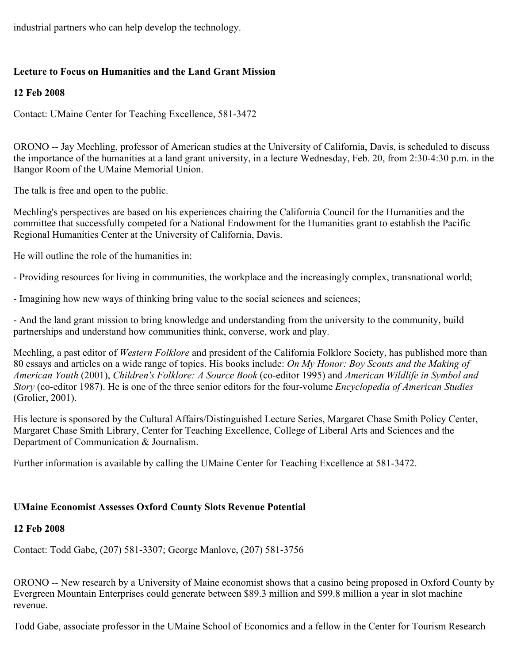industrial partners who can help develop the technology.

# **Lecture to Focus on Humanities and the Land Grant Mission**

# **12 Feb 2008**

Contact: UMaine Center for Teaching Excellence, 581-3472

ORONO -- Jay Mechling, professor of American studies at the University of California, Davis, is scheduled to discuss the importance of the humanities at a land grant university, in a lecture Wednesday, Feb. 20, from 2:30-4:30 p.m. in the Bangor Room of the UMaine Memorial Union.

The talk is free and open to the public.

Mechling's perspectives are based on his experiences chairing the California Council for the Humanities and the committee that successfully competed for a National Endowment for the Humanities grant to establish the Pacific Regional Humanities Center at the University of California, Davis.

He will outline the role of the humanities in:

- Providing resources for living in communities, the workplace and the increasingly complex, transnational world;

- Imagining how new ways of thinking bring value to the social sciences and sciences;

- And the land grant mission to bring knowledge and understanding from the university to the community, build partnerships and understand how communities think, converse, work and play.

Mechling, a past editor of *Western Folklore* and president of the California Folklore Society, has published more than 80 essays and articles on a wide range of topics. His books include: *On My Honor: Boy Scouts and the Making of American Youth* (2001), *Children's Folklore: A Source Book* (co-editor 1995) and *American Wildlife in Symbol and Story* (co-editor 1987). He is one of the three senior editors for the four-volume *Encyclopedia of American Studies* (Grolier, 2001).

His lecture is sponsored by the Cultural Affairs/Distinguished Lecture Series, Margaret Chase Smith Policy Center, Margaret Chase Smith Library, Center for Teaching Excellence, College of Liberal Arts and Sciences and the Department of Communication & Journalism.

Further information is available by calling the UMaine Center for Teaching Excellence at 581-3472.

# **UMaine Economist Assesses Oxford County Slots Revenue Potential**

# **12 Feb 2008**

Contact: Todd Gabe, (207) 581-3307; George Manlove, (207) 581-3756

ORONO -- New research by a University of Maine economist shows that a casino being proposed in Oxford County by Evergreen Mountain Enterprises could generate between \$89.3 million and \$99.8 million a year in slot machine revenue.

Todd Gabe, associate professor in the UMaine School of Economics and a fellow in the Center for Tourism Research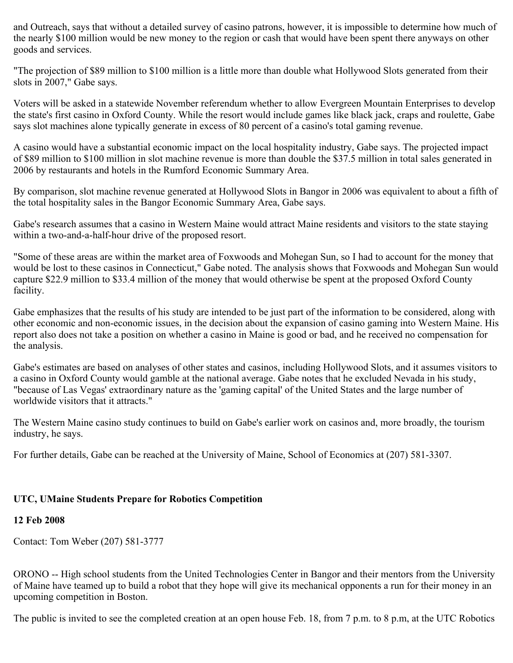and Outreach, says that without a detailed survey of casino patrons, however, it is impossible to determine how much of the nearly \$100 million would be new money to the region or cash that would have been spent there anyways on other goods and services.

"The projection of \$89 million to \$100 million is a little more than double what Hollywood Slots generated from their slots in 2007," Gabe says.

Voters will be asked in a statewide November referendum whether to allow Evergreen Mountain Enterprises to develop the state's first casino in Oxford County. While the resort would include games like black jack, craps and roulette, Gabe says slot machines alone typically generate in excess of 80 percent of a casino's total gaming revenue.

A casino would have a substantial economic impact on the local hospitality industry, Gabe says. The projected impact of \$89 million to \$100 million in slot machine revenue is more than double the \$37.5 million in total sales generated in 2006 by restaurants and hotels in the Rumford Economic Summary Area.

By comparison, slot machine revenue generated at Hollywood Slots in Bangor in 2006 was equivalent to about a fifth of the total hospitality sales in the Bangor Economic Summary Area, Gabe says.

Gabe's research assumes that a casino in Western Maine would attract Maine residents and visitors to the state staying within a two-and-a-half-hour drive of the proposed resort.

"Some of these areas are within the market area of Foxwoods and Mohegan Sun, so I had to account for the money that would be lost to these casinos in Connecticut," Gabe noted. The analysis shows that Foxwoods and Mohegan Sun would capture \$22.9 million to \$33.4 million of the money that would otherwise be spent at the proposed Oxford County facility.

Gabe emphasizes that the results of his study are intended to be just part of the information to be considered, along with other economic and non-economic issues, in the decision about the expansion of casino gaming into Western Maine. His report also does not take a position on whether a casino in Maine is good or bad, and he received no compensation for the analysis.

Gabe's estimates are based on analyses of other states and casinos, including Hollywood Slots, and it assumes visitors to a casino in Oxford County would gamble at the national average. Gabe notes that he excluded Nevada in his study, "because of Las Vegas' extraordinary nature as the 'gaming capital' of the United States and the large number of worldwide visitors that it attracts."

The Western Maine casino study continues to build on Gabe's earlier work on casinos and, more broadly, the tourism industry, he says.

For further details, Gabe can be reached at the University of Maine, School of Economics at (207) 581-3307.

## **UTC, UMaine Students Prepare for Robotics Competition**

### **12 Feb 2008**

Contact: Tom Weber (207) 581-3777

ORONO -- High school students from the United Technologies Center in Bangor and their mentors from the University of Maine have teamed up to build a robot that they hope will give its mechanical opponents a run for their money in an upcoming competition in Boston.

The public is invited to see the completed creation at an open house Feb. 18, from 7 p.m. to 8 p.m, at the UTC Robotics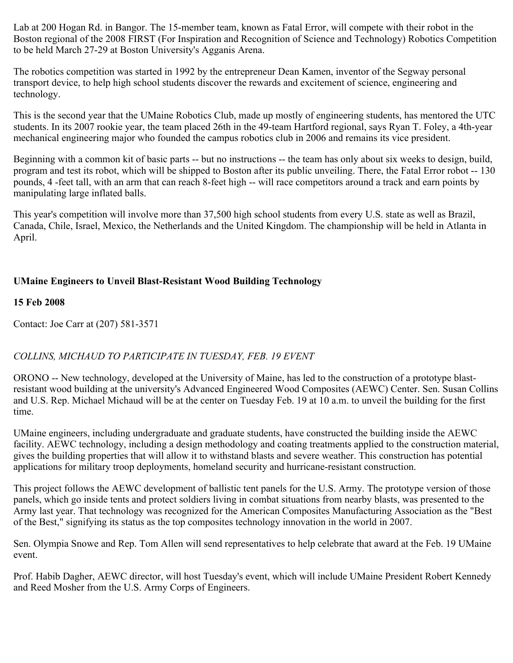Lab at 200 Hogan Rd. in Bangor. The 15-member team, known as Fatal Error, will compete with their robot in the Boston regional of the 2008 FIRST (For Inspiration and Recognition of Science and Technology) Robotics Competition to be held March 27-29 at Boston University's Agganis Arena.

The robotics competition was started in 1992 by the entrepreneur Dean Kamen, inventor of the Segway personal transport device, to help high school students discover the rewards and excitement of science, engineering and technology.

This is the second year that the UMaine Robotics Club, made up mostly of engineering students, has mentored the UTC students. In its 2007 rookie year, the team placed 26th in the 49-team Hartford regional, says Ryan T. Foley, a 4th-year mechanical engineering major who founded the campus robotics club in 2006 and remains its vice president.

Beginning with a common kit of basic parts -- but no instructions -- the team has only about six weeks to design, build, program and test its robot, which will be shipped to Boston after its public unveiling. There, the Fatal Error robot -- 130 pounds, 4 -feet tall, with an arm that can reach 8-feet high -- will race competitors around a track and earn points by manipulating large inflated balls.

This year's competition will involve more than 37,500 high school students from every U.S. state as well as Brazil, Canada, Chile, Israel, Mexico, the Netherlands and the United Kingdom. The championship will be held in Atlanta in April.

# **UMaine Engineers to Unveil Blast-Resistant Wood Building Technology**

## **15 Feb 2008**

Contact: Joe Carr at (207) 581-3571

# *COLLINS, MICHAUD TO PARTICIPATE IN TUESDAY, FEB. 19 EVENT*

ORONO -- New technology, developed at the University of Maine, has led to the construction of a prototype blastresistant wood building at the university's Advanced Engineered Wood Composites (AEWC) Center. Sen. Susan Collins and U.S. Rep. Michael Michaud will be at the center on Tuesday Feb. 19 at 10 a.m. to unveil the building for the first time.

UMaine engineers, including undergraduate and graduate students, have constructed the building inside the AEWC facility. AEWC technology, including a design methodology and coating treatments applied to the construction material, gives the building properties that will allow it to withstand blasts and severe weather. This construction has potential applications for military troop deployments, homeland security and hurricane-resistant construction.

This project follows the AEWC development of ballistic tent panels for the U.S. Army. The prototype version of those panels, which go inside tents and protect soldiers living in combat situations from nearby blasts, was presented to the Army last year. That technology was recognized for the American Composites Manufacturing Association as the "Best of the Best," signifying its status as the top composites technology innovation in the world in 2007.

Sen. Olympia Snowe and Rep. Tom Allen will send representatives to help celebrate that award at the Feb. 19 UMaine event.

Prof. Habib Dagher, AEWC director, will host Tuesday's event, which will include UMaine President Robert Kennedy and Reed Mosher from the U.S. Army Corps of Engineers.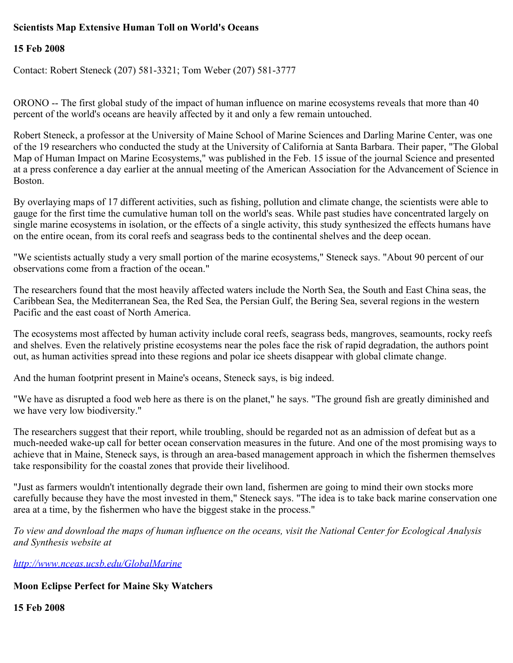# **Scientists Map Extensive Human Toll on World's Oceans**

### **15 Feb 2008**

Contact: Robert Steneck (207) 581-3321; Tom Weber (207) 581-3777

ORONO -- The first global study of the impact of human influence on marine ecosystems reveals that more than 40 percent of the world's oceans are heavily affected by it and only a few remain untouched.

Robert Steneck, a professor at the University of Maine School of Marine Sciences and Darling Marine Center, was one of the 19 researchers who conducted the study at the University of California at Santa Barbara. Their paper, "The Global Map of Human Impact on Marine Ecosystems," was published in the Feb. 15 issue of the journal Science and presented at a press conference a day earlier at the annual meeting of the American Association for the Advancement of Science in Boston.

By overlaying maps of 17 different activities, such as fishing, pollution and climate change, the scientists were able to gauge for the first time the cumulative human toll on the world's seas. While past studies have concentrated largely on single marine ecosystems in isolation, or the effects of a single activity, this study synthesized the effects humans have on the entire ocean, from its coral reefs and seagrass beds to the continental shelves and the deep ocean.

"We scientists actually study a very small portion of the marine ecosystems," Steneck says. "About 90 percent of our observations come from a fraction of the ocean."

The researchers found that the most heavily affected waters include the North Sea, the South and East China seas, the Caribbean Sea, the Mediterranean Sea, the Red Sea, the Persian Gulf, the Bering Sea, several regions in the western Pacific and the east coast of North America.

The ecosystems most affected by human activity include coral reefs, seagrass beds, mangroves, seamounts, rocky reefs and shelves. Even the relatively pristine ecosystems near the poles face the risk of rapid degradation, the authors point out, as human activities spread into these regions and polar ice sheets disappear with global climate change.

And the human footprint present in Maine's oceans, Steneck says, is big indeed.

"We have as disrupted a food web here as there is on the planet," he says. "The ground fish are greatly diminished and we have very low biodiversity."

The researchers suggest that their report, while troubling, should be regarded not as an admission of defeat but as a much-needed wake-up call for better ocean conservation measures in the future. And one of the most promising ways to achieve that in Maine, Steneck says, is through an area-based management approach in which the fishermen themselves take responsibility for the coastal zones that provide their livelihood.

"Just as farmers wouldn't intentionally degrade their own land, fishermen are going to mind their own stocks more carefully because they have the most invested in them," Steneck says. "The idea is to take back marine conservation one area at a time, by the fishermen who have the biggest stake in the process."

*To view and download the maps of human influence on the oceans, visit the National Center for Ecological Analysis and Synthesis website at*

*<http://www.nceas.ucsb.edu/GlobalMarine>*

### **Moon Eclipse Perfect for Maine Sky Watchers**

**15 Feb 2008**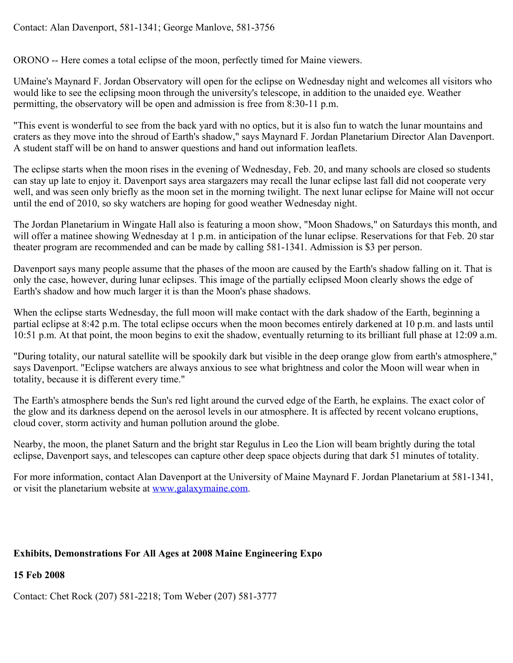## Contact: Alan Davenport, 581-1341; George Manlove, 581-3756

ORONO -- Here comes a total eclipse of the moon, perfectly timed for Maine viewers.

UMaine's Maynard F. Jordan Observatory will open for the eclipse on Wednesday night and welcomes all visitors who would like to see the eclipsing moon through the university's telescope, in addition to the unaided eye. Weather permitting, the observatory will be open and admission is free from 8:30-11 p.m.

"This event is wonderful to see from the back yard with no optics, but it is also fun to watch the lunar mountains and craters as they move into the shroud of Earth's shadow," says Maynard F. Jordan Planetarium Director Alan Davenport. A student staff will be on hand to answer questions and hand out information leaflets.

The eclipse starts when the moon rises in the evening of Wednesday, Feb. 20, and many schools are closed so students can stay up late to enjoy it. Davenport says area stargazers may recall the lunar eclipse last fall did not cooperate very well, and was seen only briefly as the moon set in the morning twilight. The next lunar eclipse for Maine will not occur until the end of 2010, so sky watchers are hoping for good weather Wednesday night.

The Jordan Planetarium in Wingate Hall also is featuring a moon show, "Moon Shadows," on Saturdays this month, and will offer a matinee showing Wednesday at 1 p.m. in anticipation of the lunar eclipse. Reservations for that Feb. 20 star theater program are recommended and can be made by calling 581-1341. Admission is \$3 per person.

Davenport says many people assume that the phases of the moon are caused by the Earth's shadow falling on it. That is only the case, however, during lunar eclipses. This image of the partially eclipsed Moon clearly shows the edge of Earth's shadow and how much larger it is than the Moon's phase shadows.

When the eclipse starts Wednesday, the full moon will make contact with the dark shadow of the Earth, beginning a partial eclipse at 8:42 p.m. The total eclipse occurs when the moon becomes entirely darkened at 10 p.m. and lasts until 10:51 p.m. At that point, the moon begins to exit the shadow, eventually returning to its brilliant full phase at 12:09 a.m.

"During totality, our natural satellite will be spookily dark but visible in the deep orange glow from earth's atmosphere," says Davenport. "Eclipse watchers are always anxious to see what brightness and color the Moon will wear when in totality, because it is different every time."

The Earth's atmosphere bends the Sun's red light around the curved edge of the Earth, he explains. The exact color of the glow and its darkness depend on the aerosol levels in our atmosphere. It is affected by recent volcano eruptions, cloud cover, storm activity and human pollution around the globe.

Nearby, the moon, the planet Saturn and the bright star Regulus in Leo the Lion will beam brightly during the total eclipse, Davenport says, and telescopes can capture other deep space objects during that dark 51 minutes of totality.

For more information, contact Alan Davenport at the University of Maine Maynard F. Jordan Planetarium at 581-1341, or visit the planetarium website at [www.galaxymaine.com](http://www.galaxymaine.com/).

# **Exhibits, Demonstrations For All Ages at 2008 Maine Engineering Expo**

## **15 Feb 2008**

Contact: Chet Rock (207) 581-2218; Tom Weber (207) 581-3777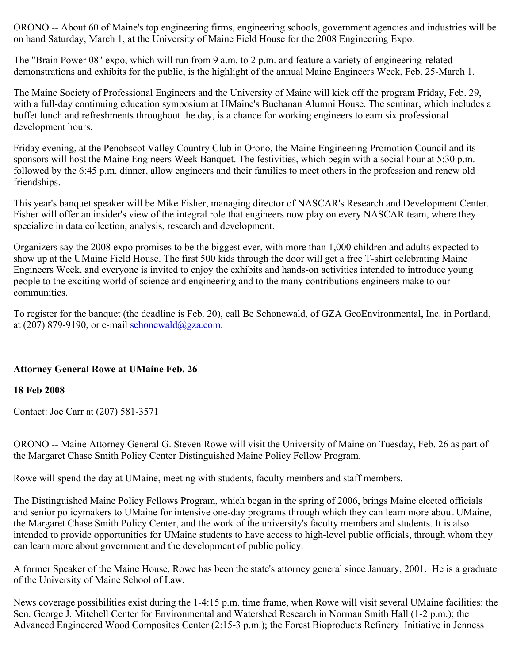ORONO -- About 60 of Maine's top engineering firms, engineering schools, government agencies and industries will be on hand Saturday, March 1, at the University of Maine Field House for the 2008 Engineering Expo.

The "Brain Power 08" expo, which will run from 9 a.m. to 2 p.m. and feature a variety of engineering-related demonstrations and exhibits for the public, is the highlight of the annual Maine Engineers Week, Feb. 25-March 1.

The Maine Society of Professional Engineers and the University of Maine will kick off the program Friday, Feb. 29, with a full-day continuing education symposium at UMaine's Buchanan Alumni House. The seminar, which includes a buffet lunch and refreshments throughout the day, is a chance for working engineers to earn six professional development hours.

Friday evening, at the Penobscot Valley Country Club in Orono, the Maine Engineering Promotion Council and its sponsors will host the Maine Engineers Week Banquet. The festivities, which begin with a social hour at 5:30 p.m. followed by the 6:45 p.m. dinner, allow engineers and their families to meet others in the profession and renew old friendships.

This year's banquet speaker will be Mike Fisher, managing director of NASCAR's Research and Development Center. Fisher will offer an insider's view of the integral role that engineers now play on every NASCAR team, where they specialize in data collection, analysis, research and development.

Organizers say the 2008 expo promises to be the biggest ever, with more than 1,000 children and adults expected to show up at the UMaine Field House. The first 500 kids through the door will get a free T-shirt celebrating Maine Engineers Week, and everyone is invited to enjoy the exhibits and hands-on activities intended to introduce young people to the exciting world of science and engineering and to the many contributions engineers make to our communities.

To register for the banquet (the deadline is Feb. 20), call Be Schonewald, of GZA GeoEnvironmental, Inc. in Portland, at (207) 879-9190, or e-mail [schonewald@gza.com](mailto:schonewald@gza.com).

# **Attorney General Rowe at UMaine Feb. 26**

## **18 Feb 2008**

Contact: Joe Carr at (207) 581-3571

ORONO -- Maine Attorney General G. Steven Rowe will visit the University of Maine on Tuesday, Feb. 26 as part of the Margaret Chase Smith Policy Center Distinguished Maine Policy Fellow Program.

Rowe will spend the day at UMaine, meeting with students, faculty members and staff members.

The Distinguished Maine Policy Fellows Program, which began in the spring of 2006, brings Maine elected officials and senior policymakers to UMaine for intensive one-day programs through which they can learn more about UMaine, the Margaret Chase Smith Policy Center, and the work of the university's faculty members and students. It is also intended to provide opportunities for UMaine students to have access to high-level public officials, through whom they can learn more about government and the development of public policy.

A former Speaker of the Maine House, Rowe has been the state's attorney general since January, 2001. He is a graduate of the University of Maine School of Law.

News coverage possibilities exist during the 1-4:15 p.m. time frame, when Rowe will visit several UMaine facilities: the Sen. George J. Mitchell Center for Environmental and Watershed Research in Norman Smith Hall (1-2 p.m.); the Advanced Engineered Wood Composites Center (2:15-3 p.m.); the Forest Bioproducts Refinery Initiative in Jenness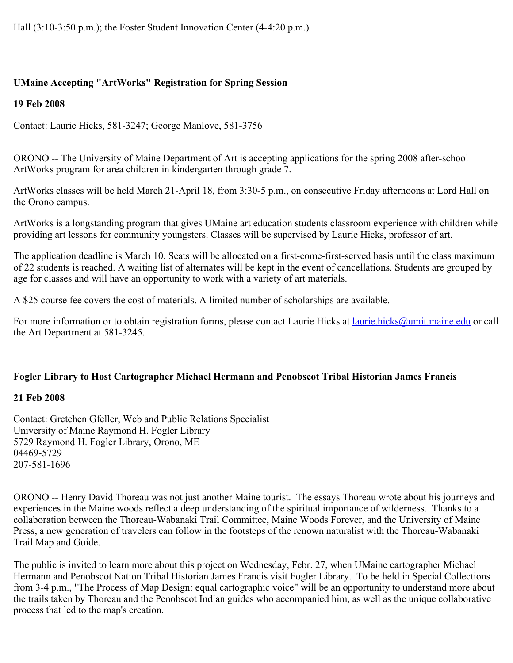# **UMaine Accepting "ArtWorks" Registration for Spring Session**

# **19 Feb 2008**

Contact: Laurie Hicks, 581-3247; George Manlove, 581-3756

ORONO -- The University of Maine Department of Art is accepting applications for the spring 2008 after-school ArtWorks program for area children in kindergarten through grade 7.

ArtWorks classes will be held March 21-April 18, from 3:30-5 p.m., on consecutive Friday afternoons at Lord Hall on the Orono campus.

ArtWorks is a longstanding program that gives UMaine art education students classroom experience with children while providing art lessons for community youngsters. Classes will be supervised by Laurie Hicks, professor of art.

The application deadline is March 10. Seats will be allocated on a first-come-first-served basis until the class maximum of 22 students is reached. A waiting list of alternates will be kept in the event of cancellations. Students are grouped by age for classes and will have an opportunity to work with a variety of art materials.

A \$25 course fee covers the cost of materials. A limited number of scholarships are available.

For more information or to obtain registration forms, please contact Laurie Hicks at *laurie.hicks@umit.maine.edu* or call the Art Department at 581-3245.

# **Fogler Library to Host Cartographer Michael Hermann and Penobscot Tribal Historian James Francis**

# **21 Feb 2008**

Contact: Gretchen Gfeller, Web and Public Relations Specialist University of Maine Raymond H. Fogler Library 5729 Raymond H. Fogler Library, Orono, ME 04469-5729 207-581-1696

ORONO -- Henry David Thoreau was not just another Maine tourist. The essays Thoreau wrote about his journeys and experiences in the Maine woods reflect a deep understanding of the spiritual importance of wilderness. Thanks to a collaboration between the Thoreau-Wabanaki Trail Committee, Maine Woods Forever, and the University of Maine Press, a new generation of travelers can follow in the footsteps of the renown naturalist with the Thoreau-Wabanaki Trail Map and Guide.

The public is invited to learn more about this project on Wednesday, Febr. 27, when UMaine cartographer Michael Hermann and Penobscot Nation Tribal Historian James Francis visit Fogler Library. To be held in Special Collections from 3-4 p.m., "The Process of Map Design: equal cartographic voice" will be an opportunity to understand more about the trails taken by Thoreau and the Penobscot Indian guides who accompanied him, as well as the unique collaborative process that led to the map's creation.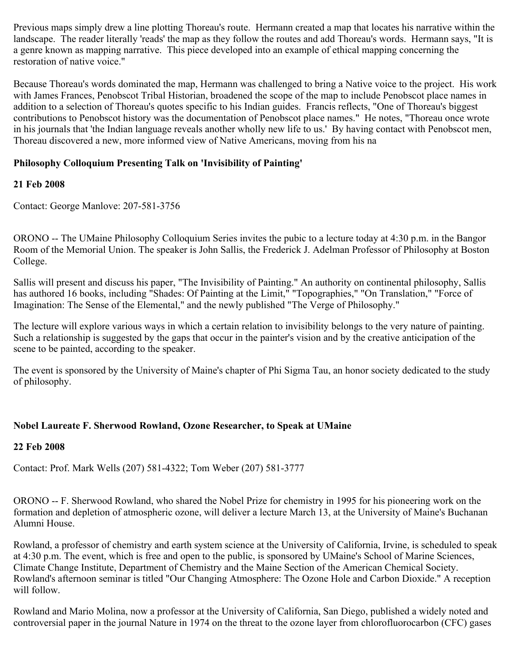Previous maps simply drew a line plotting Thoreau's route. Hermann created a map that locates his narrative within the landscape. The reader literally 'reads' the map as they follow the routes and add Thoreau's words. Hermann says, "It is a genre known as mapping narrative. This piece developed into an example of ethical mapping concerning the restoration of native voice."

Because Thoreau's words dominated the map, Hermann was challenged to bring a Native voice to the project. His work with James Frances, Penobscot Tribal Historian, broadened the scope of the map to include Penobscot place names in addition to a selection of Thoreau's quotes specific to his Indian guides. Francis reflects, "One of Thoreau's biggest contributions to Penobscot history was the documentation of Penobscot place names." He notes, "Thoreau once wrote in his journals that 'the Indian language reveals another wholly new life to us.' By having contact with Penobscot men, Thoreau discovered a new, more informed view of Native Americans, moving from his na

# **Philosophy Colloquium Presenting Talk on 'Invisibility of Painting'**

### **21 Feb 2008**

Contact: George Manlove: 207-581-3756

ORONO -- The UMaine Philosophy Colloquium Series invites the pubic to a lecture today at 4:30 p.m. in the Bangor Room of the Memorial Union. The speaker is John Sallis, the Frederick J. Adelman Professor of Philosophy at Boston College.

Sallis will present and discuss his paper, "The Invisibility of Painting." An authority on continental philosophy, Sallis has authored 16 books, including "Shades: Of Painting at the Limit," "Topographies," "On Translation," "Force of Imagination: The Sense of the Elemental," and the newly published "The Verge of Philosophy."

The lecture will explore various ways in which a certain relation to invisibility belongs to the very nature of painting. Such a relationship is suggested by the gaps that occur in the painter's vision and by the creative anticipation of the scene to be painted, according to the speaker.

The event is sponsored by the University of Maine's chapter of Phi Sigma Tau, an honor society dedicated to the study of philosophy.

## **Nobel Laureate F. Sherwood Rowland, Ozone Researcher, to Speak at UMaine**

### **22 Feb 2008**

Contact: Prof. Mark Wells (207) 581-4322; Tom Weber (207) 581-3777

ORONO -- F. Sherwood Rowland, who shared the Nobel Prize for chemistry in 1995 for his pioneering work on the formation and depletion of atmospheric ozone, will deliver a lecture March 13, at the University of Maine's Buchanan Alumni House.

Rowland, a professor of chemistry and earth system science at the University of California, Irvine, is scheduled to speak at 4:30 p.m. The event, which is free and open to the public, is sponsored by UMaine's School of Marine Sciences, Climate Change Institute, Department of Chemistry and the Maine Section of the American Chemical Society. Rowland's afternoon seminar is titled "Our Changing Atmosphere: The Ozone Hole and Carbon Dioxide." A reception will follow.

Rowland and Mario Molina, now a professor at the University of California, San Diego, published a widely noted and controversial paper in the journal Nature in 1974 on the threat to the ozone layer from chlorofluorocarbon (CFC) gases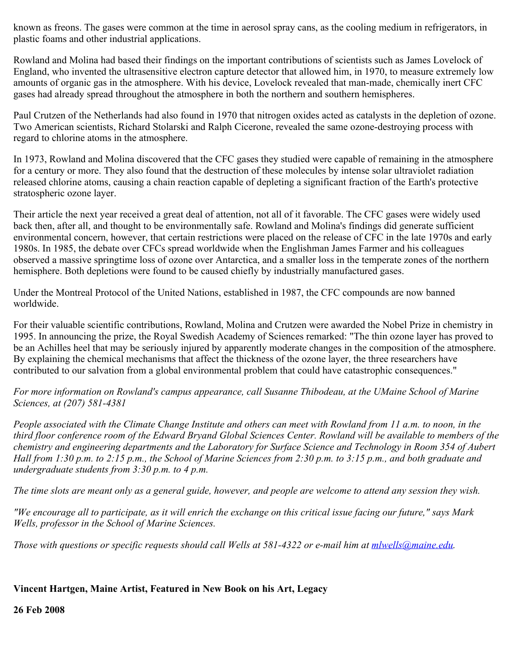known as freons. The gases were common at the time in aerosol spray cans, as the cooling medium in refrigerators, in plastic foams and other industrial applications.

Rowland and Molina had based their findings on the important contributions of scientists such as James Lovelock of England, who invented the ultrasensitive electron capture detector that allowed him, in 1970, to measure extremely low amounts of organic gas in the atmosphere. With his device, Lovelock revealed that man-made, chemically inert CFC gases had already spread throughout the atmosphere in both the northern and southern hemispheres.

Paul Crutzen of the Netherlands had also found in 1970 that nitrogen oxides acted as catalysts in the depletion of ozone. Two American scientists, Richard Stolarski and Ralph Cicerone, revealed the same ozone-destroying process with regard to chlorine atoms in the atmosphere.

In 1973, Rowland and Molina discovered that the CFC gases they studied were capable of remaining in the atmosphere for a century or more. They also found that the destruction of these molecules by intense solar ultraviolet radiation released chlorine atoms, causing a chain reaction capable of depleting a significant fraction of the Earth's protective stratospheric ozone layer.

Their article the next year received a great deal of attention, not all of it favorable. The CFC gases were widely used back then, after all, and thought to be environmentally safe. Rowland and Molina's findings did generate sufficient environmental concern, however, that certain restrictions were placed on the release of CFC in the late 1970s and early 1980s. In 1985, the debate over CFCs spread worldwide when the Englishman James Farmer and his colleagues observed a massive springtime loss of ozone over Antarctica, and a smaller loss in the temperate zones of the northern hemisphere. Both depletions were found to be caused chiefly by industrially manufactured gases.

Under the Montreal Protocol of the United Nations, established in 1987, the CFC compounds are now banned worldwide.

For their valuable scientific contributions, Rowland, Molina and Crutzen were awarded the Nobel Prize in chemistry in 1995. In announcing the prize, the Royal Swedish Academy of Sciences remarked: "The thin ozone layer has proved to be an Achilles heel that may be seriously injured by apparently moderate changes in the composition of the atmosphere. By explaining the chemical mechanisms that affect the thickness of the ozone layer, the three researchers have contributed to our salvation from a global environmental problem that could have catastrophic consequences."

*For more information on Rowland's campus appearance, call Susanne Thibodeau, at the UMaine School of Marine Sciences, at (207) 581-4381*

*People associated with the Climate Change Institute and others can meet with Rowland from 11 a.m. to noon, in the third floor conference room of the Edward Bryand Global Sciences Center. Rowland will be available to members of the chemistry and engineering departments and the Laboratory for Surface Science and Technology in Room 354 of Aubert Hall from 1:30 p.m. to 2:15 p.m., the School of Marine Sciences from 2:30 p.m. to 3:15 p.m., and both graduate and undergraduate students from 3:30 p.m. to 4 p.m.*

*The time slots are meant only as a general guide, however, and people are welcome to attend any session they wish.*

*"We encourage all to participate, as it will enrich the exchange on this critical issue facing our future," says Mark Wells, professor in the School of Marine Sciences.*

*Those with questions or specific requests should call Wells at 581-4322 or e-mail him at <i>[mlwells@maine.edu](mailto:mlwells@maine.edu)*.

# **Vincent Hartgen, Maine Artist, Featured in New Book on his Art, Legacy**

**26 Feb 2008**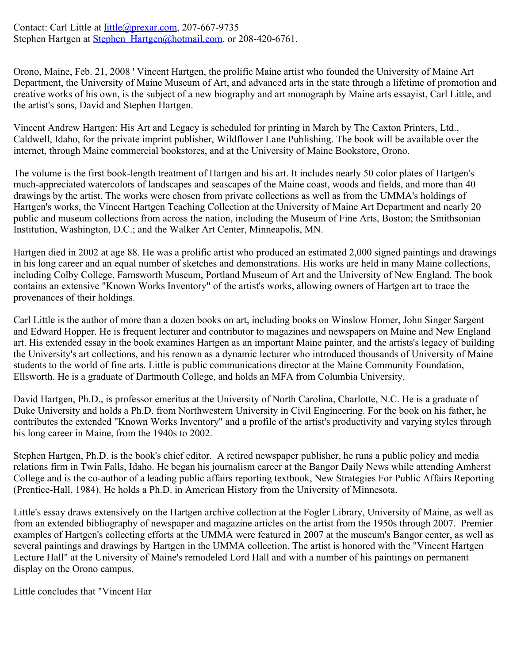Contact: Carl Little at *little@prexar.com*, 207-667-9735 Stephen Hartgen at Stephen Hartgen@hotmail.com. or 208-420-6761.

Orono, Maine, Feb. 21, 2008 ' Vincent Hartgen, the prolific Maine artist who founded the University of Maine Art Department, the University of Maine Museum of Art, and advanced arts in the state through a lifetime of promotion and creative works of his own, is the subject of a new biography and art monograph by Maine arts essayist, Carl Little, and the artist's sons, David and Stephen Hartgen.

Vincent Andrew Hartgen: His Art and Legacy is scheduled for printing in March by The Caxton Printers, Ltd., Caldwell, Idaho, for the private imprint publisher, Wildflower Lane Publishing. The book will be available over the internet, through Maine commercial bookstores, and at the University of Maine Bookstore, Orono.

The volume is the first book-length treatment of Hartgen and his art. It includes nearly 50 color plates of Hartgen's much-appreciated watercolors of landscapes and seascapes of the Maine coast, woods and fields, and more than 40 drawings by the artist. The works were chosen from private collections as well as from the UMMA's holdings of Hartgen's works, the Vincent Hartgen Teaching Collection at the University of Maine Art Department and nearly 20 public and museum collections from across the nation, including the Museum of Fine Arts, Boston; the Smithsonian Institution, Washington, D.C.; and the Walker Art Center, Minneapolis, MN.

Hartgen died in 2002 at age 88. He was a prolific artist who produced an estimated 2,000 signed paintings and drawings in his long career and an equal number of sketches and demonstrations. His works are held in many Maine collections, including Colby College, Farnsworth Museum, Portland Museum of Art and the University of New England. The book contains an extensive "Known Works Inventory" of the artist's works, allowing owners of Hartgen art to trace the provenances of their holdings.

Carl Little is the author of more than a dozen books on art, including books on Winslow Homer, John Singer Sargent and Edward Hopper. He is frequent lecturer and contributor to magazines and newspapers on Maine and New England art. His extended essay in the book examines Hartgen as an important Maine painter, and the artists's legacy of building the University's art collections, and his renown as a dynamic lecturer who introduced thousands of University of Maine students to the world of fine arts. Little is public communications director at the Maine Community Foundation, Ellsworth. He is a graduate of Dartmouth College, and holds an MFA from Columbia University.

David Hartgen, Ph.D., is professor emeritus at the University of North Carolina, Charlotte, N.C. He is a graduate of Duke University and holds a Ph.D. from Northwestern University in Civil Engineering. For the book on his father, he contributes the extended "Known Works Inventory" and a profile of the artist's productivity and varying styles through his long career in Maine, from the 1940s to 2002.

Stephen Hartgen, Ph.D. is the book's chief editor. A retired newspaper publisher, he runs a public policy and media relations firm in Twin Falls, Idaho. He began his journalism career at the Bangor Daily News while attending Amherst College and is the co-author of a leading public affairs reporting textbook, New Strategies For Public Affairs Reporting (Prentice-Hall, 1984). He holds a Ph.D. in American History from the University of Minnesota.

Little's essay draws extensively on the Hartgen archive collection at the Fogler Library, University of Maine, as well as from an extended bibliography of newspaper and magazine articles on the artist from the 1950s through 2007. Premier examples of Hartgen's collecting efforts at the UMMA were featured in 2007 at the museum's Bangor center, as well as several paintings and drawings by Hartgen in the UMMA collection. The artist is honored with the "Vincent Hartgen Lecture Hall" at the University of Maine's remodeled Lord Hall and with a number of his paintings on permanent display on the Orono campus.

Little concludes that "Vincent Har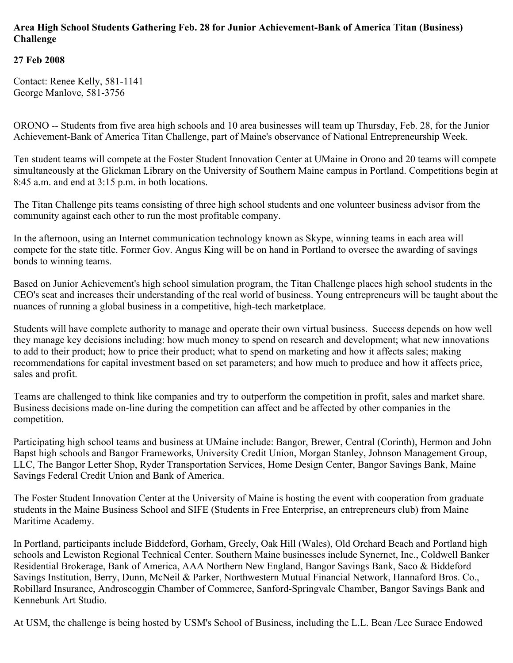## **Area High School Students Gathering Feb. 28 for Junior Achievement-Bank of America Titan (Business) Challenge**

# **27 Feb 2008**

Contact: Renee Kelly, 581-1141 George Manlove, 581-3756

ORONO -- Students from five area high schools and 10 area businesses will team up Thursday, Feb. 28, for the Junior Achievement-Bank of America Titan Challenge, part of Maine's observance of National Entrepreneurship Week.

Ten student teams will compete at the Foster Student Innovation Center at UMaine in Orono and 20 teams will compete simultaneously at the Glickman Library on the University of Southern Maine campus in Portland. Competitions begin at 8:45 a.m. and end at 3:15 p.m. in both locations.

The Titan Challenge pits teams consisting of three high school students and one volunteer business advisor from the community against each other to run the most profitable company.

In the afternoon, using an Internet communication technology known as Skype, winning teams in each area will compete for the state title. Former Gov. Angus King will be on hand in Portland to oversee the awarding of savings bonds to winning teams.

Based on Junior Achievement's high school simulation program, the Titan Challenge places high school students in the CEO's seat and increases their understanding of the real world of business. Young entrepreneurs will be taught about the nuances of running a global business in a competitive, high-tech marketplace.

Students will have complete authority to manage and operate their own virtual business. Success depends on how well they manage key decisions including: how much money to spend on research and development; what new innovations to add to their product; how to price their product; what to spend on marketing and how it affects sales; making recommendations for capital investment based on set parameters; and how much to produce and how it affects price, sales and profit.

Teams are challenged to think like companies and try to outperform the competition in profit, sales and market share. Business decisions made on-line during the competition can affect and be affected by other companies in the competition.

Participating high school teams and business at UMaine include: Bangor, Brewer, Central (Corinth), Hermon and John Bapst high schools and Bangor Frameworks, University Credit Union, Morgan Stanley, Johnson Management Group, LLC, The Bangor Letter Shop, Ryder Transportation Services, Home Design Center, Bangor Savings Bank, Maine Savings Federal Credit Union and Bank of America.

The Foster Student Innovation Center at the University of Maine is hosting the event with cooperation from graduate students in the Maine Business School and SIFE (Students in Free Enterprise, an entrepreneurs club) from Maine Maritime Academy.

In Portland, participants include Biddeford, Gorham, Greely, Oak Hill (Wales), Old Orchard Beach and Portland high schools and Lewiston Regional Technical Center. Southern Maine businesses include Synernet, Inc., Coldwell Banker Residential Brokerage, Bank of America, AAA Northern New England, Bangor Savings Bank, Saco & Biddeford Savings Institution, Berry, Dunn, McNeil & Parker, Northwestern Mutual Financial Network, Hannaford Bros. Co., Robillard Insurance, Androscoggin Chamber of Commerce, Sanford-Springvale Chamber, Bangor Savings Bank and Kennebunk Art Studio.

At USM, the challenge is being hosted by USM's School of Business, including the L.L. Bean /Lee Surace Endowed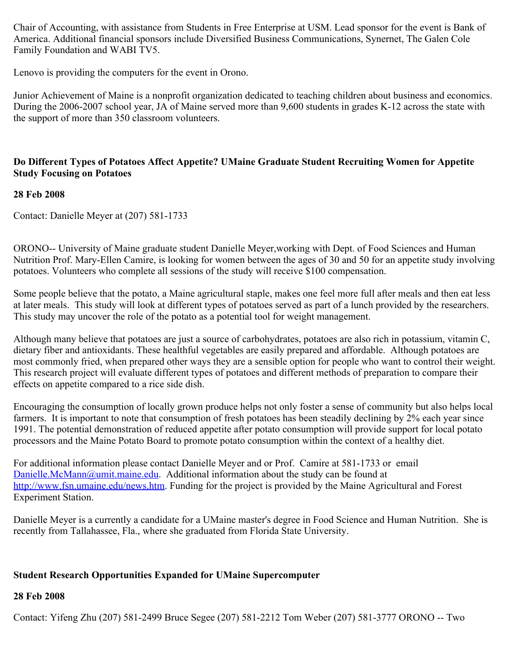Chair of Accounting, with assistance from Students in Free Enterprise at USM. Lead sponsor for the event is Bank of America. Additional financial sponsors include Diversified Business Communications, Synernet, The Galen Cole Family Foundation and WABI TV5.

Lenovo is providing the computers for the event in Orono.

Junior Achievement of Maine is a nonprofit organization dedicated to teaching children about business and economics. During the 2006-2007 school year, JA of Maine served more than 9,600 students in grades K-12 across the state with the support of more than 350 classroom volunteers.

## **Do Different Types of Potatoes Affect Appetite? UMaine Graduate Student Recruiting Women for Appetite Study Focusing on Potatoes**

### **28 Feb 2008**

Contact: Danielle Meyer at (207) 581-1733

ORONO-- University of Maine graduate student Danielle Meyer,working with Dept. of Food Sciences and Human Nutrition Prof. Mary-Ellen Camire, is looking for women between the ages of 30 and 50 for an appetite study involving potatoes. Volunteers who complete all sessions of the study will receive \$100 compensation.

Some people believe that the potato, a Maine agricultural staple, makes one feel more full after meals and then eat less at later meals. This study will look at different types of potatoes served as part of a lunch provided by the researchers. This study may uncover the role of the potato as a potential tool for weight management.

Although many believe that potatoes are just a source of carbohydrates, potatoes are also rich in potassium, vitamin C, dietary fiber and antioxidants. These healthful vegetables are easily prepared and affordable. Although potatoes are most commonly fried, when prepared other ways they are a sensible option for people who want to control their weight. This research project will evaluate different types of potatoes and different methods of preparation to compare their effects on appetite compared to a rice side dish.

Encouraging the consumption of locally grown produce helps not only foster a sense of community but also helps local farmers. It is important to note that consumption of fresh potatoes has been steadily declining by 2% each year since 1991. The potential demonstration of reduced appetite after potato consumption will provide support for local potato processors and the Maine Potato Board to promote potato consumption within the context of a healthy diet.

For additional information please contact Danielle Meyer and or Prof. Camire at 581-1733 or email [Danielle.McMann@umit.maine.edu](mailto:Danielle.McMann@umit.maine.edu). Additional information about the study can be found at <http://www.fsn.umaine.edu/news.htm>. Funding for the project is provided by the Maine Agricultural and Forest Experiment Station.

Danielle Meyer is a currently a candidate for a UMaine master's degree in Food Science and Human Nutrition. She is recently from Tallahassee, Fla., where she graduated from Florida State University.

### **Student Research Opportunities Expanded for UMaine Supercomputer**

### **28 Feb 2008**

Contact: Yifeng Zhu (207) 581-2499 Bruce Segee (207) 581-2212 Tom Weber (207) 581-3777 ORONO -- Two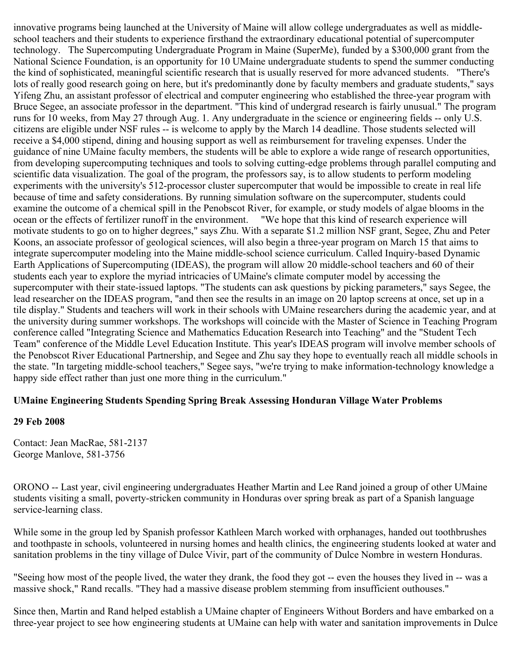innovative programs being launched at the University of Maine will allow college undergraduates as well as middleschool teachers and their students to experience firsthand the extraordinary educational potential of supercomputer technology. The Supercomputing Undergraduate Program in Maine (SuperMe), funded by a \$300,000 grant from the National Science Foundation, is an opportunity for 10 UMaine undergraduate students to spend the summer conducting the kind of sophisticated, meaningful scientific research that is usually reserved for more advanced students. "There's lots of really good research going on here, but it's predominantly done by faculty members and graduate students," says Yifeng Zhu, an assistant professor of electrical and computer engineering who established the three-year program with Bruce Segee, an associate professor in the department. "This kind of undergrad research is fairly unusual." The program runs for 10 weeks, from May 27 through Aug. 1. Any undergraduate in the science or engineering fields -- only U.S. citizens are eligible under NSF rules -- is welcome to apply by the March 14 deadline. Those students selected will receive a \$4,000 stipend, dining and housing support as well as reimbursement for traveling expenses. Under the guidance of nine UMaine faculty members, the students will be able to explore a wide range of research opportunities, from developing supercomputing techniques and tools to solving cutting-edge problems through parallel computing and scientific data visualization. The goal of the program, the professors say, is to allow students to perform modeling experiments with the university's 512-processor cluster supercomputer that would be impossible to create in real life because of time and safety considerations. By running simulation software on the supercomputer, students could examine the outcome of a chemical spill in the Penobscot River, for example, or study models of algae blooms in the ocean or the effects of fertilizer runoff in the environment. "We hope that this kind of research experience will motivate students to go on to higher degrees," says Zhu. With a separate \$1.2 million NSF grant, Segee, Zhu and Peter Koons, an associate professor of geological sciences, will also begin a three-year program on March 15 that aims to integrate supercomputer modeling into the Maine middle-school science curriculum. Called Inquiry-based Dynamic Earth Applications of Supercomputing (IDEAS), the program will allow 20 middle-school teachers and 60 of their students each year to explore the myriad intricacies of UMaine's climate computer model by accessing the supercomputer with their state-issued laptops. "The students can ask questions by picking parameters," says Segee, the lead researcher on the IDEAS program, "and then see the results in an image on 20 laptop screens at once, set up in a tile display." Students and teachers will work in their schools with UMaine researchers during the academic year, and at the university during summer workshops. The workshops will coincide with the Master of Science in Teaching Program conference called "Integrating Science and Mathematics Education Research into Teaching" and the "Student Tech Team" conference of the Middle Level Education Institute. This year's IDEAS program will involve member schools of the Penobscot River Educational Partnership, and Segee and Zhu say they hope to eventually reach all middle schools in the state. "In targeting middle-school teachers," Segee says, "we're trying to make information-technology knowledge a happy side effect rather than just one more thing in the curriculum."

## **UMaine Engineering Students Spending Spring Break Assessing Honduran Village Water Problems**

### **29 Feb 2008**

Contact: Jean MacRae, 581-2137 George Manlove, 581-3756

ORONO -- Last year, civil engineering undergraduates Heather Martin and Lee Rand joined a group of other UMaine students visiting a small, poverty-stricken community in Honduras over spring break as part of a Spanish language service-learning class.

While some in the group led by Spanish professor Kathleen March worked with orphanages, handed out toothbrushes and toothpaste in schools, volunteered in nursing homes and health clinics, the engineering students looked at water and sanitation problems in the tiny village of Dulce Vivir, part of the community of Dulce Nombre in western Honduras.

"Seeing how most of the people lived, the water they drank, the food they got -- even the houses they lived in -- was a massive shock," Rand recalls. "They had a massive disease problem stemming from insufficient outhouses."

Since then, Martin and Rand helped establish a UMaine chapter of Engineers Without Borders and have embarked on a three-year project to see how engineering students at UMaine can help with water and sanitation improvements in Dulce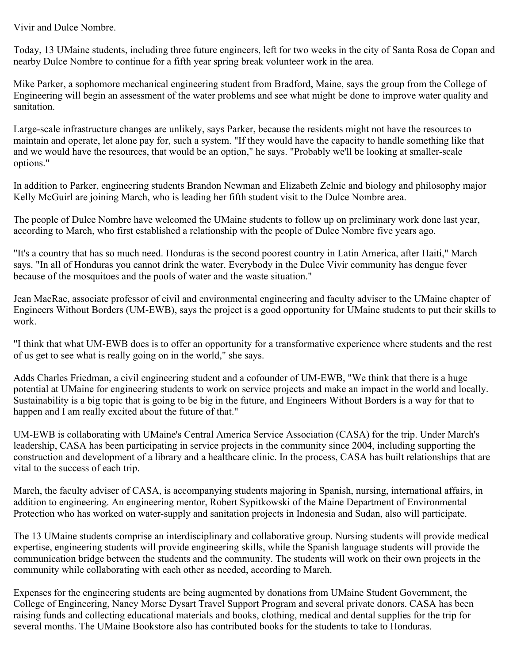Vivir and Dulce Nombre.

Today, 13 UMaine students, including three future engineers, left for two weeks in the city of Santa Rosa de Copan and nearby Dulce Nombre to continue for a fifth year spring break volunteer work in the area.

Mike Parker, a sophomore mechanical engineering student from Bradford, Maine, says the group from the College of Engineering will begin an assessment of the water problems and see what might be done to improve water quality and sanitation.

Large-scale infrastructure changes are unlikely, says Parker, because the residents might not have the resources to maintain and operate, let alone pay for, such a system. "If they would have the capacity to handle something like that and we would have the resources, that would be an option," he says. "Probably we'll be looking at smaller-scale options."

In addition to Parker, engineering students Brandon Newman and Elizabeth Zelnic and biology and philosophy major Kelly McGuirl are joining March, who is leading her fifth student visit to the Dulce Nombre area.

The people of Dulce Nombre have welcomed the UMaine students to follow up on preliminary work done last year, according to March, who first established a relationship with the people of Dulce Nombre five years ago.

"It's a country that has so much need. Honduras is the second poorest country in Latin America, after Haiti," March says. "In all of Honduras you cannot drink the water. Everybody in the Dulce Vivir community has dengue fever because of the mosquitoes and the pools of water and the waste situation."

Jean MacRae, associate professor of civil and environmental engineering and faculty adviser to the UMaine chapter of Engineers Without Borders (UM-EWB), says the project is a good opportunity for UMaine students to put their skills to work.

"I think that what UM-EWB does is to offer an opportunity for a transformative experience where students and the rest of us get to see what is really going on in the world," she says.

Adds Charles Friedman, a civil engineering student and a cofounder of UM-EWB, "We think that there is a huge potential at UMaine for engineering students to work on service projects and make an impact in the world and locally. Sustainability is a big topic that is going to be big in the future, and Engineers Without Borders is a way for that to happen and I am really excited about the future of that."

UM-EWB is collaborating with UMaine's Central America Service Association (CASA) for the trip. Under March's leadership, CASA has been participating in service projects in the community since 2004, including supporting the construction and development of a library and a healthcare clinic. In the process, CASA has built relationships that are vital to the success of each trip.

March, the faculty adviser of CASA, is accompanying students majoring in Spanish, nursing, international affairs, in addition to engineering. An engineering mentor, Robert Sypitkowski of the Maine Department of Environmental Protection who has worked on water-supply and sanitation projects in Indonesia and Sudan, also will participate.

The 13 UMaine students comprise an interdisciplinary and collaborative group. Nursing students will provide medical expertise, engineering students will provide engineering skills, while the Spanish language students will provide the communication bridge between the students and the community. The students will work on their own projects in the community while collaborating with each other as needed, according to March.

Expenses for the engineering students are being augmented by donations from UMaine Student Government, the College of Engineering, Nancy Morse Dysart Travel Support Program and several private donors. CASA has been raising funds and collecting educational materials and books, clothing, medical and dental supplies for the trip for several months. The UMaine Bookstore also has contributed books for the students to take to Honduras.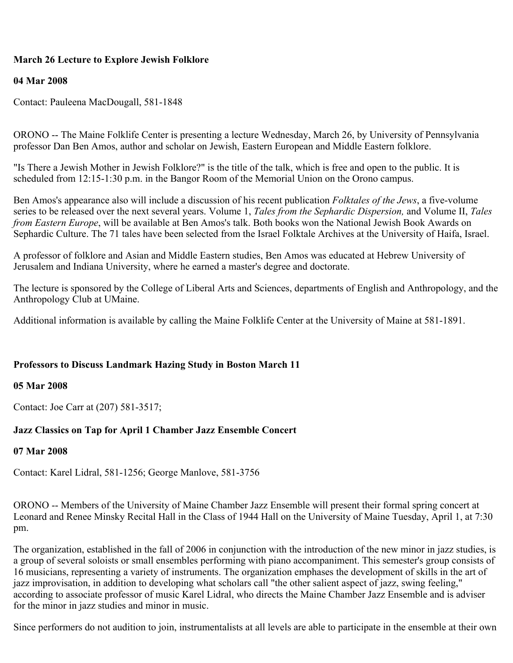# **March 26 Lecture to Explore Jewish Folklore**

### **04 Mar 2008**

Contact: Pauleena MacDougall, 581-1848

ORONO -- The Maine Folklife Center is presenting a lecture Wednesday, March 26, by University of Pennsylvania professor Dan Ben Amos, author and scholar on Jewish, Eastern European and Middle Eastern folklore.

"Is There a Jewish Mother in Jewish Folklore?" is the title of the talk, which is free and open to the public. It is scheduled from 12:15-1:30 p.m. in the Bangor Room of the Memorial Union on the Orono campus.

Ben Amos's appearance also will include a discussion of his recent publication *Folktales of the Jews*, a five-volume series to be released over the next several years. Volume 1, *Tales from the Sephardic Dispersion,* and Volume II, *Tales from Eastern Europe*, will be available at Ben Amos's talk. Both books won the National Jewish Book Awards on Sephardic Culture. The 71 tales have been selected from the Israel Folktale Archives at the University of Haifa, Israel.

A professor of folklore and Asian and Middle Eastern studies, Ben Amos was educated at Hebrew University of Jerusalem and Indiana University, where he earned a master's degree and doctorate.

The lecture is sponsored by the College of Liberal Arts and Sciences, departments of English and Anthropology, and the Anthropology Club at UMaine.

Additional information is available by calling the Maine Folklife Center at the University of Maine at 581-1891.

### **Professors to Discuss Landmark Hazing Study in Boston March 11**

### **05 Mar 2008**

Contact: Joe Carr at (207) 581-3517;

## **Jazz Classics on Tap for April 1 Chamber Jazz Ensemble Concert**

### **07 Mar 2008**

Contact: Karel Lidral, 581-1256; George Manlove, 581-3756

ORONO -- Members of the University of Maine Chamber Jazz Ensemble will present their formal spring concert at Leonard and Renee Minsky Recital Hall in the Class of 1944 Hall on the University of Maine Tuesday, April 1, at 7:30 pm.

The organization, established in the fall of 2006 in conjunction with the introduction of the new minor in jazz studies, is a group of several soloists or small ensembles performing with piano accompaniment. This semester's group consists of 16 musicians, representing a variety of instruments. The organization emphases the development of skills in the art of jazz improvisation, in addition to developing what scholars call "the other salient aspect of jazz, swing feeling," according to associate professor of music Karel Lidral, who directs the Maine Chamber Jazz Ensemble and is adviser for the minor in jazz studies and minor in music.

Since performers do not audition to join, instrumentalists at all levels are able to participate in the ensemble at their own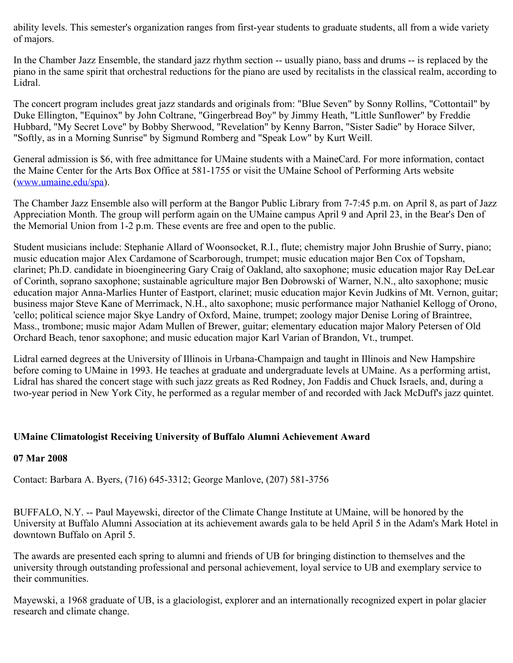ability levels. This semester's organization ranges from first-year students to graduate students, all from a wide variety of majors.

In the Chamber Jazz Ensemble, the standard jazz rhythm section -- usually piano, bass and drums -- is replaced by the piano in the same spirit that orchestral reductions for the piano are used by recitalists in the classical realm, according to Lidral.

The concert program includes great jazz standards and originals from: "Blue Seven" by Sonny Rollins, "Cottontail" by Duke Ellington, "Equinox" by John Coltrane, "Gingerbread Boy" by Jimmy Heath, "Little Sunflower" by Freddie Hubbard, "My Secret Love" by Bobby Sherwood, "Revelation" by Kenny Barron, "Sister Sadie" by Horace Silver, "Softly, as in a Morning Sunrise" by Sigmund Romberg and "Speak Low" by Kurt Weill.

General admission is \$6, with free admittance for UMaine students with a MaineCard. For more information, contact the Maine Center for the Arts Box Office at 581-1755 or visit the UMaine School of Performing Arts website ([www.umaine.edu/spa\)](http://www.umaine.edu/spa).

The Chamber Jazz Ensemble also will perform at the Bangor Public Library from 7-7:45 p.m. on April 8, as part of Jazz Appreciation Month. The group will perform again on the UMaine campus April 9 and April 23, in the Bear's Den of the Memorial Union from 1-2 p.m. These events are free and open to the public.

Student musicians include: Stephanie Allard of Woonsocket, R.I., flute; chemistry major John Brushie of Surry, piano; music education major Alex Cardamone of Scarborough, trumpet; music education major Ben Cox of Topsham, clarinet; Ph.D. candidate in bioengineering Gary Craig of Oakland, alto saxophone; music education major Ray DeLear of Corinth, soprano saxophone; sustainable agriculture major Ben Dobrowski of Warner, N.N., alto saxophone; music education major Anna-Marlies Hunter of Eastport, clarinet; music education major Kevin Judkins of Mt. Vernon, guitar; business major Steve Kane of Merrimack, N.H., alto saxophone; music performance major Nathaniel Kellogg of Orono, 'cello; political science major Skye Landry of Oxford, Maine, trumpet; zoology major Denise Loring of Braintree, Mass., trombone; music major Adam Mullen of Brewer, guitar; elementary education major Malory Petersen of Old Orchard Beach, tenor saxophone; and music education major Karl Varian of Brandon, Vt., trumpet.

Lidral earned degrees at the University of Illinois in Urbana-Champaign and taught in Illinois and New Hampshire before coming to UMaine in 1993. He teaches at graduate and undergraduate levels at UMaine. As a performing artist, Lidral has shared the concert stage with such jazz greats as Red Rodney, Jon Faddis and Chuck Israels, and, during a two-year period in New York City, he performed as a regular member of and recorded with Jack McDuff's jazz quintet.

## **UMaine Climatologist Receiving University of Buffalo Alumni Achievement Award**

## **07 Mar 2008**

Contact: Barbara A. Byers, (716) 645-3312; George Manlove, (207) 581-3756

BUFFALO, N.Y. -- Paul Mayewski, director of the Climate Change Institute at UMaine, will be honored by the University at Buffalo Alumni Association at its achievement awards gala to be held April 5 in the Adam's Mark Hotel in downtown Buffalo on April 5.

The awards are presented each spring to alumni and friends of UB for bringing distinction to themselves and the university through outstanding professional and personal achievement, loyal service to UB and exemplary service to their communities.

Mayewski, a 1968 graduate of UB, is a glaciologist, explorer and an internationally recognized expert in polar glacier research and climate change.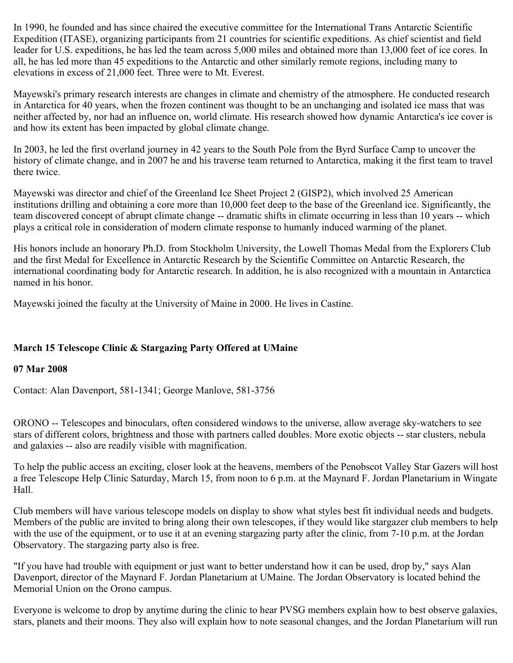In 1990, he founded and has since chaired the executive committee for the International Trans Antarctic Scientific Expedition (ITASE), organizing participants from 21 countries for scientific expeditions. As chief scientist and field leader for U.S. expeditions, he has led the team across 5,000 miles and obtained more than 13,000 feet of ice cores. In all, he has led more than 45 expeditions to the Antarctic and other similarly remote regions, including many to elevations in excess of 21,000 feet. Three were to Mt. Everest.

Mayewski's primary research interests are changes in climate and chemistry of the atmosphere. He conducted research in Antarctica for 40 years, when the frozen continent was thought to be an unchanging and isolated ice mass that was neither affected by, nor had an influence on, world climate. His research showed how dynamic Antarctica's ice cover is and how its extent has been impacted by global climate change.

In 2003, he led the first overland journey in 42 years to the South Pole from the Byrd Surface Camp to uncover the history of climate change, and in 2007 he and his traverse team returned to Antarctica, making it the first team to travel there twice.

Mayewski was director and chief of the Greenland Ice Sheet Project 2 (GISP2), which involved 25 American institutions drilling and obtaining a core more than 10,000 feet deep to the base of the Greenland ice. Significantly, the team discovered concept of abrupt climate change -- dramatic shifts in climate occurring in less than 10 years -- which plays a critical role in consideration of modern climate response to humanly induced warming of the planet.

His honors include an honorary Ph.D. from Stockholm University, the Lowell Thomas Medal from the Explorers Club and the first Medal for Excellence in Antarctic Research by the Scientific Committee on Antarctic Research, the international coordinating body for Antarctic research. In addition, he is also recognized with a mountain in Antarctica named in his honor.

Mayewski joined the faculty at the University of Maine in 2000. He lives in Castine.

# **March 15 Telescope Clinic & Stargazing Party Offered at UMaine**

## **07 Mar 2008**

Contact: Alan Davenport, 581-1341; George Manlove, 581-3756

ORONO -- Telescopes and binoculars, often considered windows to the universe, allow average sky-watchers to see stars of different colors, brightness and those with partners called doubles. More exotic objects -- star clusters, nebula and galaxies -- also are readily visible with magnification.

To help the public access an exciting, closer look at the heavens, members of the Penobscot Valley Star Gazers will host a free Telescope Help Clinic Saturday, March 15, from noon to 6 p.m. at the Maynard F. Jordan Planetarium in Wingate Hall.

Club members will have various telescope models on display to show what styles best fit individual needs and budgets. Members of the public are invited to bring along their own telescopes, if they would like stargazer club members to help with the use of the equipment, or to use it at an evening stargazing party after the clinic, from 7-10 p.m. at the Jordan Observatory. The stargazing party also is free.

"If you have had trouble with equipment or just want to better understand how it can be used, drop by," says Alan Davenport, director of the Maynard F. Jordan Planetarium at UMaine. The Jordan Observatory is located behind the Memorial Union on the Orono campus.

Everyone is welcome to drop by anytime during the clinic to hear PVSG members explain how to best observe galaxies, stars, planets and their moons. They also will explain how to note seasonal changes, and the Jordan Planetarium will run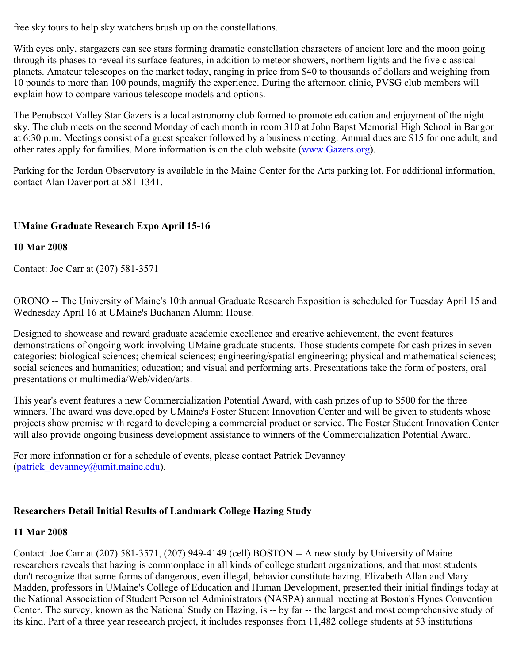free sky tours to help sky watchers brush up on the constellations.

With eyes only, stargazers can see stars forming dramatic constellation characters of ancient lore and the moon going through its phases to reveal its surface features, in addition to meteor showers, northern lights and the five classical planets. Amateur telescopes on the market today, ranging in price from \$40 to thousands of dollars and weighing from 10 pounds to more than 100 pounds, magnify the experience. During the afternoon clinic, PVSG club members will explain how to compare various telescope models and options.

The Penobscot Valley Star Gazers is a local astronomy club formed to promote education and enjoyment of the night sky. The club meets on the second Monday of each month in room 310 at John Bapst Memorial High School in Bangor at 6:30 p.m. Meetings consist of a guest speaker followed by a business meeting. Annual dues are \$15 for one adult, and other rates apply for families. More information is on the club website [\(www.Gazers.org](http://www.gazers.org/)).

Parking for the Jordan Observatory is available in the Maine Center for the Arts parking lot. For additional information, contact Alan Davenport at 581-1341.

# **UMaine Graduate Research Expo April 15-16**

# **10 Mar 2008**

Contact: Joe Carr at (207) 581-3571

ORONO -- The University of Maine's 10th annual Graduate Research Exposition is scheduled for Tuesday April 15 and Wednesday April 16 at UMaine's Buchanan Alumni House.

Designed to showcase and reward graduate academic excellence and creative achievement, the event features demonstrations of ongoing work involving UMaine graduate students. Those students compete for cash prizes in seven categories: biological sciences; chemical sciences; engineering/spatial engineering; physical and mathematical sciences; social sciences and humanities; education; and visual and performing arts. Presentations take the form of posters, oral presentations or multimedia/Web/video/arts.

This year's event features a new Commercialization Potential Award, with cash prizes of up to \$500 for the three winners. The award was developed by UMaine's Foster Student Innovation Center and will be given to students whose projects show promise with regard to developing a commercial product or service. The Foster Student Innovation Center will also provide ongoing business development assistance to winners of the Commercialization Potential Award.

For more information or for a schedule of events, please contact Patrick Devanney (patrick devanney@umit.maine.edu).

# **Researchers Detail Initial Results of Landmark College Hazing Study**

## **11 Mar 2008**

Contact: Joe Carr at (207) 581-3571, (207) 949-4149 (cell) BOSTON -- A new study by University of Maine researchers reveals that hazing is commonplace in all kinds of college student organizations, and that most students don't recognize that some forms of dangerous, even illegal, behavior constitute hazing. Elizabeth Allan and Mary Madden, professors in UMaine's College of Education and Human Development, presented their initial findings today at the National Association of Student Personnel Administrators (NASPA) annual meeting at Boston's Hynes Convention Center. The survey, known as the National Study on Hazing, is -- by far -- the largest and most comprehensive study of its kind. Part of a three year reseearch project, it includes responses from 11,482 college students at 53 institutions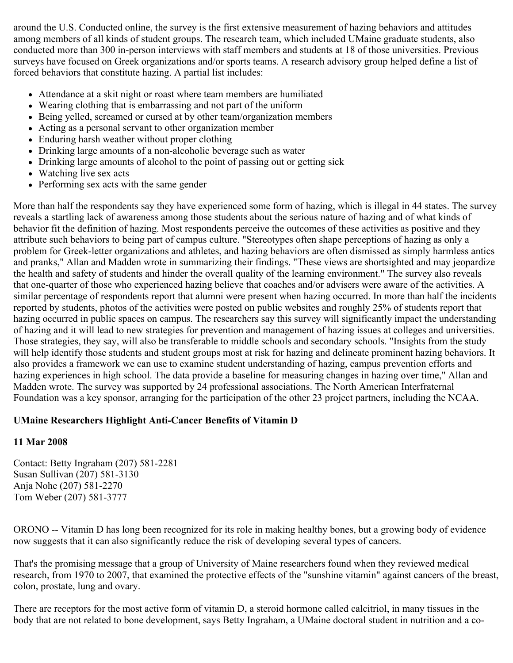around the U.S. Conducted online, the survey is the first extensive measurement of hazing behaviors and attitudes among members of all kinds of student groups. The research team, which included UMaine graduate students, also conducted more than 300 in-person interviews with staff members and students at 18 of those universities. Previous surveys have focused on Greek organizations and/or sports teams. A research advisory group helped define a list of forced behaviors that constitute hazing. A partial list includes:

- Attendance at a skit night or roast where team members are humiliated
- Wearing clothing that is embarrassing and not part of the uniform
- Being yelled, screamed or cursed at by other team/organization members
- Acting as a personal servant to other organization member
- Enduring harsh weather without proper clothing
- Drinking large amounts of a non-alcoholic beverage such as water
- Drinking large amounts of alcohol to the point of passing out or getting sick
- Watching live sex acts
- Performing sex acts with the same gender

More than half the respondents say they have experienced some form of hazing, which is illegal in 44 states. The survey reveals a startling lack of awareness among those students about the serious nature of hazing and of what kinds of behavior fit the definition of hazing. Most respondents perceive the outcomes of these activities as positive and they attribute such behaviors to being part of campus culture. "Stereotypes often shape perceptions of hazing as only a problem for Greek-letter organizations and athletes, and hazing behaviors are often dismissed as simply harmless antics and pranks," Allan and Madden wrote in summarizing their findings. "These views are shortsighted and may jeopardize the health and safety of students and hinder the overall quality of the learning environment." The survey also reveals that one-quarter of those who experienced hazing believe that coaches and/or advisers were aware of the activities. A similar percentage of respondents report that alumni were present when hazing occurred. In more than half the incidents reported by students, photos of the activities were posted on public websites and roughly 25% of students report that hazing occurred in public spaces on campus. The researchers say this survey will significantly impact the understanding of hazing and it will lead to new strategies for prevention and management of hazing issues at colleges and universities. Those strategies, they say, will also be transferable to middle schools and secondary schools. "Insights from the study will help identify those students and student groups most at risk for hazing and delineate prominent hazing behaviors. It also provides a framework we can use to examine student understanding of hazing, campus prevention efforts and hazing experiences in high school. The data provide a baseline for measuring changes in hazing over time," Allan and Madden wrote. The survey was supported by 24 professional associations. The North American Interfraternal Foundation was a key sponsor, arranging for the participation of the other 23 project partners, including the NCAA.

# **UMaine Researchers Highlight Anti-Cancer Benefits of Vitamin D**

## **11 Mar 2008**

Contact: Betty Ingraham (207) 581-2281 Susan Sullivan (207) 581-3130 Anja Nohe (207) 581-2270 Tom Weber (207) 581-3777

ORONO -- Vitamin D has long been recognized for its role in making healthy bones, but a growing body of evidence now suggests that it can also significantly reduce the risk of developing several types of cancers.

That's the promising message that a group of University of Maine researchers found when they reviewed medical research, from 1970 to 2007, that examined the protective effects of the "sunshine vitamin" against cancers of the breast, colon, prostate, lung and ovary.

There are receptors for the most active form of vitamin D, a steroid hormone called calcitriol, in many tissues in the body that are not related to bone development, says Betty Ingraham, a UMaine doctoral student in nutrition and a co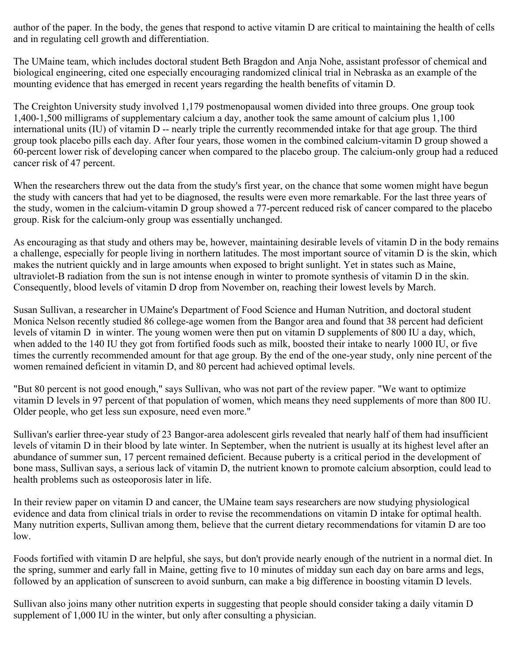author of the paper. In the body, the genes that respond to active vitamin D are critical to maintaining the health of cells and in regulating cell growth and differentiation.

The UMaine team, which includes doctoral student Beth Bragdon and Anja Nohe, assistant professor of chemical and biological engineering, cited one especially encouraging randomized clinical trial in Nebraska as an example of the mounting evidence that has emerged in recent years regarding the health benefits of vitamin D.

The Creighton University study involved 1,179 postmenopausal women divided into three groups. One group took 1,400-1,500 milligrams of supplementary calcium a day, another took the same amount of calcium plus 1,100 international units (IU) of vitamin D -- nearly triple the currently recommended intake for that age group. The third group took placebo pills each day. After four years, those women in the combined calcium-vitamin D group showed a 60-percent lower risk of developing cancer when compared to the placebo group. The calcium-only group had a reduced cancer risk of 47 percent.

When the researchers threw out the data from the study's first year, on the chance that some women might have begun the study with cancers that had yet to be diagnosed, the results were even more remarkable. For the last three years of the study, women in the calcium-vitamin D group showed a 77-percent reduced risk of cancer compared to the placebo group. Risk for the calcium-only group was essentially unchanged.

As encouraging as that study and others may be, however, maintaining desirable levels of vitamin D in the body remains a challenge, especially for people living in northern latitudes. The most important source of vitamin D is the skin, which makes the nutrient quickly and in large amounts when exposed to bright sunlight. Yet in states such as Maine, ultraviolet-B radiation from the sun is not intense enough in winter to promote synthesis of vitamin D in the skin. Consequently, blood levels of vitamin D drop from November on, reaching their lowest levels by March.

Susan Sullivan, a researcher in UMaine's Department of Food Science and Human Nutrition, and doctoral student Monica Nelson recently studied 86 college-age women from the Bangor area and found that 38 percent had deficient levels of vitamin D in winter. The young women were then put on vitamin D supplements of 800 IU a day, which, when added to the 140 IU they got from fortified foods such as milk, boosted their intake to nearly 1000 IU, or five times the currently recommended amount for that age group. By the end of the one-year study, only nine percent of the women remained deficient in vitamin D, and 80 percent had achieved optimal levels.

"But 80 percent is not good enough," says Sullivan, who was not part of the review paper. "We want to optimize vitamin D levels in 97 percent of that population of women, which means they need supplements of more than 800 IU. Older people, who get less sun exposure, need even more."

Sullivan's earlier three-year study of 23 Bangor-area adolescent girls revealed that nearly half of them had insufficient levels of vitamin D in their blood by late winter. In September, when the nutrient is usually at its highest level after an abundance of summer sun, 17 percent remained deficient. Because puberty is a critical period in the development of bone mass, Sullivan says, a serious lack of vitamin D, the nutrient known to promote calcium absorption, could lead to health problems such as osteoporosis later in life.

In their review paper on vitamin D and cancer, the UMaine team says researchers are now studying physiological evidence and data from clinical trials in order to revise the recommendations on vitamin D intake for optimal health. Many nutrition experts, Sullivan among them, believe that the current dietary recommendations for vitamin D are too low.

Foods fortified with vitamin D are helpful, she says, but don't provide nearly enough of the nutrient in a normal diet. In the spring, summer and early fall in Maine, getting five to 10 minutes of midday sun each day on bare arms and legs, followed by an application of sunscreen to avoid sunburn, can make a big difference in boosting vitamin D levels.

Sullivan also joins many other nutrition experts in suggesting that people should consider taking a daily vitamin D supplement of 1,000 IU in the winter, but only after consulting a physician.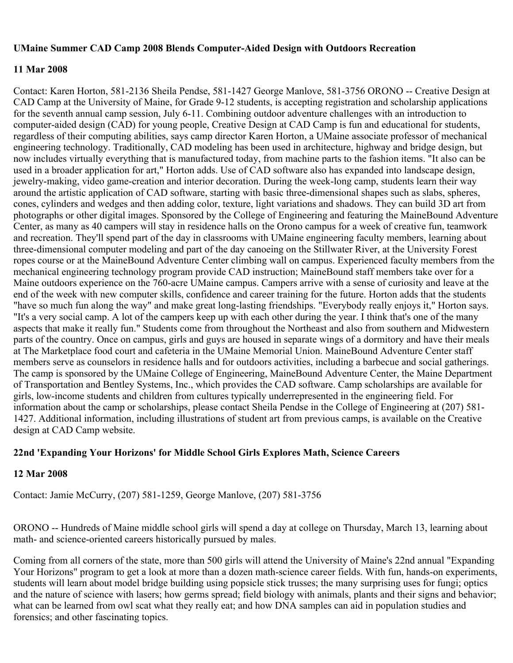### **UMaine Summer CAD Camp 2008 Blends Computer-Aided Design with Outdoors Recreation**

### **11 Mar 2008**

Contact: Karen Horton, 581-2136 Sheila Pendse, 581-1427 George Manlove, 581-3756 ORONO -- Creative Design at CAD Camp at the University of Maine, for Grade 9-12 students, is accepting registration and scholarship applications for the seventh annual camp session, July 6-11. Combining outdoor adventure challenges with an introduction to computer-aided design (CAD) for young people, Creative Design at CAD Camp is fun and educational for students, regardless of their computing abilities, says camp director Karen Horton, a UMaine associate professor of mechanical engineering technology. Traditionally, CAD modeling has been used in architecture, highway and bridge design, but now includes virtually everything that is manufactured today, from machine parts to the fashion items. "It also can be used in a broader application for art," Horton adds. Use of CAD software also has expanded into landscape design, jewelry-making, video game-creation and interior decoration. During the week-long camp, students learn their way around the artistic application of CAD software, starting with basic three-dimensional shapes such as slabs, spheres, cones, cylinders and wedges and then adding color, texture, light variations and shadows. They can build 3D art from photographs or other digital images. Sponsored by the College of Engineering and featuring the MaineBound Adventure Center, as many as 40 campers will stay in residence halls on the Orono campus for a week of creative fun, teamwork and recreation. They'll spend part of the day in classrooms with UMaine engineering faculty members, learning about three-dimensional computer modeling and part of the day canoeing on the Stillwater River, at the University Forest ropes course or at the MaineBound Adventure Center climbing wall on campus. Experienced faculty members from the mechanical engineering technology program provide CAD instruction; MaineBound staff members take over for a Maine outdoors experience on the 760-acre UMaine campus. Campers arrive with a sense of curiosity and leave at the end of the week with new computer skills, confidence and career training for the future. Horton adds that the students "have so much fun along the way" and make great long-lasting friendships. "Everybody really enjoys it," Horton says. "It's a very social camp. A lot of the campers keep up with each other during the year. I think that's one of the many aspects that make it really fun." Students come from throughout the Northeast and also from southern and Midwestern parts of the country. Once on campus, girls and guys are housed in separate wings of a dormitory and have their meals at The Marketplace food court and cafeteria in the UMaine Memorial Union. MaineBound Adventure Center staff members serve as counselors in residence halls and for outdoors activities, including a barbecue and social gatherings. The camp is sponsored by the UMaine College of Engineering, MaineBound Adventure Center, the Maine Department of Transportation and Bentley Systems, Inc., which provides the CAD software. Camp scholarships are available for girls, low-income students and children from cultures typically underrepresented in the engineering field. For information about the camp or scholarships, please contact Sheila Pendse in the College of Engineering at (207) 581- 1427. Additional information, including illustrations of student art from previous camps, is available on the Creative design at CAD Camp website.

## **22nd 'Expanding Your Horizons' for Middle School Girls Explores Math, Science Careers**

## **12 Mar 2008**

Contact: Jamie McCurry, (207) 581-1259, George Manlove, (207) 581-3756

ORONO -- Hundreds of Maine middle school girls will spend a day at college on Thursday, March 13, learning about math- and science-oriented careers historically pursued by males.

Coming from all corners of the state, more than 500 girls will attend the University of Maine's 22nd annual "Expanding Your Horizons" program to get a look at more than a dozen math-science career fields. With fun, hands-on experiments, students will learn about model bridge building using popsicle stick trusses; the many surprising uses for fungi; optics and the nature of science with lasers; how germs spread; field biology with animals, plants and their signs and behavior; what can be learned from owl scat what they really eat; and how DNA samples can aid in population studies and forensics; and other fascinating topics.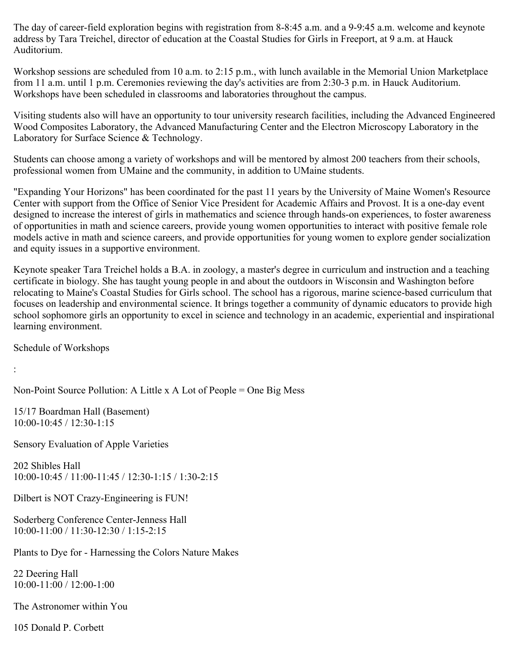The day of career-field exploration begins with registration from 8-8:45 a.m. and a 9-9:45 a.m. welcome and keynote address by Tara Treichel, director of education at the Coastal Studies for Girls in Freeport, at 9 a.m. at Hauck Auditorium.

Workshop sessions are scheduled from 10 a.m. to 2:15 p.m., with lunch available in the Memorial Union Marketplace from 11 a.m. until 1 p.m. Ceremonies reviewing the day's activities are from 2:30-3 p.m. in Hauck Auditorium. Workshops have been scheduled in classrooms and laboratories throughout the campus.

Visiting students also will have an opportunity to tour university research facilities, including the Advanced Engineered Wood Composites Laboratory, the Advanced Manufacturing Center and the Electron Microscopy Laboratory in the Laboratory for Surface Science & Technology.

Students can choose among a variety of workshops and will be mentored by almost 200 teachers from their schools, professional women from UMaine and the community, in addition to UMaine students.

"Expanding Your Horizons" has been coordinated for the past 11 years by the University of Maine Women's Resource Center with support from the Office of Senior Vice President for Academic Affairs and Provost. It is a one-day event designed to increase the interest of girls in mathematics and science through hands-on experiences, to foster awareness of opportunities in math and science careers, provide young women opportunities to interact with positive female role models active in math and science careers, and provide opportunities for young women to explore gender socialization and equity issues in a supportive environment.

Keynote speaker Tara Treichel holds a B.A. in zoology, a master's degree in curriculum and instruction and a teaching certificate in biology. She has taught young people in and about the outdoors in Wisconsin and Washington before relocating to Maine's Coastal Studies for Girls school. The school has a rigorous, marine science-based curriculum that focuses on leadership and environmental science. It brings together a community of dynamic educators to provide high school sophomore girls an opportunity to excel in science and technology in an academic, experiential and inspirational learning environment.

Schedule of Workshops

:

Non-Point Source Pollution: A Little x A Lot of People = One Big Mess

15/17 Boardman Hall (Basement) 10:00-10:45 / 12:30-1:15

Sensory Evaluation of Apple Varieties

202 Shibles Hall 10:00-10:45 / 11:00-11:45 / 12:30-1:15 / 1:30-2:15

Dilbert is NOT Crazy-Engineering is FUN!

Soderberg Conference Center-Jenness Hall 10:00-11:00 / 11:30-12:30 / 1:15-2:15

Plants to Dye for - Harnessing the Colors Nature Makes

22 Deering Hall 10:00-11:00 / 12:00-1:00

The Astronomer within You

105 Donald P. Corbett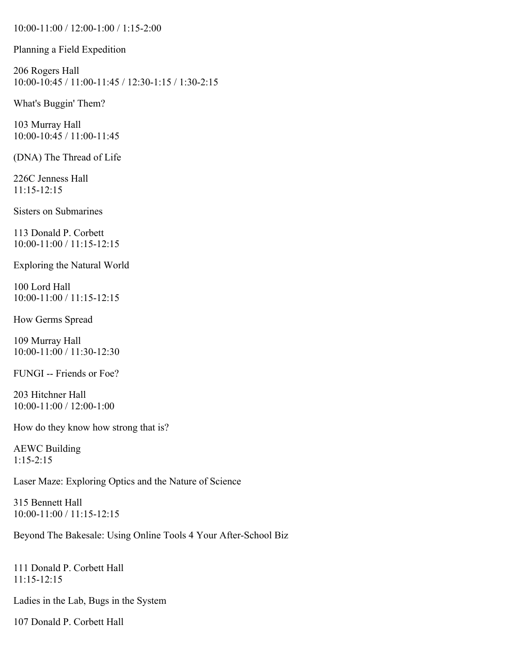10:00-11:00 / 12:00-1:00 / 1:15-2:00

Planning a Field Expedition

206 Rogers Hall 10:00-10:45 / 11:00-11:45 / 12:30-1:15 / 1:30-2:15

What's Buggin' Them?

103 Murray Hall 10:00-10:45 / 11:00-11:45

(DNA) The Thread of Life

226C Jenness Hall 11:15-12:15

Sisters on Submarines

113 Donald P. Corbett 10:00-11:00 / 11:15-12:15

Exploring the Natural World

100 Lord Hall 10:00-11:00 / 11:15-12:15

How Germs Spread

109 Murray Hall 10:00-11:00 / 11:30-12:30

FUNGI -- Friends or Foe?

203 Hitchner Hall 10:00-11:00 / 12:00-1:00

How do they know how strong that is?

AEWC Building 1:15-2:15

Laser Maze: Exploring Optics and the Nature of Science

315 Bennett Hall 10:00-11:00 / 11:15-12:15

Beyond The Bakesale: Using Online Tools 4 Your After-School Biz

111 Donald P. Corbett Hall 11:15-12:15

Ladies in the Lab, Bugs in the System

107 Donald P. Corbett Hall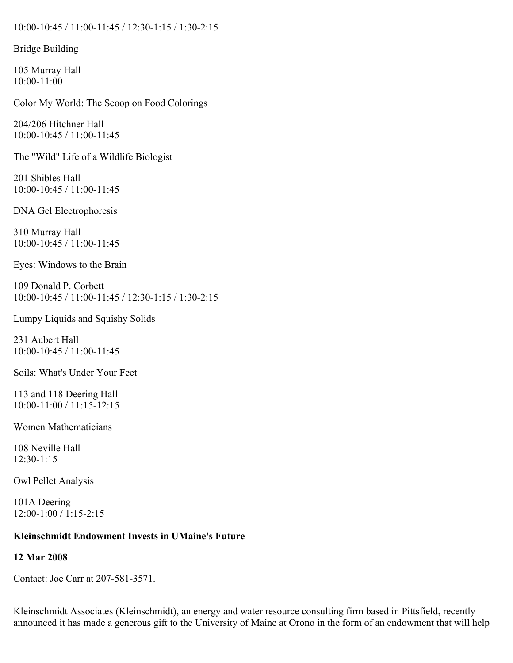### 10:00-10:45 / 11:00-11:45 / 12:30-1:15 / 1:30-2:15

### Bridge Building

105 Murray Hall 10:00-11:00

Color My World: The Scoop on Food Colorings

204/206 Hitchner Hall 10:00-10:45 / 11:00-11:45

The "Wild" Life of a Wildlife Biologist

201 Shibles Hall 10:00-10:45 / 11:00-11:45

DNA Gel Electrophoresis

310 Murray Hall 10:00-10:45 / 11:00-11:45

Eyes: Windows to the Brain

109 Donald P. Corbett 10:00-10:45 / 11:00-11:45 / 12:30-1:15 / 1:30-2:15

Lumpy Liquids and Squishy Solids

231 Aubert Hall 10:00-10:45 / 11:00-11:45

Soils: What's Under Your Feet

113 and 118 Deering Hall 10:00-11:00 / 11:15-12:15

Women Mathematicians

108 Neville Hall 12:30-1:15

Owl Pellet Analysis

101A Deering 12:00-1:00 / 1:15-2:15

### **Kleinschmidt Endowment Invests in UMaine's Future**

## **12 Mar 2008**

Contact: Joe Carr at 207-581-3571.

Kleinschmidt Associates (Kleinschmidt), an energy and water resource consulting firm based in Pittsfield, recently announced it has made a generous gift to the University of Maine at Orono in the form of an endowment that will help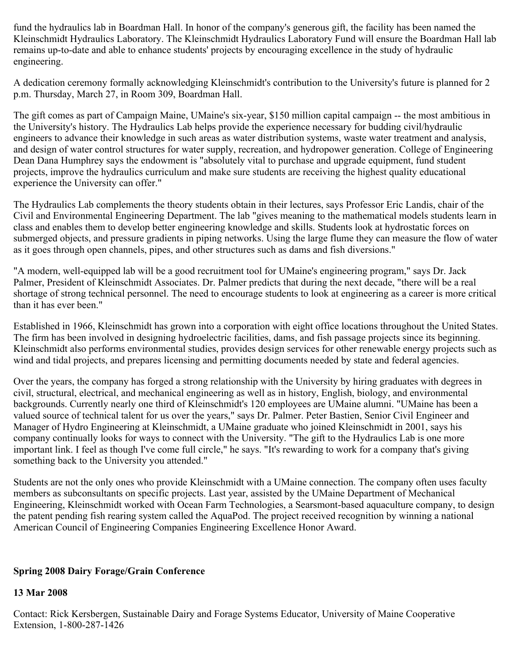fund the hydraulics lab in Boardman Hall. In honor of the company's generous gift, the facility has been named the Kleinschmidt Hydraulics Laboratory. The Kleinschmidt Hydraulics Laboratory Fund will ensure the Boardman Hall lab remains up-to-date and able to enhance students' projects by encouraging excellence in the study of hydraulic engineering.

A dedication ceremony formally acknowledging Kleinschmidt's contribution to the University's future is planned for 2 p.m. Thursday, March 27, in Room 309, Boardman Hall.

The gift comes as part of Campaign Maine, UMaine's six-year, \$150 million capital campaign -- the most ambitious in the University's history. The Hydraulics Lab helps provide the experience necessary for budding civil/hydraulic engineers to advance their knowledge in such areas as water distribution systems, waste water treatment and analysis, and design of water control structures for water supply, recreation, and hydropower generation. College of Engineering Dean Dana Humphrey says the endowment is "absolutely vital to purchase and upgrade equipment, fund student projects, improve the hydraulics curriculum and make sure students are receiving the highest quality educational experience the University can offer."

The Hydraulics Lab complements the theory students obtain in their lectures, says Professor Eric Landis, chair of the Civil and Environmental Engineering Department. The lab "gives meaning to the mathematical models students learn in class and enables them to develop better engineering knowledge and skills. Students look at hydrostatic forces on submerged objects, and pressure gradients in piping networks. Using the large flume they can measure the flow of water as it goes through open channels, pipes, and other structures such as dams and fish diversions."

"A modern, well-equipped lab will be a good recruitment tool for UMaine's engineering program," says Dr. Jack Palmer, President of Kleinschmidt Associates. Dr. Palmer predicts that during the next decade, "there will be a real shortage of strong technical personnel. The need to encourage students to look at engineering as a career is more critical than it has ever been."

Established in 1966, Kleinschmidt has grown into a corporation with eight office locations throughout the United States. The firm has been involved in designing hydroelectric facilities, dams, and fish passage projects since its beginning. Kleinschmidt also performs environmental studies, provides design services for other renewable energy projects such as wind and tidal projects, and prepares licensing and permitting documents needed by state and federal agencies.

Over the years, the company has forged a strong relationship with the University by hiring graduates with degrees in civil, structural, electrical, and mechanical engineering as well as in history, English, biology, and environmental backgrounds. Currently nearly one third of Kleinschmidt's 120 employees are UMaine alumni. "UMaine has been a valued source of technical talent for us over the years," says Dr. Palmer. Peter Bastien, Senior Civil Engineer and Manager of Hydro Engineering at Kleinschmidt, a UMaine graduate who joined Kleinschmidt in 2001, says his company continually looks for ways to connect with the University. "The gift to the Hydraulics Lab is one more important link. I feel as though I've come full circle," he says. "It's rewarding to work for a company that's giving something back to the University you attended."

Students are not the only ones who provide Kleinschmidt with a UMaine connection. The company often uses faculty members as subconsultants on specific projects. Last year, assisted by the UMaine Department of Mechanical Engineering, Kleinschmidt worked with Ocean Farm Technologies, a Searsmont-based aquaculture company, to design the patent pending fish rearing system called the AquaPod. The project received recognition by winning a national American Council of Engineering Companies Engineering Excellence Honor Award.

## **Spring 2008 Dairy Forage/Grain Conference**

## **13 Mar 2008**

Contact: Rick Kersbergen, Sustainable Dairy and Forage Systems Educator, University of Maine Cooperative Extension, 1-800-287-1426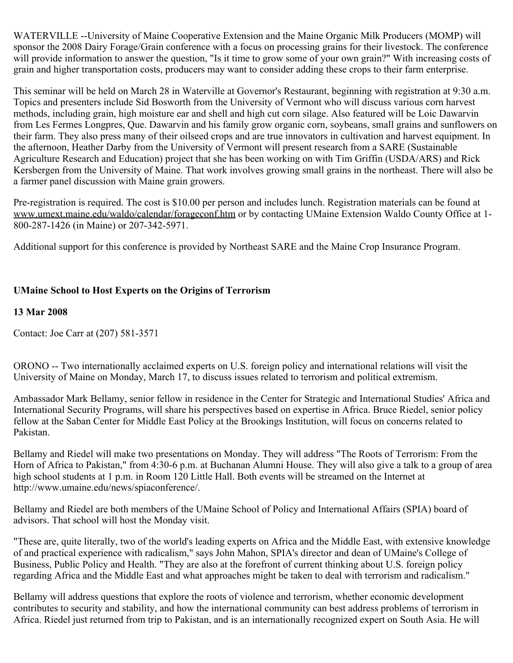WATERVILLE --University of Maine Cooperative Extension and the Maine Organic Milk Producers (MOMP) will sponsor the 2008 Dairy Forage/Grain conference with a focus on processing grains for their livestock. The conference will provide information to answer the question, "Is it time to grow some of your own grain?" With increasing costs of grain and higher transportation costs, producers may want to consider adding these crops to their farm enterprise.

This seminar will be held on March 28 in Waterville at Governor's Restaurant, beginning with registration at 9:30 a.m. Topics and presenters include Sid Bosworth from the University of Vermont who will discuss various corn harvest methods, including grain, high moisture ear and shell and high cut corn silage. Also featured will be Loic Dawarvin from Les Fermes Longpres, Que. Dawarvin and his family grow organic corn, soybeans, small grains and sunflowers on their farm. They also press many of their oilseed crops and are true innovators in cultivation and harvest equipment. In the afternoon, Heather Darby from the University of Vermont will present research from a SARE (Sustainable Agriculture Research and Education) project that she has been working on with Tim Griffin (USDA/ARS) and Rick Kersbergen from the University of Maine. That work involves growing small grains in the northeast. There will also be a farmer panel discussion with Maine grain growers.

Pre-registration is required. The cost is \$10.00 per person and includes lunch. Registration materials can be found at www.umext.maine.edu/waldo/calendar/forageconf.htm or by contacting UMaine Extension Waldo County Office at 1- 800-287-1426 (in Maine) or 207-342-5971.

Additional support for this conference is provided by Northeast SARE and the Maine Crop Insurance Program.

# **UMaine School to Host Experts on the Origins of Terrorism**

## **13 Mar 2008**

Contact: Joe Carr at (207) 581-3571

ORONO -- Two internationally acclaimed experts on U.S. foreign policy and international relations will visit the University of Maine on Monday, March 17, to discuss issues related to terrorism and political extremism.

Ambassador Mark Bellamy, senior fellow in residence in the Center for Strategic and International Studies' Africa and International Security Programs, will share his perspectives based on expertise in Africa. Bruce Riedel, senior policy fellow at the Saban Center for Middle East Policy at the Brookings Institution, will focus on concerns related to Pakistan.

Bellamy and Riedel will make two presentations on Monday. They will address "The Roots of Terrorism: From the Horn of Africa to Pakistan," from 4:30-6 p.m. at Buchanan Alumni House. They will also give a talk to a group of area high school students at 1 p.m. in Room 120 Little Hall. Both events will be streamed on the Internet at http://www.umaine.edu/news/spiaconference/.

Bellamy and Riedel are both members of the UMaine School of Policy and International Affairs (SPIA) board of advisors. That school will host the Monday visit.

"These are, quite literally, two of the world's leading experts on Africa and the Middle East, with extensive knowledge of and practical experience with radicalism," says John Mahon, SPIA's director and dean of UMaine's College of Business, Public Policy and Health. "They are also at the forefront of current thinking about U.S. foreign policy regarding Africa and the Middle East and what approaches might be taken to deal with terrorism and radicalism."

Bellamy will address questions that explore the roots of violence and terrorism, whether economic development contributes to security and stability, and how the international community can best address problems of terrorism in Africa. Riedel just returned from trip to Pakistan, and is an internationally recognized expert on South Asia. He will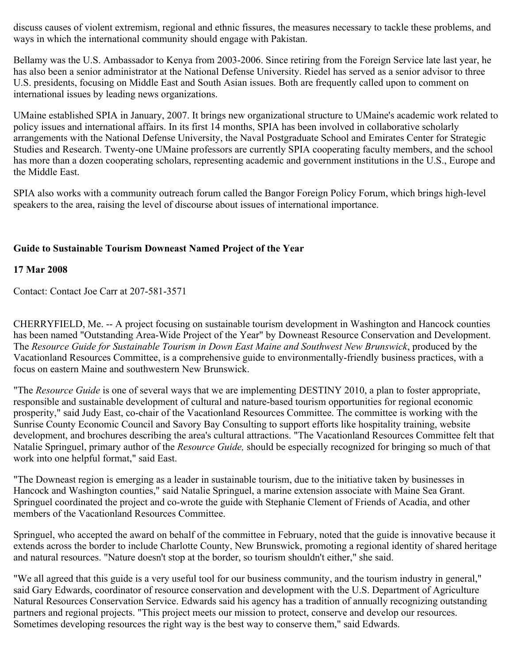discuss causes of violent extremism, regional and ethnic fissures, the measures necessary to tackle these problems, and ways in which the international community should engage with Pakistan.

Bellamy was the U.S. Ambassador to Kenya from 2003-2006. Since retiring from the Foreign Service late last year, he has also been a senior administrator at the National Defense University. Riedel has served as a senior advisor to three U.S. presidents, focusing on Middle East and South Asian issues. Both are frequently called upon to comment on international issues by leading news organizations.

UMaine established SPIA in January, 2007. It brings new organizational structure to UMaine's academic work related to policy issues and international affairs. In its first 14 months, SPIA has been involved in collaborative scholarly arrangements with the National Defense University, the Naval Postgraduate School and Emirates Center for Strategic Studies and Research. Twenty-one UMaine professors are currently SPIA cooperating faculty members, and the school has more than a dozen cooperating scholars, representing academic and government institutions in the U.S., Europe and the Middle East.

SPIA also works with a community outreach forum called the Bangor Foreign Policy Forum, which brings high-level speakers to the area, raising the level of discourse about issues of international importance.

# **Guide to Sustainable Tourism Downeast Named Project of the Year**

## **17 Mar 2008**

Contact: Contact Joe Carr at 207-581-3571

CHERRYFIELD, Me. -- A project focusing on sustainable tourism development in Washington and Hancock counties has been named "Outstanding Area-Wide Project of the Year" by Downeast Resource Conservation and Development. The *Resource Guide for Sustainable Tourism in Down East Maine and Southwest New Brunswick*, produced by the Vacationland Resources Committee, is a comprehensive guide to environmentally-friendly business practices, with a focus on eastern Maine and southwestern New Brunswick.

"The *Resource Guide* is one of several ways that we are implementing DESTINY 2010, a plan to foster appropriate, responsible and sustainable development of cultural and nature-based tourism opportunities for regional economic prosperity," said Judy East, co-chair of the Vacationland Resources Committee. The committee is working with the Sunrise County Economic Council and Savory Bay Consulting to support efforts like hospitality training, website development, and brochures describing the area's cultural attractions. "The Vacationland Resources Committee felt that Natalie Springuel, primary author of the *Resource Guide,* should be especially recognized for bringing so much of that work into one helpful format," said East.

"The Downeast region is emerging as a leader in sustainable tourism, due to the initiative taken by businesses in Hancock and Washington counties," said Natalie Springuel, a marine extension associate with Maine Sea Grant. Springuel coordinated the project and co-wrote the guide with Stephanie Clement of Friends of Acadia, and other members of the Vacationland Resources Committee.

Springuel, who accepted the award on behalf of the committee in February, noted that the guide is innovative because it extends across the border to include Charlotte County, New Brunswick, promoting a regional identity of shared heritage and natural resources. "Nature doesn't stop at the border, so tourism shouldn't either," she said.

"We all agreed that this guide is a very useful tool for our business community, and the tourism industry in general," said Gary Edwards, coordinator of resource conservation and development with the U.S. Department of Agriculture Natural Resources Conservation Service. Edwards said his agency has a tradition of annually recognizing outstanding partners and regional projects. "This project meets our mission to protect, conserve and develop our resources. Sometimes developing resources the right way is the best way to conserve them," said Edwards.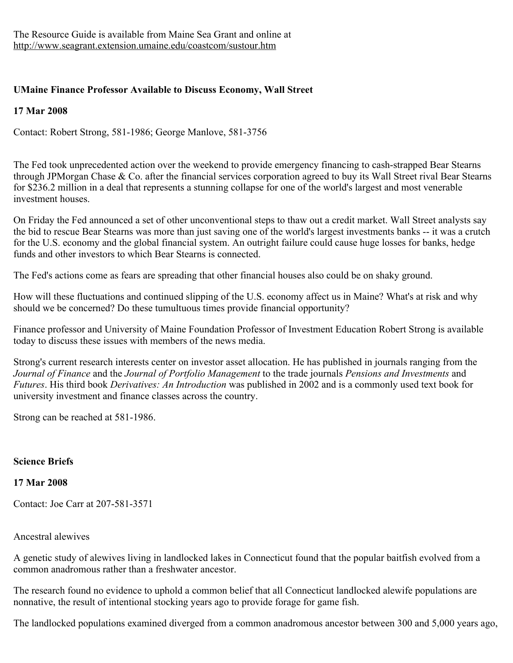# **UMaine Finance Professor Available to Discuss Economy, Wall Street**

# **17 Mar 2008**

Contact: Robert Strong, 581-1986; George Manlove, 581-3756

The Fed took unprecedented action over the weekend to provide emergency financing to cash-strapped Bear Stearns through JPMorgan Chase  $\&$  Co. after the financial services corporation agreed to buy its Wall Street rival Bear Stearns for \$236.2 million in a deal that represents a stunning collapse for one of the world's largest and most venerable investment houses.

On Friday the Fed announced a set of other unconventional steps to thaw out a credit market. Wall Street analysts say the bid to rescue Bear Stearns was more than just saving one of the world's largest investments banks -- it was a crutch for the U.S. economy and the global financial system. An outright failure could cause huge losses for banks, hedge funds and other investors to which Bear Stearns is connected.

The Fed's actions come as fears are spreading that other financial houses also could be on shaky ground.

How will these fluctuations and continued slipping of the U.S. economy affect us in Maine? What's at risk and why should we be concerned? Do these tumultuous times provide financial opportunity?

Finance professor and University of Maine Foundation Professor of Investment Education Robert Strong is available today to discuss these issues with members of the news media.

Strong's current research interests center on investor asset allocation. He has published in journals ranging from the *Journal of Finance* and the *Journal of Portfolio Management* to the trade journals *Pensions and Investments* and *Futures*. His third book *Derivatives: An Introduction* was published in 2002 and is a commonly used text book for university investment and finance classes across the country.

Strong can be reached at 581-1986.

# **Science Briefs**

## **17 Mar 2008**

Contact: Joe Carr at 207-581-3571

## Ancestral alewives

A genetic study of alewives living in landlocked lakes in Connecticut found that the popular baitfish evolved from a common anadromous rather than a freshwater ancestor.

The research found no evidence to uphold a common belief that all Connecticut landlocked alewife populations are nonnative, the result of intentional stocking years ago to provide forage for game fish.

The landlocked populations examined diverged from a common anadromous ancestor between 300 and 5,000 years ago,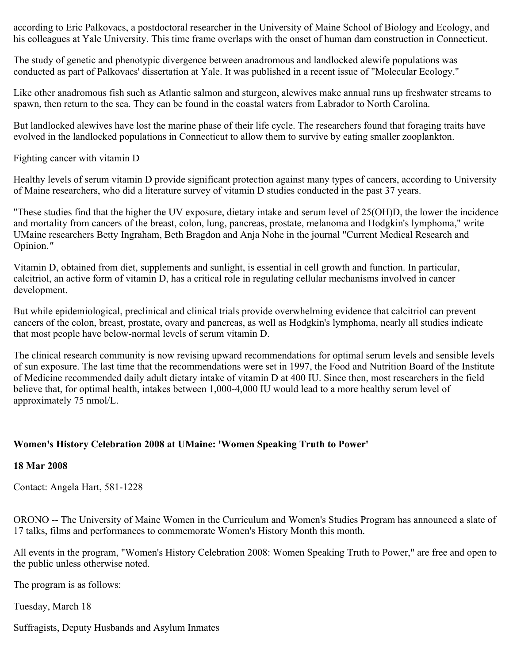according to Eric Palkovacs, a postdoctoral researcher in the University of Maine School of Biology and Ecology, and his colleagues at Yale University. This time frame overlaps with the onset of human dam construction in Connecticut.

The study of genetic and phenotypic divergence between anadromous and landlocked alewife populations was conducted as part of Palkovacs' dissertation at Yale. It was published in a recent issue of "Molecular Ecology."

Like other anadromous fish such as Atlantic salmon and sturgeon, alewives make annual runs up freshwater streams to spawn, then return to the sea. They can be found in the coastal waters from Labrador to North Carolina.

But landlocked alewives have lost the marine phase of their life cycle. The researchers found that foraging traits have evolved in the landlocked populations in Connecticut to allow them to survive by eating smaller zooplankton.

Fighting cancer with vitamin D

Healthy levels of serum vitamin D provide significant protection against many types of cancers, according to University of Maine researchers, who did a literature survey of vitamin D studies conducted in the past 37 years.

"These studies find that the higher the UV exposure, dietary intake and serum level of 25(OH)D, the lower the incidence and mortality from cancers of the breast, colon, lung, pancreas, prostate, melanoma and Hodgkin's lymphoma," write UMaine researchers Betty Ingraham, Beth Bragdon and Anja Nohe in the journal "Current Medical Research and Opinion.*"*

Vitamin D, obtained from diet, supplements and sunlight, is essential in cell growth and function. In particular, calcitriol, an active form of vitamin D, has a critical role in regulating cellular mechanisms involved in cancer development.

But while epidemiological, preclinical and clinical trials provide overwhelming evidence that calcitriol can prevent cancers of the colon, breast, prostate, ovary and pancreas, as well as Hodgkin's lymphoma, nearly all studies indicate that most people have below-normal levels of serum vitamin D.

The clinical research community is now revising upward recommendations for optimal serum levels and sensible levels of sun exposure. The last time that the recommendations were set in 1997, the Food and Nutrition Board of the Institute of Medicine recommended daily adult dietary intake of vitamin D at 400 IU. Since then, most researchers in the field believe that, for optimal health, intakes between 1,000-4,000 IU would lead to a more healthy serum level of approximately 75 nmol/L.

# **Women's History Celebration 2008 at UMaine: 'Women Speaking Truth to Power'**

## **18 Mar 2008**

Contact: Angela Hart, 581-1228

ORONO -- The University of Maine Women in the Curriculum and Women's Studies Program has announced a slate of 17 talks, films and performances to commemorate Women's History Month this month.

All events in the program, "Women's History Celebration 2008: Women Speaking Truth to Power," are free and open to the public unless otherwise noted.

The program is as follows:

Tuesday, March 18

Suffragists, Deputy Husbands and Asylum Inmates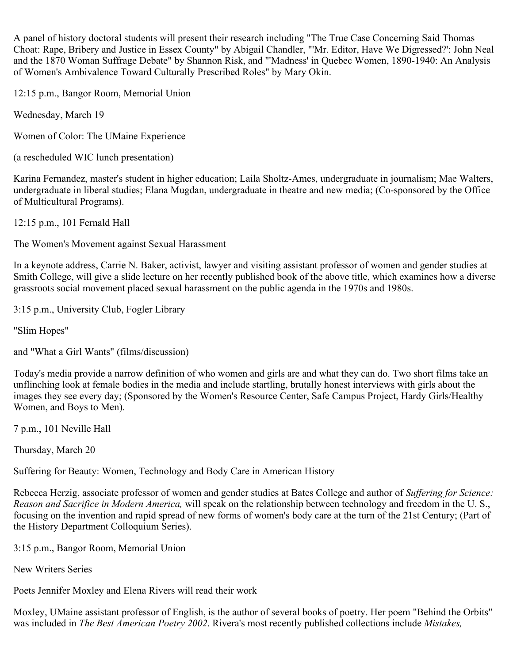A panel of history doctoral students will present their research including "The True Case Concerning Said Thomas Choat: Rape, Bribery and Justice in Essex County" by Abigail Chandler, "'Mr. Editor, Have We Digressed?': John Neal and the 1870 Woman Suffrage Debate" by Shannon Risk, and "'Madness' in Quebec Women, 1890-1940: An Analysis of Women's Ambivalence Toward Culturally Prescribed Roles" by Mary Okin.

12:15 p.m., Bangor Room, Memorial Union

Wednesday, March 19

Women of Color: The UMaine Experience

(a rescheduled WIC lunch presentation)

Karina Fernandez, master's student in higher education; Laila Sholtz-Ames, undergraduate in journalism; Mae Walters, undergraduate in liberal studies; Elana Mugdan, undergraduate in theatre and new media; (Co-sponsored by the Office of Multicultural Programs).

12:15 p.m., 101 Fernald Hall

The Women's Movement against Sexual Harassment

In a keynote address, Carrie N. Baker, activist, lawyer and visiting assistant professor of women and gender studies at Smith College, will give a slide lecture on her recently published book of the above title, which examines how a diverse grassroots social movement placed sexual harassment on the public agenda in the 1970s and 1980s.

3:15 p.m., University Club, Fogler Library

"Slim Hopes"

and "What a Girl Wants" (films/discussion)

Today's media provide a narrow definition of who women and girls are and what they can do. Two short films take an unflinching look at female bodies in the media and include startling, brutally honest interviews with girls about the images they see every day; (Sponsored by the Women's Resource Center, Safe Campus Project, Hardy Girls/Healthy Women, and Boys to Men).

7 p.m., 101 Neville Hall

Thursday, March 20

Suffering for Beauty: Women, Technology and Body Care in American History

Rebecca Herzig, associate professor of women and gender studies at Bates College and author of *Suffering for Science: Reason and Sacrifice in Modern America,* will speak on the relationship between technology and freedom in the U. S., focusing on the invention and rapid spread of new forms of women's body care at the turn of the 21st Century; (Part of the History Department Colloquium Series).

3:15 p.m., Bangor Room, Memorial Union

New Writers Series

Poets Jennifer Moxley and Elena Rivers will read their work

Moxley, UMaine assistant professor of English, is the author of several books of poetry. Her poem "Behind the Orbits" was included in *The Best American Poetry 2002*. Rivera's most recently published collections include *Mistakes,*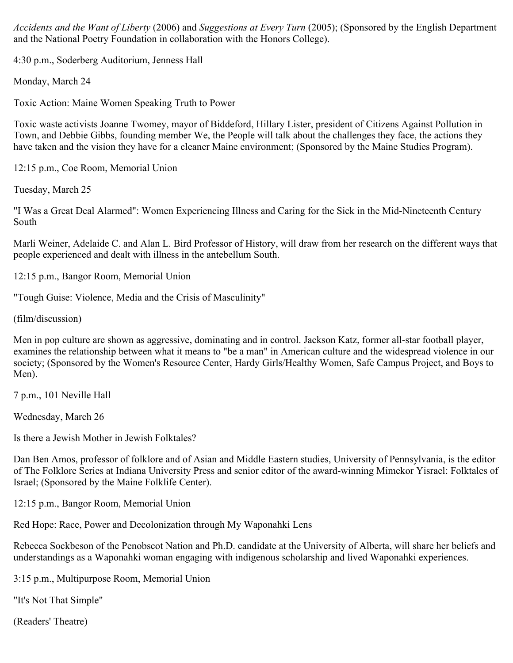*Accidents and the Want of Liberty* (2006) and *Suggestions at Every Turn* (2005); (Sponsored by the English Department and the National Poetry Foundation in collaboration with the Honors College).

4:30 p.m., Soderberg Auditorium, Jenness Hall

Monday, March 24

Toxic Action: Maine Women Speaking Truth to Power

Toxic waste activists Joanne Twomey, mayor of Biddeford, Hillary Lister, president of Citizens Against Pollution in Town, and Debbie Gibbs, founding member We, the People will talk about the challenges they face, the actions they have taken and the vision they have for a cleaner Maine environment; (Sponsored by the Maine Studies Program).

12:15 p.m., Coe Room, Memorial Union

Tuesday, March 25

"I Was a Great Deal Alarmed": Women Experiencing Illness and Caring for the Sick in the Mid-Nineteenth Century South

Marli Weiner, Adelaide C. and Alan L. Bird Professor of History, will draw from her research on the different ways that people experienced and dealt with illness in the antebellum South.

12:15 p.m., Bangor Room, Memorial Union

"Tough Guise: Violence, Media and the Crisis of Masculinity"

(film/discussion)

Men in pop culture are shown as aggressive, dominating and in control. Jackson Katz, former all-star football player, examines the relationship between what it means to "be a man" in American culture and the widespread violence in our society; (Sponsored by the Women's Resource Center, Hardy Girls/Healthy Women, Safe Campus Project, and Boys to Men).

7 p.m., 101 Neville Hall

Wednesday, March 26

Is there a Jewish Mother in Jewish Folktales?

Dan Ben Amos, professor of folklore and of Asian and Middle Eastern studies, University of Pennsylvania, is the editor of The Folklore Series at Indiana University Press and senior editor of the award-winning Mimekor Yisrael: Folktales of Israel; (Sponsored by the Maine Folklife Center).

12:15 p.m., Bangor Room, Memorial Union

Red Hope: Race, Power and Decolonization through My Waponahki Lens

Rebecca Sockbeson of the Penobscot Nation and Ph.D. candidate at the University of Alberta, will share her beliefs and understandings as a Waponahki woman engaging with indigenous scholarship and lived Waponahki experiences.

3:15 p.m., Multipurpose Room, Memorial Union

"It's Not That Simple"

(Readers' Theatre)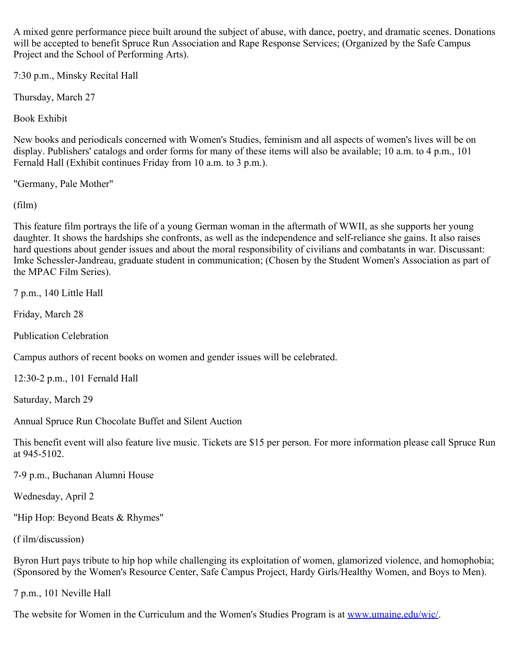A mixed genre performance piece built around the subject of abuse, with dance, poetry, and dramatic scenes. Donations will be accepted to benefit Spruce Run Association and Rape Response Services; (Organized by the Safe Campus Project and the School of Performing Arts).

7:30 p.m., Minsky Recital Hall

Thursday, March 27

Book Exhibit

New books and periodicals concerned with Women's Studies, feminism and all aspects of women's lives will be on display. Publishers' catalogs and order forms for many of these items will also be available; 10 a.m. to 4 p.m., 101 Fernald Hall (Exhibit continues Friday from 10 a.m. to 3 p.m.).

"Germany, Pale Mother"

(film)

This feature film portrays the life of a young German woman in the aftermath of WWII, as she supports her young daughter. It shows the hardships she confronts, as well as the independence and self-reliance she gains. It also raises hard questions about gender issues and about the moral responsibility of civilians and combatants in war. Discussant: Imke Schessler-Jandreau, graduate student in communication; (Chosen by the Student Women's Association as part of the MPAC Film Series).

7 p.m., 140 Little Hall

Friday, March 28

Publication Celebration

Campus authors of recent books on women and gender issues will be celebrated.

12:30-2 p.m., 101 Fernald Hall

Saturday, March 29

Annual Spruce Run Chocolate Buffet and Silent Auction

This benefit event will also feature live music. Tickets are \$15 per person. For more information please call Spruce Run at 945-5102.

7-9 p.m., Buchanan Alumni House

Wednesday, April 2

"Hip Hop: Beyond Beats & Rhymes"

(f ilm/discussion)

Byron Hurt pays tribute to hip hop while challenging its exploitation of women, glamorized violence, and homophobia; (Sponsored by the Women's Resource Center, Safe Campus Project, Hardy Girls/Healthy Women, and Boys to Men).

7 p.m., 101 Neville Hall

The website for Women in the Curriculum and the Women's Studies Program is at [www.umaine.edu/wic/](http://www.umaine.edu/wic/).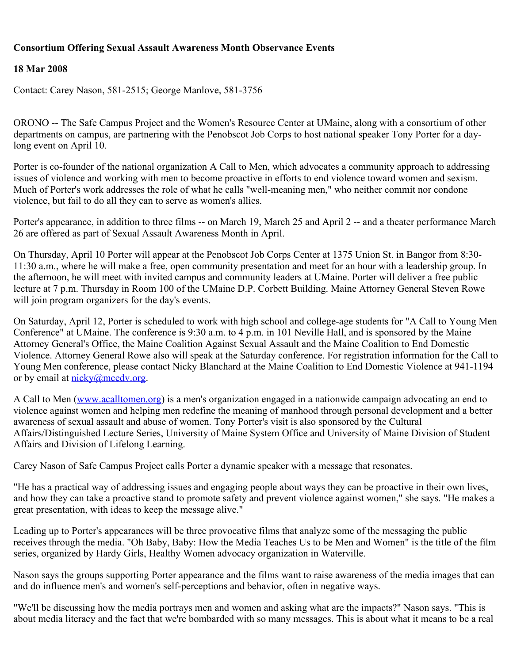## **Consortium Offering Sexual Assault Awareness Month Observance Events**

## **18 Mar 2008**

Contact: Carey Nason, 581-2515; George Manlove, 581-3756

ORONO -- The Safe Campus Project and the Women's Resource Center at UMaine, along with a consortium of other departments on campus, are partnering with the Penobscot Job Corps to host national speaker Tony Porter for a daylong event on April 10.

Porter is co-founder of the national organization A Call to Men, which advocates a community approach to addressing issues of violence and working with men to become proactive in efforts to end violence toward women and sexism. Much of Porter's work addresses the role of what he calls "well-meaning men," who neither commit nor condone violence, but fail to do all they can to serve as women's allies.

Porter's appearance, in addition to three films -- on March 19, March 25 and April 2 -- and a theater performance March 26 are offered as part of Sexual Assault Awareness Month in April.

On Thursday, April 10 Porter will appear at the Penobscot Job Corps Center at 1375 Union St. in Bangor from 8:30- 11:30 a.m., where he will make a free, open community presentation and meet for an hour with a leadership group. In the afternoon, he will meet with invited campus and community leaders at UMaine. Porter will deliver a free public lecture at 7 p.m. Thursday in Room 100 of the UMaine D.P. Corbett Building. Maine Attorney General Steven Rowe will join program organizers for the day's events.

On Saturday, April 12, Porter is scheduled to work with high school and college-age students for "A Call to Young Men Conference" at UMaine. The conference is 9:30 a.m. to 4 p.m. in 101 Neville Hall, and is sponsored by the Maine Attorney General's Office, the Maine Coalition Against Sexual Assault and the Maine Coalition to End Domestic Violence. Attorney General Rowe also will speak at the Saturday conference. For registration information for the Call to Young Men conference, please contact Nicky Blanchard at the Maine Coalition to End Domestic Violence at 941-1194 or by email at [nicky@mcedv.org](mailto:nicky@mcedv.org).

A Call to Men ([www.acalltomen.org\)](http://www.acalltomen.org/) is a men's organization engaged in a nationwide campaign advocating an end to violence against women and helping men redefine the meaning of manhood through personal development and a better awareness of sexual assault and abuse of women. Tony Porter's visit is also sponsored by the Cultural Affairs/Distinguished Lecture Series, University of Maine System Office and University of Maine Division of Student Affairs and Division of Lifelong Learning.

Carey Nason of Safe Campus Project calls Porter a dynamic speaker with a message that resonates.

"He has a practical way of addressing issues and engaging people about ways they can be proactive in their own lives, and how they can take a proactive stand to promote safety and prevent violence against women," she says. "He makes a great presentation, with ideas to keep the message alive."

Leading up to Porter's appearances will be three provocative films that analyze some of the messaging the public receives through the media. "Oh Baby, Baby: How the Media Teaches Us to be Men and Women" is the title of the film series, organized by Hardy Girls, Healthy Women advocacy organization in Waterville.

Nason says the groups supporting Porter appearance and the films want to raise awareness of the media images that can and do influence men's and women's self-perceptions and behavior, often in negative ways.

"We'll be discussing how the media portrays men and women and asking what are the impacts?" Nason says. "This is about media literacy and the fact that we're bombarded with so many messages. This is about what it means to be a real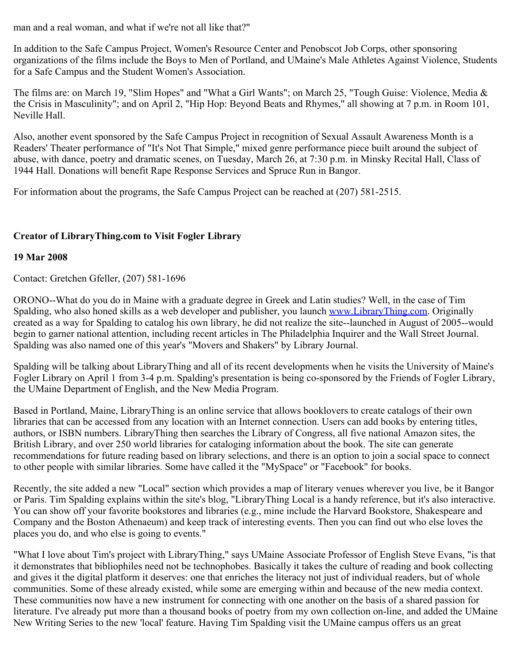man and a real woman, and what if we're not all like that?"

In addition to the Safe Campus Project, Women's Resource Center and Penobscot Job Corps, other sponsoring organizations of the films include the Boys to Men of Portland, and UMaine's Male Athletes Against Violence, Students for a Safe Campus and the Student Women's Association.

The films are: on March 19, "Slim Hopes" and "What a Girl Wants"; on March 25, "Tough Guise: Violence, Media & the Crisis in Masculinity"; and on April 2, "Hip Hop: Beyond Beats and Rhymes," all showing at 7 p.m. in Room 101, Neville Hall.

Also, another event sponsored by the Safe Campus Project in recognition of Sexual Assault Awareness Month is a Readers' Theater performance of "It's Not That Simple," mixed genre performance piece built around the subject of abuse, with dance, poetry and dramatic scenes, on Tuesday, March 26, at 7:30 p.m. in Minsky Recital Hall, Class of 1944 Hall. Donations will benefit Rape Response Services and Spruce Run in Bangor.

For information about the programs, the Safe Campus Project can be reached at (207) 581-2515.

# **Creator of LibraryThing.com to Visit Fogler Library**

## **19 Mar 2008**

Contact: Gretchen Gfeller, (207) 581-1696

ORONO--What do you do in Maine with a graduate degree in Greek and Latin studies? Well, in the case of Tim Spalding, who also honed skills as a web developer and publisher, you launch [www.LibraryThing.com](http://www.librarything.com/). Originally created as a way for Spalding to catalog his own library, he did not realize the site--launched in August of 2005--would begin to garner national attention, including recent articles in The Philadelphia Inquirer and the Wall Street Journal. Spalding was also named one of this year's "Movers and Shakers" by Library Journal.

Spalding will be talking about LibraryThing and all of its recent developments when he visits the University of Maine's Fogler Library on April 1 from 3-4 p.m. Spalding's presentation is being co-sponsored by the Friends of Fogler Library, the UMaine Department of English, and the New Media Program.

Based in Portland, Maine, LibraryThing is an online service that allows booklovers to create catalogs of their own libraries that can be accessed from any location with an Internet connection. Users can add books by entering titles, authors, or ISBN numbers. LibraryThing then searches the Library of Congress, all five national Amazon sites, the British Library, and over 250 world libraries for cataloging information about the book. The site can generate recommendations for future reading based on library selections, and there is an option to join a social space to connect to other people with similar libraries. Some have called it the "MySpace" or "Facebook" for books.

Recently, the site added a new "Local" section which provides a map of literary venues wherever you live, be it Bangor or Paris. Tim Spalding explains within the site's blog, "LibraryThing Local is a handy reference, but it's also interactive. You can show off your favorite bookstores and libraries (e.g., mine include the Harvard Bookstore, Shakespeare and Company and the Boston Athenaeum) and keep track of interesting events. Then you can find out who else loves the places you do, and who else is going to events."

"What I love about Tim's project with LibraryThing," says UMaine Associate Professor of English Steve Evans, "is that it demonstrates that bibliophiles need not be technophobes. Basically it takes the culture of reading and book collecting and gives it the digital platform it deserves: one that enriches the literacy not just of individual readers, but of whole communities. Some of these already existed, while some are emerging within and because of the new media context. These communities now have a new instrument for connecting with one another on the basis of a shared passion for literature. I've already put more than a thousand books of poetry from my own collection on-line, and added the UMaine New Writing Series to the new 'local' feature. Having Tim Spalding visit the UMaine campus offers us an great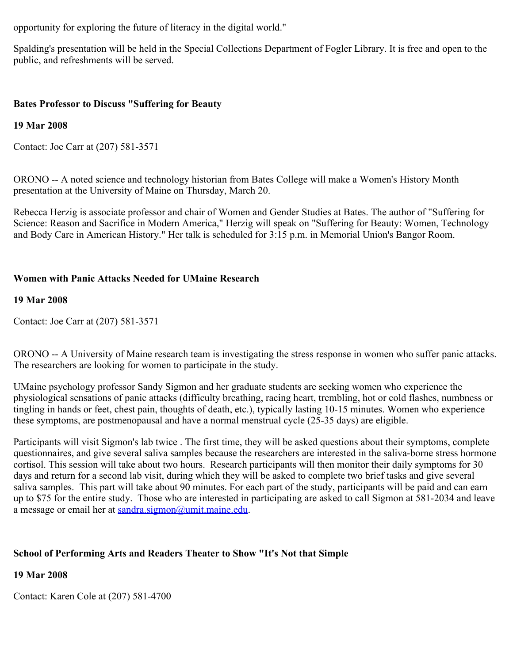opportunity for exploring the future of literacy in the digital world."

Spalding's presentation will be held in the Special Collections Department of Fogler Library. It is free and open to the public, and refreshments will be served.

## **Bates Professor to Discuss "Suffering for Beauty**

## **19 Mar 2008**

Contact: Joe Carr at (207) 581-3571

ORONO -- A noted science and technology historian from Bates College will make a Women's History Month presentation at the University of Maine on Thursday, March 20.

Rebecca Herzig is associate professor and chair of Women and Gender Studies at Bates. The author of "Suffering for Science: Reason and Sacrifice in Modern America," Herzig will speak on "Suffering for Beauty: Women, Technology and Body Care in American History." Her talk is scheduled for 3:15 p.m. in Memorial Union's Bangor Room.

## **Women with Panic Attacks Needed for UMaine Research**

### **19 Mar 2008**

Contact: Joe Carr at (207) 581-3571

ORONO -- A University of Maine research team is investigating the stress response in women who suffer panic attacks. The researchers are looking for women to participate in the study.

UMaine psychology professor Sandy Sigmon and her graduate students are seeking women who experience the physiological sensations of panic attacks (difficulty breathing, racing heart, trembling, hot or cold flashes, numbness or tingling in hands or feet, chest pain, thoughts of death, etc.), typically lasting 10-15 minutes. Women who experience these symptoms, are postmenopausal and have a normal menstrual cycle (25-35 days) are eligible.

Participants will visit Sigmon's lab twice . The first time, they will be asked questions about their symptoms, complete questionnaires, and give several saliva samples because the researchers are interested in the saliva-borne stress hormone cortisol. This session will take about two hours. Research participants will then monitor their daily symptoms for 30 days and return for a second lab visit, during which they will be asked to complete two brief tasks and give several saliva samples. This part will take about 90 minutes. For each part of the study, participants will be paid and can earn up to \$75 for the entire study. Those who are interested in participating are asked to call Sigmon at 581-2034 and leave a message or email her at [sandra.sigmon@umit.maine.edu.](mailto:sandra.sigmon@umit.maine.edu)

# **School of Performing Arts and Readers Theater to Show "It's Not that Simple**

# **19 Mar 2008**

Contact: Karen Cole at (207) 581-4700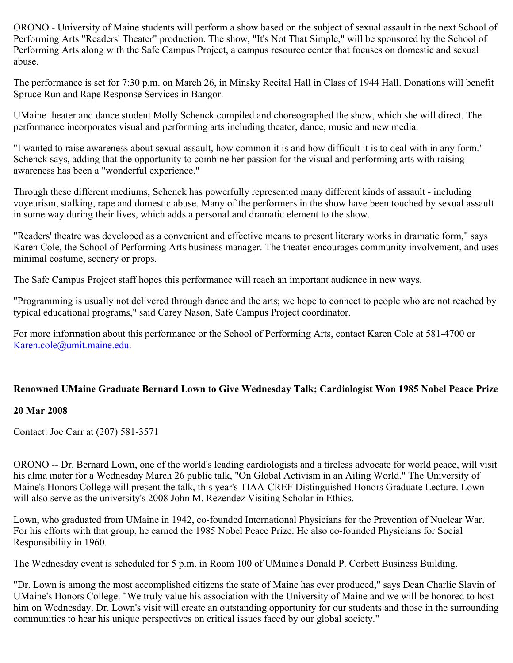ORONO - University of Maine students will perform a show based on the subject of sexual assault in the next School of Performing Arts "Readers' Theater" production. The show, "It's Not That Simple," will be sponsored by the School of Performing Arts along with the Safe Campus Project, a campus resource center that focuses on domestic and sexual abuse.

The performance is set for 7:30 p.m. on March 26, in Minsky Recital Hall in Class of 1944 Hall. Donations will benefit Spruce Run and Rape Response Services in Bangor.

UMaine theater and dance student Molly Schenck compiled and choreographed the show, which she will direct. The performance incorporates visual and performing arts including theater, dance, music and new media.

"I wanted to raise awareness about sexual assault, how common it is and how difficult it is to deal with in any form." Schenck says, adding that the opportunity to combine her passion for the visual and performing arts with raising awareness has been a "wonderful experience."

Through these different mediums, Schenck has powerfully represented many different kinds of assault - including voyeurism, stalking, rape and domestic abuse. Many of the performers in the show have been touched by sexual assault in some way during their lives, which adds a personal and dramatic element to the show.

"Readers' theatre was developed as a convenient and effective means to present literary works in dramatic form," says Karen Cole, the School of Performing Arts business manager. The theater encourages community involvement, and uses minimal costume, scenery or props.

The Safe Campus Project staff hopes this performance will reach an important audience in new ways.

"Programming is usually not delivered through dance and the arts; we hope to connect to people who are not reached by typical educational programs," said Carey Nason, Safe Campus Project coordinator.

For more information about this performance or the School of Performing Arts, contact Karen Cole at 581-4700 or [Karen.cole@umit.maine.edu](mailto:Karen.cole@umit.maine.edu).

# **Renowned UMaine Graduate Bernard Lown to Give Wednesday Talk; Cardiologist Won 1985 Nobel Peace Prize**

### **20 Mar 2008**

Contact: Joe Carr at (207) 581-3571

ORONO -- Dr. Bernard Lown, one of the world's leading cardiologists and a tireless advocate for world peace, will visit his alma mater for a Wednesday March 26 public talk, "On Global Activism in an Ailing World." The University of Maine's Honors College will present the talk, this year's TIAA-CREF Distinguished Honors Graduate Lecture. Lown will also serve as the university's 2008 John M. Rezendez Visiting Scholar in Ethics.

Lown, who graduated from UMaine in 1942, co-founded International Physicians for the Prevention of Nuclear War. For his efforts with that group, he earned the 1985 Nobel Peace Prize. He also co-founded Physicians for Social Responsibility in 1960.

The Wednesday event is scheduled for 5 p.m. in Room 100 of UMaine's Donald P. Corbett Business Building.

"Dr. Lown is among the most accomplished citizens the state of Maine has ever produced," says Dean Charlie Slavin of UMaine's Honors College. "We truly value his association with the University of Maine and we will be honored to host him on Wednesday. Dr. Lown's visit will create an outstanding opportunity for our students and those in the surrounding communities to hear his unique perspectives on critical issues faced by our global society."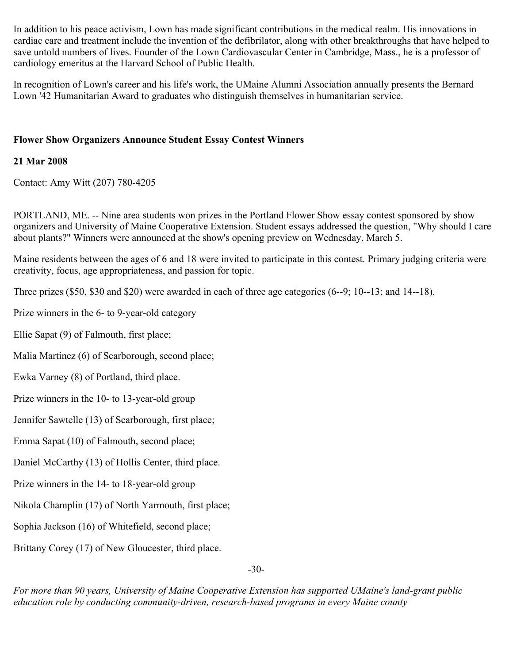In addition to his peace activism, Lown has made significant contributions in the medical realm. His innovations in cardiac care and treatment include the invention of the defibrilator, along with other breakthroughs that have helped to save untold numbers of lives. Founder of the Lown Cardiovascular Center in Cambridge, Mass., he is a professor of cardiology emeritus at the Harvard School of Public Health.

In recognition of Lown's career and his life's work, the UMaine Alumni Association annually presents the Bernard Lown '42 Humanitarian Award to graduates who distinguish themselves in humanitarian service.

## **Flower Show Organizers Announce Student Essay Contest Winners**

## **21 Mar 2008**

Contact: Amy Witt (207) 780-4205

PORTLAND, ME. -- Nine area students won prizes in the Portland Flower Show essay contest sponsored by show organizers and University of Maine Cooperative Extension. Student essays addressed the question, "Why should I care about plants?" Winners were announced at the show's opening preview on Wednesday, March 5.

Maine residents between the ages of 6 and 18 were invited to participate in this contest. Primary judging criteria were creativity, focus, age appropriateness, and passion for topic.

Three prizes (\$50, \$30 and \$20) were awarded in each of three age categories (6--9; 10--13; and 14--18).

Prize winners in the 6- to 9-year-old category

Ellie Sapat (9) of Falmouth, first place;

Malia Martinez (6) of Scarborough, second place;

Ewka Varney (8) of Portland, third place.

Prize winners in the 10- to 13-year-old group

Jennifer Sawtelle (13) of Scarborough, first place;

Emma Sapat (10) of Falmouth, second place;

Daniel McCarthy (13) of Hollis Center, third place.

Prize winners in the 14- to 18-year-old group

Nikola Champlin (17) of North Yarmouth, first place;

Sophia Jackson (16) of Whitefield, second place;

Brittany Corey (17) of New Gloucester, third place.

-30-

*For more than 90 years, University of Maine Cooperative Extension has supported UMaine's land-grant public education role by conducting community-driven, research-based programs in every Maine county*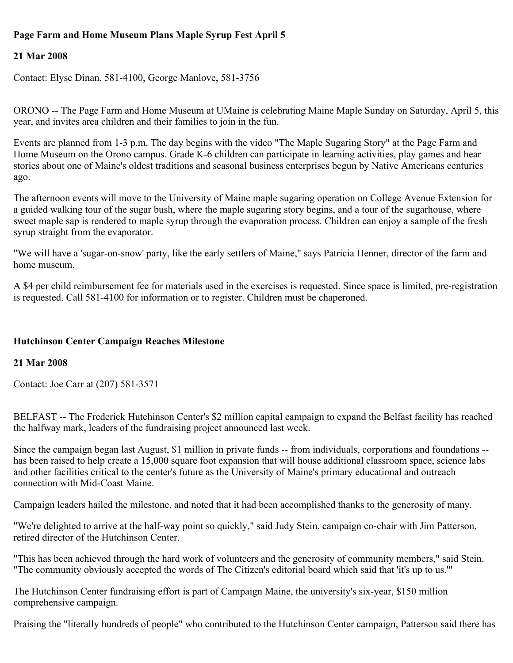# **Page Farm and Home Museum Plans Maple Syrup Fest April 5**

## **21 Mar 2008**

Contact: Elyse Dinan, 581-4100, George Manlove, 581-3756

ORONO -- The Page Farm and Home Museum at UMaine is celebrating Maine Maple Sunday on Saturday, April 5, this year, and invites area children and their families to join in the fun.

Events are planned from 1-3 p.m. The day begins with the video "The Maple Sugaring Story" at the Page Farm and Home Museum on the Orono campus. Grade K-6 children can participate in learning activities, play games and hear stories about one of Maine's oldest traditions and seasonal business enterprises begun by Native Americans centuries ago.

The afternoon events will move to the University of Maine maple sugaring operation on College Avenue Extension for a guided walking tour of the sugar bush, where the maple sugaring story begins, and a tour of the sugarhouse, where sweet maple sap is rendered to maple syrup through the evaporation process. Children can enjoy a sample of the fresh syrup straight from the evaporator.

"We will have a 'sugar-on-snow' party, like the early settlers of Maine," says Patricia Henner, director of the farm and home museum.

A \$4 per child reimbursement fee for materials used in the exercises is requested. Since space is limited, pre-registration is requested. Call 581-4100 for information or to register. Children must be chaperoned.

### **Hutchinson Center Campaign Reaches Milestone**

### **21 Mar 2008**

Contact: Joe Carr at (207) 581-3571

BELFAST -- The Frederick Hutchinson Center's \$2 million capital campaign to expand the Belfast facility has reached the halfway mark, leaders of the fundraising project announced last week.

Since the campaign began last August, \$1 million in private funds -- from individuals, corporations and foundations - has been raised to help create a 15,000 square foot expansion that will house additional classroom space, science labs and other facilities critical to the center's future as the University of Maine's primary educational and outreach connection with Mid-Coast Maine.

Campaign leaders hailed the milestone, and noted that it had been accomplished thanks to the generosity of many.

"We're delighted to arrive at the half-way point so quickly," said Judy Stein, campaign co-chair with Jim Patterson, retired director of the Hutchinson Center.

"This has been achieved through the hard work of volunteers and the generosity of community members," said Stein. "The community obviously accepted the words of The Citizen's editorial board which said that 'it's up to us.'"

The Hutchinson Center fundraising effort is part of Campaign Maine, the university's six-year, \$150 million comprehensive campaign.

Praising the "literally hundreds of people" who contributed to the Hutchinson Center campaign, Patterson said there has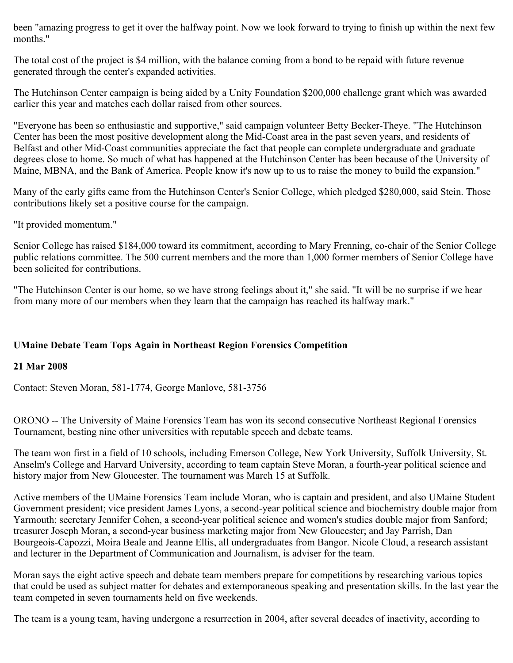been "amazing progress to get it over the halfway point. Now we look forward to trying to finish up within the next few months."

The total cost of the project is \$4 million, with the balance coming from a bond to be repaid with future revenue generated through the center's expanded activities.

The Hutchinson Center campaign is being aided by a Unity Foundation \$200,000 challenge grant which was awarded earlier this year and matches each dollar raised from other sources.

"Everyone has been so enthusiastic and supportive," said campaign volunteer Betty Becker-Theye. "The Hutchinson Center has been the most positive development along the Mid-Coast area in the past seven years, and residents of Belfast and other Mid-Coast communities appreciate the fact that people can complete undergraduate and graduate degrees close to home. So much of what has happened at the Hutchinson Center has been because of the University of Maine, MBNA, and the Bank of America. People know it's now up to us to raise the money to build the expansion."

Many of the early gifts came from the Hutchinson Center's Senior College, which pledged \$280,000, said Stein. Those contributions likely set a positive course for the campaign.

"It provided momentum."

Senior College has raised \$184,000 toward its commitment, according to Mary Frenning, co-chair of the Senior College public relations committee. The 500 current members and the more than 1,000 former members of Senior College have been solicited for contributions.

"The Hutchinson Center is our home, so we have strong feelings about it," she said. "It will be no surprise if we hear from many more of our members when they learn that the campaign has reached its halfway mark."

# **UMaine Debate Team Tops Again in Northeast Region Forensics Competition**

# **21 Mar 2008**

Contact: Steven Moran, 581-1774, George Manlove, 581-3756

ORONO -- The University of Maine Forensics Team has won its second consecutive Northeast Regional Forensics Tournament, besting nine other universities with reputable speech and debate teams.

The team won first in a field of 10 schools, including Emerson College, New York University, Suffolk University, St. Anselm's College and Harvard University, according to team captain Steve Moran, a fourth-year political science and history major from New Gloucester. The tournament was March 15 at Suffolk.

Active members of the UMaine Forensics Team include Moran, who is captain and president, and also UMaine Student Government president; vice president James Lyons, a second-year political science and biochemistry double major from Yarmouth; secretary Jennifer Cohen, a second-year political science and women's studies double major from Sanford; treasurer Joseph Moran, a second-year business marketing major from New Gloucester; and Jay Parrish, Dan Bourgeois-Capozzi, Moira Beale and Jeanne Ellis, all undergraduates from Bangor. Nicole Cloud, a research assistant and lecturer in the Department of Communication and Journalism, is adviser for the team.

Moran says the eight active speech and debate team members prepare for competitions by researching various topics that could be used as subject matter for debates and extemporaneous speaking and presentation skills. In the last year the team competed in seven tournaments held on five weekends.

The team is a young team, having undergone a resurrection in 2004, after several decades of inactivity, according to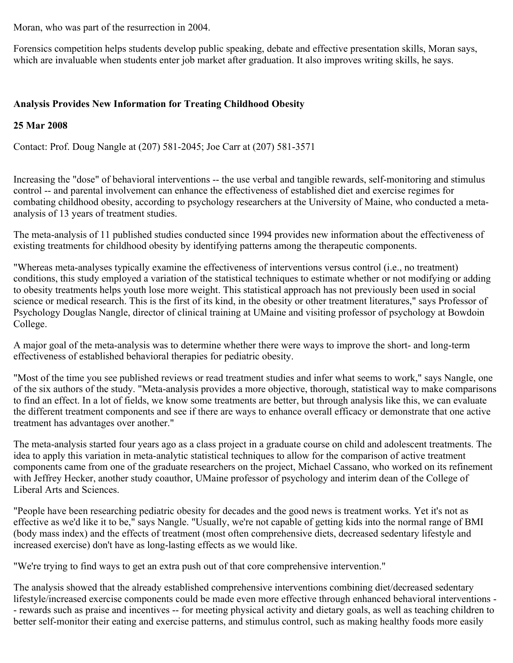Moran, who was part of the resurrection in 2004.

Forensics competition helps students develop public speaking, debate and effective presentation skills, Moran says, which are invaluable when students enter job market after graduation. It also improves writing skills, he says.

## **Analysis Provides New Information for Treating Childhood Obesity**

## **25 Mar 2008**

Contact: Prof. Doug Nangle at (207) 581-2045; Joe Carr at (207) 581-3571

Increasing the "dose" of behavioral interventions -- the use verbal and tangible rewards, self-monitoring and stimulus control -- and parental involvement can enhance the effectiveness of established diet and exercise regimes for combating childhood obesity, according to psychology researchers at the University of Maine, who conducted a metaanalysis of 13 years of treatment studies.

The meta-analysis of 11 published studies conducted since 1994 provides new information about the effectiveness of existing treatments for childhood obesity by identifying patterns among the therapeutic components.

"Whereas meta-analyses typically examine the effectiveness of interventions versus control (i.e., no treatment) conditions, this study employed a variation of the statistical techniques to estimate whether or not modifying or adding to obesity treatments helps youth lose more weight. This statistical approach has not previously been used in social science or medical research. This is the first of its kind, in the obesity or other treatment literatures," says Professor of Psychology Douglas Nangle, director of clinical training at UMaine and visiting professor of psychology at Bowdoin College.

A major goal of the meta-analysis was to determine whether there were ways to improve the short- and long-term effectiveness of established behavioral therapies for pediatric obesity.

"Most of the time you see published reviews or read treatment studies and infer what seems to work," says Nangle, one of the six authors of the study. "Meta-analysis provides a more objective, thorough, statistical way to make comparisons to find an effect. In a lot of fields, we know some treatments are better, but through analysis like this, we can evaluate the different treatment components and see if there are ways to enhance overall efficacy or demonstrate that one active treatment has advantages over another."

The meta-analysis started four years ago as a class project in a graduate course on child and adolescent treatments. The idea to apply this variation in meta-analytic statistical techniques to allow for the comparison of active treatment components came from one of the graduate researchers on the project, Michael Cassano, who worked on its refinement with Jeffrey Hecker, another study coauthor, UMaine professor of psychology and interim dean of the College of Liberal Arts and Sciences.

"People have been researching pediatric obesity for decades and the good news is treatment works. Yet it's not as effective as we'd like it to be," says Nangle. "Usually, we're not capable of getting kids into the normal range of BMI (body mass index) and the effects of treatment (most often comprehensive diets, decreased sedentary lifestyle and increased exercise) don't have as long-lasting effects as we would like.

"We're trying to find ways to get an extra push out of that core comprehensive intervention."

The analysis showed that the already established comprehensive interventions combining diet/decreased sedentary lifestyle/increased exercise components could be made even more effective through enhanced behavioral interventions - - rewards such as praise and incentives -- for meeting physical activity and dietary goals, as well as teaching children to better self-monitor their eating and exercise patterns, and stimulus control, such as making healthy foods more easily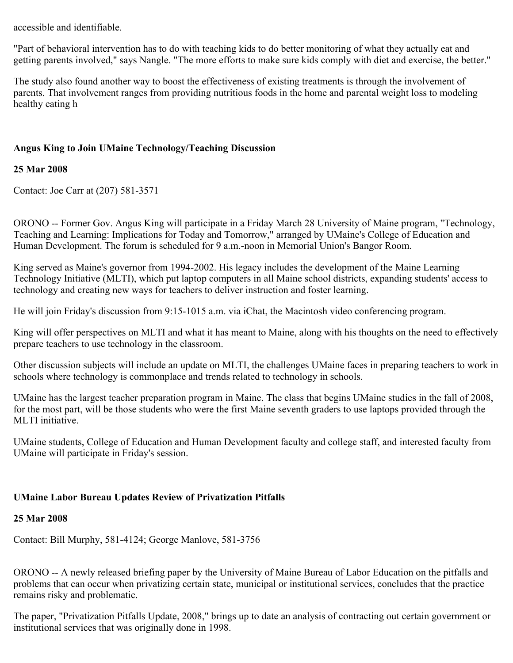accessible and identifiable.

"Part of behavioral intervention has to do with teaching kids to do better monitoring of what they actually eat and getting parents involved," says Nangle. "The more efforts to make sure kids comply with diet and exercise, the better."

The study also found another way to boost the effectiveness of existing treatments is through the involvement of parents. That involvement ranges from providing nutritious foods in the home and parental weight loss to modeling healthy eating h

## **Angus King to Join UMaine Technology/Teaching Discussion**

## **25 Mar 2008**

Contact: Joe Carr at (207) 581-3571

ORONO -- Former Gov. Angus King will participate in a Friday March 28 University of Maine program, "Technology, Teaching and Learning: Implications for Today and Tomorrow," arranged by UMaine's College of Education and Human Development. The forum is scheduled for 9 a.m.-noon in Memorial Union's Bangor Room.

King served as Maine's governor from 1994-2002. His legacy includes the development of the Maine Learning Technology Initiative (MLTI), which put laptop computers in all Maine school districts, expanding students' access to technology and creating new ways for teachers to deliver instruction and foster learning.

He will join Friday's discussion from 9:15-1015 a.m. via iChat, the Macintosh video conferencing program.

King will offer perspectives on MLTI and what it has meant to Maine, along with his thoughts on the need to effectively prepare teachers to use technology in the classroom.

Other discussion subjects will include an update on MLTI, the challenges UMaine faces in preparing teachers to work in schools where technology is commonplace and trends related to technology in schools.

UMaine has the largest teacher preparation program in Maine. The class that begins UMaine studies in the fall of 2008, for the most part, will be those students who were the first Maine seventh graders to use laptops provided through the MLTI initiative.

UMaine students, College of Education and Human Development faculty and college staff, and interested faculty from UMaine will participate in Friday's session.

### **UMaine Labor Bureau Updates Review of Privatization Pitfalls**

### **25 Mar 2008**

Contact: Bill Murphy, 581-4124; George Manlove, 581-3756

ORONO -- A newly released briefing paper by the University of Maine Bureau of Labor Education on the pitfalls and problems that can occur when privatizing certain state, municipal or institutional services, concludes that the practice remains risky and problematic.

The paper, "Privatization Pitfalls Update, 2008," brings up to date an analysis of contracting out certain government or institutional services that was originally done in 1998.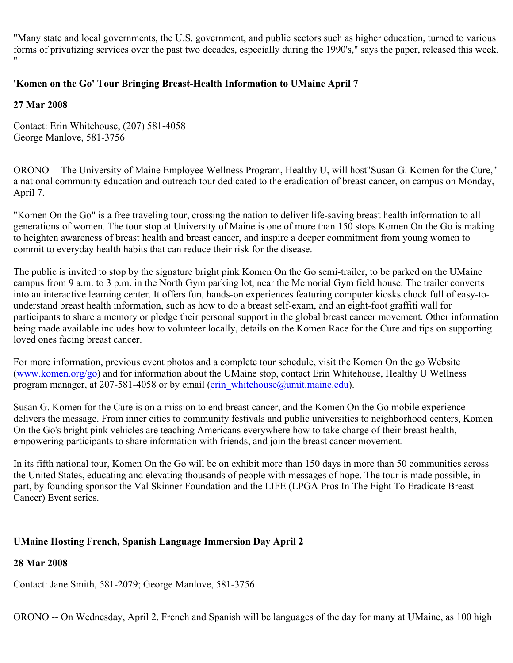"Many state and local governments, the U.S. government, and public sectors such as higher education, turned to various forms of privatizing services over the past two decades, especially during the 1990's," says the paper, released this week. "

# **'Komen on the Go' Tour Bringing Breast-Health Information to UMaine April 7**

## **27 Mar 2008**

Contact: Erin Whitehouse, (207) 581-4058 George Manlove, 581-3756

ORONO -- The University of Maine Employee Wellness Program, Healthy U, will host"Susan G. Komen for the Cure," a national community education and outreach tour dedicated to the eradication of breast cancer, on campus on Monday, April 7.

"Komen On the Go" is a free traveling tour, crossing the nation to deliver life-saving breast health information to all generations of women. The tour stop at University of Maine is one of more than 150 stops Komen On the Go is making to heighten awareness of breast health and breast cancer, and inspire a deeper commitment from young women to commit to everyday health habits that can reduce their risk for the disease.

The public is invited to stop by the signature bright pink Komen On the Go semi-trailer, to be parked on the UMaine campus from 9 a.m. to 3 p.m. in the North Gym parking lot, near the Memorial Gym field house. The trailer converts into an interactive learning center. It offers fun, hands-on experiences featuring computer kiosks chock full of easy-tounderstand breast health information, such as how to do a breast self-exam, and an eight-foot graffiti wall for participants to share a memory or pledge their personal support in the global breast cancer movement. Other information being made available includes how to volunteer locally, details on the Komen Race for the Cure and tips on supporting loved ones facing breast cancer.

For more information, previous event photos and a complete tour schedule, visit the Komen On the go Website ([www.komen.org/go](http://www.komen.org/go)) and for information about the UMaine stop, contact Erin Whitehouse, Healthy U Wellness program manager, at 207-581-4058 or by email [\(erin\\_whitehouse@umit.maine.edu](mailto:erin_whitehouse@umit.maine.edu)).

Susan G. Komen for the Cure is on a mission to end breast cancer, and the Komen On the Go mobile experience delivers the message. From inner cities to community festivals and public universities to neighborhood centers, Komen On the Go's bright pink vehicles are teaching Americans everywhere how to take charge of their breast health, empowering participants to share information with friends, and join the breast cancer movement.

In its fifth national tour, Komen On the Go will be on exhibit more than 150 days in more than 50 communities across the United States, educating and elevating thousands of people with messages of hope. The tour is made possible, in part, by founding sponsor the Val Skinner Foundation and the LIFE (LPGA Pros In The Fight To Eradicate Breast Cancer) Event series.

# **UMaine Hosting French, Spanish Language Immersion Day April 2**

# **28 Mar 2008**

Contact: Jane Smith, 581-2079; George Manlove, 581-3756

ORONO -- On Wednesday, April 2, French and Spanish will be languages of the day for many at UMaine, as 100 high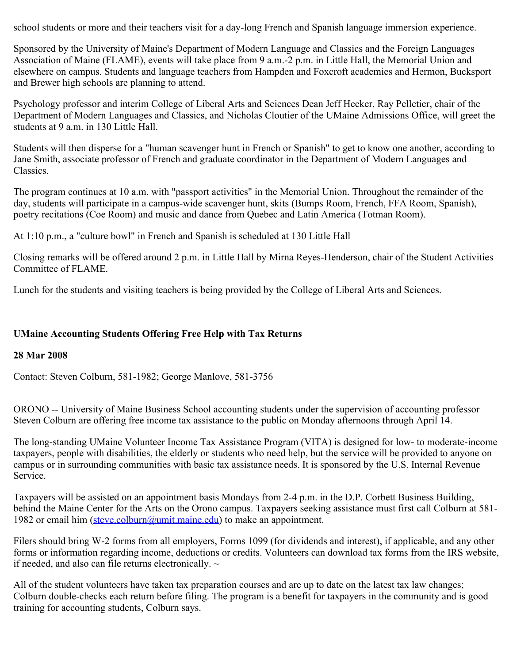school students or more and their teachers visit for a day-long French and Spanish language immersion experience.

Sponsored by the University of Maine's Department of Modern Language and Classics and the Foreign Languages Association of Maine (FLAME), events will take place from 9 a.m.-2 p.m. in Little Hall, the Memorial Union and elsewhere on campus. Students and language teachers from Hampden and Foxcroft academies and Hermon, Bucksport and Brewer high schools are planning to attend.

Psychology professor and interim College of Liberal Arts and Sciences Dean Jeff Hecker, Ray Pelletier, chair of the Department of Modern Languages and Classics, and Nicholas Cloutier of the UMaine Admissions Office, will greet the students at 9 a.m. in 130 Little Hall.

Students will then disperse for a "human scavenger hunt in French or Spanish" to get to know one another, according to Jane Smith, associate professor of French and graduate coordinator in the Department of Modern Languages and Classics.

The program continues at 10 a.m. with "passport activities" in the Memorial Union. Throughout the remainder of the day, students will participate in a campus-wide scavenger hunt, skits (Bumps Room, French, FFA Room, Spanish), poetry recitations (Coe Room) and music and dance from Quebec and Latin America (Totman Room).

At 1:10 p.m., a "culture bowl" in French and Spanish is scheduled at 130 Little Hall

Closing remarks will be offered around 2 p.m. in Little Hall by Mirna Reyes-Henderson, chair of the Student Activities Committee of FLAME.

Lunch for the students and visiting teachers is being provided by the College of Liberal Arts and Sciences.

### **UMaine Accounting Students Offering Free Help with Tax Returns**

### **28 Mar 2008**

Contact: Steven Colburn, 581-1982; George Manlove, 581-3756

ORONO -- University of Maine Business School accounting students under the supervision of accounting professor Steven Colburn are offering free income tax assistance to the public on Monday afternoons through April 14.

The long-standing UMaine Volunteer Income Tax Assistance Program (VITA) is designed for low- to moderate-income taxpayers, people with disabilities, the elderly or students who need help, but the service will be provided to anyone on campus or in surrounding communities with basic tax assistance needs. It is sponsored by the U.S. Internal Revenue Service.

Taxpayers will be assisted on an appointment basis Mondays from 2-4 p.m. in the D.P. Corbett Business Building, behind the Maine Center for the Arts on the Orono campus. Taxpayers seeking assistance must first call Colburn at 581- 1982 or email him [\(steve.colburn@umit.maine.edu](mailto:steve.colburn@umit.maine.edu)) to make an appointment.

Filers should bring W-2 forms from all employers, Forms 1099 (for dividends and interest), if applicable, and any other forms or information regarding income, deductions or credits. Volunteers can download tax forms from the IRS website, if needed, and also can file returns electronically.  $\sim$ 

All of the student volunteers have taken tax preparation courses and are up to date on the latest tax law changes; Colburn double-checks each return before filing. The program is a benefit for taxpayers in the community and is good training for accounting students, Colburn says.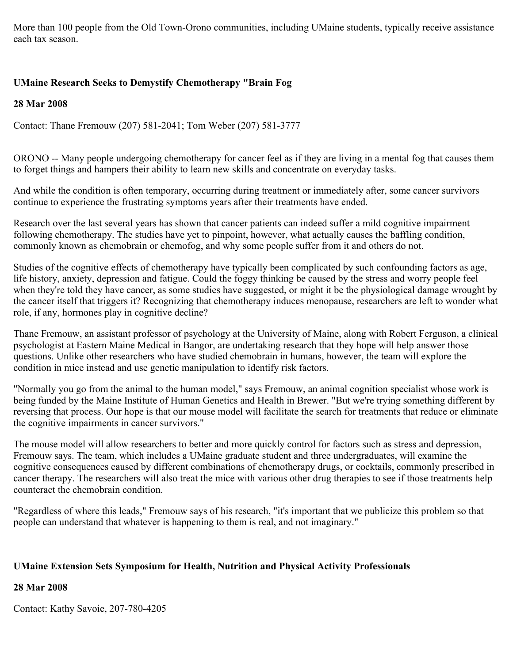More than 100 people from the Old Town-Orono communities, including UMaine students, typically receive assistance each tax season.

# **UMaine Research Seeks to Demystify Chemotherapy "Brain Fog**

**28 Mar 2008**

Contact: Thane Fremouw (207) 581-2041; Tom Weber (207) 581-3777

ORONO -- Many people undergoing chemotherapy for cancer feel as if they are living in a mental fog that causes them to forget things and hampers their ability to learn new skills and concentrate on everyday tasks.

And while the condition is often temporary, occurring during treatment or immediately after, some cancer survivors continue to experience the frustrating symptoms years after their treatments have ended.

Research over the last several years has shown that cancer patients can indeed suffer a mild cognitive impairment following chemotherapy. The studies have yet to pinpoint, however, what actually causes the baffling condition, commonly known as chemobrain or chemofog, and why some people suffer from it and others do not.

Studies of the cognitive effects of chemotherapy have typically been complicated by such confounding factors as age, life history, anxiety, depression and fatigue. Could the foggy thinking be caused by the stress and worry people feel when they're told they have cancer, as some studies have suggested, or might it be the physiological damage wrought by the cancer itself that triggers it? Recognizing that chemotherapy induces menopause, researchers are left to wonder what role, if any, hormones play in cognitive decline?

Thane Fremouw, an assistant professor of psychology at the University of Maine, along with Robert Ferguson, a clinical psychologist at Eastern Maine Medical in Bangor, are undertaking research that they hope will help answer those questions. Unlike other researchers who have studied chemobrain in humans, however, the team will explore the condition in mice instead and use genetic manipulation to identify risk factors.

"Normally you go from the animal to the human model," says Fremouw, an animal cognition specialist whose work is being funded by the Maine Institute of Human Genetics and Health in Brewer. "But we're trying something different by reversing that process. Our hope is that our mouse model will facilitate the search for treatments that reduce or eliminate the cognitive impairments in cancer survivors."

The mouse model will allow researchers to better and more quickly control for factors such as stress and depression, Fremouw says. The team, which includes a UMaine graduate student and three undergraduates, will examine the cognitive consequences caused by different combinations of chemotherapy drugs, or cocktails, commonly prescribed in cancer therapy. The researchers will also treat the mice with various other drug therapies to see if those treatments help counteract the chemobrain condition.

"Regardless of where this leads," Fremouw says of his research, "it's important that we publicize this problem so that people can understand that whatever is happening to them is real, and not imaginary."

# **UMaine Extension Sets Symposium for Health, Nutrition and Physical Activity Professionals**

# **28 Mar 2008**

Contact: Kathy Savoie, 207-780-4205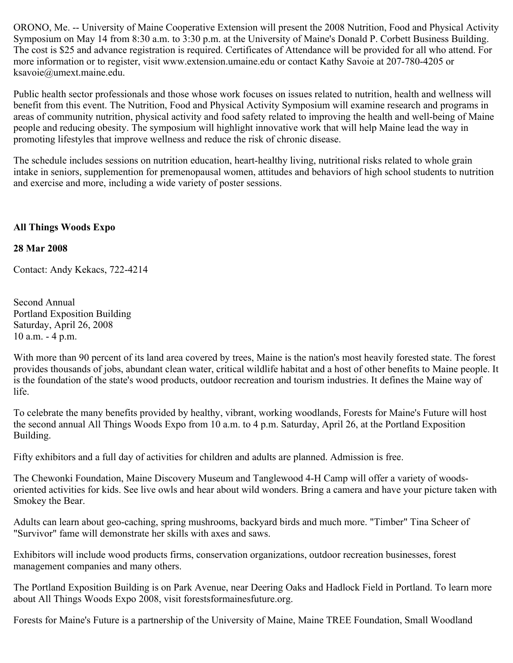ORONO, Me. -- University of Maine Cooperative Extension will present the 2008 Nutrition, Food and Physical Activity Symposium on May 14 from 8:30 a.m. to 3:30 p.m. at the University of Maine's Donald P. Corbett Business Building. The cost is \$25 and advance registration is required. Certificates of Attendance will be provided for all who attend. For more information or to register, visit www.extension.umaine.edu or contact Kathy Savoie at 207-780-4205 or ksavoie@umext.maine.edu.

Public health sector professionals and those whose work focuses on issues related to nutrition, health and wellness will benefit from this event. The Nutrition, Food and Physical Activity Symposium will examine research and programs in areas of community nutrition, physical activity and food safety related to improving the health and well-being of Maine people and reducing obesity. The symposium will highlight innovative work that will help Maine lead the way in promoting lifestyles that improve wellness and reduce the risk of chronic disease.

The schedule includes sessions on nutrition education, heart-healthy living, nutritional risks related to whole grain intake in seniors, supplemention for premenopausal women, attitudes and behaviors of high school students to nutrition and exercise and more, including a wide variety of poster sessions.

### **All Things Woods Expo**

### **28 Mar 2008**

Contact: Andy Kekacs, 722-4214

Second Annual Portland Exposition Building Saturday, April 26, 2008 10 a.m. - 4 p.m.

With more than 90 percent of its land area covered by trees, Maine is the nation's most heavily forested state. The forest provides thousands of jobs, abundant clean water, critical wildlife habitat and a host of other benefits to Maine people. It is the foundation of the state's wood products, outdoor recreation and tourism industries. It defines the Maine way of life.

To celebrate the many benefits provided by healthy, vibrant, working woodlands, Forests for Maine's Future will host the second annual All Things Woods Expo from 10 a.m. to 4 p.m. Saturday, April 26, at the Portland Exposition Building.

Fifty exhibitors and a full day of activities for children and adults are planned. Admission is free.

The Chewonki Foundation, Maine Discovery Museum and Tanglewood 4-H Camp will offer a variety of woodsoriented activities for kids. See live owls and hear about wild wonders. Bring a camera and have your picture taken with Smokey the Bear.

Adults can learn about geo-caching, spring mushrooms, backyard birds and much more. "Timber" Tina Scheer of "Survivor" fame will demonstrate her skills with axes and saws.

Exhibitors will include wood products firms, conservation organizations, outdoor recreation businesses, forest management companies and many others.

The Portland Exposition Building is on Park Avenue, near Deering Oaks and Hadlock Field in Portland. To learn more about All Things Woods Expo 2008, visit forestsformainesfuture.org.

Forests for Maine's Future is a partnership of the University of Maine, Maine TREE Foundation, Small Woodland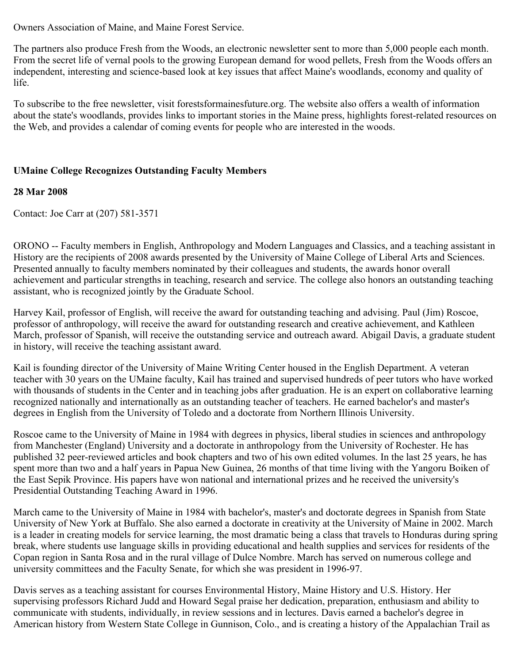Owners Association of Maine, and Maine Forest Service.

The partners also produce Fresh from the Woods, an electronic newsletter sent to more than 5,000 people each month. From the secret life of vernal pools to the growing European demand for wood pellets, Fresh from the Woods offers an independent, interesting and science-based look at key issues that affect Maine's woodlands, economy and quality of life.

To subscribe to the free newsletter, visit forestsformainesfuture.org. The website also offers a wealth of information about the state's woodlands, provides links to important stories in the Maine press, highlights forest-related resources on the Web, and provides a calendar of coming events for people who are interested in the woods.

## **UMaine College Recognizes Outstanding Faculty Members**

### **28 Mar 2008**

Contact: Joe Carr at (207) 581-3571

ORONO -- Faculty members in English, Anthropology and Modern Languages and Classics, and a teaching assistant in History are the recipients of 2008 awards presented by the University of Maine College of Liberal Arts and Sciences. Presented annually to faculty members nominated by their colleagues and students, the awards honor overall achievement and particular strengths in teaching, research and service. The college also honors an outstanding teaching assistant, who is recognized jointly by the Graduate School.

Harvey Kail, professor of English, will receive the award for outstanding teaching and advising. Paul (Jim) Roscoe, professor of anthropology, will receive the award for outstanding research and creative achievement, and Kathleen March, professor of Spanish, will receive the outstanding service and outreach award. Abigail Davis, a graduate student in history, will receive the teaching assistant award.

Kail is founding director of the University of Maine Writing Center housed in the English Department. A veteran teacher with 30 years on the UMaine faculty, Kail has trained and supervised hundreds of peer tutors who have worked with thousands of students in the Center and in teaching jobs after graduation. He is an expert on collaborative learning recognized nationally and internationally as an outstanding teacher of teachers. He earned bachelor's and master's degrees in English from the University of Toledo and a doctorate from Northern Illinois University.

Roscoe came to the University of Maine in 1984 with degrees in physics, liberal studies in sciences and anthropology from Manchester (England) University and a doctorate in anthropology from the University of Rochester. He has published 32 peer-reviewed articles and book chapters and two of his own edited volumes. In the last 25 years, he has spent more than two and a half years in Papua New Guinea, 26 months of that time living with the Yangoru Boiken of the East Sepik Province. His papers have won national and international prizes and he received the university's Presidential Outstanding Teaching Award in 1996.

March came to the University of Maine in 1984 with bachelor's, master's and doctorate degrees in Spanish from State University of New York at Buffalo. She also earned a doctorate in creativity at the University of Maine in 2002. March is a leader in creating models for service learning, the most dramatic being a class that travels to Honduras during spring break, where students use language skills in providing educational and health supplies and services for residents of the Copan region in Santa Rosa and in the rural village of Dulce Nombre. March has served on numerous college and university committees and the Faculty Senate, for which she was president in 1996-97.

Davis serves as a teaching assistant for courses Environmental History, Maine History and U.S. History. Her supervising professors Richard Judd and Howard Segal praise her dedication, preparation, enthusiasm and ability to communicate with students, individually, in review sessions and in lectures. Davis earned a bachelor's degree in American history from Western State College in Gunnison, Colo., and is creating a history of the Appalachian Trail as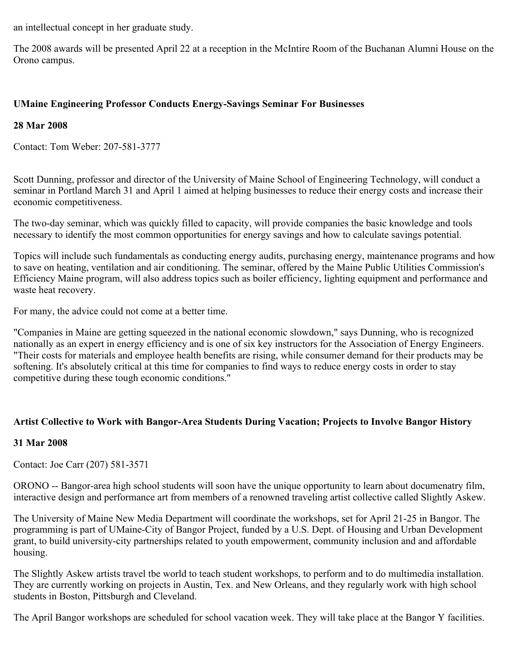an intellectual concept in her graduate study.

The 2008 awards will be presented April 22 at a reception in the McIntire Room of the Buchanan Alumni House on the Orono campus.

## **UMaine Engineering Professor Conducts Energy-Savings Seminar For Businesses**

### **28 Mar 2008**

Contact: Tom Weber: 207-581-3777

Scott Dunning, professor and director of the University of Maine School of Engineering Technology, will conduct a seminar in Portland March 31 and April 1 aimed at helping businesses to reduce their energy costs and increase their economic competitiveness.

The two-day seminar, which was quickly filled to capacity, will provide companies the basic knowledge and tools necessary to identify the most common opportunities for energy savings and how to calculate savings potential.

Topics will include such fundamentals as conducting energy audits, purchasing energy, maintenance programs and how to save on heating, ventilation and air conditioning. The seminar, offered by the Maine Public Utilities Commission's Efficiency Maine program, will also address topics such as boiler efficiency, lighting equipment and performance and waste heat recovery.

For many, the advice could not come at a better time.

"Companies in Maine are getting squeezed in the national economic slowdown," says Dunning, who is recognized nationally as an expert in energy efficiency and is one of six key instructors for the Association of Energy Engineers. "Their costs for materials and employee health benefits are rising, while consumer demand for their products may be softening. It's absolutely critical at this time for companies to find ways to reduce energy costs in order to stay competitive during these tough economic conditions."

### **Artist Collective to Work with Bangor-Area Students During Vacation; Projects to Involve Bangor History**

### **31 Mar 2008**

Contact: Joe Carr (207) 581-3571

ORONO -- Bangor-area high school students will soon have the unique opportunity to learn about documenatry film, interactive design and performance art from members of a renowned traveling artist collective called Slightly Askew.

The University of Maine New Media Department will coordinate the workshops, set for April 21-25 in Bangor. The programming is part of UMaine-City of Bangor Project, funded by a U.S. Dept. of Housing and Urban Development grant, to build university-city partnerships related to youth empowerment, community inclusion and and affordable housing.

The Slightly Askew artists travel tbe world to teach student workshops, to perform and to do multimedia installation. They are currently working on projects in Austin, Tex. and New Orleans, and they regularly work with high school students in Boston, Pittsburgh and Cleveland.

The April Bangor workshops are scheduled for school vacation week. They will take place at the Bangor Y facilities.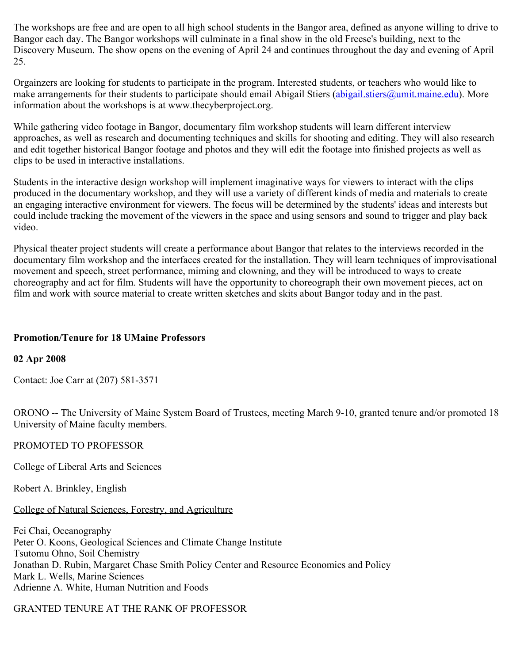The workshops are free and are open to all high school students in the Bangor area, defined as anyone willing to drive to Bangor each day. The Bangor workshops will culminate in a final show in the old Freese's building, next to the Discovery Museum. The show opens on the evening of April 24 and continues throughout the day and evening of April 25.

Orgainzers are looking for students to participate in the program. Interested students, or teachers who would like to make arrangements for their students to participate should email Abigail Stiers ([abigail.stiers@umit.maine.edu](mailto:abigail.stiers@umit.maine.edu)). More information about the workshops is at www.thecyberproject.org.

While gathering video footage in Bangor, documentary film workshop students will learn different interview approaches, as well as research and documenting techniques and skills for shooting and editing. They will also research and edit together historical Bangor footage and photos and they will edit the footage into finished projects as well as clips to be used in interactive installations.

Students in the interactive design workshop will implement imaginative ways for viewers to interact with the clips produced in the documentary workshop, and they will use a variety of different kinds of media and materials to create an engaging interactive environment for viewers. The focus will be determined by the students' ideas and interests but could include tracking the movement of the viewers in the space and using sensors and sound to trigger and play back video.

Physical theater project students will create a performance about Bangor that relates to the interviews recorded in the documentary film workshop and the interfaces created for the installation. They will learn techniques of improvisational movement and speech, street performance, miming and clowning, and they will be introduced to ways to create choreography and act for film. Students will have the opportunity to choreograph their own movement pieces, act on film and work with source material to create written sketches and skits about Bangor today and in the past.

### **Promotion/Tenure for 18 UMaine Professors**

### **02 Apr 2008**

Contact: Joe Carr at (207) 581-3571

ORONO -- The University of Maine System Board of Trustees, meeting March 9-10, granted tenure and/or promoted 18 University of Maine faculty members.

### PROMOTED TO PROFESSOR

College of Liberal Arts and Sciences

Robert A. Brinkley, English

### College of Natural Sciences, Forestry, and Agriculture

Fei Chai, Oceanography Peter O. Koons, Geological Sciences and Climate Change Institute Tsutomu Ohno, Soil Chemistry Jonathan D. Rubin, Margaret Chase Smith Policy Center and Resource Economics and Policy Mark L. Wells, Marine Sciences Adrienne A. White, Human Nutrition and Foods

## GRANTED TENURE AT THE RANK OF PROFESSOR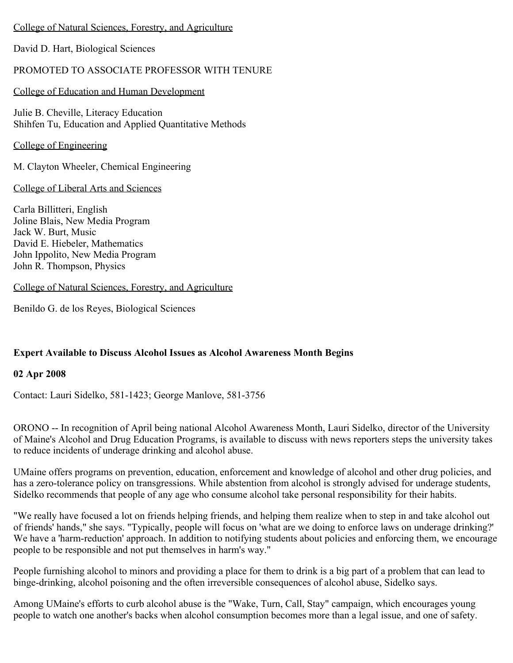### College of Natural Sciences, Forestry, and Agriculture

David D. Hart, Biological Sciences

## PROMOTED TO ASSOCIATE PROFESSOR WITH TENURE

### College of Education and Human Development

Julie B. Cheville, Literacy Education Shihfen Tu, Education and Applied Quantitative Methods

College of Engineering

M. Clayton Wheeler, Chemical Engineering

College of Liberal Arts and Sciences

Carla Billitteri, English Joline Blais, New Media Program Jack W. Burt, Music David E. Hiebeler, Mathematics John Ippolito, New Media Program John R. Thompson, Physics

### College of Natural Sciences, Forestry, and Agriculture

Benildo G. de los Reyes, Biological Sciences

### **Expert Available to Discuss Alcohol Issues as Alcohol Awareness Month Begins**

### **02 Apr 2008**

Contact: Lauri Sidelko, 581-1423; George Manlove, 581-3756

ORONO -- In recognition of April being national Alcohol Awareness Month, Lauri Sidelko, director of the University of Maine's Alcohol and Drug Education Programs, is available to discuss with news reporters steps the university takes to reduce incidents of underage drinking and alcohol abuse.

UMaine offers programs on prevention, education, enforcement and knowledge of alcohol and other drug policies, and has a zero-tolerance policy on transgressions. While abstention from alcohol is strongly advised for underage students, Sidelko recommends that people of any age who consume alcohol take personal responsibility for their habits.

"We really have focused a lot on friends helping friends, and helping them realize when to step in and take alcohol out of friends' hands," she says. "Typically, people will focus on 'what are we doing to enforce laws on underage drinking?' We have a 'harm-reduction' approach. In addition to notifying students about policies and enforcing them, we encourage people to be responsible and not put themselves in harm's way."

People furnishing alcohol to minors and providing a place for them to drink is a big part of a problem that can lead to binge-drinking, alcohol poisoning and the often irreversible consequences of alcohol abuse, Sidelko says.

Among UMaine's efforts to curb alcohol abuse is the "Wake, Turn, Call, Stay" campaign, which encourages young people to watch one another's backs when alcohol consumption becomes more than a legal issue, and one of safety.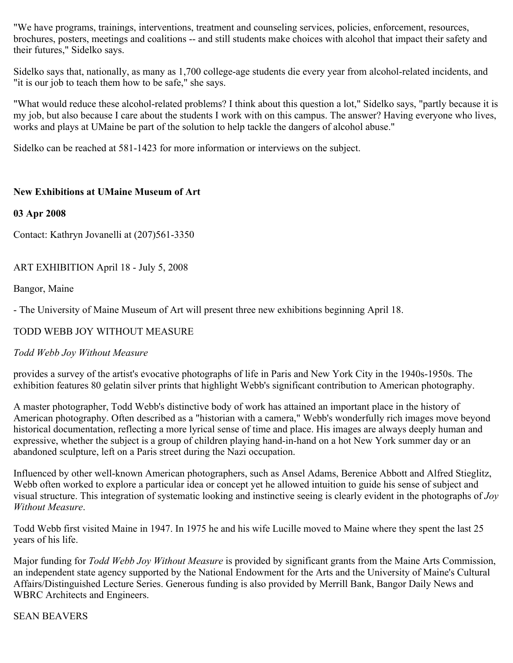"We have programs, trainings, interventions, treatment and counseling services, policies, enforcement, resources, brochures, posters, meetings and coalitions -- and still students make choices with alcohol that impact their safety and their futures," Sidelko says.

Sidelko says that, nationally, as many as 1,700 college-age students die every year from alcohol-related incidents, and "it is our job to teach them how to be safe," she says.

"What would reduce these alcohol-related problems? I think about this question a lot," Sidelko says, "partly because it is my job, but also because I care about the students I work with on this campus. The answer? Having everyone who lives, works and plays at UMaine be part of the solution to help tackle the dangers of alcohol abuse."

Sidelko can be reached at 581-1423 for more information or interviews on the subject.

### **New Exhibitions at UMaine Museum of Art**

### **03 Apr 2008**

Contact: Kathryn Jovanelli at (207)561-3350

ART EXHIBITION April 18 - July 5, 2008

Bangor, Maine

- The University of Maine Museum of Art will present three new exhibitions beginning April 18.

## TODD WEBB JOY WITHOUT MEASURE

### *Todd Webb Joy Without Measure*

provides a survey of the artist's evocative photographs of life in Paris and New York City in the 1940s-1950s. The exhibition features 80 gelatin silver prints that highlight Webb's significant contribution to American photography.

A master photographer, Todd Webb's distinctive body of work has attained an important place in the history of American photography. Often described as a "historian with a camera," Webb's wonderfully rich images move beyond historical documentation, reflecting a more lyrical sense of time and place. His images are always deeply human and expressive, whether the subject is a group of children playing hand-in-hand on a hot New York summer day or an abandoned sculpture, left on a Paris street during the Nazi occupation.

Influenced by other well-known American photographers, such as Ansel Adams, Berenice Abbott and Alfred Stieglitz, Webb often worked to explore a particular idea or concept yet he allowed intuition to guide his sense of subject and visual structure. This integration of systematic looking and instinctive seeing is clearly evident in the photographs of *Joy Without Measure*.

Todd Webb first visited Maine in 1947. In 1975 he and his wife Lucille moved to Maine where they spent the last 25 years of his life.

Major funding for *Todd Webb Joy Without Measure* is provided by significant grants from the Maine Arts Commission, an independent state agency supported by the National Endowment for the Arts and the University of Maine's Cultural Affairs/Distinguished Lecture Series. Generous funding is also provided by Merrill Bank, Bangor Daily News and WBRC Architects and Engineers.

### SEAN BEAVERS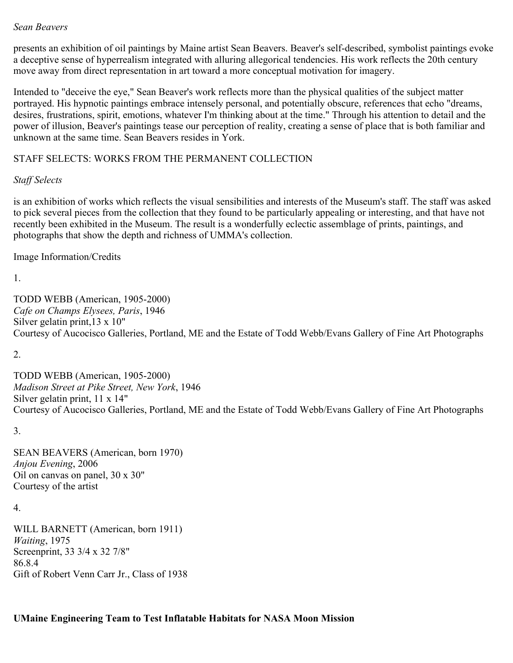### *Sean Beavers*

presents an exhibition of oil paintings by Maine artist Sean Beavers. Beaver's self-described, symbolist paintings evoke a deceptive sense of hyperrealism integrated with alluring allegorical tendencies. His work reflects the 20th century move away from direct representation in art toward a more conceptual motivation for imagery.

Intended to "deceive the eye," Sean Beaver's work reflects more than the physical qualities of the subject matter portrayed. His hypnotic paintings embrace intensely personal, and potentially obscure, references that echo "dreams, desires, frustrations, spirit, emotions, whatever I'm thinking about at the time." Through his attention to detail and the power of illusion, Beaver's paintings tease our perception of reality, creating a sense of place that is both familiar and unknown at the same time. Sean Beavers resides in York.

### STAFF SELECTS: WORKS FROM THE PERMANENT COLLECTION

#### *Staff Selects*

is an exhibition of works which reflects the visual sensibilities and interests of the Museum's staff. The staff was asked to pick several pieces from the collection that they found to be particularly appealing or interesting, and that have not recently been exhibited in the Museum. The result is a wonderfully eclectic assemblage of prints, paintings, and photographs that show the depth and richness of UMMA's collection.

#### Image Information/Credits

1.

TODD WEBB (American, 1905-2000) *Cafe on Champs Elysees, Paris*, 1946 Silver gelatin print,13 x 10" Courtesy of Aucocisco Galleries, Portland, ME and the Estate of Todd Webb/Evans Gallery of Fine Art Photographs

2.

TODD WEBB (American, 1905-2000) *Madison Street at Pike Street, New York*, 1946 Silver gelatin print, 11 x 14" Courtesy of Aucocisco Galleries, Portland, ME and the Estate of Todd Webb/Evans Gallery of Fine Art Photographs

3.

SEAN BEAVERS (American, born 1970) *Anjou Evening*, 2006 Oil on canvas on panel, 30 x 30" Courtesy of the artist

4.

WILL BARNETT (American, born 1911) *Waiting*, 1975 Screenprint, 33 3/4 x 32 7/8" 86.8.4 Gift of Robert Venn Carr Jr., Class of 1938

# **UMaine Engineering Team to Test Inflatable Habitats for NASA Moon Mission**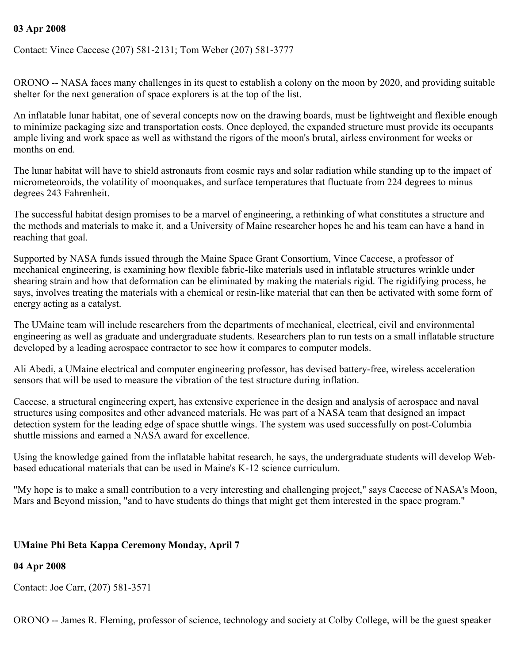### **03 Apr 2008**

Contact: Vince Caccese (207) 581-2131; Tom Weber (207) 581-3777

ORONO -- NASA faces many challenges in its quest to establish a colony on the moon by 2020, and providing suitable shelter for the next generation of space explorers is at the top of the list.

An inflatable lunar habitat, one of several concepts now on the drawing boards, must be lightweight and flexible enough to minimize packaging size and transportation costs. Once deployed, the expanded structure must provide its occupants ample living and work space as well as withstand the rigors of the moon's brutal, airless environment for weeks or months on end.

The lunar habitat will have to shield astronauts from cosmic rays and solar radiation while standing up to the impact of micrometeoroids, the volatility of moonquakes, and surface temperatures that fluctuate from 224 degrees to minus degrees 243 Fahrenheit.

The successful habitat design promises to be a marvel of engineering, a rethinking of what constitutes a structure and the methods and materials to make it, and a University of Maine researcher hopes he and his team can have a hand in reaching that goal.

Supported by NASA funds issued through the Maine Space Grant Consortium, Vince Caccese, a professor of mechanical engineering, is examining how flexible fabric-like materials used in inflatable structures wrinkle under shearing strain and how that deformation can be eliminated by making the materials rigid. The rigidifying process, he says, involves treating the materials with a chemical or resin-like material that can then be activated with some form of energy acting as a catalyst.

The UMaine team will include researchers from the departments of mechanical, electrical, civil and environmental engineering as well as graduate and undergraduate students. Researchers plan to run tests on a small inflatable structure developed by a leading aerospace contractor to see how it compares to computer models.

Ali Abedi, a UMaine electrical and computer engineering professor, has devised battery-free, wireless acceleration sensors that will be used to measure the vibration of the test structure during inflation.

Caccese, a structural engineering expert, has extensive experience in the design and analysis of aerospace and naval structures using composites and other advanced materials. He was part of a NASA team that designed an impact detection system for the leading edge of space shuttle wings. The system was used successfully on post-Columbia shuttle missions and earned a NASA award for excellence.

Using the knowledge gained from the inflatable habitat research, he says, the undergraduate students will develop Webbased educational materials that can be used in Maine's K-12 science curriculum.

"My hope is to make a small contribution to a very interesting and challenging project," says Caccese of NASA's Moon, Mars and Beyond mission, "and to have students do things that might get them interested in the space program."

### **UMaine Phi Beta Kappa Ceremony Monday, April 7**

### **04 Apr 2008**

Contact: Joe Carr, (207) 581-3571

ORONO -- James R. Fleming, professor of science, technology and society at Colby College, will be the guest speaker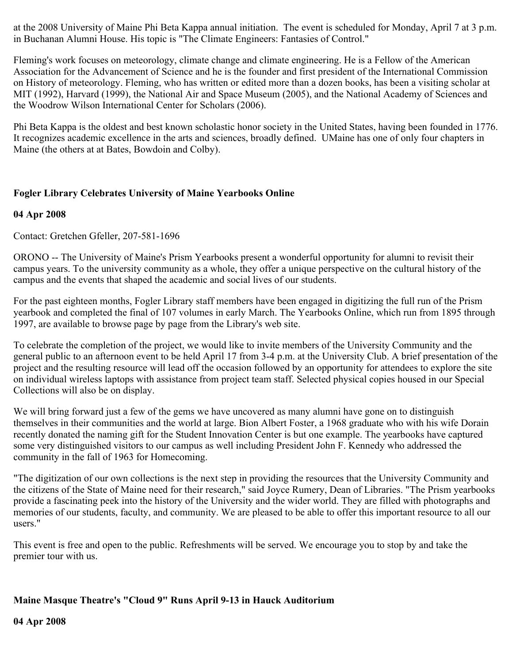at the 2008 University of Maine Phi Beta Kappa annual initiation. The event is scheduled for Monday, April 7 at 3 p.m. in Buchanan Alumni House. His topic is "The Climate Engineers: Fantasies of Control."

Fleming's work focuses on meteorology, climate change and climate engineering. He is a Fellow of the American Association for the Advancement of Science and he is the founder and first president of the International Commission on History of meteorology. Fleming, who has written or edited more than a dozen books, has been a visiting scholar at MIT (1992), Harvard (1999), the National Air and Space Museum (2005), and the National Academy of Sciences and the Woodrow Wilson International Center for Scholars (2006).

Phi Beta Kappa is the oldest and best known scholastic honor society in the United States, having been founded in 1776. It recognizes academic excellence in the arts and sciences, broadly defined. UMaine has one of only four chapters in Maine (the others at at Bates, Bowdoin and Colby).

## **Fogler Library Celebrates University of Maine Yearbooks Online**

### **04 Apr 2008**

Contact: Gretchen Gfeller, 207-581-1696

ORONO -- The University of Maine's Prism Yearbooks present a wonderful opportunity for alumni to revisit their campus years. To the university community as a whole, they offer a unique perspective on the cultural history of the campus and the events that shaped the academic and social lives of our students.

For the past eighteen months, Fogler Library staff members have been engaged in digitizing the full run of the Prism yearbook and completed the final of 107 volumes in early March. The Yearbooks Online, which run from 1895 through 1997, are available to browse page by page from the Library's web site.

To celebrate the completion of the project, we would like to invite members of the University Community and the general public to an afternoon event to be held April 17 from 3-4 p.m. at the University Club. A brief presentation of the project and the resulting resource will lead off the occasion followed by an opportunity for attendees to explore the site on individual wireless laptops with assistance from project team staff. Selected physical copies housed in our Special Collections will also be on display.

We will bring forward just a few of the gems we have uncovered as many alumni have gone on to distinguish themselves in their communities and the world at large. Bion Albert Foster, a 1968 graduate who with his wife Dorain recently donated the naming gift for the Student Innovation Center is but one example. The yearbooks have captured some very distinguished visitors to our campus as well including President John F. Kennedy who addressed the community in the fall of 1963 for Homecoming.

"The digitization of our own collections is the next step in providing the resources that the University Community and the citizens of the State of Maine need for their research," said Joyce Rumery, Dean of Libraries. "The Prism yearbooks provide a fascinating peek into the history of the University and the wider world. They are filled with photographs and memories of our students, faculty, and community. We are pleased to be able to offer this important resource to all our users."

This event is free and open to the public. Refreshments will be served. We encourage you to stop by and take the premier tour with us.

### **Maine Masque Theatre's "Cloud 9" Runs April 9-13 in Hauck Auditorium**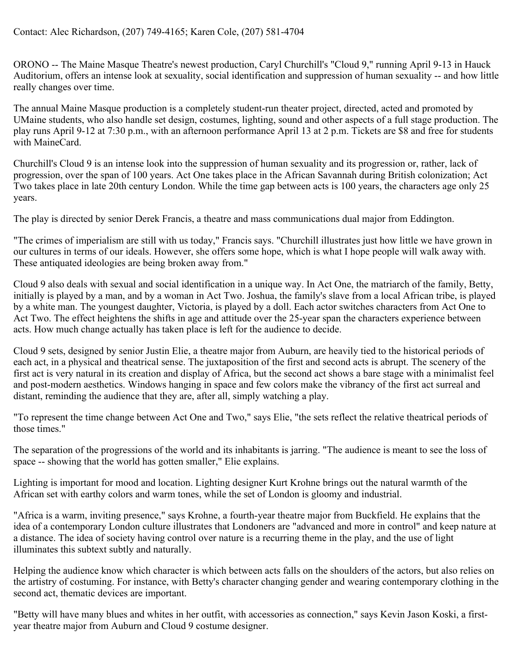ORONO -- The Maine Masque Theatre's newest production, Caryl Churchill's "Cloud 9," running April 9-13 in Hauck Auditorium, offers an intense look at sexuality, social identification and suppression of human sexuality -- and how little really changes over time.

The annual Maine Masque production is a completely student-run theater project, directed, acted and promoted by UMaine students, who also handle set design, costumes, lighting, sound and other aspects of a full stage production. The play runs April 9-12 at 7:30 p.m., with an afternoon performance April 13 at 2 p.m. Tickets are \$8 and free for students with MaineCard.

Churchill's Cloud 9 is an intense look into the suppression of human sexuality and its progression or, rather, lack of progression, over the span of 100 years. Act One takes place in the African Savannah during British colonization; Act Two takes place in late 20th century London. While the time gap between acts is 100 years, the characters age only 25 years.

The play is directed by senior Derek Francis, a theatre and mass communications dual major from Eddington.

"The crimes of imperialism are still with us today," Francis says. "Churchill illustrates just how little we have grown in our cultures in terms of our ideals. However, she offers some hope, which is what I hope people will walk away with. These antiquated ideologies are being broken away from."

Cloud 9 also deals with sexual and social identification in a unique way. In Act One, the matriarch of the family, Betty, initially is played by a man, and by a woman in Act Two. Joshua, the family's slave from a local African tribe, is played by a white man. The youngest daughter, Victoria, is played by a doll. Each actor switches characters from Act One to Act Two. The effect heightens the shifts in age and attitude over the 25-year span the characters experience between acts. How much change actually has taken place is left for the audience to decide.

Cloud 9 sets, designed by senior Justin Elie, a theatre major from Auburn, are heavily tied to the historical periods of each act, in a physical and theatrical sense. The juxtaposition of the first and second acts is abrupt. The scenery of the first act is very natural in its creation and display of Africa, but the second act shows a bare stage with a minimalist feel and post-modern aesthetics. Windows hanging in space and few colors make the vibrancy of the first act surreal and distant, reminding the audience that they are, after all, simply watching a play.

"To represent the time change between Act One and Two," says Elie, "the sets reflect the relative theatrical periods of those times."

The separation of the progressions of the world and its inhabitants is jarring. "The audience is meant to see the loss of space -- showing that the world has gotten smaller," Elie explains.

Lighting is important for mood and location. Lighting designer Kurt Krohne brings out the natural warmth of the African set with earthy colors and warm tones, while the set of London is gloomy and industrial.

"Africa is a warm, inviting presence," says Krohne, a fourth-year theatre major from Buckfield. He explains that the idea of a contemporary London culture illustrates that Londoners are "advanced and more in control" and keep nature at a distance. The idea of society having control over nature is a recurring theme in the play, and the use of light illuminates this subtext subtly and naturally.

Helping the audience know which character is which between acts falls on the shoulders of the actors, but also relies on the artistry of costuming. For instance, with Betty's character changing gender and wearing contemporary clothing in the second act, thematic devices are important.

"Betty will have many blues and whites in her outfit, with accessories as connection," says Kevin Jason Koski, a firstyear theatre major from Auburn and Cloud 9 costume designer.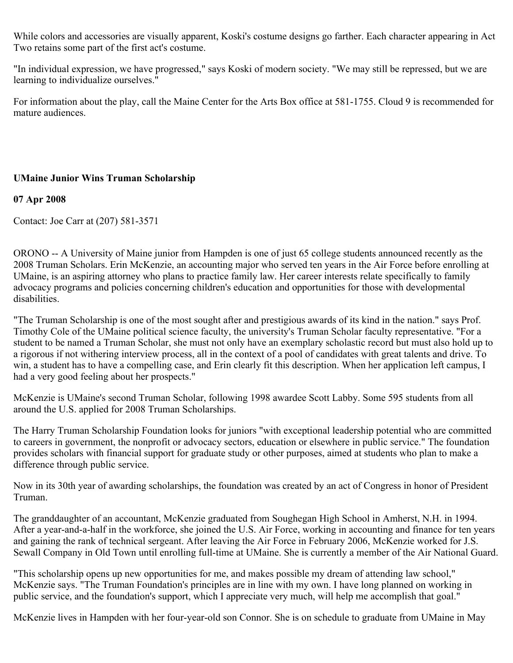While colors and accessories are visually apparent, Koski's costume designs go farther. Each character appearing in Act Two retains some part of the first act's costume.

"In individual expression, we have progressed," says Koski of modern society. "We may still be repressed, but we are learning to individualize ourselves."

For information about the play, call the Maine Center for the Arts Box office at 581-1755. Cloud 9 is recommended for mature audiences.

### **UMaine Junior Wins Truman Scholarship**

### **07 Apr 2008**

Contact: Joe Carr at (207) 581-3571

ORONO -- A University of Maine junior from Hampden is one of just 65 college students announced recently as the 2008 Truman Scholars. Erin McKenzie, an accounting major who served ten years in the Air Force before enrolling at UMaine, is an aspiring attorney who plans to practice family law. Her career interests relate specifically to family advocacy programs and policies concerning children's education and opportunities for those with developmental disabilities.

"The Truman Scholarship is one of the most sought after and prestigious awards of its kind in the nation." says Prof. Timothy Cole of the UMaine political science faculty, the university's Truman Scholar faculty representative. "For a student to be named a Truman Scholar, she must not only have an exemplary scholastic record but must also hold up to a rigorous if not withering interview process, all in the context of a pool of candidates with great talents and drive. To win, a student has to have a compelling case, and Erin clearly fit this description. When her application left campus, I had a very good feeling about her prospects."

McKenzie is UMaine's second Truman Scholar, following 1998 awardee Scott Labby. Some 595 students from all around the U.S. applied for 2008 Truman Scholarships.

The Harry Truman Scholarship Foundation looks for juniors "with exceptional leadership potential who are committed to careers in government, the nonprofit or advocacy sectors, education or elsewhere in public service." The foundation provides scholars with financial support for graduate study or other purposes, aimed at students who plan to make a difference through public service.

Now in its 30th year of awarding scholarships, the foundation was created by an act of Congress in honor of President Truman.

The granddaughter of an accountant, McKenzie graduated from Soughegan High School in Amherst, N.H. in 1994. After a year-and-a-half in the workforce, she joined the U.S. Air Force, working in accounting and finance for ten years and gaining the rank of technical sergeant. After leaving the Air Force in February 2006, McKenzie worked for J.S. Sewall Company in Old Town until enrolling full-time at UMaine. She is currently a member of the Air National Guard.

"This scholarship opens up new opportunities for me, and makes possible my dream of attending law school," McKenzie says. "The Truman Foundation's principles are in line with my own. I have long planned on working in public service, and the foundation's support, which I appreciate very much, will help me accomplish that goal."

McKenzie lives in Hampden with her four-year-old son Connor. She is on schedule to graduate from UMaine in May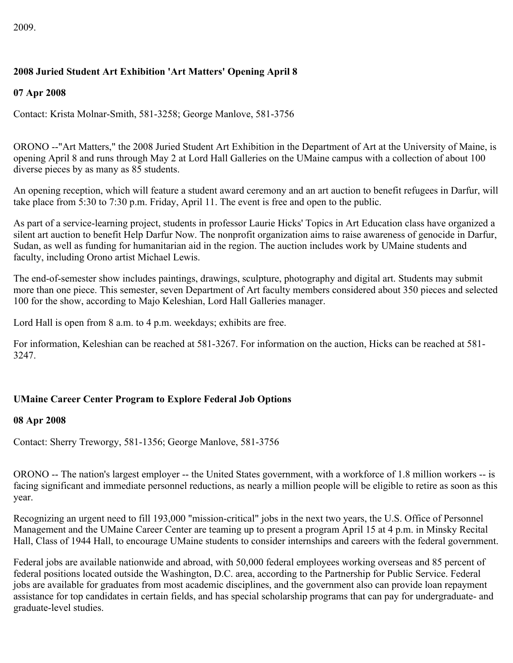# **2008 Juried Student Art Exhibition 'Art Matters' Opening April 8**

### **07 Apr 2008**

Contact: Krista Molnar-Smith, 581-3258; George Manlove, 581-3756

ORONO --"Art Matters," the 2008 Juried Student Art Exhibition in the Department of Art at the University of Maine, is opening April 8 and runs through May 2 at Lord Hall Galleries on the UMaine campus with a collection of about 100 diverse pieces by as many as 85 students.

An opening reception, which will feature a student award ceremony and an art auction to benefit refugees in Darfur, will take place from 5:30 to 7:30 p.m. Friday, April 11. The event is free and open to the public.

As part of a service-learning project, students in professor Laurie Hicks' Topics in Art Education class have organized a silent art auction to benefit Help Darfur Now. The nonprofit organization aims to raise awareness of genocide in Darfur, Sudan, as well as funding for humanitarian aid in the region. The auction includes work by UMaine students and faculty, including Orono artist Michael Lewis.

The end-of-semester show includes paintings, drawings, sculpture, photography and digital art. Students may submit more than one piece. This semester, seven Department of Art faculty members considered about 350 pieces and selected 100 for the show, according to Majo Keleshian, Lord Hall Galleries manager.

Lord Hall is open from 8 a.m. to 4 p.m. weekdays; exhibits are free.

For information, Keleshian can be reached at 581-3267. For information on the auction, Hicks can be reached at 581- 3247.

### **UMaine Career Center Program to Explore Federal Job Options**

### **08 Apr 2008**

Contact: Sherry Treworgy, 581-1356; George Manlove, 581-3756

ORONO -- The nation's largest employer -- the United States government, with a workforce of 1.8 million workers -- is facing significant and immediate personnel reductions, as nearly a million people will be eligible to retire as soon as this year.

Recognizing an urgent need to fill 193,000 "mission-critical" jobs in the next two years, the U.S. Office of Personnel Management and the UMaine Career Center are teaming up to present a program April 15 at 4 p.m. in Minsky Recital Hall, Class of 1944 Hall, to encourage UMaine students to consider internships and careers with the federal government.

Federal jobs are available nationwide and abroad, with 50,000 federal employees working overseas and 85 percent of federal positions located outside the Washington, D.C. area, according to the Partnership for Public Service. Federal jobs are available for graduates from most academic disciplines, and the government also can provide loan repayment assistance for top candidates in certain fields, and has special scholarship programs that can pay for undergraduate- and graduate-level studies.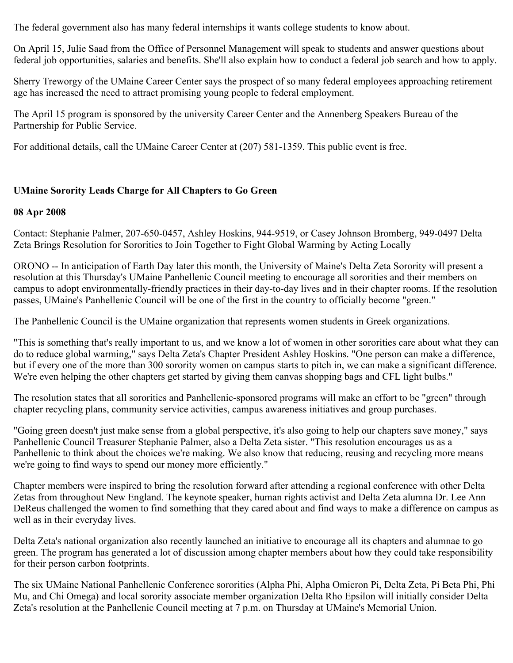The federal government also has many federal internships it wants college students to know about.

On April 15, Julie Saad from the Office of Personnel Management will speak to students and answer questions about federal job opportunities, salaries and benefits. She'll also explain how to conduct a federal job search and how to apply.

Sherry Treworgy of the UMaine Career Center says the prospect of so many federal employees approaching retirement age has increased the need to attract promising young people to federal employment.

The April 15 program is sponsored by the university Career Center and the Annenberg Speakers Bureau of the Partnership for Public Service.

For additional details, call the UMaine Career Center at (207) 581-1359. This public event is free.

## **UMaine Sorority Leads Charge for All Chapters to Go Green**

### **08 Apr 2008**

Contact: Stephanie Palmer, 207-650-0457, Ashley Hoskins, 944-9519, or Casey Johnson Bromberg, 949-0497 Delta Zeta Brings Resolution for Sororities to Join Together to Fight Global Warming by Acting Locally

ORONO -- In anticipation of Earth Day later this month, the University of Maine's Delta Zeta Sorority will present a resolution at this Thursday's UMaine Panhellenic Council meeting to encourage all sororities and their members on campus to adopt environmentally-friendly practices in their day-to-day lives and in their chapter rooms. If the resolution passes, UMaine's Panhellenic Council will be one of the first in the country to officially become "green."

The Panhellenic Council is the UMaine organization that represents women students in Greek organizations.

"This is something that's really important to us, and we know a lot of women in other sororities care about what they can do to reduce global warming," says Delta Zeta's Chapter President Ashley Hoskins. "One person can make a difference, but if every one of the more than 300 sorority women on campus starts to pitch in, we can make a significant difference. We're even helping the other chapters get started by giving them canvas shopping bags and CFL light bulbs."

The resolution states that all sororities and Panhellenic-sponsored programs will make an effort to be "green" through chapter recycling plans, community service activities, campus awareness initiatives and group purchases.

"Going green doesn't just make sense from a global perspective, it's also going to help our chapters save money," says Panhellenic Council Treasurer Stephanie Palmer, also a Delta Zeta sister. "This resolution encourages us as a Panhellenic to think about the choices we're making. We also know that reducing, reusing and recycling more means we're going to find ways to spend our money more efficiently."

Chapter members were inspired to bring the resolution forward after attending a regional conference with other Delta Zetas from throughout New England. The keynote speaker, human rights activist and Delta Zeta alumna Dr. Lee Ann DeReus challenged the women to find something that they cared about and find ways to make a difference on campus as well as in their everyday lives.

Delta Zeta's national organization also recently launched an initiative to encourage all its chapters and alumnae to go green. The program has generated a lot of discussion among chapter members about how they could take responsibility for their person carbon footprints.

The six UMaine National Panhellenic Conference sororities (Alpha Phi, Alpha Omicron Pi, Delta Zeta, Pi Beta Phi, Phi Mu, and Chi Omega) and local sorority associate member organization Delta Rho Epsilon will initially consider Delta Zeta's resolution at the Panhellenic Council meeting at 7 p.m. on Thursday at UMaine's Memorial Union.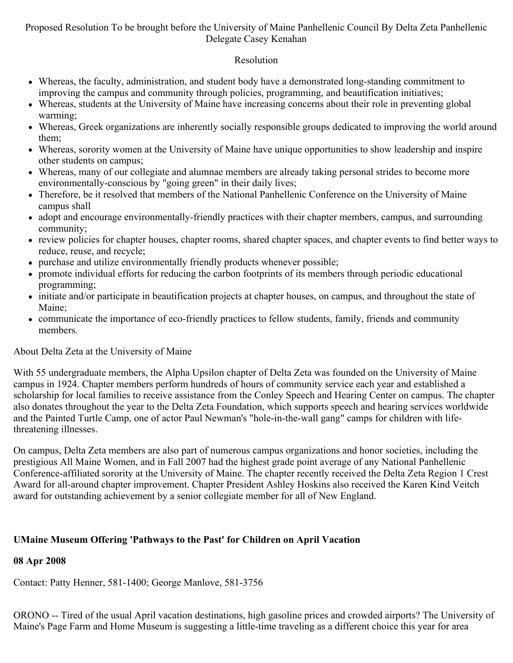## Proposed Resolution To be brought before the University of Maine Panhellenic Council By Delta Zeta Panhellenic Delegate Casey Kenahan

# Resolution

- Whereas, the faculty, administration, and student body have a demonstrated long-standing commitment to improving the campus and community through policies, programming, and beautification initiatives;
- Whereas, students at the University of Maine have increasing concerns about their role in preventing global warming;
- Whereas, Greek organizations are inherently socially responsible groups dedicated to improving the world around them;
- Whereas, sorority women at the University of Maine have unique opportunities to show leadership and inspire other students on campus;
- Whereas, many of our collegiate and alumnae members are already taking personal strides to become more environmentally-conscious by "going green" in their daily lives;
- Therefore, be it resolved that members of the National Panhellenic Conference on the University of Maine campus shall
- adopt and encourage environmentally-friendly practices with their chapter members, campus, and surrounding community;
- review policies for chapter houses, chapter rooms, shared chapter spaces, and chapter events to find better ways to reduce, reuse, and recycle;
- purchase and utilize environmentally friendly products whenever possible;
- promote individual efforts for reducing the carbon footprints of its members through periodic educational programming;
- initiate and/or participate in beautification projects at chapter houses, on campus, and throughout the state of Maine;
- communicate the importance of eco-friendly practices to fellow students, family, friends and community members.

# About Delta Zeta at the University of Maine

With 55 undergraduate members, the Alpha Upsilon chapter of Delta Zeta was founded on the University of Maine campus in 1924. Chapter members perform hundreds of hours of community service each year and established a scholarship for local families to receive assistance from the Conley Speech and Hearing Center on campus. The chapter also donates throughout the year to the Delta Zeta Foundation, which supports speech and hearing services worldwide and the Painted Turtle Camp, one of actor Paul Newman's "hole-in-the-wall gang" camps for children with lifethreatening illnesses.

On campus, Delta Zeta members are also part of numerous campus organizations and honor societies, including the prestigious All Maine Women, and in Fall 2007 had the highest grade point average of any National Panhellenic Conference-affiliated sorority at the University of Maine. The chapter recently received the Delta Zeta Region 1 Crest Award for all-around chapter improvement. Chapter President Ashley Hoskins also received the Karen Kind Veitch award for outstanding achievement by a senior collegiate member for all of New England.

# **UMaine Museum Offering 'Pathways to the Past' for Children on April Vacation**

# **08 Apr 2008**

Contact: Patty Henner, 581-1400; George Manlove, 581-3756

ORONO -- Tired of the usual April vacation destinations, high gasoline prices and crowded airports? The University of Maine's Page Farm and Home Museum is suggesting a little-time traveling as a different choice this year for area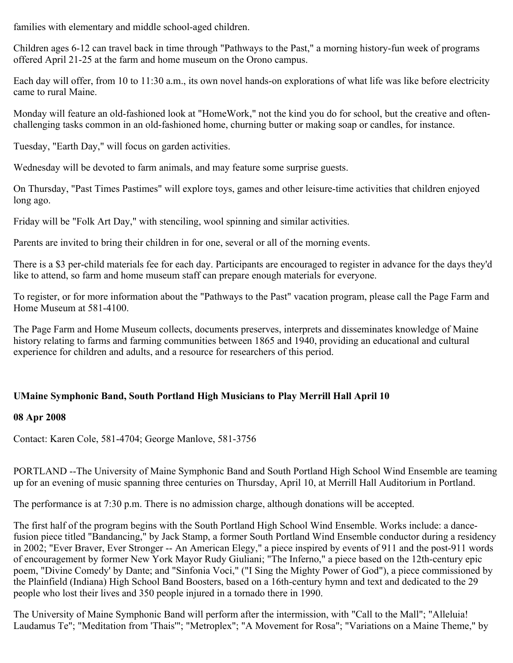families with elementary and middle school-aged children.

Children ages 6-12 can travel back in time through "Pathways to the Past," a morning history-fun week of programs offered April 21-25 at the farm and home museum on the Orono campus.

Each day will offer, from 10 to 11:30 a.m., its own novel hands-on explorations of what life was like before electricity came to rural Maine.

Monday will feature an old-fashioned look at "HomeWork," not the kind you do for school, but the creative and oftenchallenging tasks common in an old-fashioned home, churning butter or making soap or candles, for instance.

Tuesday, "Earth Day," will focus on garden activities.

Wednesday will be devoted to farm animals, and may feature some surprise guests.

On Thursday, "Past Times Pastimes" will explore toys, games and other leisure-time activities that children enjoyed long ago.

Friday will be "Folk Art Day," with stenciling, wool spinning and similar activities.

Parents are invited to bring their children in for one, several or all of the morning events.

There is a \$3 per-child materials fee for each day. Participants are encouraged to register in advance for the days they'd like to attend, so farm and home museum staff can prepare enough materials for everyone.

To register, or for more information about the "Pathways to the Past" vacation program, please call the Page Farm and Home Museum at 581-4100.

The Page Farm and Home Museum collects, documents preserves, interprets and disseminates knowledge of Maine history relating to farms and farming communities between 1865 and 1940, providing an educational and cultural experience for children and adults, and a resource for researchers of this period.

# **UMaine Symphonic Band, South Portland High Musicians to Play Merrill Hall April 10**

### **08 Apr 2008**

Contact: Karen Cole, 581-4704; George Manlove, 581-3756

PORTLAND --The University of Maine Symphonic Band and South Portland High School Wind Ensemble are teaming up for an evening of music spanning three centuries on Thursday, April 10, at Merrill Hall Auditorium in Portland.

The performance is at 7:30 p.m. There is no admission charge, although donations will be accepted.

The first half of the program begins with the South Portland High School Wind Ensemble. Works include: a dancefusion piece titled "Bandancing," by Jack Stamp, a former South Portland Wind Ensemble conductor during a residency in 2002; "Ever Braver, Ever Stronger -- An American Elegy," a piece inspired by events of 911 and the post-911 words of encouragement by former New York Mayor Rudy Giuliani; "The Inferno," a piece based on the 12th-century epic poem, "Divine Comedy' by Dante; and "Sinfonia Voci," ("I Sing the Mighty Power of God"), a piece commissioned by the Plainfield (Indiana) High School Band Boosters, based on a 16th-century hymn and text and dedicated to the 29 people who lost their lives and 350 people injured in a tornado there in 1990.

The University of Maine Symphonic Band will perform after the intermission, with "Call to the Mall"; "Alleluia! Laudamus Te"; "Meditation from 'Thais'"; "Metroplex"; "A Movement for Rosa"; "Variations on a Maine Theme," by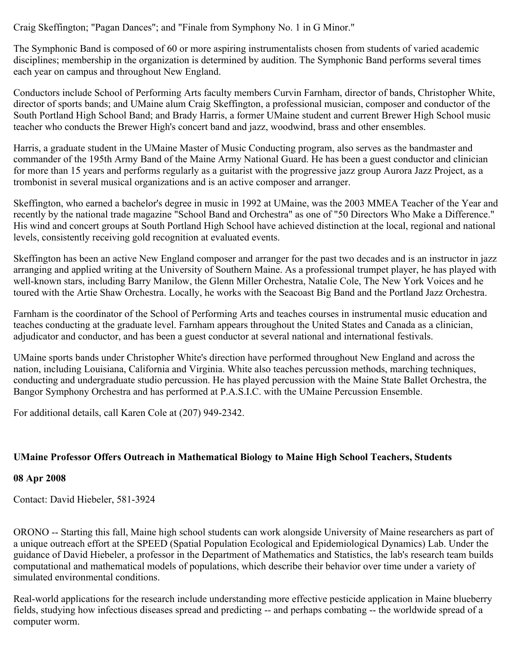Craig Skeffington; "Pagan Dances"; and "Finale from Symphony No. 1 in G Minor."

The Symphonic Band is composed of 60 or more aspiring instrumentalists chosen from students of varied academic disciplines; membership in the organization is determined by audition. The Symphonic Band performs several times each year on campus and throughout New England.

Conductors include School of Performing Arts faculty members Curvin Farnham, director of bands, Christopher White, director of sports bands; and UMaine alum Craig Skeffington, a professional musician, composer and conductor of the South Portland High School Band; and Brady Harris, a former UMaine student and current Brewer High School music teacher who conducts the Brewer High's concert band and jazz, woodwind, brass and other ensembles.

Harris, a graduate student in the UMaine Master of Music Conducting program, also serves as the bandmaster and commander of the 195th Army Band of the Maine Army National Guard. He has been a guest conductor and clinician for more than 15 years and performs regularly as a guitarist with the progressive jazz group Aurora Jazz Project, as a trombonist in several musical organizations and is an active composer and arranger.

Skeffington, who earned a bachelor's degree in music in 1992 at UMaine, was the 2003 MMEA Teacher of the Year and recently by the national trade magazine "School Band and Orchestra" as one of "50 Directors Who Make a Difference." His wind and concert groups at South Portland High School have achieved distinction at the local, regional and national levels, consistently receiving gold recognition at evaluated events.

Skeffington has been an active New England composer and arranger for the past two decades and is an instructor in jazz arranging and applied writing at the University of Southern Maine. As a professional trumpet player, he has played with well-known stars, including Barry Manilow, the Glenn Miller Orchestra, Natalie Cole, The New York Voices and he toured with the Artie Shaw Orchestra. Locally, he works with the Seacoast Big Band and the Portland Jazz Orchestra.

Farnham is the coordinator of the School of Performing Arts and teaches courses in instrumental music education and teaches conducting at the graduate level. Farnham appears throughout the United States and Canada as a clinician, adjudicator and conductor, and has been a guest conductor at several national and international festivals.

UMaine sports bands under Christopher White's direction have performed throughout New England and across the nation, including Louisiana, California and Virginia. White also teaches percussion methods, marching techniques, conducting and undergraduate studio percussion. He has played percussion with the Maine State Ballet Orchestra, the Bangor Symphony Orchestra and has performed at P.A.S.I.C. with the UMaine Percussion Ensemble.

For additional details, call Karen Cole at (207) 949-2342.

### **UMaine Professor Offers Outreach in Mathematical Biology to Maine High School Teachers, Students**

### **08 Apr 2008**

Contact: David Hiebeler, 581-3924

ORONO -- Starting this fall, Maine high school students can work alongside University of Maine researchers as part of a unique outreach effort at the SPEED (Spatial Population Ecological and Epidemiological Dynamics) Lab. Under the guidance of David Hiebeler, a professor in the Department of Mathematics and Statistics, the lab's research team builds computational and mathematical models of populations, which describe their behavior over time under a variety of simulated environmental conditions.

Real-world applications for the research include understanding more effective pesticide application in Maine blueberry fields, studying how infectious diseases spread and predicting -- and perhaps combating -- the worldwide spread of a computer worm.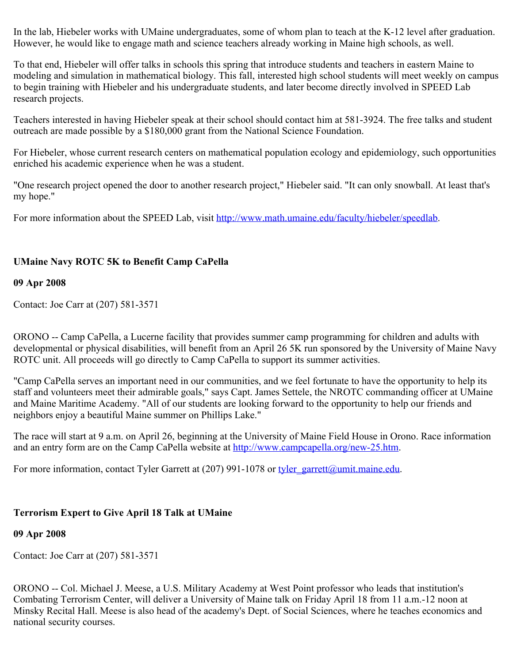In the lab, Hiebeler works with UMaine undergraduates, some of whom plan to teach at the K-12 level after graduation. However, he would like to engage math and science teachers already working in Maine high schools, as well.

To that end, Hiebeler will offer talks in schools this spring that introduce students and teachers in eastern Maine to modeling and simulation in mathematical biology. This fall, interested high school students will meet weekly on campus to begin training with Hiebeler and his undergraduate students, and later become directly involved in SPEED Lab research projects.

Teachers interested in having Hiebeler speak at their school should contact him at 581-3924. The free talks and student outreach are made possible by a \$180,000 grant from the National Science Foundation.

For Hiebeler, whose current research centers on mathematical population ecology and epidemiology, such opportunities enriched his academic experience when he was a student.

"One research project opened the door to another research project," Hiebeler said. "It can only snowball. At least that's my hope."

For more information about the SPEED Lab, visit<http://www.math.umaine.edu/faculty/hiebeler/speedlab>.

# **UMaine Navy ROTC 5K to Benefit Camp CaPella**

### **09 Apr 2008**

Contact: Joe Carr at (207) 581-3571

ORONO -- Camp CaPella, a Lucerne facility that provides summer camp programming for children and adults with developmental or physical disabilities, will benefit from an April 26 5K run sponsored by the University of Maine Navy ROTC unit. All proceeds will go directly to Camp CaPella to support its summer activities.

"Camp CaPella serves an important need in our communities, and we feel fortunate to have the opportunity to help its staff and volunteers meet their admirable goals," says Capt. James Settele, the NROTC commanding officer at UMaine and Maine Maritime Academy. "All of our students are looking forward to the opportunity to help our friends and neighbors enjoy a beautiful Maine summer on Phillips Lake."

The race will start at 9 a.m. on April 26, beginning at the University of Maine Field House in Orono. Race information and an entry form are on the Camp CaPella website at<http://www.campcapella.org/new-25.htm>.

For more information, contact Tyler Garrett at (207) 991-1078 or [tyler\\_garrett@umit.maine.edu](mailto:tyler_garrett@umit.maine.edu).

### **Terrorism Expert to Give April 18 Talk at UMaine**

### **09 Apr 2008**

Contact: Joe Carr at (207) 581-3571

ORONO -- Col. Michael J. Meese, a U.S. Military Academy at West Point professor who leads that institution's Combating Terrorism Center, will deliver a University of Maine talk on Friday April 18 from 11 a.m.-12 noon at Minsky Recital Hall. Meese is also head of the academy's Dept. of Social Sciences, where he teaches economics and national security courses.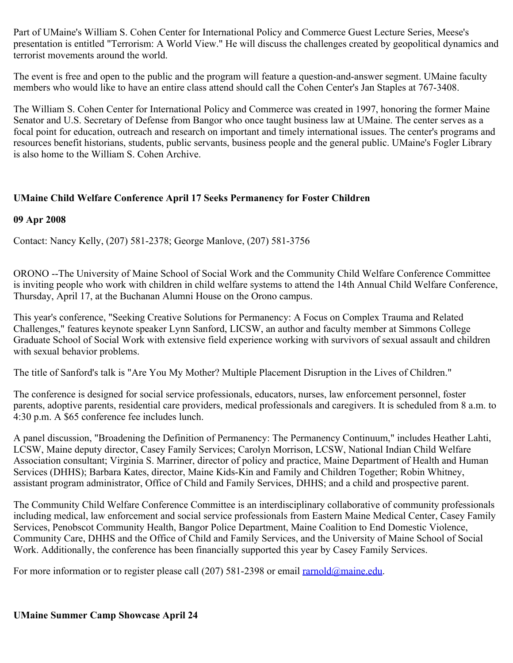Part of UMaine's William S. Cohen Center for International Policy and Commerce Guest Lecture Series, Meese's presentation is entitled "Terrorism: A World View." He will discuss the challenges created by geopolitical dynamics and terrorist movements around the world.

The event is free and open to the public and the program will feature a question-and-answer segment. UMaine faculty members who would like to have an entire class attend should call the Cohen Center's Jan Staples at 767-3408.

The William S. Cohen Center for International Policy and Commerce was created in 1997, honoring the former Maine Senator and U.S. Secretary of Defense from Bangor who once taught business law at UMaine. The center serves as a focal point for education, outreach and research on important and timely international issues. The center's programs and resources benefit historians, students, public servants, business people and the general public. UMaine's Fogler Library is also home to the William S. Cohen Archive.

## **UMaine Child Welfare Conference April 17 Seeks Permanency for Foster Children**

### **09 Apr 2008**

Contact: Nancy Kelly, (207) 581-2378; George Manlove, (207) 581-3756

ORONO --The University of Maine School of Social Work and the Community Child Welfare Conference Committee is inviting people who work with children in child welfare systems to attend the 14th Annual Child Welfare Conference, Thursday, April 17, at the Buchanan Alumni House on the Orono campus.

This year's conference, "Seeking Creative Solutions for Permanency: A Focus on Complex Trauma and Related Challenges," features keynote speaker Lynn Sanford, LICSW, an author and faculty member at Simmons College Graduate School of Social Work with extensive field experience working with survivors of sexual assault and children with sexual behavior problems.

The title of Sanford's talk is "Are You My Mother? Multiple Placement Disruption in the Lives of Children."

The conference is designed for social service professionals, educators, nurses, law enforcement personnel, foster parents, adoptive parents, residential care providers, medical professionals and caregivers. It is scheduled from 8 a.m. to 4:30 p.m. A \$65 conference fee includes lunch.

A panel discussion, "Broadening the Definition of Permanency: The Permanency Continuum," includes Heather Lahti, LCSW, Maine deputy director, Casey Family Services; Carolyn Morrison, LCSW, National Indian Child Welfare Association consultant; Virginia S. Marriner, director of policy and practice, Maine Department of Health and Human Services (DHHS); Barbara Kates, director, Maine Kids-Kin and Family and Children Together; Robin Whitney, assistant program administrator, Office of Child and Family Services, DHHS; and a child and prospective parent.

The Community Child Welfare Conference Committee is an interdisciplinary collaborative of community professionals including medical, law enforcement and social service professionals from Eastern Maine Medical Center, Casey Family Services, Penobscot Community Health, Bangor Police Department, Maine Coalition to End Domestic Violence, Community Care, DHHS and the Office of Child and Family Services, and the University of Maine School of Social Work. Additionally, the conference has been financially supported this year by Casey Family Services.

For more information or to register please call (207) 581-2398 or email [rarnold@maine.edu](mailto:rarnold@maine.edu).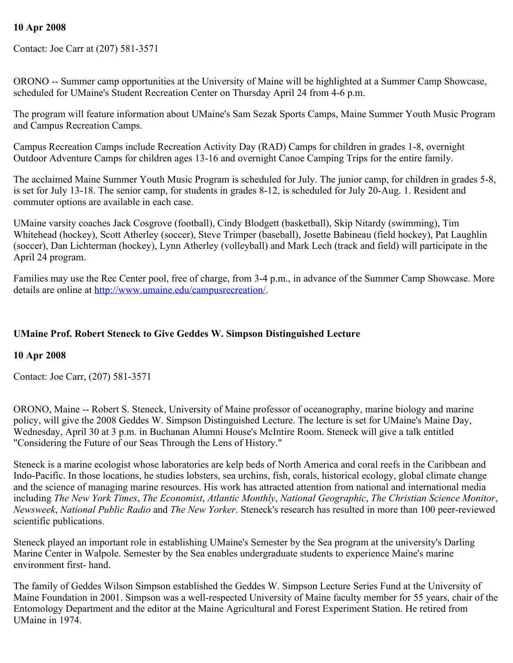## **10 Apr 2008**

Contact: Joe Carr at (207) 581-3571

ORONO -- Summer camp opportunities at the University of Maine will be highlighted at a Summer Camp Showcase, scheduled for UMaine's Student Recreation Center on Thursday April 24 from 4-6 p.m.

The program will feature information about UMaine's Sam Sezak Sports Camps, Maine Summer Youth Music Program and Campus Recreation Camps.

Campus Recreation Camps include Recreation Activity Day (RAD) Camps for children in grades 1-8, overnight Outdoor Adventure Camps for children ages 13-16 and overnight Canoe Camping Trips for the entire family.

The acclaimed Maine Summer Youth Music Program is scheduled for July. The junior camp, for children in grades 5-8, is set for July 13-18. The senior camp, for students in grades 8-12, is scheduled for July 20-Aug. 1. Resident and commuter options are available in each case.

UMaine varsity coaches Jack Cosgrove (football), Cindy Blodgett (basketball), Skip Nitardy (swimming), Tim Whitehead (hockey), Scott Atherley (soccer), Steve Trimper (baseball), Josette Babineau (field hockey), Pat Laughlin (soccer), Dan Lichterman (hockey), Lynn Atherley (volleyball) and Mark Lech (track and field) will participate in the April 24 program.

Families may use the Rec Center pool, free of charge, from 3-4 p.m., in advance of the Summer Camp Showcase. More details are online at<http://www.umaine.edu/campusrecreation/>.

## **UMaine Prof. Robert Steneck to Give Geddes W. Simpson Distinguished Lecture**

### **10 Apr 2008**

Contact: Joe Carr, (207) 581-3571

ORONO, Maine -- Robert S. Steneck, University of Maine professor of oceanography, marine biology and marine policy, will give the 2008 Geddes W. Simpson Distinguished Lecture. The lecture is set for UMaine's Maine Day, Wednesday, April 30 at 3 p.m. in Buchanan Alumni House's McIntire Room. Steneck will give a talk entitled "Considering the Future of our Seas Through the Lens of History."

Steneck is a marine ecologist whose laboratories are kelp beds of North America and coral reefs in the Caribbean and Indo-Pacific. In those locations, he studies lobsters, sea urchins, fish, corals, historical ecology, global climate change and the science of managing marine resources. His work has attracted attention from national and international media including *The New York Times*, *The Economist*, *Atlantic Monthly*, *National Geographic*, *The Christian Science Monitor*, *Newsweek*, *National Public Radio* and *The New Yorker*. Steneck's research has resulted in more than 100 peer-reviewed scientific publications.

Steneck played an important role in establishing UMaine's Semester by the Sea program at the university's Darling Marine Center in Walpole. Semester by the Sea enables undergraduate students to experience Maine's marine environment first- hand.

The family of Geddes Wilson Simpson established the Geddes W. Simpson Lecture Series Fund at the University of Maine Foundation in 2001. Simpson was a well-respected University of Maine faculty member for 55 years, chair of the Entomology Department and the editor at the Maine Agricultural and Forest Experiment Station. He retired from UMaine in 1974.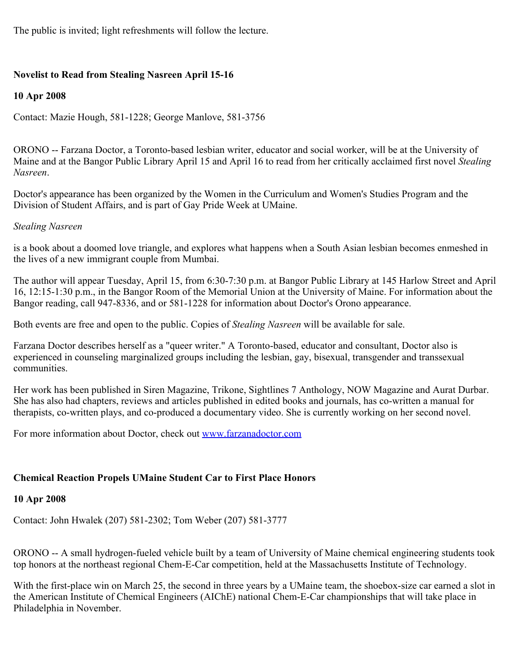The public is invited; light refreshments will follow the lecture.

### **Novelist to Read from Stealing Nasreen April 15-16**

### **10 Apr 2008**

Contact: Mazie Hough, 581-1228; George Manlove, 581-3756

ORONO -- Farzana Doctor, a Toronto-based lesbian writer, educator and social worker, will be at the University of Maine and at the Bangor Public Library April 15 and April 16 to read from her critically acclaimed first novel *Stealing Nasreen*.

Doctor's appearance has been organized by the Women in the Curriculum and Women's Studies Program and the Division of Student Affairs, and is part of Gay Pride Week at UMaine.

### *Stealing Nasreen*

is a book about a doomed love triangle, and explores what happens when a South Asian lesbian becomes enmeshed in the lives of a new immigrant couple from Mumbai.

The author will appear Tuesday, April 15, from 6:30-7:30 p.m. at Bangor Public Library at 145 Harlow Street and April 16, 12:15-1:30 p.m., in the Bangor Room of the Memorial Union at the University of Maine. For information about the Bangor reading, call 947-8336, and or 581-1228 for information about Doctor's Orono appearance.

Both events are free and open to the public. Copies of *Stealing Nasreen* will be available for sale.

Farzana Doctor describes herself as a "queer writer." A Toronto-based, educator and consultant, Doctor also is experienced in counseling marginalized groups including the lesbian, gay, bisexual, transgender and transsexual communities.

Her work has been published in Siren Magazine, Trikone, Sightlines 7 Anthology, NOW Magazine and Aurat Durbar. She has also had chapters, reviews and articles published in edited books and journals, has co-written a manual for therapists, co-written plays, and co-produced a documentary video. She is currently working on her second novel.

For more information about Doctor, check out [www.farzanadoctor.com](http://www.farzanadoctor.com/)

### **Chemical Reaction Propels UMaine Student Car to First Place Honors**

### **10 Apr 2008**

Contact: John Hwalek (207) 581-2302; Tom Weber (207) 581-3777

ORONO -- A small hydrogen-fueled vehicle built by a team of University of Maine chemical engineering students took top honors at the northeast regional Chem-E-Car competition, held at the Massachusetts Institute of Technology.

With the first-place win on March 25, the second in three years by a UMaine team, the shoebox-size car earned a slot in the American Institute of Chemical Engineers (AIChE) national Chem-E-Car championships that will take place in Philadelphia in November.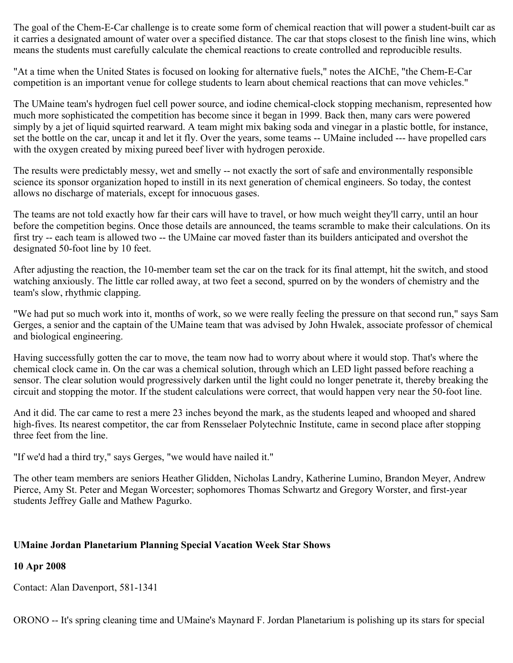The goal of the Chem-E-Car challenge is to create some form of chemical reaction that will power a student-built car as it carries a designated amount of water over a specified distance. The car that stops closest to the finish line wins, which means the students must carefully calculate the chemical reactions to create controlled and reproducible results.

"At a time when the United States is focused on looking for alternative fuels," notes the AIChE, "the Chem-E-Car competition is an important venue for college students to learn about chemical reactions that can move vehicles."

The UMaine team's hydrogen fuel cell power source, and iodine chemical-clock stopping mechanism, represented how much more sophisticated the competition has become since it began in 1999. Back then, many cars were powered simply by a jet of liquid squirted rearward. A team might mix baking soda and vinegar in a plastic bottle, for instance, set the bottle on the car, uncap it and let it fly. Over the years, some teams -- UMaine included --- have propelled cars with the oxygen created by mixing pureed beef liver with hydrogen peroxide.

The results were predictably messy, wet and smelly -- not exactly the sort of safe and environmentally responsible science its sponsor organization hoped to instill in its next generation of chemical engineers. So today, the contest allows no discharge of materials, except for innocuous gases.

The teams are not told exactly how far their cars will have to travel, or how much weight they'll carry, until an hour before the competition begins. Once those details are announced, the teams scramble to make their calculations. On its first try -- each team is allowed two -- the UMaine car moved faster than its builders anticipated and overshot the designated 50-foot line by 10 feet.

After adjusting the reaction, the 10-member team set the car on the track for its final attempt, hit the switch, and stood watching anxiously. The little car rolled away, at two feet a second, spurred on by the wonders of chemistry and the team's slow, rhythmic clapping.

"We had put so much work into it, months of work, so we were really feeling the pressure on that second run," says Sam Gerges, a senior and the captain of the UMaine team that was advised by John Hwalek, associate professor of chemical and biological engineering.

Having successfully gotten the car to move, the team now had to worry about where it would stop. That's where the chemical clock came in. On the car was a chemical solution, through which an LED light passed before reaching a sensor. The clear solution would progressively darken until the light could no longer penetrate it, thereby breaking the circuit and stopping the motor. If the student calculations were correct, that would happen very near the 50-foot line.

And it did. The car came to rest a mere 23 inches beyond the mark, as the students leaped and whooped and shared high-fives. Its nearest competitor, the car from Rensselaer Polytechnic Institute, came in second place after stopping three feet from the line.

"If we'd had a third try," says Gerges, "we would have nailed it."

The other team members are seniors Heather Glidden, Nicholas Landry, Katherine Lumino, Brandon Meyer, Andrew Pierce, Amy St. Peter and Megan Worcester; sophomores Thomas Schwartz and Gregory Worster, and first-year students Jeffrey Galle and Mathew Pagurko.

### **UMaine Jordan Planetarium Planning Special Vacation Week Star Shows**

# **10 Apr 2008**

Contact: Alan Davenport, 581-1341

ORONO -- It's spring cleaning time and UMaine's Maynard F. Jordan Planetarium is polishing up its stars for special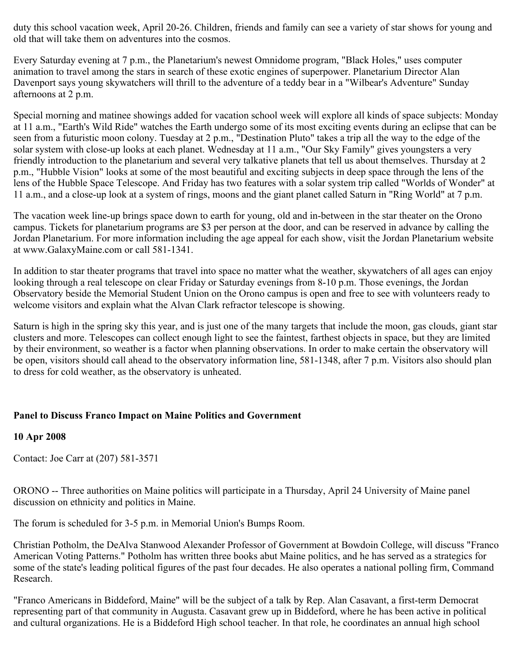duty this school vacation week, April 20-26. Children, friends and family can see a variety of star shows for young and old that will take them on adventures into the cosmos.

Every Saturday evening at 7 p.m., the Planetarium's newest Omnidome program, "Black Holes," uses computer animation to travel among the stars in search of these exotic engines of superpower. Planetarium Director Alan Davenport says young skywatchers will thrill to the adventure of a teddy bear in a "Wilbear's Adventure" Sunday afternoons at 2 p.m.

Special morning and matinee showings added for vacation school week will explore all kinds of space subjects: Monday at 11 a.m., "Earth's Wild Ride" watches the Earth undergo some of its most exciting events during an eclipse that can be seen from a futuristic moon colony. Tuesday at 2 p.m., "Destination Pluto" takes a trip all the way to the edge of the solar system with close-up looks at each planet. Wednesday at 11 a.m., "Our Sky Family" gives youngsters a very friendly introduction to the planetarium and several very talkative planets that tell us about themselves. Thursday at 2 p.m., "Hubble Vision" looks at some of the most beautiful and exciting subjects in deep space through the lens of the lens of the Hubble Space Telescope. And Friday has two features with a solar system trip called "Worlds of Wonder" at 11 a.m., and a close-up look at a system of rings, moons and the giant planet called Saturn in "Ring World" at 7 p.m.

The vacation week line-up brings space down to earth for young, old and in-between in the star theater on the Orono campus. Tickets for planetarium programs are \$3 per person at the door, and can be reserved in advance by calling the Jordan Planetarium. For more information including the age appeal for each show, visit the Jordan Planetarium website at www.GalaxyMaine.com or call 581-1341.

In addition to star theater programs that travel into space no matter what the weather, skywatchers of all ages can enjoy looking through a real telescope on clear Friday or Saturday evenings from 8-10 p.m. Those evenings, the Jordan Observatory beside the Memorial Student Union on the Orono campus is open and free to see with volunteers ready to welcome visitors and explain what the Alvan Clark refractor telescope is showing.

Saturn is high in the spring sky this year, and is just one of the many targets that include the moon, gas clouds, giant star clusters and more. Telescopes can collect enough light to see the faintest, farthest objects in space, but they are limited by their environment, so weather is a factor when planning observations. In order to make certain the observatory will be open, visitors should call ahead to the observatory information line, 581-1348, after 7 p.m. Visitors also should plan to dress for cold weather, as the observatory is unheated.

### **Panel to Discuss Franco Impact on Maine Politics and Government**

### **10 Apr 2008**

Contact: Joe Carr at (207) 581-3571

ORONO -- Three authorities on Maine politics will participate in a Thursday, April 24 University of Maine panel discussion on ethnicity and politics in Maine.

The forum is scheduled for 3-5 p.m. in Memorial Union's Bumps Room.

Christian Potholm, the DeAlva Stanwood Alexander Professor of Government at Bowdoin College, will discuss "Franco American Voting Patterns." Potholm has written three books abut Maine politics, and he has served as a strategics for some of the state's leading political figures of the past four decades. He also operates a national polling firm, Command Research.

"Franco Americans in Biddeford, Maine" will be the subject of a talk by Rep. Alan Casavant, a first-term Democrat representing part of that community in Augusta. Casavant grew up in Biddeford, where he has been active in political and cultural organizations. He is a Biddeford High school teacher. In that role, he coordinates an annual high school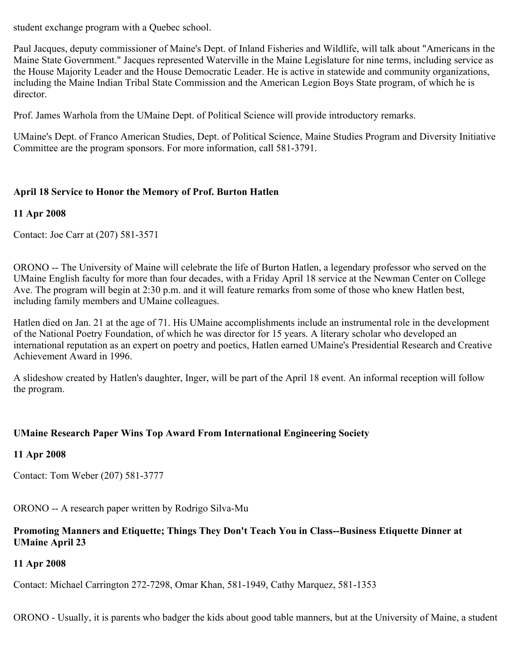student exchange program with a Quebec school.

Paul Jacques, deputy commissioner of Maine's Dept. of Inland Fisheries and Wildlife, will talk about "Americans in the Maine State Government." Jacques represented Waterville in the Maine Legislature for nine terms, including service as the House Majority Leader and the House Democratic Leader. He is active in statewide and community organizations, including the Maine Indian Tribal State Commission and the American Legion Boys State program, of which he is director.

Prof. James Warhola from the UMaine Dept. of Political Science will provide introductory remarks.

UMaine's Dept. of Franco American Studies, Dept. of Political Science, Maine Studies Program and Diversity Initiative Committee are the program sponsors. For more information, call 581-3791.

## **April 18 Service to Honor the Memory of Prof. Burton Hatlen**

### **11 Apr 2008**

Contact: Joe Carr at (207) 581-3571

ORONO -- The University of Maine will celebrate the life of Burton Hatlen, a legendary professor who served on the UMaine English faculty for more than four decades, with a Friday April 18 service at the Newman Center on College Ave. The program will begin at 2:30 p.m. and it will feature remarks from some of those who knew Hatlen best, including family members and UMaine colleagues.

Hatlen died on Jan. 21 at the age of 71. His UMaine accomplishments include an instrumental role in the development of the National Poetry Foundation, of which he was director for 15 years. A literary scholar who developed an international reputation as an expert on poetry and poetics, Hatlen earned UMaine's Presidential Research and Creative Achievement Award in 1996.

A slideshow created by Hatlen's daughter, Inger, will be part of the April 18 event. An informal reception will follow the program.

### **UMaine Research Paper Wins Top Award From International Engineering Society**

### **11 Apr 2008**

Contact: Tom Weber (207) 581-3777

ORONO -- A research paper written by Rodrigo Silva-Mu

### **Promoting Manners and Etiquette; Things They Don't Teach You in Class--Business Etiquette Dinner at UMaine April 23**

# **11 Apr 2008**

Contact: Michael Carrington 272-7298, Omar Khan, 581-1949, Cathy Marquez, 581-1353

ORONO - Usually, it is parents who badger the kids about good table manners, but at the University of Maine, a student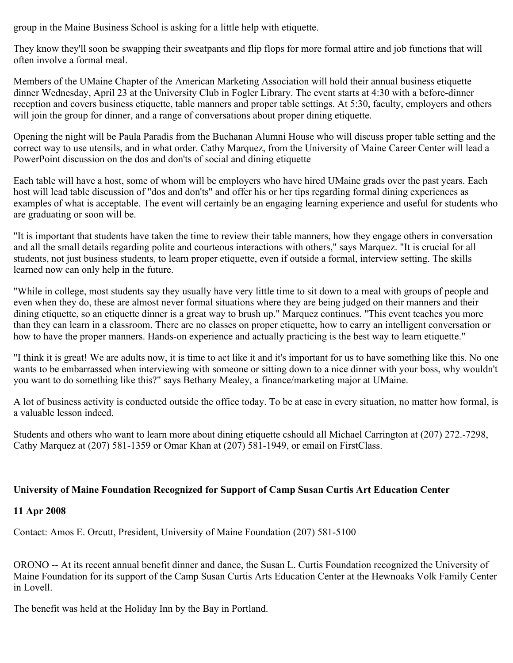group in the Maine Business School is asking for a little help with etiquette.

They know they'll soon be swapping their sweatpants and flip flops for more formal attire and job functions that will often involve a formal meal.

Members of the UMaine Chapter of the American Marketing Association will hold their annual business etiquette dinner Wednesday, April 23 at the University Club in Fogler Library. The event starts at 4:30 with a before-dinner reception and covers business etiquette, table manners and proper table settings. At 5:30, faculty, employers and others will join the group for dinner, and a range of conversations about proper dining etiquette.

Opening the night will be Paula Paradis from the Buchanan Alumni House who will discuss proper table setting and the correct way to use utensils, and in what order. Cathy Marquez, from the University of Maine Career Center will lead a PowerPoint discussion on the dos and don'ts of social and dining etiquette

Each table will have a host, some of whom will be employers who have hired UMaine grads over the past years. Each host will lead table discussion of "dos and don'ts" and offer his or her tips regarding formal dining experiences as examples of what is acceptable. The event will certainly be an engaging learning experience and useful for students who are graduating or soon will be.

"It is important that students have taken the time to review their table manners, how they engage others in conversation and all the small details regarding polite and courteous interactions with others," says Marquez. "It is crucial for all students, not just business students, to learn proper etiquette, even if outside a formal, interview setting. The skills learned now can only help in the future.

"While in college, most students say they usually have very little time to sit down to a meal with groups of people and even when they do, these are almost never formal situations where they are being judged on their manners and their dining etiquette, so an etiquette dinner is a great way to brush up." Marquez continues. "This event teaches you more than they can learn in a classroom. There are no classes on proper etiquette, how to carry an intelligent conversation or how to have the proper manners. Hands-on experience and actually practicing is the best way to learn etiquette."

"I think it is great! We are adults now, it is time to act like it and it's important for us to have something like this. No one wants to be embarrassed when interviewing with someone or sitting down to a nice dinner with your boss, why wouldn't you want to do something like this?" says Bethany Mealey, a finance/marketing major at UMaine.

A lot of business activity is conducted outside the office today. To be at ease in every situation, no matter how formal, is a valuable lesson indeed.

Students and others who want to learn more about dining etiquette cshould all Michael Carrington at (207) 272.-7298, Cathy Marquez at (207) 581-1359 or Omar Khan at (207) 581-1949, or email on FirstClass.

### **University of Maine Foundation Recognized for Support of Camp Susan Curtis Art Education Center**

### **11 Apr 2008**

Contact: Amos E. Orcutt, President, University of Maine Foundation (207) 581-5100

ORONO -- At its recent annual benefit dinner and dance, the Susan L. Curtis Foundation recognized the University of Maine Foundation for its support of the Camp Susan Curtis Arts Education Center at the Hewnoaks Volk Family Center in Lovell.

The benefit was held at the Holiday Inn by the Bay in Portland.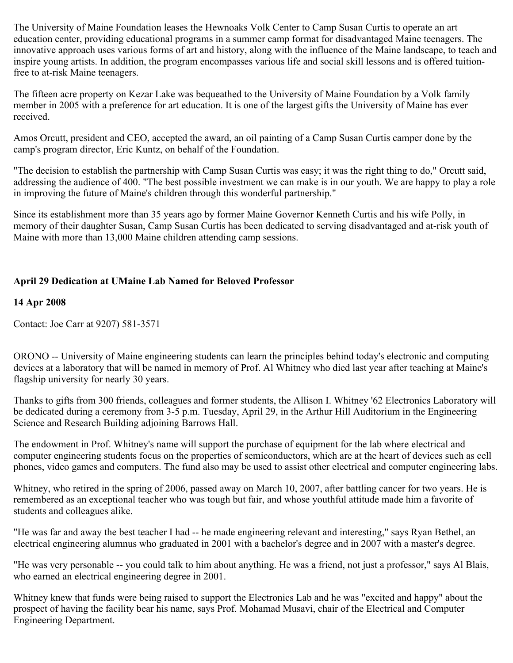The University of Maine Foundation leases the Hewnoaks Volk Center to Camp Susan Curtis to operate an art education center, providing educational programs in a summer camp format for disadvantaged Maine teenagers. The innovative approach uses various forms of art and history, along with the influence of the Maine landscape, to teach and inspire young artists. In addition, the program encompasses various life and social skill lessons and is offered tuitionfree to at-risk Maine teenagers.

The fifteen acre property on Kezar Lake was bequeathed to the University of Maine Foundation by a Volk family member in 2005 with a preference for art education. It is one of the largest gifts the University of Maine has ever received.

Amos Orcutt, president and CEO, accepted the award, an oil painting of a Camp Susan Curtis camper done by the camp's program director, Eric Kuntz, on behalf of the Foundation.

"The decision to establish the partnership with Camp Susan Curtis was easy; it was the right thing to do," Orcutt said, addressing the audience of 400. "The best possible investment we can make is in our youth. We are happy to play a role in improving the future of Maine's children through this wonderful partnership."

Since its establishment more than 35 years ago by former Maine Governor Kenneth Curtis and his wife Polly, in memory of their daughter Susan, Camp Susan Curtis has been dedicated to serving disadvantaged and at-risk youth of Maine with more than 13,000 Maine children attending camp sessions.

# **April 29 Dedication at UMaine Lab Named for Beloved Professor**

### **14 Apr 2008**

Contact: Joe Carr at 9207) 581-3571

ORONO -- University of Maine engineering students can learn the principles behind today's electronic and computing devices at a laboratory that will be named in memory of Prof. Al Whitney who died last year after teaching at Maine's flagship university for nearly 30 years.

Thanks to gifts from 300 friends, colleagues and former students, the Allison I. Whitney '62 Electronics Laboratory will be dedicated during a ceremony from 3-5 p.m. Tuesday, April 29, in the Arthur Hill Auditorium in the Engineering Science and Research Building adjoining Barrows Hall.

The endowment in Prof. Whitney's name will support the purchase of equipment for the lab where electrical and computer engineering students focus on the properties of semiconductors, which are at the heart of devices such as cell phones, video games and computers. The fund also may be used to assist other electrical and computer engineering labs.

Whitney, who retired in the spring of 2006, passed away on March 10, 2007, after battling cancer for two years. He is remembered as an exceptional teacher who was tough but fair, and whose youthful attitude made him a favorite of students and colleagues alike.

"He was far and away the best teacher I had -- he made engineering relevant and interesting," says Ryan Bethel, an electrical engineering alumnus who graduated in 2001 with a bachelor's degree and in 2007 with a master's degree.

"He was very personable -- you could talk to him about anything. He was a friend, not just a professor," says Al Blais, who earned an electrical engineering degree in 2001.

Whitney knew that funds were being raised to support the Electronics Lab and he was "excited and happy" about the prospect of having the facility bear his name, says Prof. Mohamad Musavi, chair of the Electrical and Computer Engineering Department.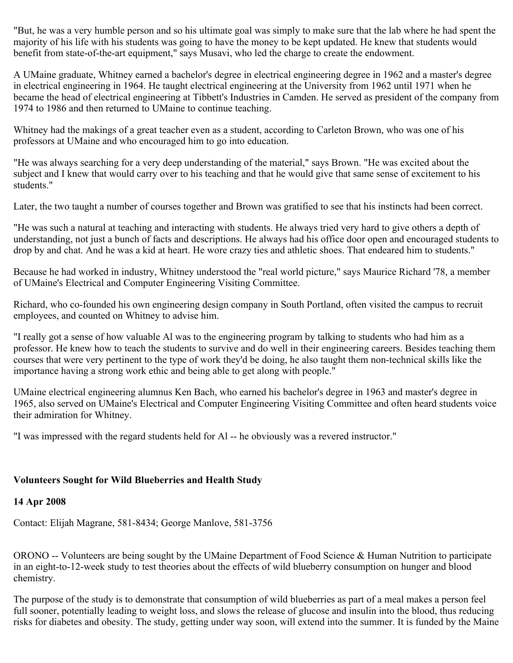"But, he was a very humble person and so his ultimate goal was simply to make sure that the lab where he had spent the majority of his life with his students was going to have the money to be kept updated. He knew that students would benefit from state-of-the-art equipment," says Musavi, who led the charge to create the endowment.

A UMaine graduate, Whitney earned a bachelor's degree in electrical engineering degree in 1962 and a master's degree in electrical engineering in 1964. He taught electrical engineering at the University from 1962 until 1971 when he became the head of electrical engineering at Tibbett's Industries in Camden. He served as president of the company from 1974 to 1986 and then returned to UMaine to continue teaching.

Whitney had the makings of a great teacher even as a student, according to Carleton Brown, who was one of his professors at UMaine and who encouraged him to go into education.

"He was always searching for a very deep understanding of the material," says Brown. "He was excited about the subject and I knew that would carry over to his teaching and that he would give that same sense of excitement to his students."

Later, the two taught a number of courses together and Brown was gratified to see that his instincts had been correct.

"He was such a natural at teaching and interacting with students. He always tried very hard to give others a depth of understanding, not just a bunch of facts and descriptions. He always had his office door open and encouraged students to drop by and chat. And he was a kid at heart. He wore crazy ties and athletic shoes. That endeared him to students."

Because he had worked in industry, Whitney understood the "real world picture," says Maurice Richard '78, a member of UMaine's Electrical and Computer Engineering Visiting Committee.

Richard, who co-founded his own engineering design company in South Portland, often visited the campus to recruit employees, and counted on Whitney to advise him.

"I really got a sense of how valuable Al was to the engineering program by talking to students who had him as a professor. He knew how to teach the students to survive and do well in their engineering careers. Besides teaching them courses that were very pertinent to the type of work they'd be doing, he also taught them non-technical skills like the importance having a strong work ethic and being able to get along with people."

UMaine electrical engineering alumnus Ken Bach, who earned his bachelor's degree in 1963 and master's degree in 1965, also served on UMaine's Electrical and Computer Engineering Visiting Committee and often heard students voice their admiration for Whitney.

"I was impressed with the regard students held for Al -- he obviously was a revered instructor."

### **Volunteers Sought for Wild Blueberries and Health Study**

#### **14 Apr 2008**

Contact: Elijah Magrane, 581-8434; George Manlove, 581-3756

ORONO -- Volunteers are being sought by the UMaine Department of Food Science & Human Nutrition to participate in an eight-to-12-week study to test theories about the effects of wild blueberry consumption on hunger and blood chemistry.

The purpose of the study is to demonstrate that consumption of wild blueberries as part of a meal makes a person feel full sooner, potentially leading to weight loss, and slows the release of glucose and insulin into the blood, thus reducing risks for diabetes and obesity. The study, getting under way soon, will extend into the summer. It is funded by the Maine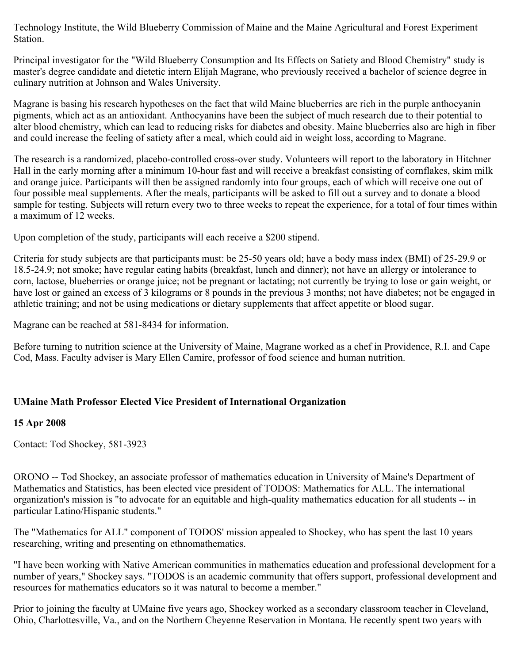Technology Institute, the Wild Blueberry Commission of Maine and the Maine Agricultural and Forest Experiment Station.

Principal investigator for the "Wild Blueberry Consumption and Its Effects on Satiety and Blood Chemistry" study is master's degree candidate and dietetic intern Elijah Magrane, who previously received a bachelor of science degree in culinary nutrition at Johnson and Wales University.

Magrane is basing his research hypotheses on the fact that wild Maine blueberries are rich in the purple anthocyanin pigments, which act as an antioxidant. Anthocyanins have been the subject of much research due to their potential to alter blood chemistry, which can lead to reducing risks for diabetes and obesity. Maine blueberries also are high in fiber and could increase the feeling of satiety after a meal, which could aid in weight loss, according to Magrane.

The research is a randomized, placebo-controlled cross-over study. Volunteers will report to the laboratory in Hitchner Hall in the early morning after a minimum 10-hour fast and will receive a breakfast consisting of cornflakes, skim milk and orange juice. Participants will then be assigned randomly into four groups, each of which will receive one out of four possible meal supplements. After the meals, participants will be asked to fill out a survey and to donate a blood sample for testing. Subjects will return every two to three weeks to repeat the experience, for a total of four times within a maximum of 12 weeks.

Upon completion of the study, participants will each receive a \$200 stipend.

Criteria for study subjects are that participants must: be 25-50 years old; have a body mass index (BMI) of 25-29.9 or 18.5-24.9; not smoke; have regular eating habits (breakfast, lunch and dinner); not have an allergy or intolerance to corn, lactose, blueberries or orange juice; not be pregnant or lactating; not currently be trying to lose or gain weight, or have lost or gained an excess of 3 kilograms or 8 pounds in the previous 3 months; not have diabetes; not be engaged in athletic training; and not be using medications or dietary supplements that affect appetite or blood sugar.

Magrane can be reached at 581-8434 for information.

Before turning to nutrition science at the University of Maine, Magrane worked as a chef in Providence, R.I. and Cape Cod, Mass. Faculty adviser is Mary Ellen Camire, professor of food science and human nutrition.

# **UMaine Math Professor Elected Vice President of International Organization**

### **15 Apr 2008**

Contact: Tod Shockey, 581-3923

ORONO -- Tod Shockey, an associate professor of mathematics education in University of Maine's Department of Mathematics and Statistics, has been elected vice president of TODOS: Mathematics for ALL. The international organization's mission is "to advocate for an equitable and high-quality mathematics education for all students -- in particular Latino/Hispanic students."

The "Mathematics for ALL" component of TODOS' mission appealed to Shockey, who has spent the last 10 years researching, writing and presenting on ethnomathematics.

"I have been working with Native American communities in mathematics education and professional development for a number of years," Shockey says. "TODOS is an academic community that offers support, professional development and resources for mathematics educators so it was natural to become a member."

Prior to joining the faculty at UMaine five years ago, Shockey worked as a secondary classroom teacher in Cleveland, Ohio, Charlottesville, Va., and on the Northern Cheyenne Reservation in Montana. He recently spent two years with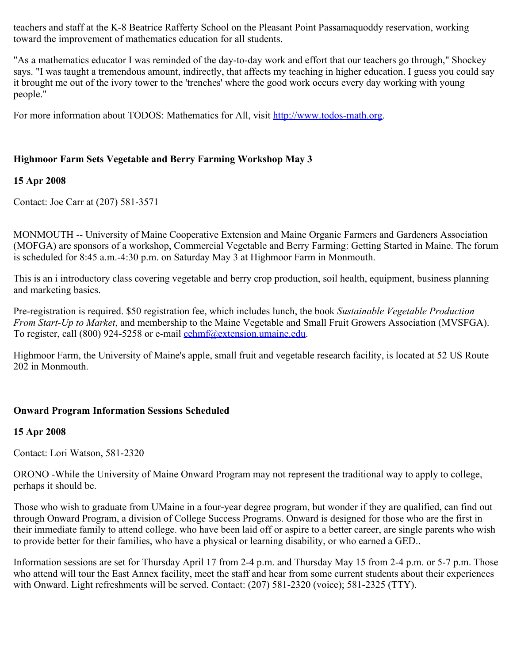teachers and staff at the K-8 Beatrice Rafferty School on the Pleasant Point Passamaquoddy reservation, working toward the improvement of mathematics education for all students.

"As a mathematics educator I was reminded of the day-to-day work and effort that our teachers go through," Shockey says. "I was taught a tremendous amount, indirectly, that affects my teaching in higher education. I guess you could say it brought me out of the ivory tower to the 'trenches' where the good work occurs every day working with young people."

For more information about TODOS: Mathematics for All, visit [http://www.todos-math.org.](http://www.todos-math.org/)

# **Highmoor Farm Sets Vegetable and Berry Farming Workshop May 3**

# **15 Apr 2008**

Contact: Joe Carr at (207) 581-3571

MONMOUTH -- University of Maine Cooperative Extension and Maine Organic Farmers and Gardeners Association (MOFGA) are sponsors of a workshop, Commercial Vegetable and Berry Farming: Getting Started in Maine. The forum is scheduled for 8:45 a.m.-4:30 p.m. on Saturday May 3 at Highmoor Farm in Monmouth.

This is an i introductory class covering vegetable and berry crop production, soil health, equipment, business planning and marketing basics.

Pre-registration is required. \$50 registration fee, which includes lunch, the book *Sustainable Vegetable Production From Start-Up to Market*, and membership to the Maine Vegetable and Small Fruit Growers Association (MVSFGA). To register, call (800) 924-5258 or e-mail [cehmf@extension.umaine.edu.](mailto:cehmf@extension.umaine.edu)

Highmoor Farm, the University of Maine's apple, small fruit and vegetable research facility, is located at 52 US Route 202 in Monmouth.

# **Onward Program Information Sessions Scheduled**

### **15 Apr 2008**

Contact: Lori Watson, 581-2320

ORONO -While the University of Maine Onward Program may not represent the traditional way to apply to college, perhaps it should be.

Those who wish to graduate from UMaine in a four-year degree program, but wonder if they are qualified, can find out through Onward Program, a division of College Success Programs. Onward is designed for those who are the first in their immediate family to attend college. who have been laid off or aspire to a better career, are single parents who wish to provide better for their families, who have a physical or learning disability, or who earned a GED..

Information sessions are set for Thursday April 17 from 2-4 p.m. and Thursday May 15 from 2-4 p.m. or 5-7 p.m. Those who attend will tour the East Annex facility, meet the staff and hear from some current students about their experiences with Onward. Light refreshments will be served. Contact: (207) 581-2320 (voice); 581-2325 (TTY).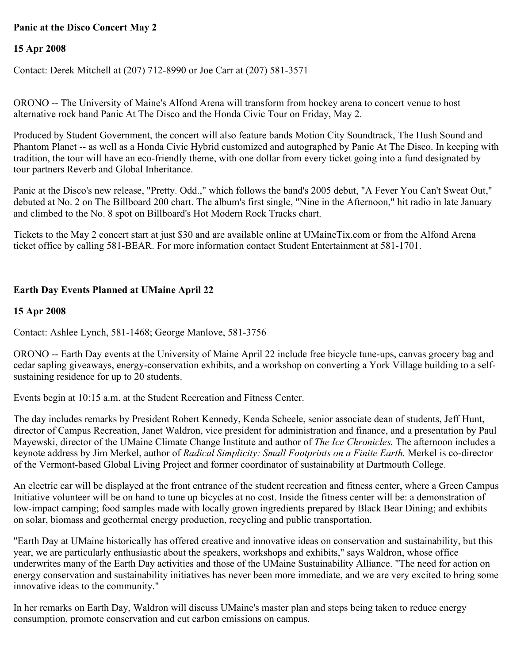# **Panic at the Disco Concert May 2**

### **15 Apr 2008**

Contact: Derek Mitchell at (207) 712-8990 or Joe Carr at (207) 581-3571

ORONO -- The University of Maine's Alfond Arena will transform from hockey arena to concert venue to host alternative rock band Panic At The Disco and the Honda Civic Tour on Friday, May 2.

Produced by Student Government, the concert will also feature bands Motion City Soundtrack, The Hush Sound and Phantom Planet -- as well as a Honda Civic Hybrid customized and autographed by Panic At The Disco. In keeping with tradition, the tour will have an eco-friendly theme, with one dollar from every ticket going into a fund designated by tour partners Reverb and Global Inheritance.

Panic at the Disco's new release, "Pretty. Odd.," which follows the band's 2005 debut, "A Fever You Can't Sweat Out," debuted at No. 2 on The Billboard 200 chart. The album's first single, "Nine in the Afternoon," hit radio in late January and climbed to the No. 8 spot on Billboard's Hot Modern Rock Tracks chart.

Tickets to the May 2 concert start at just \$30 and are available online at UMaineTix.com or from the Alfond Arena ticket office by calling 581-BEAR. For more information contact Student Entertainment at 581-1701.

# **Earth Day Events Planned at UMaine April 22**

### **15 Apr 2008**

Contact: Ashlee Lynch, 581-1468; George Manlove, 581-3756

ORONO -- Earth Day events at the University of Maine April 22 include free bicycle tune-ups, canvas grocery bag and cedar sapling giveaways, energy-conservation exhibits, and a workshop on converting a York Village building to a selfsustaining residence for up to 20 students.

Events begin at 10:15 a.m. at the Student Recreation and Fitness Center.

The day includes remarks by President Robert Kennedy, Kenda Scheele, senior associate dean of students, Jeff Hunt, director of Campus Recreation, Janet Waldron, vice president for administration and finance, and a presentation by Paul Mayewski, director of the UMaine Climate Change Institute and author of *The Ice Chronicles.* The afternoon includes a keynote address by Jim Merkel, author of *Radical Simplicity: Small Footprints on a Finite Earth.* Merkel is co-director of the Vermont-based Global Living Project and former coordinator of sustainability at Dartmouth College.

An electric car will be displayed at the front entrance of the student recreation and fitness center, where a Green Campus Initiative volunteer will be on hand to tune up bicycles at no cost. Inside the fitness center will be: a demonstration of low-impact camping; food samples made with locally grown ingredients prepared by Black Bear Dining; and exhibits on solar, biomass and geothermal energy production, recycling and public transportation.

"Earth Day at UMaine historically has offered creative and innovative ideas on conservation and sustainability, but this year, we are particularly enthusiastic about the speakers, workshops and exhibits," says Waldron, whose office underwrites many of the Earth Day activities and those of the UMaine Sustainability Alliance. "The need for action on energy conservation and sustainability initiatives has never been more immediate, and we are very excited to bring some innovative ideas to the community."

In her remarks on Earth Day, Waldron will discuss UMaine's master plan and steps being taken to reduce energy consumption, promote conservation and cut carbon emissions on campus.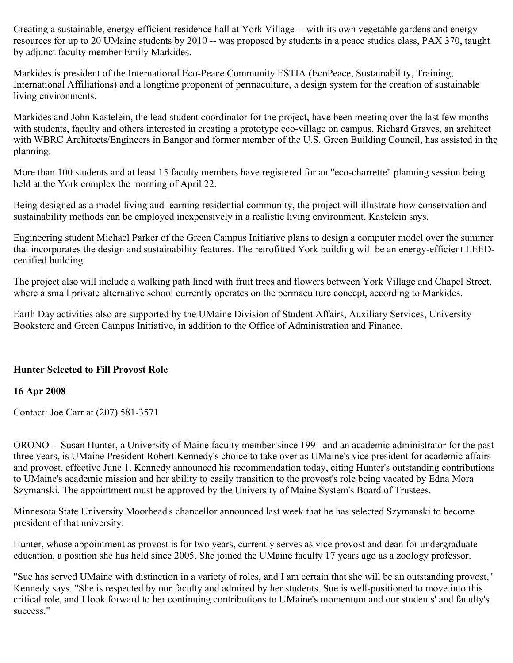Creating a sustainable, energy-efficient residence hall at York Village -- with its own vegetable gardens and energy resources for up to 20 UMaine students by 2010 -- was proposed by students in a peace studies class, PAX 370, taught by adjunct faculty member Emily Markides.

Markides is president of the International Eco-Peace Community ESTIA (EcoPeace, Sustainability, Training, International Affiliations) and a longtime proponent of permaculture, a design system for the creation of sustainable living environments.

Markides and John Kastelein, the lead student coordinator for the project, have been meeting over the last few months with students, faculty and others interested in creating a prototype eco-village on campus. Richard Graves, an architect with WBRC Architects/Engineers in Bangor and former member of the U.S. Green Building Council, has assisted in the planning.

More than 100 students and at least 15 faculty members have registered for an "eco-charrette" planning session being held at the York complex the morning of April 22.

Being designed as a model living and learning residential community, the project will illustrate how conservation and sustainability methods can be employed inexpensively in a realistic living environment, Kastelein says.

Engineering student Michael Parker of the Green Campus Initiative plans to design a computer model over the summer that incorporates the design and sustainability features. The retrofitted York building will be an energy-efficient LEEDcertified building.

The project also will include a walking path lined with fruit trees and flowers between York Village and Chapel Street, where a small private alternative school currently operates on the permaculture concept, according to Markides.

Earth Day activities also are supported by the UMaine Division of Student Affairs, Auxiliary Services, University Bookstore and Green Campus Initiative, in addition to the Office of Administration and Finance.

### **Hunter Selected to Fill Provost Role**

#### **16 Apr 2008**

Contact: Joe Carr at (207) 581-3571

ORONO -- Susan Hunter, a University of Maine faculty member since 1991 and an academic administrator for the past three years, is UMaine President Robert Kennedy's choice to take over as UMaine's vice president for academic affairs and provost, effective June 1. Kennedy announced his recommendation today, citing Hunter's outstanding contributions to UMaine's academic mission and her ability to easily transition to the provost's role being vacated by Edna Mora Szymanski. The appointment must be approved by the University of Maine System's Board of Trustees.

Minnesota State University Moorhead's chancellor announced last week that he has selected Szymanski to become president of that university.

Hunter, whose appointment as provost is for two years, currently serves as vice provost and dean for undergraduate education, a position she has held since 2005. She joined the UMaine faculty 17 years ago as a zoology professor.

"Sue has served UMaine with distinction in a variety of roles, and I am certain that she will be an outstanding provost," Kennedy says. "She is respected by our faculty and admired by her students. Sue is well-positioned to move into this critical role, and I look forward to her continuing contributions to UMaine's momentum and our students' and faculty's success."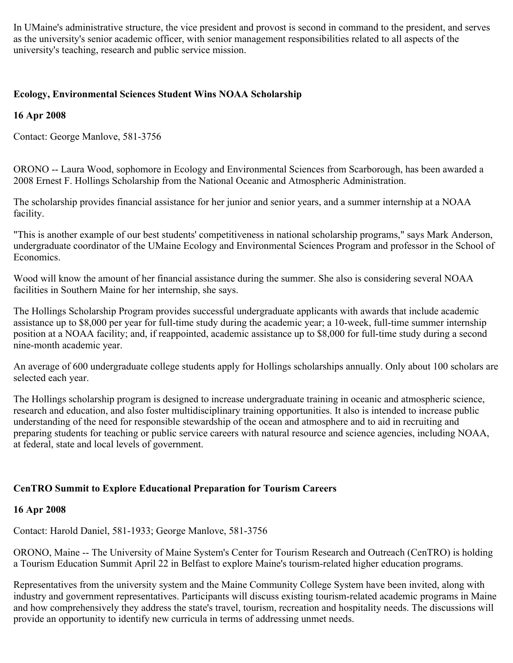In UMaine's administrative structure, the vice president and provost is second in command to the president, and serves as the university's senior academic officer, with senior management responsibilities related to all aspects of the university's teaching, research and public service mission.

# **Ecology, Environmental Sciences Student Wins NOAA Scholarship**

### **16 Apr 2008**

Contact: George Manlove, 581-3756

ORONO -- Laura Wood, sophomore in Ecology and Environmental Sciences from Scarborough, has been awarded a 2008 Ernest F. Hollings Scholarship from the National Oceanic and Atmospheric Administration.

The scholarship provides financial assistance for her junior and senior years, and a summer internship at a NOAA facility.

"This is another example of our best students' competitiveness in national scholarship programs," says Mark Anderson, undergraduate coordinator of the UMaine Ecology and Environmental Sciences Program and professor in the School of Economics.

Wood will know the amount of her financial assistance during the summer. She also is considering several NOAA facilities in Southern Maine for her internship, she says.

The Hollings Scholarship Program provides successful undergraduate applicants with awards that include academic assistance up to \$8,000 per year for full-time study during the academic year; a 10-week, full-time summer internship position at a NOAA facility; and, if reappointed, academic assistance up to \$8,000 for full-time study during a second nine-month academic year.

An average of 600 undergraduate college students apply for Hollings scholarships annually. Only about 100 scholars are selected each year.

The Hollings scholarship program is designed to increase undergraduate training in oceanic and atmospheric science, research and education, and also foster multidisciplinary training opportunities. It also is intended to increase public understanding of the need for responsible stewardship of the ocean and atmosphere and to aid in recruiting and preparing students for teaching or public service careers with natural resource and science agencies, including NOAA, at federal, state and local levels of government.

### **CenTRO Summit to Explore Educational Preparation for Tourism Careers**

### **16 Apr 2008**

Contact: Harold Daniel, 581-1933; George Manlove, 581-3756

ORONO, Maine -- The University of Maine System's Center for Tourism Research and Outreach (CenTRO) is holding a Tourism Education Summit April 22 in Belfast to explore Maine's tourism-related higher education programs.

Representatives from the university system and the Maine Community College System have been invited, along with industry and government representatives. Participants will discuss existing tourism-related academic programs in Maine and how comprehensively they address the state's travel, tourism, recreation and hospitality needs. The discussions will provide an opportunity to identify new curricula in terms of addressing unmet needs.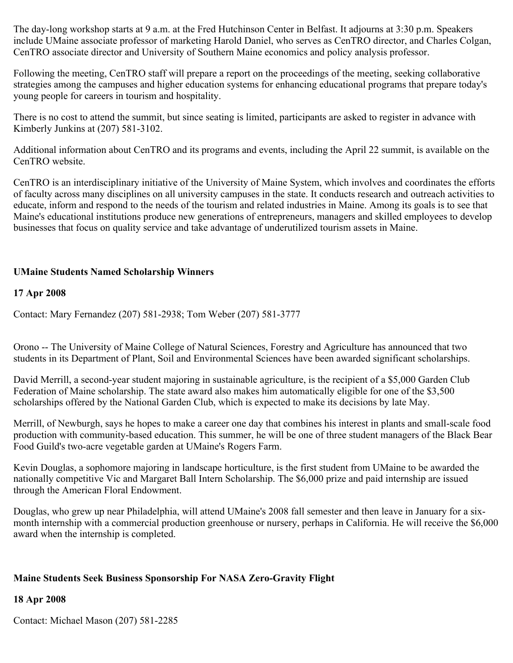The day-long workshop starts at 9 a.m. at the Fred Hutchinson Center in Belfast. It adjourns at 3:30 p.m. Speakers include UMaine associate professor of marketing Harold Daniel, who serves as CenTRO director, and Charles Colgan, CenTRO associate director and University of Southern Maine economics and policy analysis professor.

Following the meeting, CenTRO staff will prepare a report on the proceedings of the meeting, seeking collaborative strategies among the campuses and higher education systems for enhancing educational programs that prepare today's young people for careers in tourism and hospitality.

There is no cost to attend the summit, but since seating is limited, participants are asked to register in advance with Kimberly Junkins at (207) 581-3102.

Additional information about CenTRO and its programs and events, including the April 22 summit, is available on the CenTRO website.

CenTRO is an interdisciplinary initiative of the University of Maine System, which involves and coordinates the efforts of faculty across many disciplines on all university campuses in the state. It conducts research and outreach activities to educate, inform and respond to the needs of the tourism and related industries in Maine. Among its goals is to see that Maine's educational institutions produce new generations of entrepreneurs, managers and skilled employees to develop businesses that focus on quality service and take advantage of underutilized tourism assets in Maine.

# **UMaine Students Named Scholarship Winners**

### **17 Apr 2008**

Contact: Mary Fernandez (207) 581-2938; Tom Weber (207) 581-3777

Orono -- The University of Maine College of Natural Sciences, Forestry and Agriculture has announced that two students in its Department of Plant, Soil and Environmental Sciences have been awarded significant scholarships.

David Merrill, a second-year student majoring in sustainable agriculture, is the recipient of a \$5,000 Garden Club Federation of Maine scholarship. The state award also makes him automatically eligible for one of the \$3,500 scholarships offered by the National Garden Club, which is expected to make its decisions by late May.

Merrill, of Newburgh, says he hopes to make a career one day that combines his interest in plants and small-scale food production with community-based education. This summer, he will be one of three student managers of the Black Bear Food Guild's two-acre vegetable garden at UMaine's Rogers Farm.

Kevin Douglas, a sophomore majoring in landscape horticulture, is the first student from UMaine to be awarded the nationally competitive Vic and Margaret Ball Intern Scholarship. The \$6,000 prize and paid internship are issued through the American Floral Endowment.

Douglas, who grew up near Philadelphia, will attend UMaine's 2008 fall semester and then leave in January for a sixmonth internship with a commercial production greenhouse or nursery, perhaps in California. He will receive the \$6,000 award when the internship is completed.

### **Maine Students Seek Business Sponsorship For NASA Zero-Gravity Flight**

### **18 Apr 2008**

Contact: Michael Mason (207) 581-2285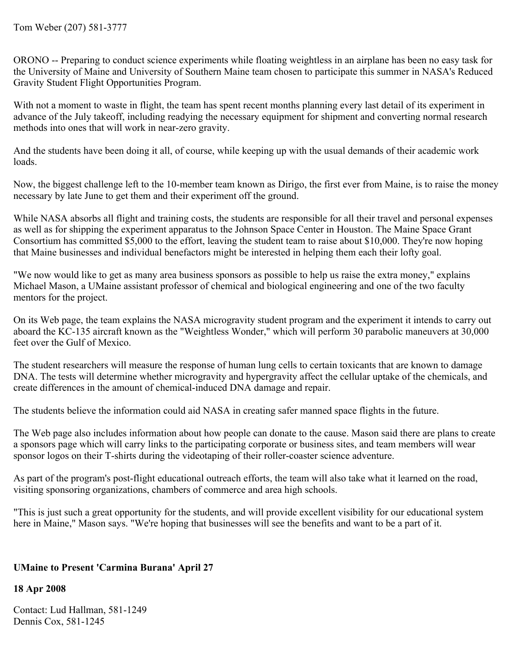ORONO -- Preparing to conduct science experiments while floating weightless in an airplane has been no easy task for the University of Maine and University of Southern Maine team chosen to participate this summer in NASA's Reduced Gravity Student Flight Opportunities Program.

With not a moment to waste in flight, the team has spent recent months planning every last detail of its experiment in advance of the July takeoff, including readying the necessary equipment for shipment and converting normal research methods into ones that will work in near-zero gravity.

And the students have been doing it all, of course, while keeping up with the usual demands of their academic work loads.

Now, the biggest challenge left to the 10-member team known as Dirigo, the first ever from Maine, is to raise the money necessary by late June to get them and their experiment off the ground.

While NASA absorbs all flight and training costs, the students are responsible for all their travel and personal expenses as well as for shipping the experiment apparatus to the Johnson Space Center in Houston. The Maine Space Grant Consortium has committed \$5,000 to the effort, leaving the student team to raise about \$10,000. They're now hoping that Maine businesses and individual benefactors might be interested in helping them each their lofty goal.

"We now would like to get as many area business sponsors as possible to help us raise the extra money," explains Michael Mason, a UMaine assistant professor of chemical and biological engineering and one of the two faculty mentors for the project.

On its Web page, the team explains the NASA microgravity student program and the experiment it intends to carry out aboard the KC-135 aircraft known as the "Weightless Wonder," which will perform 30 parabolic maneuvers at 30,000 feet over the Gulf of Mexico.

The student researchers will measure the response of human lung cells to certain toxicants that are known to damage DNA. The tests will determine whether microgravity and hypergravity affect the cellular uptake of the chemicals, and create differences in the amount of chemical-induced DNA damage and repair.

The students believe the information could aid NASA in creating safer manned space flights in the future.

The Web page also includes information about how people can donate to the cause. Mason said there are plans to create a sponsors page which will carry links to the participating corporate or business sites, and team members will wear sponsor logos on their T-shirts during the videotaping of their roller-coaster science adventure.

As part of the program's post-flight educational outreach efforts, the team will also take what it learned on the road, visiting sponsoring organizations, chambers of commerce and area high schools.

"This is just such a great opportunity for the students, and will provide excellent visibility for our educational system here in Maine," Mason says. "We're hoping that businesses will see the benefits and want to be a part of it.

# **UMaine to Present 'Carmina Burana' April 27**

### **18 Apr 2008**

Contact: Lud Hallman, 581-1249 Dennis Cox, 581-1245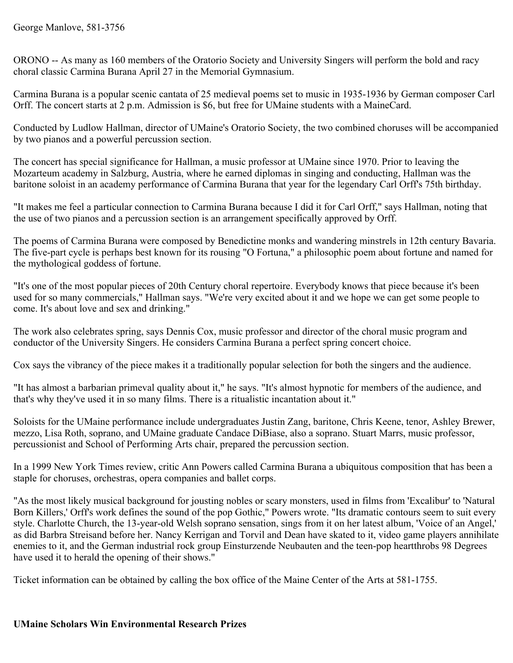ORONO -- As many as 160 members of the Oratorio Society and University Singers will perform the bold and racy choral classic Carmina Burana April 27 in the Memorial Gymnasium.

Carmina Burana is a popular scenic cantata of 25 medieval poems set to music in 1935-1936 by German composer Carl Orff. The concert starts at 2 p.m. Admission is \$6, but free for UMaine students with a MaineCard.

Conducted by Ludlow Hallman, director of UMaine's Oratorio Society, the two combined choruses will be accompanied by two pianos and a powerful percussion section.

The concert has special significance for Hallman, a music professor at UMaine since 1970. Prior to leaving the Mozarteum academy in Salzburg, Austria, where he earned diplomas in singing and conducting, Hallman was the baritone soloist in an academy performance of Carmina Burana that year for the legendary Carl Orff's 75th birthday.

"It makes me feel a particular connection to Carmina Burana because I did it for Carl Orff," says Hallman, noting that the use of two pianos and a percussion section is an arrangement specifically approved by Orff.

The poems of Carmina Burana were composed by Benedictine monks and wandering minstrels in 12th century Bavaria. The five-part cycle is perhaps best known for its rousing "O Fortuna," a philosophic poem about fortune and named for the mythological goddess of fortune.

"It's one of the most popular pieces of 20th Century choral repertoire. Everybody knows that piece because it's been used for so many commercials," Hallman says. "We're very excited about it and we hope we can get some people to come. It's about love and sex and drinking."

The work also celebrates spring, says Dennis Cox, music professor and director of the choral music program and conductor of the University Singers. He considers Carmina Burana a perfect spring concert choice.

Cox says the vibrancy of the piece makes it a traditionally popular selection for both the singers and the audience.

"It has almost a barbarian primeval quality about it," he says. "It's almost hypnotic for members of the audience, and that's why they've used it in so many films. There is a ritualistic incantation about it."

Soloists for the UMaine performance include undergraduates Justin Zang, baritone, Chris Keene, tenor, Ashley Brewer, mezzo, Lisa Roth, soprano, and UMaine graduate Candace DiBiase, also a soprano. Stuart Marrs, music professor, percussionist and School of Performing Arts chair, prepared the percussion section.

In a 1999 New York Times review, critic Ann Powers called Carmina Burana a ubiquitous composition that has been a staple for choruses, orchestras, opera companies and ballet corps.

"As the most likely musical background for jousting nobles or scary monsters, used in films from 'Excalibur' to 'Natural Born Killers,' Orff's work defines the sound of the pop Gothic," Powers wrote. "Its dramatic contours seem to suit every style. Charlotte Church, the 13-year-old Welsh soprano sensation, sings from it on her latest album, 'Voice of an Angel,' as did Barbra Streisand before her. Nancy Kerrigan and Torvil and Dean have skated to it, video game players annihilate enemies to it, and the German industrial rock group Einsturzende Neubauten and the teen-pop heartthrobs 98 Degrees have used it to herald the opening of their shows."

Ticket information can be obtained by calling the box office of the Maine Center of the Arts at 581-1755.

### **UMaine Scholars Win Environmental Research Prizes**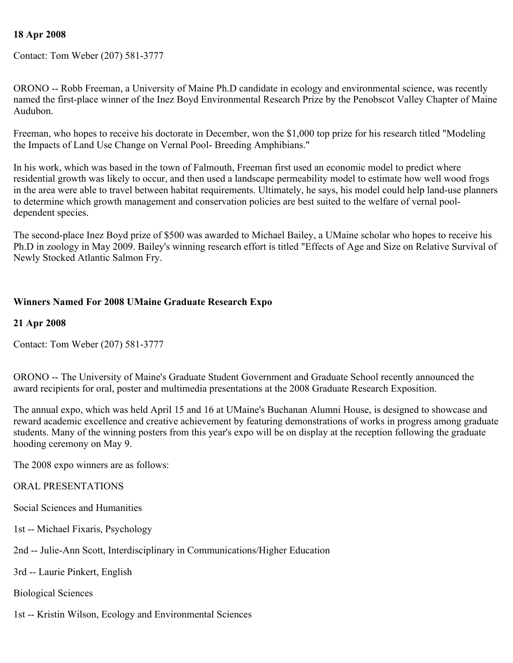### **18 Apr 2008**

Contact: Tom Weber (207) 581-3777

ORONO -- Robb Freeman, a University of Maine Ph.D candidate in ecology and environmental science, was recently named the first-place winner of the Inez Boyd Environmental Research Prize by the Penobscot Valley Chapter of Maine Audubon.

Freeman, who hopes to receive his doctorate in December, won the \$1,000 top prize for his research titled "Modeling the Impacts of Land Use Change on Vernal Pool- Breeding Amphibians."

In his work, which was based in the town of Falmouth, Freeman first used an economic model to predict where residential growth was likely to occur, and then used a landscape permeability model to estimate how well wood frogs in the area were able to travel between habitat requirements. Ultimately, he says, his model could help land-use planners to determine which growth management and conservation policies are best suited to the welfare of vernal pooldependent species.

The second-place Inez Boyd prize of \$500 was awarded to Michael Bailey, a UMaine scholar who hopes to receive his Ph.D in zoology in May 2009. Bailey's winning research effort is titled "Effects of Age and Size on Relative Survival of Newly Stocked Atlantic Salmon Fry.

### **Winners Named For 2008 UMaine Graduate Research Expo**

#### **21 Apr 2008**

Contact: Tom Weber (207) 581-3777

ORONO -- The University of Maine's Graduate Student Government and Graduate School recently announced the award recipients for oral, poster and multimedia presentations at the 2008 Graduate Research Exposition.

The annual expo, which was held April 15 and 16 at UMaine's Buchanan Alumni House, is designed to showcase and reward academic excellence and creative achievement by featuring demonstrations of works in progress among graduate students. Many of the winning posters from this year's expo will be on display at the reception following the graduate hooding ceremony on May 9.

The 2008 expo winners are as follows:

#### ORAL PRESENTATIONS

- Social Sciences and Humanities
- 1st -- Michael Fixaris, Psychology
- 2nd -- Julie-Ann Scott, Interdisciplinary in Communications/Higher Education
- 3rd -- Laurie Pinkert, English
- Biological Sciences
- 1st -- Kristin Wilson, Ecology and Environmental Sciences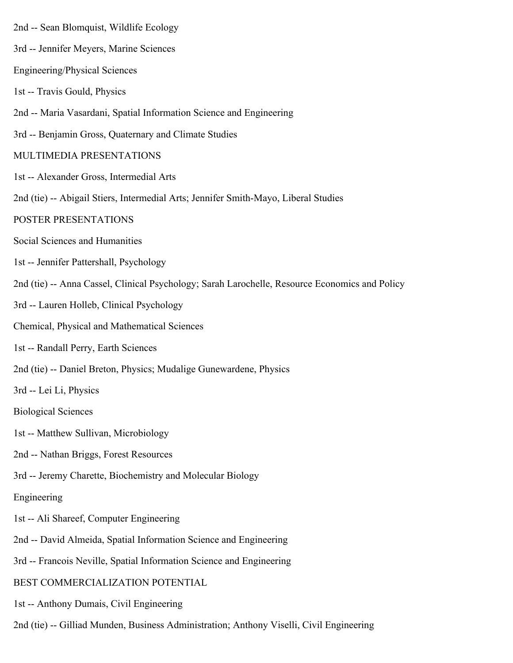- 2nd -- Sean Blomquist, Wildlife Ecology 3rd -- Jennifer Meyers, Marine Sciences Engineering/Physical Sciences 1st -- Travis Gould, Physics 2nd -- Maria Vasardani, Spatial Information Science and Engineering 3rd -- Benjamin Gross, Quaternary and Climate Studies MULTIMEDIA PRESENTATIONS 1st -- Alexander Gross, Intermedial Arts 2nd (tie) -- Abigail Stiers, Intermedial Arts; Jennifer Smith-Mayo, Liberal Studies POSTER PRESENTATIONS Social Sciences and Humanities 1st -- Jennifer Pattershall, Psychology 2nd (tie) -- Anna Cassel, Clinical Psychology; Sarah Larochelle, Resource Economics and Policy 3rd -- Lauren Holleb, Clinical Psychology Chemical, Physical and Mathematical Sciences 1st -- Randall Perry, Earth Sciences 2nd (tie) -- Daniel Breton, Physics; Mudalige Gunewardene, Physics 3rd -- Lei Li, Physics Biological Sciences 1st -- Matthew Sullivan, Microbiology 2nd -- Nathan Briggs, Forest Resources 3rd -- Jeremy Charette, Biochemistry and Molecular Biology Engineering 1st -- Ali Shareef, Computer Engineering 2nd -- David Almeida, Spatial Information Science and Engineering 3rd -- Francois Neville, Spatial Information Science and Engineering BEST COMMERCIALIZATION POTENTIAL 1st -- Anthony Dumais, Civil Engineering
	- 2nd (tie) -- Gilliad Munden, Business Administration; Anthony Viselli, Civil Engineering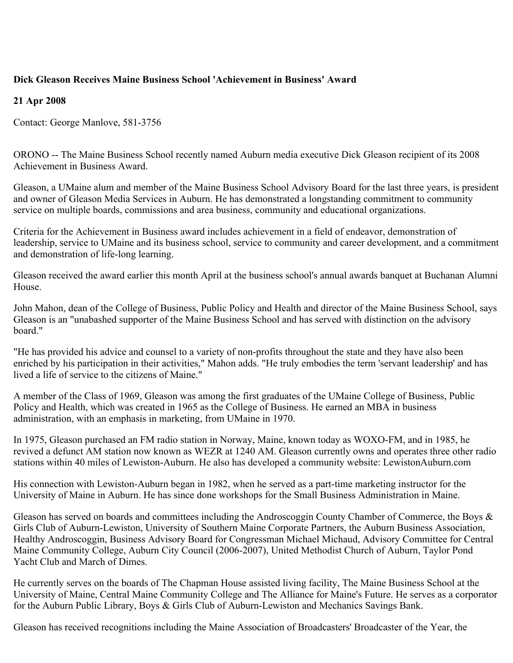# **Dick Gleason Receives Maine Business School 'Achievement in Business' Award**

### **21 Apr 2008**

Contact: George Manlove, 581-3756

ORONO -- The Maine Business School recently named Auburn media executive Dick Gleason recipient of its 2008 Achievement in Business Award.

Gleason, a UMaine alum and member of the Maine Business School Advisory Board for the last three years, is president and owner of Gleason Media Services in Auburn. He has demonstrated a longstanding commitment to community service on multiple boards, commissions and area business, community and educational organizations.

Criteria for the Achievement in Business award includes achievement in a field of endeavor, demonstration of leadership, service to UMaine and its business school, service to community and career development, and a commitment and demonstration of life-long learning.

Gleason received the award earlier this month April at the business school's annual awards banquet at Buchanan Alumni House.

John Mahon, dean of the College of Business, Public Policy and Health and director of the Maine Business School, says Gleason is an "unabashed supporter of the Maine Business School and has served with distinction on the advisory board."

"He has provided his advice and counsel to a variety of non-profits throughout the state and they have also been enriched by his participation in their activities," Mahon adds. "He truly embodies the term 'servant leadership' and has lived a life of service to the citizens of Maine."

A member of the Class of 1969, Gleason was among the first graduates of the UMaine College of Business, Public Policy and Health, which was created in 1965 as the College of Business. He earned an MBA in business administration, with an emphasis in marketing, from UMaine in 1970.

In 1975, Gleason purchased an FM radio station in Norway, Maine, known today as WOXO-FM, and in 1985, he revived a defunct AM station now known as WEZR at 1240 AM. Gleason currently owns and operates three other radio stations within 40 miles of Lewiston-Auburn. He also has developed a community website: LewistonAuburn.com

His connection with Lewiston-Auburn began in 1982, when he served as a part-time marketing instructor for the University of Maine in Auburn. He has since done workshops for the Small Business Administration in Maine.

Gleason has served on boards and committees including the Androscoggin County Chamber of Commerce, the Boys & Girls Club of Auburn-Lewiston, University of Southern Maine Corporate Partners, the Auburn Business Association, Healthy Androscoggin, Business Advisory Board for Congressman Michael Michaud, Advisory Committee for Central Maine Community College, Auburn City Council (2006-2007), United Methodist Church of Auburn, Taylor Pond Yacht Club and March of Dimes.

He currently serves on the boards of The Chapman House assisted living facility, The Maine Business School at the University of Maine, Central Maine Community College and The Alliance for Maine's Future. He serves as a corporator for the Auburn Public Library, Boys & Girls Club of Auburn-Lewiston and Mechanics Savings Bank.

Gleason has received recognitions including the Maine Association of Broadcasters' Broadcaster of the Year, the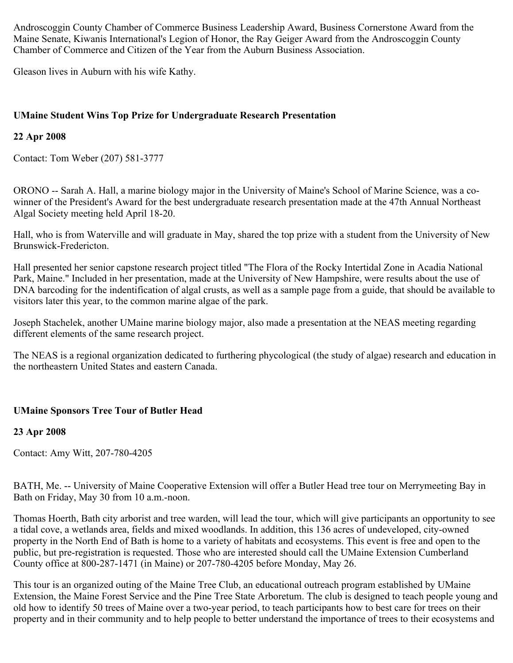Androscoggin County Chamber of Commerce Business Leadership Award, Business Cornerstone Award from the Maine Senate, Kiwanis International's Legion of Honor, the Ray Geiger Award from the Androscoggin County Chamber of Commerce and Citizen of the Year from the Auburn Business Association.

Gleason lives in Auburn with his wife Kathy.

# **UMaine Student Wins Top Prize for Undergraduate Research Presentation**

# **22 Apr 2008**

Contact: Tom Weber (207) 581-3777

ORONO -- Sarah A. Hall, a marine biology major in the University of Maine's School of Marine Science, was a cowinner of the President's Award for the best undergraduate research presentation made at the 47th Annual Northeast Algal Society meeting held April 18-20.

Hall, who is from Waterville and will graduate in May, shared the top prize with a student from the University of New Brunswick-Fredericton.

Hall presented her senior capstone research project titled "The Flora of the Rocky Intertidal Zone in Acadia National Park, Maine." Included in her presentation, made at the University of New Hampshire, were results about the use of DNA barcoding for the indentification of algal crusts, as well as a sample page from a guide, that should be available to visitors later this year, to the common marine algae of the park.

Joseph Stachelek, another UMaine marine biology major, also made a presentation at the NEAS meeting regarding different elements of the same research project.

The NEAS is a regional organization dedicated to furthering phycological (the study of algae) research and education in the northeastern United States and eastern Canada.

# **UMaine Sponsors Tree Tour of Butler Head**

### **23 Apr 2008**

Contact: Amy Witt, 207-780-4205

BATH, Me. -- University of Maine Cooperative Extension will offer a Butler Head tree tour on Merrymeeting Bay in Bath on Friday, May 30 from 10 a.m.-noon.

Thomas Hoerth, Bath city arborist and tree warden, will lead the tour, which will give participants an opportunity to see a tidal cove, a wetlands area, fields and mixed woodlands. In addition, this 136 acres of undeveloped, city-owned property in the North End of Bath is home to a variety of habitats and ecosystems. This event is free and open to the public, but pre-registration is requested. Those who are interested should call the UMaine Extension Cumberland County office at 800-287-1471 (in Maine) or 207-780-4205 before Monday, May 26.

This tour is an organized outing of the Maine Tree Club, an educational outreach program established by UMaine Extension, the Maine Forest Service and the Pine Tree State Arboretum. The club is designed to teach people young and old how to identify 50 trees of Maine over a two-year period, to teach participants how to best care for trees on their property and in their community and to help people to better understand the importance of trees to their ecosystems and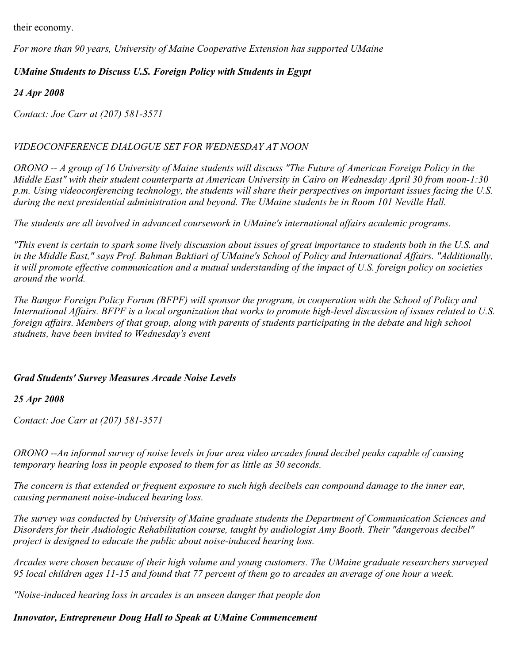their economy.

*For more than 90 years, University of Maine Cooperative Extension has supported UMaine* 

# *UMaine Students to Discuss U.S. Foreign Policy with Students in Egypt*

*24 Apr 2008*

*Contact: Joe Carr at (207) 581-3571*

# *VIDEOCONFERENCE DIALOGUE SET FOR WEDNESDAY AT NOON*

*ORONO -- A group of 16 University of Maine students will discuss "The Future of American Foreign Policy in the Middle East" with their student counterparts at American University in Cairo on Wednesday April 30 from noon-1:30 p.m. Using videoconferencing technology, the students will share their perspectives on important issues facing the U.S. during the next presidential administration and beyond. The UMaine students be in Room 101 Neville Hall.*

*The students are all involved in advanced coursework in UMaine's international affairs academic programs.*

*"This event is certain to spark some lively discussion about issues of great importance to students both in the U.S. and in the Middle East," says Prof. Bahman Baktiari of UMaine's School of Policy and International Affairs. "Additionally, it will promote effective communication and a mutual understanding of the impact of U.S. foreign policy on societies around the world.*

*The Bangor Foreign Policy Forum (BFPF) will sponsor the program, in cooperation with the School of Policy and International Affairs. BFPF is a local organization that works to promote high-level discussion of issues related to U.S. foreign affairs. Members of that group, along with parents of students participating in the debate and high school studnets, have been invited to Wednesday's event*

# *Grad Students' Survey Measures Arcade Noise Levels*

# *25 Apr 2008*

*Contact: Joe Carr at (207) 581-3571*

*ORONO --An informal survey of noise levels in four area video arcades found decibel peaks capable of causing temporary hearing loss in people exposed to them for as little as 30 seconds.*

*The concern is that extended or frequent exposure to such high decibels can compound damage to the inner ear, causing permanent noise-induced hearing loss.*

*The survey was conducted by University of Maine graduate students the Department of Communication Sciences and Disorders for their Audiologic Rehabilitation course, taught by audiologist Amy Booth. Their "dangerous decibel" project is designed to educate the public about noise-induced hearing loss.*

*Arcades were chosen because of their high volume and young customers. The UMaine graduate researchers surveyed 95 local children ages 11-15 and found that 77 percent of them go to arcades an average of one hour a week.*

*"Noise-induced hearing loss in arcades is an unseen danger that people don* 

*Innovator, Entrepreneur Doug Hall to Speak at UMaine Commencement*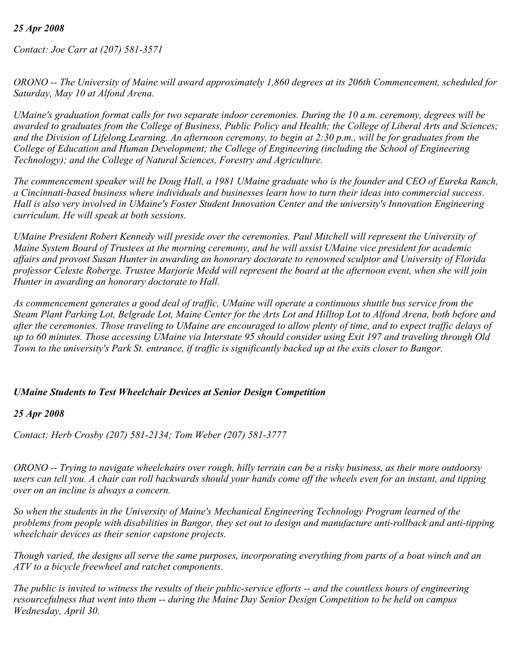### *25 Apr 2008*

*Contact: Joe Carr at (207) 581-3571*

*ORONO -- The University of Maine will award approximately 1,860 degrees at its 206th Commencement, scheduled for Saturday, May 10 at Alfond Arena.*

*UMaine's graduation format calls for two separate indoor ceremonies. During the 10 a.m. ceremony, degrees will be awarded to graduates from the College of Business, Public Policy and Health; the College of Liberal Arts and Sciences; and the Division of Lifelong Learning. An afternoon ceremony, to begin at 2:30 p.m., will be for graduates from the College of Education and Human Development; the College of Engineering (including the School of Engineering Technology); and the College of Natural Sciences, Forestry and Agriculture.*

*The commencement speaker will be Doug Hall, a 1981 UMaine graduate who is the founder and CEO of Eureka Ranch, a Cincinnati-based business where individuals and businesses learn how to turn their ideas into commercial success. Hall is also very involved in UMaine's Foster Student Innovation Center and the university's Innovation Engineering curriculum. He will speak at both sessions.*

*UMaine President Robert Kennedy will preside over the ceremonies. Paul Mitchell will represent the University of Maine System Board of Trustees at the morning ceremony, and he will assist UMaine vice president for academic affairs and provost Susan Hunter in awarding an honorary doctorate to renowned sculptor and University of Florida professor Celeste Roberge. Trustee Marjorie Medd will represent the board at the afternoon event, when she will join Hunter in awarding an honorary doctorate to Hall.*

*As commencement generates a good deal of traffic, UMaine will operate a continuous shuttle bus service from the Steam Plant Parking Lot, Belgrade Lot, Maine Center for the Arts Lot and Hilltop Lot to Alfond Arena, both before and after the ceremonies. Those traveling to UMaine are encouraged to allow plenty of time, and to expect traffic delays of up to 60 minutes. Those accessing UMaine via Interstate 95 should consider using Exit 197 and traveling through Old Town to the university's Park St. entrance, if traffic is significantly backed up at the exits closer to Bangor.*

#### *UMaine Students to Test Wheelchair Devices at Senior Design Competition*

#### *25 Apr 2008*

*Contact: Herb Crosby (207) 581-2134; Tom Weber (207) 581-3777*

*ORONO -- Trying to navigate wheelchairs over rough, hilly terrain can be a risky business, as their more outdoorsy users can tell you. A chair can roll backwards should your hands come off the wheels even for an instant, and tipping over on an incline is always a concern.*

*So when the students in the University of Maine's Mechanical Engineering Technology Program learned of the problems from people with disabilities in Bangor, they set out to design and manufacture anti-rollback and anti-tipping wheelchair devices as their senior capstone projects.*

*Though varied, the designs all serve the same purposes, incorporating everything from parts of a boat winch and an ATV to a bicycle freewheel and ratchet components.*

*The public is invited to witness the results of their public-service efforts -- and the countless hours of engineering resourcefulness that went into them -- during the Maine Day Senior Design Competition to be held on campus Wednesday, April 30.*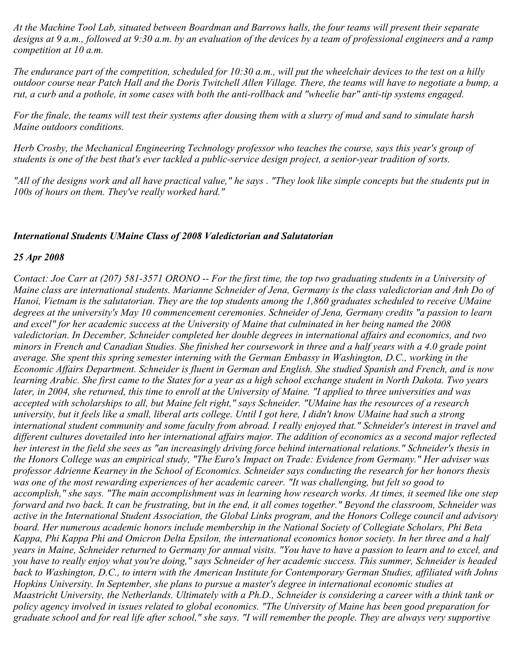*At the Machine Tool Lab, situated between Boardman and Barrows halls, the four teams will present their separate designs at 9 a.m., followed at 9:30 a.m. by an evaluation of the devices by a team of professional engineers and a ramp competition at 10 a.m.*

*The endurance part of the competition, scheduled for 10:30 a.m., will put the wheelchair devices to the test on a hilly outdoor course near Patch Hall and the Doris Twitchell Allen Village. There, the teams will have to negotiate a bump, a rut, a curb and a pothole, in some cases with both the anti-rollback and "wheelie bar" anti-tip systems engaged.*

*For the finale, the teams will test their systems after dousing them with a slurry of mud and sand to simulate harsh Maine outdoors conditions.*

*Herb Crosby, the Mechanical Engineering Technology professor who teaches the course, says this year's group of students is one of the best that's ever tackled a public-service design project, a senior-year tradition of sorts.*

*"All of the designs work and all have practical value," he says . "They look like simple concepts but the students put in 100s of hours on them. They've really worked hard."*

### *International Students UMaine Class of 2008 Valedictorian and Salutatorian*

#### *25 Apr 2008*

*Contact: Joe Carr at (207) 581-3571 ORONO -- For the first time, the top two graduating students in a University of Maine class are international students. Marianne Schneider of Jena, Germany is the class valedictorian and Anh Do of Hanoi, Vietnam is the salutatorian. They are the top students among the 1,860 graduates scheduled to receive UMaine degrees at the university's May 10 commencement ceremonies. Schneider of Jena, Germany credits "a passion to learn and excel" for her academic success at the University of Maine that culminated in her being named the 2008 valedictorian. In December, Schneider completed her double degrees in international affairs and economics, and two minors in French and Canadian Studies. She finished her coursework in three and a half years with a 4.0 grade point average. She spent this spring semester interning with the German Embassy in Washington, D.C., working in the Economic Affairs Department. Schneider is fluent in German and English. She studied Spanish and French, and is now learning Arabic. She first came to the States for a year as a high school exchange student in North Dakota. Two years later, in 2004, she returned, this time to enroll at the University of Maine. "I applied to three universities and was accepted with scholarships to all, but Maine felt right," says Schneider. "UMaine has the resources of a research university, but it feels like a small, liberal arts college. Until I got here, I didn't know UMaine had such a strong international student community and some faculty from abroad. I really enjoyed that." Schneider's interest in travel and different cultures dovetailed into her international affairs major. The addition of economics as a second major reflected her interest in the field she sees as "an increasingly driving force behind international relations." Schneider's thesis in the Honors College was an empirical study, "The Euro's Impact on Trade: Evidence from Germany." Her adviser was professor Adrienne Kearney in the School of Economics. Schneider says conducting the research for her honors thesis was one of the most rewarding experiences of her academic career. "It was challenging, but felt so good to accomplish," she says. "The main accomplishment was in learning how research works. At times, it seemed like one step forward and two back. It can be frustrating, but in the end, it all comes together." Beyond the classroom, Schneider was active in the International Student Association, the Global Links program, and the Honors College council and advisory board. Her numerous academic honors include membership in the National Society of Collegiate Scholars, Phi Beta Kappa, Phi Kappa Phi and Omicron Delta Epsilon, the international economics honor society. In her three and a half years in Maine, Schneider returned to Germany for annual visits. "You have to have a passion to learn and to excel, and you have to really enjoy what you're doing," says Schneider of her academic success. This summer, Schneider is headed back to Washington, D.C., to intern with the American Institute for Contemporary German Studies, affiliated with Johns Hopkins University. In September, she plans to pursue a master's degree in international economic studies at Maastricht University, the Netherlands. Ultimately with a Ph.D., Schneider is considering a career with a think tank or policy agency involved in issues related to global economics. "The University of Maine has been good preparation for graduate school and for real life after school," she says. "I will remember the people. They are always very supportive*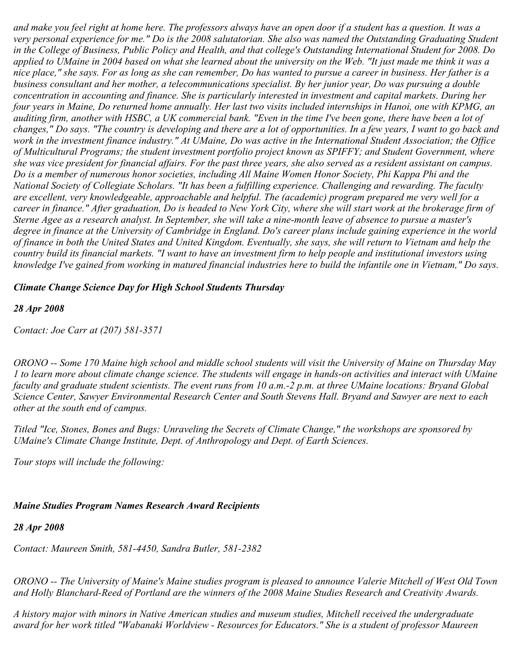*and make you feel right at home here. The professors always have an open door if a student has a question. It was a very personal experience for me." Do is the 2008 salutatorian. She also was named the Outstanding Graduating Student in the College of Business, Public Policy and Health, and that college's Outstanding International Student for 2008. Do applied to UMaine in 2004 based on what she learned about the university on the Web. "It just made me think it was a nice place," she says. For as long as she can remember, Do has wanted to pursue a career in business. Her father is a business consultant and her mother, a telecommunications specialist. By her junior year, Do was pursuing a double concentration in accounting and finance. She is particularly interested in investment and capital markets. During her four years in Maine, Do returned home annually. Her last two visits included internships in Hanoi, one with KPMG, an auditing firm, another with HSBC, a UK commercial bank. "Even in the time I've been gone, there have been a lot of changes," Do says. "The country is developing and there are a lot of opportunities. In a few years, I want to go back and work in the investment finance industry." At UMaine, Do was active in the International Student Association; the Office of Multicultural Programs; the student investment portfolio project known as SPIFFY; and Student Government, where she was vice president for financial affairs. For the past three years, she also served as a resident assistant on campus. Do is a member of numerous honor societies, including All Maine Women Honor Society, Phi Kappa Phi and the National Society of Collegiate Scholars. "It has been a fulfilling experience. Challenging and rewarding. The faculty are excellent, very knowledgeable, approachable and helpful. The (academic) program prepared me very well for a career in finance." After graduation, Do is headed to New York City, where she will start work at the brokerage firm of Sterne Agee as a research analyst. In September, she will take a nine-month leave of absence to pursue a master's degree in finance at the University of Cambridge in England. Do's career plans include gaining experience in the world of finance in both the United States and United Kingdom. Eventually, she says, she will return to Vietnam and help the country build its financial markets. "I want to have an investment firm to help people and institutional investors using knowledge I've gained from working in matured financial industries here to build the infantile one in Vietnam," Do says.*

### *Climate Change Science Day for High School Students Thursday*

*28 Apr 2008*

*Contact: Joe Carr at (207) 581-3571*

*ORONO -- Some 170 Maine high school and middle school students will visit the University of Maine on Thursday May 1 to learn more about climate change science. The students will engage in hands-on activities and interact with UMaine faculty and graduate student scientists. The event runs from 10 a.m.-2 p.m. at three UMaine locations: Bryand Global Science Center, Sawyer Environmental Research Center and South Stevens Hall. Bryand and Sawyer are next to each other at the south end of campus.*

*Titled "Ice, Stones, Bones and Bugs: Unraveling the Secrets of Climate Change," the workshops are sponsored by UMaine's Climate Change Institute, Dept. of Anthropology and Dept. of Earth Sciences.*

*Tour stops will include the following:*

#### *Maine Studies Program Names Research Award Recipients*

#### *28 Apr 2008*

*Contact: Maureen Smith, 581-4450, Sandra Butler, 581-2382*

*ORONO -- The University of Maine's Maine studies program is pleased to announce Valerie Mitchell of West Old Town and Holly Blanchard-Reed of Portland are the winners of the 2008 Maine Studies Research and Creativity Awards.*

*A history major with minors in Native American studies and museum studies, Mitchell received the undergraduate award for her work titled "Wabanaki Worldview - Resources for Educators." She is a student of professor Maureen*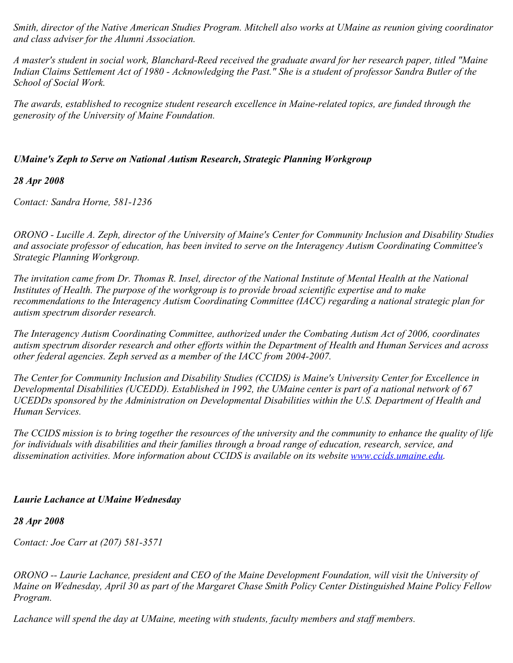*Smith, director of the Native American Studies Program. Mitchell also works at UMaine as reunion giving coordinator and class adviser for the Alumni Association.*

*A master's student in social work, Blanchard-Reed received the graduate award for her research paper, titled "Maine Indian Claims Settlement Act of 1980 - Acknowledging the Past." She is a student of professor Sandra Butler of the School of Social Work.*

*The awards, established to recognize student research excellence in Maine-related topics, are funded through the generosity of the University of Maine Foundation.*

# *UMaine's Zeph to Serve on National Autism Research, Strategic Planning Workgroup*

### *28 Apr 2008*

*Contact: Sandra Horne, 581-1236*

*ORONO - Lucille A. Zeph, director of the University of Maine's Center for Community Inclusion and Disability Studies and associate professor of education, has been invited to serve on the Interagency Autism Coordinating Committee's Strategic Planning Workgroup.*

*The invitation came from Dr. Thomas R. Insel, director of the National Institute of Mental Health at the National Institutes of Health. The purpose of the workgroup is to provide broad scientific expertise and to make recommendations to the Interagency Autism Coordinating Committee (IACC) regarding a national strategic plan for autism spectrum disorder research.*

*The Interagency Autism Coordinating Committee, authorized under the Combating Autism Act of 2006, coordinates autism spectrum disorder research and other efforts within the Department of Health and Human Services and across other federal agencies. Zeph served as a member of the IACC from 2004-2007.*

*The Center for Community Inclusion and Disability Studies (CCIDS) is Maine's University Center for Excellence in Developmental Disabilities (UCEDD). Established in 1992, the UMaine center is part of a national network of 67 UCEDDs sponsored by the Administration on Developmental Disabilities within the U.S. Department of Health and Human Services.*

*The CCIDS mission is to bring together the resources of the university and the community to enhance the quality of life for individuals with disabilities and their families through a broad range of education, research, service, and dissemination activities. More information about CCIDS is available on its website [www.ccids.umaine.edu](http://www.ccids.umaine.edu/).*

# *Laurie Lachance at UMaine Wednesday*

### *28 Apr 2008*

*Contact: Joe Carr at (207) 581-3571*

*ORONO -- Laurie Lachance, president and CEO of the Maine Development Foundation, will visit the University of Maine on Wednesday, April 30 as part of the Margaret Chase Smith Policy Center Distinguished Maine Policy Fellow Program.*

*Lachance will spend the day at UMaine, meeting with students, faculty members and staff members.*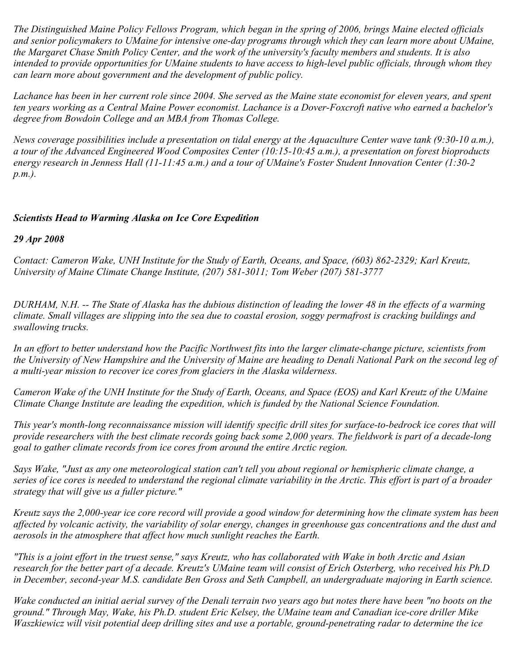*The Distinguished Maine Policy Fellows Program, which began in the spring of 2006, brings Maine elected officials and senior policymakers to UMaine for intensive one-day programs through which they can learn more about UMaine, the Margaret Chase Smith Policy Center, and the work of the university's faculty members and students. It is also intended to provide opportunities for UMaine students to have access to high-level public officials, through whom they can learn more about government and the development of public policy.*

*Lachance has been in her current role since 2004. She served as the Maine state economist for eleven years, and spent ten years working as a Central Maine Power economist. Lachance is a Dover-Foxcroft native who earned a bachelor's degree from Bowdoin College and an MBA from Thomas College.*

*News coverage possibilities include a presentation on tidal energy at the Aquaculture Center wave tank (9:30-10 a.m.), a tour of the Advanced Engineered Wood Composites Center (10:15-10:45 a.m.), a presentation on forest bioproducts energy research in Jenness Hall (11-11:45 a.m.) and a tour of UMaine's Foster Student Innovation Center (1:30-2 p.m.).*

### *Scientists Head to Warming Alaska on Ice Core Expedition*

*29 Apr 2008*

*Contact: Cameron Wake, UNH Institute for the Study of Earth, Oceans, and Space, (603) 862-2329; Karl Kreutz, University of Maine Climate Change Institute, (207) 581-3011; Tom Weber (207) 581-3777*

*DURHAM, N.H. -- The State of Alaska has the dubious distinction of leading the lower 48 in the effects of a warming climate. Small villages are slipping into the sea due to coastal erosion, soggy permafrost is cracking buildings and swallowing trucks.*

*In an effort to better understand how the Pacific Northwest fits into the larger climate-change picture, scientists from the University of New Hampshire and the University of Maine are heading to Denali National Park on the second leg of a multi-year mission to recover ice cores from glaciers in the Alaska wilderness.*

*Cameron Wake of the UNH Institute for the Study of Earth, Oceans, and Space (EOS) and Karl Kreutz of the UMaine Climate Change Institute are leading the expedition, which is funded by the National Science Foundation.*

*This year's month-long reconnaissance mission will identify specific drill sites for surface-to-bedrock ice cores that will provide researchers with the best climate records going back some 2,000 years. The fieldwork is part of a decade-long goal to gather climate records from ice cores from around the entire Arctic region.*

*Says Wake, "Just as any one meteorological station can't tell you about regional or hemispheric climate change, a series of ice cores is needed to understand the regional climate variability in the Arctic. This effort is part of a broader strategy that will give us a fuller picture."*

*Kreutz says the 2,000-year ice core record will provide a good window for determining how the climate system has been affected by volcanic activity, the variability of solar energy, changes in greenhouse gas concentrations and the dust and aerosols in the atmosphere that affect how much sunlight reaches the Earth.*

*"This is a joint effort in the truest sense," says Kreutz, who has collaborated with Wake in both Arctic and Asian research for the better part of a decade. Kreutz's UMaine team will consist of Erich Osterberg, who received his Ph.D in December, second-year M.S. candidate Ben Gross and Seth Campbell, an undergraduate majoring in Earth science.*

*Wake conducted an initial aerial survey of the Denali terrain two years ago but notes there have been "no boots on the ground." Through May, Wake, his Ph.D. student Eric Kelsey, the UMaine team and Canadian ice-core driller Mike Waszkiewicz will visit potential deep drilling sites and use a portable, ground-penetrating radar to determine the ice*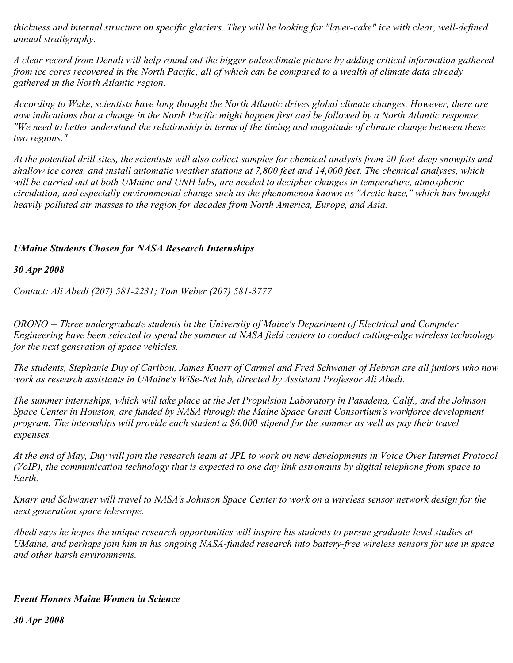*thickness and internal structure on specific glaciers. They will be looking for "layer-cake" ice with clear, well-defined annual stratigraphy.*

*A clear record from Denali will help round out the bigger paleoclimate picture by adding critical information gathered from ice cores recovered in the North Pacific, all of which can be compared to a wealth of climate data already gathered in the North Atlantic region.*

*According to Wake, scientists have long thought the North Atlantic drives global climate changes. However, there are now indications that a change in the North Pacific might happen first and be followed by a North Atlantic response. "We need to better understand the relationship in terms of the timing and magnitude of climate change between these two regions."*

*At the potential drill sites, the scientists will also collect samples for chemical analysis from 20-foot-deep snowpits and shallow ice cores, and install automatic weather stations at 7,800 feet and 14,000 feet. The chemical analyses, which will be carried out at both UMaine and UNH labs, are needed to decipher changes in temperature, atmospheric circulation, and especially environmental change such as the phenomenon known as "Arctic haze," which has brought heavily polluted air masses to the region for decades from North America, Europe, and Asia.*

# *UMaine Students Chosen for NASA Research Internships*

*30 Apr 2008*

*Contact: Ali Abedi (207) 581-2231; Tom Weber (207) 581-3777*

*ORONO -- Three undergraduate students in the University of Maine's Department of Electrical and Computer Engineering have been selected to spend the summer at NASA field centers to conduct cutting-edge wireless technology for the next generation of space vehicles.*

*The students, Stephanie Duy of Caribou, James Knarr of Carmel and Fred Schwaner of Hebron are all juniors who now work as research assistants in UMaine's WiSe-Net lab, directed by Assistant Professor Ali Abedi.*

*The summer internships, which will take place at the Jet Propulsion Laboratory in Pasadena, Calif., and the Johnson Space Center in Houston, are funded by NASA through the Maine Space Grant Consortium's workforce development program. The internships will provide each student a \$6,000 stipend for the summer as well as pay their travel expenses.*

*At the end of May, Duy will join the research team at JPL to work on new developments in Voice Over Internet Protocol (VoIP), the communication technology that is expected to one day link astronauts by digital telephone from space to Earth.*

*Knarr and Schwaner will travel to NASA's Johnson Space Center to work on a wireless sensor network design for the next generation space telescope.*

*Abedi says he hopes the unique research opportunities will inspire his students to pursue graduate-level studies at UMaine, and perhaps join him in his ongoing NASA-funded research into battery-free wireless sensors for use in space and other harsh environments.*

### *Event Honors Maine Women in Science*

*30 Apr 2008*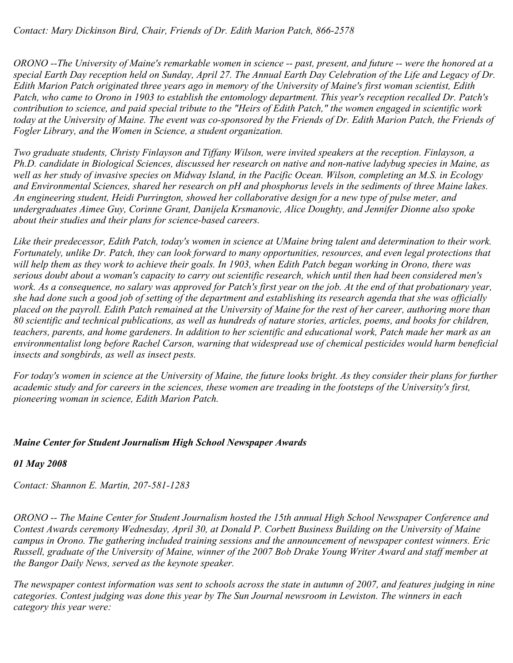*Contact: Mary Dickinson Bird, Chair, Friends of Dr. Edith Marion Patch, 866-2578*

*ORONO --The University of Maine's remarkable women in science -- past, present, and future -- were the honored at a special Earth Day reception held on Sunday, April 27. The Annual Earth Day Celebration of the Life and Legacy of Dr. Edith Marion Patch originated three years ago in memory of the University of Maine's first woman scientist, Edith Patch, who came to Orono in 1903 to establish the entomology department. This year's reception recalled Dr. Patch's contribution to science, and paid special tribute to the "Heirs of Edith Patch," the women engaged in scientific work today at the University of Maine. The event was co-sponsored by the Friends of Dr. Edith Marion Patch, the Friends of Fogler Library, and the Women in Science, a student organization.*

*Two graduate students, Christy Finlayson and Tiffany Wilson, were invited speakers at the reception. Finlayson, a Ph.D. candidate in Biological Sciences, discussed her research on native and non-native ladybug species in Maine, as well as her study of invasive species on Midway Island, in the Pacific Ocean. Wilson, completing an M.S. in Ecology and Environmental Sciences, shared her research on pH and phosphorus levels in the sediments of three Maine lakes. An engineering student, Heidi Purrington, showed her collaborative design for a new type of pulse meter, and undergraduates Aimee Guy, Corinne Grant, Danijela Krsmanovic, Alice Doughty, and Jennifer Dionne also spoke about their studies and their plans for science-based careers.*

*Like their predecessor, Edith Patch, today's women in science at UMaine bring talent and determination to their work. Fortunately, unlike Dr. Patch, they can look forward to many opportunities, resources, and even legal protections that will help them as they work to achieve their goals. In 1903, when Edith Patch began working in Orono, there was serious doubt about a woman's capacity to carry out scientific research, which until then had been considered men's work. As a consequence, no salary was approved for Patch's first year on the job. At the end of that probationary year, she had done such a good job of setting of the department and establishing its research agenda that she was officially placed on the payroll. Edith Patch remained at the University of Maine for the rest of her career, authoring more than 80 scientific and technical publications, as well as hundreds of nature stories, articles, poems, and books for children, teachers, parents, and home gardeners. In addition to her scientific and educational work, Patch made her mark as an environmentalist long before Rachel Carson, warning that widespread use of chemical pesticides would harm beneficial insects and songbirds, as well as insect pests.*

*For today's women in science at the University of Maine, the future looks bright. As they consider their plans for further academic study and for careers in the sciences, these women are treading in the footsteps of the University's first, pioneering woman in science, Edith Marion Patch.*

### *Maine Center for Student Journalism High School Newspaper Awards*

### *01 May 2008*

*Contact: Shannon E. Martin, 207-581-1283*

*ORONO -- The Maine Center for Student Journalism hosted the 15th annual High School Newspaper Conference and Contest Awards ceremony Wednesday, April 30, at Donald P. Corbett Business Building on the University of Maine campus in Orono. The gathering included training sessions and the announcement of newspaper contest winners. Eric Russell, graduate of the University of Maine, winner of the 2007 Bob Drake Young Writer Award and staff member at the Bangor Daily News, served as the keynote speaker.*

*The newspaper contest information was sent to schools across the state in autumn of 2007, and features judging in nine categories. Contest judging was done this year by The Sun Journal newsroom in Lewiston. The winners in each category this year were:*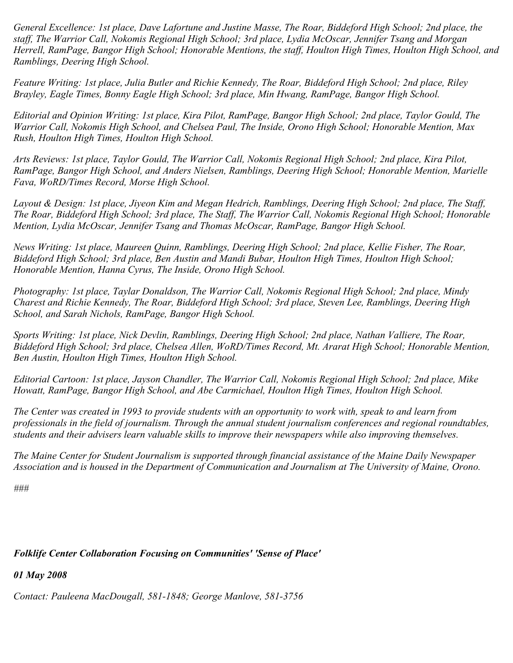*General Excellence: 1st place, Dave Lafortune and Justine Masse, The Roar, Biddeford High School; 2nd place, the staff, The Warrior Call, Nokomis Regional High School; 3rd place, Lydia McOscar, Jennifer Tsang and Morgan Herrell, RamPage, Bangor High School; Honorable Mentions, the staff, Houlton High Times, Houlton High School, and Ramblings, Deering High School.*

*Feature Writing: 1st place, Julia Butler and Richie Kennedy, The Roar, Biddeford High School; 2nd place, Riley Brayley, Eagle Times, Bonny Eagle High School; 3rd place, Min Hwang, RamPage, Bangor High School.*

*Editorial and Opinion Writing: 1st place, Kira Pilot, RamPage, Bangor High School; 2nd place, Taylor Gould, The Warrior Call, Nokomis High School, and Chelsea Paul, The Inside, Orono High School; Honorable Mention, Max Rush, Houlton High Times, Houlton High School.*

*Arts Reviews: 1st place, Taylor Gould, The Warrior Call, Nokomis Regional High School; 2nd place, Kira Pilot, RamPage, Bangor High School, and Anders Nielsen, Ramblings, Deering High School; Honorable Mention, Marielle Fava, WoRD/Times Record, Morse High School.*

*Layout & Design: 1st place, Jiyeon Kim and Megan Hedrich, Ramblings, Deering High School; 2nd place, The Staff, The Roar, Biddeford High School; 3rd place, The Staff, The Warrior Call, Nokomis Regional High School; Honorable Mention, Lydia McOscar, Jennifer Tsang and Thomas McOscar, RamPage, Bangor High School.*

*News Writing: 1st place, Maureen Quinn, Ramblings, Deering High School; 2nd place, Kellie Fisher, The Roar, Biddeford High School; 3rd place, Ben Austin and Mandi Bubar, Houlton High Times, Houlton High School; Honorable Mention, Hanna Cyrus, The Inside, Orono High School.*

*Photography: 1st place, Taylar Donaldson, The Warrior Call, Nokomis Regional High School; 2nd place, Mindy Charest and Richie Kennedy, The Roar, Biddeford High School; 3rd place, Steven Lee, Ramblings, Deering High School, and Sarah Nichols, RamPage, Bangor High School.*

*Sports Writing: 1st place, Nick Devlin, Ramblings, Deering High School; 2nd place, Nathan Valliere, The Roar, Biddeford High School; 3rd place, Chelsea Allen, WoRD/Times Record, Mt. Ararat High School; Honorable Mention, Ben Austin, Houlton High Times, Houlton High School.*

*Editorial Cartoon: 1st place, Jayson Chandler, The Warrior Call, Nokomis Regional High School; 2nd place, Mike Howatt, RamPage, Bangor High School, and Abe Carmichael, Houlton High Times, Houlton High School.*

*The Center was created in 1993 to provide students with an opportunity to work with, speak to and learn from professionals in the field of journalism. Through the annual student journalism conferences and regional roundtables, students and their advisers learn valuable skills to improve their newspapers while also improving themselves.*

*The Maine Center for Student Journalism is supported through financial assistance of the Maine Daily Newspaper Association and is housed in the Department of Communication and Journalism at The University of Maine, Orono.*

*###*

### *Folklife Center Collaboration Focusing on Communities' 'Sense of Place'*

*01 May 2008*

*Contact: Pauleena MacDougall, 581-1848; George Manlove, 581-3756*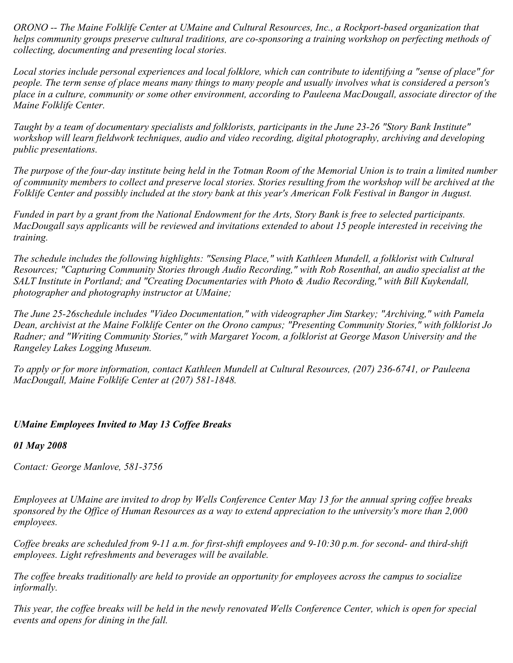*ORONO -- The Maine Folklife Center at UMaine and Cultural Resources, Inc., a Rockport-based organization that helps community groups preserve cultural traditions, are co-sponsoring a training workshop on perfecting methods of collecting, documenting and presenting local stories.*

*Local stories include personal experiences and local folklore, which can contribute to identifying a "sense of place" for people. The term sense of place means many things to many people and usually involves what is considered a person's place in a culture, community or some other environment, according to Pauleena MacDougall, associate director of the Maine Folklife Center.*

*Taught by a team of documentary specialists and folklorists, participants in the June 23-26 "Story Bank Institute" workshop will learn fieldwork techniques, audio and video recording, digital photography, archiving and developing public presentations.*

*The purpose of the four-day institute being held in the Totman Room of the Memorial Union is to train a limited number of community members to collect and preserve local stories. Stories resulting from the workshop will be archived at the Folklife Center and possibly included at the story bank at this year's American Folk Festival in Bangor in August.*

*Funded in part by a grant from the National Endowment for the Arts, Story Bank is free to selected participants. MacDougall says applicants will be reviewed and invitations extended to about 15 people interested in receiving the training.*

*The schedule includes the following highlights: "Sensing Place," with Kathleen Mundell, a folklorist with Cultural Resources; "Capturing Community Stories through Audio Recording," with Rob Rosenthal, an audio specialist at the SALT Institute in Portland; and "Creating Documentaries with Photo & Audio Recording," with Bill Kuykendall, photographer and photography instructor at UMaine;*

*The June 25-26schedule includes "Video Documentation," with videographer Jim Starkey; "Archiving," with Pamela Dean, archivist at the Maine Folklife Center on the Orono campus; "Presenting Community Stories," with folklorist Jo Radner; and "Writing Community Stories," with Margaret Yocom, a folklorist at George Mason University and the Rangeley Lakes Logging Museum.*

*To apply or for more information, contact Kathleen Mundell at Cultural Resources, (207) 236-6741, or Pauleena MacDougall, Maine Folklife Center at (207) 581-1848.*

# *UMaine Employees Invited to May 13 Coffee Breaks*

*01 May 2008*

*Contact: George Manlove, 581-3756*

*Employees at UMaine are invited to drop by Wells Conference Center May 13 for the annual spring coffee breaks sponsored by the Office of Human Resources as a way to extend appreciation to the university's more than 2,000 employees.*

*Coffee breaks are scheduled from 9-11 a.m. for first-shift employees and 9-10:30 p.m. for second- and third-shift employees. Light refreshments and beverages will be available.*

*The coffee breaks traditionally are held to provide an opportunity for employees across the campus to socialize informally.*

*This year, the coffee breaks will be held in the newly renovated Wells Conference Center, which is open for special events and opens for dining in the fall.*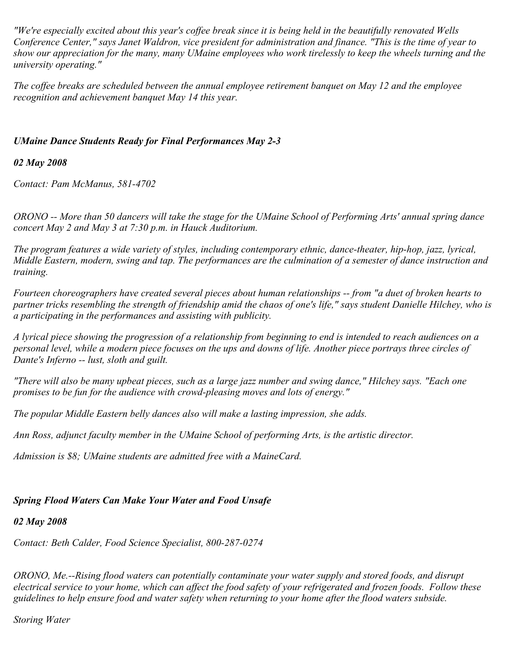*"We're especially excited about this year's coffee break since it is being held in the beautifully renovated Wells Conference Center," says Janet Waldron, vice president for administration and finance. "This is the time of year to show our appreciation for the many, many UMaine employees who work tirelessly to keep the wheels turning and the university operating."*

*The coffee breaks are scheduled between the annual employee retirement banquet on May 12 and the employee recognition and achievement banquet May 14 this year.*

### *UMaine Dance Students Ready for Final Performances May 2-3*

### *02 May 2008*

*Contact: Pam McManus, 581-4702*

*ORONO -- More than 50 dancers will take the stage for the UMaine School of Performing Arts' annual spring dance concert May 2 and May 3 at 7:30 p.m. in Hauck Auditorium.*

*The program features a wide variety of styles, including contemporary ethnic, dance-theater, hip-hop, jazz, lyrical, Middle Eastern, modern, swing and tap. The performances are the culmination of a semester of dance instruction and training.*

*Fourteen choreographers have created several pieces about human relationships -- from "a duet of broken hearts to partner tricks resembling the strength of friendship amid the chaos of one's life," says student Danielle Hilchey, who is a participating in the performances and assisting with publicity.*

*A lyrical piece showing the progression of a relationship from beginning to end is intended to reach audiences on a personal level, while a modern piece focuses on the ups and downs of life. Another piece portrays three circles of Dante's Inferno -- lust, sloth and guilt.*

*"There will also be many upbeat pieces, such as a large jazz number and swing dance," Hilchey says. "Each one promises to be fun for the audience with crowd-pleasing moves and lots of energy."*

*The popular Middle Eastern belly dances also will make a lasting impression, she adds.*

*Ann Ross, adjunct faculty member in the UMaine School of performing Arts, is the artistic director.*

*Admission is \$8; UMaine students are admitted free with a MaineCard.*

# *Spring Flood Waters Can Make Your Water and Food Unsafe*

# *02 May 2008*

*Contact: Beth Calder, Food Science Specialist, 800-287-0274*

*ORONO, Me.--Rising flood waters can potentially contaminate your water supply and stored foods, and disrupt electrical service to your home, which can affect the food safety of your refrigerated and frozen foods. Follow these guidelines to help ensure food and water safety when returning to your home after the flood waters subside.*

# *Storing Water*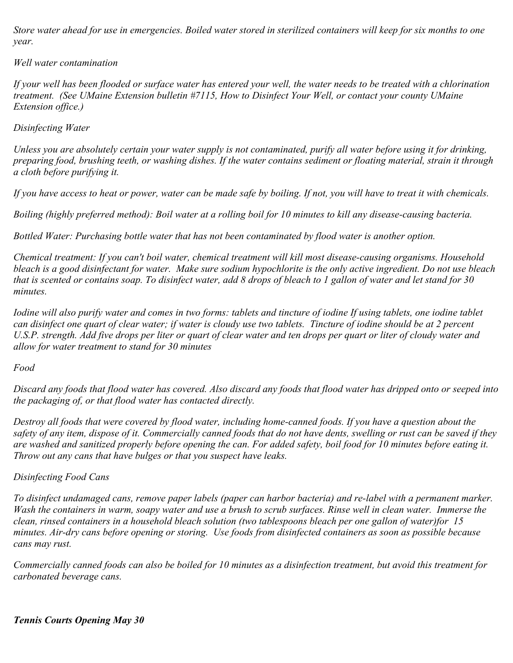*Store water ahead for use in emergencies. Boiled water stored in sterilized containers will keep for six months to one year.*

### *Well water contamination*

*If your well has been flooded or surface water has entered your well, the water needs to be treated with a chlorination treatment. (See UMaine Extension bulletin #7115, How to Disinfect Your Well, or contact your county UMaine Extension office.)*

### *Disinfecting Water*

*Unless you are absolutely certain your water supply is not contaminated, purify all water before using it for drinking, preparing food, brushing teeth, or washing dishes. If the water contains sediment or floating material, strain it through a cloth before purifying it.*

*If you have access to heat or power, water can be made safe by boiling. If not, you will have to treat it with chemicals.*

*Boiling (highly preferred method): Boil water at a rolling boil for 10 minutes to kill any disease-causing bacteria.*

*Bottled Water: Purchasing bottle water that has not been contaminated by flood water is another option.*

*Chemical treatment: If you can't boil water, chemical treatment will kill most disease-causing organisms. Household bleach is a good disinfectant for water. Make sure sodium hypochlorite is the only active ingredient. Do not use bleach that is scented or contains soap. To disinfect water, add 8 drops of bleach to 1 gallon of water and let stand for 30 minutes.*

*Iodine will also purify water and comes in two forms: tablets and tincture of iodine If using tablets, one iodine tablet can disinfect one quart of clear water; if water is cloudy use two tablets. Tincture of iodine should be at 2 percent U.S.P. strength. Add five drops per liter or quart of clear water and ten drops per quart or liter of cloudy water and allow for water treatment to stand for 30 minutes*

#### *Food*

*Discard any foods that flood water has covered. Also discard any foods that flood water has dripped onto or seeped into the packaging of, or that flood water has contacted directly.*

*Destroy all foods that were covered by flood water, including home-canned foods. If you have a question about the safety of any item, dispose of it. Commercially canned foods that do not have dents, swelling or rust can be saved if they are washed and sanitized properly before opening the can. For added safety, boil food for 10 minutes before eating it. Throw out any cans that have bulges or that you suspect have leaks.*

### *Disinfecting Food Cans*

*To disinfect undamaged cans, remove paper labels (paper can harbor bacteria) and re-label with a permanent marker. Wash the containers in warm, soapy water and use a brush to scrub surfaces. Rinse well in clean water. Immerse the clean, rinsed containers in a household bleach solution (two tablespoons bleach per one gallon of water)for 15 minutes. Air-dry cans before opening or storing. Use foods from disinfected containers as soon as possible because cans may rust.* 

*Commercially canned foods can also be boiled for 10 minutes as a disinfection treatment, but avoid this treatment for carbonated beverage cans.*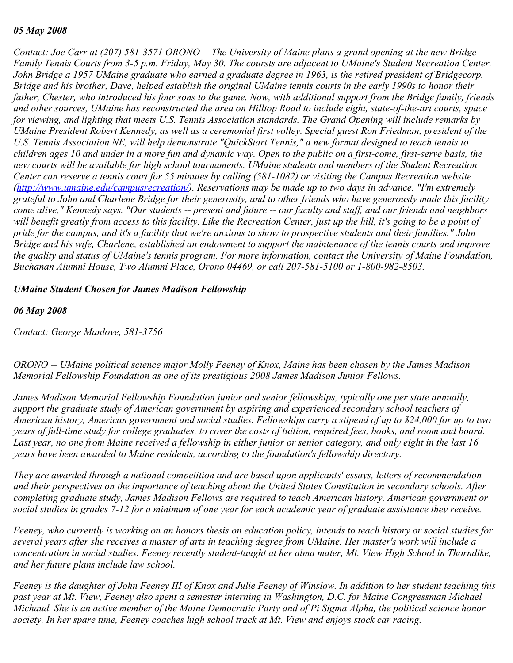#### *05 May 2008*

*Contact: Joe Carr at (207) 581-3571 ORONO -- The University of Maine plans a grand opening at the new Bridge Family Tennis Courts from 3-5 p.m. Friday, May 30. The coursts are adjacent to UMaine's Student Recreation Center. John Bridge a 1957 UMaine graduate who earned a graduate degree in 1963, is the retired president of Bridgecorp. Bridge and his brother, Dave, helped establish the original UMaine tennis courts in the early 1990s to honor their father, Chester, who introduced his four sons to the game. Now, with additional support from the Bridge family, friends and other sources, UMaine has reconstructed the area on Hilltop Road to include eight, state-of-the-art courts, space for viewing, and lighting that meets U.S. Tennis Association standards. The Grand Opening will include remarks by UMaine President Robert Kennedy, as well as a ceremonial first volley. Special guest Ron Friedman, president of the U.S. Tennis Association NE, will help demonstrate "QuickStart Tennis," a new format designed to teach tennis to children ages 10 and under in a more fun and dynamic way. Open to the public on a first-come, first-serve basis, the new courts will be available for high school tournaments. UMaine students and members of the Student Recreation Center can reserve a tennis court for 55 minutes by calling (581-1082) or visiting the Campus Recreation website (<http://www.umaine.edu/campusrecreation/>). Reservations may be made up to two days in advance. "I'm extremely grateful to John and Charlene Bridge for their generosity, and to other friends who have generously made this facility come alive," Kennedy says. "Our students -- present and future -- our faculty and staff, and our friends and neighbors will benefit greatly from access to this facility. Like the Recreation Center, just up the hill, it's going to be a point of pride for the campus, and it's a facility that we're anxious to show to prospective students and their families." John Bridge and his wife, Charlene, established an endowment to support the maintenance of the tennis courts and improve the quality and status of UMaine's tennis program. For more information, contact the University of Maine Foundation, Buchanan Alumni House, Two Alumni Place, Orono 04469, or call 207-581-5100 or 1-800-982-8503.* 

#### *UMaine Student Chosen for James Madison Fellowship*

#### *06 May 2008*

*Contact: George Manlove, 581-3756*

*ORONO -- UMaine political science major Molly Feeney of Knox, Maine has been chosen by the James Madison Memorial Fellowship Foundation as one of its prestigious 2008 James Madison Junior Fellows.*

*James Madison Memorial Fellowship Foundation junior and senior fellowships, typically one per state annually, support the graduate study of American government by aspiring and experienced secondary school teachers of American history, American government and social studies. Fellowships carry a stipend of up to \$24,000 for up to two years of full-time study for college graduates, to cover the costs of tuition, required fees, books, and room and board. Last year, no one from Maine received a fellowship in either junior or senior category, and only eight in the last 16 years have been awarded to Maine residents, according to the foundation's fellowship directory.*

*They are awarded through a national competition and are based upon applicants' essays, letters of recommendation and their perspectives on the importance of teaching about the United States Constitution in secondary schools. After completing graduate study, James Madison Fellows are required to teach American history, American government or social studies in grades 7-12 for a minimum of one year for each academic year of graduate assistance they receive.*

*Feeney, who currently is working on an honors thesis on education policy, intends to teach history or social studies for several years after she receives a master of arts in teaching degree from UMaine. Her master's work will include a concentration in social studies. Feeney recently student-taught at her alma mater, Mt. View High School in Thorndike, and her future plans include law school.*

*Feeney is the daughter of John Feeney III of Knox and Julie Feeney of Winslow. In addition to her student teaching this past year at Mt. View, Feeney also spent a semester interning in Washington, D.C. for Maine Congressman Michael Michaud. She is an active member of the Maine Democratic Party and of Pi Sigma Alpha, the political science honor society. In her spare time, Feeney coaches high school track at Mt. View and enjoys stock car racing.*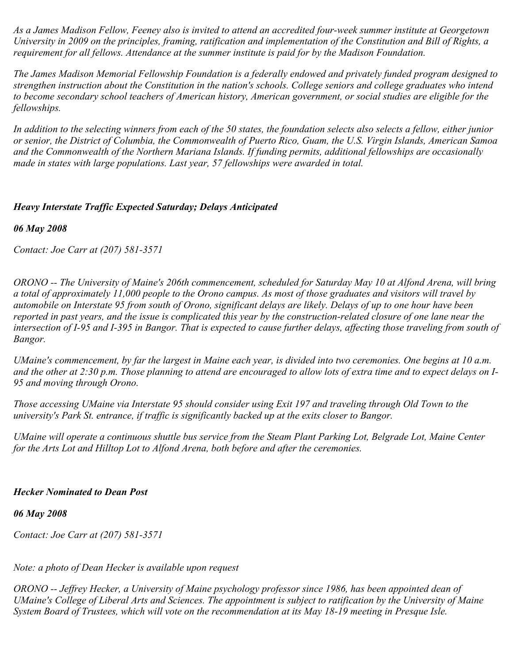*As a James Madison Fellow, Feeney also is invited to attend an accredited four-week summer institute at Georgetown University in 2009 on the principles, framing, ratification and implementation of the Constitution and Bill of Rights, a requirement for all fellows. Attendance at the summer institute is paid for by the Madison Foundation.*

*The James Madison Memorial Fellowship Foundation is a federally endowed and privately funded program designed to strengthen instruction about the Constitution in the nation's schools. College seniors and college graduates who intend to become secondary school teachers of American history, American government, or social studies are eligible for the fellowships.*

*In addition to the selecting winners from each of the 50 states, the foundation selects also selects a fellow, either junior or senior, the District of Columbia, the Commonwealth of Puerto Rico, Guam, the U.S. Virgin Islands, American Samoa and the Commonwealth of the Northern Mariana Islands. If funding permits, additional fellowships are occasionally made in states with large populations. Last year, 57 fellowships were awarded in total.*

### *Heavy Interstate Traffic Expected Saturday; Delays Anticipated*

*06 May 2008*

*Contact: Joe Carr at (207) 581-3571*

*ORONO -- The University of Maine's 206th commencement, scheduled for Saturday May 10 at Alfond Arena, will bring a total of approximately 11,000 people to the Orono campus. As most of those graduates and visitors will travel by automobile on Interstate 95 from south of Orono, significant delays are likely. Delays of up to one hour have been reported in past years, and the issue is complicated this year by the construction-related closure of one lane near the intersection of I-95 and I-395 in Bangor. That is expected to cause further delays, affecting those traveling from south of Bangor.*

*UMaine's commencement, by far the largest in Maine each year, is divided into two ceremonies. One begins at 10 a.m. and the other at 2:30 p.m. Those planning to attend are encouraged to allow lots of extra time and to expect delays on I-95 and moving through Orono.*

*Those accessing UMaine via Interstate 95 should consider using Exit 197 and traveling through Old Town to the university's Park St. entrance, if traffic is significantly backed up at the exits closer to Bangor.*

*UMaine will operate a continuous shuttle bus service from the Steam Plant Parking Lot, Belgrade Lot, Maine Center for the Arts Lot and Hilltop Lot to Alfond Arena, both before and after the ceremonies.*

### *Hecker Nominated to Dean Post*

*06 May 2008*

*Contact: Joe Carr at (207) 581-3571*

# *Note: a photo of Dean Hecker is available upon request*

*ORONO -- Jeffrey Hecker, a University of Maine psychology professor since 1986, has been appointed dean of UMaine's College of Liberal Arts and Sciences. The appointment is subject to ratification by the University of Maine System Board of Trustees, which will vote on the recommendation at its May 18-19 meeting in Presque Isle.*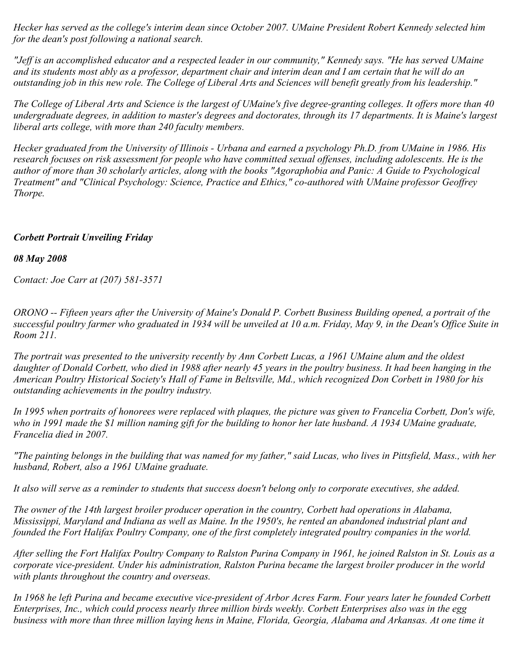*Hecker has served as the college's interim dean since October 2007. UMaine President Robert Kennedy selected him for the dean's post following a national search.*

*"Jeff is an accomplished educator and a respected leader in our community," Kennedy says. "He has served UMaine and its students most ably as a professor, department chair and interim dean and I am certain that he will do an outstanding job in this new role. The College of Liberal Arts and Sciences will benefit greatly from his leadership."*

*The College of Liberal Arts and Science is the largest of UMaine's five degree-granting colleges. It offers more than 40 undergraduate degrees, in addition to master's degrees and doctorates, through its 17 departments. It is Maine's largest liberal arts college, with more than 240 faculty members.*

*Hecker graduated from the University of Illinois - Urbana and earned a psychology Ph.D. from UMaine in 1986. His research focuses on risk assessment for people who have committed sexual offenses, including adolescents. He is the author of more than 30 scholarly articles, along with the books "Agoraphobia and Panic: A Guide to Psychological Treatment" and "Clinical Psychology: Science, Practice and Ethics," co-authored with UMaine professor Geoffrey Thorpe.*

### *Corbett Portrait Unveiling Friday*

### *08 May 2008*

*Contact: Joe Carr at (207) 581-3571*

*ORONO -- Fifteen years after the University of Maine's Donald P. Corbett Business Building opened, a portrait of the successful poultry farmer who graduated in 1934 will be unveiled at 10 a.m. Friday, May 9, in the Dean's Office Suite in Room 211.*

*The portrait was presented to the university recently by Ann Corbett Lucas, a 1961 UMaine alum and the oldest daughter of Donald Corbett, who died in 1988 after nearly 45 years in the poultry business. It had been hanging in the American Poultry Historical Society's Hall of Fame in Beltsville, Md., which recognized Don Corbett in 1980 for his outstanding achievements in the poultry industry.*

*In 1995 when portraits of honorees were replaced with plaques, the picture was given to Francelia Corbett, Don's wife, who in 1991 made the \$1 million naming gift for the building to honor her late husband. A 1934 UMaine graduate, Francelia died in 2007.*

*"The painting belongs in the building that was named for my father," said Lucas, who lives in Pittsfield, Mass., with her husband, Robert, also a 1961 UMaine graduate.*

*It also will serve as a reminder to students that success doesn't belong only to corporate executives, she added.*

*The owner of the 14th largest broiler producer operation in the country, Corbett had operations in Alabama, Mississippi, Maryland and Indiana as well as Maine. In the 1950's, he rented an abandoned industrial plant and founded the Fort Halifax Poultry Company, one of the first completely integrated poultry companies in the world.*

*After selling the Fort Halifax Poultry Company to Ralston Purina Company in 1961, he joined Ralston in St. Louis as a corporate vice-president. Under his administration, Ralston Purina became the largest broiler producer in the world with plants throughout the country and overseas.*

*In 1968 he left Purina and became executive vice-president of Arbor Acres Farm. Four years later he founded Corbett Enterprises, Inc., which could process nearly three million birds weekly. Corbett Enterprises also was in the egg business with more than three million laying hens in Maine, Florida, Georgia, Alabama and Arkansas. At one time it*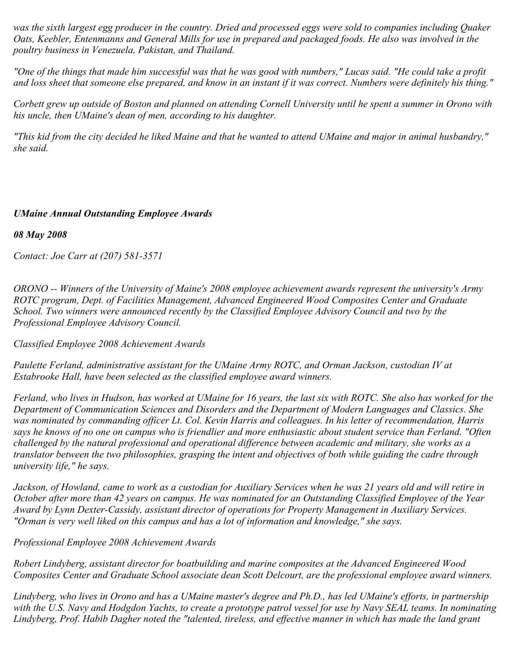*was the sixth largest egg producer in the country. Dried and processed eggs were sold to companies including Quaker Oats, Keebler, Entenmanns and General Mills for use in prepared and packaged foods. He also was involved in the poultry business in Venezuela, Pakistan, and Thailand.*

*"One of the things that made him successful was that he was good with numbers," Lucas said. "He could take a profit and loss sheet that someone else prepared, and know in an instant if it was correct. Numbers were definitely his thing."*

*Corbett grew up outside of Boston and planned on attending Cornell University until he spent a summer in Orono with his uncle, then UMaine's dean of men, according to his daughter.*

*"This kid from the city decided he liked Maine and that he wanted to attend UMaine and major in animal husbandry," she said.*

# *UMaine Annual Outstanding Employee Awards*

*08 May 2008*

*Contact: Joe Carr at (207) 581-3571*

*ORONO -- Winners of the University of Maine's 2008 employee achievement awards represent the university's Army ROTC program, Dept. of Facilities Management, Advanced Engineered Wood Composites Center and Graduate School. Two winners were announced recently by the Classified Employee Advisory Council and two by the Professional Employee Advisory Council.*

*Classified Employee 2008 Achievement Awards*

*Paulette Ferland, administrative assistant for the UMaine Army ROTC, and Orman Jackson, custodian IV at Estabrooke Hall, have been selected as the classified employee award winners.*

*Ferland, who lives in Hudson, has worked at UMaine for 16 years, the last six with ROTC. She also has worked for the Department of Communication Sciences and Disorders and the Department of Modern Languages and Classics. She was nominated by commanding officer Lt. Col. Kevin Harris and colleagues. In his letter of recommendation, Harris says he knows of no one on campus who is friendlier and more enthusiastic about student service than Ferland. "Often challenged by the natural professional and operational difference between academic and military, she works as a translator between the two philosophies, grasping the intent and objectives of both while guiding the cadre through university life," he says.*

*Jackson, of Howland, came to work as a custodian for Auxiliary Services when he was 21 years old and will retire in October after more than 42 years on campus. He was nominated for an Outstanding Classified Employee of the Year Award by Lynn Dexter-Cassidy, assistant director of operations for Property Management in Auxiliary Services. "Orman is very well liked on this campus and has a lot of information and knowledge," she says.*

*Professional Employee 2008 Achievement Awards*

*Robert Lindyberg, assistant director for boatbuilding and marine composites at the Advanced Engineered Wood Composites Center and Graduate School associate dean Scott Delcourt, are the professional employee award winners.*

*Lindyberg, who lives in Orono and has a UMaine master's degree and Ph.D., has led UMaine's efforts, in partnership with the U.S. Navy and Hodgdon Yachts, to create a prototype patrol vessel for use by Navy SEAL teams. In nominating Lindyberg, Prof. Habib Dagher noted the "talented, tireless, and effective manner in which has made the land grant*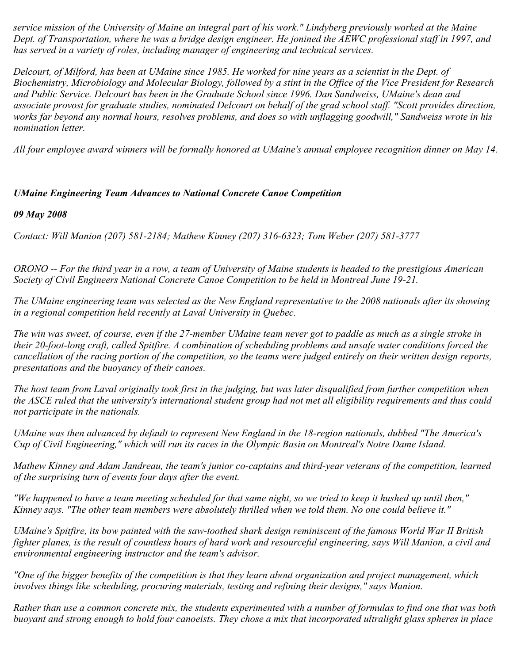*service mission of the University of Maine an integral part of his work." Lindyberg previously worked at the Maine Dept. of Transportation, where he was a bridge design engineer. He jonined the AEWC professional staff in 1997, and has served in a variety of roles, including manager of engineering and technical services.*

*Delcourt, of Milford, has been at UMaine since 1985. He worked for nine years as a scientist in the Dept. of Biochemistry, Microbiology and Molecular Biology, followed by a stint in the Office of the Vice President for Research and Public Service. Delcourt has been in the Graduate School since 1996. Dan Sandweiss, UMaine's dean and associate provost for graduate studies, nominated Delcourt on behalf of the grad school staff. "Scott provides direction, works far beyond any normal hours, resolves problems, and does so with unflagging goodwill," Sandweiss wrote in his nomination letter.*

*All four employee award winners will be formally honored at UMaine's annual employee recognition dinner on May 14.*

# *UMaine Engineering Team Advances to National Concrete Canoe Competition*

*09 May 2008*

*Contact: Will Manion (207) 581-2184; Mathew Kinney (207) 316-6323; Tom Weber (207) 581-3777*

*ORONO -- For the third year in a row, a team of University of Maine students is headed to the prestigious American Society of Civil Engineers National Concrete Canoe Competition to be held in Montreal June 19-21.*

*The UMaine engineering team was selected as the New England representative to the 2008 nationals after its showing in a regional competition held recently at Laval University in Quebec.*

*The win was sweet, of course, even if the 27-member UMaine team never got to paddle as much as a single stroke in their 20-foot-long craft, called Spitfire. A combination of scheduling problems and unsafe water conditions forced the cancellation of the racing portion of the competition, so the teams were judged entirely on their written design reports, presentations and the buoyancy of their canoes.*

*The host team from Laval originally took first in the judging, but was later disqualified from further competition when the ASCE ruled that the university's international student group had not met all eligibility requirements and thus could not participate in the nationals.*

*UMaine was then advanced by default to represent New England in the 18-region nationals, dubbed "The America's Cup of Civil Engineering," which will run its races in the Olympic Basin on Montreal's Notre Dame Island.*

*Mathew Kinney and Adam Jandreau, the team's junior co-captains and third-year veterans of the competition, learned of the surprising turn of events four days after the event.*

*"We happened to have a team meeting scheduled for that same night, so we tried to keep it hushed up until then," Kinney says. "The other team members were absolutely thrilled when we told them. No one could believe it."*

*UMaine's Spitfire, its bow painted with the saw-toothed shark design reminiscent of the famous World War II British fighter planes, is the result of countless hours of hard work and resourceful engineering, says Will Manion, a civil and environmental engineering instructor and the team's advisor.*

*"One of the bigger benefits of the competition is that they learn about organization and project management, which involves things like scheduling, procuring materials, testing and refining their designs," says Manion.*

*Rather than use a common concrete mix, the students experimented with a number of formulas to find one that was both buoyant and strong enough to hold four canoeists. They chose a mix that incorporated ultralight glass spheres in place*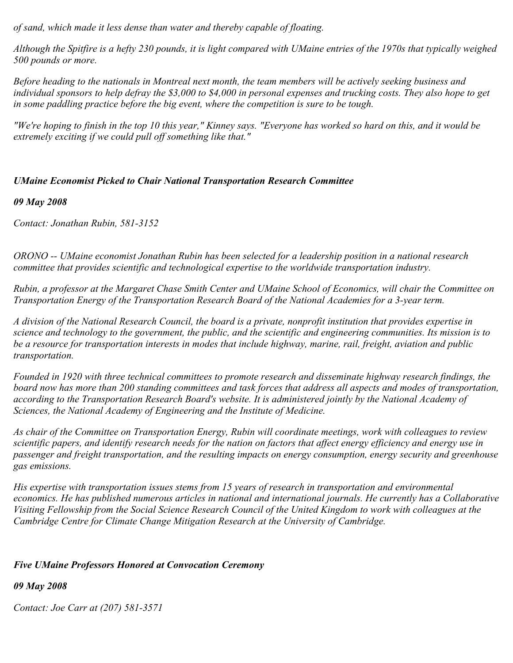*of sand, which made it less dense than water and thereby capable of floating.*

*Although the Spitfire is a hefty 230 pounds, it is light compared with UMaine entries of the 1970s that typically weighed 500 pounds or more.*

*Before heading to the nationals in Montreal next month, the team members will be actively seeking business and individual sponsors to help defray the \$3,000 to \$4,000 in personal expenses and trucking costs. They also hope to get in some paddling practice before the big event, where the competition is sure to be tough.*

*"We're hoping to finish in the top 10 this year," Kinney says. "Everyone has worked so hard on this, and it would be extremely exciting if we could pull off something like that."*

### *UMaine Economist Picked to Chair National Transportation Research Committee*

#### *09 May 2008*

*Contact: Jonathan Rubin, 581-3152*

*ORONO -- UMaine economist Jonathan Rubin has been selected for a leadership position in a national research committee that provides scientific and technological expertise to the worldwide transportation industry.*

*Rubin, a professor at the Margaret Chase Smith Center and UMaine School of Economics, will chair the Committee on Transportation Energy of the Transportation Research Board of the National Academies for a 3-year term.*

*A division of the National Research Council, the board is a private, nonprofit institution that provides expertise in science and technology to the government, the public, and the scientific and engineering communities. Its mission is to be a resource for transportation interests in modes that include highway, marine, rail, freight, aviation and public transportation.*

*Founded in 1920 with three technical committees to promote research and disseminate highway research findings, the board now has more than 200 standing committees and task forces that address all aspects and modes of transportation, according to the Transportation Research Board's website. It is administered jointly by the National Academy of Sciences, the National Academy of Engineering and the Institute of Medicine.*

*As chair of the Committee on Transportation Energy, Rubin will coordinate meetings, work with colleagues to review scientific papers, and identify research needs for the nation on factors that affect energy efficiency and energy use in passenger and freight transportation, and the resulting impacts on energy consumption, energy security and greenhouse gas emissions.*

*His expertise with transportation issues stems from 15 years of research in transportation and environmental economics. He has published numerous articles in national and international journals. He currently has a Collaborative Visiting Fellowship from the Social Science Research Council of the United Kingdom to work with colleagues at the Cambridge Centre for Climate Change Mitigation Research at the University of Cambridge.*

### *Five UMaine Professors Honored at Convocation Ceremony*

### *09 May 2008*

*Contact: Joe Carr at (207) 581-3571*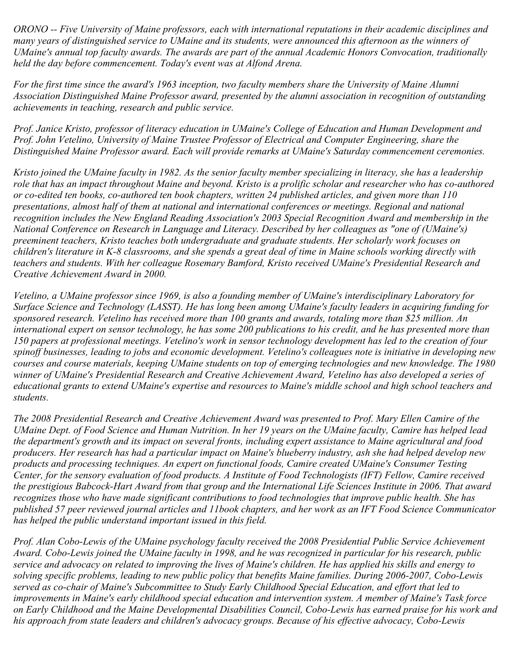*ORONO -- Five University of Maine professors, each with international reputations in their academic disciplines and many years of distinguished service to UMaine and its students, were announced this afternoon as the winners of UMaine's annual top faculty awards. The awards are part of the annual Academic Honors Convocation, traditionally held the day before commencement. Today's event was at Alfond Arena.*

*For the first time since the award's 1963 inception, two faculty members share the University of Maine Alumni Association Distinguished Maine Professor award, presented by the alumni association in recognition of outstanding achievements in teaching, research and public service.*

*Prof. Janice Kristo, professor of literacy education in UMaine's College of Education and Human Development and Prof. John Vetelino, University of Maine Trustee Professor of Electrical and Computer Engineering, share the Distinguished Maine Professor award. Each will provide remarks at UMaine's Saturday commencement ceremonies.*

*Kristo joined the UMaine faculty in 1982. As the senior faculty member specializing in literacy, she has a leadership role that has an impact throughout Maine and beyond. Kristo is a prolific scholar and researcher who has co-authored or co-edited ten books, co-authored ten book chapters, written 24 published articles, and given more than 110 presentations, almost half of them at national and international conferences or meetings. Regional and national recognition includes the New England Reading Association's 2003 Special Recognition Award and membership in the National Conference on Research in Language and Literacy. Described by her colleagues as "one of (UMaine's) preeminent teachers, Kristo teaches both undergraduate and graduate students. Her scholarly work focuses on children's literature in K-8 classrooms, and she spends a great deal of time in Maine schools working directly with teachers and students. With her colleague Rosemary Bamford, Kristo received UMaine's Presidential Research and Creative Achievement Award in 2000.*

*Vetelino, a UMaine professor since 1969, is also a founding member of UMaine's interdisciplinary Laboratory for Surface Science and Technology (LASST). He has long been among UMaine's faculty leaders in acquiring funding for sponsored research. Vetelino has received more than 100 grants and awards, totaling more than \$25 million. An international expert on sensor technology, he has some 200 publications to his credit, and he has presented more than 150 papers at professional meetings. Vetelino's work in sensor technology development has led to the creation of four spinoff businesses, leading to jobs and economic development. Vetelino's colleagues note is initiative in developing new courses and course materials, keeping UMaine students on top of emerging technologies and new knowledge. The 1980 winner of UMaine's Presidential Research and Creative Achievement Award, Vetelino has also developed a series of educational grants to extend UMaine's expertise and resources to Maine's middle school and high school teachers and students.*

*The 2008 Presidential Research and Creative Achievement Award was presented to Prof. Mary Ellen Camire of the UMaine Dept. of Food Science and Human Nutrition. In her 19 years on the UMaine faculty, Camire has helped lead the department's growth and its impact on several fronts, including expert assistance to Maine agricultural and food producers. Her research has had a particular impact on Maine's blueberry industry, ash she had helped develop new products and processing techniques. An expert on functional foods, Camire created UMaine's Consumer Testing Center, for the sensory evaluation of food products. A Institute of Food Technologists (IFT) Fellow, Camire received the prestigious Babcock-Hart Award from that group and the International Life Sciences Institute in 2006. That award recognizes those who have made significant contributions to food technologies that improve public health. She has published 57 peer reviewed journal articles and 11book chapters, and her work as an IFT Food Science Communicator has helped the public understand important issued in this field.*

*Prof. Alan Cobo-Lewis of the UMaine psychology faculty received the 2008 Presidential Public Service Achievement Award. Cobo-Lewis joined the UMaine faculty in 1998, and he was recognized in particular for his research, public service and advocacy on related to improving the lives of Maine's children. He has applied his skills and energy to solving specific problems, leading to new public policy that benefits Maine families. During 2006-2007, Cobo-Lewis served as co-chair of Maine's Subcommittee to Study Early Childhood Special Education, and effort that led to improvements in Maine's early childhood special education and intervention system. A member of Maine's Task force on Early Childhood and the Maine Developmental Disabilities Council, Cobo-Lewis has earned praise for his work and his approach from state leaders and children's advocacy groups. Because of his effective advocacy, Cobo-Lewis*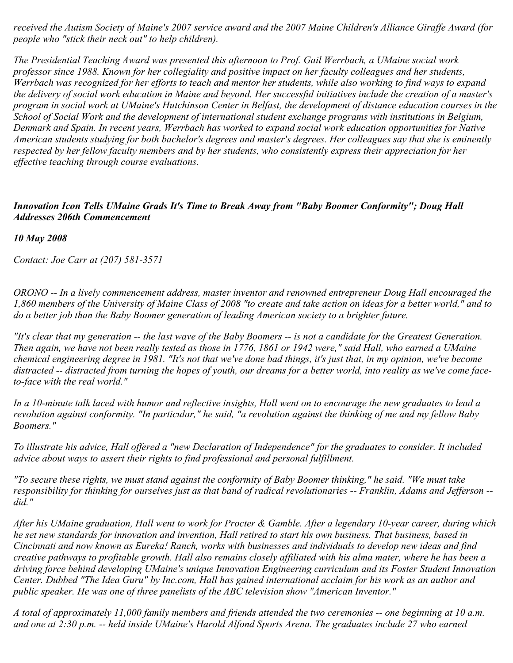*received the Autism Society of Maine's 2007 service award and the 2007 Maine Children's Alliance Giraffe Award (for people who "stick their neck out" to help children).*

*The Presidential Teaching Award was presented this afternoon to Prof. Gail Werrbach, a UMaine social work professor since 1988. Known for her collegiality and positive impact on her faculty colleagues and her students, Werrbach was recognized for her efforts to teach and mentor her students, while also working to find ways to expand the delivery of social work education in Maine and beyond. Her successful initiatives include the creation of a master's program in social work at UMaine's Hutchinson Center in Belfast, the development of distance education courses in the School of Social Work and the development of international student exchange programs with institutions in Belgium, Denmark and Spain. In recent years, Werrbach has worked to expand social work education opportunities for Native American students studying for both bachelor's degrees and master's degrees. Her colleagues say that she is eminently respected by her fellow faculty members and by her students, who consistently express their appreciation for her effective teaching through course evaluations.*

### *Innovation Icon Tells UMaine Grads It's Time to Break Away from "Baby Boomer Conformity"; Doug Hall Addresses 206th Commencement*

*10 May 2008*

*Contact: Joe Carr at (207) 581-3571*

*ORONO -- In a lively commencement address, master inventor and renowned entrepreneur Doug Hall encouraged the 1,860 members of the University of Maine Class of 2008 "to create and take action on ideas for a better world," and to do a better job than the Baby Boomer generation of leading American society to a brighter future.*

*"It's clear that my generation -- the last wave of the Baby Boomers -- is not a candidate for the Greatest Generation. Then again, we have not been really tested as those in 1776, 1861 or 1942 were," said Hall, who earned a UMaine chemical engineering degree in 1981. "It's not that we've done bad things, it's just that, in my opinion, we've become distracted -- distracted from turning the hopes of youth, our dreams for a better world, into reality as we've come faceto-face with the real world."*

*In a 10-minute talk laced with humor and reflective insights, Hall went on to encourage the new graduates to lead a revolution against conformity. "In particular," he said, "a revolution against the thinking of me and my fellow Baby Boomers."*

*To illustrate his advice, Hall offered a "new Declaration of Independence" for the graduates to consider. It included advice about ways to assert their rights to find professional and personal fulfillment.*

*"To secure these rights, we must stand against the conformity of Baby Boomer thinking," he said. "We must take responsibility for thinking for ourselves just as that band of radical revolutionaries -- Franklin, Adams and Jefferson - did."*

*After his UMaine graduation, Hall went to work for Procter & Gamble. After a legendary 10-year career, during which he set new standards for innovation and invention, Hall retired to start his own business. That business, based in Cincinnati and now known as Eureka! Ranch, works with businesses and individuals to develop new ideas and find creative pathways to profitable growth. Hall also remains closely affiliated with his alma mater, where he has been a driving force behind developing UMaine's unique Innovation Engineering curriculum and its Foster Student Innovation Center. Dubbed "The Idea Guru" by Inc.com, Hall has gained international acclaim for his work as an author and public speaker. He was one of three panelists of the ABC television show "American Inventor."*

*A total of approximately 11,000 family members and friends attended the two ceremonies -- one beginning at 10 a.m. and one at 2:30 p.m. -- held inside UMaine's Harold Alfond Sports Arena. The graduates include 27 who earned*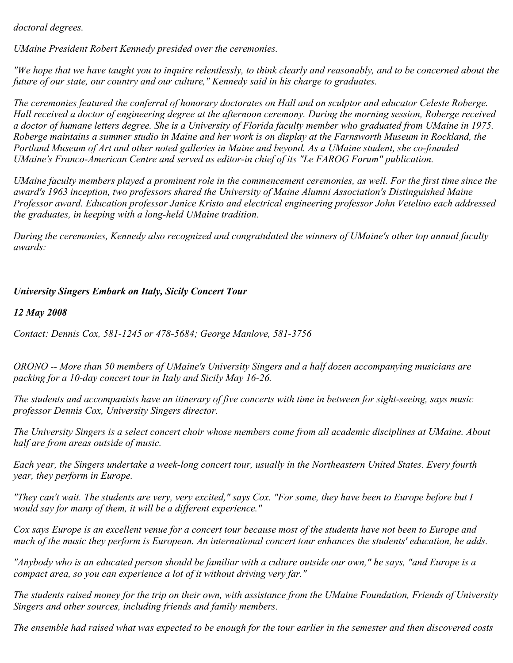*doctoral degrees.*

*UMaine President Robert Kennedy presided over the ceremonies.*

*"We hope that we have taught you to inquire relentlessly, to think clearly and reasonably, and to be concerned about the future of our state, our country and our culture," Kennedy said in his charge to graduates.*

*The ceremonies featured the conferral of honorary doctorates on Hall and on sculptor and educator Celeste Roberge. Hall received a doctor of engineering degree at the afternoon ceremony. During the morning session, Roberge received a doctor of humane letters degree. She is a University of Florida faculty member who graduated from UMaine in 1975. Roberge maintains a summer studio in Maine and her work is on display at the Farnsworth Museum in Rockland, the Portland Museum of Art and other noted galleries in Maine and beyond. As a UMaine student, she co-founded UMaine's Franco-American Centre and served as editor-in chief of its "Le FAROG Forum" publication.*

*UMaine faculty members played a prominent role in the commencement ceremonies, as well. For the first time since the award's 1963 inception, two professors shared the University of Maine Alumni Association's Distinguished Maine Professor award. Education professor Janice Kristo and electrical engineering professor John Vetelino each addressed the graduates, in keeping with a long-held UMaine tradition.*

*During the ceremonies, Kennedy also recognized and congratulated the winners of UMaine's other top annual faculty awards:*

# *University Singers Embark on Italy, Sicily Concert Tour*

*12 May 2008*

*Contact: Dennis Cox, 581-1245 or 478-5684; George Manlove, 581-3756*

*ORONO -- More than 50 members of UMaine's University Singers and a half dozen accompanying musicians are packing for a 10-day concert tour in Italy and Sicily May 16-26.*

*The students and accompanists have an itinerary of five concerts with time in between for sight-seeing, says music professor Dennis Cox, University Singers director.*

*The University Singers is a select concert choir whose members come from all academic disciplines at UMaine. About half are from areas outside of music.*

*Each year, the Singers undertake a week-long concert tour, usually in the Northeastern United States. Every fourth year, they perform in Europe.*

*"They can't wait. The students are very, very excited," says Cox. "For some, they have been to Europe before but I would say for many of them, it will be a different experience."*

*Cox says Europe is an excellent venue for a concert tour because most of the students have not been to Europe and much of the music they perform is European. An international concert tour enhances the students' education, he adds.*

*"Anybody who is an educated person should be familiar with a culture outside our own," he says, "and Europe is a compact area, so you can experience a lot of it without driving very far."*

*The students raised money for the trip on their own, with assistance from the UMaine Foundation, Friends of University Singers and other sources, including friends and family members.*

*The ensemble had raised what was expected to be enough for the tour earlier in the semester and then discovered costs*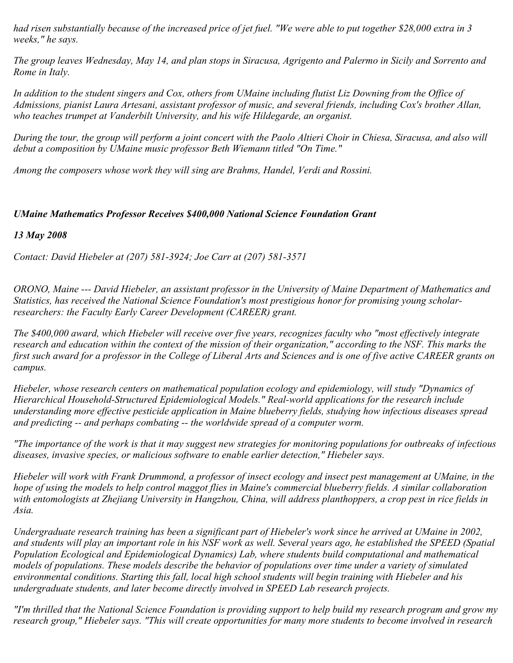*had risen substantially because of the increased price of jet fuel. "We were able to put together \$28,000 extra in 3 weeks," he says.*

*The group leaves Wednesday, May 14, and plan stops in Siracusa, Agrigento and Palermo in Sicily and Sorrento and Rome in Italy.*

*In addition to the student singers and Cox, others from UMaine including flutist Liz Downing from the Office of Admissions, pianist Laura Artesani, assistant professor of music, and several friends, including Cox's brother Allan, who teaches trumpet at Vanderbilt University, and his wife Hildegarde, an organist.*

*During the tour, the group will perform a joint concert with the Paolo Altieri Choir in Chiesa, Siracusa, and also will debut a composition by UMaine music professor Beth Wiemann titled "On Time."*

*Among the composers whose work they will sing are Brahms, Handel, Verdi and Rossini.*

# *UMaine Mathematics Professor Receives \$400,000 National Science Foundation Grant*

### *13 May 2008*

*Contact: David Hiebeler at (207) 581-3924; Joe Carr at (207) 581-3571*

*ORONO, Maine --- David Hiebeler, an assistant professor in the University of Maine Department of Mathematics and Statistics, has received the National Science Foundation's most prestigious honor for promising young scholarresearchers: the Faculty Early Career Development (CAREER) grant.*

*The \$400,000 award, which Hiebeler will receive over five years, recognizes faculty who "most effectively integrate research and education within the context of the mission of their organization," according to the NSF. This marks the first such award for a professor in the College of Liberal Arts and Sciences and is one of five active CAREER grants on campus.*

*Hiebeler, whose research centers on mathematical population ecology and epidemiology, will study "Dynamics of Hierarchical Household-Structured Epidemiological Models." Real-world applications for the research include understanding more effective pesticide application in Maine blueberry fields, studying how infectious diseases spread and predicting -- and perhaps combating -- the worldwide spread of a computer worm.*

*"The importance of the work is that it may suggest new strategies for monitoring populations for outbreaks of infectious diseases, invasive species, or malicious software to enable earlier detection," Hiebeler says.*

*Hiebeler will work with Frank Drummond, a professor of insect ecology and insect pest management at UMaine, in the hope of using the models to help control maggot flies in Maine's commercial blueberry fields. A similar collaboration with entomologists at Zhejiang University in Hangzhou, China, will address planthoppers, a crop pest in rice fields in Asia.*

*Undergraduate research training has been a significant part of Hiebeler's work since he arrived at UMaine in 2002, and students will play an important role in his NSF work as well. Several years ago, he established the SPEED (Spatial Population Ecological and Epidemiological Dynamics) Lab, where students build computational and mathematical models of populations. These models describe the behavior of populations over time under a variety of simulated environmental conditions. Starting this fall, local high school students will begin training with Hiebeler and his undergraduate students, and later become directly involved in SPEED Lab research projects.*

*"I'm thrilled that the National Science Foundation is providing support to help build my research program and grow my research group," Hiebeler says. "This will create opportunities for many more students to become involved in research*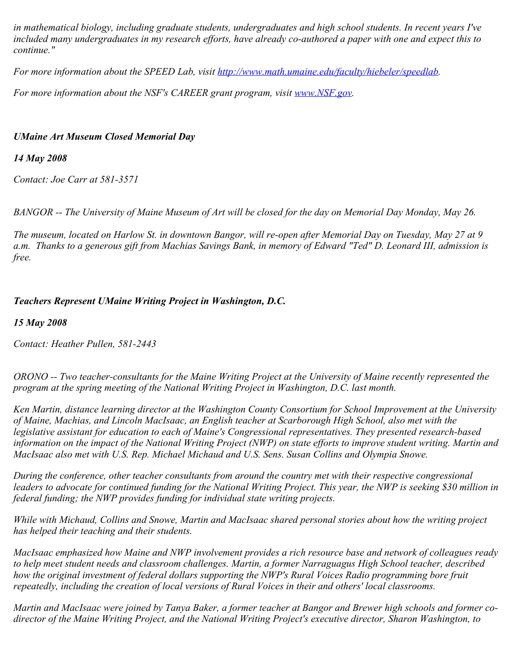*in mathematical biology, including graduate students, undergraduates and high school students. In recent years I've included many undergraduates in my research efforts, have already co-authored a paper with one and expect this to continue."*

*For more information about the SPEED Lab, visit<http://www.math.umaine.edu/faculty/hiebeler/speedlab>.*

*For more information about the NSF's CAREER grant program, visit [www.NSF.gov](http://www.nsf.gov/).* 

## *UMaine Art Museum Closed Memorial Day*

## *14 May 2008*

*Contact: Joe Carr at 581-3571*

*BANGOR -- The University of Maine Museum of Art will be closed for the day on Memorial Day Monday, May 26.*

*The museum, located on Harlow St. in downtown Bangor, will re-open after Memorial Day on Tuesday, May 27 at 9 a.m. Thanks to a generous gift from Machias Savings Bank, in memory of Edward "Ted" D. Leonard III, admission is free.*

# *Teachers Represent UMaine Writing Project in Washington, D.C.*

*15 May 2008*

*Contact: Heather Pullen, 581-2443*

*ORONO -- Two teacher-consultants for the Maine Writing Project at the University of Maine recently represented the program at the spring meeting of the National Writing Project in Washington, D.C. last month.*

*Ken Martin, distance learning director at the Washington County Consortium for School Improvement at the University of Maine, Machias, and Lincoln MacIsaac, an English teacher at Scarborough High School, also met with the legislative assistant for education to each of Maine's Congressional representatives. They presented research-based information on the impact of the National Writing Project (NWP) on state efforts to improve student writing. Martin and MacIsaac also met with U.S. Rep. Michael Michaud and U.S. Sens. Susan Collins and Olympia Snowe.*

*During the conference, other teacher consultants from around the country met with their respective congressional leaders to advocate for continued funding for the National Writing Project. This year, the NWP is seeking \$30 million in federal funding; the NWP provides funding for individual state writing projects.*

*While with Michaud, Collins and Snowe, Martin and MacIsaac shared personal stories about how the writing project has helped their teaching and their students.*

*MacIsaac emphasized how Maine and NWP involvement provides a rich resource base and network of colleagues ready to help meet student needs and classroom challenges. Martin, a former Narraguagus High School teacher, described how the original investment of federal dollars supporting the NWP's Rural Voices Radio programming bore fruit repeatedly, including the creation of local versions of Rural Voices in their and others' local classrooms.*

*Martin and MacIsaac were joined by Tanya Baker, a former teacher at Bangor and Brewer high schools and former codirector of the Maine Writing Project, and the National Writing Project's executive director, Sharon Washington, to*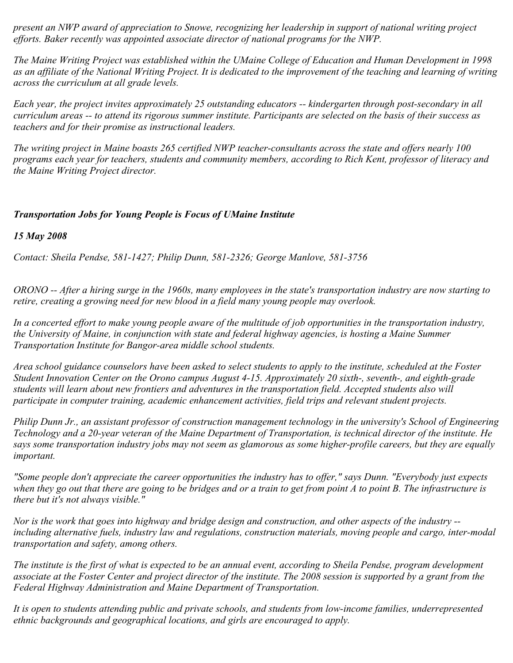*present an NWP award of appreciation to Snowe, recognizing her leadership in support of national writing project efforts. Baker recently was appointed associate director of national programs for the NWP.*

*The Maine Writing Project was established within the UMaine College of Education and Human Development in 1998 as an affiliate of the National Writing Project. It is dedicated to the improvement of the teaching and learning of writing across the curriculum at all grade levels.*

*Each year, the project invites approximately 25 outstanding educators -- kindergarten through post-secondary in all curriculum areas -- to attend its rigorous summer institute. Participants are selected on the basis of their success as teachers and for their promise as instructional leaders.*

*The writing project in Maine boasts 265 certified NWP teacher-consultants across the state and offers nearly 100 programs each year for teachers, students and community members, according to Rich Kent, professor of literacy and the Maine Writing Project director.*

### *Transportation Jobs for Young People is Focus of UMaine Institute*

*15 May 2008*

*Contact: Sheila Pendse, 581-1427; Philip Dunn, 581-2326; George Manlove, 581-3756*

*ORONO -- After a hiring surge in the 1960s, many employees in the state's transportation industry are now starting to retire, creating a growing need for new blood in a field many young people may overlook.*

*In a concerted effort to make young people aware of the multitude of job opportunities in the transportation industry, the University of Maine, in conjunction with state and federal highway agencies, is hosting a Maine Summer Transportation Institute for Bangor-area middle school students.*

*Area school guidance counselors have been asked to select students to apply to the institute, scheduled at the Foster Student Innovation Center on the Orono campus August 4-15. Approximately 20 sixth-, seventh-, and eighth-grade students will learn about new frontiers and adventures in the transportation field. Accepted students also will participate in computer training, academic enhancement activities, field trips and relevant student projects.*

*Philip Dunn Jr., an assistant professor of construction management technology in the university's School of Engineering Technology and a 20-year veteran of the Maine Department of Transportation, is technical director of the institute. He says some transportation industry jobs may not seem as glamorous as some higher-profile careers, but they are equally important.*

*"Some people don't appreciate the career opportunities the industry has to offer," says Dunn. "Everybody just expects when they go out that there are going to be bridges and or a train to get from point A to point B. The infrastructure is there but it's not always visible."*

*Nor is the work that goes into highway and bridge design and construction, and other aspects of the industry - including alternative fuels, industry law and regulations, construction materials, moving people and cargo, inter-modal transportation and safety, among others.*

*The institute is the first of what is expected to be an annual event, according to Sheila Pendse, program development associate at the Foster Center and project director of the institute. The 2008 session is supported by a grant from the Federal Highway Administration and Maine Department of Transportation.*

*It is open to students attending public and private schools, and students from low-income families, underrepresented ethnic backgrounds and geographical locations, and girls are encouraged to apply.*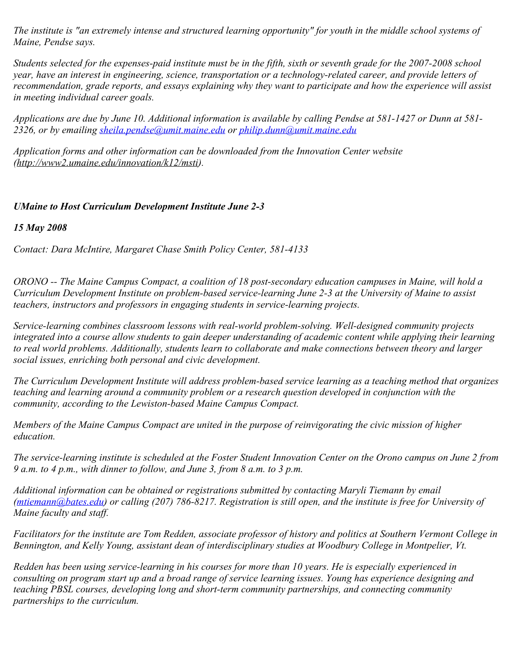*The institute is "an extremely intense and structured learning opportunity" for youth in the middle school systems of Maine, Pendse says.*

*Students selected for the expenses-paid institute must be in the fifth, sixth or seventh grade for the 2007-2008 school year, have an interest in engineering, science, transportation or a technology-related career, and provide letters of recommendation, grade reports, and essays explaining why they want to participate and how the experience will assist in meeting individual career goals.*

*Applications are due by June 10. Additional information is available by calling Pendse at 581-1427 or Dunn at 581- 2326, or by emailing [sheila.pendse@umit.maine.edu](mailto:sheila.pendse@umit.maine.edu) or [philip.dunn@umit.maine.edu](mailto:philip.dunn@umit.maine.edu)*

*Application forms and other information can be downloaded from the Innovation Center website (http://www2.umaine.edu/innovation/k12/msti).*

## *UMaine to Host Curriculum Development Institute June 2-3*

*15 May 2008*

*Contact: Dara McIntire, Margaret Chase Smith Policy Center, 581-4133*

*ORONO -- The Maine Campus Compact, a coalition of 18 post-secondary education campuses in Maine, will hold a Curriculum Development Institute on problem-based service-learning June 2-3 at the University of Maine to assist teachers, instructors and professors in engaging students in service-learning projects.*

*Service-learning combines classroom lessons with real-world problem-solving. Well-designed community projects integrated into a course allow students to gain deeper understanding of academic content while applying their learning to real world problems. Additionally, students learn to collaborate and make connections between theory and larger social issues, enriching both personal and civic development.*

*The Curriculum Development Institute will address problem-based service learning as a teaching method that organizes teaching and learning around a community problem or a research question developed in conjunction with the community, according to the Lewiston-based Maine Campus Compact.*

*Members of the Maine Campus Compact are united in the purpose of reinvigorating the civic mission of higher education.*

*The service-learning institute is scheduled at the Foster Student Innovation Center on the Orono campus on June 2 from 9 a.m. to 4 p.m., with dinner to follow, and June 3, from 8 a.m. to 3 p.m.*

*Additional information can be obtained or registrations submitted by contacting Maryli Tiemann by email ([mtiemann@bates.edu](mailto:mtiemann@bates.edu)) or calling (207) 786-8217. Registration is still open, and the institute is free for University of Maine faculty and staff.*

*Facilitators for the institute are Tom Redden, associate professor of history and politics at Southern Vermont College in Bennington, and Kelly Young, assistant dean of interdisciplinary studies at Woodbury College in Montpelier, Vt.*

*Redden has been using service-learning in his courses for more than 10 years. He is especially experienced in consulting on program start up and a broad range of service learning issues. Young has experience designing and teaching PBSL courses, developing long and short-term community partnerships, and connecting community partnerships to the curriculum.*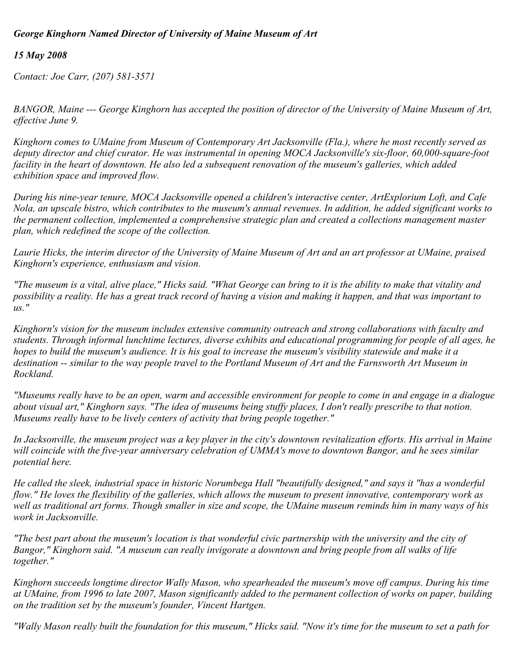### *George Kinghorn Named Director of University of Maine Museum of Art*

## *15 May 2008*

*Contact: Joe Carr, (207) 581-3571*

*BANGOR, Maine --- George Kinghorn has accepted the position of director of the University of Maine Museum of Art, effective June 9.*

*Kinghorn comes to UMaine from Museum of Contemporary Art Jacksonville (Fla.), where he most recently served as deputy director and chief curator. He was instrumental in opening MOCA Jacksonville's six-floor, 60,000-square-foot facility in the heart of downtown. He also led a subsequent renovation of the museum's galleries, which added exhibition space and improved flow.*

*During his nine-year tenure, MOCA Jacksonville opened a children's interactive center, ArtExplorium Loft, and Cafe Nola, an upscale bistro, which contributes to the museum's annual revenues. In addition, he added significant works to the permanent collection, implemented a comprehensive strategic plan and created a collections management master plan, which redefined the scope of the collection.*

*Laurie Hicks, the interim director of the University of Maine Museum of Art and an art professor at UMaine, praised Kinghorn's experience, enthusiasm and vision.*

*"The museum is a vital, alive place," Hicks said. "What George can bring to it is the ability to make that vitality and possibility a reality. He has a great track record of having a vision and making it happen, and that was important to us."*

*Kinghorn's vision for the museum includes extensive community outreach and strong collaborations with faculty and students. Through informal lunchtime lectures, diverse exhibits and educational programming for people of all ages, he hopes to build the museum's audience. It is his goal to increase the museum's visibility statewide and make it a destination -- similar to the way people travel to the Portland Museum of Art and the Farnsworth Art Museum in Rockland.*

*"Museums really have to be an open, warm and accessible environment for people to come in and engage in a dialogue about visual art," Kinghorn says. "The idea of museums being stuffy places, I don't really prescribe to that notion. Museums really have to be lively centers of activity that bring people together."*

*In Jacksonville, the museum project was a key player in the city's downtown revitalization efforts. His arrival in Maine will coincide with the five-year anniversary celebration of UMMA's move to downtown Bangor, and he sees similar potential here.*

*He called the sleek, industrial space in historic Norumbega Hall "beautifully designed," and says it "has a wonderful flow." He loves the flexibility of the galleries, which allows the museum to present innovative, contemporary work as well as traditional art forms. Though smaller in size and scope, the UMaine museum reminds him in many ways of his work in Jacksonville.*

*"The best part about the museum's location is that wonderful civic partnership with the university and the city of Bangor," Kinghorn said. "A museum can really invigorate a downtown and bring people from all walks of life together."*

*Kinghorn succeeds longtime director Wally Mason, who spearheaded the museum's move off campus. During his time at UMaine, from 1996 to late 2007, Mason significantly added to the permanent collection of works on paper, building on the tradition set by the museum's founder, Vincent Hartgen.*

*"Wally Mason really built the foundation for this museum," Hicks said. "Now it's time for the museum to set a path for*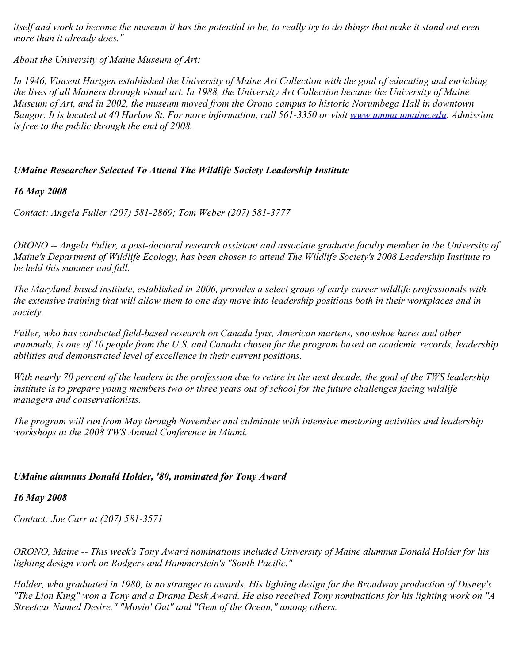*itself and work to become the museum it has the potential to be, to really try to do things that make it stand out even more than it already does."*

*About the University of Maine Museum of Art:*

*In 1946, Vincent Hartgen established the University of Maine Art Collection with the goal of educating and enriching the lives of all Mainers through visual art. In 1988, the University Art Collection became the University of Maine Museum of Art, and in 2002, the museum moved from the Orono campus to historic Norumbega Hall in downtown Bangor. It is located at 40 Harlow St. For more information, call 561-3350 or visit [www.umma.umaine.edu](http://www.umma.umaine.edu/). Admission is free to the public through the end of 2008.*

## *UMaine Researcher Selected To Attend The Wildlife Society Leadership Institute*

## *16 May 2008*

*Contact: Angela Fuller (207) 581-2869; Tom Weber (207) 581-3777*

*ORONO -- Angela Fuller, a post-doctoral research assistant and associate graduate faculty member in the University of Maine's Department of Wildlife Ecology, has been chosen to attend The Wildlife Society's 2008 Leadership Institute to be held this summer and fall.*

*The Maryland-based institute, established in 2006, provides a select group of early-career wildlife professionals with the extensive training that will allow them to one day move into leadership positions both in their workplaces and in society.*

*Fuller, who has conducted field-based research on Canada lynx, American martens, snowshoe hares and other mammals, is one of 10 people from the U.S. and Canada chosen for the program based on academic records, leadership abilities and demonstrated level of excellence in their current positions.*

*With nearly 70 percent of the leaders in the profession due to retire in the next decade, the goal of the TWS leadership institute is to prepare young members two or three years out of school for the future challenges facing wildlife managers and conservationists.*

*The program will run from May through November and culminate with intensive mentoring activities and leadership workshops at the 2008 TWS Annual Conference in Miami.*

### *UMaine alumnus Donald Holder, '80, nominated for Tony Award*

### *16 May 2008*

*Contact: Joe Carr at (207) 581-3571*

*ORONO, Maine -- This week's Tony Award nominations included University of Maine alumnus Donald Holder for his lighting design work on Rodgers and Hammerstein's "South Pacific."*

*Holder, who graduated in 1980, is no stranger to awards. His lighting design for the Broadway production of Disney's "The Lion King" won a Tony and a Drama Desk Award. He also received Tony nominations for his lighting work on "A Streetcar Named Desire," "Movin' Out" and "Gem of the Ocean," among others.*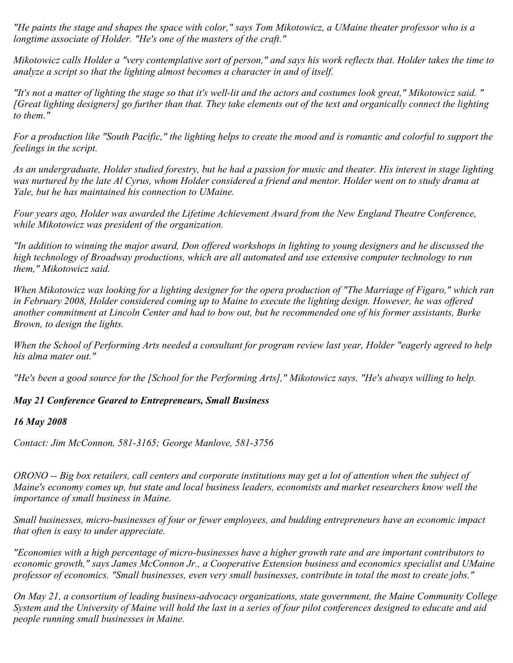*"He paints the stage and shapes the space with color," says Tom Mikotowicz, a UMaine theater professor who is a longtime associate of Holder. "He's one of the masters of the craft."*

*Mikotowicz calls Holder a "very contemplative sort of person," and says his work reflects that. Holder takes the time to analyze a script so that the lighting almost becomes a character in and of itself.*

*"It's not a matter of lighting the stage so that it's well-lit and the actors and costumes look great," Mikotowicz said. " [Great lighting designers] go further than that. They take elements out of the text and organically connect the lighting to them."*

*For a production like "South Pacific," the lighting helps to create the mood and is romantic and colorful to support the feelings in the script.*

*As an undergraduate, Holder studied forestry, but he had a passion for music and theater. His interest in stage lighting was nurtured by the late Al Cyrus, whom Holder considered a friend and mentor. Holder went on to study drama at Yale, but he has maintained his connection to UMaine.*

*Four years ago, Holder was awarded the Lifetime Achievement Award from the New England Theatre Conference, while Mikotowicz was president of the organization.*

*"In addition to winning the major award, Don offered workshops in lighting to young designers and he discussed the high technology of Broadway productions, which are all automated and use extensive computer technology to run them," Mikotowicz said.*

*When Mikotowicz was looking for a lighting designer for the opera production of "The Marriage of Figaro," which ran in February 2008, Holder considered coming up to Maine to execute the lighting design. However, he was offered another commitment at Lincoln Center and had to bow out, but he recommended one of his former assistants, Burke Brown, to design the lights.*

*When the School of Performing Arts needed a consultant for program review last year, Holder "eagerly agreed to help his alma mater out."*

*"He's been a good source for the [School for the Performing Arts]," Mikotowicz says. "He's always willing to help.* 

### *May 21 Conference Geared to Entrepreneurs, Small Business*

#### *16 May 2008*

*Contact: Jim McConnon, 581-3165; George Manlove, 581-3756*

*ORONO -- Big box retailers, call centers and corporate institutions may get a lot of attention when the subject of Maine's economy comes up, but state and local business leaders, economists and market researchers know well the importance of small business in Maine.*

*Small businesses, micro-businesses of four or fewer employees, and budding entrepreneurs have an economic impact that often is easy to under appreciate.*

*"Economies with a high percentage of micro-businesses have a higher growth rate and are important contributors to economic growth," says James McConnon Jr., a Cooperative Extension business and economics specialist and UMaine professor of economics. "Small businesses, even very small businesses, contribute in total the most to create jobs."*

*On May 21, a consortium of leading business-advocacy organizations, state government, the Maine Community College System and the University of Maine will hold the last in a series of four pilot conferences designed to educate and aid people running small businesses in Maine.*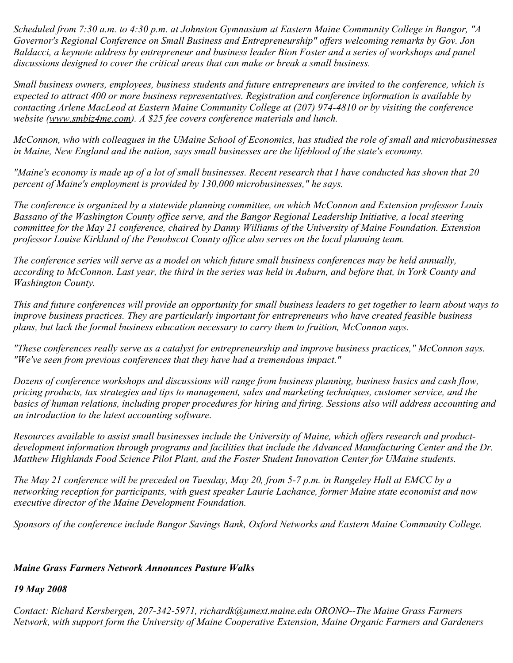*Scheduled from 7:30 a.m. to 4:30 p.m. at Johnston Gymnasium at Eastern Maine Community College in Bangor, "A Governor's Regional Conference on Small Business and Entrepreneurship" offers welcoming remarks by Gov. Jon Baldacci, a keynote address by entrepreneur and business leader Bion Foster and a series of workshops and panel discussions designed to cover the critical areas that can make or break a small business.*

*Small business owners, employees, business students and future entrepreneurs are invited to the conference, which is expected to attract 400 or more business representatives. Registration and conference information is available by contacting Arlene MacLeod at Eastern Maine Community College at (207) 974-4810 or by visiting the conference website (www.smbiz4me.com). A \$25 fee covers conference materials and lunch.*

*McConnon, who with colleagues in the UMaine School of Economics, has studied the role of small and microbusinesses in Maine, New England and the nation, says small businesses are the lifeblood of the state's economy.*

*"Maine's economy is made up of a lot of small businesses. Recent research that I have conducted has shown that 20 percent of Maine's employment is provided by 130,000 microbusinesses," he says.*

*The conference is organized by a statewide planning committee, on which McConnon and Extension professor Louis Bassano of the Washington County office serve, and the Bangor Regional Leadership Initiative, a local steering committee for the May 21 conference, chaired by Danny Williams of the University of Maine Foundation. Extension professor Louise Kirkland of the Penobscot County office also serves on the local planning team.*

*The conference series will serve as a model on which future small business conferences may be held annually, according to McConnon. Last year, the third in the series was held in Auburn, and before that, in York County and Washington County.*

*This and future conferences will provide an opportunity for small business leaders to get together to learn about ways to improve business practices. They are particularly important for entrepreneurs who have created feasible business plans, but lack the formal business education necessary to carry them to fruition, McConnon says.*

*"These conferences really serve as a catalyst for entrepreneurship and improve business practices," McConnon says. "We've seen from previous conferences that they have had a tremendous impact."*

*Dozens of conference workshops and discussions will range from business planning, business basics and cash flow, pricing products, tax strategies and tips to management, sales and marketing techniques, customer service, and the basics of human relations, including proper procedures for hiring and firing. Sessions also will address accounting and an introduction to the latest accounting software.*

*Resources available to assist small businesses include the University of Maine, which offers research and productdevelopment information through programs and facilities that include the Advanced Manufacturing Center and the Dr. Matthew Highlands Food Science Pilot Plant, and the Foster Student Innovation Center for UMaine students.*

*The May 21 conference will be preceded on Tuesday, May 20, from 5-7 p.m. in Rangeley Hall at EMCC by a networking reception for participants, with guest speaker Laurie Lachance, former Maine state economist and now executive director of the Maine Development Foundation.*

*Sponsors of the conference include Bangor Savings Bank, Oxford Networks and Eastern Maine Community College.*

### *Maine Grass Farmers Network Announces Pasture Walks*

### *19 May 2008*

*Contact: Richard Kersbergen, 207-342-5971, richardk@umext.maine.edu ORONO--The Maine Grass Farmers Network, with support form the University of Maine Cooperative Extension, Maine Organic Farmers and Gardeners*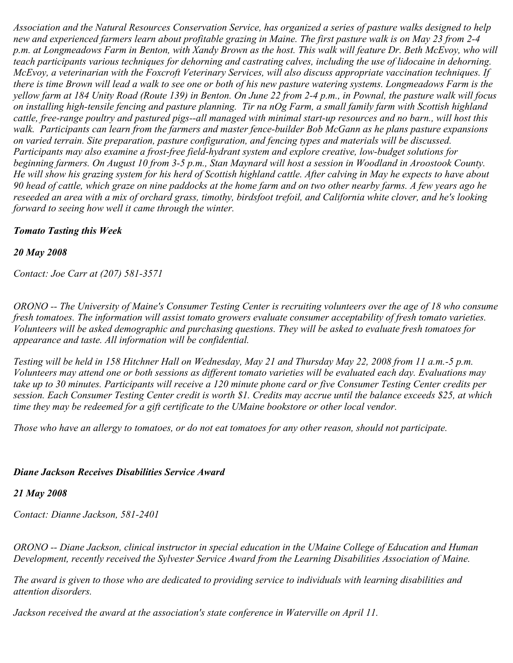*Association and the Natural Resources Conservation Service, has organized a series of pasture walks designed to help new and experienced farmers learn about profitable grazing in Maine. The first pasture walk is on May 23 from 2-4* p.m. at Longmeadows Farm in Benton, with Xandy Brown as the host. This walk will feature Dr. Beth McEvoy, who will *teach participants various techniques for dehorning and castrating calves, including the use of lidocaine in dehorning. McEvoy, a veterinarian with the Foxcroft Veterinary Services, will also discuss appropriate vaccination techniques. If there is time Brown will lead a walk to see one or both of his new pasture watering systems. Longmeadows Farm is the yellow farm at 184 Unity Road (Route 139) in Benton. On June 22 from 2-4 p.m., in Pownal, the pasture walk will focus on installing high-tensile fencing and pasture planning. Tir na nOg Farm, a small family farm with Scottish highland cattle, free-range poultry and pastured pigs--all managed with minimal start-up resources and no barn., will host this walk. Participants can learn from the farmers and master fence-builder Bob McGann as he plans pasture expansions on varied terrain. Site preparation, pasture configuration, and fencing types and materials will be discussed. Participants may also examine a frost-free field-hydrant system and explore creative, low-budget solutions for beginning farmers. On August 10 from 3-5 p.m., Stan Maynard will host a session in Woodland in Aroostook County. He will show his grazing system for his herd of Scottish highland cattle. After calving in May he expects to have about 90 head of cattle, which graze on nine paddocks at the home farm and on two other nearby farms. A few years ago he reseeded an area with a mix of orchard grass, timothy, birdsfoot trefoil, and California white clover, and he's looking forward to seeing how well it came through the winter.* 

### *Tomato Tasting this Week*

### *20 May 2008*

*Contact: Joe Carr at (207) 581-3571*

*ORONO -- The University of Maine's Consumer Testing Center is recruiting volunteers over the age of 18 who consume fresh tomatoes. The information will assist tomato growers evaluate consumer acceptability of fresh tomato varieties. Volunteers will be asked demographic and purchasing questions. They will be asked to evaluate fresh tomatoes for appearance and taste. All information will be confidential.*

*Testing will be held in 158 Hitchner Hall on Wednesday, May 21 and Thursday May 22, 2008 from 11 a.m.-5 p.m. Volunteers may attend one or both sessions as different tomato varieties will be evaluated each day. Evaluations may take up to 30 minutes. Participants will receive a 120 minute phone card or five Consumer Testing Center credits per session. Each Consumer Testing Center credit is worth \$1. Credits may accrue until the balance exceeds \$25, at which time they may be redeemed for a gift certificate to the UMaine bookstore or other local vendor.*

*Those who have an allergy to tomatoes, or do not eat tomatoes for any other reason, should not participate.*

### *Diane Jackson Receives Disabilities Service Award*

### *21 May 2008*

*Contact: Dianne Jackson, 581-2401*

*ORONO -- Diane Jackson, clinical instructor in special education in the UMaine College of Education and Human Development, recently received the Sylvester Service Award from the Learning Disabilities Association of Maine.*

*The award is given to those who are dedicated to providing service to individuals with learning disabilities and attention disorders.*

*Jackson received the award at the association's state conference in Waterville on April 11.*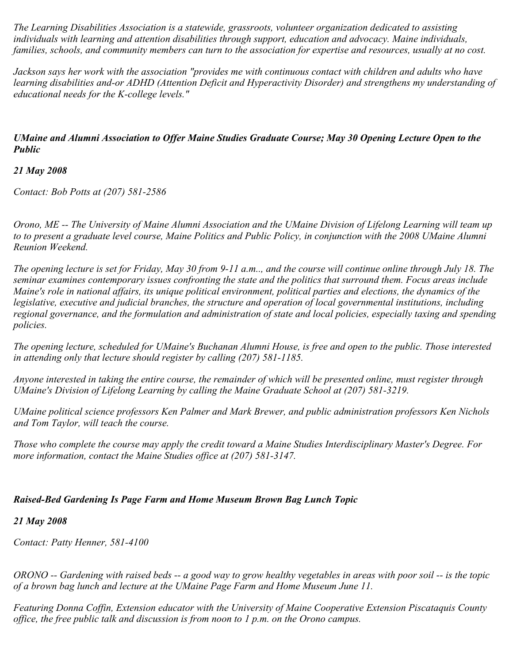*The Learning Disabilities Association is a statewide, grassroots, volunteer organization dedicated to assisting individuals with learning and attention disabilities through support, education and advocacy. Maine individuals, families, schools, and community members can turn to the association for expertise and resources, usually at no cost.*

*Jackson says her work with the association "provides me with continuous contact with children and adults who have learning disabilities and-or ADHD (Attention Deficit and Hyperactivity Disorder) and strengthens my understanding of educational needs for the K-college levels."*

## *UMaine and Alumni Association to Offer Maine Studies Graduate Course; May 30 Opening Lecture Open to the Public*

*21 May 2008*

*Contact: Bob Potts at (207) 581-2586*

*Orono, ME -- The University of Maine Alumni Association and the UMaine Division of Lifelong Learning will team up to to present a graduate level course, Maine Politics and Public Policy, in conjunction with the 2008 UMaine Alumni Reunion Weekend.*

*The opening lecture is set for Friday, May 30 from 9-11 a.m.., and the course will continue online through July 18. The seminar examines contemporary issues confronting the state and the politics that surround them. Focus areas include Maine's role in national affairs, its unique political environment, political parties and elections, the dynamics of the legislative, executive and judicial branches, the structure and operation of local governmental institutions, including regional governance, and the formulation and administration of state and local policies, especially taxing and spending policies.*

*The opening lecture, scheduled for UMaine's Buchanan Alumni House, is free and open to the public. Those interested in attending only that lecture should register by calling (207) 581-1185.*

*Anyone interested in taking the entire course, the remainder of which will be presented online, must register through UMaine's Division of Lifelong Learning by calling the Maine Graduate School at (207) 581-3219.*

*UMaine political science professors Ken Palmer and Mark Brewer, and public administration professors Ken Nichols and Tom Taylor, will teach the course.*

*Those who complete the course may apply the credit toward a Maine Studies Interdisciplinary Master's Degree. For more information, contact the Maine Studies office at (207) 581-3147.*

# *Raised-Bed Gardening Is Page Farm and Home Museum Brown Bag Lunch Topic*

### *21 May 2008*

*Contact: Patty Henner, 581-4100*

*ORONO -- Gardening with raised beds -- a good way to grow healthy vegetables in areas with poor soil -- is the topic of a brown bag lunch and lecture at the UMaine Page Farm and Home Museum June 11.*

*Featuring Donna Coffin, Extension educator with the University of Maine Cooperative Extension Piscataquis County office, the free public talk and discussion is from noon to 1 p.m. on the Orono campus.*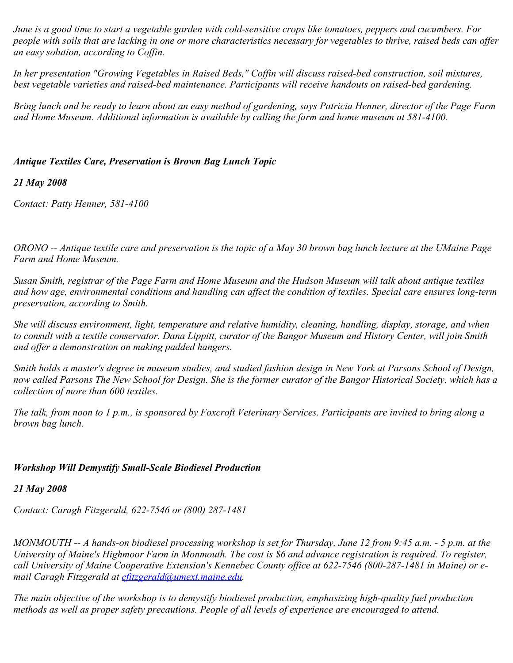*June is a good time to start a vegetable garden with cold-sensitive crops like tomatoes, peppers and cucumbers. For people with soils that are lacking in one or more characteristics necessary for vegetables to thrive, raised beds can offer an easy solution, according to Coffin.*

*In her presentation "Growing Vegetables in Raised Beds," Coffin will discuss raised-bed construction, soil mixtures, best vegetable varieties and raised-bed maintenance. Participants will receive handouts on raised-bed gardening.*

*Bring lunch and be ready to learn about an easy method of gardening, says Patricia Henner, director of the Page Farm and Home Museum. Additional information is available by calling the farm and home museum at 581-4100.*

### *Antique Textiles Care, Preservation is Brown Bag Lunch Topic*

#### *21 May 2008*

*Contact: Patty Henner, 581-4100*

*ORONO -- Antique textile care and preservation is the topic of a May 30 brown bag lunch lecture at the UMaine Page Farm and Home Museum.*

*Susan Smith, registrar of the Page Farm and Home Museum and the Hudson Museum will talk about antique textiles and how age, environmental conditions and handling can affect the condition of textiles. Special care ensures long-term preservation, according to Smith.*

*She will discuss environment, light, temperature and relative humidity, cleaning, handling, display, storage, and when to consult with a textile conservator. Dana Lippitt, curator of the Bangor Museum and History Center, will join Smith and offer a demonstration on making padded hangers.*

*Smith holds a master's degree in museum studies, and studied fashion design in New York at Parsons School of Design, now called Parsons The New School for Design. She is the former curator of the Bangor Historical Society, which has a collection of more than 600 textiles.*

*The talk, from noon to 1 p.m., is sponsored by Foxcroft Veterinary Services. Participants are invited to bring along a brown bag lunch.*

### *Workshop Will Demystify Small-Scale Biodiesel Production*

*21 May 2008*

*Contact: Caragh Fitzgerald, 622-7546 or (800) 287-1481*

*MONMOUTH -- A hands-on biodiesel processing workshop is set for Thursday, June 12 from 9:45 a.m. - 5 p.m. at the University of Maine's Highmoor Farm in Monmouth. The cost is \$6 and advance registration is required. To register, call University of Maine Cooperative Extension's Kennebec County office at 622-7546 (800-287-1481 in Maine) or email Caragh Fitzgerald at [cfitzgerald@umext.maine.edu](mailto:cfitzgerald@umext.maine.edu).*

*The main objective of the workshop is to demystify biodiesel production, emphasizing high-quality fuel production methods as well as proper safety precautions. People of all levels of experience are encouraged to attend.*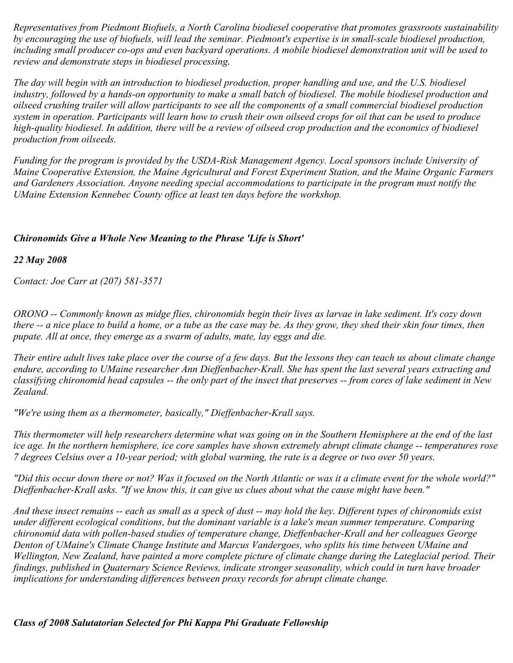*Representatives from Piedmont Biofuels, a North Carolina biodiesel cooperative that promotes grassroots sustainability by encouraging the use of biofuels, will lead the seminar. Piedmont's expertise is in small-scale biodiesel production, including small producer co-ops and even backyard operations. A mobile biodiesel demonstration unit will be used to review and demonstrate steps in biodiesel processing.*

*The day will begin with an introduction to biodiesel production, proper handling and use, and the U.S. biodiesel industry, followed by a hands-on opportunity to make a small batch of biodiesel. The mobile biodiesel production and oilseed crushing trailer will allow participants to see all the components of a small commercial biodiesel production system in operation. Participants will learn how to crush their own oilseed crops for oil that can be used to produce high-quality biodiesel. In addition, there will be a review of oilseed crop production and the economics of biodiesel production from oilseeds.*

*Funding for the program is provided by the USDA-Risk Management Agency. Local sponsors include University of Maine Cooperative Extension, the Maine Agricultural and Forest Experiment Station, and the Maine Organic Farmers and Gardeners Association. Anyone needing special accommodations to participate in the program must notify the UMaine Extension Kennebec County office at least ten days before the workshop.*

### *Chironomids Give a Whole New Meaning to the Phrase 'Life is Short'*

*22 May 2008*

*Contact: Joe Carr at (207) 581-3571*

*ORONO -- Commonly known as midge flies, chironomids begin their lives as larvae in lake sediment. It's cozy down there -- a nice place to build a home, or a tube as the case may be. As they grow, they shed their skin four times, then pupate. All at once, they emerge as a swarm of adults, mate, lay eggs and die.*

*Their entire adult lives take place over the course of a few days. But the lessons they can teach us about climate change endure, according to UMaine researcher Ann Dieffenbacher-Krall. She has spent the last several years extracting and classifying chironomid head capsules -- the only part of the insect that preserves -- from cores of lake sediment in New Zealand.*

*"We're using them as a thermometer, basically," Dieffenbacher-Krall says.*

*This thermometer will help researchers determine what was going on in the Southern Hemisphere at the end of the last ice age. In the northern hemisphere, ice core samples have shown extremely abrupt climate change -- temperatures rose 7 degrees Celsius over a 10-year period; with global warming, the rate is a degree or two over 50 years.*

*"Did this occur down there or not? Was it focused on the North Atlantic or was it a climate event for the whole world?" Dieffenbacher-Krall asks. "If we know this, it can give us clues about what the cause might have been."*

*And these insect remains -- each as small as a speck of dust -- may hold the key. Different types of chironomids exist under different ecological conditions, but the dominant variable is a lake's mean summer temperature. Comparing chironomid data with pollen-based studies of temperature change, Dieffenbacher-Krall and her colleagues George Denton of UMaine's Climate Change Institute and Marcus Vandergoes, who splits his time between UMaine and Wellington, New Zealand, have painted a more complete picture of climate change during the Lateglacial period. Their findings, published in Quaternary Science Reviews, indicate stronger seasonality, which could in turn have broader implications for understanding differences between proxy records for abrupt climate change.*

*Class of 2008 Salutatorian Selected for Phi Kappa Phi Graduate Fellowship*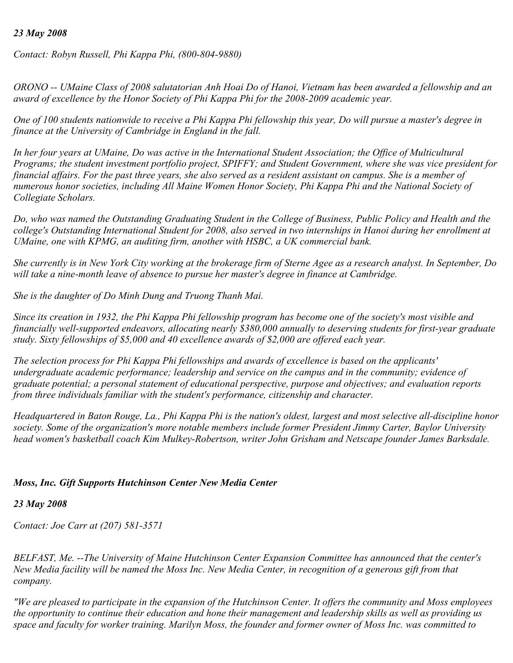#### *23 May 2008*

*Contact: Robyn Russell, Phi Kappa Phi, (800-804-9880)*

*ORONO -- UMaine Class of 2008 salutatorian Anh Hoai Do of Hanoi, Vietnam has been awarded a fellowship and an award of excellence by the Honor Society of Phi Kappa Phi for the 2008-2009 academic year.*

*One of 100 students nationwide to receive a Phi Kappa Phi fellowship this year, Do will pursue a master's degree in finance at the University of Cambridge in England in the fall.*

*In her four years at UMaine, Do was active in the International Student Association; the Office of Multicultural Programs; the student investment portfolio project, SPIFFY; and Student Government, where she was vice president for financial affairs. For the past three years, she also served as a resident assistant on campus. She is a member of numerous honor societies, including All Maine Women Honor Society, Phi Kappa Phi and the National Society of Collegiate Scholars.*

*Do, who was named the Outstanding Graduating Student in the College of Business, Public Policy and Health and the college's Outstanding International Student for 2008, also served in two internships in Hanoi during her enrollment at UMaine, one with KPMG, an auditing firm, another with HSBC, a UK commercial bank.*

*She currently is in New York City working at the brokerage firm of Sterne Agee as a research analyst. In September, Do will take a nine-month leave of absence to pursue her master's degree in finance at Cambridge.*

*She is the daughter of Do Minh Dung and Truong Thanh Mai.*

*Since its creation in 1932, the Phi Kappa Phi fellowship program has become one of the society's most visible and financially well-supported endeavors, allocating nearly \$380,000 annually to deserving students for first-year graduate study. Sixty fellowships of \$5,000 and 40 excellence awards of \$2,000 are offered each year.*

*The selection process for Phi Kappa Phi fellowships and awards of excellence is based on the applicants' undergraduate academic performance; leadership and service on the campus and in the community; evidence of graduate potential; a personal statement of educational perspective, purpose and objectives; and evaluation reports from three individuals familiar with the student's performance, citizenship and character.*

*Headquartered in Baton Rouge, La., Phi Kappa Phi is the nation's oldest, largest and most selective all-discipline honor society. Some of the organization's more notable members include former President Jimmy Carter, Baylor University head women's basketball coach Kim Mulkey-Robertson, writer John Grisham and Netscape founder James Barksdale.*

### *Moss, Inc. Gift Supports Hutchinson Center New Media Center*

### *23 May 2008*

*Contact: Joe Carr at (207) 581-3571*

*BELFAST, Me. --The University of Maine Hutchinson Center Expansion Committee has announced that the center's New Media facility will be named the Moss Inc. New Media Center, in recognition of a generous gift from that company.*

*"We are pleased to participate in the expansion of the Hutchinson Center. It offers the community and Moss employees the opportunity to continue their education and hone their management and leadership skills as well as providing us space and faculty for worker training. Marilyn Moss, the founder and former owner of Moss Inc. was committed to*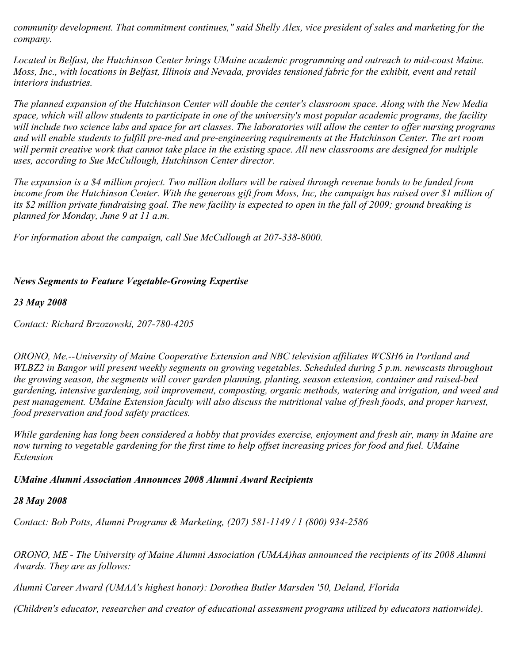*community development. That commitment continues," said Shelly Alex, vice president of sales and marketing for the company.*

*Located in Belfast, the Hutchinson Center brings UMaine academic programming and outreach to mid-coast Maine. Moss, Inc., with locations in Belfast, Illinois and Nevada, provides tensioned fabric for the exhibit, event and retail interiors industries.*

*The planned expansion of the Hutchinson Center will double the center's classroom space. Along with the New Media space, which will allow students to participate in one of the university's most popular academic programs, the facility will include two science labs and space for art classes. The laboratories will allow the center to offer nursing programs and will enable students to fulfill pre-med and pre-engineering requirements at the Hutchinson Center. The art room* will permit creative work that cannot take place in the existing space. All new classrooms are designed for multiple *uses, according to Sue McCullough, Hutchinson Center director.*

*The expansion is a \$4 million project. Two million dollars will be raised through revenue bonds to be funded from income from the Hutchinson Center. With the generous gift from Moss, Inc, the campaign has raised over \$1 million of its \$2 million private fundraising goal. The new facility is expected to open in the fall of 2009; ground breaking is planned for Monday, June 9 at 11 a.m.*

*For information about the campaign, call Sue McCullough at 207-338-8000.*

# *News Segments to Feature Vegetable-Growing Expertise*

## *23 May 2008*

*Contact: Richard Brzozowski, 207-780-4205*

*ORONO, Me.--University of Maine Cooperative Extension and NBC television affiliates WCSH6 in Portland and WLBZ2 in Bangor will present weekly segments on growing vegetables. Scheduled during 5 p.m. newscasts throughout the growing season, the segments will cover garden planning, planting, season extension, container and raised-bed gardening, intensive gardening, soil improvement, composting, organic methods, watering and irrigation, and weed and pest management. UMaine Extension faculty will also discuss the nutritional value of fresh foods, and proper harvest, food preservation and food safety practices.*

*While gardening has long been considered a hobby that provides exercise, enjoyment and fresh air, many in Maine are now turning to vegetable gardening for the first time to help offset increasing prices for food and fuel. UMaine Extension* 

### *UMaine Alumni Association Announces 2008 Alumni Award Recipients*

# *28 May 2008*

*Contact: Bob Potts, Alumni Programs & Marketing, (207) 581-1149 / 1 (800) 934-2586*

*ORONO, ME - The University of Maine Alumni Association (UMAA)has announced the recipients of its 2008 Alumni Awards. They are as follows:*

*Alumni Career Award (UMAA's highest honor): Dorothea Butler Marsden '50, Deland, Florida*

*(Children's educator, researcher and creator of educational assessment programs utilized by educators nationwide).*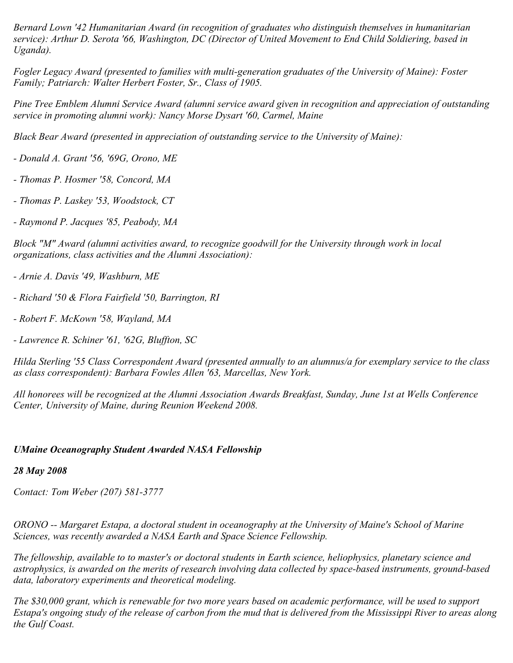*Bernard Lown '42 Humanitarian Award (in recognition of graduates who distinguish themselves in humanitarian service): Arthur D. Serota '66, Washington, DC (Director of United Movement to End Child Soldiering, based in Uganda).*

*Fogler Legacy Award (presented to families with multi-generation graduates of the University of Maine): Foster Family; Patriarch: Walter Herbert Foster, Sr., Class of 1905.*

*Pine Tree Emblem Alumni Service Award (alumni service award given in recognition and appreciation of outstanding service in promoting alumni work): Nancy Morse Dysart '60, Carmel, Maine*

*Black Bear Award (presented in appreciation of outstanding service to the University of Maine):*

*- Donald A. Grant '56, '69G, Orono, ME*

*- Thomas P. Hosmer '58, Concord, MA*

*- Thomas P. Laskey '53, Woodstock, CT*

*- Raymond P. Jacques '85, Peabody, MA*

*Block "M" Award (alumni activities award, to recognize goodwill for the University through work in local organizations, class activities and the Alumni Association):*

*- Arnie A. Davis '49, Washburn, ME*

- *Richard '50 & Flora Fairfield '50, Barrington, RI*
- *Robert F. McKown '58, Wayland, MA*
- *Lawrence R. Schiner '61, '62G, Bluffton, SC*

*Hilda Sterling '55 Class Correspondent Award (presented annually to an alumnus/a for exemplary service to the class as class correspondent): Barbara Fowles Allen '63, Marcellas, New York.*

*All honorees will be recognized at the Alumni Association Awards Breakfast, Sunday, June 1st at Wells Conference Center, University of Maine, during Reunion Weekend 2008.*

### *UMaine Oceanography Student Awarded NASA Fellowship*

### *28 May 2008*

*Contact: Tom Weber (207) 581-3777*

*ORONO -- Margaret Estapa, a doctoral student in oceanography at the University of Maine's School of Marine Sciences, was recently awarded a NASA Earth and Space Science Fellowship.*

*The fellowship, available to to master's or doctoral students in Earth science, heliophysics, planetary science and astrophysics, is awarded on the merits of research involving data collected by space-based instruments, ground-based data, laboratory experiments and theoretical modeling.*

*The \$30,000 grant, which is renewable for two more years based on academic performance, will be used to support Estapa's ongoing study of the release of carbon from the mud that is delivered from the Mississippi River to areas along the Gulf Coast.*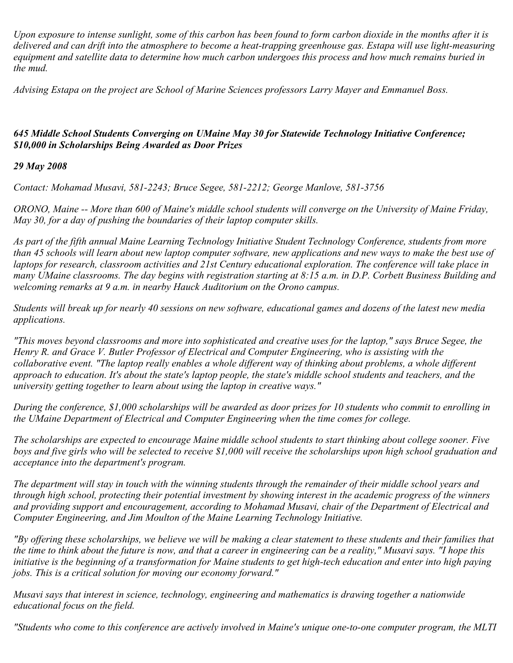*Upon exposure to intense sunlight, some of this carbon has been found to form carbon dioxide in the months after it is delivered and can drift into the atmosphere to become a heat-trapping greenhouse gas. Estapa will use light-measuring equipment and satellite data to determine how much carbon undergoes this process and how much remains buried in the mud.*

*Advising Estapa on the project are School of Marine Sciences professors Larry Mayer and Emmanuel Boss.*

## *645 Middle School Students Converging on UMaine May 30 for Statewide Technology Initiative Conference; \$10,000 in Scholarships Being Awarded as Door Prizes*

### *29 May 2008*

*Contact: Mohamad Musavi, 581-2243; Bruce Segee, 581-2212; George Manlove, 581-3756*

*ORONO, Maine -- More than 600 of Maine's middle school students will converge on the University of Maine Friday, May 30, for a day of pushing the boundaries of their laptop computer skills.*

*As part of the fifth annual Maine Learning Technology Initiative Student Technology Conference, students from more than 45 schools will learn about new laptop computer software, new applications and new ways to make the best use of laptops for research, classroom activities and 21st Century educational exploration. The conference will take place in many UMaine classrooms. The day begins with registration starting at 8:15 a.m. in D.P. Corbett Business Building and welcoming remarks at 9 a.m. in nearby Hauck Auditorium on the Orono campus.*

*Students will break up for nearly 40 sessions on new software, educational games and dozens of the latest new media applications.*

*"This moves beyond classrooms and more into sophisticated and creative uses for the laptop," says Bruce Segee, the Henry R. and Grace V. Butler Professor of Electrical and Computer Engineering, who is assisting with the collaborative event. "The laptop really enables a whole different way of thinking about problems, a whole different approach to education. It's about the state's laptop people, the state's middle school students and teachers, and the university getting together to learn about using the laptop in creative ways."*

*During the conference, \$1,000 scholarships will be awarded as door prizes for 10 students who commit to enrolling in the UMaine Department of Electrical and Computer Engineering when the time comes for college.*

*The scholarships are expected to encourage Maine middle school students to start thinking about college sooner. Five boys and five girls who will be selected to receive \$1,000 will receive the scholarships upon high school graduation and acceptance into the department's program.*

*The department will stay in touch with the winning students through the remainder of their middle school years and through high school, protecting their potential investment by showing interest in the academic progress of the winners and providing support and encouragement, according to Mohamad Musavi, chair of the Department of Electrical and Computer Engineering, and Jim Moulton of the Maine Learning Technology Initiative.*

*"By offering these scholarships, we believe we will be making a clear statement to these students and their families that the time to think about the future is now, and that a career in engineering can be a reality," Musavi says. "I hope this initiative is the beginning of a transformation for Maine students to get high-tech education and enter into high paying jobs. This is a critical solution for moving our economy forward."*

*Musavi says that interest in science, technology, engineering and mathematics is drawing together a nationwide educational focus on the field.*

*"Students who come to this conference are actively involved in Maine's unique one-to-one computer program, the MLTI*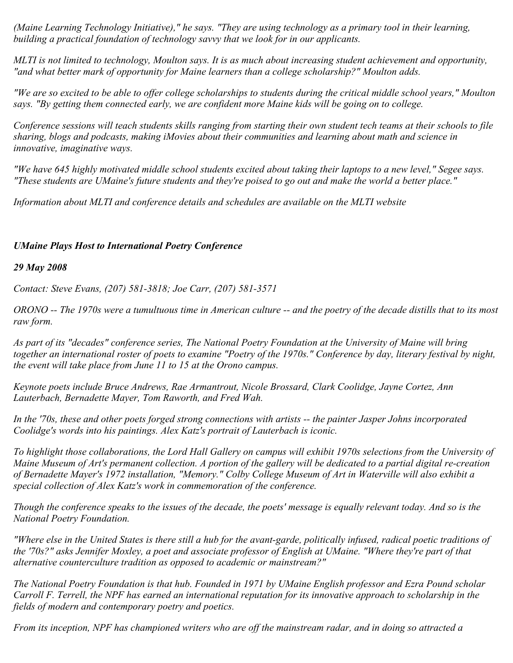*(Maine Learning Technology Initiative)," he says. "They are using technology as a primary tool in their learning, building a practical foundation of technology savvy that we look for in our applicants.*

*MLTI is not limited to technology, Moulton says. It is as much about increasing student achievement and opportunity, "and what better mark of opportunity for Maine learners than a college scholarship?" Moulton adds.*

*"We are so excited to be able to offer college scholarships to students during the critical middle school years," Moulton says. "By getting them connected early, we are confident more Maine kids will be going on to college.*

*Conference sessions will teach students skills ranging from starting their own student tech teams at their schools to file sharing, blogs and podcasts, making iMovies about their communities and learning about math and science in innovative, imaginative ways.*

*"We have 645 highly motivated middle school students excited about taking their laptops to a new level," Segee says. "These students are UMaine's future students and they're poised to go out and make the world a better place."*

*Information about MLTI and conference details and schedules are available on the MLTI website*

## *UMaine Plays Host to International Poetry Conference*

### *29 May 2008*

*Contact: Steve Evans, (207) 581-3818; Joe Carr, (207) 581-3571*

*ORONO -- The 1970s were a tumultuous time in American culture -- and the poetry of the decade distills that to its most raw form.*

*As part of its "decades" conference series, The National Poetry Foundation at the University of Maine will bring together an international roster of poets to examine "Poetry of the 1970s." Conference by day, literary festival by night, the event will take place from June 11 to 15 at the Orono campus.*

*Keynote poets include Bruce Andrews, Rae Armantrout, Nicole Brossard, Clark Coolidge, Jayne Cortez, Ann Lauterbach, Bernadette Mayer, Tom Raworth, and Fred Wah.*

*In the '70s, these and other poets forged strong connections with artists -- the painter Jasper Johns incorporated Coolidge's words into his paintings. Alex Katz's portrait of Lauterbach is iconic.*

*To highlight those collaborations, the Lord Hall Gallery on campus will exhibit 1970s selections from the University of Maine Museum of Art's permanent collection. A portion of the gallery will be dedicated to a partial digital re-creation of Bernadette Mayer's 1972 installation, "Memory." Colby College Museum of Art in Waterville will also exhibit a special collection of Alex Katz's work in commemoration of the conference.*

*Though the conference speaks to the issues of the decade, the poets' message is equally relevant today. And so is the National Poetry Foundation.*

*"Where else in the United States is there still a hub for the avant-garde, politically infused, radical poetic traditions of the '70s?" asks Jennifer Moxley, a poet and associate professor of English at UMaine. "Where they're part of that alternative counterculture tradition as opposed to academic or mainstream?"*

*The National Poetry Foundation is that hub. Founded in 1971 by UMaine English professor and Ezra Pound scholar Carroll F. Terrell, the NPF has earned an international reputation for its innovative approach to scholarship in the fields of modern and contemporary poetry and poetics.*

*From its inception, NPF has championed writers who are off the mainstream radar, and in doing so attracted a*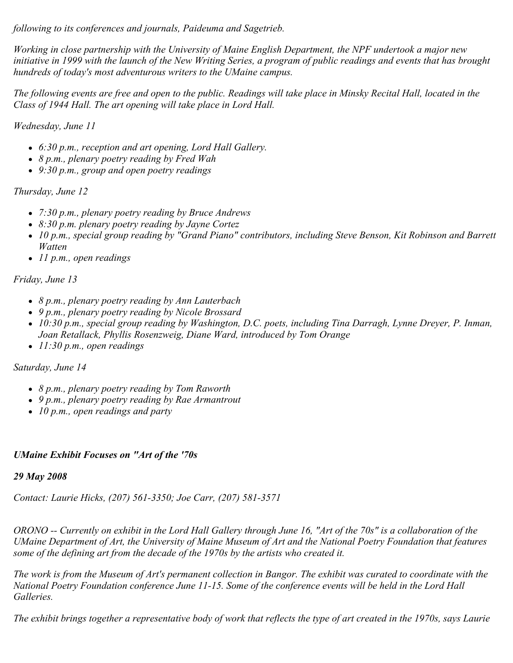*following to its conferences and journals, Paideuma and Sagetrieb.*

*Working in close partnership with the University of Maine English Department, the NPF undertook a major new initiative in 1999 with the launch of the New Writing Series, a program of public readings and events that has brought hundreds of today's most adventurous writers to the UMaine campus.*

*The following events are free and open to the public. Readings will take place in Minsky Recital Hall, located in the Class of 1944 Hall. The art opening will take place in Lord Hall.*

*Wednesday, June 11*

- *6:30 p.m., reception and art opening, Lord Hall Gallery.*
- *8 p.m., plenary poetry reading by Fred Wah*
- *9:30 p.m., group and open poetry readings*

*Thursday, June 12*

- *7:30 p.m., plenary poetry reading by Bruce Andrews*
- *8:30 p.m. plenary poetry reading by Jayne Cortez*
- *10 p.m., special group reading by "Grand Piano" contributors, including Steve Benson, Kit Robinson and Barrett Watten*
- *11 p.m., open readings*

# *Friday, June 13*

- *8 p.m., plenary poetry reading by Ann Lauterbach*
- *9 p.m., plenary poetry reading by Nicole Brossard*
- *10:30 p.m., special group reading by Washington, D.C. poets, including Tina Darragh, Lynne Dreyer, P. Inman, Joan Retallack, Phyllis Rosenzweig, Diane Ward, introduced by Tom Orange*
- *11:30 p.m., open readings*

*Saturday, June 14*

- *8 p.m., plenary poetry reading by Tom Raworth*
- *9 p.m., plenary poetry reading by Rae Armantrout*
- *10 p.m., open readings and party*

# *UMaine Exhibit Focuses on "Art of the '70s*

### *29 May 2008*

*Contact: Laurie Hicks, (207) 561-3350; Joe Carr, (207) 581-3571*

*ORONO -- Currently on exhibit in the Lord Hall Gallery through June 16, "Art of the 70s" is a collaboration of the UMaine Department of Art, the University of Maine Museum of Art and the National Poetry Foundation that features some of the defining art from the decade of the 1970s by the artists who created it.*

*The work is from the Museum of Art's permanent collection in Bangor. The exhibit was curated to coordinate with the National Poetry Foundation conference June 11-15. Some of the conference events will be held in the Lord Hall Galleries.*

*The exhibit brings together a representative body of work that reflects the type of art created in the 1970s, says Laurie*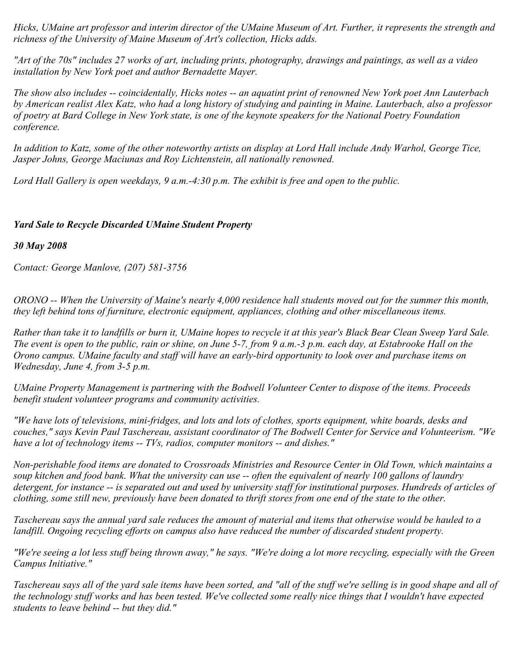*Hicks, UMaine art professor and interim director of the UMaine Museum of Art. Further, it represents the strength and richness of the University of Maine Museum of Art's collection, Hicks adds.*

*"Art of the 70s" includes 27 works of art, including prints, photography, drawings and paintings, as well as a video installation by New York poet and author Bernadette Mayer.*

*The show also includes -- coincidentally, Hicks notes -- an aquatint print of renowned New York poet Ann Lauterbach by American realist Alex Katz, who had a long history of studying and painting in Maine. Lauterbach, also a professor of poetry at Bard College in New York state, is one of the keynote speakers for the National Poetry Foundation conference.*

*In addition to Katz, some of the other noteworthy artists on display at Lord Hall include Andy Warhol, George Tice, Jasper Johns, George Maciunas and Roy Lichtenstein, all nationally renowned.*

*Lord Hall Gallery is open weekdays, 9 a.m.-4:30 p.m. The exhibit is free and open to the public.*

### *Yard Sale to Recycle Discarded UMaine Student Property*

*30 May 2008*

*Contact: George Manlove, (207) 581-3756*

*ORONO -- When the University of Maine's nearly 4,000 residence hall students moved out for the summer this month, they left behind tons of furniture, electronic equipment, appliances, clothing and other miscellaneous items.*

*Rather than take it to landfills or burn it, UMaine hopes to recycle it at this year's Black Bear Clean Sweep Yard Sale. The event is open to the public, rain or shine, on June 5-7, from 9 a.m.-3 p.m. each day, at Estabrooke Hall on the Orono campus. UMaine faculty and staff will have an early-bird opportunity to look over and purchase items on Wednesday, June 4, from 3-5 p.m.*

*UMaine Property Management is partnering with the Bodwell Volunteer Center to dispose of the items. Proceeds benefit student volunteer programs and community activities.*

*"We have lots of televisions, mini-fridges, and lots and lots of clothes, sports equipment, white boards, desks and couches," says Kevin Paul Taschereau, assistant coordinator of The Bodwell Center for Service and Volunteerism. "We have a lot of technology items -- TVs, radios, computer monitors -- and dishes."*

*Non-perishable food items are donated to Crossroads Ministries and Resource Center in Old Town, which maintains a soup kitchen and food bank. What the university can use -- often the equivalent of nearly 100 gallons of laundry detergent, for instance -- is separated out and used by university staff for institutional purposes. Hundreds of articles of clothing, some still new, previously have been donated to thrift stores from one end of the state to the other.*

*Taschereau says the annual yard sale reduces the amount of material and items that otherwise would be hauled to a landfill. Ongoing recycling efforts on campus also have reduced the number of discarded student property.*

*"We're seeing a lot less stuff being thrown away," he says. "We're doing a lot more recycling, especially with the Green Campus Initiative."*

*Taschereau says all of the yard sale items have been sorted, and "all of the stuff we're selling is in good shape and all of the technology stuff works and has been tested. We've collected some really nice things that I wouldn't have expected students to leave behind -- but they did."*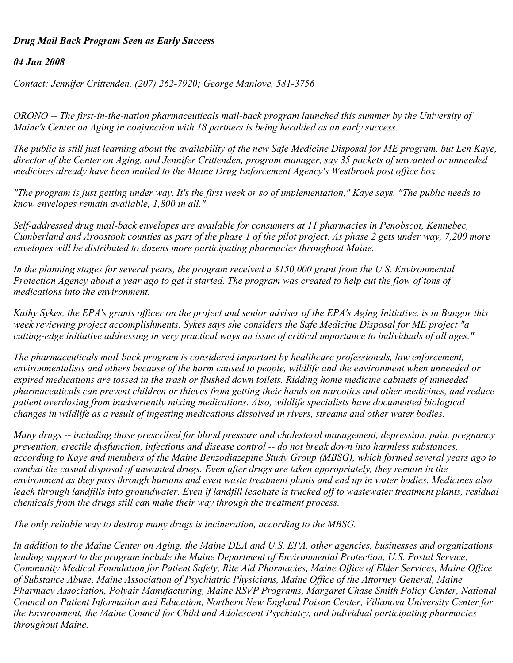### *Drug Mail Back Program Seen as Early Success*

#### *04 Jun 2008*

*Contact: Jennifer Crittenden, (207) 262-7920; George Manlove, 581-3756*

*ORONO -- The first-in-the-nation pharmaceuticals mail-back program launched this summer by the University of Maine's Center on Aging in conjunction with 18 partners is being heralded as an early success.*

*The public is still just learning about the availability of the new Safe Medicine Disposal for ME program, but Len Kaye, director of the Center on Aging, and Jennifer Crittenden, program manager, say 35 packets of unwanted or unneeded medicines already have been mailed to the Maine Drug Enforcement Agency's Westbrook post office box.*

*"The program is just getting under way. It's the first week or so of implementation," Kaye says. "The public needs to know envelopes remain available, 1,800 in all."*

*Self-addressed drug mail-back envelopes are available for consumers at 11 pharmacies in Penobscot, Kennebec, Cumberland and Aroostook counties as part of the phase 1 of the pilot project. As phase 2 gets under way, 7,200 more envelopes will be distributed to dozens more participating pharmacies throughout Maine.*

*In the planning stages for several years, the program received a \$150,000 grant from the U.S. Environmental Protection Agency about a year ago to get it started. The program was created to help cut the flow of tons of medications into the environment.*

*Kathy Sykes, the EPA's grants officer on the project and senior adviser of the EPA's Aging Initiative, is in Bangor this week reviewing project accomplishments. Sykes says she considers the Safe Medicine Disposal for ME project "a cutting-edge initiative addressing in very practical ways an issue of critical importance to individuals of all ages."*

*The pharmaceuticals mail-back program is considered important by healthcare professionals, law enforcement, environmentalists and others because of the harm caused to people, wildlife and the environment when unneeded or expired medications are tossed in the trash or flushed down toilets. Ridding home medicine cabinets of unneeded pharmaceuticals can prevent children or thieves from getting their hands on narcotics and other medicines, and reduce patient overdosing from inadvertently mixing medications. Also, wildlife specialists have documented biological changes in wildlife as a result of ingesting medications dissolved in rivers, streams and other water bodies.*

*Many drugs -- including those prescribed for blood pressure and cholesterol management, depression, pain, pregnancy prevention, erectile dysfunction, infections and disease control -- do not break down into harmless substances, according to Kaye and members of the Maine Benzodiazepine Study Group (MBSG), which formed several years ago to combat the casual disposal of unwanted drugs. Even after drugs are taken appropriately, they remain in the environment as they pass through humans and even waste treatment plants and end up in water bodies. Medicines also leach through landfills into groundwater. Even if landfill leachate is trucked off to wastewater treatment plants, residual chemicals from the drugs still can make their way through the treatment process.*

*The only reliable way to destroy many drugs is incineration, according to the MBSG.*

*In addition to the Maine Center on Aging, the Maine DEA and U.S. EPA, other agencies, businesses and organizations lending support to the program include the Maine Department of Environmental Protection, U.S. Postal Service, Community Medical Foundation for Patient Safety, Rite Aid Pharmacies, Maine Office of Elder Services, Maine Office of Substance Abuse, Maine Association of Psychiatric Physicians, Maine Office of the Attorney General, Maine Pharmacy Association, Polyair Manufacturing, Maine RSVP Programs, Margaret Chase Smith Policy Center, National Council on Patient Information and Education, Northern New England Poison Center, Villanova University Center for the Environment, the Maine Council for Child and Adolescent Psychiatry, and individual participating pharmacies throughout Maine.*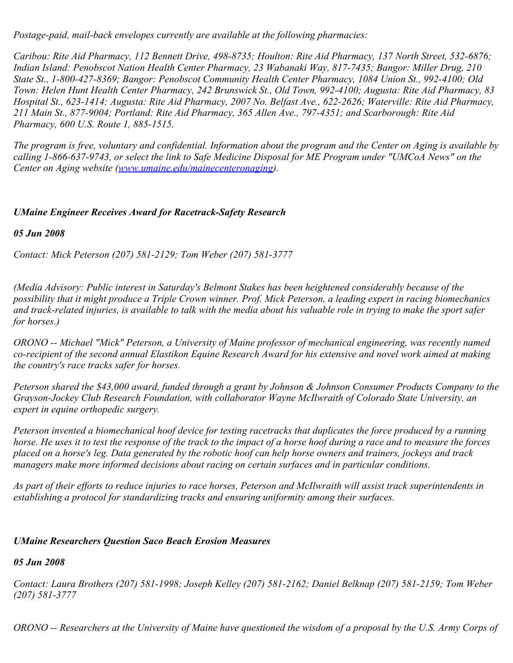*Postage-paid, mail-back envelopes currently are available at the following pharmacies:*

*Caribou: Rite Aid Pharmacy, 112 Bennett Drive, 498-8735; Houlton: Rite Aid Pharmacy, 137 North Street, 532-6876; Indian Island: Penobscot Nation Health Center Pharmacy, 23 Wabanaki Way, 817-7435; Bangor: Miller Drug, 210 State St., 1-800-427-8369; Bangor: Penobscot Community Health Center Pharmacy, 1084 Union St., 992-4100; Old Town: Helen Hunt Health Center Pharmacy, 242 Brunswick St., Old Town, 992-4100; Augusta: Rite Aid Pharmacy, 83 Hospital St., 623-1414; Augusta: Rite Aid Pharmacy, 2007 No. Belfast Ave., 622-2626; Waterville: Rite Aid Pharmacy, 211 Main St., 877-9004; Portland: Rite Aid Pharmacy, 365 Allen Ave., 797-4351; and Scarborough: Rite Aid Pharmacy, 600 U.S. Route 1, 885-1515.*

*The program is free, voluntary and confidential. Information about the program and the Center on Aging is available by calling 1-866-637-9743, or select the link to Safe Medicine Disposal for ME Program under "UMCoA News" on the Center on Aging website [\(www.umaine.edu/mainecenteronaging\)](http://www.umaine.edu/mainecenteronaging).*

# *UMaine Engineer Receives Award for Racetrack-Safety Research*

*05 Jun 2008*

*Contact: Mick Peterson (207) 581-2129; Tom Weber (207) 581-3777*

*(Media Advisory: Public interest in Saturday's Belmont Stakes has been heightened considerably because of the possibility that it might produce a Triple Crown winner. Prof. Mick Peterson, a leading expert in racing biomechanics and track-related injuries, is available to talk with the media about his valuable role in trying to make the sport safer for horses.)*

*ORONO -- Michael "Mick" Peterson, a University of Maine professor of mechanical engineering, was recently named co-recipient of the second annual Elastikon Equine Research Award for his extensive and novel work aimed at making the country's race tracks safer for horses.*

*Peterson shared the \$43,000 award, funded through a grant by Johnson & Johnson Consumer Products Company to the Grayson-Jockey Club Research Foundation, with collaborator Wayne McIlwraith of Colorado State University, an expert in equine orthopedic surgery.*

*Peterson invented a biomechanical hoof device for testing racetracks that duplicates the force produced by a running horse. He uses it to test the response of the track to the impact of a horse hoof during a race and to measure the forces placed on a horse's leg. Data generated by the robotic hoof can help horse owners and trainers, jockeys and track managers make more informed decisions about racing on certain surfaces and in particular conditions.*

*As part of their efforts to reduce injuries to race horses, Peterson and McIlwraith will assist track superintendents in establishing a protocol for standardizing tracks and ensuring uniformity among their surfaces.*

# *UMaine Researchers Question Saco Beach Erosion Measures*

*05 Jun 2008*

*Contact: Laura Brothers (207) 581-1998; Joseph Kelley (207) 581-2162; Daniel Belknap (207) 581-2159; Tom Weber (207) 581-3777*

*ORONO -- Researchers at the University of Maine have questioned the wisdom of a proposal by the U.S. Army Corps of*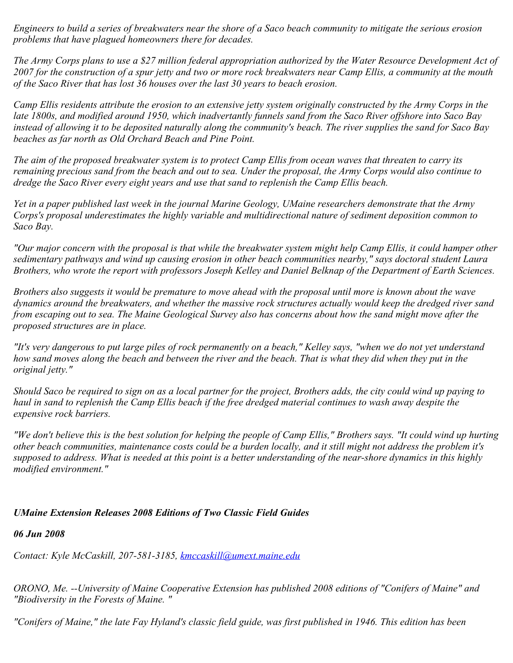*Engineers to build a series of breakwaters near the shore of a Saco beach community to mitigate the serious erosion problems that have plagued homeowners there for decades.*

*The Army Corps plans to use a \$27 million federal appropriation authorized by the Water Resource Development Act of 2007 for the construction of a spur jetty and two or more rock breakwaters near Camp Ellis, a community at the mouth of the Saco River that has lost 36 houses over the last 30 years to beach erosion.*

*Camp Ellis residents attribute the erosion to an extensive jetty system originally constructed by the Army Corps in the late 1800s, and modified around 1950, which inadvertantly funnels sand from the Saco River offshore into Saco Bay instead of allowing it to be deposited naturally along the community's beach. The river supplies the sand for Saco Bay beaches as far north as Old Orchard Beach and Pine Point.*

*The aim of the proposed breakwater system is to protect Camp Ellis from ocean waves that threaten to carry its remaining precious sand from the beach and out to sea. Under the proposal, the Army Corps would also continue to dredge the Saco River every eight years and use that sand to replenish the Camp Ellis beach.*

*Yet in a paper published last week in the journal Marine Geology, UMaine researchers demonstrate that the Army Corps's proposal underestimates the highly variable and multidirectional nature of sediment deposition common to Saco Bay.*

*"Our major concern with the proposal is that while the breakwater system might help Camp Ellis, it could hamper other sedimentary pathways and wind up causing erosion in other beach communities nearby," says doctoral student Laura Brothers, who wrote the report with professors Joseph Kelley and Daniel Belknap of the Department of Earth Sciences.*

*Brothers also suggests it would be premature to move ahead with the proposal until more is known about the wave dynamics around the breakwaters, and whether the massive rock structures actually would keep the dredged river sand from escaping out to sea. The Maine Geological Survey also has concerns about how the sand might move after the proposed structures are in place.*

*"It's very dangerous to put large piles of rock permanently on a beach," Kelley says, "when we do not yet understand how sand moves along the beach and between the river and the beach. That is what they did when they put in the original jetty."*

*Should Saco be required to sign on as a local partner for the project, Brothers adds, the city could wind up paying to haul in sand to replenish the Camp Ellis beach if the free dredged material continues to wash away despite the expensive rock barriers.*

*"We don't believe this is the best solution for helping the people of Camp Ellis," Brothers says. "It could wind up hurting other beach communities, maintenance costs could be a burden locally, and it still might not address the problem it's supposed to address. What is needed at this point is a better understanding of the near-shore dynamics in this highly modified environment."*

# *UMaine Extension Releases 2008 Editions of Two Classic Field Guides*

#### *06 Jun 2008*

*Contact: Kyle McCaskill, 207-581-3185, [kmccaskill@umext.maine.edu](mailto:kmccaskill@umext.maine.edu)*

*ORONO, Me. --University of Maine Cooperative Extension has published 2008 editions of "Conifers of Maine" and "Biodiversity in the Forests of Maine. "*

*"Conifers of Maine," the late Fay Hyland's classic field guide, was first published in 1946. This edition has been*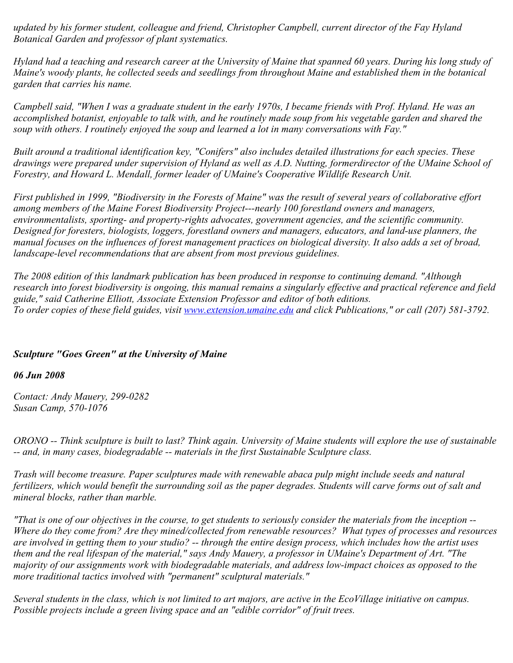*updated by his former student, colleague and friend, Christopher Campbell, current director of the Fay Hyland Botanical Garden and professor of plant systematics.*

*Hyland had a teaching and research career at the University of Maine that spanned 60 years. During his long study of Maine's woody plants, he collected seeds and seedlings from throughout Maine and established them in the botanical garden that carries his name.*

*Campbell said, "When I was a graduate student in the early 1970s, I became friends with Prof. Hyland. He was an accomplished botanist, enjoyable to talk with, and he routinely made soup from his vegetable garden and shared the soup with others. I routinely enjoyed the soup and learned a lot in many conversations with Fay."*

*Built around a traditional identification key, "Conifers" also includes detailed illustrations for each species. These drawings were prepared under supervision of Hyland as well as A.D. Nutting, formerdirector of the UMaine School of Forestry, and Howard L. Mendall, former leader of UMaine's Cooperative Wildlife Research Unit.*

*First published in 1999, "Biodiversity in the Forests of Maine" was the result of several years of collaborative effort among members of the Maine Forest Biodiversity Project---nearly 100 forestland owners and managers, environmentalists, sporting- and property-rights advocates, government agencies, and the scientific community. Designed for foresters, biologists, loggers, forestland owners and managers, educators, and land-use planners, the manual focuses on the influences of forest management practices on biological diversity. It also adds a set of broad, landscape-level recommendations that are absent from most previous guidelines.*

*The 2008 edition of this landmark publication has been produced in response to continuing demand. "Although research into forest biodiversity is ongoing, this manual remains a singularly effective and practical reference and field guide," said Catherine Elliott, Associate Extension Professor and editor of both editions. To order copies of these field guides, visit [www.extension.umaine.edu](http://www.extension.umaine.edu/) and click Publications," or call (207) 581-3792.* 

### *Sculpture "Goes Green" at the University of Maine*

### *06 Jun 2008*

*Contact: Andy Mauery, 299-0282 Susan Camp, 570-1076*

*ORONO -- Think sculpture is built to last? Think again. University of Maine students will explore the use of sustainable -- and, in many cases, biodegradable -- materials in the first Sustainable Sculpture class.* 

*Trash will become treasure. Paper sculptures made with renewable abaca pulp might include seeds and natural fertilizers, which would benefit the surrounding soil as the paper degrades. Students will carve forms out of salt and mineral blocks, rather than marble.*

*"That is one of our objectives in the course, to get students to seriously consider the materials from the inception -- Where do they come from? Are they mined/collected from renewable resources? What types of processes and resources are involved in getting them to your studio? -- through the entire design process, which includes how the artist uses them and the real lifespan of the material," says Andy Mauery, a professor in UMaine's Department of Art. "The majority of our assignments work with biodegradable materials, and address low-impact choices as opposed to the more traditional tactics involved with "permanent" sculptural materials."*

*Several students in the class, which is not limited to art majors, are active in the EcoVillage initiative on campus. Possible projects include a green living space and an "edible corridor" of fruit trees.*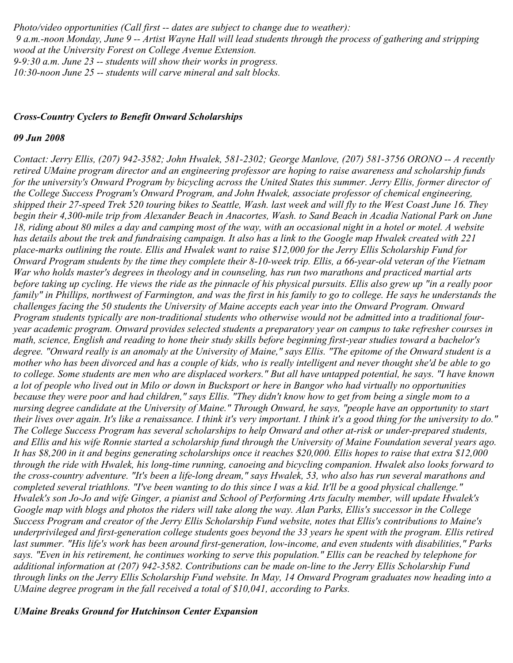*Photo/video opportunities (Call first -- dates are subject to change due to weather): 9 a.m.-noon Monday, June 9 -- Artist Wayne Hall will lead students through the process of gathering and stripping wood at the University Forest on College Avenue Extension. 9-9:30 a.m. June 23 -- students will show their works in progress. 10:30-noon June 25 -- students will carve mineral and salt blocks.* 

#### *Cross-Country Cyclers to Benefit Onward Scholarships*

#### *09 Jun 2008*

*Contact: Jerry Ellis, (207) 942-3582; John Hwalek, 581-2302; George Manlove, (207) 581-3756 ORONO -- A recently retired UMaine program director and an engineering professor are hoping to raise awareness and scholarship funds for the university's Onward Program by bicycling across the United States this summer. Jerry Ellis, former director of the College Success Program's Onward Program, and John Hwalek, associate professor of chemical engineering, shipped their 27-speed Trek 520 touring bikes to Seattle, Wash. last week and will fly to the West Coast June 16. They begin their 4,300-mile trip from Alexander Beach in Anacortes, Wash. to Sand Beach in Acadia National Park on June 18, riding about 80 miles a day and camping most of the way, with an occasional night in a hotel or motel. A website has details about the trek and fundraising campaign. It also has a link to the Google map Hwalek created with 221 place-marks outlining the route. Ellis and Hwalek want to raise \$12,000 for the Jerry Ellis Scholarship Fund for Onward Program students by the time they complete their 8-10-week trip. Ellis, a 66-year-old veteran of the Vietnam War who holds master's degrees in theology and in counseling, has run two marathons and practiced martial arts before taking up cycling. He views the ride as the pinnacle of his physical pursuits. Ellis also grew up "in a really poor family" in Phillips, northwest of Farmington, and was the first in his family to go to college. He says he understands the challenges facing the 50 students the University of Maine accepts each year into the Onward Program. Onward Program students typically are non-traditional students who otherwise would not be admitted into a traditional fouryear academic program. Onward provides selected students a preparatory year on campus to take refresher courses in math, science, English and reading to hone their study skills before beginning first-year studies toward a bachelor's degree. "Onward really is an anomaly at the University of Maine," says Ellis. "The epitome of the Onward student is a mother who has been divorced and has a couple of kids, who is really intelligent and never thought she'd be able to go to college. Some students are men who are displaced workers." But all have untapped potential, he says. "I have known a lot of people who lived out in Milo or down in Bucksport or here in Bangor who had virtually no opportunities because they were poor and had children," says Ellis. "They didn't know how to get from being a single mom to a nursing degree candidate at the University of Maine." Through Onward, he says, "people have an opportunity to start their lives over again. It's like a renaissance. I think it's very important. I think it's a good thing for the university to do." The College Success Program has several scholarships to help Onward and other at-risk or under-prepared students, and Ellis and his wife Ronnie started a scholarship fund through the University of Maine Foundation several years ago. It has \$8,200 in it and begins generating scholarships once it reaches \$20,000. Ellis hopes to raise that extra \$12,000 through the ride with Hwalek, his long-time running, canoeing and bicycling companion. Hwalek also looks forward to the cross-country adventure. "It's been a life-long dream," says Hwalek, 53, who also has run several marathons and completed several triathlons. "I've been wanting to do this since I was a kid. It'll be a good physical challenge." Hwalek's son Jo-Jo and wife Ginger, a pianist and School of Performing Arts faculty member, will update Hwalek's Google map with blogs and photos the riders will take along the way. Alan Parks, Ellis's successor in the College Success Program and creator of the Jerry Ellis Scholarship Fund website, notes that Ellis's contributions to Maine's underprivileged and first-generation college students goes beyond the 33 years he spent with the program. Ellis retired last summer. "His life's work has been around first-generation, low-income, and even students with disabilities," Parks says. "Even in his retirement, he continues working to serve this population." Ellis can be reached by telephone for additional information at (207) 942-3582. Contributions can be made on-line to the Jerry Ellis Scholarship Fund through links on the Jerry Ellis Scholarship Fund website. In May, 14 Onward Program graduates now heading into a UMaine degree program in the fall received a total of \$10,041, according to Parks.* 

#### *UMaine Breaks Ground for Hutchinson Center Expansion*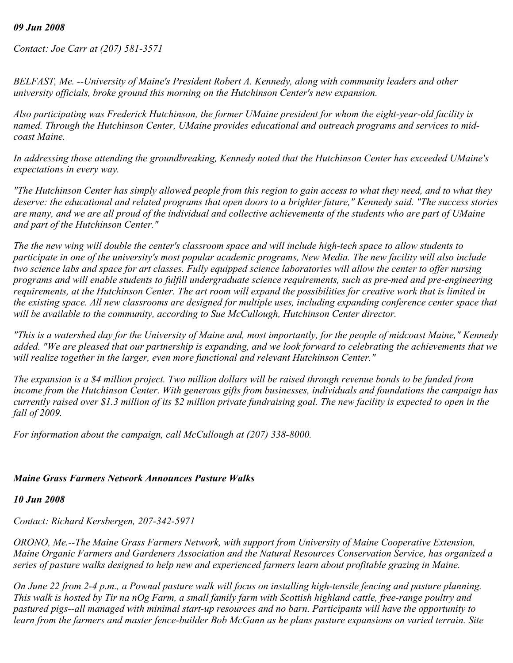#### *09 Jun 2008*

*Contact: Joe Carr at (207) 581-3571*

*BELFAST, Me. --University of Maine's President Robert A. Kennedy, along with community leaders and other university officials, broke ground this morning on the Hutchinson Center's new expansion.*

*Also participating was Frederick Hutchinson, the former UMaine president for whom the eight-year-old facility is named. Through the Hutchinson Center, UMaine provides educational and outreach programs and services to midcoast Maine.*

*In addressing those attending the groundbreaking, Kennedy noted that the Hutchinson Center has exceeded UMaine's expectations in every way.*

*"The Hutchinson Center has simply allowed people from this region to gain access to what they need, and to what they deserve: the educational and related programs that open doors to a brighter future," Kennedy said. "The success stories are many, and we are all proud of the individual and collective achievements of the students who are part of UMaine and part of the Hutchinson Center."*

*The the new wing will double the center's classroom space and will include high-tech space to allow students to participate in one of the university's most popular academic programs, New Media. The new facility will also include two science labs and space for art classes. Fully equipped science laboratories will allow the center to offer nursing programs and will enable students to fulfill undergraduate science requirements, such as pre-med and pre-engineering requirements, at the Hutchinson Center. The art room will expand the possibilities for creative work that is limited in the existing space. All new classrooms are designed for multiple uses, including expanding conference center space that will be available to the community, according to Sue McCullough, Hutchinson Center director.*

*"This is a watershed day for the University of Maine and, most importantly, for the people of midcoast Maine," Kennedy added. "We are pleased that our partnership is expanding, and we look forward to celebrating the achievements that we will realize together in the larger, even more functional and relevant Hutchinson Center."*

*The expansion is a \$4 million project. Two million dollars will be raised through revenue bonds to be funded from income from the Hutchinson Center. With generous gifts from businesses, individuals and foundations the campaign has currently raised over \$1.3 million of its \$2 million private fundraising goal. The new facility is expected to open in the fall of 2009.*

*For information about the campaign, call McCullough at (207) 338-8000.*

### *Maine Grass Farmers Network Announces Pasture Walks*

#### *10 Jun 2008*

*Contact: Richard Kersbergen, 207-342-5971*

*ORONO, Me.--The Maine Grass Farmers Network, with support from University of Maine Cooperative Extension, Maine Organic Farmers and Gardeners Association and the Natural Resources Conservation Service, has organized a series of pasture walks designed to help new and experienced farmers learn about profitable grazing in Maine.*

*On June 22 from 2-4 p.m., a Pownal pasture walk will focus on installing high-tensile fencing and pasture planning. This walk is hosted by Tir na nOg Farm, a small family farm with Scottish highland cattle, free-range poultry and pastured pigs--all managed with minimal start-up resources and no barn. Participants will have the opportunity to learn from the farmers and master fence-builder Bob McGann as he plans pasture expansions on varied terrain. Site*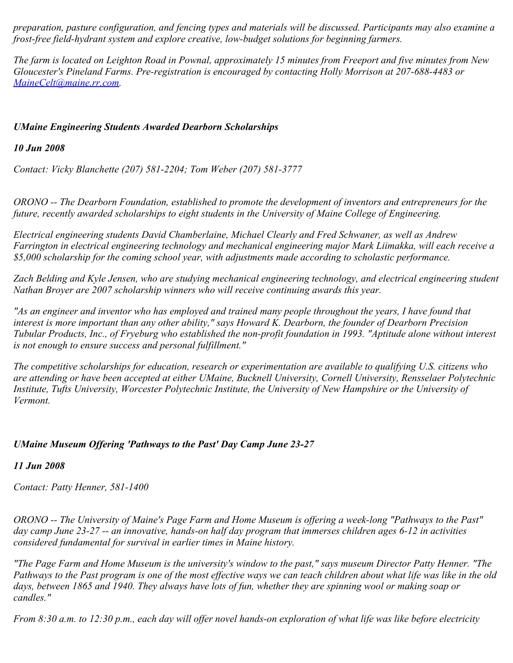*preparation, pasture configuration, and fencing types and materials will be discussed. Participants may also examine a frost-free field-hydrant system and explore creative, low-budget solutions for beginning farmers.*

*The farm is located on Leighton Road in Pownal, approximately 15 minutes from Freeport and five minutes from New Gloucester's Pineland Farms. Pre-registration is encouraged by contacting Holly Morrison at 207-688-4483 or [MaineCelt@maine.rr.com](mailto:MaineCelt@maine.rr.com).*

## *UMaine Engineering Students Awarded Dearborn Scholarships*

*10 Jun 2008*

*Contact: Vicky Blanchette (207) 581-2204; Tom Weber (207) 581-3777*

*ORONO -- The Dearborn Foundation, established to promote the development of inventors and entrepreneurs for the future, recently awarded scholarships to eight students in the University of Maine College of Engineering.*

*Electrical engineering students David Chamberlaine, Michael Clearly and Fred Schwaner, as well as Andrew Farrington in electrical engineering technology and mechanical engineering major Mark Liimakka, will each receive a \$5,000 scholarship for the coming school year, with adjustments made according to scholastic performance.*

*Zach Belding and Kyle Jensen, who are studying mechanical engineering technology, and electrical engineering student Nathan Broyer are 2007 scholarship winners who will receive continuing awards this year.*

*"As an engineer and inventor who has employed and trained many people throughout the years, I have found that interest is more important than any other ability," says Howard K. Dearborn, the founder of Dearborn Precision Tubular Products, Inc., of Fryeburg who established the non-profit foundation in 1993. "Aptitude alone without interest is not enough to ensure success and personal fulfillment."*

*The competitive scholarships for education, research or experimentation are available to qualifying U.S. citizens who are attending or have been accepted at either UMaine, Bucknell University, Cornell University, Rensselaer Polytechnic Institute, Tufts University, Worcester Polytechnic Institute, the University of New Hampshire or the University of Vermont.*

# *UMaine Museum Offering 'Pathways to the Past' Day Camp June 23-27*

### *11 Jun 2008*

*Contact: Patty Henner, 581-1400*

*ORONO -- The University of Maine's Page Farm and Home Museum is offering a week-long "Pathways to the Past" day camp June 23-27 -- an innovative, hands-on half day program that immerses children ages 6-12 in activities considered fundamental for survival in earlier times in Maine history.*

*"The Page Farm and Home Museum is the university's window to the past," says museum Director Patty Henner. "The Pathways to the Past program is one of the most effective ways we can teach children about what life was like in the old days, between 1865 and 1940. They always have lots of fun, whether they are spinning wool or making soap or candles."*

*From 8:30 a.m. to 12:30 p.m., each day will offer novel hands-on exploration of what life was like before electricity*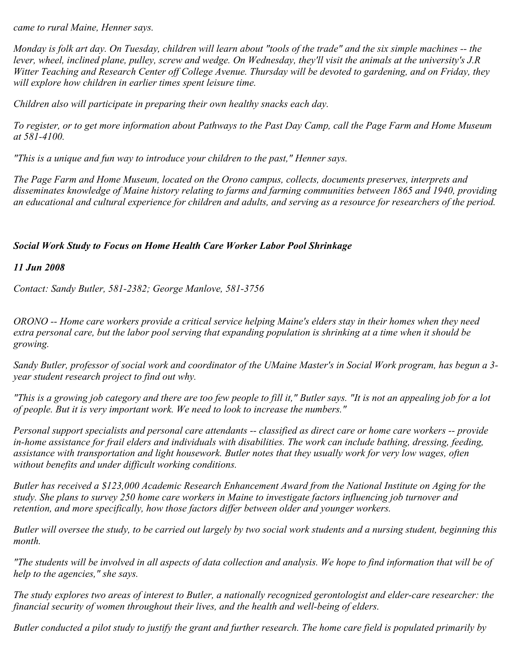*came to rural Maine, Henner says.*

*Monday is folk art day. On Tuesday, children will learn about "tools of the trade" and the six simple machines -- the lever, wheel, inclined plane, pulley, screw and wedge. On Wednesday, they'll visit the animals at the university's J.R Witter Teaching and Research Center off College Avenue. Thursday will be devoted to gardening, and on Friday, they will explore how children in earlier times spent leisure time.*

*Children also will participate in preparing their own healthy snacks each day.*

*To register, or to get more information about Pathways to the Past Day Camp, call the Page Farm and Home Museum at 581-4100.*

*"This is a unique and fun way to introduce your children to the past," Henner says.*

*The Page Farm and Home Museum, located on the Orono campus, collects, documents preserves, interprets and disseminates knowledge of Maine history relating to farms and farming communities between 1865 and 1940, providing an educational and cultural experience for children and adults, and serving as a resource for researchers of the period.*

## *Social Work Study to Focus on Home Health Care Worker Labor Pool Shrinkage*

*11 Jun 2008*

*Contact: Sandy Butler, 581-2382; George Manlove, 581-3756*

*ORONO -- Home care workers provide a critical service helping Maine's elders stay in their homes when they need extra personal care, but the labor pool serving that expanding population is shrinking at a time when it should be growing.*

*Sandy Butler, professor of social work and coordinator of the UMaine Master's in Social Work program, has begun a 3 year student research project to find out why.*

*"This is a growing job category and there are too few people to fill it," Butler says. "It is not an appealing job for a lot of people. But it is very important work. We need to look to increase the numbers."*

*Personal support specialists and personal care attendants -- classified as direct care or home care workers -- provide in-home assistance for frail elders and individuals with disabilities. The work can include bathing, dressing, feeding, assistance with transportation and light housework. Butler notes that they usually work for very low wages, often without benefits and under difficult working conditions.*

*Butler has received a \$123,000 Academic Research Enhancement Award from the National Institute on Aging for the study. She plans to survey 250 home care workers in Maine to investigate factors influencing job turnover and retention, and more specifically, how those factors differ between older and younger workers.*

*Butler will oversee the study, to be carried out largely by two social work students and a nursing student, beginning this month.*

*"The students will be involved in all aspects of data collection and analysis. We hope to find information that will be of help to the agencies," she says.*

*The study explores two areas of interest to Butler, a nationally recognized gerontologist and elder-care researcher: the financial security of women throughout their lives, and the health and well-being of elders.*

*Butler conducted a pilot study to justify the grant and further research. The home care field is populated primarily by*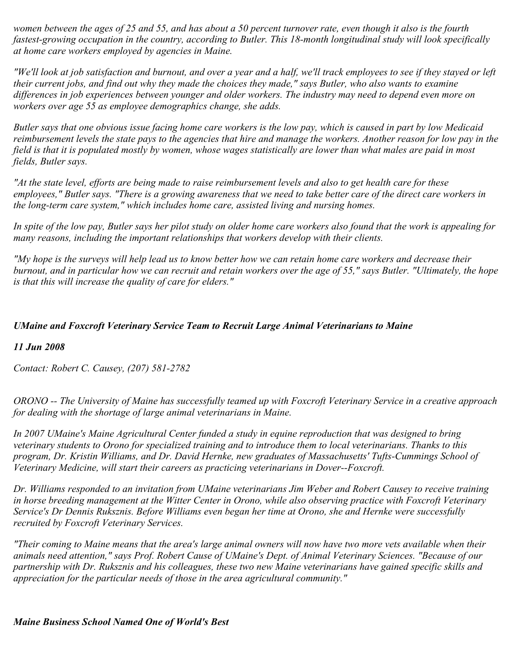*women between the ages of 25 and 55, and has about a 50 percent turnover rate, even though it also is the fourth fastest-growing occupation in the country, according to Butler. This 18-month longitudinal study will look specifically at home care workers employed by agencies in Maine.*

*"We'll look at job satisfaction and burnout, and over a year and a half, we'll track employees to see if they stayed or left their current jobs, and find out why they made the choices they made," says Butler, who also wants to examine differences in job experiences between younger and older workers. The industry may need to depend even more on workers over age 55 as employee demographics change, she adds.*

*Butler says that one obvious issue facing home care workers is the low pay, which is caused in part by low Medicaid reimbursement levels the state pays to the agencies that hire and manage the workers. Another reason for low pay in the field is that it is populated mostly by women, whose wages statistically are lower than what males are paid in most fields, Butler says.*

*"At the state level, efforts are being made to raise reimbursement levels and also to get health care for these employees," Butler says. "There is a growing awareness that we need to take better care of the direct care workers in the long-term care system," which includes home care, assisted living and nursing homes.*

*In spite of the low pay, Butler says her pilot study on older home care workers also found that the work is appealing for many reasons, including the important relationships that workers develop with their clients.*

*"My hope is the surveys will help lead us to know better how we can retain home care workers and decrease their burnout, and in particular how we can recruit and retain workers over the age of 55," says Butler. "Ultimately, the hope is that this will increase the quality of care for elders."*

## *UMaine and Foxcroft Veterinary Service Team to Recruit Large Animal Veterinarians to Maine*

### *11 Jun 2008*

*Contact: Robert C. Causey, (207) 581-2782*

*ORONO -- The University of Maine has successfully teamed up with Foxcroft Veterinary Service in a creative approach for dealing with the shortage of large animal veterinarians in Maine.*

*In 2007 UMaine's Maine Agricultural Center funded a study in equine reproduction that was designed to bring veterinary students to Orono for specialized training and to introduce them to local veterinarians. Thanks to this program, Dr. Kristin Williams, and Dr. David Hernke, new graduates of Massachusetts' Tufts-Cummings School of Veterinary Medicine, will start their careers as practicing veterinarians in Dover--Foxcroft.*

*Dr. Williams responded to an invitation from UMaine veterinarians Jim Weber and Robert Causey to receive training in horse breeding management at the Witter Center in Orono, while also observing practice with Foxcroft Veterinary Service's Dr Dennis Ruksznis. Before Williams even began her time at Orono, she and Hernke were successfully recruited by Foxcroft Veterinary Services.*

*"Their coming to Maine means that the area's large animal owners will now have two more vets available when their animals need attention," says Prof. Robert Cause of UMaine's Dept. of Animal Veterinary Sciences. "Because of our partnership with Dr. Ruksznis and his colleagues, these two new Maine veterinarians have gained specific skills and appreciation for the particular needs of those in the area agricultural community."*

*Maine Business School Named One of World's Best*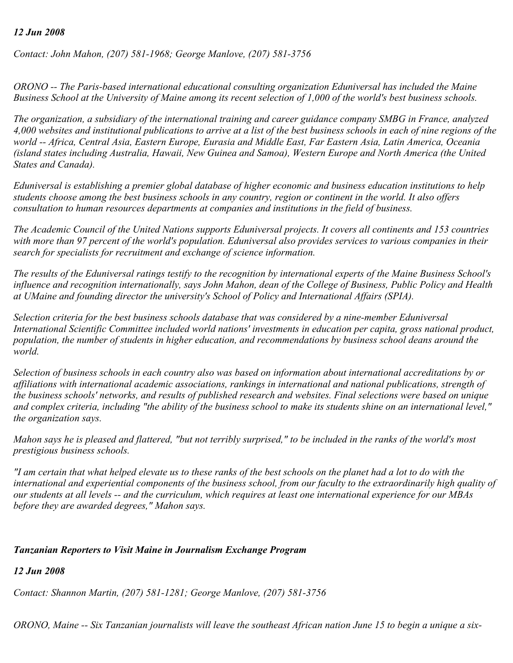#### *12 Jun 2008*

*Contact: John Mahon, (207) 581-1968; George Manlove, (207) 581-3756*

*ORONO -- The Paris-based international educational consulting organization Eduniversal has included the Maine Business School at the University of Maine among its recent selection of 1,000 of the world's best business schools.*

*The organization, a subsidiary of the international training and career guidance company SMBG in France, analyzed 4,000 websites and institutional publications to arrive at a list of the best business schools in each of nine regions of the world -- Africa, Central Asia, Eastern Europe, Eurasia and Middle East, Far Eastern Asia, Latin America, Oceania (island states including Australia, Hawaii, New Guinea and Samoa), Western Europe and North America (the United States and Canada).*

*Eduniversal is establishing a premier global database of higher economic and business education institutions to help students choose among the best business schools in any country, region or continent in the world. It also offers consultation to human resources departments at companies and institutions in the field of business.*

*The Academic Council of the United Nations supports Eduniversal projects. It covers all continents and 153 countries with more than 97 percent of the world's population. Eduniversal also provides services to various companies in their search for specialists for recruitment and exchange of science information.*

*The results of the Eduniversal ratings testify to the recognition by international experts of the Maine Business School's influence and recognition internationally, says John Mahon, dean of the College of Business, Public Policy and Health at UMaine and founding director the university's School of Policy and International Affairs (SPIA).*

*Selection criteria for the best business schools database that was considered by a nine-member Eduniversal International Scientific Committee included world nations' investments in education per capita, gross national product, population, the number of students in higher education, and recommendations by business school deans around the world.*

*Selection of business schools in each country also was based on information about international accreditations by or affiliations with international academic associations, rankings in international and national publications, strength of the business schools' networks, and results of published research and websites. Final selections were based on unique and complex criteria, including "the ability of the business school to make its students shine on an international level," the organization says.*

*Mahon says he is pleased and flattered, "but not terribly surprised," to be included in the ranks of the world's most prestigious business schools.*

*"I am certain that what helped elevate us to these ranks of the best schools on the planet had a lot to do with the international and experiential components of the business school, from our faculty to the extraordinarily high quality of our students at all levels -- and the curriculum, which requires at least one international experience for our MBAs before they are awarded degrees," Mahon says.*

#### *Tanzanian Reporters to Visit Maine in Journalism Exchange Program*

*12 Jun 2008*

*Contact: Shannon Martin, (207) 581-1281; George Manlove, (207) 581-3756*

*ORONO, Maine -- Six Tanzanian journalists will leave the southeast African nation June 15 to begin a unique a six-*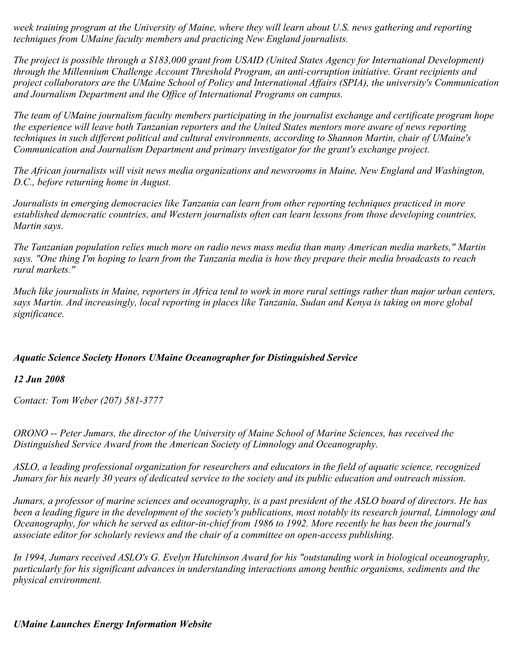*week training program at the University of Maine, where they will learn about U.S. news gathering and reporting techniques from UMaine faculty members and practicing New England journalists.*

*The project is possible through a \$183,000 grant from USAID (United States Agency for International Development) through the Millennium Challenge Account Threshold Program, an anti-corruption initiative. Grant recipients and project collaborators are the UMaine School of Policy and International Affairs (SPIA), the university's Communication and Journalism Department and the Office of International Programs on campus.*

*The team of UMaine journalism faculty members participating in the journalist exchange and certificate program hope the experience will leave both Tanzanian reporters and the United States mentors more aware of news reporting techniques in such different political and cultural environments, according to Shannon Martin, chair of UMaine's Communication and Journalism Department and primary investigator for the grant's exchange project.*

*The African journalists will visit news media organizations and newsrooms in Maine, New England and Washington, D.C., before returning home in August.*

*Journalists in emerging democracies like Tanzania can learn from other reporting techniques practiced in more established democratic countries, and Western journalists often can learn lessons from those developing countries, Martin says.*

*The Tanzanian population relies much more on radio news mass media than many American media markets," Martin says. "One thing I'm hoping to learn from the Tanzania media is how they prepare their media broadcasts to reach rural markets."*

*Much like journalists in Maine, reporters in Africa tend to work in more rural settings rather than major urban centers, says Martin. And increasingly, local reporting in places like Tanzania, Sudan and Kenya is taking on more global significance.*

# *Aquatic Science Society Honors UMaine Oceanographer for Distinguished Service*

### *12 Jun 2008*

*Contact: Tom Weber (207) 581-3777*

*ORONO -- Peter Jumars, the director of the University of Maine School of Marine Sciences, has received the Distinguished Service Award from the American Society of Limnology and Oceanography.*

*ASLO, a leading professional organization for researchers and educators in the field of aquatic science, recognized Jumars for his nearly 30 years of dedicated service to the society and its public education and outreach mission.* 

*Jumars, a professor of marine sciences and oceanography, is a past president of the ASLO board of directors. He has been a leading figure in the development of the society's publications, most notably its research journal, Limnology and Oceanography, for which he served as editor-in-chief from 1986 to 1992. More recently he has been the journal's associate editor for scholarly reviews and the chair of a committee on open-access publishing.* 

*In 1994, Jumars received ASLO's G. Evelyn Hutchinson Award for his "outstanding work in biological oceanography, particularly for his significant advances in understanding interactions among benthic organisms, sediments and the physical environment.*

### *UMaine Launches Energy Information Website*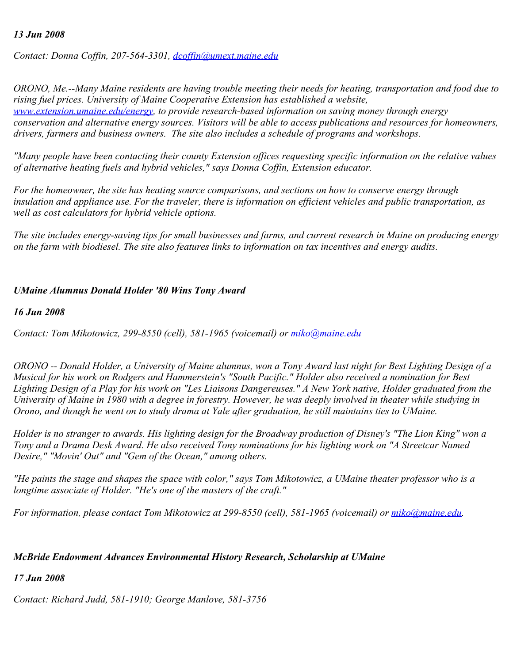#### *13 Jun 2008*

*Contact: Donna Coffin, 207-564-3301, [dcoffin@umext.maine.edu](mailto:dcoffin@umext.maine.edu)*

*ORONO, Me.--Many Maine residents are having trouble meeting their needs for heating, transportation and food due to rising fuel prices. University of Maine Cooperative Extension has established a website, [www.extension.umaine.edu/energy,](http://www.extension.umaine.edu/energy) to provide research-based information on saving money through energy conservation and alternative energy sources. Visitors will be able to access publications and resources for homeowners, drivers, farmers and business owners. The site also includes a schedule of programs and workshops.*

*"Many people have been contacting their county Extension offices requesting specific information on the relative values of alternative heating fuels and hybrid vehicles," says Donna Coffin, Extension educator.*

*For the homeowner, the site has heating source comparisons, and sections on how to conserve energy through insulation and appliance use. For the traveler, there is information on efficient vehicles and public transportation, as well as cost calculators for hybrid vehicle options.*

*The site includes energy-saving tips for small businesses and farms, and current research in Maine on producing energy on the farm with biodiesel. The site also features links to information on tax incentives and energy audits.*

#### *UMaine Alumnus Donald Holder '80 Wins Tony Award*

#### *16 Jun 2008*

*Contact: Tom Mikotowicz, 299-8550 (cell), 581-1965 (voicemail) or [miko@maine.edu](mailto:miko@maine.edu)*

*ORONO -- Donald Holder, a University of Maine alumnus, won a Tony Award last night for Best Lighting Design of a Musical for his work on Rodgers and Hammerstein's "South Pacific." Holder also received a nomination for Best Lighting Design of a Play for his work on "Les Liaisons Dangereuses." A New York native, Holder graduated from the University of Maine in 1980 with a degree in forestry. However, he was deeply involved in theater while studying in Orono, and though he went on to study drama at Yale after graduation, he still maintains ties to UMaine.*

*Holder is no stranger to awards. His lighting design for the Broadway production of Disney's "The Lion King" won a Tony and a Drama Desk Award. He also received Tony nominations for his lighting work on "A Streetcar Named Desire," "Movin' Out" and "Gem of the Ocean," among others.*

*"He paints the stage and shapes the space with color," says Tom Mikotowicz, a UMaine theater professor who is a longtime associate of Holder. "He's one of the masters of the craft."*

*For information, please contact Tom Mikotowicz at 299-8550 (cell), 581-1965 (voicemail) or [miko@maine.edu](mailto:miko@maine.edu).*

#### *McBride Endowment Advances Environmental History Research, Scholarship at UMaine*

### *17 Jun 2008*

*Contact: Richard Judd, 581-1910; George Manlove, 581-3756*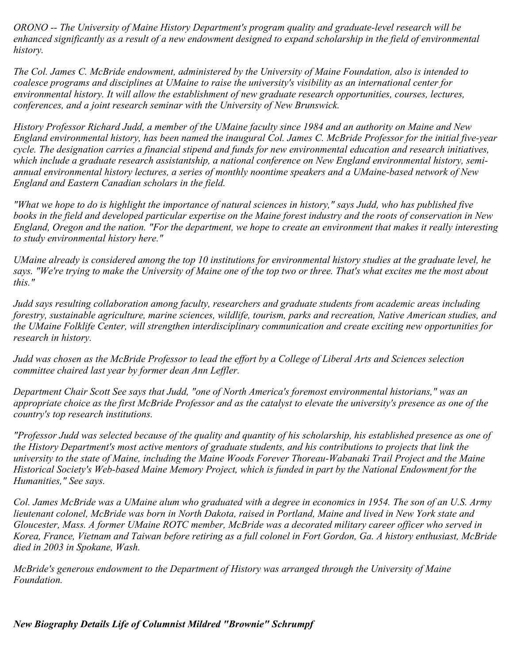*ORONO -- The University of Maine History Department's program quality and graduate-level research will be enhanced significantly as a result of a new endowment designed to expand scholarship in the field of environmental history.*

*The Col. James C. McBride endowment, administered by the University of Maine Foundation, also is intended to coalesce programs and disciplines at UMaine to raise the university's visibility as an international center for environmental history. It will allow the establishment of new graduate research opportunities, courses, lectures, conferences, and a joint research seminar with the University of New Brunswick.*

*History Professor Richard Judd, a member of the UMaine faculty since 1984 and an authority on Maine and New England environmental history, has been named the inaugural Col. James C. McBride Professor for the initial five-year cycle. The designation carries a financial stipend and funds for new environmental education and research initiatives, which include a graduate research assistantship, a national conference on New England environmental history, semiannual environmental history lectures, a series of monthly noontime speakers and a UMaine-based network of New England and Eastern Canadian scholars in the field.*

*"What we hope to do is highlight the importance of natural sciences in history," says Judd, who has published five books in the field and developed particular expertise on the Maine forest industry and the roots of conservation in New England, Oregon and the nation. "For the department, we hope to create an environment that makes it really interesting to study environmental history here."*

*UMaine already is considered among the top 10 institutions for environmental history studies at the graduate level, he says. "We're trying to make the University of Maine one of the top two or three. That's what excites me the most about this."*

*Judd says resulting collaboration among faculty, researchers and graduate students from academic areas including forestry, sustainable agriculture, marine sciences, wildlife, tourism, parks and recreation, Native American studies, and the UMaine Folklife Center, will strengthen interdisciplinary communication and create exciting new opportunities for research in history.*

*Judd was chosen as the McBride Professor to lead the effort by a College of Liberal Arts and Sciences selection committee chaired last year by former dean Ann Leffler.*

*Department Chair Scott See says that Judd, "one of North America's foremost environmental historians," was an appropriate choice as the first McBride Professor and as the catalyst to elevate the university's presence as one of the country's top research institutions.*

*"Professor Judd was selected because of the quality and quantity of his scholarship, his established presence as one of the History Department's most active mentors of graduate students, and his contributions to projects that link the university to the state of Maine, including the Maine Woods Forever Thoreau-Wabanaki Trail Project and the Maine Historical Society's Web-based Maine Memory Project, which is funded in part by the National Endowment for the Humanities," See says.*

*Col. James McBride was a UMaine alum who graduated with a degree in economics in 1954. The son of an U.S. Army lieutenant colonel, McBride was born in North Dakota, raised in Portland, Maine and lived in New York state and Gloucester, Mass. A former UMaine ROTC member, McBride was a decorated military career officer who served in Korea, France, Vietnam and Taiwan before retiring as a full colonel in Fort Gordon, Ga. A history enthusiast, McBride died in 2003 in Spokane, Wash.*

*McBride's generous endowment to the Department of History was arranged through the University of Maine Foundation.*

*New Biography Details Life of Columnist Mildred "Brownie" Schrumpf*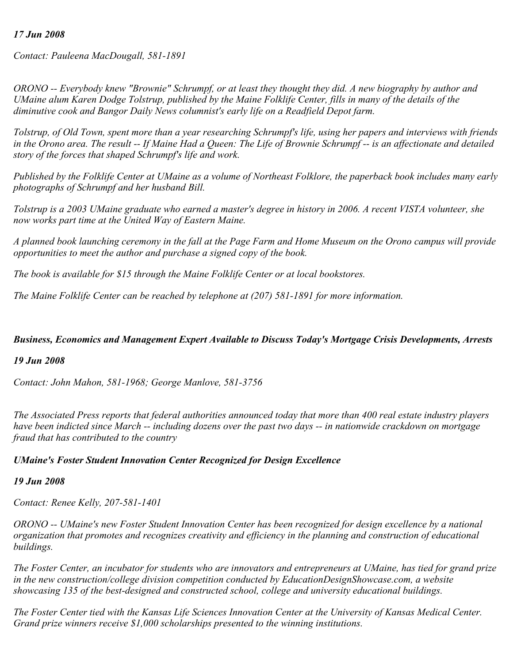#### *17 Jun 2008*

*Contact: Pauleena MacDougall, 581-1891*

*ORONO -- Everybody knew "Brownie" Schrumpf, or at least they thought they did. A new biography by author and UMaine alum Karen Dodge Tolstrup, published by the Maine Folklife Center, fills in many of the details of the diminutive cook and Bangor Daily News columnist's early life on a Readfield Depot farm.*

*Tolstrup, of Old Town, spent more than a year researching Schrumpf's life, using her papers and interviews with friends in the Orono area. The result -- If Maine Had a Queen: The Life of Brownie Schrumpf -- is an affectionate and detailed story of the forces that shaped Schrumpf's life and work.*

*Published by the Folklife Center at UMaine as a volume of Northeast Folklore, the paperback book includes many early photographs of Schrumpf and her husband Bill.*

*Tolstrup is a 2003 UMaine graduate who earned a master's degree in history in 2006. A recent VISTA volunteer, she now works part time at the United Way of Eastern Maine.*

*A planned book launching ceremony in the fall at the Page Farm and Home Museum on the Orono campus will provide opportunities to meet the author and purchase a signed copy of the book.*

*The book is available for \$15 through the Maine Folklife Center or at local bookstores.*

*The Maine Folklife Center can be reached by telephone at (207) 581-1891 for more information.*

#### *Business, Economics and Management Expert Available to Discuss Today's Mortgage Crisis Developments, Arrests*

#### *19 Jun 2008*

*Contact: John Mahon, 581-1968; George Manlove, 581-3756*

*The Associated Press reports that federal authorities announced today that more than 400 real estate industry players have been indicted since March -- including dozens over the past two days -- in nationwide crackdown on mortgage fraud that has contributed to the country* 

#### *UMaine's Foster Student Innovation Center Recognized for Design Excellence*

#### *19 Jun 2008*

*Contact: Renee Kelly, 207-581-1401*

*ORONO -- UMaine's new Foster Student Innovation Center has been recognized for design excellence by a national organization that promotes and recognizes creativity and efficiency in the planning and construction of educational buildings.*

*The Foster Center, an incubator for students who are innovators and entrepreneurs at UMaine, has tied for grand prize in the new construction/college division competition conducted by EducationDesignShowcase.com, a website showcasing 135 of the best-designed and constructed school, college and university educational buildings.*

*The Foster Center tied with the Kansas Life Sciences Innovation Center at the University of Kansas Medical Center. Grand prize winners receive \$1,000 scholarships presented to the winning institutions.*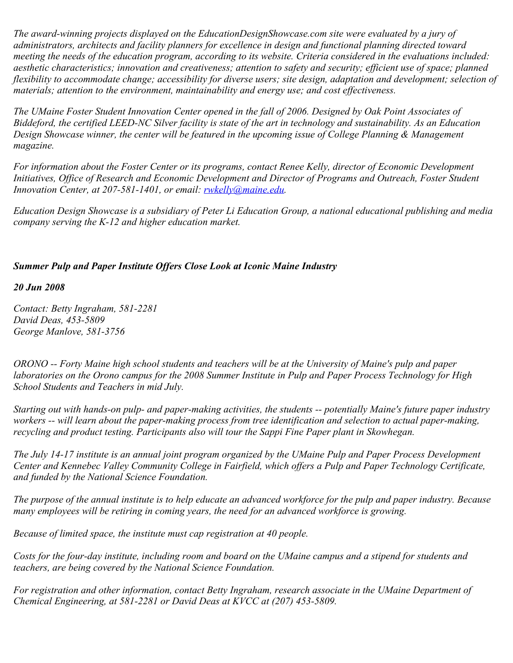*The award-winning projects displayed on the EducationDesignShowcase.com site were evaluated by a jury of administrators, architects and facility planners for excellence in design and functional planning directed toward meeting the needs of the education program, according to its website. Criteria considered in the evaluations included: aesthetic characteristics; innovation and creativeness; attention to safety and security; efficient use of space; planned flexibility to accommodate change; accessibility for diverse users; site design, adaptation and development; selection of materials; attention to the environment, maintainability and energy use; and cost effectiveness.*

*The UMaine Foster Student Innovation Center opened in the fall of 2006. Designed by Oak Point Associates of Biddeford, the certified LEED-NC Silver facility is state of the art in technology and sustainability. As an Education Design Showcase winner, the center will be featured in the upcoming issue of College Planning & Management magazine.*

*For information about the Foster Center or its programs, contact Renee Kelly, director of Economic Development Initiatives, Office of Research and Economic Development and Director of Programs and Outreach, Foster Student Innovation Center, at 207-581-1401, or email: [rwkelly@maine.edu](mailto:rwkelly@maine.edu).*

*Education Design Showcase is a subsidiary of Peter Li Education Group, a national educational publishing and media company serving the K-12 and higher education market.*

## *Summer Pulp and Paper Institute Offers Close Look at Iconic Maine Industry*

*20 Jun 2008*

*Contact: Betty Ingraham, 581-2281 David Deas, 453-5809 George Manlove, 581-3756*

*ORONO -- Forty Maine high school students and teachers will be at the University of Maine's pulp and paper laboratories on the Orono campus for the 2008 Summer Institute in Pulp and Paper Process Technology for High School Students and Teachers in mid July.*

*Starting out with hands-on pulp- and paper-making activities, the students -- potentially Maine's future paper industry workers -- will learn about the paper-making process from tree identification and selection to actual paper-making, recycling and product testing. Participants also will tour the Sappi Fine Paper plant in Skowhegan.*

*The July 14-17 institute is an annual joint program organized by the UMaine Pulp and Paper Process Development Center and Kennebec Valley Community College in Fairfield, which offers a Pulp and Paper Technology Certificate, and funded by the National Science Foundation.*

*The purpose of the annual institute is to help educate an advanced workforce for the pulp and paper industry. Because many employees will be retiring in coming years, the need for an advanced workforce is growing.* 

*Because of limited space, the institute must cap registration at 40 people.*

*Costs for the four-day institute, including room and board on the UMaine campus and a stipend for students and teachers, are being covered by the National Science Foundation.*

*For registration and other information, contact Betty Ingraham, research associate in the UMaine Department of Chemical Engineering, at 581-2281 or David Deas at KVCC at (207) 453-5809.*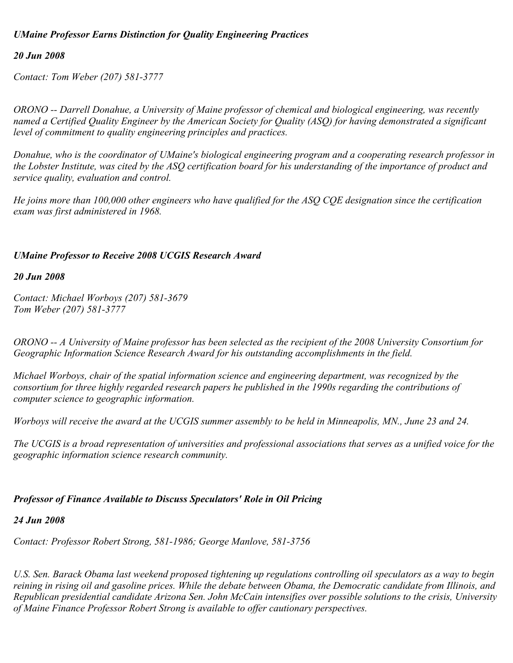## *UMaine Professor Earns Distinction for Quality Engineering Practices*

#### *20 Jun 2008*

*Contact: Tom Weber (207) 581-3777*

*ORONO -- Darrell Donahue, a University of Maine professor of chemical and biological engineering, was recently named a Certified Quality Engineer by the American Society for Quality (ASQ) for having demonstrated a significant level of commitment to quality engineering principles and practices.*

*Donahue, who is the coordinator of UMaine's biological engineering program and a cooperating research professor in the Lobster Institute, was cited by the ASQ certification board for his understanding of the importance of product and service quality, evaluation and control.* 

*He joins more than 100,000 other engineers who have qualified for the ASQ CQE designation since the certification exam was first administered in 1968.*

#### *UMaine Professor to Receive 2008 UCGIS Research Award*

#### *20 Jun 2008*

*Contact: Michael Worboys (207) 581-3679 Tom Weber (207) 581-3777*

*ORONO -- A University of Maine professor has been selected as the recipient of the 2008 University Consortium for Geographic Information Science Research Award for his outstanding accomplishments in the field.*

*Michael Worboys, chair of the spatial information science and engineering department, was recognized by the consortium for three highly regarded research papers he published in the 1990s regarding the contributions of computer science to geographic information.* 

*Worboys will receive the award at the UCGIS summer assembly to be held in Minneapolis, MN., June 23 and 24.*

*The UCGIS is a broad representation of universities and professional associations that serves as a unified voice for the geographic information science research community.*

#### *Professor of Finance Available to Discuss Speculators' Role in Oil Pricing*

#### *24 Jun 2008*

*Contact: Professor Robert Strong, 581-1986; George Manlove, 581-3756*

*U.S. Sen. Barack Obama last weekend proposed tightening up regulations controlling oil speculators as a way to begin reining in rising oil and gasoline prices. While the debate between Obama, the Democratic candidate from Illinois, and Republican presidential candidate Arizona Sen. John McCain intensifies over possible solutions to the crisis, University of Maine Finance Professor Robert Strong is available to offer cautionary perspectives.*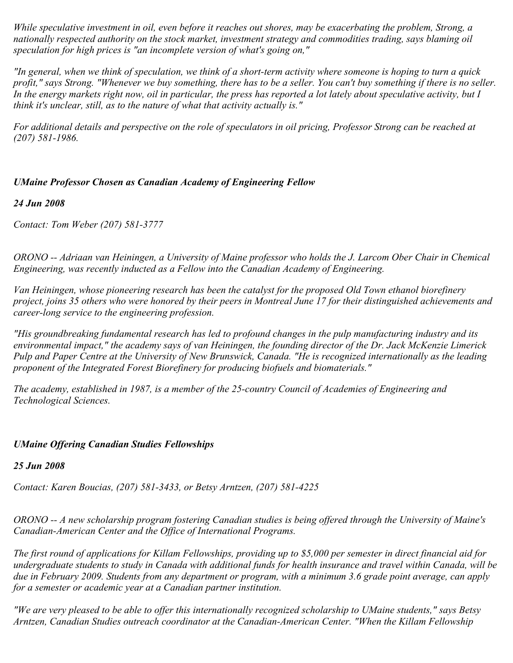*While speculative investment in oil, even before it reaches out shores, may be exacerbating the problem, Strong, a nationally respected authority on the stock market, investment strategy and commodities trading, says blaming oil speculation for high prices is "an incomplete version of what's going on,"*

*"In general, when we think of speculation, we think of a short-term activity where someone is hoping to turn a quick profit," says Strong. "Whenever we buy something, there has to be a seller. You can't buy something if there is no seller. In the energy markets right now, oil in particular, the press has reported a lot lately about speculative activity, but I think it's unclear, still, as to the nature of what that activity actually is."*

*For additional details and perspective on the role of speculators in oil pricing, Professor Strong can be reached at (207) 581-1986.*

# *UMaine Professor Chosen as Canadian Academy of Engineering Fellow*

## *24 Jun 2008*

*Contact: Tom Weber (207) 581-3777*

*ORONO -- Adriaan van Heiningen, a University of Maine professor who holds the J. Larcom Ober Chair in Chemical Engineering, was recently inducted as a Fellow into the Canadian Academy of Engineering.*

*Van Heiningen, whose pioneering research has been the catalyst for the proposed Old Town ethanol biorefinery project, joins 35 others who were honored by their peers in Montreal June 17 for their distinguished achievements and career-long service to the engineering profession.*

*"His groundbreaking fundamental research has led to profound changes in the pulp manufacturing industry and its environmental impact," the academy says of van Heiningen, the founding director of the Dr. Jack McKenzie Limerick Pulp and Paper Centre at the University of New Brunswick, Canada. "He is recognized internationally as the leading proponent of the Integrated Forest Biorefinery for producing biofuels and biomaterials."*

*The academy, established in 1987, is a member of the 25-country Council of Academies of Engineering and Technological Sciences.*

# *UMaine Offering Canadian Studies Fellowships*

# *25 Jun 2008*

*Contact: Karen Boucias, (207) 581-3433, or Betsy Arntzen, (207) 581-4225*

*ORONO -- A new scholarship program fostering Canadian studies is being offered through the University of Maine's Canadian-American Center and the Office of International Programs.*

*The first round of applications for Killam Fellowships, providing up to \$5,000 per semester in direct financial aid for undergraduate students to study in Canada with additional funds for health insurance and travel within Canada, will be due in February 2009. Students from any department or program, with a minimum 3.6 grade point average, can apply for a semester or academic year at a Canadian partner institution.*

*"We are very pleased to be able to offer this internationally recognized scholarship to UMaine students," says Betsy Arntzen, Canadian Studies outreach coordinator at the Canadian-American Center. "When the Killam Fellowship*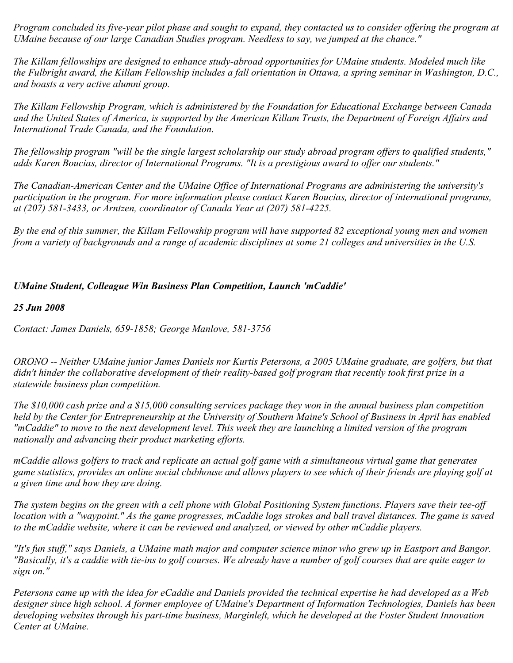*Program concluded its five-year pilot phase and sought to expand, they contacted us to consider offering the program at UMaine because of our large Canadian Studies program. Needless to say, we jumped at the chance."*

*The Killam fellowships are designed to enhance study-abroad opportunities for UMaine students. Modeled much like the Fulbright award, the Killam Fellowship includes a fall orientation in Ottawa, a spring seminar in Washington, D.C., and boasts a very active alumni group.*

*The Killam Fellowship Program, which is administered by the Foundation for Educational Exchange between Canada and the United States of America, is supported by the American Killam Trusts, the Department of Foreign Affairs and International Trade Canada, and the Foundation.*

*The fellowship program "will be the single largest scholarship our study abroad program offers to qualified students," adds Karen Boucias, director of International Programs. "It is a prestigious award to offer our students."*

*The Canadian-American Center and the UMaine Office of International Programs are administering the university's participation in the program. For more information please contact Karen Boucias, director of international programs, at (207) 581-3433, or Arntzen, coordinator of Canada Year at (207) 581-4225.*

*By the end of this summer, the Killam Fellowship program will have supported 82 exceptional young men and women from a variety of backgrounds and a range of academic disciplines at some 21 colleges and universities in the U.S.* 

# *UMaine Student, Colleague Win Business Plan Competition, Launch 'mCaddie'*

# *25 Jun 2008*

*Contact: James Daniels, 659-1858; George Manlove, 581-3756*

*ORONO -- Neither UMaine junior James Daniels nor Kurtis Petersons, a 2005 UMaine graduate, are golfers, but that didn't hinder the collaborative development of their reality-based golf program that recently took first prize in a statewide business plan competition.*

*The \$10,000 cash prize and a \$15,000 consulting services package they won in the annual business plan competition held by the Center for Entrepreneurship at the University of Southern Maine's School of Business in April has enabled "mCaddie" to move to the next development level. This week they are launching a limited version of the program nationally and advancing their product marketing efforts.*

*mCaddie allows golfers to track and replicate an actual golf game with a simultaneous virtual game that generates game statistics, provides an online social clubhouse and allows players to see which of their friends are playing golf at a given time and how they are doing.*

*The system begins on the green with a cell phone with Global Positioning System functions. Players save their tee-off location with a "waypoint." As the game progresses, mCaddie logs strokes and ball travel distances. The game is saved to the mCaddie website, where it can be reviewed and analyzed, or viewed by other mCaddie players.*

*"It's fun stuff," says Daniels, a UMaine math major and computer science minor who grew up in Eastport and Bangor. "Basically, it's a caddie with tie-ins to golf courses. We already have a number of golf courses that are quite eager to sign on."*

*Petersons came up with the idea for eCaddie and Daniels provided the technical expertise he had developed as a Web designer since high school. A former employee of UMaine's Department of Information Technologies, Daniels has been developing websites through his part-time business, Marginleft, which he developed at the Foster Student Innovation Center at UMaine.*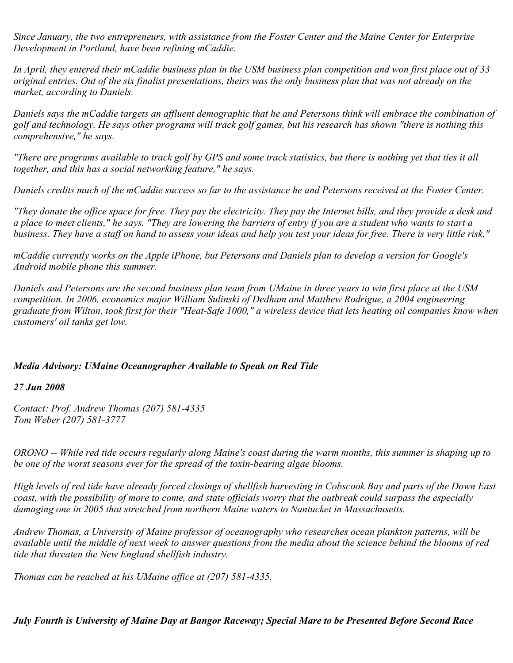*Since January, the two entrepreneurs, with assistance from the Foster Center and the Maine Center for Enterprise Development in Portland, have been refining mCaddie.*

*In April, they entered their mCaddie business plan in the USM business plan competition and won first place out of 33 original entries. Out of the six finalist presentations, theirs was the only business plan that was not already on the market, according to Daniels.*

*Daniels says the mCaddie targets an affluent demographic that he and Petersons think will embrace the combination of golf and technology. He says other programs will track golf games, but his research has shown "there is nothing this comprehensive," he says.*

*"There are programs available to track golf by GPS and some track statistics, but there is nothing yet that ties it all together, and this has a social networking feature," he says.*

*Daniels credits much of the mCaddie success so far to the assistance he and Petersons received at the Foster Center.*

*"They donate the office space for free. They pay the electricity. They pay the Internet bills, and they provide a desk and a place to meet clients," he says. "They are lowering the barriers of entry if you are a student who wants to start a business. They have a staff on hand to assess your ideas and help you test your ideas for free. There is very little risk."*

*mCaddie currently works on the Apple iPhone, but Petersons and Daniels plan to develop a version for Google's Android mobile phone this summer.*

*Daniels and Petersons are the second business plan team from UMaine in three years to win first place at the USM competition. In 2006, economics major William Sulinski of Dedham and Matthew Rodrigue, a 2004 engineering graduate from Wilton, took first for their "Heat-Safe 1000," a wireless device that lets heating oil companies know when customers' oil tanks get low.*

# *Media Advisory: UMaine Oceanographer Available to Speak on Red Tide*

#### *27 Jun 2008*

*Contact: Prof. Andrew Thomas (207) 581-4335 Tom Weber (207) 581-3777*

*ORONO -- While red tide occurs regularly along Maine's coast during the warm months, this summer is shaping up to be one of the worst seasons ever for the spread of the toxin-bearing algae blooms.* 

*High levels of red tide have already forced closings of shellfish harvesting in Cobscook Bay and parts of the Down East coast, with the possibility of more to come, and state officials worry that the outbreak could surpass the especially damaging one in 2005 that stretched from northern Maine waters to Nantucket in Massachusetts.* 

*Andrew Thomas, a University of Maine professor of oceanography who researches ocean plankton patterns, will be available until the middle of next week to answer questions from the media about the science behind the blooms of red tide that threaten the New England shellfish industry.* 

*Thomas can be reached at his UMaine office at (207) 581-4335.*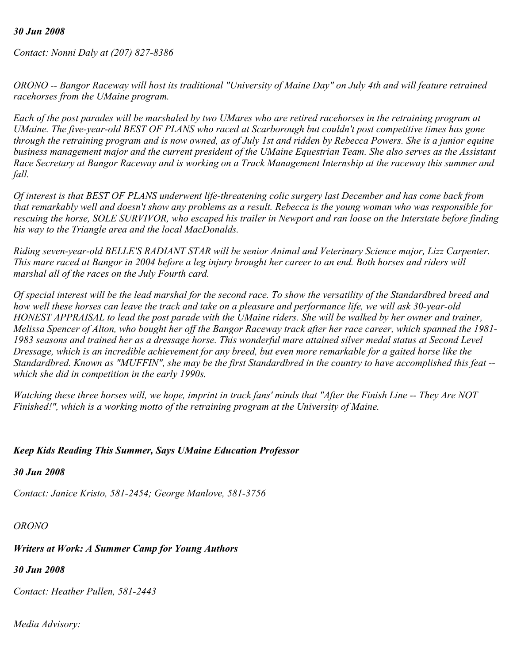#### *30 Jun 2008*

*Contact: Nonni Daly at (207) 827-8386*

*ORONO -- Bangor Raceway will host its traditional "University of Maine Day" on July 4th and will feature retrained racehorses from the UMaine program.*

*Each of the post parades will be marshaled by two UMares who are retired racehorses in the retraining program at UMaine. The five-year-old BEST OF PLANS who raced at Scarborough but couldn't post competitive times has gone through the retraining program and is now owned, as of July 1st and ridden by Rebecca Powers. She is a junior equine business management major and the current president of the UMaine Equestrian Team. She also serves as the Assistant Race Secretary at Bangor Raceway and is working on a Track Management Internship at the raceway this summer and fall.*

*Of interest is that BEST OF PLANS underwent life-threatening colic surgery last December and has come back from that remarkably well and doesn't show any problems as a result. Rebecca is the young woman who was responsible for rescuing the horse, SOLE SURVIVOR, who escaped his trailer in Newport and ran loose on the Interstate before finding his way to the Triangle area and the local MacDonalds.*

*Riding seven-year-old BELLE'S RADIANT STAR will be senior Animal and Veterinary Science major, Lizz Carpenter. This mare raced at Bangor in 2004 before a leg injury brought her career to an end. Both horses and riders will marshal all of the races on the July Fourth card.*

*Of special interest will be the lead marshal for the second race. To show the versatility of the Standardbred breed and how well these horses can leave the track and take on a pleasure and performance life, we will ask 30-year-old HONEST APPRAISAL to lead the post parade with the UMaine riders. She will be walked by her owner and trainer, Melissa Spencer of Alton, who bought her off the Bangor Raceway track after her race career, which spanned the 1981- 1983 seasons and trained her as a dressage horse. This wonderful mare attained silver medal status at Second Level Dressage, which is an incredible achievement for any breed, but even more remarkable for a gaited horse like the Standardbred. Known as "MUFFIN", she may be the first Standardbred in the country to have accomplished this feat - which she did in competition in the early 1990s.*

*Watching these three horses will, we hope, imprint in track fans' minds that "After the Finish Line -- They Are NOT Finished!", which is a working motto of the retraining program at the University of Maine.*

# *Keep Kids Reading This Summer, Says UMaine Education Professor*

*30 Jun 2008*

*Contact: Janice Kristo, 581-2454; George Manlove, 581-3756*

*ORONO* 

# *Writers at Work: A Summer Camp for Young Authors*

*30 Jun 2008*

*Contact: Heather Pullen, 581-2443*

*Media Advisory:*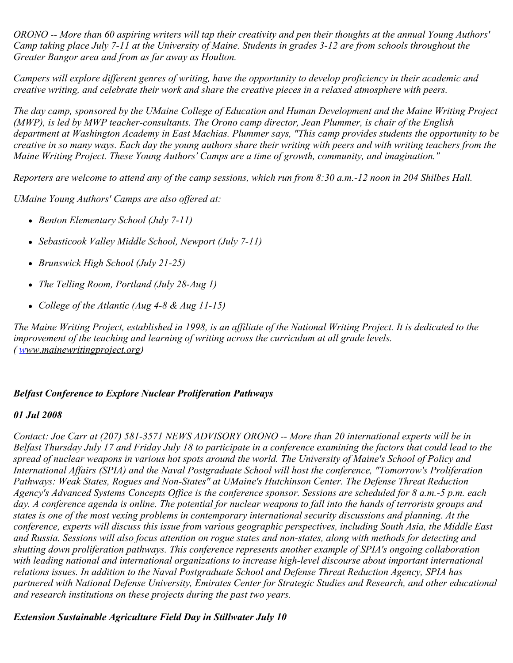*ORONO -- More than 60 aspiring writers will tap their creativity and pen their thoughts at the annual Young Authors' Camp taking place July 7-11 at the University of Maine. Students in grades 3-12 are from schools throughout the Greater Bangor area and from as far away as Houlton.*

*Campers will explore different genres of writing, have the opportunity to develop proficiency in their academic and creative writing, and celebrate their work and share the creative pieces in a relaxed atmosphere with peers.*

*The day camp, sponsored by the UMaine College of Education and Human Development and the Maine Writing Project (MWP), is led by MWP teacher-consultants. The Orono camp director, Jean Plummer, is chair of the English department at Washington Academy in East Machias. Plummer says, "This camp provides students the opportunity to be creative in so many ways. Each day the young authors share their writing with peers and with writing teachers from the Maine Writing Project. These Young Authors' Camps are a time of growth, community, and imagination."*

*Reporters are welcome to attend any of the camp sessions, which run from 8:30 a.m.-12 noon in 204 Shilbes Hall.*

*UMaine Young Authors' Camps are also offered at:*

- *Benton Elementary School (July 7-11)*
- *Sebasticook Valley Middle School, Newport (July 7-11)*
- *Brunswick High School (July 21-25)*
- *The Telling Room, Portland (July 28-Aug 1)*
- *College of the Atlantic (Aug 4-8 & Aug 11-15)*

*The Maine Writing Project, established in 1998, is an affiliate of the National Writing Project. It is dedicated to the improvement of the teaching and learning of writing across the curriculum at all grade levels. ( [w](http://www.mainewritingproject.org/)ww.mainewritingproject.org)*

# *Belfast Conference to Explore Nuclear Proliferation Pathways*

# *01 Jul 2008*

*Contact: Joe Carr at (207) 581-3571 NEWS ADVISORY ORONO -- More than 20 international experts will be in Belfast Thursday July 17 and Friday July 18 to participate in a conference examining the factors that could lead to the spread of nuclear weapons in various hot spots around the world. The University of Maine's School of Policy and International Affairs (SPIA) and the Naval Postgraduate School will host the conference, "Tomorrow's Proliferation Pathways: Weak States, Rogues and Non-States" at UMaine's Hutchinson Center. The Defense Threat Reduction Agency's Advanced Systems Concepts Office is the conference sponsor. Sessions are scheduled for 8 a.m.-5 p.m. each day. A conference agenda is online. The potential for nuclear weapons to fall into the hands of terrorists groups and states is one of the most vexing problems in contemporary international security discussions and planning. At the conference, experts will discuss this issue from various geographic perspectives, including South Asia, the Middle East and Russia. Sessions will also focus attention on rogue states and non-states, along with methods for detecting and shutting down proliferation pathways. This conference represents another example of SPIA's ongoing collaboration with leading national and international organizations to increase high-level discourse about important international relations issues. In addition to the Naval Postgraduate School and Defense Threat Reduction Agency, SPIA has partnered with National Defense University, Emirates Center for Strategic Studies and Research, and other educational and research institutions on these projects during the past two years.* 

*Extension Sustainable Agriculture Field Day in Stillwater July 10*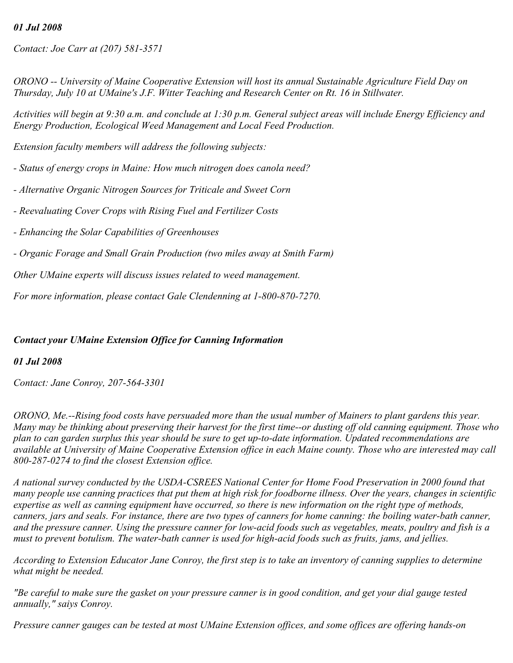# *01 Jul 2008*

*Contact: Joe Carr at (207) 581-3571*

*ORONO -- University of Maine Cooperative Extension will host its annual Sustainable Agriculture Field Day on Thursday, July 10 at UMaine's J.F. Witter Teaching and Research Center on Rt. 16 in Stillwater.*

*Activities will begin at 9:30 a.m. and conclude at 1:30 p.m. General subject areas will include Energy Efficiency and Energy Production, Ecological Weed Management and Local Feed Production.*

*Extension faculty members will address the following subjects:*

- *Status of energy crops in Maine: How much nitrogen does canola need?*
- *Alternative Organic Nitrogen Sources for Triticale and Sweet Corn*
- *Reevaluating Cover Crops with Rising Fuel and Fertilizer Costs*
- *Enhancing the Solar Capabilities of Greenhouses*
- *Organic Forage and Small Grain Production (two miles away at Smith Farm)*

*Other UMaine experts will discuss issues related to weed management.*

*For more information, please contact Gale Clendenning at 1-800-870-7270.*

#### *Contact your UMaine Extension Office for Canning Information*

#### *01 Jul 2008*

*Contact: Jane Conroy, 207-564-3301*

*ORONO, Me.--Rising food costs have persuaded more than the usual number of Mainers to plant gardens this year. Many may be thinking about preserving their harvest for the first time--or dusting off old canning equipment. Those who plan to can garden surplus this year should be sure to get up-to-date information. Updated recommendations are available at University of Maine Cooperative Extension office in each Maine county. Those who are interested may call 800-287-0274 to find the closest Extension office.*

*A national survey conducted by the USDA-CSREES National Center for Home Food Preservation in 2000 found that many people use canning practices that put them at high risk for foodborne illness. Over the years, changes in scientific expertise as well as canning equipment have occurred, so there is new information on the right type of methods, canners, jars and seals. For instance, there are two types of canners for home canning: the boiling water-bath canner, and the pressure canner. Using the pressure canner for low-acid foods such as vegetables, meats, poultry and fish is a must to prevent botulism. The water-bath canner is used for high-acid foods such as fruits, jams, and jellies.*

*According to Extension Educator Jane Conroy, the first step is to take an inventory of canning supplies to determine what might be needed.*

*"Be careful to make sure the gasket on your pressure canner is in good condition, and get your dial gauge tested annually," saiys Conroy.*

*Pressure canner gauges can be tested at most UMaine Extension offices, and some offices are offering hands-on*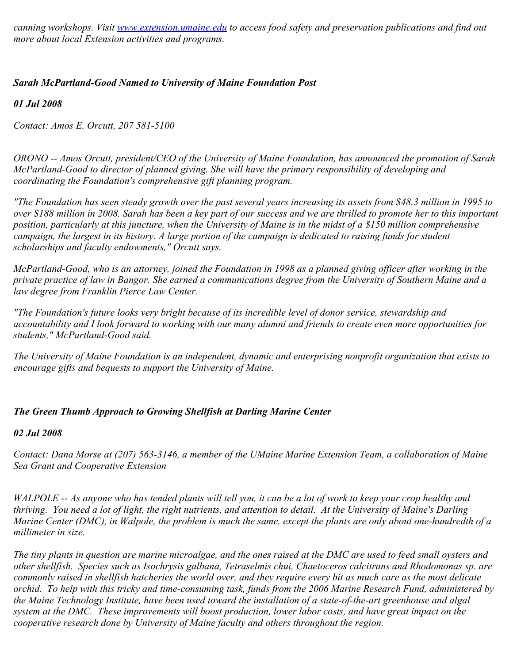*canning workshops. Visit [www.extension.umaine.edu](http://www.extension.umaine.edu/) to access food safety and preservation publications and find out more about local Extension activities and programs.*

# *Sarah McPartland-Good Named to University of Maine Foundation Post*

*01 Jul 2008*

*Contact: Amos E. Orcutt, 207 581-5100*

*ORONO -- Amos Orcutt, president/CEO of the University of Maine Foundation, has announced the promotion of Sarah McPartland-Good to director of planned giving. She will have the primary responsibility of developing and coordinating the Foundation's comprehensive gift planning program.*

*"The Foundation has seen steady growth over the past several years increasing its assets from \$48.3 million in 1995 to over \$188 million in 2008. Sarah has been a key part of our success and we are thrilled to promote her to this important position, particularly at this juncture, when the University of Maine is in the midst of a \$150 million comprehensive campaign, the largest in its history. A large portion of the campaign is dedicated to raising funds for student scholarships and faculty endowments," Orcutt says.*

*McPartland-Good, who is an attorney, joined the Foundation in 1998 as a planned giving officer after working in the private practice of law in Bangor. She earned a communications degree from the University of Southern Maine and a law degree from Franklin Pierce Law Center.*

*"The Foundation's future looks very bright because of its incredible level of donor service, stewardship and accountability and I look forward to working with our many alumni and friends to create even more opportunities for students," McPartland-Good said.*

*The University of Maine Foundation is an independent, dynamic and enterprising nonprofit organization that exists to encourage gifts and bequests to support the University of Maine.*

# *The Green Thumb Approach to Growing Shellfish at Darling Marine Center*

# *02 Jul 2008*

*Contact: Dana Morse at (207) 563-3146, a member of the UMaine Marine Extension Team, a collaboration of Maine Sea Grant and Cooperative Extension*

*WALPOLE -- As anyone who has tended plants will tell you, it can be a lot of work to keep your crop healthy and thriving. You need a lot of light, the right nutrients, and attention to detail. At the University of Maine's Darling Marine Center (DMC), in Walpole, the problem is much the same, except the plants are only about one-hundredth of a millimeter in size.* 

*The tiny plants in question are marine microalgae, and the ones raised at the DMC are used to feed small oysters and other shellfish. Species such as Isochrysis galbana, Tetraselmis chui, Chaetoceros calcitrans and Rhodomonas sp. are commonly raised in shellfish hatcheries the world over, and they require every bit as much care as the most delicate orchid. To help with this tricky and time-consuming task, funds from the 2006 Marine Research Fund, administered by the Maine Technology Institute, have been used toward the installation of a state-of-the-art greenhouse and algal system at the DMC. These improvements will boost production, lower labor costs, and have great impact on the cooperative research done by University of Maine faculty and others throughout the region.*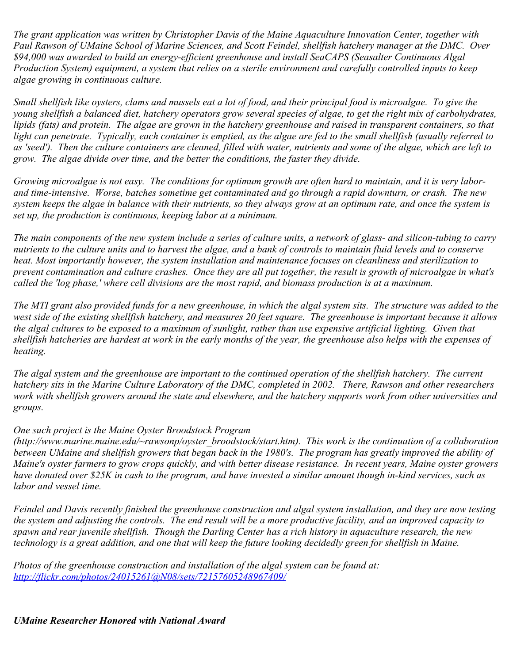*The grant application was written by Christopher Davis of the Maine Aquaculture Innovation Center, together with Paul Rawson of UMaine School of Marine Sciences, and Scott Feindel, shellfish hatchery manager at the DMC. Over \$94,000 was awarded to build an energy-efficient greenhouse and install SeaCAPS (Seasalter Continuous Algal Production System) equipment, a system that relies on a sterile environment and carefully controlled inputs to keep algae growing in continuous culture.* 

*Small shellfish like oysters, clams and mussels eat a lot of food, and their principal food is microalgae. To give the young shellfish a balanced diet, hatchery operators grow several species of algae, to get the right mix of carbohydrates, lipids (fats) and protein. The algae are grown in the hatchery greenhouse and raised in transparent containers, so that light can penetrate. Typically, each container is emptied, as the algae are fed to the small shellfish (usually referred to as 'seed'). Then the culture containers are cleaned, filled with water, nutrients and some of the algae, which are left to grow. The algae divide over time, and the better the conditions, the faster they divide.* 

*Growing microalgae is not easy. The conditions for optimum growth are often hard to maintain, and it is very laborand time-intensive. Worse, batches sometime get contaminated and go through a rapid downturn, or crash. The new system keeps the algae in balance with their nutrients, so they always grow at an optimum rate, and once the system is set up, the production is continuous, keeping labor at a minimum.* 

*The main components of the new system include a series of culture units, a network of glass- and silicon-tubing to carry nutrients to the culture units and to harvest the algae, and a bank of controls to maintain fluid levels and to conserve heat. Most importantly however, the system installation and maintenance focuses on cleanliness and sterilization to prevent contamination and culture crashes. Once they are all put together, the result is growth of microalgae in what's called the 'log phase,' where cell divisions are the most rapid, and biomass production is at a maximum.* 

*The MTI grant also provided funds for a new greenhouse, in which the algal system sits. The structure was added to the west side of the existing shellfish hatchery, and measures 20 feet square. The greenhouse is important because it allows the algal cultures to be exposed to a maximum of sunlight, rather than use expensive artificial lighting. Given that shellfish hatcheries are hardest at work in the early months of the year, the greenhouse also helps with the expenses of heating.* 

*The algal system and the greenhouse are important to the continued operation of the shellfish hatchery. The current hatchery sits in the Marine Culture Laboratory of the DMC, completed in 2002. There, Rawson and other researchers work with shellfish growers around the state and elsewhere, and the hatchery supports work from other universities and groups.* 

# *One such project is the Maine Oyster Broodstock Program*

*(http://www.marine.maine.edu/~rawsonp/oyster\_broodstock/start.htm). This work is the continuation of a collaboration between UMaine and shellfish growers that began back in the 1980's. The program has greatly improved the ability of Maine's oyster farmers to grow crops quickly, and with better disease resistance. In recent years, Maine oyster growers have donated over \$25K in cash to the program, and have invested a similar amount though in-kind services, such as labor and vessel time.* 

*Feindel and Davis recently finished the greenhouse construction and algal system installation, and they are now testing the system and adjusting the controls. The end result will be a more productive facility, and an improved capacity to spawn and rear juvenile shellfish. Though the Darling Center has a rich history in aquaculture research, the new technology is a great addition, and one that will keep the future looking decidedly green for shellfish in Maine.*

*Photos of the greenhouse construction and installation of the algal system can be found at: <http://flickr.com/photos/24015261@N08/sets/72157605248967409/>*

*UMaine Researcher Honored with National Award*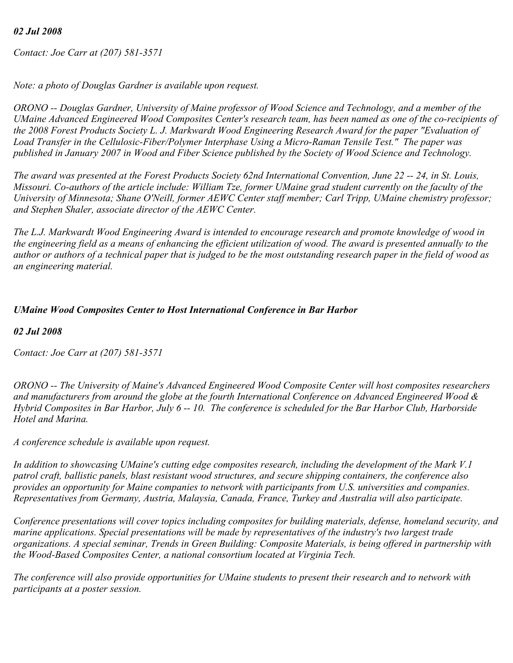# *02 Jul 2008*

*Contact: Joe Carr at (207) 581-3571*

*Note: a photo of Douglas Gardner is available upon request.*

*ORONO -- Douglas Gardner, University of Maine professor of Wood Science and Technology, and a member of the UMaine Advanced Engineered Wood Composites Center's research team, has been named as one of the co-recipients of the 2008 Forest Products Society L. J. Markwardt Wood Engineering Research Award for the paper "Evaluation of Load Transfer in the Cellulosic-Fiber/Polymer Interphase Using a Micro-Raman Tensile Test." The paper was published in January 2007 in Wood and Fiber Science published by the Society of Wood Science and Technology.*

*The award was presented at the Forest Products Society 62nd International Convention, June 22 -- 24, in St. Louis, Missouri. Co-authors of the article include: William Tze, former UMaine grad student currently on the faculty of the University of Minnesota; Shane O'Neill, former AEWC Center staff member; Carl Tripp, UMaine chemistry professor; and Stephen Shaler, associate director of the AEWC Center.*

*The L.J. Markwardt Wood Engineering Award is intended to encourage research and promote knowledge of wood in the engineering field as a means of enhancing the efficient utilization of wood. The award is presented annually to the author or authors of a technical paper that is judged to be the most outstanding research paper in the field of wood as an engineering material.*

# *UMaine Wood Composites Center to Host International Conference in Bar Harbor*

*02 Jul 2008*

*Contact: Joe Carr at (207) 581-3571*

*ORONO -- The University of Maine's Advanced Engineered Wood Composite Center will host composites researchers and manufacturers from around the globe at the fourth International Conference on Advanced Engineered Wood & Hybrid Composites in Bar Harbor, July 6 -- 10. The conference is scheduled for the Bar Harbor Club, Harborside Hotel and Marina.*

*A conference schedule is available upon request.*

*In addition to showcasing UMaine's cutting edge composites research, including the development of the Mark V.1 patrol craft, ballistic panels, blast resistant wood structures, and secure shipping containers, the conference also provides an opportunity for Maine companies to network with participants from U.S. universities and companies. Representatives from Germany, Austria, Malaysia, Canada, France, Turkey and Australia will also participate.*

*Conference presentations will cover topics including composites for building materials, defense, homeland security, and marine applications. Special presentations will be made by representatives of the industry's two largest trade organizations. A special seminar, Trends in Green Building: Composite Materials, is being offered in partnership with the Wood-Based Composites Center, a national consortium located at Virginia Tech.*

*The conference will also provide opportunities for UMaine students to present their research and to network with participants at a poster session.*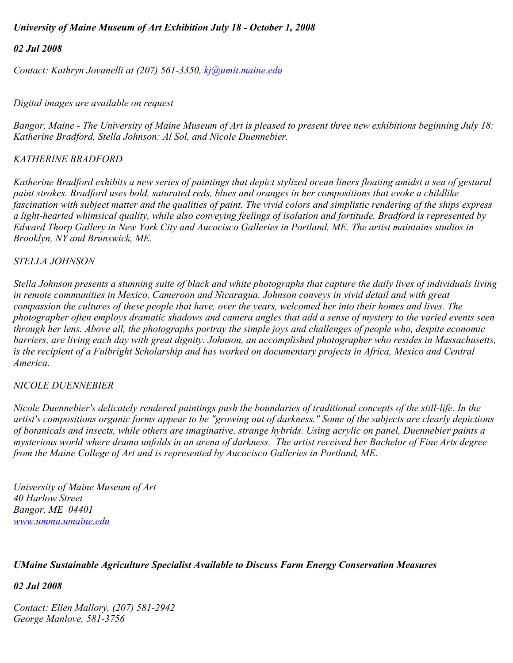# *University of Maine Museum of Art Exhibition July 18 - October 1, 2008*

#### *02 Jul 2008*

*Contact: Kathryn Jovanelli at (207) 561-3350, [kj@umit.maine.edu](mailto:kj@umit.maine.edu)*

#### *Digital images are available on request*

*Bangor, Maine - The University of Maine Museum of Art is pleased to present three new exhibitions beginning July 18: Katherine Bradford, Stella Johnson: Al Sol, and Nicole Duennebier.*

# *KATHERINE BRADFORD*

*Katherine Bradford exhibits a new series of paintings that depict stylized ocean liners floating amidst a sea of gestural paint strokes. Bradford uses bold, saturated reds, blues and oranges in her compositions that evoke a childlike fascination with subject matter and the qualities of paint. The vivid colors and simplistic rendering of the ships express a light-hearted whimsical quality, while also conveying feelings of isolation and fortitude. Bradford is represented by Edward Thorp Gallery in New York City and Aucocisco Galleries in Portland, ME. The artist maintains studios in Brooklyn, NY and Brunswick, ME.* 

#### *STELLA JOHNSON*

*Stella Johnson presents a stunning suite of black and white photographs that capture the daily lives of individuals living in remote communities in Mexico, Cameroon and Nicaragua. Johnson conveys in vivid detail and with great compassion the cultures of these people that have, over the years, welcomed her into their homes and lives. The photographer often employs dramatic shadows and camera angles that add a sense of mystery to the varied events seen through her lens. Above all, the photographs portray the simple joys and challenges of people who, despite economic barriers, are living each day with great dignity. Johnson, an accomplished photographer who resides in Massachusetts, is the recipient of a Fulbright Scholarship and has worked on documentary projects in Africa, Mexico and Central America.* 

#### *NICOLE DUENNEBIER*

*Nicole Duennebier's delicately rendered paintings push the boundaries of traditional concepts of the still-life. In the artist's compositions organic forms appear to be "growing out of darkness." Some of the subjects are clearly depictions of botanicals and insects, while others are imaginative, strange hybrids. Using acrylic on panel, Duennebier paints a mysterious world where drama unfolds in an arena of darkness. The artist received her Bachelor of Fine Arts degree from the Maine College of Art and is represented by Aucocisco Galleries in Portland, ME.*

*University of Maine Museum of Art 40 Harlow Street Bangor, ME 04401 [www.umma.umaine.edu](http://www.umma.umaine.edu/)*

# *UMaine Sustainable Agriculture Specialist Available to Discuss Farm Energy Conservation Measures*

# *02 Jul 2008*

*Contact: Ellen Mallory, (207) 581-2942 George Manlove, 581-3756*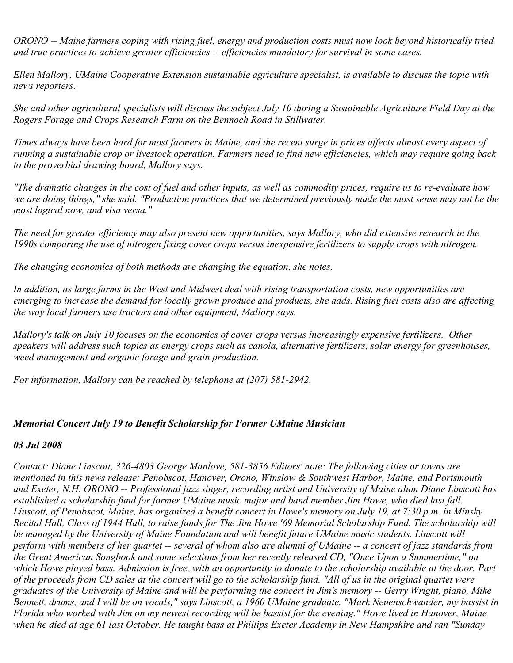*ORONO -- Maine farmers coping with rising fuel, energy and production costs must now look beyond historically tried and true practices to achieve greater efficiencies -- efficiencies mandatory for survival in some cases.*

*Ellen Mallory, UMaine Cooperative Extension sustainable agriculture specialist, is available to discuss the topic with news reporters.*

*She and other agricultural specialists will discuss the subject July 10 during a Sustainable Agriculture Field Day at the Rogers Forage and Crops Research Farm on the Bennoch Road in Stillwater.*

*Times always have been hard for most farmers in Maine, and the recent surge in prices affects almost every aspect of running a sustainable crop or livestock operation. Farmers need to find new efficiencies, which may require going back to the proverbial drawing board, Mallory says.*

*"The dramatic changes in the cost of fuel and other inputs, as well as commodity prices, require us to re-evaluate how we are doing things," she said. "Production practices that we determined previously made the most sense may not be the most logical now, and visa versa."*

*The need for greater efficiency may also present new opportunities, says Mallory, who did extensive research in the 1990s comparing the use of nitrogen fixing cover crops versus inexpensive fertilizers to supply crops with nitrogen.* 

*The changing economics of both methods are changing the equation, she notes.*

*In addition, as large farms in the West and Midwest deal with rising transportation costs, new opportunities are emerging to increase the demand for locally grown produce and products, she adds. Rising fuel costs also are affecting the way local farmers use tractors and other equipment, Mallory says.*

*Mallory's talk on July 10 focuses on the economics of cover crops versus increasingly expensive fertilizers. Other speakers will address such topics as energy crops such as canola, alternative fertilizers, solar energy for greenhouses, weed management and organic forage and grain production.*

*For information, Mallory can be reached by telephone at (207) 581-2942.*

#### *Memorial Concert July 19 to Benefit Scholarship for Former UMaine Musician*

#### *03 Jul 2008*

*Contact: Diane Linscott, 326-4803 George Manlove, 581-3856 Editors' note: The following cities or towns are mentioned in this news release: Penobscot, Hanover, Orono, Winslow & Southwest Harbor, Maine, and Portsmouth and Exeter, N.H. ORONO -- Professional jazz singer, recording artist and University of Maine alum Diane Linscott has established a scholarship fund for former UMaine music major and band member Jim Howe, who died last fall. Linscott, of Penobscot, Maine, has organized a benefit concert in Howe's memory on July 19, at 7:30 p.m. in Minsky Recital Hall, Class of 1944 Hall, to raise funds for The Jim Howe '69 Memorial Scholarship Fund. The scholarship will* be managed by the University of Maine Foundation and will benefit future UMaine music students. Linscott will *perform with members of her quartet -- several of whom also are alumni of UMaine -- a concert of jazz standards from the Great American Songbook and some selections from her recently released CD, "Once Upon a Summertime," on which Howe played bass. Admission is free, with an opportunity to donate to the scholarship available at the door. Part of the proceeds from CD sales at the concert will go to the scholarship fund. "All of us in the original quartet were graduates of the University of Maine and will be performing the concert in Jim's memory -- Gerry Wright, piano, Mike Bennett, drums, and I will be on vocals," says Linscott, a 1960 UMaine graduate. "Mark Neuenschwander, my bassist in Florida who worked with Jim on my newest recording will be bassist for the evening." Howe lived in Hanover, Maine when he died at age 61 last October. He taught bass at Phillips Exeter Academy in New Hampshire and ran "Sunday*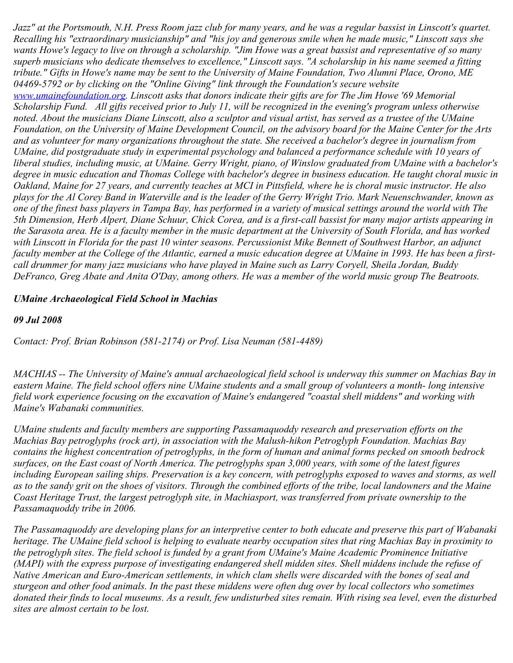*Jazz" at the Portsmouth, N.H. Press Room jazz club for many years, and he was a regular bassist in Linscott's quartet. Recalling his "extraordinary musicianship" and "his joy and generous smile when he made music," Linscott says she wants Howe's legacy to live on through a scholarship. "Jim Howe was a great bassist and representative of so many superb musicians who dedicate themselves to excellence," Linscott says. "A scholarship in his name seemed a fitting tribute." Gifts in Howe's name may be sent to the University of Maine Foundation, Two Alumni Place, Orono, ME 04469-5792 or by clicking on the "Online Giving" link through the Foundation's secure website [www.umainefoundation.org](http://www.umainefoundation.org/). Linscott asks that donors indicate their gifts are for The Jim Howe '69 Memorial Scholarship Fund. All gifts received prior to July 11, will be recognized in the evening's program unless otherwise noted. About the musicians Diane Linscott, also a sculptor and visual artist, has served as a trustee of the UMaine Foundation, on the University of Maine Development Council, on the advisory board for the Maine Center for the Arts and as volunteer for many organizations throughout the state. She received a bachelor's degree in journalism from UMaine, did postgraduate study in experimental psychology and balanced a performance schedule with 10 years of liberal studies, including music, at UMaine. Gerry Wright, piano, of Winslow graduated from UMaine with a bachelor's degree in music education and Thomas College with bachelor's degree in business education. He taught choral music in Oakland, Maine for 27 years, and currently teaches at MCI in Pittsfield, where he is choral music instructor. He also plays for the Al Corey Band in Waterville and is the leader of the Gerry Wright Trio. Mark Neuenschwander, known as one of the finest bass players in Tampa Bay, has performed in a variety of musical settings around the world with The 5th Dimension, Herb Alpert, Diane Schuur, Chick Corea, and is a first-call bassist for many major artists appearing in the Sarasota area. He is a faculty member in the music department at the University of South Florida, and has worked with Linscott in Florida for the past 10 winter seasons. Percussionist Mike Bennett of Southwest Harbor, an adjunct faculty member at the College of the Atlantic, earned a music education degree at UMaine in 1993. He has been a firstcall drummer for many jazz musicians who have played in Maine such as Larry Coryell, Sheila Jordan, Buddy DeFranco, Greg Abate and Anita O'Day, among others. He was a member of the world music group The Beatroots.*

#### *UMaine Archaeological Field School in Machias*

#### *09 Jul 2008*

*Contact: Prof. Brian Robinson (581-2174) or Prof. Lisa Neuman (581-4489)*

*MACHIAS -- The University of Maine's annual archaeological field school is underway this summer on Machias Bay in eastern Maine. The field school offers nine UMaine students and a small group of volunteers a month- long intensive field work experience focusing on the excavation of Maine's endangered "coastal shell middens" and working with Maine's Wabanaki communities.*

*UMaine students and faculty members are supporting Passamaquoddy research and preservation efforts on the Machias Bay petroglyphs (rock art), in association with the Malush-hikon Petroglyph Foundation. Machias Bay contains the highest concentration of petroglyphs, in the form of human and animal forms pecked on smooth bedrock surfaces, on the East coast of North America. The petroglyphs span 3,000 years, with some of the latest figures including European sailing ships. Preservation is a key concern, with petroglyphs exposed to waves and storms, as well as to the sandy grit on the shoes of visitors. Through the combined efforts of the tribe, local landowners and the Maine Coast Heritage Trust, the largest petroglyph site, in Machiasport, was transferred from private ownership to the Passamaquoddy tribe in 2006.*

*The Passamaquoddy are developing plans for an interpretive center to both educate and preserve this part of Wabanaki heritage. The UMaine field school is helping to evaluate nearby occupation sites that ring Machias Bay in proximity to the petroglyph sites. The field school is funded by a grant from UMaine's Maine Academic Prominence Initiative (MAPI) with the express purpose of investigating endangered shell midden sites. Shell middens include the refuse of Native American and Euro-American settlements, in which clam shells were discarded with the bones of seal and sturgeon and other food animals. In the past these middens were often dug over by local collectors who sometimes donated their finds to local museums. As a result, few undisturbed sites remain. With rising sea level, even the disturbed sites are almost certain to be lost.*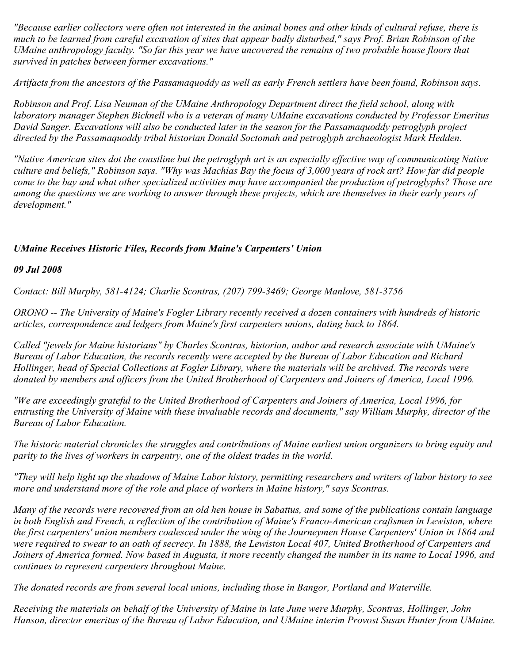*"Because earlier collectors were often not interested in the animal bones and other kinds of cultural refuse, there is much to be learned from careful excavation of sites that appear badly disturbed," says Prof. Brian Robinson of the UMaine anthropology faculty. "So far this year we have uncovered the remains of two probable house floors that survived in patches between former excavations."*

*Artifacts from the ancestors of the Passamaquoddy as well as early French settlers have been found, Robinson says.*

*Robinson and Prof. Lisa Neuman of the UMaine Anthropology Department direct the field school, along with laboratory manager Stephen Bicknell who is a veteran of many UMaine excavations conducted by Professor Emeritus David Sanger. Excavations will also be conducted later in the season for the Passamaquoddy petroglyph project directed by the Passamaquoddy tribal historian Donald Soctomah and petroglyph archaeologist Mark Hedden.*

*"Native American sites dot the coastline but the petroglyph art is an especially effective way of communicating Native culture and beliefs," Robinson says. "Why was Machias Bay the focus of 3,000 years of rock art? How far did people come to the bay and what other specialized activities may have accompanied the production of petroglyphs? Those are among the questions we are working to answer through these projects, which are themselves in their early years of development."*

# *UMaine Receives Historic Files, Records from Maine's Carpenters' Union*

#### *09 Jul 2008*

*Contact: Bill Murphy, 581-4124; Charlie Scontras, (207) 799-3469; George Manlove, 581-3756*

*ORONO -- The University of Maine's Fogler Library recently received a dozen containers with hundreds of historic articles, correspondence and ledgers from Maine's first carpenters unions, dating back to 1864.*

*Called "jewels for Maine historians" by Charles Scontras, historian, author and research associate with UMaine's Bureau of Labor Education, the records recently were accepted by the Bureau of Labor Education and Richard Hollinger, head of Special Collections at Fogler Library, where the materials will be archived. The records were donated by members and officers from the United Brotherhood of Carpenters and Joiners of America, Local 1996.*

*"We are exceedingly grateful to the United Brotherhood of Carpenters and Joiners of America, Local 1996, for entrusting the University of Maine with these invaluable records and documents," say William Murphy, director of the Bureau of Labor Education.*

*The historic material chronicles the struggles and contributions of Maine earliest union organizers to bring equity and parity to the lives of workers in carpentry, one of the oldest trades in the world.*

*"They will help light up the shadows of Maine Labor history, permitting researchers and writers of labor history to see more and understand more of the role and place of workers in Maine history," says Scontras.*

*Many of the records were recovered from an old hen house in Sabattus, and some of the publications contain language in both English and French, a reflection of the contribution of Maine's Franco-American craftsmen in Lewiston, where the first carpenters' union members coalesced under the wing of the Journeymen House Carpenters' Union in 1864 and were required to swear to an oath of secrecy. In 1888, the Lewiston Local 407, United Brotherhood of Carpenters and Joiners of America formed. Now based in Augusta, it more recently changed the number in its name to Local 1996, and continues to represent carpenters throughout Maine.*

*The donated records are from several local unions, including those in Bangor, Portland and Waterville.*

*Receiving the materials on behalf of the University of Maine in late June were Murphy, Scontras, Hollinger, John Hanson, director emeritus of the Bureau of Labor Education, and UMaine interim Provost Susan Hunter from UMaine.*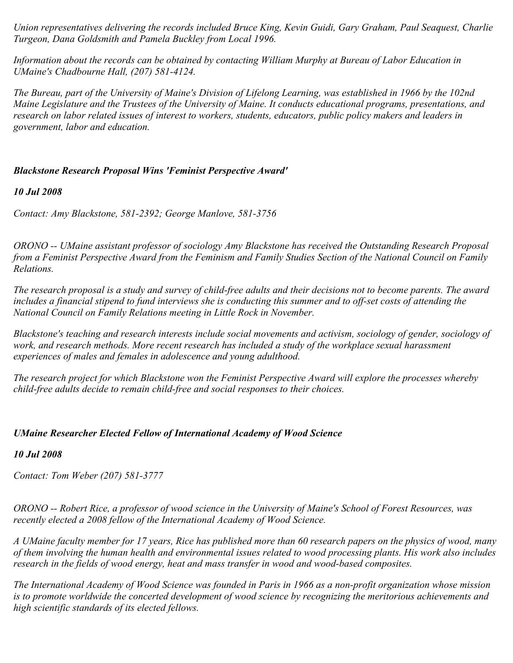*Union representatives delivering the records included Bruce King, Kevin Guidi, Gary Graham, Paul Seaquest, Charlie Turgeon, Dana Goldsmith and Pamela Buckley from Local 1996.*

*Information about the records can be obtained by contacting William Murphy at Bureau of Labor Education in UMaine's Chadbourne Hall, (207) 581-4124.*

*The Bureau, part of the University of Maine's Division of Lifelong Learning, was established in 1966 by the 102nd Maine Legislature and the Trustees of the University of Maine. It conducts educational programs, presentations, and research on labor related issues of interest to workers, students, educators, public policy makers and leaders in government, labor and education.*

# *Blackstone Research Proposal Wins 'Feminist Perspective Award'*

#### *10 Jul 2008*

*Contact: Amy Blackstone, 581-2392; George Manlove, 581-3756*

*ORONO -- UMaine assistant professor of sociology Amy Blackstone has received the Outstanding Research Proposal from a Feminist Perspective Award from the Feminism and Family Studies Section of the National Council on Family Relations.*

*The research proposal is a study and survey of child-free adults and their decisions not to become parents. The award includes a financial stipend to fund interviews she is conducting this summer and to off-set costs of attending the National Council on Family Relations meeting in Little Rock in November.*

*Blackstone's teaching and research interests include social movements and activism, sociology of gender, sociology of work, and research methods. More recent research has included a study of the workplace sexual harassment experiences of males and females in adolescence and young adulthood.*

*The research project for which Blackstone won the Feminist Perspective Award will explore the processes whereby child-free adults decide to remain child-free and social responses to their choices.*

# *UMaine Researcher Elected Fellow of International Academy of Wood Science*

# *10 Jul 2008*

*Contact: Tom Weber (207) 581-3777*

*ORONO -- Robert Rice, a professor of wood science in the University of Maine's School of Forest Resources, was recently elected a 2008 fellow of the International Academy of Wood Science.*

*A UMaine faculty member for 17 years, Rice has published more than 60 research papers on the physics of wood, many of them involving the human health and environmental issues related to wood processing plants. His work also includes research in the fields of wood energy, heat and mass transfer in wood and wood-based composites.*

*The International Academy of Wood Science was founded in Paris in 1966 as a non-profit organization whose mission is to promote worldwide the concerted development of wood science by recognizing the meritorious achievements and high scientific standards of its elected fellows.*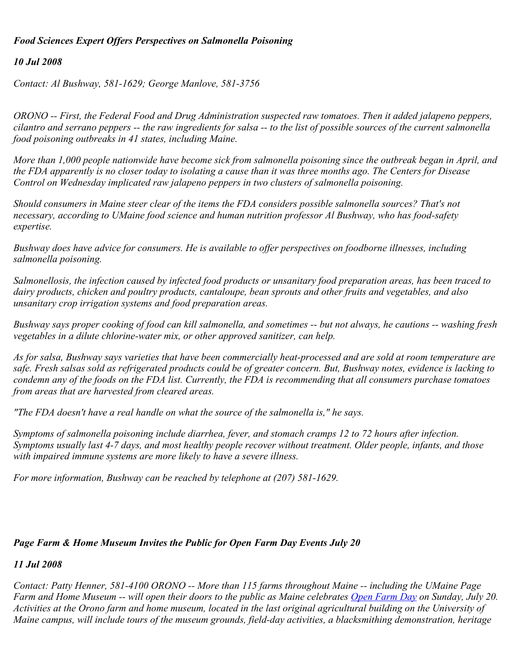# *Food Sciences Expert Offers Perspectives on Salmonella Poisoning*

# *10 Jul 2008*

*Contact: Al Bushway, 581-1629; George Manlove, 581-3756*

*ORONO -- First, the Federal Food and Drug Administration suspected raw tomatoes. Then it added jalapeno peppers, cilantro and serrano peppers -- the raw ingredients for salsa -- to the list of possible sources of the current salmonella food poisoning outbreaks in 41 states, including Maine.*

*More than 1,000 people nationwide have become sick from salmonella poisoning since the outbreak began in April, and the FDA apparently is no closer today to isolating a cause than it was three months ago. The Centers for Disease Control on Wednesday implicated raw jalapeno peppers in two clusters of salmonella poisoning.*

*Should consumers in Maine steer clear of the items the FDA considers possible salmonella sources? That's not necessary, according to UMaine food science and human nutrition professor Al Bushway, who has food-safety expertise.*

*Bushway does have advice for consumers. He is available to offer perspectives on foodborne illnesses, including salmonella poisoning.*

*Salmonellosis, the infection caused by infected food products or unsanitary food preparation areas, has been traced to dairy products, chicken and poultry products, cantaloupe, bean sprouts and other fruits and vegetables, and also unsanitary crop irrigation systems and food preparation areas.*

*Bushway says proper cooking of food can kill salmonella, and sometimes -- but not always, he cautions -- washing fresh vegetables in a dilute chlorine-water mix, or other approved sanitizer, can help.*

*As for salsa, Bushway says varieties that have been commercially heat-processed and are sold at room temperature are safe. Fresh salsas sold as refrigerated products could be of greater concern. But, Bushway notes, evidence is lacking to condemn any of the foods on the FDA list. Currently, the FDA is recommending that all consumers purchase tomatoes from areas that are harvested from cleared areas.*

*"The FDA doesn't have a real handle on what the source of the salmonella is," he says.*

*Symptoms of salmonella poisoning include diarrhea, fever, and stomach cramps 12 to 72 hours after infection. Symptoms usually last 4-7 days, and most healthy people recover without treatment. Older people, infants, and those with impaired immune systems are more likely to have a severe illness.*

*For more information, Bushway can be reached by telephone at (207) 581-1629.*

# *Page Farm & Home Museum Invites the Public for Open Farm Day Events July 20*

# *11 Jul 2008*

*Contact: Patty Henner, 581-4100 ORONO -- More than 115 farms throughout Maine -- including the UMaine Page Farm and Home Museum -- will open their doors to the public as Maine celebrates [Open Farm Day](http://www.getrealmaine.com/) on Sunday, July 20. Activities at the Orono farm and home museum, located in the last original agricultural building on the University of Maine campus, will include tours of the museum grounds, field-day activities, a blacksmithing demonstration, heritage*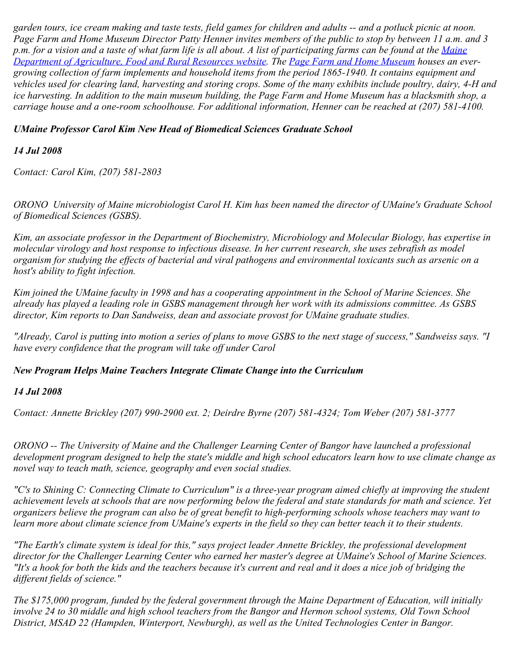*garden tours, ice cream making and taste tests, field games for children and adults -- and a potluck picnic at noon. Page Farm and Home Museum Director Patty Henner invites members of the public to stop by between 11 a.m. and 3 p.m. for a vision and a taste of what farm life is all about. A list of participating farms can be found at the [Maine](http://www.getrealmaine.com/) [Department of Agriculture, Food and Rural Resources website.](http://www.getrealmaine.com/) The [Page Farm and Home Museum](http://www.umaine.edu/pagefarm/) houses an evergrowing collection of farm implements and household items from the period 1865-1940. It contains equipment and vehicles used for clearing land, harvesting and storing crops. Some of the many exhibits include poultry, dairy, 4-H and ice harvesting. In addition to the main museum building, the Page Farm and Home Museum has a blacksmith shop, a carriage house and a one-room schoolhouse. For additional information, Henner can be reached at (207) 581-4100.* 

# *UMaine Professor Carol Kim New Head of Biomedical Sciences Graduate School*

# *14 Jul 2008*

*Contact: Carol Kim, (207) 581-2803*

*ORONO University of Maine microbiologist Carol H. Kim has been named the director of UMaine's Graduate School of Biomedical Sciences (GSBS).*

*Kim, an associate professor in the Department of Biochemistry, Microbiology and Molecular Biology, has expertise in molecular virology and host response to infectious disease. In her current research, she uses zebrafish as model organism for studying the effects of bacterial and viral pathogens and environmental toxicants such as arsenic on a host's ability to fight infection.*

*Kim joined the UMaine faculty in 1998 and has a cooperating appointment in the School of Marine Sciences. She already has played a leading role in GSBS management through her work with its admissions committee. As GSBS director, Kim reports to Dan Sandweiss, dean and associate provost for UMaine graduate studies.*

*"Already, Carol is putting into motion a series of plans to move GSBS to the next stage of success," Sandweiss says. "I have every confidence that the program will take off under Carol* 

# *New Program Helps Maine Teachers Integrate Climate Change into the Curriculum*

# *14 Jul 2008*

*Contact: Annette Brickley (207) 990-2900 ext. 2; Deirdre Byrne (207) 581-4324; Tom Weber (207) 581-3777*

*ORONO -- The University of Maine and the Challenger Learning Center of Bangor have launched a professional development program designed to help the state's middle and high school educators learn how to use climate change as novel way to teach math, science, geography and even social studies.*

*"C's to Shining C: Connecting Climate to Curriculum" is a three-year program aimed chiefly at improving the student achievement levels at schools that are now performing below the federal and state standards for math and science. Yet organizers believe the program can also be of great benefit to high-performing schools whose teachers may want to learn more about climate science from UMaine's experts in the field so they can better teach it to their students.*

*"The Earth's climate system is ideal for this," says project leader Annette Brickley, the professional development director for the Challenger Learning Center who earned her master's degree at UMaine's School of Marine Sciences. "It's a hook for both the kids and the teachers because it's current and real and it does a nice job of bridging the different fields of science."*

*The \$175,000 program, funded by the federal government through the Maine Department of Education, will initially involve 24 to 30 middle and high school teachers from the Bangor and Hermon school systems, Old Town School District, MSAD 22 (Hampden, Winterport, Newburgh), as well as the United Technologies Center in Bangor.*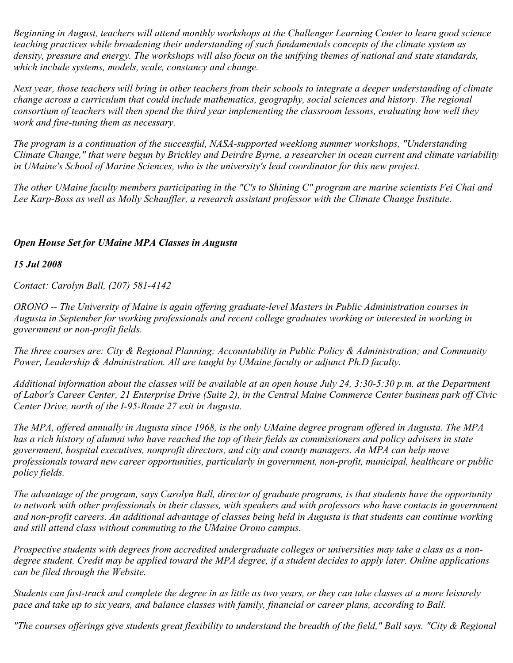*Beginning in August, teachers will attend monthly workshops at the Challenger Learning Center to learn good science teaching practices while broadening their understanding of such fundamentals concepts of the climate system as density, pressure and energy. The workshops will also focus on the unifying themes of national and state standards, which include systems, models, scale, constancy and change.*

*Next year, those teachers will bring in other teachers from their schools to integrate a deeper understanding of climate change across a curriculum that could include mathematics, geography, social sciences and history. The regional consortium of teachers will then spend the third year implementing the classroom lessons, evaluating how well they work and fine-tuning them as necessary.*

*The program is a continuation of the successful, NASA-supported weeklong summer workshops, "Understanding Climate Change," that were begun by Brickley and Deirdre Byrne, a researcher in ocean current and climate variability in UMaine's School of Marine Sciences, who is the university's lead coordinator for this new project.*

*The other UMaine faculty members participating in the "C's to Shining C" program are marine scientists Fei Chai and Lee Karp-Boss as well as Molly Schauffler, a research assistant professor with the Climate Change Institute.*

# *Open House Set for UMaine MPA Classes in Augusta*

#### *15 Jul 2008*

*Contact: Carolyn Ball, (207) 581-4142*

*ORONO -- The University of Maine is again offering graduate-level Masters in Public Administration courses in Augusta in September for working professionals and recent college graduates working or interested in working in government or non-profit fields.*

*The three courses are: City & Regional Planning; Accountability in Public Policy & Administration; and Community Power, Leadership & Administration. All are taught by UMaine faculty or adjunct Ph.D faculty.*

*Additional information about the classes will be available at an open house July 24, 3:30-5:30 p.m. at the Department of Labor's Career Center, 21 Enterprise Drive (Suite 2), in the Central Maine Commerce Center business park off Civic Center Drive, north of the I-95-Route 27 exit in Augusta.*

*The MPA, offered annually in Augusta since 1968, is the only UMaine degree program offered in Augusta. The MPA has a rich history of alumni who have reached the top of their fields as commissioners and policy advisers in state government, hospital executives, nonprofit directors, and city and county managers. An MPA can help move professionals toward new career opportunities, particularly in government, non-profit, municipal, healthcare or public policy fields.*

*The advantage of the program, says Carolyn Ball, director of graduate programs, is that students have the opportunity to network with other professionals in their classes, with speakers and with professors who have contacts in government and non-profit careers. An additional advantage of classes being held in Augusta is that students can continue working and still attend class without commuting to the UMaine Orono campus.*

*Prospective students with degrees from accredited undergraduate colleges or universities may take a class as a nondegree student. Credit may be applied toward the MPA degree, if a student decides to apply later. Online applications can be filed through the Website.*

*Students can fast-track and complete the degree in as little as two years, or they can take classes at a more leisurely pace and take up to six years, and balance classes with family, financial or career plans, according to Ball.*

*"The courses offerings give students great flexibility to understand the breadth of the field," Ball says. "City & Regional*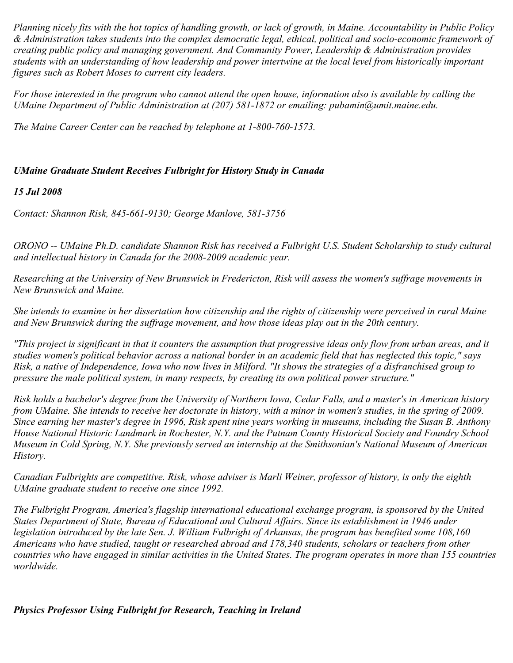*Planning nicely fits with the hot topics of handling growth, or lack of growth, in Maine. Accountability in Public Policy & Administration takes students into the complex democratic legal, ethical, political and socio-economic framework of creating public policy and managing government. And Community Power, Leadership & Administration provides students with an understanding of how leadership and power intertwine at the local level from historically important figures such as Robert Moses to current city leaders.*

*For those interested in the program who cannot attend the open house, information also is available by calling the UMaine Department of Public Administration at (207) 581-1872 or emailing: pubamin@umit.maine.edu.*

*The Maine Career Center can be reached by telephone at 1-800-760-1573.*

# *UMaine Graduate Student Receives Fulbright for History Study in Canada*

#### *15 Jul 2008*

*Contact: Shannon Risk, 845-661-9130; George Manlove, 581-3756*

*ORONO -- UMaine Ph.D. candidate Shannon Risk has received a Fulbright U.S. Student Scholarship to study cultural and intellectual history in Canada for the 2008-2009 academic year.*

*Researching at the University of New Brunswick in Fredericton, Risk will assess the women's suffrage movements in New Brunswick and Maine.*

*She intends to examine in her dissertation how citizenship and the rights of citizenship were perceived in rural Maine and New Brunswick during the suffrage movement, and how those ideas play out in the 20th century.*

*"This project is significant in that it counters the assumption that progressive ideas only flow from urban areas, and it studies women's political behavior across a national border in an academic field that has neglected this topic," says Risk, a native of Independence, Iowa who now lives in Milford. "It shows the strategies of a disfranchised group to pressure the male political system, in many respects, by creating its own political power structure."*

*Risk holds a bachelor's degree from the University of Northern Iowa, Cedar Falls, and a master's in American history from UMaine. She intends to receive her doctorate in history, with a minor in women's studies, in the spring of 2009. Since earning her master's degree in 1996, Risk spent nine years working in museums, including the Susan B. Anthony House National Historic Landmark in Rochester, N.Y. and the Putnam County Historical Society and Foundry School Museum in Cold Spring, N.Y. She previously served an internship at the Smithsonian's National Museum of American History.*

*Canadian Fulbrights are competitive. Risk, whose adviser is Marli Weiner, professor of history, is only the eighth UMaine graduate student to receive one since 1992.*

*The Fulbright Program, America's flagship international educational exchange program, is sponsored by the United States Department of State, Bureau of Educational and Cultural Affairs. Since its establishment in 1946 under legislation introduced by the late Sen. J. William Fulbright of Arkansas, the program has benefited some 108,160 Americans who have studied, taught or researched abroad and 178,340 students, scholars or teachers from other countries who have engaged in similar activities in the United States. The program operates in more than 155 countries worldwide.*

*Physics Professor Using Fulbright for Research, Teaching in Ireland*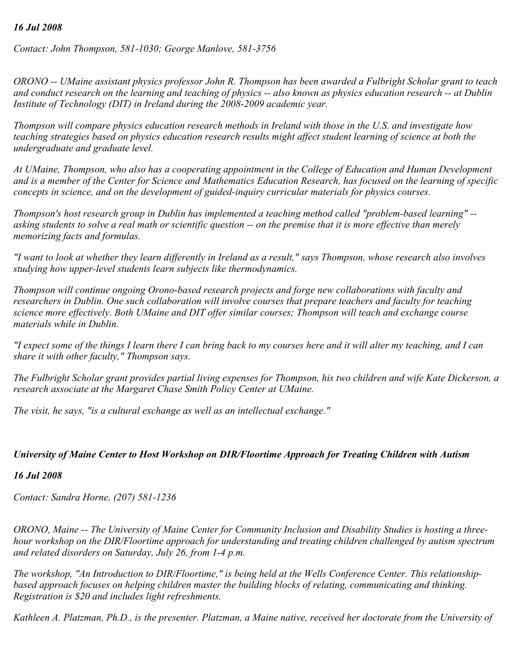# *16 Jul 2008*

*Contact: John Thompson, 581-1030; George Manlove, 581-3756*

*ORONO -- UMaine assistant physics professor John R. Thompson has been awarded a Fulbright Scholar grant to teach and conduct research on the learning and teaching of physics -- also known as physics education research -- at Dublin Institute of Technology (DIT) in Ireland during the 2008-2009 academic year.*

*Thompson will compare physics education research methods in Ireland with those in the U.S. and investigate how teaching strategies based on physics education research results might affect student learning of science at both the undergraduate and graduate level.*

*At UMaine, Thompson, who also has a cooperating appointment in the College of Education and Human Development and is a member of the Center for Science and Mathematics Education Research, has focused on the learning of specific concepts in science, and on the development of guided-inquiry curricular materials for physics courses.*

*Thompson's host research group in Dublin has implemented a teaching method called "problem-based learning" - asking students to solve a real math or scientific question -- on the premise that it is more effective than merely memorizing facts and formulas.*

*"I want to look at whether they learn differently in Ireland as a result," says Thompson, whose research also involves studying how upper-level students learn subjects like thermodynamics.*

*Thompson will continue ongoing Orono-based research projects and forge new collaborations with faculty and researchers in Dublin. One such collaboration will involve courses that prepare teachers and faculty for teaching science more effectively. Both UMaine and DIT offer similar courses; Thompson will teach and exchange course materials while in Dublin.*

*"I expect some of the things I learn there I can bring back to my courses here and it will alter my teaching, and I can share it with other faculty," Thompson says.*

*The Fulbright Scholar grant provides partial living expenses for Thompson, his two children and wife Kate Dickerson, a research associate at the Margaret Chase Smith Policy Center at UMaine.*

*The visit, he says, "is a cultural exchange as well as an intellectual exchange."*

#### *University of Maine Center to Host Workshop on DIR/Floortime Approach for Treating Children with Autism*

#### *16 Jul 2008*

*Contact: Sandra Horne, (207) 581-1236*

*ORONO, Maine -- The University of Maine Center for Community Inclusion and Disability Studies is hosting a threehour workshop on the DIR/Floortime approach for understanding and treating children challenged by autism spectrum and related disorders on Saturday, July 26, from 1-4 p.m.*

*The workshop, "An Introduction to DIR/Floortime," is being held at the Wells Conference Center. This relationshipbased approach focuses on helping children master the building blocks of relating, communicating and thinking. Registration is \$20 and includes light refreshments.*

*Kathleen A. Platzman, Ph.D., is the presenter. Platzman, a Maine native, received her doctorate from the University of*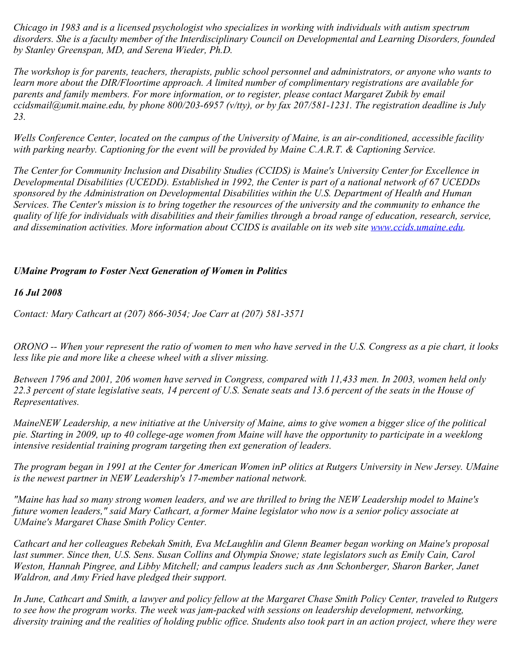*Chicago in 1983 and is a licensed psychologist who specializes in working with individuals with autism spectrum disorders. She is a faculty member of the Interdisciplinary Council on Developmental and Learning Disorders, founded by Stanley Greenspan, MD, and Serena Wieder, Ph.D.*

*The workshop is for parents, teachers, therapists, public school personnel and administrators, or anyone who wants to learn more about the DIR/Floortime approach. A limited number of complimentary registrations are available for parents and family members. For more information, or to register, please contact Margaret Zubik by email ccidsmail@umit.maine.edu, by phone 800/203-6957 (v/tty), or by fax 207/581-1231. The registration deadline is July 23.*

*Wells Conference Center, located on the campus of the University of Maine, is an air-conditioned, accessible facility with parking nearby. Captioning for the event will be provided by Maine C.A.R.T. & Captioning Service.*

*The Center for Community Inclusion and Disability Studies (CCIDS) is Maine's University Center for Excellence in Developmental Disabilities (UCEDD). Established in 1992, the Center is part of a national network of 67 UCEDDs sponsored by the Administration on Developmental Disabilities within the U.S. Department of Health and Human Services. The Center's mission is to bring together the resources of the university and the community to enhance the quality of life for individuals with disabilities and their families through a broad range of education, research, service, and dissemination activities. More information about CCIDS is available on its web site [www.ccids.umaine.edu](http://www.ccids.umaine.edu/).*

# *UMaine Program to Foster Next Generation of Women in Politics*

*16 Jul 2008*

*Contact: Mary Cathcart at (207) 866-3054; Joe Carr at (207) 581-3571*

*ORONO -- When your represent the ratio of women to men who have served in the U.S. Congress as a pie chart, it looks less like pie and more like a cheese wheel with a sliver missing.*

*Between 1796 and 2001, 206 women have served in Congress, compared with 11,433 men. In 2003, women held only 22.3 percent of state legislative seats, 14 percent of U.S. Senate seats and 13.6 percent of the seats in the House of Representatives.*

*MaineNEW Leadership, a new initiative at the University of Maine, aims to give women a bigger slice of the political pie. Starting in 2009, up to 40 college-age women from Maine will have the opportunity to participate in a weeklong intensive residential training program targeting then ext generation of leaders.*

*The program began in 1991 at the Center for American Women inP olitics at Rutgers University in New Jersey. UMaine is the newest partner in NEW Leadership's 17-member national network.*

*"Maine has had so many strong women leaders, and we are thrilled to bring the NEW Leadership model to Maine's future women leaders," said Mary Cathcart, a former Maine legislator who now is a senior policy associate at UMaine's Margaret Chase Smith Policy Center.*

*Cathcart and her colleagues Rebekah Smith, Eva McLaughlin and Glenn Beamer began working on Maine's proposal last summer. Since then, U.S. Sens. Susan Collins and Olympia Snowe; state legislators such as Emily Cain, Carol Weston, Hannah Pingree, and Libby Mitchell; and campus leaders such as Ann Schonberger, Sharon Barker, Janet Waldron, and Amy Fried have pledged their support.*

*In June, Cathcart and Smith, a lawyer and policy fellow at the Margaret Chase Smith Policy Center, traveled to Rutgers to see how the program works. The week was jam-packed with sessions on leadership development, networking, diversity training and the realities of holding public office. Students also took part in an action project, where they were*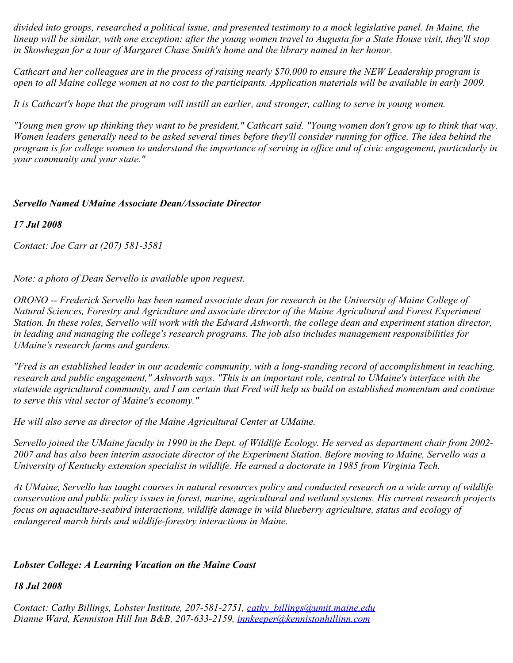*divided into groups, researched a political issue, and presented testimony to a mock legislative panel. In Maine, the lineup will be similar, with one exception: after the young women travel to Augusta for a State House visit, they'll stop in Skowhegan for a tour of Margaret Chase Smith's home and the library named in her honor.*

*Cathcart and her colleagues are in the process of raising nearly \$70,000 to ensure the NEW Leadership program is open to all Maine college women at no cost to the participants. Application materials will be available in early 2009.*

*It is Cathcart's hope that the program will instill an earlier, and stronger, calling to serve in young women.*

*"Young men grow up thinking they want to be president," Cathcart said. "Young women don't grow up to think that way. Women leaders generally need to be asked several times before they'll consider running for office. The idea behind the program is for college women to understand the importance of serving in office and of civic engagement, particularly in your community and your state."*

# *Servello Named UMaine Associate Dean/Associate Director*

# *17 Jul 2008*

*Contact: Joe Carr at (207) 581-3581*

*Note: a photo of Dean Servello is available upon request.*

*ORONO -- Frederick Servello has been named associate dean for research in the University of Maine College of Natural Sciences, Forestry and Agriculture and associate director of the Maine Agricultural and Forest Experiment Station. In these roles, Servello will work with the Edward Ashworth, the college dean and experiment station director, in leading and managing the college's research programs. The job also includes management responsibilities for UMaine's research farms and gardens.*

*"Fred is an established leader in our academic community, with a long-standing record of accomplishment in teaching, research and public engagement," Ashworth says. "This is an important role, central to UMaine's interface with the statewide agricultural community, and I am certain that Fred will help us build on established momentum and continue to serve this vital sector of Maine's economy."*

*He will also serve as director of the Maine Agricultural Center at UMaine.*

*Servello joined the UMaine faculty in 1990 in the Dept. of Wildlife Ecology. He served as department chair from 2002- 2007 and has also been interim associate director of the Experiment Station. Before moving to Maine, Servello was a University of Kentucky extension specialist in wildlife. He earned a doctorate in 1985 from Virginia Tech.*

*At UMaine, Servello has taught courses in natural resources policy and conducted research on a wide array of wildlife conservation and public policy issues in forest, marine, agricultural and wetland systems. His current research projects focus on aquaculture-seabird interactions, wildlife damage in wild blueberry agriculture, status and ecology of endangered marsh birds and wildlife-forestry interactions in Maine.*

# *Lobster College: A Learning Vacation on the Maine Coast*

# *18 Jul 2008*

*Contact: Cathy Billings, Lobster Institute, 207-581-2751, [cathy\\_billings@umit.maine.edu](mailto:cathy_billings@umit.maine.edu) Dianne Ward, Kenniston Hill Inn B&B, 207-633-2159, [innkeeper@kennistonhillinn.com](mailto:innkeeper@kennistonhillinn.com)*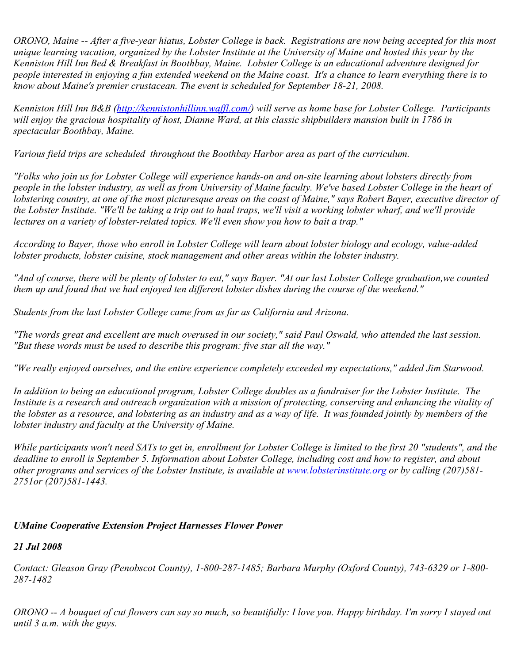*ORONO, Maine -- After a five-year hiatus, Lobster College is back. Registrations are now being accepted for this most unique learning vacation, organized by the Lobster Institute at the University of Maine and hosted this year by the Kenniston Hill Inn Bed & Breakfast in Boothbay, Maine. Lobster College is an educational adventure designed for people interested in enjoying a fun extended weekend on the Maine coast. It's a chance to learn everything there is to know about Maine's premier crustacean. The event is scheduled for September 18-21, 2008.*

*Kenniston Hill Inn B&B [\(http://kennistonhillinn.waffl.com/](http://kennistonhillinn.waffl.com/)) will serve as home base for Lobster College. Participants will enjoy the gracious hospitality of host, Dianne Ward, at this classic shipbuilders mansion built in 1786 in spectacular Boothbay, Maine.* 

*Various field trips are scheduled throughout the Boothbay Harbor area as part of the curriculum.* 

*"Folks who join us for Lobster College will experience hands-on and on-site learning about lobsters directly from people in the lobster industry, as well as from University of Maine faculty. We've based Lobster College in the heart of lobstering country, at one of the most picturesque areas on the coast of Maine," says Robert Bayer, executive director of the Lobster Institute. "We'll be taking a trip out to haul traps, we'll visit a working lobster wharf, and we'll provide lectures on a variety of lobster-related topics. We'll even show you how to bait a trap."*

*According to Bayer, those who enroll in Lobster College will learn about lobster biology and ecology, value-added lobster products, lobster cuisine, stock management and other areas within the lobster industry.* 

*"And of course, there will be plenty of lobster to eat," says Bayer. "At our last Lobster College graduation,we counted them up and found that we had enjoyed ten different lobster dishes during the course of the weekend."*

*Students from the last Lobster College came from as far as California and Arizona.*

*"The words great and excellent are much overused in our society," said Paul Oswald, who attended the last session. "But these words must be used to describe this program: five star all the way."*

*"We really enjoyed ourselves, and the entire experience completely exceeded my expectations," added Jim Starwood.*

*In addition to being an educational program, Lobster College doubles as a fundraiser for the Lobster Institute. The Institute is a research and outreach organization with a mission of protecting, conserving and enhancing the vitality of the lobster as a resource, and lobstering as an industry and as a way of life. It was founded jointly by members of the lobster industry and faculty at the University of Maine.*

*While participants won't need SATs to get in, enrollment for Lobster College is limited to the first 20 "students", and the deadline to enroll is September 5. Information about Lobster College, including cost and how to register, and about other programs and services of the Lobster Institute, is available at [www.lobsterinstitute.org](http://www.lobsterinstitute.org/) or by calling (207)581- 2751or (207)581-1443.*

# *UMaine Cooperative Extension Project Harnesses Flower Power*

# *21 Jul 2008*

*Contact: Gleason Gray (Penobscot County), 1-800-287-1485; Barbara Murphy (Oxford County), 743-6329 or 1-800- 287-1482*

*ORONO -- A bouquet of cut flowers can say so much, so beautifully: I love you. Happy birthday. I'm sorry I stayed out until 3 a.m. with the guys.*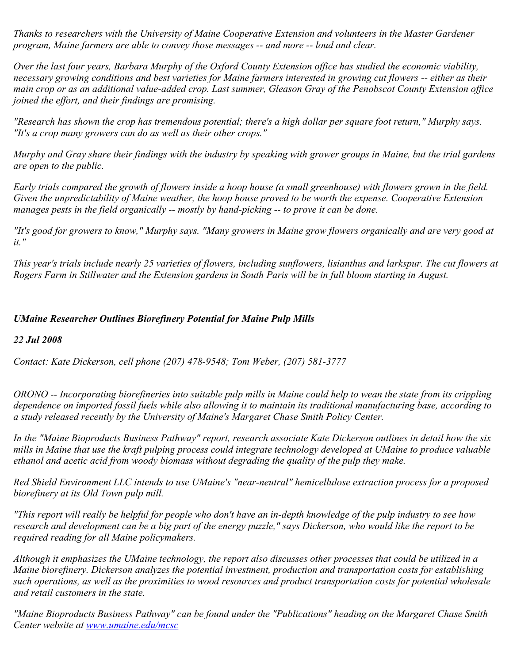*Thanks to researchers with the University of Maine Cooperative Extension and volunteers in the Master Gardener program, Maine farmers are able to convey those messages -- and more -- loud and clear.*

*Over the last four years, Barbara Murphy of the Oxford County Extension office has studied the economic viability, necessary growing conditions and best varieties for Maine farmers interested in growing cut flowers -- either as their main crop or as an additional value-added crop. Last summer, Gleason Gray of the Penobscot County Extension office joined the effort, and their findings are promising.*

*"Research has shown the crop has tremendous potential; there's a high dollar per square foot return," Murphy says. "It's a crop many growers can do as well as their other crops."*

*Murphy and Gray share their findings with the industry by speaking with grower groups in Maine, but the trial gardens are open to the public.*

*Early trials compared the growth of flowers inside a hoop house (a small greenhouse) with flowers grown in the field. Given the unpredictability of Maine weather, the hoop house proved to be worth the expense. Cooperative Extension manages pests in the field organically -- mostly by hand-picking -- to prove it can be done.*

*"It's good for growers to know," Murphy says. "Many growers in Maine grow flowers organically and are very good at it."*

*This year's trials include nearly 25 varieties of flowers, including sunflowers, lisianthus and larkspur. The cut flowers at Rogers Farm in Stillwater and the Extension gardens in South Paris will be in full bloom starting in August.*

# *UMaine Researcher Outlines Biorefinery Potential for Maine Pulp Mills*

# *22 Jul 2008*

*Contact: Kate Dickerson, cell phone (207) 478-9548; Tom Weber, (207) 581-3777*

*ORONO -- Incorporating biorefineries into suitable pulp mills in Maine could help to wean the state from its crippling dependence on imported fossil fuels while also allowing it to maintain its traditional manufacturing base, according to a study released recently by the University of Maine's Margaret Chase Smith Policy Center.*

*In the "Maine Bioproducts Business Pathway" report, research associate Kate Dickerson outlines in detail how the six mills in Maine that use the kraft pulping process could integrate technology developed at UMaine to produce valuable ethanol and acetic acid from woody biomass without degrading the quality of the pulp they make.*

*Red Shield Environment LLC intends to use UMaine's "near-neutral" hemicellulose extraction process for a proposed biorefinery at its Old Town pulp mill.*

*"This report will really be helpful for people who don't have an in-depth knowledge of the pulp industry to see how research and development can be a big part of the energy puzzle," says Dickerson, who would like the report to be required reading for all Maine policymakers.*

*Although it emphasizes the UMaine technology, the report also discusses other processes that could be utilized in a Maine biorefinery. Dickerson analyzes the potential investment, production and transportation costs for establishing such operations, as well as the proximities to wood resources and product transportation costs for potential wholesale and retail customers in the state.*

*"Maine Bioproducts Business Pathway" can be found under the "Publications" heading on the Margaret Chase Smith Center website at [www.umaine.edu/mcsc](http://www.umaine.edu/mcsc)*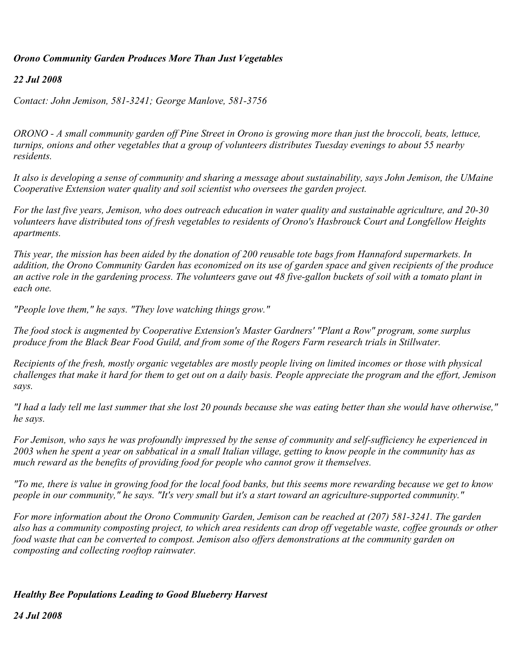# *Orono Community Garden Produces More Than Just Vegetables*

### *22 Jul 2008*

*Contact: John Jemison, 581-3241; George Manlove, 581-3756*

*ORONO - A small community garden off Pine Street in Orono is growing more than just the broccoli, beats, lettuce, turnips, onions and other vegetables that a group of volunteers distributes Tuesday evenings to about 55 nearby residents.*

*It also is developing a sense of community and sharing a message about sustainability, says John Jemison, the UMaine Cooperative Extension water quality and soil scientist who oversees the garden project.*

*For the last five years, Jemison, who does outreach education in water quality and sustainable agriculture, and 20-30 volunteers have distributed tons of fresh vegetables to residents of Orono's Hasbrouck Court and Longfellow Heights apartments.*

*This year, the mission has been aided by the donation of 200 reusable tote bags from Hannaford supermarkets. In addition, the Orono Community Garden has economized on its use of garden space and given recipients of the produce an active role in the gardening process. The volunteers gave out 48 five-gallon buckets of soil with a tomato plant in each one.*

*"People love them," he says. "They love watching things grow."*

*The food stock is augmented by Cooperative Extension's Master Gardners' "Plant a Row" program, some surplus produce from the Black Bear Food Guild, and from some of the Rogers Farm research trials in Stillwater.*

*Recipients of the fresh, mostly organic vegetables are mostly people living on limited incomes or those with physical challenges that make it hard for them to get out on a daily basis. People appreciate the program and the effort, Jemison says.*

*"I had a lady tell me last summer that she lost 20 pounds because she was eating better than she would have otherwise," he says.*

*For Jemison, who says he was profoundly impressed by the sense of community and self-sufficiency he experienced in 2003 when he spent a year on sabbatical in a small Italian village, getting to know people in the community has as much reward as the benefits of providing food for people who cannot grow it themselves.*

*"To me, there is value in growing food for the local food banks, but this seems more rewarding because we get to know people in our community," he says. "It's very small but it's a start toward an agriculture-supported community."*

*For more information about the Orono Community Garden, Jemison can be reached at (207) 581-3241. The garden also has a community composting project, to which area residents can drop off vegetable waste, coffee grounds or other food waste that can be converted to compost. Jemison also offers demonstrations at the community garden on composting and collecting rooftop rainwater.*

# *Healthy Bee Populations Leading to Good Blueberry Harvest*

*24 Jul 2008*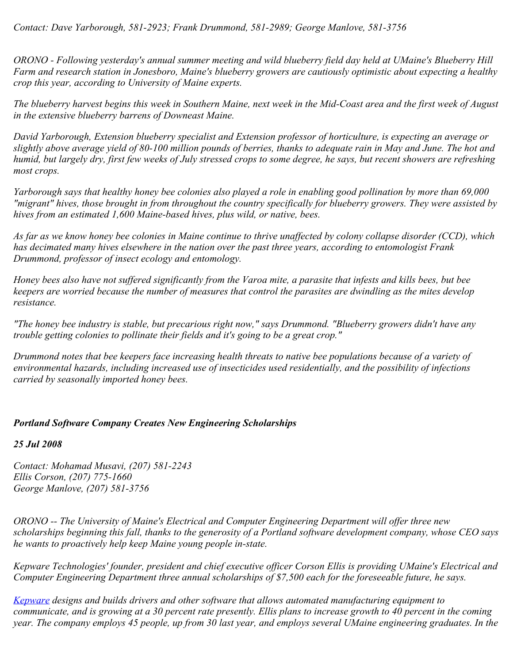*ORONO - Following yesterday's annual summer meeting and wild blueberry field day held at UMaine's Blueberry Hill Farm and research station in Jonesboro, Maine's blueberry growers are cautiously optimistic about expecting a healthy crop this year, according to University of Maine experts.*

*The blueberry harvest begins this week in Southern Maine, next week in the Mid-Coast area and the first week of August in the extensive blueberry barrens of Downeast Maine.*

*David Yarborough, Extension blueberry specialist and Extension professor of horticulture, is expecting an average or slightly above average yield of 80-100 million pounds of berries, thanks to adequate rain in May and June. The hot and humid, but largely dry, first few weeks of July stressed crops to some degree, he says, but recent showers are refreshing most crops.*

*Yarborough says that healthy honey bee colonies also played a role in enabling good pollination by more than 69,000 "migrant" hives, those brought in from throughout the country specifically for blueberry growers. They were assisted by hives from an estimated 1,600 Maine-based hives, plus wild, or native, bees.*

*As far as we know honey bee colonies in Maine continue to thrive unaffected by colony collapse disorder (CCD), which has decimated many hives elsewhere in the nation over the past three years, according to entomologist Frank Drummond, professor of insect ecology and entomology.*

*Honey bees also have not suffered significantly from the Varoa mite, a parasite that infests and kills bees, but bee keepers are worried because the number of measures that control the parasites are dwindling as the mites develop resistance.*

*"The honey bee industry is stable, but precarious right now," says Drummond. "Blueberry growers didn't have any trouble getting colonies to pollinate their fields and it's going to be a great crop."*

*Drummond notes that bee keepers face increasing health threats to native bee populations because of a variety of environmental hazards, including increased use of insecticides used residentially, and the possibility of infections carried by seasonally imported honey bees.*

# *Portland Software Company Creates New Engineering Scholarships*

*25 Jul 2008*

*Contact: Mohamad Musavi, (207) 581-2243 Ellis Corson, (207) 775-1660 George Manlove, (207) 581-3756*

*ORONO -- The University of Maine's Electrical and Computer Engineering Department will offer three new scholarships beginning this fall, thanks to the generosity of a Portland software development company, whose CEO says he wants to proactively help keep Maine young people in-state.*

*Kepware Technologies' founder, president and chief executive officer Corson Ellis is providing UMaine's Electrical and Computer Engineering Department three annual scholarships of \$7,500 each for the foreseeable future, he says.* 

*[Kepware](http://www.kepware.com/) designs and builds drivers and other software that allows automated manufacturing equipment to communicate, and is growing at a 30 percent rate presently. Ellis plans to increase growth to 40 percent in the coming year. The company employs 45 people, up from 30 last year, and employs several UMaine engineering graduates. In the*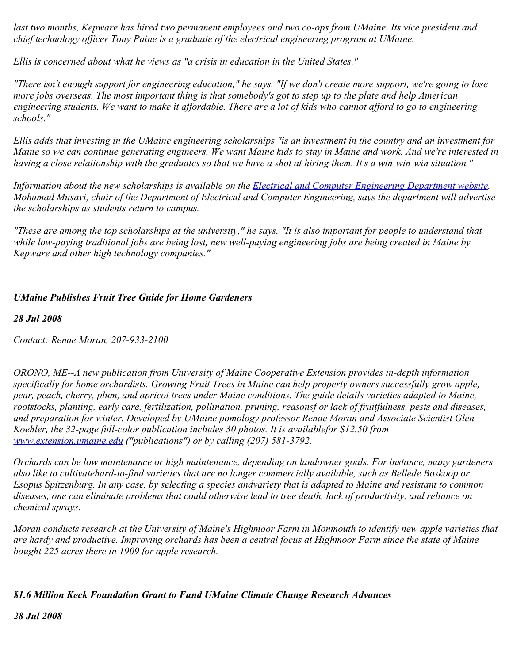*last two months, Kepware has hired two permanent employees and two co-ops from UMaine. Its vice president and chief technology officer Tony Paine is a graduate of the electrical engineering program at UMaine.*

*Ellis is concerned about what he views as "a crisis in education in the United States."* 

*"There isn't enough support for engineering education," he says. "If we don't create more support, we're going to lose more jobs overseas. The most important thing is that somebody's got to step up to the plate and help American engineering students. We want to make it affordable. There are a lot of kids who cannot afford to go to engineering schools."*

*Ellis adds that investing in the UMaine engineering scholarships "is an investment in the country and an investment for Maine so we can continue generating engineers. We want Maine kids to stay in Maine and work. And we're interested in having a close relationship with the graduates so that we have a shot at hiring them. It's a win-win-win situation."*

*Information about the new scholarships is available on the [Electrical and Computer Engineering Department website](http://www.eece.maine.edu/). Mohamad Musavi, chair of the Department of Electrical and Computer Engineering, says the department will advertise the scholarships as students return to campus.*

*"These are among the top scholarships at the university," he says. "It is also important for people to understand that while low-paying traditional jobs are being lost, new well-paying engineering jobs are being created in Maine by Kepware and other high technology companies."*

# *UMaine Publishes Fruit Tree Guide for Home Gardeners*

# *28 Jul 2008*

*Contact: Renae Moran, 207-933-2100*

*ORONO, ME--A new publication from University of Maine Cooperative Extension provides in-depth information specifically for home orchardists. Growing Fruit Trees in Maine can help property owners successfully grow apple, pear, peach, cherry, plum, and apricot trees under Maine conditions. The guide details varieties adapted to Maine, rootstocks, planting, early care, fertilization, pollination, pruning, reasonsf or lack of fruitfulness, pests and diseases, and preparation for winter. Developed by UMaine pomology professor Renae Moran and Associate Scientist Glen Koehler, the 32-page full-color publication includes 30 photos. It is availablefor \$12.50 from [www.extension.umaine.edu](http://www.extension.umaine.edu/) ("publications") or by calling (207) 581-3792.*

*Orchards can be low maintenance or high maintenance, depending on landowner goals. For instance, many gardeners also like to cultivatehard-to-find varieties that are no longer commercially available, such as Bellede Boskoop or Esopus Spitzenburg. In any case, by selecting a species andvariety that is adapted to Maine and resistant to common diseases, one can eliminate problems that could otherwise lead to tree death, lack of productivity, and reliance on chemical sprays.*

*Moran conducts research at the University of Maine's Highmoor Farm in Monmouth to identify new apple varieties that are hardy and productive. Improving orchards has been a central focus at Highmoor Farm since the state of Maine bought 225 acres there in 1909 for apple research.*

# *\$1.6 Million Keck Foundation Grant to Fund UMaine Climate Change Research Advances*

*28 Jul 2008*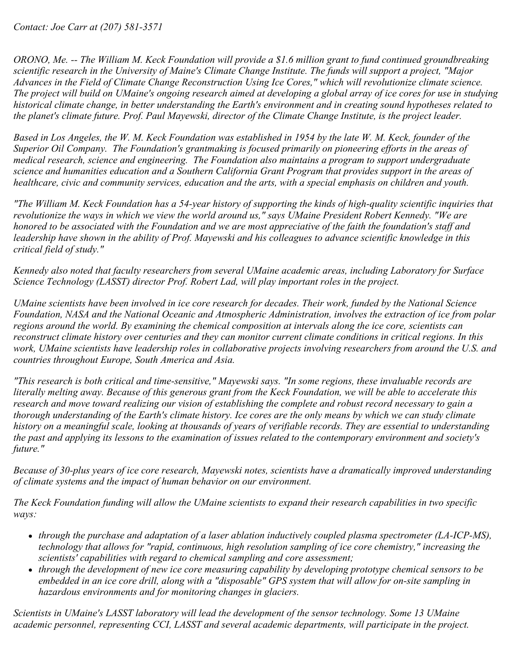*Contact: Joe Carr at (207) 581-3571*

*ORONO, Me. -- The William M. Keck Foundation will provide a \$1.6 million grant to fund continued groundbreaking scientific research in the University of Maine's Climate Change Institute. The funds will support a project, "Major Advances in the Field of Climate Change Reconstruction Using Ice Cores," which will revolutionize climate science. The project will build on UMaine's ongoing research aimed at developing a global array of ice cores for use in studying historical climate change, in better understanding the Earth's environment and in creating sound hypotheses related to the planet's climate future. Prof. Paul Mayewski, director of the Climate Change Institute, is the project leader.*

*Based in Los Angeles, the W. M. Keck Foundation was established in 1954 by the late W. M. Keck, founder of the Superior Oil Company. The Foundation's grantmaking is focused primarily on pioneering efforts in the areas of medical research, science and engineering. The Foundation also maintains a program to support undergraduate science and humanities education and a Southern California Grant Program that provides support in the areas of healthcare, civic and community services, education and the arts, with a special emphasis on children and youth.*

*"The William M. Keck Foundation has a 54-year history of supporting the kinds of high-quality scientific inquiries that revolutionize the ways in which we view the world around us," says UMaine President Robert Kennedy. "We are honored to be associated with the Foundation and we are most appreciative of the faith the foundation's staff and leadership have shown in the ability of Prof. Mayewski and his colleagues to advance scientific knowledge in this critical field of study."*

*Kennedy also noted that faculty researchers from several UMaine academic areas, including Laboratory for Surface Science Technology (LASST) director Prof. Robert Lad, will play important roles in the project.*

*UMaine scientists have been involved in ice core research for decades. Their work, funded by the National Science Foundation, NASA and the National Oceanic and Atmospheric Administration, involves the extraction of ice from polar regions around the world. By examining the chemical composition at intervals along the ice core, scientists can reconstruct climate history over centuries and they can monitor current climate conditions in critical regions. In this work, UMaine scientists have leadership roles in collaborative projects involving researchers from around the U.S. and countries throughout Europe, South America and Asia.*

*"This research is both critical and time-sensitive," Mayewski says. "In some regions, these invaluable records are literally melting away. Because of this generous grant from the Keck Foundation, we will be able to accelerate this research and move toward realizing our vision of establishing the complete and robust record necessary to gain a thorough understanding of the Earth's climate history. Ice cores are the only means by which we can study climate history on a meaningful scale, looking at thousands of years of verifiable records. They are essential to understanding the past and applying its lessons to the examination of issues related to the contemporary environment and society's future."*

*Because of 30-plus years of ice core research, Mayewski notes, scientists have a dramatically improved understanding of climate systems and the impact of human behavior on our environment.*

*The Keck Foundation funding will allow the UMaine scientists to expand their research capabilities in two specific ways:*

- *through the purchase and adaptation of a laser ablation inductively coupled plasma spectrometer (LA-ICP-MS), technology that allows for "rapid, continuous, high resolution sampling of ice core chemistry," increasing the scientists' capabilities with regard to chemical sampling and core assessment;*
- *through the development of new ice core measuring capability by developing prototype chemical sensors to be embedded in an ice core drill, along with a "disposable" GPS system that will allow for on-site sampling in hazardous environments and for monitoring changes in glaciers.*

*Scientists in UMaine's LASST laboratory will lead the development of the sensor technology. Some 13 UMaine academic personnel, representing CCI, LASST and several academic departments, will participate in the project.*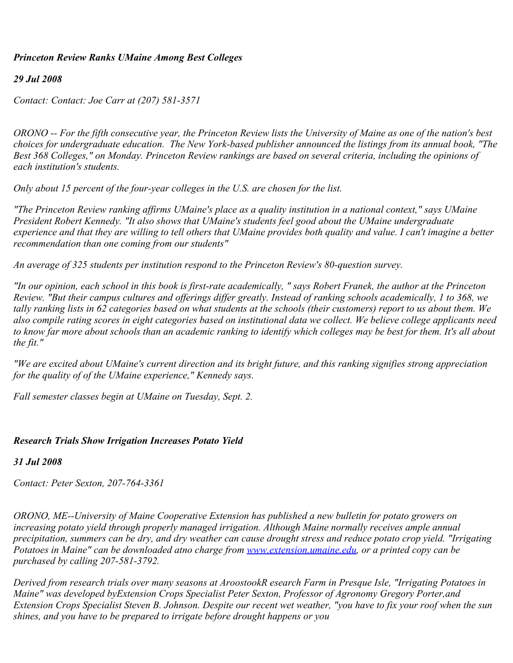### *Princeton Review Ranks UMaine Among Best Colleges*

#### *29 Jul 2008*

*Contact: Contact: Joe Carr at (207) 581-3571*

*ORONO -- For the fifth consecutive year, the Princeton Review lists the University of Maine as one of the nation's best choices for undergraduate education. The New York-based publisher announced the listings from its annual book, "The Best 368 Colleges," on Monday. Princeton Review rankings are based on several criteria, including the opinions of each institution's students.*

*Only about 15 percent of the four-year colleges in the U.S. are chosen for the list.*

*"The Princeton Review ranking affirms UMaine's place as a quality institution in a national context," says UMaine President Robert Kennedy. "It also shows that UMaine's students feel good about the UMaine undergraduate experience and that they are willing to tell others that UMaine provides both quality and value. I can't imagine a better recommendation than one coming from our students"*

*An average of 325 students per institution respond to the Princeton Review's 80-question survey.*

*"In our opinion, each school in this book is first-rate academically, " says Robert Franek, the author at the Princeton Review. "But their campus cultures and offerings differ greatly. Instead of ranking schools academically, 1 to 368, we tally ranking lists in 62 categories based on what students at the schools (their customers) report to us about them. We also compile rating scores in eight categories based on institutional data we collect. We believe college applicants need to know far more about schools than an academic ranking to identify which colleges may be best for them. It's all about the fit."*

*"We are excited about UMaine's current direction and its bright future, and this ranking signifies strong appreciation for the quality of of the UMaine experience," Kennedy says.*

*Fall semester classes begin at UMaine on Tuesday, Sept. 2.*

# *Research Trials Show Irrigation Increases Potato Yield*

# *31 Jul 2008*

*Contact: Peter Sexton, 207-764-3361*

*ORONO, ME--University of Maine Cooperative Extension has published a new bulletin for potato growers on increasing potato yield through properly managed irrigation. Although Maine normally receives ample annual precipitation, summers can be dry, and dry weather can cause drought stress and reduce potato crop yield. "Irrigating Potatoes in Maine" can be downloaded atno charge from [www.extension.umaine.edu](http://www.extension.umaine.edu/), or a printed copy can be purchased by calling 207-581-3792.*

*Derived from research trials over many seasons at AroostookR esearch Farm in Presque Isle, "Irrigating Potatoes in Maine" was developed byExtension Crops Specialist Peter Sexton, Professor of Agronomy Gregory Porter,and Extension Crops Specialist Steven B. Johnson. Despite our recent wet weather, "you have to fix your roof when the sun shines, and you have to be prepared to irrigate before drought happens or you*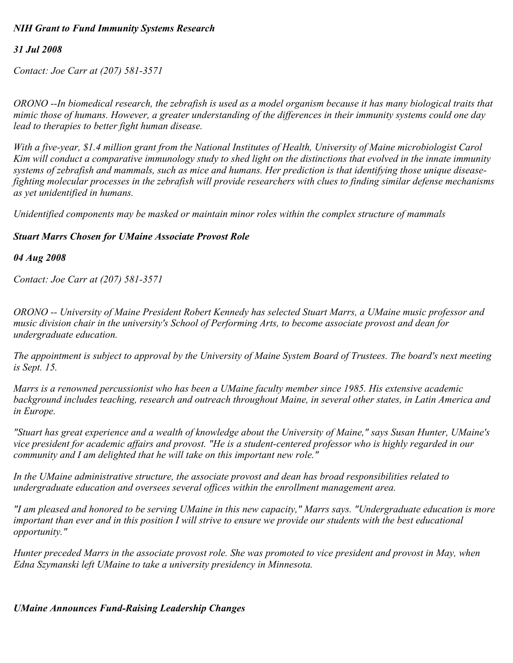# *NIH Grant to Fund Immunity Systems Research*

# *31 Jul 2008*

*Contact: Joe Carr at (207) 581-3571*

*ORONO --In biomedical research, the zebrafish is used as a model organism because it has many biological traits that mimic those of humans. However, a greater understanding of the differences in their immunity systems could one day lead to therapies to better fight human disease.*

*With a five-year, \$1.4 million grant from the National Institutes of Health, University of Maine microbiologist Carol Kim will conduct a comparative immunology study to shed light on the distinctions that evolved in the innate immunity systems of zebrafish and mammals, such as mice and humans. Her prediction is that identifying those unique diseasefighting molecular processes in the zebrafish will provide researchers with clues to finding similar defense mechanisms as yet unidentified in humans.*

*Unidentified components may be masked or maintain minor roles within the complex structure of mammals* 

# *Stuart Marrs Chosen for UMaine Associate Provost Role*

#### *04 Aug 2008*

*Contact: Joe Carr at (207) 581-3571*

*ORONO -- University of Maine President Robert Kennedy has selected Stuart Marrs, a UMaine music professor and music division chair in the university's School of Performing Arts, to become associate provost and dean for undergraduate education.*

*The appointment is subject to approval by the University of Maine System Board of Trustees. The board's next meeting is Sept. 15.*

*Marrs is a renowned percussionist who has been a UMaine faculty member since 1985. His extensive academic background includes teaching, research and outreach throughout Maine, in several other states, in Latin America and in Europe.*

*"Stuart has great experience and a wealth of knowledge about the University of Maine," says Susan Hunter, UMaine's vice president for academic affairs and provost. "He is a student-centered professor who is highly regarded in our community and I am delighted that he will take on this important new role."*

*In the UMaine administrative structure, the associate provost and dean has broad responsibilities related to undergraduate education and oversees several offices within the enrollment management area.*

*"I am pleased and honored to be serving UMaine in this new capacity," Marrs says. "Undergraduate education is more important than ever and in this position I will strive to ensure we provide our students with the best educational opportunity."*

*Hunter preceded Marrs in the associate provost role. She was promoted to vice president and provost in May, when Edna Szymanski left UMaine to take a university presidency in Minnesota.*

*UMaine Announces Fund-Raising Leadership Changes*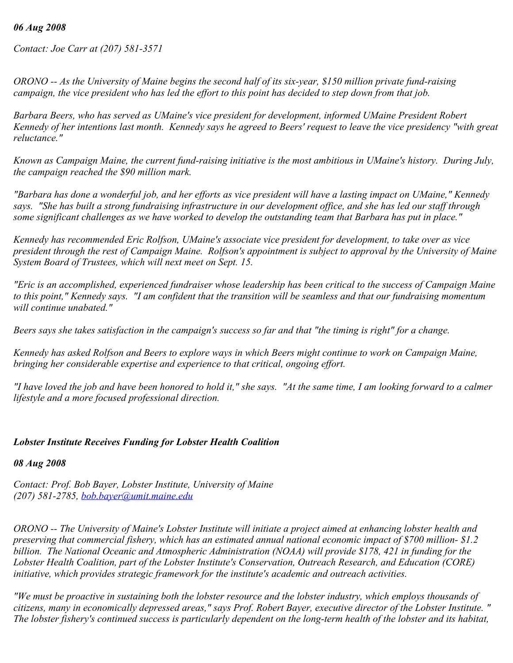#### *06 Aug 2008*

*Contact: Joe Carr at (207) 581-3571*

*ORONO -- As the University of Maine begins the second half of its six-year, \$150 million private fund-raising campaign, the vice president who has led the effort to this point has decided to step down from that job.*

*Barbara Beers, who has served as UMaine's vice president for development, informed UMaine President Robert Kennedy of her intentions last month. Kennedy says he agreed to Beers' request to leave the vice presidency "with great reluctance."*

*Known as Campaign Maine, the current fund-raising initiative is the most ambitious in UMaine's history. During July, the campaign reached the \$90 million mark.*

*"Barbara has done a wonderful job, and her efforts as vice president will have a lasting impact on UMaine," Kennedy says. "She has built a strong fundraising infrastructure in our development office, and she has led our staff through some significant challenges as we have worked to develop the outstanding team that Barbara has put in place."*

*Kennedy has recommended Eric Rolfson, UMaine's associate vice president for development, to take over as vice president through the rest of Campaign Maine. Rolfson's appointment is subject to approval by the University of Maine System Board of Trustees, which will next meet on Sept. 15.*

*"Eric is an accomplished, experienced fundraiser whose leadership has been critical to the success of Campaign Maine to this point," Kennedy says. "I am confident that the transition will be seamless and that our fundraising momentum will continue unabated."*

*Beers says she takes satisfaction in the campaign's success so far and that "the timing is right" for a change.*

*Kennedy has asked Rolfson and Beers to explore ways in which Beers might continue to work on Campaign Maine, bringing her considerable expertise and experience to that critical, ongoing effort.*

*"I have loved the job and have been honored to hold it," she says. "At the same time, I am looking forward to a calmer lifestyle and a more focused professional direction.*

# *Lobster Institute Receives Funding for Lobster Health Coalition*

*08 Aug 2008*

*Contact: Prof. Bob Bayer, Lobster Institute, University of Maine (207) 581-2785, [bob.bayer@umit.maine.edu](mailto:bob.bayer@umit.maine.edu)*

*ORONO -- The University of Maine's Lobster Institute will initiate a project aimed at enhancing lobster health and preserving that commercial fishery, which has an estimated annual national economic impact of \$700 million- \$1.2 billion. The National Oceanic and Atmospheric Administration (NOAA) will provide \$178, 421 in funding for the Lobster Health Coalition, part of the Lobster Institute's Conservation, Outreach Research, and Education (CORE) initiative, which provides strategic framework for the institute's academic and outreach activities.*

*"We must be proactive in sustaining both the lobster resource and the lobster industry, which employs thousands of citizens, many in economically depressed areas," says Prof. Robert Bayer, executive director of the Lobster Institute. " The lobster fishery's continued success is particularly dependent on the long-term health of the lobster and its habitat,*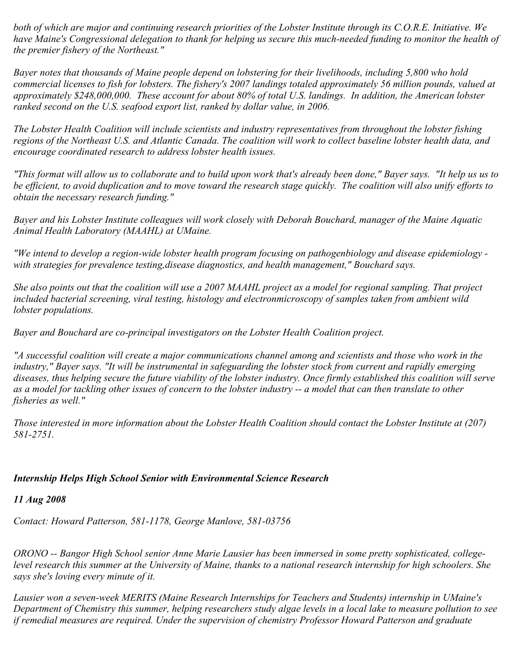*both of which are major and continuing research priorities of the Lobster Institute through its C.O.R.E. Initiative. We have Maine's Congressional delegation to thank for helping us secure this much-needed funding to monitor the health of the premier fishery of the Northeast."* 

*Bayer notes that thousands of Maine people depend on lobstering for their livelihoods, including 5,800 who hold commercial licenses to fish for lobsters. The fishery's 2007 landings totaled approximately 56 million pounds, valued at approximately \$248,000,000. These account for about 80% of total U.S. landings. In addition, the American lobster ranked second on the U.S. seafood export list, ranked by dollar value, in 2006.*

*The Lobster Health Coalition will include scientists and industry representatives from throughout the lobster fishing regions of the Northeast U.S. and Atlantic Canada. The coalition will work to collect baseline lobster health data, and encourage coordinated research to address lobster health issues.*

*"This format will allow us to collaborate and to build upon work that's already been done," Bayer says. "It help us us to be efficient, to avoid duplication and to move toward the research stage quickly. The coalition will also unify efforts to obtain the necessary research funding."*

*Bayer and his Lobster Institute colleagues will work closely with Deborah Bouchard, manager of the Maine Aquatic Animal Health Laboratory (MAAHL) at UMaine.* 

*"We intend to develop a region-wide lobster health program focusing on pathogenbiology and disease epidemiology with strategies for prevalence testing,disease diagnostics, and health management," Bouchard says.*

*She also points out that the coalition will use a 2007 MAAHL project as a model for regional sampling. That project included bacterial screening, viral testing, histology and electronmicroscopy of samples taken from ambient wild lobster populations.*

*Bayer and Bouchard are co-principal investigators on the Lobster Health Coalition project.*

*"A successful coalition will create a major communications channel among and scientists and those who work in the industry," Bayer says. "It will be instrumental in safeguarding the lobster stock from current and rapidly emerging diseases, thus helping secure the future viability of the lobster industry. Once firmly established this coalition will serve as a model for tackling other issues of concern to the lobster industry -- a model that can then translate to other fisheries as well."* 

*Those interested in more information about the Lobster Health Coalition should contact the Lobster Institute at (207) 581-2751.* 

# *Internship Helps High School Senior with Environmental Science Research*

*11 Aug 2008*

*Contact: Howard Patterson, 581-1178, George Manlove, 581-03756*

*ORONO -- Bangor High School senior Anne Marie Lausier has been immersed in some pretty sophisticated, collegelevel research this summer at the University of Maine, thanks to a national research internship for high schoolers. She says she's loving every minute of it.*

*Lausier won a seven-week MERITS (Maine Research Internships for Teachers and Students) internship in UMaine's Department of Chemistry this summer, helping researchers study algae levels in a local lake to measure pollution to see if remedial measures are required. Under the supervision of chemistry Professor Howard Patterson and graduate*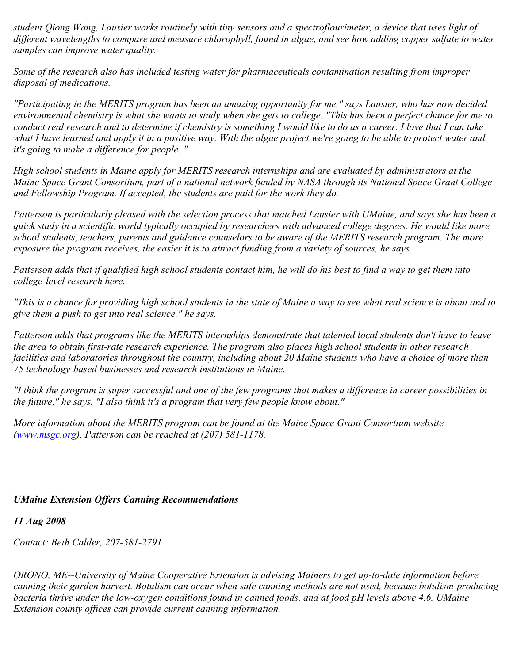*student Qiong Wang, Lausier works routinely with tiny sensors and a spectroflourimeter, a device that uses light of different wavelengths to compare and measure chlorophyll, found in algae, and see how adding copper sulfate to water samples can improve water quality.*

*Some of the research also has included testing water for pharmaceuticals contamination resulting from improper disposal of medications.*

*"Participating in the MERITS program has been an amazing opportunity for me," says Lausier, who has now decided environmental chemistry is what she wants to study when she gets to college. "This has been a perfect chance for me to conduct real research and to determine if chemistry is something I would like to do as a career. I love that I can take what I have learned and apply it in a positive way. With the algae project we're going to be able to protect water and it's going to make a difference for people. "*

*High school students in Maine apply for MERITS research internships and are evaluated by administrators at the Maine Space Grant Consortium, part of a national network funded by NASA through its National Space Grant College and Fellowship Program. If accepted, the students are paid for the work they do.*

*Patterson is particularly pleased with the selection process that matched Lausier with UMaine, and says she has been a quick study in a scientific world typically occupied by researchers with advanced college degrees. He would like more school students, teachers, parents and guidance counselors to be aware of the MERITS research program. The more exposure the program receives, the easier it is to attract funding from a variety of sources, he says.*

*Patterson adds that if qualified high school students contact him, he will do his best to find a way to get them into college-level research here.*

*"This is a chance for providing high school students in the state of Maine a way to see what real science is about and to give them a push to get into real science," he says.*

*Patterson adds that programs like the MERITS internships demonstrate that talented local students don't have to leave the area to obtain first-rate research experience. The program also places high school students in other research facilities and laboratories throughout the country, including about 20 Maine students who have a choice of more than 75 technology-based businesses and research institutions in Maine.*

*"I think the program is super successful and one of the few programs that makes a difference in career possibilities in the future," he says. "I also think it's a program that very few people know about."*

*More information about the MERITS program can be found at the Maine Space Grant Consortium website ([www.msgc.org](http://www.msgc.org/)). Patterson can be reached at (207) 581-1178.*

# *UMaine Extension Offers Canning Recommendations*

# *11 Aug 2008*

*Contact: Beth Calder, 207-581-2791*

*ORONO, ME--University of Maine Cooperative Extension is advising Mainers to get up-to-date information before canning their garden harvest. Botulism can occur when safe canning methods are not used, because botulism-producing bacteria thrive under the low-oxygen conditions found in canned foods, and at food pH levels above 4.6. UMaine Extension county offices can provide current canning information.*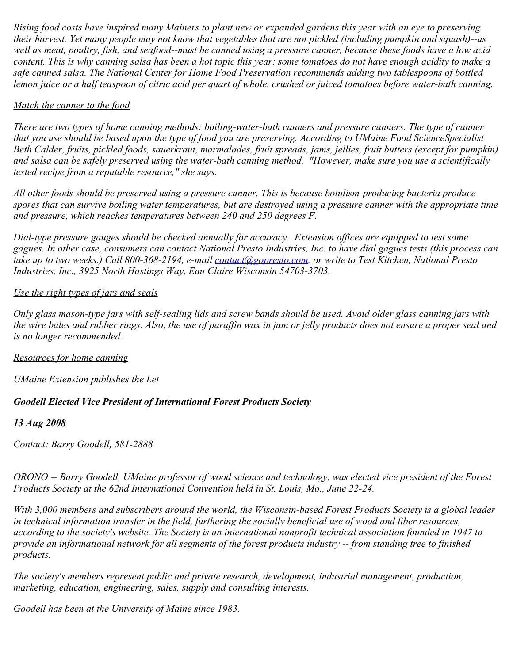*Rising food costs have inspired many Mainers to plant new or expanded gardens this year with an eye to preserving their harvest. Yet many people may not know that vegetables that are not pickled (including pumpkin and squash)--as well as meat, poultry, fish, and seafood--must be canned using a pressure canner, because these foods have a low acid content. This is why canning salsa has been a hot topic this year: some tomatoes do not have enough acidity to make a safe canned salsa. The National Center for Home Food Preservation recommends adding two tablespoons of bottled lemon juice or a half teaspoon of citric acid per quart of whole, crushed or juiced tomatoes before water-bath canning.*

# *Match the canner to the food*

*There are two types of home canning methods: boiling-water-bath canners and pressure canners. The type of canner that you use should be based upon the type of food you are preserving. According to UMaine Food ScienceSpecialist Beth Calder, fruits, pickled foods, sauerkraut, marmalades, fruit spreads, jams, jellies, fruit butters (except for pumpkin) and salsa can be safely preserved using the water-bath canning method. "However, make sure you use a scientifically tested recipe from a reputable resource," she says.*

*All other foods should be preserved using a pressure canner. This is because botulism-producing bacteria produce spores that can survive boiling water temperatures, but are destroyed using a pressure canner with the appropriate time and pressure, which reaches temperatures between 240 and 250 degrees F.*

*Dial-type pressure gauges should be checked annually for accuracy. Extension offices are equipped to test some gagues. In other case, consumers can contact National Presto Industries, Inc. to have dial gagues tests (this process can take up to two weeks.) Call 800-368-2194, e-mail [contact@gopresto.com](mailto:contact@gopresto.com), or write to Test Kitchen, National Presto Industries, Inc., 3925 North Hastings Way, Eau Claire,Wisconsin 54703-3703.*

# *Use the right types of jars and seals*

*Only glass mason-type jars with self-sealing lids and screw bands should be used. Avoid older glass canning jars with the wire bales and rubber rings. Also, the use of paraffin wax in jam or jelly products does not ensure a proper seal and is no longer recommended.*

# *Resources for home canning*

*UMaine Extension publishes the Let* 

# *Goodell Elected Vice President of International Forest Products Society*

# *13 Aug 2008*

*Contact: Barry Goodell, 581-2888*

*ORONO -- Barry Goodell, UMaine professor of wood science and technology, was elected vice president of the Forest Products Society at the 62nd International Convention held in St. Louis, Mo., June 22-24.*

*With 3,000 members and subscribers around the world, the Wisconsin-based Forest Products Society is a global leader in technical information transfer in the field, furthering the socially beneficial use of wood and fiber resources, according to the society's website. The Society is an international nonprofit technical association founded in 1947 to provide an informational network for all segments of the forest products industry -- from standing tree to finished products.*

*The society's members represent public and private research, development, industrial management, production, marketing, education, engineering, sales, supply and consulting interests.*

*Goodell has been at the University of Maine since 1983.*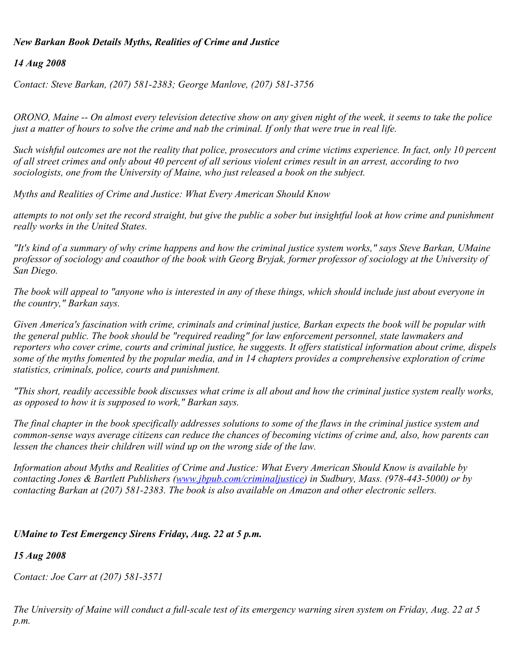# *New Barkan Book Details Myths, Realities of Crime and Justice*

### *14 Aug 2008*

*Contact: Steve Barkan, (207) 581-2383; George Manlove, (207) 581-3756*

*ORONO, Maine -- On almost every television detective show on any given night of the week, it seems to take the police just a matter of hours to solve the crime and nab the criminal. If only that were true in real life.*

*Such wishful outcomes are not the reality that police, prosecutors and crime victims experience. In fact, only 10 percent of all street crimes and only about 40 percent of all serious violent crimes result in an arrest, according to two sociologists, one from the University of Maine, who just released a book on the subject.*

*Myths and Realities of Crime and Justice: What Every American Should Know*

*attempts to not only set the record straight, but give the public a sober but insightful look at how crime and punishment really works in the United States.*

*"It's kind of a summary of why crime happens and how the criminal justice system works," says Steve Barkan, UMaine professor of sociology and coauthor of the book with Georg Bryjak, former professor of sociology at the University of San Diego.*

*The book will appeal to "anyone who is interested in any of these things, which should include just about everyone in the country," Barkan says.*

*Given America's fascination with crime, criminals and criminal justice, Barkan expects the book will be popular with the general public. The book should be "required reading" for law enforcement personnel, state lawmakers and reporters who cover crime, courts and criminal justice, he suggests. It offers statistical information about crime, dispels some of the myths fomented by the popular media, and in 14 chapters provides a comprehensive exploration of crime statistics, criminals, police, courts and punishment.*

*"This short, readily accessible book discusses what crime is all about and how the criminal justice system really works, as opposed to how it is supposed to work," Barkan says.*

*The final chapter in the book specifically addresses solutions to some of the flaws in the criminal justice system and common-sense ways average citizens can reduce the chances of becoming victims of crime and, also, how parents can lessen the chances their children will wind up on the wrong side of the law.*

*Information about Myths and Realities of Crime and Justice: What Every American Should Know is available by contacting Jones & Bartlett Publishers [\(www.jbpub.com/criminaljustice](http://www.jbpub.com/criminaljustice)) in Sudbury, Mass. (978-443-5000) or by contacting Barkan at (207) 581-2383. The book is also available on Amazon and other electronic sellers.*

# *UMaine to Test Emergency Sirens Friday, Aug. 22 at 5 p.m.*

# *15 Aug 2008*

*Contact: Joe Carr at (207) 581-3571*

*The University of Maine will conduct a full-scale test of its emergency warning siren system on Friday, Aug. 22 at 5 p.m.*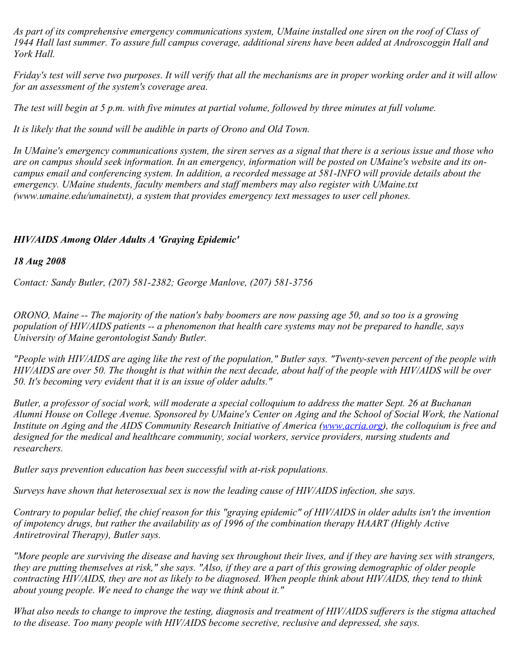*As part of its comprehensive emergency communications system, UMaine installed one siren on the roof of Class of 1944 Hall last summer. To assure full campus coverage, additional sirens have been added at Androscoggin Hall and York Hall.*

*Friday's test will serve two purposes. It will verify that all the mechanisms are in proper working order and it will allow for an assessment of the system's coverage area.*

*The test will begin at 5 p.m. with five minutes at partial volume, followed by three minutes at full volume.*

*It is likely that the sound will be audible in parts of Orono and Old Town.*

*In UMaine's emergency communications system, the siren serves as a signal that there is a serious issue and those who are on campus should seek information. In an emergency, information will be posted on UMaine's website and its oncampus email and conferencing system. In addition, a recorded message at 581-INFO will provide details about the emergency. UMaine students, faculty members and staff members may also register with UMaine.txt (www.umaine.edu/umainetxt), a system that provides emergency text messages to user cell phones.*

# *HIV/AIDS Among Older Adults A 'Graying Epidemic'*

#### *18 Aug 2008*

*Contact: Sandy Butler, (207) 581-2382; George Manlove, (207) 581-3756*

*ORONO, Maine -- The majority of the nation's baby boomers are now passing age 50, and so too is a growing population of HIV/AIDS patients -- a phenomenon that health care systems may not be prepared to handle, says University of Maine gerontologist Sandy Butler.*

*"People with HIV/AIDS are aging like the rest of the population," Butler says. "Twenty-seven percent of the people with HIV/AIDS are over 50. The thought is that within the next decade, about half of the people with HIV/AIDS will be over 50. It's becoming very evident that it is an issue of older adults."*

*Butler, a professor of social work, will moderate a special colloquium to address the matter Sept. 26 at Buchanan Alumni House on College Avenue. Sponsored by UMaine's Center on Aging and the School of Social Work, the National Institute on Aging and the AIDS Community Research Initiative of America [\(www.acria.org](http://www.acria.org/))*, the colloquium is free and *designed for the medical and healthcare community, social workers, service providers, nursing students and researchers.*

*Butler says prevention education has been successful with at-risk populations.*

*Surveys have shown that heterosexual sex is now the leading cause of HIV/AIDS infection, she says.*

*Contrary to popular belief, the chief reason for this "graying epidemic" of HIV/AIDS in older adults isn't the invention of impotency drugs, but rather the availability as of 1996 of the combination therapy HAART (Highly Active Antiretroviral Therapy), Butler says.*

*"More people are surviving the disease and having sex throughout their lives, and if they are having sex with strangers, they are putting themselves at risk," she says. "Also, if they are a part of this growing demographic of older people contracting HIV/AIDS, they are not as likely to be diagnosed. When people think about HIV/AIDS, they tend to think about young people. We need to change the way we think about it."*

*What also needs to change to improve the testing, diagnosis and treatment of HIV/AIDS sufferers is the stigma attached to the disease. Too many people with HIV/AIDS become secretive, reclusive and depressed, she says.*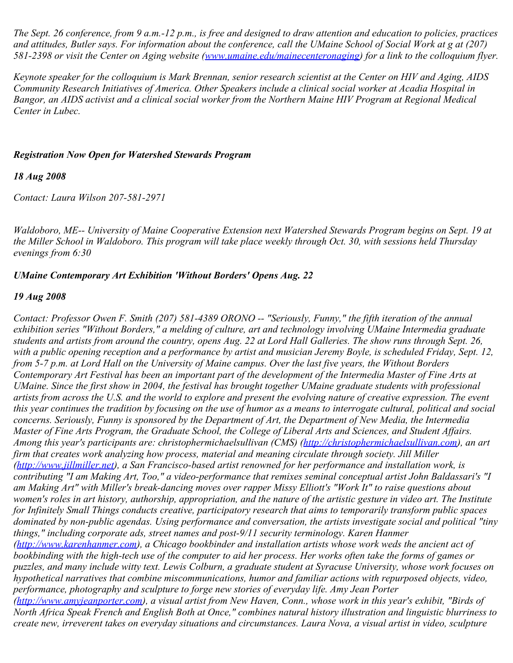*The Sept. 26 conference, from 9 a.m.-12 p.m., is free and designed to draw attention and education to policies, practices and attitudes, Butler says. For information about the conference, call the UMaine School of Social Work at g at (207) 581-2398 or visit the Center on Aging website [\(www.umaine.edu/mainecenteronaging](http://www.umaine.edu/mainecenteronaging)) for a link to the colloquium flyer.*

*Keynote speaker for the colloquium is Mark Brennan, senior research scientist at the Center on HIV and Aging, AIDS Community Research Initiatives of America. Other Speakers include a clinical social worker at Acadia Hospital in Bangor, an AIDS activist and a clinical social worker from the Northern Maine HIV Program at Regional Medical Center in Lubec.*

# *Registration Now Open for Watershed Stewards Program*

*18 Aug 2008*

*Contact: Laura Wilson 207-581-2971*

*Waldoboro, ME-- University of Maine Cooperative Extension next Watershed Stewards Program begins on Sept. 19 at the Miller School in Waldoboro. This program will take place weekly through Oct. 30, with sessions held Thursday evenings from 6:30* 

# *UMaine Contemporary Art Exhibition 'Without Borders' Opens Aug. 22*

# *19 Aug 2008*

*Contact: Professor Owen F. Smith (207) 581-4389 ORONO -- "Seriously, Funny," the fifth iteration of the annual exhibition series "Without Borders," a melding of culture, art and technology involving UMaine Intermedia graduate students and artists from around the country, opens Aug. 22 at Lord Hall Galleries. The show runs through Sept. 26, with a public opening reception and a performance by artist and musician Jeremy Boyle, is scheduled Friday, Sept. 12, from 5-7 p.m. at Lord Hall on the University of Maine campus. Over the last five years, the Without Borders Contemporary Art Festival has been an important part of the development of the Intermedia Master of Fine Arts at UMaine. Since the first show in 2004, the festival has brought together UMaine graduate students with professional artists from across the U.S. and the world to explore and present the evolving nature of creative expression. The event this year continues the tradition by focusing on the use of humor as a means to interrogate cultural, political and social concerns. Seriously, Funny is sponsored by the Department of Art, the Department of New Media, the Intermedia Master of Fine Arts Program, the Graduate School, the College of Liberal Arts and Sciences, and Student Affairs. Among this year's participants are: christophermichaelsullivan (CMS) [\(http://christophermichaelsullivan.com](http://christophermichaelsullivan.com/)), an art firm that creates work analyzing how process, material and meaning circulate through society. Jill Miller [\(http://www.jillmiller.net](http://www.jillmiller.net/)), a San Francisco-based artist renowned for her performance and installation work, is contributing "I am Making Art, Too," a video-performance that remixes seminal conceptual artist John Baldassari's "I am Making Art" with Miller's break-dancing moves over rapper Missy Elliott's "Work It" to raise questions about women's roles in art history, authorship, appropriation, and the nature of the artistic gesture in video art. The Institute for Infinitely Small Things conducts creative, participatory research that aims to temporarily transform public spaces dominated by non-public agendas. Using performance and conversation, the artists investigate social and political "tiny things," including corporate ads, street names and post-9/11 security terminology. Karen Hanmer ([http://www.karenhanmer.com](http://www.karenhanmer.com/)), a Chicago bookbinder and installation artists whose work weds the ancient act of bookbinding with the high-tech use of the computer to aid her process. Her works often take the forms of games or puzzles, and many include witty text. Lewis Colburn, a graduate student at Syracuse University, whose work focuses on hypothetical narratives that combine miscommunications, humor and familiar actions with repurposed objects, video, performance, photography and sculpture to forge new stories of everyday life. Amy Jean Porter [\(http://www.amyjeanporter.com](http://www.amyjeanporter.com/)), a visual artist from New Haven, Conn., whose work in this year's exhibit, "Birds of North Africa Speak French and English Both at Once," combines natural history illustration and linguistic blurriness to create new, irreverent takes on everyday situations and circumstances. Laura Nova, a visual artist in video, sculpture*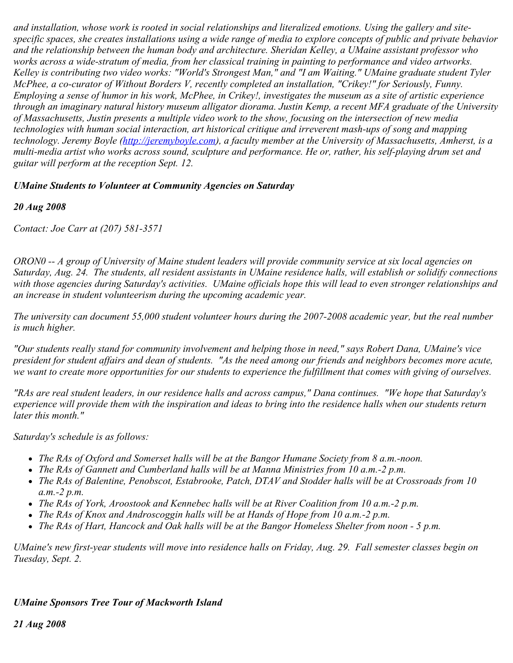*and installation, whose work is rooted in social relationships and literalized emotions. Using the gallery and sitespecific spaces, she creates installations using a wide range of media to explore concepts of public and private behavior and the relationship between the human body and architecture. Sheridan Kelley, a UMaine assistant professor who works across a wide-stratum of media, from her classical training in painting to performance and video artworks. Kelley is contributing two video works: "World's Strongest Man," and "I am Waiting." UMaine graduate student Tyler McPhee, a co-curator of Without Borders V, recently completed an installation, "Crikey!" for Seriously, Funny. Employing a sense of humor in his work, McPhee, in Crikey!, investigates the museum as a site of artistic experience through an imaginary natural history museum alligator diorama. Justin Kemp, a recent MFA graduate of the University of Massachusetts, Justin presents a multiple video work to the show, focusing on the intersection of new media technologies with human social interaction, art historical critique and irreverent mash-ups of song and mapping technology. Jeremy Boyle ([http://jeremyboyle.com](http://jeremyboyle.com/)), a faculty member at the University of Massachusetts, Amherst, is a multi-media artist who works across sound, sculpture and performance. He or, rather, his self-playing drum set and guitar will perform at the reception Sept. 12.* 

#### *UMaine Students to Volunteer at Community Agencies on Saturday*

#### *20 Aug 2008*

*Contact: Joe Carr at (207) 581-3571*

*ORON0 -- A group of University of Maine student leaders will provide community service at six local agencies on Saturday, Aug. 24. The students, all resident assistants in UMaine residence halls, will establish or solidify connections with those agencies during Saturday's activities. UMaine officials hope this will lead to even stronger relationships and an increase in student volunteerism during the upcoming academic year.*

*The university can document 55,000 student volunteer hours during the 2007-2008 academic year, but the real number is much higher.*

*"Our students really stand for community involvement and helping those in need," says Robert Dana, UMaine's vice president for student affairs and dean of students. "As the need among our friends and neighbors becomes more acute, we want to create more opportunities for our students to experience the fulfillment that comes with giving of ourselves.*

*"RAs are real student leaders, in our residence halls and across campus," Dana continues. "We hope that Saturday's experience will provide them with the inspiration and ideas to bring into the residence halls when our students return later this month."*

*Saturday's schedule is as follows:*

- *The RAs of Oxford and Somerset halls will be at the Bangor Humane Society from 8 a.m.-noon.*
- *The RAs of Gannett and Cumberland halls will be at Manna Ministries from 10 a.m.-2 p.m.*
- *The RAs of Balentine, Penobscot, Estabrooke, Patch, DTAV and Stodder halls will be at Crossroads from 10 a.m.-2 p.m.*
- *The RAs of York, Aroostook and Kennebec halls will be at River Coalition from 10 a.m.-2 p.m.*
- *The RAs of Knox and Androscoggin halls will be at Hands of Hope from 10 a.m.-2 p.m.*
- *The RAs of Hart, Hancock and Oak halls will be at the Bangor Homeless Shelter from noon 5 p.m.*

*UMaine's new first-year students will move into residence halls on Friday, Aug. 29. Fall semester classes begin on Tuesday, Sept. 2.*

# *UMaine Sponsors Tree Tour of Mackworth Island*

*21 Aug 2008*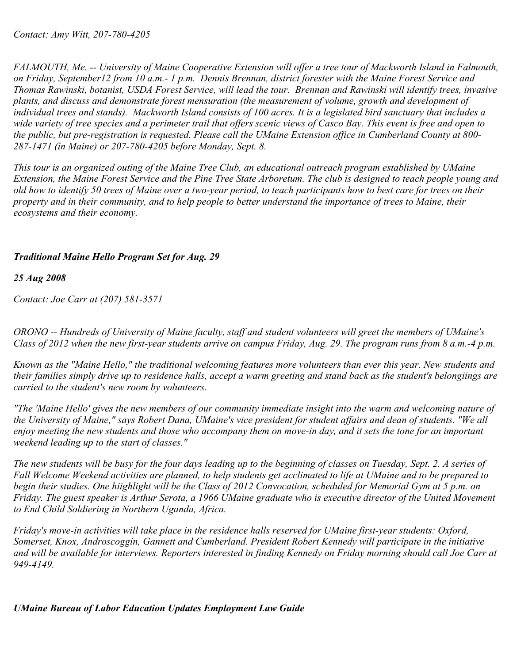*FALMOUTH, Me. -- University of Maine Cooperative Extension will offer a tree tour of Mackworth Island in Falmouth, on Friday, September12 from 10 a.m.- 1 p.m. Dennis Brennan, district forester with the Maine Forest Service and Thomas Rawinski, botanist, USDA Forest Service, will lead the tour. Brennan and Rawinski will identify trees, invasive plants, and discuss and demonstrate forest mensuration (the measurement of volume, growth and development of individual trees and stands). Mackworth Island consists of 100 acres. It is a legislated bird sanctuary that includes a wide variety of tree species and a perimeter trail that offers scenic views of Casco Bay. This event is free and open to the public, but pre-registration is requested. Please call the UMaine Extension office in Cumberland County at 800- 287-1471 (in Maine) or 207-780-4205 before Monday, Sept. 8.*

*This tour is an organized outing of the Maine Tree Club, an educational outreach program established by UMaine Extension, the Maine Forest Service and the Pine Tree State Arboretum. The club is designed to teach people young and old how to identify 50 trees of Maine over a two-year period, to teach participants how to best care for trees on their property and in their community, and to help people to better understand the importance of trees to Maine, their ecosystems and their economy.*

# *Traditional Maine Hello Program Set for Aug. 29*

# *25 Aug 2008*

*Contact: Joe Carr at (207) 581-3571*

*ORONO -- Hundreds of University of Maine faculty, staff and student volunteers will greet the members of UMaine's Class of 2012 when the new first-year students arrive on campus Friday, Aug. 29. The program runs from 8 a.m.-4 p.m.*

*Known as the "Maine Hello," the traditional welcoming features more volunteers than ever this year. New students and their families simply drive up to residence halls, accept a warm greeting and stand back as the student's belongiings are carried to the student's new room by volunteers.*

*"The 'Maine Hello' gives the new members of our community immediate insight into the warm and welcoming nature of the University of Maine," says Robert Dana, UMaine's vice president for student affairs and dean of students. "We all enjoy meeting the new students and those who accompany them on move-in day, and it sets the tone for an important weekend leading up to the start of classes."*

*The new students will be busy for the four days leading up to the beginning of classes on Tuesday, Sept. 2. A series of Fall Welcome Weekend activities are planned, to help students get acclimated to life at UMaine and to be prepared to begin their studies. One hiighlight will be the Class of 2012 Convocation, scheduled for Memorial Gym at 5 p.m. on Friday. The guest speaker is Arthur Serota, a 1966 UMaine graduate who is executive director of the United Movement to End Child Soldiering in Northern Uganda, Africa.*

*Friday's move-in activities will take place in the residence halls reserved for UMaine first-year students: Oxford, Somerset, Knox, Androscoggin, Gannett and Cumberland. President Robert Kennedy will participate in the initiative and will be available for interviews. Reporters interested in finding Kennedy on Friday morning should call Joe Carr at 949-4149.*

# *UMaine Bureau of Labor Education Updates Employment Law Guide*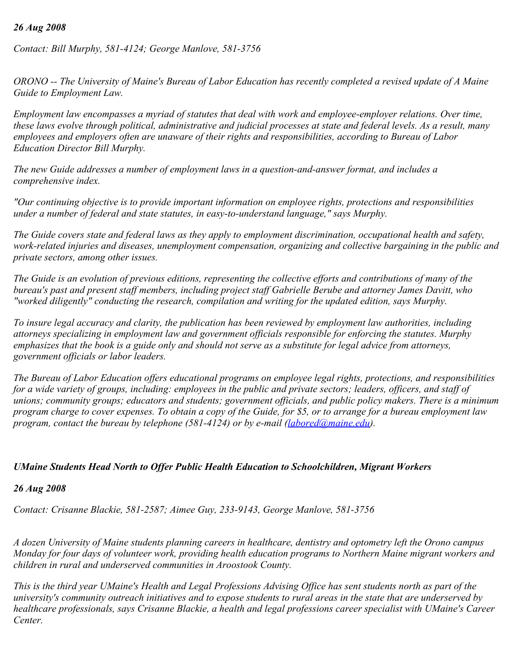### *26 Aug 2008*

*Contact: Bill Murphy, 581-4124; George Manlove, 581-3756*

*ORONO -- The University of Maine's Bureau of Labor Education has recently completed a revised update of A Maine Guide to Employment Law.*

*Employment law encompasses a myriad of statutes that deal with work and employee-employer relations. Over time, these laws evolve through political, administrative and judicial processes at state and federal levels. As a result, many employees and employers often are unaware of their rights and responsibilities, according to Bureau of Labor Education Director Bill Murphy.*

*The new Guide addresses a number of employment laws in a question-and-answer format, and includes a comprehensive index.*

*"Our continuing objective is to provide important information on employee rights, protections and responsibilities under a number of federal and state statutes, in easy-to-understand language," says Murphy.*

*The Guide covers state and federal laws as they apply to employment discrimination, occupational health and safety, work-related injuries and diseases, unemployment compensation, organizing and collective bargaining in the public and private sectors, among other issues.*

*The Guide is an evolution of previous editions, representing the collective efforts and contributions of many of the bureau's past and present staff members, including project staff Gabrielle Berube and attorney James Davitt, who "worked diligently" conducting the research, compilation and writing for the updated edition, says Murphy.*

*To insure legal accuracy and clarity, the publication has been reviewed by employment law authorities, including attorneys specializing in employment law and government officials responsible for enforcing the statutes. Murphy emphasizes that the book is a guide only and should not serve as a substitute for legal advice from attorneys, government officials or labor leaders.*

*The Bureau of Labor Education offers educational programs on employee legal rights, protections, and responsibilities for a wide variety of groups, including: employees in the public and private sectors; leaders, officers, and staff of unions; community groups; educators and students; government officials, and public policy makers. There is a minimum program charge to cover expenses. To obtain a copy of the Guide, for \$5, or to arrange for a bureau employment law program, contact the bureau by telephone (581-4124) or by e-mail [\(labored@maine.edu](mailto:labored@maine.edu)).* 

### *UMaine Students Head North to Offer Public Health Education to Schoolchildren, Migrant Workers*

### *26 Aug 2008*

*Contact: Crisanne Blackie, 581-2587; Aimee Guy, 233-9143, George Manlove, 581-3756*

*A dozen University of Maine students planning careers in healthcare, dentistry and optometry left the Orono campus Monday for four days of volunteer work, providing health education programs to Northern Maine migrant workers and children in rural and underserved communities in Aroostook County.*

*This is the third year UMaine's Health and Legal Professions Advising Office has sent students north as part of the university's community outreach initiatives and to expose students to rural areas in the state that are underserved by healthcare professionals, says Crisanne Blackie, a health and legal professions career specialist with UMaine's Career Center.*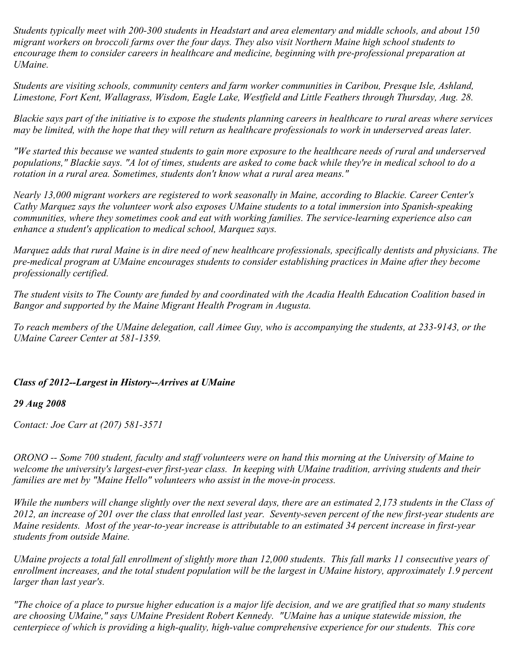*Students typically meet with 200-300 students in Headstart and area elementary and middle schools, and about 150 migrant workers on broccoli farms over the four days. They also visit Northern Maine high school students to encourage them to consider careers in healthcare and medicine, beginning with pre-professional preparation at UMaine.*

*Students are visiting schools, community centers and farm worker communities in Caribou, Presque Isle, Ashland, Limestone, Fort Kent, Wallagrass, Wisdom, Eagle Lake, Westfield and Little Feathers through Thursday, Aug. 28.*

*Blackie says part of the initiative is to expose the students planning careers in healthcare to rural areas where services may be limited, with the hope that they will return as healthcare professionals to work in underserved areas later.*

*"We started this because we wanted students to gain more exposure to the healthcare needs of rural and underserved populations," Blackie says. "A lot of times, students are asked to come back while they're in medical school to do a rotation in a rural area. Sometimes, students don't know what a rural area means."*

*Nearly 13,000 migrant workers are registered to work seasonally in Maine, according to Blackie. Career Center's Cathy Marquez says the volunteer work also exposes UMaine students to a total immersion into Spanish-speaking communities, where they sometimes cook and eat with working families. The service-learning experience also can enhance a student's application to medical school, Marquez says.*

*Marquez adds that rural Maine is in dire need of new healthcare professionals, specifically dentists and physicians. The pre-medical program at UMaine encourages students to consider establishing practices in Maine after they become professionally certified.*

*The student visits to The County are funded by and coordinated with the Acadia Health Education Coalition based in Bangor and supported by the Maine Migrant Health Program in Augusta.*

*To reach members of the UMaine delegation, call Aimee Guy, who is accompanying the students, at 233-9143, or the UMaine Career Center at 581-1359.*

### *Class of 2012--Largest in History--Arrives at UMaine*

### *29 Aug 2008*

*Contact: Joe Carr at (207) 581-3571*

*ORONO -- Some 700 student, faculty and staff volunteers were on hand this morning at the University of Maine to welcome the university's largest-ever first-year class. In keeping with UMaine tradition, arriving students and their families are met by "Maine Hello" volunteers who assist in the move-in process.* 

*While the numbers will change slightly over the next several days, there are an estimated 2,173 students in the Class of 2012, an increase of 201 over the class that enrolled last year. Seventy-seven percent of the new first-year students are Maine residents. Most of the year-to-year increase is attributable to an estimated 34 percent increase in first-year students from outside Maine.*

*UMaine projects a total fall enrollment of slightly more than 12,000 students. This fall marks 11 consecutive years of enrollment increases, and the total student population will be the largest in UMaine history, approximately 1.9 percent larger than last year's.*

*"The choice of a place to pursue higher education is a major life decision, and we are gratified that so many students are choosing UMaine," says UMaine President Robert Kennedy. "UMaine has a unique statewide mission, the centerpiece of which is providing a high-quality, high-value comprehensive experience for our students. This core*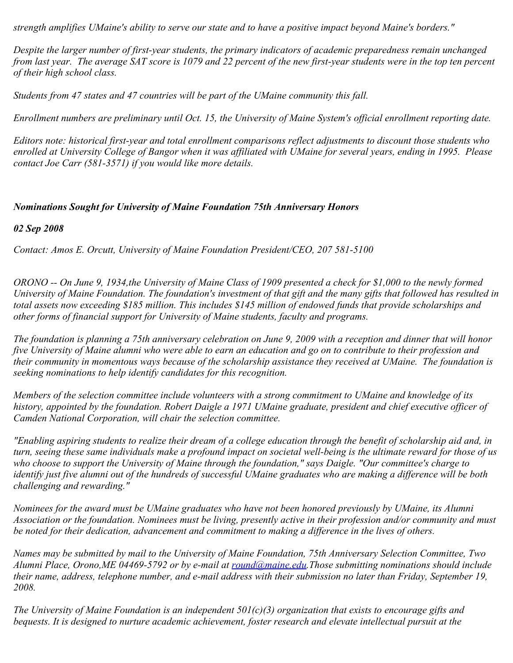*strength amplifies UMaine's ability to serve our state and to have a positive impact beyond Maine's borders."*

*Despite the larger number of first-year students, the primary indicators of academic preparedness remain unchanged from last year. The average SAT score is 1079 and 22 percent of the new first-year students were in the top ten percent of their high school class.*

*Students from 47 states and 47 countries will be part of the UMaine community this fall.*

*Enrollment numbers are preliminary until Oct. 15, the University of Maine System's official enrollment reporting date.*

*Editors note: historical first-year and total enrollment comparisons reflect adjustments to discount those students who enrolled at University College of Bangor when it was affiliated with UMaine for several years, ending in 1995. Please contact Joe Carr (581-3571) if you would like more details.*

### *Nominations Sought for University of Maine Foundation 75th Anniversary Honors*

*02 Sep 2008*

*Contact: Amos E. Orcutt, University of Maine Foundation President/CEO, 207 581-5100*

*ORONO -- On June 9, 1934,the University of Maine Class of 1909 presented a check for \$1,000 to the newly formed University of Maine Foundation. The foundation's investment of that gift and the many gifts that followed has resulted in total assets now exceeding \$185 million. This includes \$145 million of endowed funds that provide scholarships and other forms of financial support for University of Maine students, faculty and programs.*

*The foundation is planning a 75th anniversary celebration on June 9, 2009 with a reception and dinner that will honor five University of Maine alumni who were able to earn an education and go on to contribute to their profession and their community in momentous ways because of the scholarship assistance they received at UMaine. The foundation is seeking nominations to help identify candidates for this recognition.*

*Members of the selection committee include volunteers with a strong commitment to UMaine and knowledge of its history, appointed by the foundation. Robert Daigle a 1971 UMaine graduate, president and chief executive officer of Camden National Corporation, will chair the selection committee.* 

*"Enabling aspiring students to realize their dream of a college education through the benefit of scholarship aid and, in turn, seeing these same individuals make a profound impact on societal well-being is the ultimate reward for those of us who choose to support the University of Maine through the foundation," says Daigle. "Our committee's charge to identify just five alumni out of the hundreds of successful UMaine graduates who are making a difference will be both challenging and rewarding."*

*Nominees for the award must be UMaine graduates who have not been honored previously by UMaine, its Alumni Association or the foundation. Nominees must be living, presently active in their profession and/or community and must be noted for their dedication, advancement and commitment to making a difference in the lives of others.*

*Names may be submitted by mail to the University of Maine Foundation, 75th Anniversary Selection Committee, Two Alumni Place, Orono,ME 04469-5792 or by e-mail at [round@maine.edu](mailto:round@maine.edu).Those submitting nominations should include their name, address, telephone number, and e-mail address with their submission no later than Friday, September 19, 2008.*

*The University of Maine Foundation is an independent 501(c)(3) organization that exists to encourage gifts and bequests. It is designed to nurture academic achievement, foster research and elevate intellectual pursuit at the*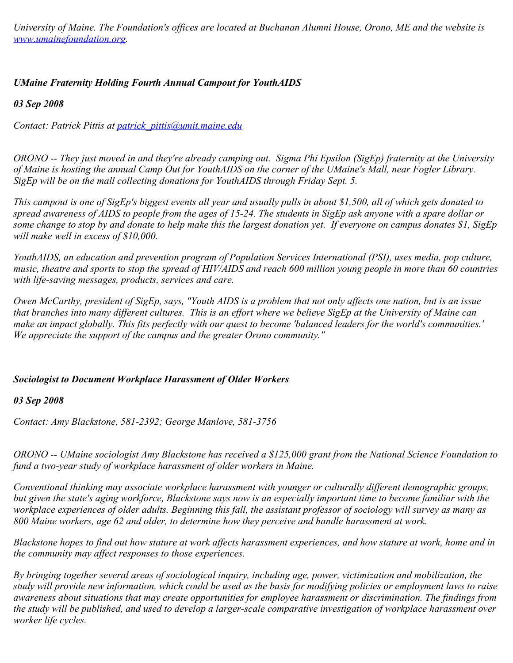*University of Maine. The Foundation's offices are located at Buchanan Alumni House, Orono, ME and the website is [www.umainefoundation.org](http://www.umainefoundation.org/).*

# *UMaine Fraternity Holding Fourth Annual Campout for YouthAIDS*

*03 Sep 2008*

*Contact: Patrick Pittis at [patrick\\_pittis@umit.maine.edu](mailto:patrick_pittis@umit.maine.edu)*

*ORONO -- They just moved in and they're already camping out. Sigma Phi Epsilon (SigEp) fraternity at the University of Maine is hosting the annual Camp Out for YouthAIDS on the corner of the UMaine's Mall, near Fogler Library. SigEp will be on the mall collecting donations for YouthAIDS through Friday Sept. 5.*

*This campout is one of SigEp's biggest events all year and usually pulls in about \$1,500, all of which gets donated to spread awareness of AIDS to people from the ages of 15-24. The students in SigEp ask anyone with a spare dollar or some change to stop by and donate to help make this the largest donation yet. If everyone on campus donates \$1, SigEp will make well in excess of \$10,000.*

*YouthAIDS, an education and prevention program of Population Services International (PSI), uses media, pop culture, music, theatre and sports to stop the spread of HIV/AIDS and reach 600 million young people in more than 60 countries with life-saving messages, products, services and care.*

*Owen McCarthy, president of SigEp, says, "Youth AIDS is a problem that not only affects one nation, but is an issue that branches into many different cultures. This is an effort where we believe SigEp at the University of Maine can make an impact globally. This fits perfectly with our quest to become 'balanced leaders for the world's communities.' We appreciate the support of the campus and the greater Orono community."*

# *Sociologist to Document Workplace Harassment of Older Workers*

### *03 Sep 2008*

*Contact: Amy Blackstone, 581-2392; George Manlove, 581-3756*

*ORONO -- UMaine sociologist Amy Blackstone has received a \$125,000 grant from the National Science Foundation to fund a two-year study of workplace harassment of older workers in Maine.*

*Conventional thinking may associate workplace harassment with younger or culturally different demographic groups, but given the state's aging workforce, Blackstone says now is an especially important time to become familiar with the workplace experiences of older adults. Beginning this fall, the assistant professor of sociology will survey as many as 800 Maine workers, age 62 and older, to determine how they perceive and handle harassment at work.*

*Blackstone hopes to find out how stature at work affects harassment experiences, and how stature at work, home and in the community may affect responses to those experiences.*

*By bringing together several areas of sociological inquiry, including age, power, victimization and mobilization, the study will provide new information, which could be used as the basis for modifying policies or employment laws to raise awareness about situations that may create opportunities for employee harassment or discrimination. The findings from the study will be published, and used to develop a larger-scale comparative investigation of workplace harassment over worker life cycles.*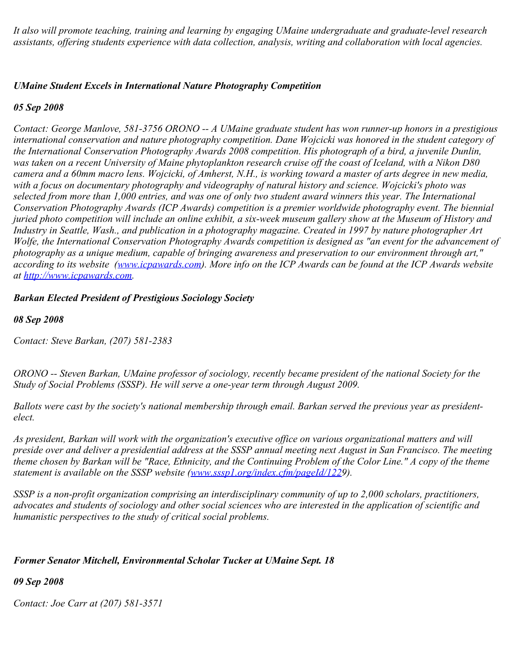*It also will promote teaching, training and learning by engaging UMaine undergraduate and graduate-level research assistants, offering students experience with data collection, analysis, writing and collaboration with local agencies.*

### *UMaine Student Excels in International Nature Photography Competition*

#### *05 Sep 2008*

*Contact: George Manlove, 581-3756 ORONO -- A UMaine graduate student has won runner-up honors in a prestigious international conservation and nature photography competition. Dane Wojcicki was honored in the student category of the International Conservation Photography Awards 2008 competition. His photograph of a bird, a juvenile Dunlin, was taken on a recent University of Maine phytoplankton research cruise off the coast of Iceland, with a Nikon D80 camera and a 60mm macro lens. Wojcicki, of Amherst, N.H., is working toward a master of arts degree in new media, with a focus on documentary photography and videography of natural history and science. Wojcicki's photo was selected from more than 1,000 entries, and was one of only two student award winners this year. The International Conservation Photography Awards (ICP Awards) competition is a premier worldwide photography event. The biennial juried photo competition will include an online exhibit, a six-week museum gallery show at the Museum of History and Industry in Seattle, Wash., and publication in a photography magazine. Created in 1997 by nature photographer Art Wolfe, the International Conservation Photography Awards competition is designed as "an event for the advancement of photography as a unique medium, capable of bringing awareness and preservation to our environment through art," according to its website [\(www.icpawards.com](http://www.icpawards.com/)). More info on the ICP Awards can be found at the ICP Awards website at [http://www.icpawards.com](http://www.icpawards.com/).* 

*Barkan Elected President of Prestigious Sociology Society*

*08 Sep 2008*

*Contact: Steve Barkan, (207) 581-2383*

*ORONO -- Steven Barkan, UMaine professor of sociology, recently became president of the national Society for the Study of Social Problems (SSSP). He will serve a one-year term through August 2009.*

*Ballots were cast by the society's national membership through email. Barkan served the previous year as presidentelect.*

*As president, Barkan will work with the organization's executive office on various organizational matters and will preside over and deliver a presidential address at the SSSP annual meeting next August in San Francisco. The meeting theme chosen by Barkan will be "Race, Ethnicity, and the Continuing Problem of the Color Line." A copy of the theme statement is available on the SSSP website ([www.sssp1.org/index.cfm/pageId/1229](http://www.sssp1.org/index.cfm/pageId/1229)).*

*SSSP is a non-profit organization comprising an interdisciplinary community of up to 2,000 scholars, practitioners, advocates and students of sociology and other social sciences who are interested in the application of scientific and humanistic perspectives to the study of critical social problems.*

#### *Former Senator Mitchell, Environmental Scholar Tucker at UMaine Sept. 18*

*09 Sep 2008*

*Contact: Joe Carr at (207) 581-3571*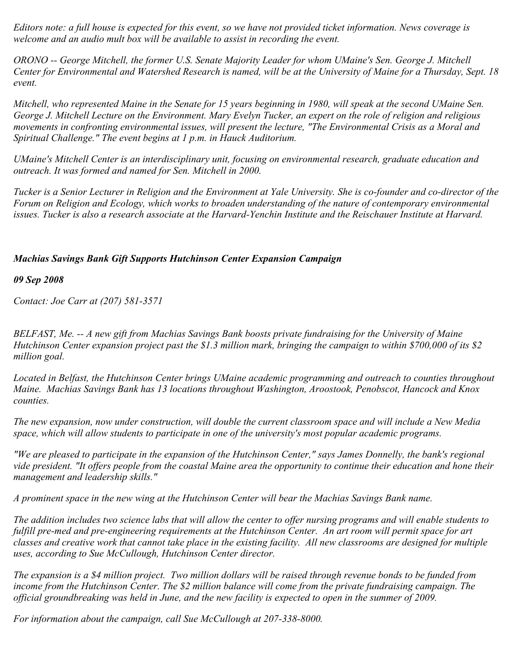*Editors note: a full house is expected for this event, so we have not provided ticket information. News coverage is welcome and an audio mult box will be available to assist in recording the event.*

*ORONO -- George Mitchell, the former U.S. Senate Majority Leader for whom UMaine's Sen. George J. Mitchell Center for Environmental and Watershed Research is named, will be at the University of Maine for a Thursday, Sept. 18 event.*

*Mitchell, who represented Maine in the Senate for 15 years beginning in 1980, will speak at the second UMaine Sen. George J. Mitchell Lecture on the Environment. Mary Evelyn Tucker, an expert on the role of religion and religious movements in confronting environmental issues, will present the lecture, "The Environmental Crisis as a Moral and Spiritual Challenge." The event begins at 1 p.m. in Hauck Auditorium.*

*UMaine's Mitchell Center is an interdisciplinary unit, focusing on environmental research, graduate education and outreach. It was formed and named for Sen. Mitchell in 2000.*

*Tucker is a Senior Lecturer in Religion and the Environment at Yale University. She is co-founder and co-director of the Forum on Religion and Ecology, which works to broaden understanding of the nature of contemporary environmental issues. Tucker is also a research associate at the Harvard-Yenchin Institute and the Reischauer Institute at Harvard.*

# *Machias Savings Bank Gift Supports Hutchinson Center Expansion Campaign*

*09 Sep 2008*

*Contact: Joe Carr at (207) 581-3571*

*BELFAST, Me. -- A new gift from Machias Savings Bank boosts private fundraising for the University of Maine Hutchinson Center expansion project past the \$1.3 million mark, bringing the campaign to within \$700,000 of its \$2 million goal.*

*Located in Belfast, the Hutchinson Center brings UMaine academic programming and outreach to counties throughout Maine. Machias Savings Bank has 13 locations throughout Washington, Aroostook, Penobscot, Hancock and Knox counties.*

*The new expansion, now under construction, will double the current classroom space and will include a New Media space, which will allow students to participate in one of the university's most popular academic programs.*

*"We are pleased to participate in the expansion of the Hutchinson Center," says James Donnelly, the bank's regional vide president. "It offers people from the coastal Maine area the opportunity to continue their education and hone their management and leadership skills."*

*A prominent space in the new wing at the Hutchinson Center will bear the Machias Savings Bank name.*

*The addition includes two science labs that will allow the center to offer nursing programs and will enable students to fulfill pre-med and pre-engineering requirements at the Hutchinson Center. An art room will permit space for art classes and creative work that cannot take place in the existing facility. All new classrooms are designed for multiple uses, according to Sue McCullough, Hutchinson Center director.*

*The expansion is a \$4 million project. Two million dollars will be raised through revenue bonds to be funded from income from the Hutchinson Center. The \$2 million balance will come from the private fundraising campaign. The official groundbreaking was held in June, and the new facility is expected to open in the summer of 2009.*

*For information about the campaign, call Sue McCullough at 207-338-8000.*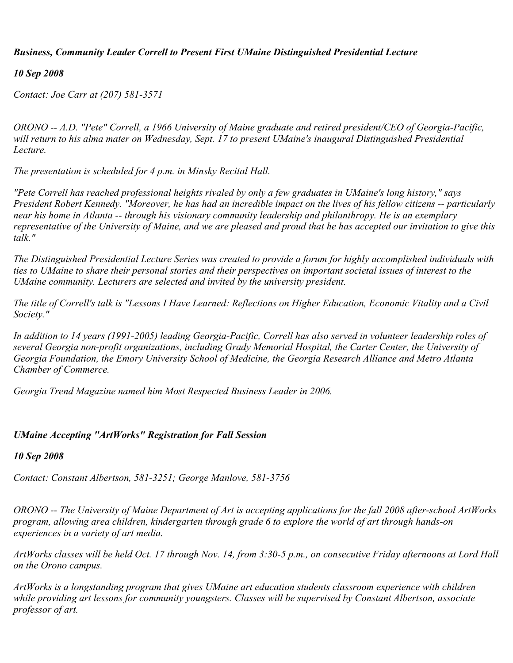# *Business, Community Leader Correll to Present First UMaine Distinguished Presidential Lecture*

## *10 Sep 2008*

*Contact: Joe Carr at (207) 581-3571*

*ORONO -- A.D. "Pete" Correll, a 1966 University of Maine graduate and retired president/CEO of Georgia-Pacific,* will return to his alma mater on Wednesday, Sept. 17 to present UMaine's inaugural Distinguished Presidential *Lecture.*

*The presentation is scheduled for 4 p.m. in Minsky Recital Hall.*

*"Pete Correll has reached professional heights rivaled by only a few graduates in UMaine's long history," says President Robert Kennedy. "Moreover, he has had an incredible impact on the lives of his fellow citizens -- particularly near his home in Atlanta -- through his visionary community leadership and philanthropy. He is an exemplary representative of the University of Maine, and we are pleased and proud that he has accepted our invitation to give this talk."*

*The Distinguished Presidential Lecture Series was created to provide a forum for highly accomplished individuals with ties to UMaine to share their personal stories and their perspectives on important societal issues of interest to the UMaine community. Lecturers are selected and invited by the university president.*

*The title of Correll's talk is "Lessons I Have Learned: Reflections on Higher Education, Economic Vitality and a Civil Society."*

*In addition to 14 years (1991-2005) leading Georgia-Pacific, Correll has also served in volunteer leadership roles of several Georgia non-profit organizations, including Grady Memorial Hospital, the Carter Center, the University of Georgia Foundation, the Emory University School of Medicine, the Georgia Research Alliance and Metro Atlanta Chamber of Commerce.*

*Georgia Trend Magazine named him Most Respected Business Leader in 2006.*

### *UMaine Accepting "ArtWorks" Registration for Fall Session*

### *10 Sep 2008*

*Contact: Constant Albertson, 581-3251; George Manlove, 581-3756*

*ORONO -- The University of Maine Department of Art is accepting applications for the fall 2008 after-school ArtWorks program, allowing area children, kindergarten through grade 6 to explore the world of art through hands-on experiences in a variety of art media.*

*ArtWorks classes will be held Oct. 17 through Nov. 14, from 3:30-5 p.m., on consecutive Friday afternoons at Lord Hall on the Orono campus.*

*ArtWorks is a longstanding program that gives UMaine art education students classroom experience with children while providing art lessons for community youngsters. Classes will be supervised by Constant Albertson, associate professor of art.*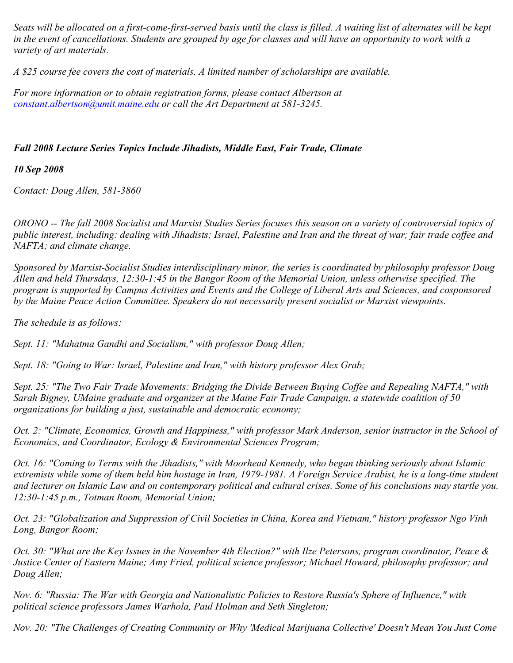*Seats will be allocated on a first-come-first-served basis until the class is filled. A waiting list of alternates will be kept in the event of cancellations. Students are grouped by age for classes and will have an opportunity to work with a variety of art materials.*

*A \$25 course fee covers the cost of materials. A limited number of scholarships are available.*

*For more information or to obtain registration forms, please contact Albertson at [constant.albertson@umit.maine.edu](mailto:constant.albertson@umit.maine.edu) or call the Art Department at 581-3245.*

# *Fall 2008 Lecture Series Topics Include Jihadists, Middle East, Fair Trade, Climate*

*10 Sep 2008*

*Contact: Doug Allen, 581-3860*

*ORONO -- The fall 2008 Socialist and Marxist Studies Series focuses this season on a variety of controversial topics of public interest, including: dealing with Jihadists; Israel, Palestine and Iran and the threat of war; fair trade coffee and NAFTA; and climate change.*

*Sponsored by Marxist-Socialist Studies interdisciplinary minor, the series is coordinated by philosophy professor Doug Allen and held Thursdays, 12:30-1:45 in the Bangor Room of the Memorial Union, unless otherwise specified. The program is supported by Campus Activities and Events and the College of Liberal Arts and Sciences, and cosponsored by the Maine Peace Action Committee. Speakers do not necessarily present socialist or Marxist viewpoints.*

*The schedule is as follows:*

*Sept. 11: "Mahatma Gandhi and Socialism," with professor Doug Allen;*

*Sept. 18: "Going to War: Israel, Palestine and Iran," with history professor Alex Grab;*

*Sept. 25: "The Two Fair Trade Movements: Bridging the Divide Between Buying Coffee and Repealing NAFTA," with Sarah Bigney, UMaine graduate and organizer at the Maine Fair Trade Campaign, a statewide coalition of 50 organizations for building a just, sustainable and democratic economy;*

*Oct. 2: "Climate, Economics, Growth and Happiness," with professor Mark Anderson, senior instructor in the School of Economics, and Coordinator, Ecology & Environmental Sciences Program;*

*Oct. 16: "Coming to Terms with the Jihadists," with Moorhead Kennedy, who began thinking seriously about Islamic extremists while some of them held him hostage in Iran, 1979-1981. A Foreign Service Arabist, he is a long-time student and lecturer on Islamic Law and on contemporary political and cultural crises. Some of his conclusions may startle you. 12:30-1:45 p.m., Totman Room, Memorial Union;*

*Oct. 23: "Globalization and Suppression of Civil Societies in China, Korea and Vietnam," history professor Ngo Vinh Long, Bangor Room;*

*Oct. 30: "What are the Key Issues in the November 4th Election?" with Ilze Petersons, program coordinator, Peace & Justice Center of Eastern Maine; Amy Fried, political science professor; Michael Howard, philosophy professor; and Doug Allen;*

*Nov. 6: "Russia: The War with Georgia and Nationalistic Policies to Restore Russia's Sphere of Influence," with political science professors James Warhola, Paul Holman and Seth Singleton;*

*Nov. 20: "The Challenges of Creating Community or Why 'Medical Marijuana Collective' Doesn't Mean You Just Come*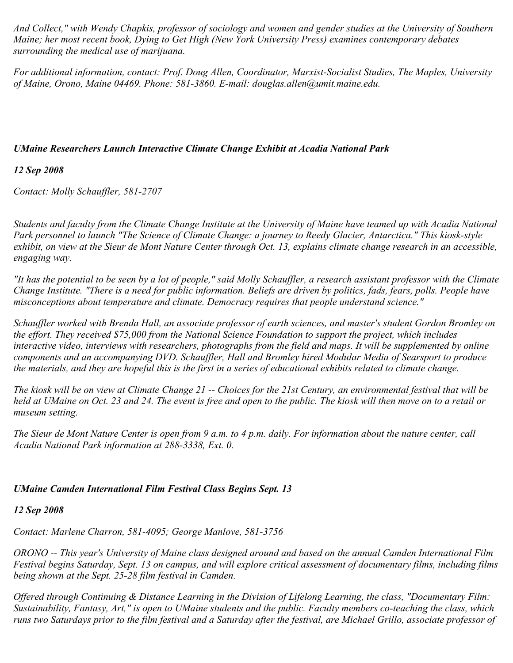*And Collect," with Wendy Chapkis, professor of sociology and women and gender studies at the University of Southern Maine; her most recent book, Dying to Get High (New York University Press) examines contemporary debates surrounding the medical use of marijuana.*

*For additional information, contact: Prof. Doug Allen, Coordinator, Marxist-Socialist Studies, The Maples, University of Maine, Orono, Maine 04469. Phone: 581-3860. E-mail: douglas.allen@umit.maine.edu.*

## *UMaine Researchers Launch Interactive Climate Change Exhibit at Acadia National Park*

# *12 Sep 2008*

*Contact: Molly Schauffler, 581-2707*

*Students and faculty from the Climate Change Institute at the University of Maine have teamed up with Acadia National Park personnel to launch "The Science of Climate Change: a journey to Reedy Glacier, Antarctica." This kiosk-style exhibit, on view at the Sieur de Mont Nature Center through Oct. 13, explains climate change research in an accessible, engaging way.* 

*"It has the potential to be seen by a lot of people," said Molly Schauffler, a research assistant professor with the Climate Change Institute. "There is a need for public information. Beliefs are driven by politics, fads, fears, polls. People have misconceptions about temperature and climate. Democracy requires that people understand science."*

*Schauffler worked with Brenda Hall, an associate professor of earth sciences, and master's student Gordon Bromley on the effort. They received \$75,000 from the National Science Foundation to support the project, which includes interactive video, interviews with researchers, photographs from the field and maps. It will be supplemented by online components and an accompanying DVD. Schauffler, Hall and Bromley hired Modular Media of Searsport to produce the materials, and they are hopeful this is the first in a series of educational exhibits related to climate change.*

*The kiosk will be on view at Climate Change 21 -- Choices for the 21st Century, an environmental festival that will be held at UMaine on Oct. 23 and 24. The event is free and open to the public. The kiosk will then move on to a retail or museum setting.*

*The Sieur de Mont Nature Center is open from 9 a.m. to 4 p.m. daily. For information about the nature center, call Acadia National Park information at 288-3338, Ext. 0.*

### *UMaine Camden International Film Festival Class Begins Sept. 13*

### *12 Sep 2008*

*Contact: Marlene Charron, 581-4095; George Manlove, 581-3756*

*ORONO -- This year's University of Maine class designed around and based on the annual Camden International Film Festival begins Saturday, Sept. 13 on campus, and will explore critical assessment of documentary films, including films being shown at the Sept. 25-28 film festival in Camden.*

*Offered through Continuing & Distance Learning in the Division of Lifelong Learning, the class, "Documentary Film: Sustainability, Fantasy, Art," is open to UMaine students and the public. Faculty members co-teaching the class, which runs two Saturdays prior to the film festival and a Saturday after the festival, are Michael Grillo, associate professor of*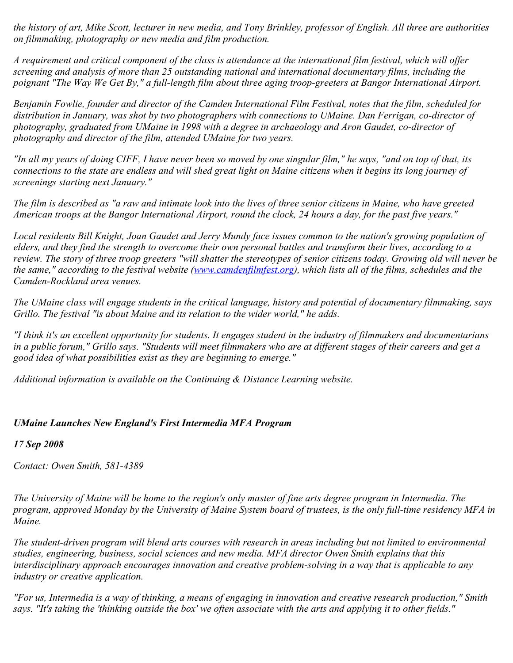*the history of art, Mike Scott, lecturer in new media, and Tony Brinkley, professor of English. All three are authorities on filmmaking, photography or new media and film production.*

*A requirement and critical component of the class is attendance at the international film festival, which will offer screening and analysis of more than 25 outstanding national and international documentary films, including the poignant "The Way We Get By," a full-length film about three aging troop-greeters at Bangor International Airport.*

*Benjamin Fowlie, founder and director of the Camden International Film Festival, notes that the film, scheduled for distribution in January, was shot by two photographers with connections to UMaine. Dan Ferrigan, co-director of photography, graduated from UMaine in 1998 with a degree in archaeology and Aron Gaudet, co-director of photography and director of the film, attended UMaine for two years.*

*"In all my years of doing CIFF, I have never been so moved by one singular film," he says, "and on top of that, its connections to the state are endless and will shed great light on Maine citizens when it begins its long journey of screenings starting next January."*

*The film is described as "a raw and intimate look into the lives of three senior citizens in Maine, who have greeted American troops at the Bangor International Airport, round the clock, 24 hours a day, for the past five years."*

*Local residents Bill Knight, Joan Gaudet and Jerry Mundy face issues common to the nation's growing population of elders, and they find the strength to overcome their own personal battles and transform their lives, according to a review. The story of three troop greeters "will shatter the stereotypes of senior citizens today. Growing old will never be the same," according to the festival website [\(www.camdenfilmfest.org](http://www.camdenfilmfest.org/)), which lists all of the films, schedules and the Camden-Rockland area venues.*

*The UMaine class will engage students in the critical language, history and potential of documentary filmmaking, says Grillo. The festival "is about Maine and its relation to the wider world," he adds.*

*"I think it's an excellent opportunity for students. It engages student in the industry of filmmakers and documentarians in a public forum," Grillo says. "Students will meet filmmakers who are at different stages of their careers and get a good idea of what possibilities exist as they are beginning to emerge."*

*Additional information is available on the Continuing & Distance Learning website.*

### *UMaine Launches New England's First Intermedia MFA Program*

*17 Sep 2008*

*Contact: Owen Smith, 581-4389*

*The University of Maine will be home to the region's only master of fine arts degree program in Intermedia. The program, approved Monday by the University of Maine System board of trustees, is the only full-time residency MFA in Maine.*

*The student-driven program will blend arts courses with research in areas including but not limited to environmental studies, engineering, business, social sciences and new media. MFA director Owen Smith explains that this interdisciplinary approach encourages innovation and creative problem-solving in a way that is applicable to any industry or creative application.*

*"For us, Intermedia is a way of thinking, a means of engaging in innovation and creative research production," Smith says. "It's taking the 'thinking outside the box' we often associate with the arts and applying it to other fields."*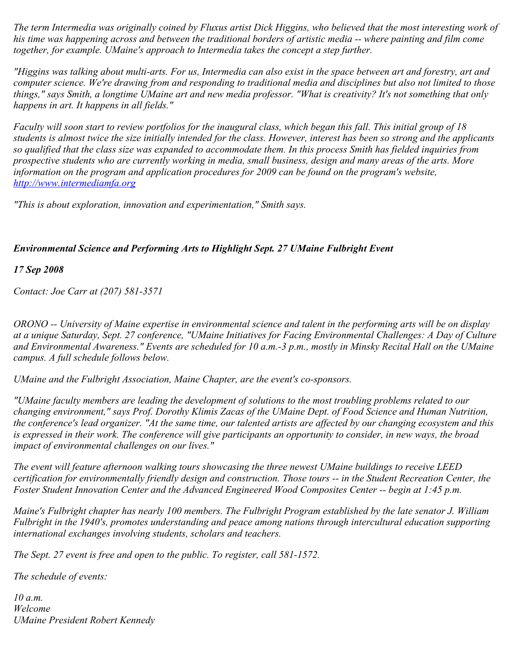*The term Intermedia was originally coined by Fluxus artist Dick Higgins, who believed that the most interesting work of his time was happening across and between the traditional borders of artistic media -- where painting and film come together, for example. UMaine's approach to Intermedia takes the concept a step further.*

*"Higgins was talking about multi-arts. For us, Intermedia can also exist in the space between art and forestry, art and computer science. We're drawing from and responding to traditional media and disciplines but also not limited to those things," says Smith, a longtime UMaine art and new media professor. "What is creativity? It's not something that only happens in art. It happens in all fields."*

*Faculty will soon start to review portfolios for the inaugural class, which began this fall. This initial group of 18 students is almost twice the size initially intended for the class. However, interest has been so strong and the applicants so qualified that the class size was expanded to accommodate them. In this process Smith has fielded inquiries from prospective students who are currently working in media, small business, design and many areas of the arts. More information on the program and application procedures for 2009 can be found on the program's website, [http://www.intermediamfa.org](http://www.intermediamfa.org/)*

*"This is about exploration, innovation and experimentation," Smith says.*

# *Environmental Science and Performing Arts to Highlight Sept. 27 UMaine Fulbright Event*

*17 Sep 2008*

*Contact: Joe Carr at (207) 581-3571*

*ORONO -- University of Maine expertise in environmental science and talent in the performing arts will be on display at a unique Saturday, Sept. 27 conference, "UMaine Initiatives for Facing Environmental Challenges: A Day of Culture and Environmental Awareness." Events are scheduled for 10 a.m.-3 p.m., mostly in Minsky Recital Hall on the UMaine campus. A full schedule follows below.*

*UMaine and the Fulbright Association, Maine Chapter, are the event's co-sponsors.*

*"UMaine faculty members are leading the development of solutions to the most troubling problems related to our changing environment," says Prof. Dorothy Klimis Zacas of the UMaine Dept. of Food Science and Human Nutrition, the conference's lead organizer. "At the same time, our talented artists are affected by our changing ecosystem and this is expressed in their work. The conference will give participants an opportunity to consider, in new ways, the broad impact of environmental challenges on our lives."*

*The event will feature afternoon walking tours showcasing the three newest UMaine buildings to receive LEED certification for environmentally friendly design and construction. Those tours -- in the Student Recreation Center, the Foster Student Innovation Center and the Advanced Engineered Wood Composites Center -- begin at 1:45 p.m.*

*Maine's Fulbright chapter has nearly 100 members. The Fulbright Program established by the late senator J. William Fulbright in the 1940's, promotes understanding and peace among nations through intercultural education supporting international exchanges involving students, scholars and teachers.*

*The Sept. 27 event is free and open to the public. To register, call 581-1572.*

*The schedule of events:*

*10 a.m. Welcome UMaine President Robert Kennedy*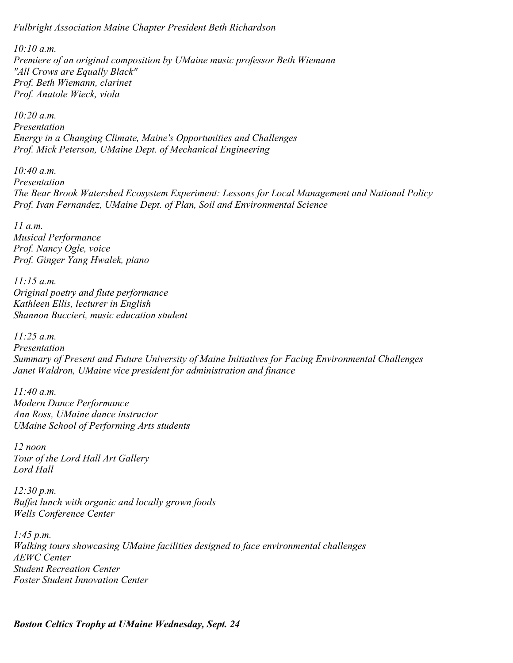*Fulbright Association Maine Chapter President Beth Richardson*

*10:10 a.m. Premiere of an original composition by UMaine music professor Beth Wiemann "All Crows are Equally Black" Prof. Beth Wiemann, clarinet Prof. Anatole Wieck, viola*

*10:20 a.m. Presentation Energy in a Changing Climate, Maine's Opportunities and Challenges Prof. Mick Peterson, UMaine Dept. of Mechanical Engineering*

*10:40 a.m. Presentation The Bear Brook Watershed Ecosystem Experiment: Lessons for Local Management and National Policy Prof. Ivan Fernandez, UMaine Dept. of Plan, Soil and Environmental Science*

*11 a.m. Musical Performance Prof. Nancy Ogle, voice Prof. Ginger Yang Hwalek, piano*

*11:15 a.m. Original poetry and flute performance Kathleen Ellis, lecturer in English Shannon Buccieri, music education student*

*11:25 a.m. Presentation Summary of Present and Future University of Maine Initiatives for Facing Environmental Challenges Janet Waldron, UMaine vice president for administration and finance*

*11:40 a.m. Modern Dance Performance Ann Ross, UMaine dance instructor UMaine School of Performing Arts students*

*12 noon Tour of the Lord Hall Art Gallery Lord Hall*

*12:30 p.m. Buffet lunch with organic and locally grown foods Wells Conference Center*

*1:45 p.m. Walking tours showcasing UMaine facilities designed to face environmental challenges AEWC Center Student Recreation Center Foster Student Innovation Center*

*Boston Celtics Trophy at UMaine Wednesday, Sept. 24*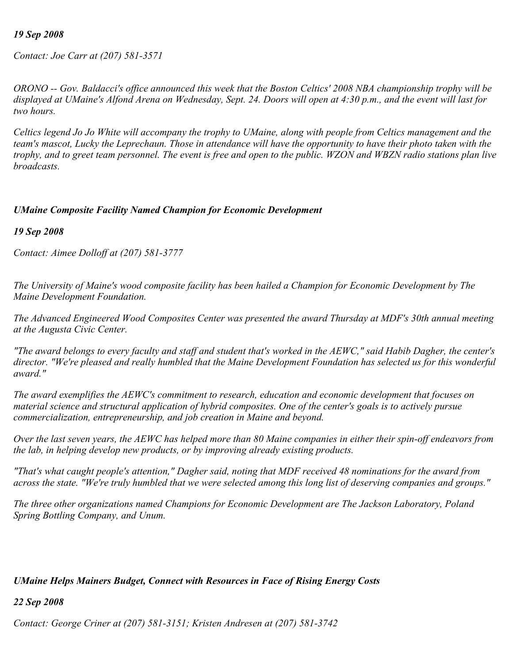### *19 Sep 2008*

*Contact: Joe Carr at (207) 581-3571*

*ORONO -- Gov. Baldacci's office announced this week that the Boston Celtics' 2008 NBA championship trophy will be displayed at UMaine's Alfond Arena on Wednesday, Sept. 24. Doors will open at 4:30 p.m., and the event will last for two hours.*

*Celtics legend Jo Jo White will accompany the trophy to UMaine, along with people from Celtics management and the team's mascot, Lucky the Leprechaun. Those in attendance will have the opportunity to have their photo taken with the trophy, and to greet team personnel. The event is free and open to the public. WZON and WBZN radio stations plan live broadcasts.*

### *UMaine Composite Facility Named Champion for Economic Development*

*19 Sep 2008*

*Contact: Aimee Dolloff at (207) 581-3777*

*The University of Maine's wood composite facility has been hailed a Champion for Economic Development by The Maine Development Foundation.*

*The Advanced Engineered Wood Composites Center was presented the award Thursday at MDF's 30th annual meeting at the Augusta Civic Center.*

*"The award belongs to every faculty and staff and student that's worked in the AEWC," said Habib Dagher, the center's director. "We're pleased and really humbled that the Maine Development Foundation has selected us for this wonderful award."*

*The award exemplifies the AEWC's commitment to research, education and economic development that focuses on material science and structural application of hybrid composites. One of the center's goals is to actively pursue commercialization, entrepreneurship, and job creation in Maine and beyond.*

*Over the last seven years, the AEWC has helped more than 80 Maine companies in either their spin-off endeavors from the lab, in helping develop new products, or by improving already existing products.*

*"That's what caught people's attention," Dagher said, noting that MDF received 48 nominations for the award from across the state. "We're truly humbled that we were selected among this long list of deserving companies and groups."*

*The three other organizations named Champions for Economic Development are The Jackson Laboratory, Poland Spring Bottling Company, and Unum.*

#### *UMaine Helps Mainers Budget, Connect with Resources in Face of Rising Energy Costs*

*22 Sep 2008*

*Contact: George Criner at (207) 581-3151; Kristen Andresen at (207) 581-3742*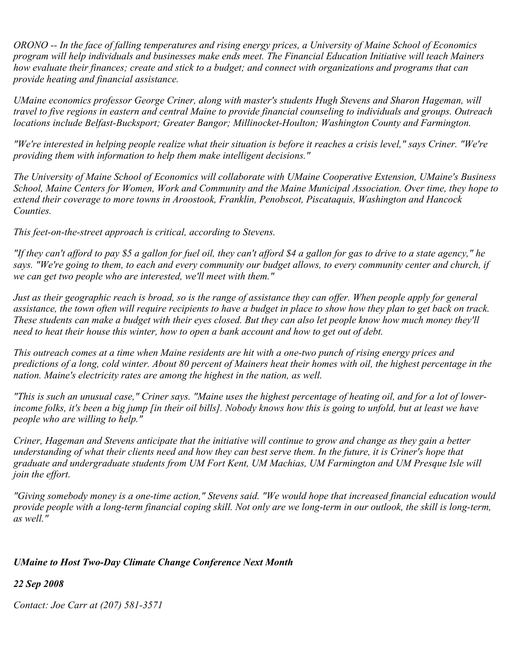*ORONO -- In the face of falling temperatures and rising energy prices, a University of Maine School of Economics program will help individuals and businesses make ends meet. The Financial Education Initiative will teach Mainers how evaluate their finances; create and stick to a budget; and connect with organizations and programs that can provide heating and financial assistance.*

*UMaine economics professor George Criner, along with master's students Hugh Stevens and Sharon Hageman, will travel to five regions in eastern and central Maine to provide financial counseling to individuals and groups. Outreach locations include Belfast-Bucksport; Greater Bangor; Millinocket-Houlton; Washington County and Farmington.*

*"We're interested in helping people realize what their situation is before it reaches a crisis level," says Criner. "We're providing them with information to help them make intelligent decisions."*

*The University of Maine School of Economics will collaborate with UMaine Cooperative Extension, UMaine's Business School, Maine Centers for Women, Work and Community and the Maine Municipal Association. Over time, they hope to extend their coverage to more towns in Aroostook, Franklin, Penobscot, Piscataquis, Washington and Hancock Counties.*

*This feet-on-the-street approach is critical, according to Stevens.*

*"If they can't afford to pay \$5 a gallon for fuel oil, they can't afford \$4 a gallon for gas to drive to a state agency," he says. "We're going to them, to each and every community our budget allows, to every community center and church, if we can get two people who are interested, we'll meet with them."*

*Just as their geographic reach is broad, so is the range of assistance they can offer. When people apply for general assistance, the town often will require recipients to have a budget in place to show how they plan to get back on track. These students can make a budget with their eyes closed. But they can also let people know how much money they'll need to heat their house this winter, how to open a bank account and how to get out of debt.*

*This outreach comes at a time when Maine residents are hit with a one-two punch of rising energy prices and predictions of a long, cold winter. About 80 percent of Mainers heat their homes with oil, the highest percentage in the nation. Maine's electricity rates are among the highest in the nation, as well.*

*"This is such an unusual case," Criner says. "Maine uses the highest percentage of heating oil, and for a lot of lowerincome folks, it's been a big jump [in their oil bills]. Nobody knows how this is going to unfold, but at least we have people who are willing to help."*

*Criner, Hageman and Stevens anticipate that the initiative will continue to grow and change as they gain a better understanding of what their clients need and how they can best serve them. In the future, it is Criner's hope that graduate and undergraduate students from UM Fort Kent, UM Machias, UM Farmington and UM Presque Isle will join the effort.*

*"Giving somebody money is a one-time action," Stevens said. "We would hope that increased financial education would provide people with a long-term financial coping skill. Not only are we long-term in our outlook, the skill is long-term, as well."*

### *UMaine to Host Two-Day Climate Change Conference Next Month*

*22 Sep 2008*

*Contact: Joe Carr at (207) 581-3571*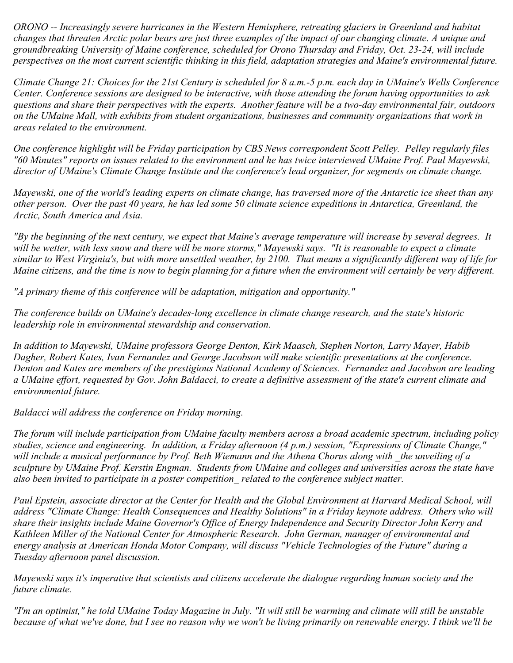*ORONO -- Increasingly severe hurricanes in the Western Hemisphere, retreating glaciers in Greenland and habitat changes that threaten Arctic polar bears are just three examples of the impact of our changing climate. A unique and groundbreaking University of Maine conference, scheduled for Orono Thursday and Friday, Oct. 23-24, will include perspectives on the most current scientific thinking in this field, adaptation strategies and Maine's environmental future.*

*Climate Change 21: Choices for the 21st Century is scheduled for 8 a.m.-5 p.m. each day in UMaine's Wells Conference Center. Conference sessions are designed to be interactive, with those attending the forum having opportunities to ask questions and share their perspectives with the experts. Another feature will be a two-day environmental fair, outdoors on the UMaine Mall, with exhibits from student organizations, businesses and community organizations that work in areas related to the environment.*

*One conference highlight will be Friday participation by CBS News correspondent Scott Pelley. Pelley regularly files "60 Minutes" reports on issues related to the environment and he has twice interviewed UMaine Prof. Paul Mayewski, director of UMaine's Climate Change Institute and the conference's lead organizer, for segments on climate change.*

*Mayewski, one of the world's leading experts on climate change, has traversed more of the Antarctic ice sheet than any other person. Over the past 40 years, he has led some 50 climate science expeditions in Antarctica, Greenland, the Arctic, South America and Asia.*

*"By the beginning of the next century, we expect that Maine's average temperature will increase by several degrees. It will be wetter, with less snow and there will be more storms," Mayewski says. "It is reasonable to expect a climate similar to West Virginia's, but with more unsettled weather, by 2100. That means a significantly different way of life for Maine citizens, and the time is now to begin planning for a future when the environment will certainly be very different.*

*"A primary theme of this conference will be adaptation, mitigation and opportunity."*

*The conference builds on UMaine's decades-long excellence in climate change research, and the state's historic leadership role in environmental stewardship and conservation.*

*In addition to Mayewski, UMaine professors George Denton, Kirk Maasch, Stephen Norton, Larry Mayer, Habib Dagher, Robert Kates, Ivan Fernandez and George Jacobson will make scientific presentations at the conference. Denton and Kates are members of the prestigious National Academy of Sciences. Fernandez and Jacobson are leading a UMaine effort, requested by Gov. John Baldacci, to create a definitive assessment of the state's current climate and environmental future.*

*Baldacci will address the conference on Friday morning.*

*The forum will include participation from UMaine faculty members across a broad academic spectrum, including policy studies, science and engineering. In addition, a Friday afternoon (4 p.m.) session, "Expressions of Climate Change," will include a musical performance by Prof. Beth Wiemann and the Athena Chorus along with \_the unveiling of a sculpture by UMaine Prof. Kerstin Engman. Students from UMaine and colleges and universities across the state have also been invited to participate in a poster competition\_ related to the conference subject matter.*

Paul Epstein, associate director at the Center for Health and the Global Environment at Harvard Medical School, will *address "Climate Change: Health Consequences and Healthy Solutions" in a Friday keynote address. Others who will share their insights include Maine Governor's Office of Energy Independence and Security Director John Kerry and Kathleen Miller of the National Center for Atmospheric Research. John German, manager of environmental and energy analysis at American Honda Motor Company, will discuss "Vehicle Technologies of the Future" during a Tuesday afternoon panel discussion.*

*Mayewski says it's imperative that scientists and citizens accelerate the dialogue regarding human society and the future climate.*

*"I'm an optimist," he told UMaine Today Magazine in July. "It will still be warming and climate will still be unstable because of what we've done, but I see no reason why we won't be living primarily on renewable energy. I think we'll be*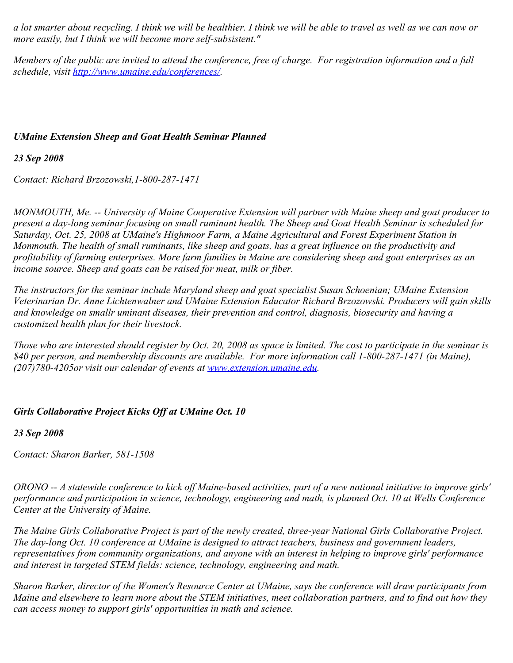*a lot smarter about recycling. I think we will be healthier. I think we will be able to travel as well as we can now or more easily, but I think we will become more self-subsistent."*

*Members of the public are invited to attend the conference, free of charge. For registration information and a full schedule, visit [http://www.umaine.edu/conferences/.](http://www.umaine.edu/conferences/)*

### *UMaine Extension Sheep and Goat Health Seminar Planned*

*23 Sep 2008*

*Contact: Richard Brzozowski,1-800-287-1471*

*MONMOUTH, Me. -- University of Maine Cooperative Extension will partner with Maine sheep and goat producer to present a day-long seminar focusing on small ruminant health. The Sheep and Goat Health Seminar is scheduled for Saturday, Oct. 25, 2008 at UMaine's Highmoor Farm, a Maine Agricultural and Forest Experiment Station in Monmouth. The health of small ruminants, like sheep and goats, has a great influence on the productivity and profitability of farming enterprises. More farm families in Maine are considering sheep and goat enterprises as an income source. Sheep and goats can be raised for meat, milk or fiber.*

*The instructors for the seminar include Maryland sheep and goat specialist Susan Schoenian; UMaine Extension Veterinarian Dr. Anne Lichtenwalner and UMaine Extension Educator Richard Brzozowski. Producers will gain skills and knowledge on smallr uminant diseases, their prevention and control, diagnosis, biosecurity and having a customized health plan for their livestock.*

*Those who are interested should register by Oct. 20, 2008 as space is limited. The cost to participate in the seminar is \$40 per person, and membership discounts are available. For more information call 1-800-287-1471 (in Maine), (207)780-4205or visit our calendar of events at [www.extension.umaine.edu](http://www.extension.umaine.edu/).*

### *Girls Collaborative Project Kicks Off at UMaine Oct. 10*

*23 Sep 2008*

*Contact: Sharon Barker, 581-1508*

*ORONO -- A statewide conference to kick off Maine-based activities, part of a new national initiative to improve girls' performance and participation in science, technology, engineering and math, is planned Oct. 10 at Wells Conference Center at the University of Maine.*

*The Maine Girls Collaborative Project is part of the newly created, three-year National Girls Collaborative Project. The day-long Oct. 10 conference at UMaine is designed to attract teachers, business and government leaders, representatives from community organizations, and anyone with an interest in helping to improve girls' performance and interest in targeted STEM fields: science, technology, engineering and math.*

*Sharon Barker, director of the Women's Resource Center at UMaine, says the conference will draw participants from Maine and elsewhere to learn more about the STEM initiatives, meet collaboration partners, and to find out how they can access money to support girls' opportunities in math and science.*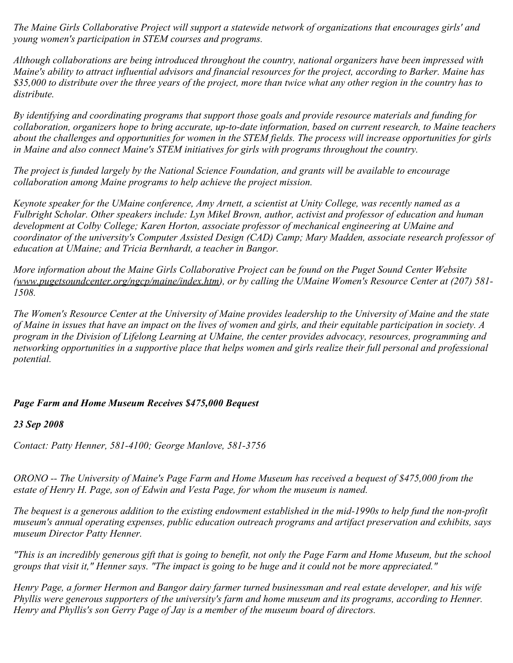*The Maine Girls Collaborative Project will support a statewide network of organizations that encourages girls' and young women's participation in STEM courses and programs.*

*Although collaborations are being introduced throughout the country, national organizers have been impressed with Maine's ability to attract influential advisors and financial resources for the project, according to Barker. Maine has \$35,000 to distribute over the three years of the project, more than twice what any other region in the country has to distribute.*

*By identifying and coordinating programs that support those goals and provide resource materials and funding for collaboration, organizers hope to bring accurate, up-to-date information, based on current research, to Maine teachers about the challenges and opportunities for women in the STEM fields. The process will increase opportunities for girls in Maine and also connect Maine's STEM initiatives for girls with programs throughout the country.*

*The project is funded largely by the National Science Foundation, and grants will be available to encourage collaboration among Maine programs to help achieve the project mission.*

*Keynote speaker for the UMaine conference, Amy Arnett, a scientist at Unity College, was recently named as a Fulbright Scholar. Other speakers include: Lyn Mikel Brown, author, activist and professor of education and human development at Colby College; Karen Horton, associate professor of mechanical engineering at UMaine and coordinator of the university's Computer Assisted Design (CAD) Camp; Mary Madden, associate research professor of education at UMaine; and Tricia Bernhardt, a teacher in Bangor.*

*More information about the Maine Girls Collaborative Project can be found on the Puget Sound Center Website (www.pugetsoundcenter.org/ngcp/maine/index.htm), or by calling the UMaine Women's Resource Center at (207) 581- 1508.*

*The Women's Resource Center at the University of Maine provides leadership to the University of Maine and the state of Maine in issues that have an impact on the lives of women and girls, and their equitable participation in society. A program in the Division of Lifelong Learning at UMaine, the center provides advocacy, resources, programming and networking opportunities in a supportive place that helps women and girls realize their full personal and professional potential.*

### *Page Farm and Home Museum Receives \$475,000 Bequest*

### *23 Sep 2008*

*Contact: Patty Henner, 581-4100; George Manlove, 581-3756*

*ORONO -- The University of Maine's Page Farm and Home Museum has received a bequest of \$475,000 from the estate of Henry H. Page, son of Edwin and Vesta Page, for whom the museum is named.*

*The bequest is a generous addition to the existing endowment established in the mid-1990s to help fund the non-profit museum's annual operating expenses, public education outreach programs and artifact preservation and exhibits, says museum Director Patty Henner.*

*"This is an incredibly generous gift that is going to benefit, not only the Page Farm and Home Museum, but the school groups that visit it," Henner says. "The impact is going to be huge and it could not be more appreciated."*

*Henry Page, a former Hermon and Bangor dairy farmer turned businessman and real estate developer, and his wife Phyllis were generous supporters of the university's farm and home museum and its programs, according to Henner. Henry and Phyllis's son Gerry Page of Jay is a member of the museum board of directors.*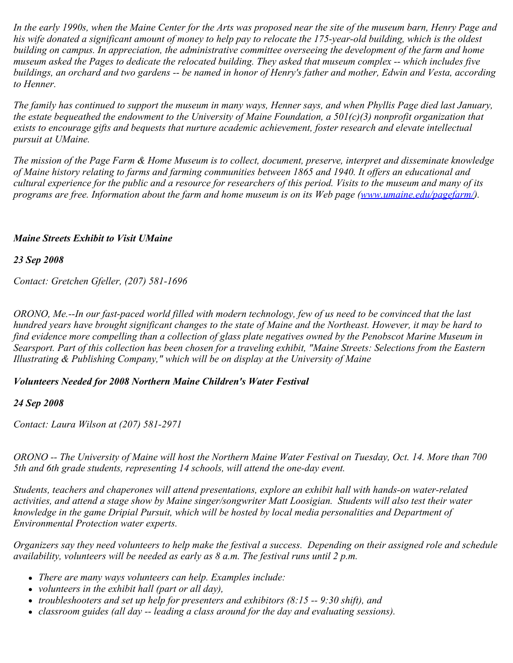*In the early 1990s, when the Maine Center for the Arts was proposed near the site of the museum barn, Henry Page and his wife donated a significant amount of money to help pay to relocate the 175-year-old building, which is the oldest building on campus. In appreciation, the administrative committee overseeing the development of the farm and home museum asked the Pages to dedicate the relocated building. They asked that museum complex -- which includes five buildings, an orchard and two gardens -- be named in honor of Henry's father and mother, Edwin and Vesta, according to Henner.*

*The family has continued to support the museum in many ways, Henner says, and when Phyllis Page died last January, the estate bequeathed the endowment to the University of Maine Foundation, a 501(c)(3) nonprofit organization that exists to encourage gifts and bequests that nurture academic achievement, foster research and elevate intellectual pursuit at UMaine.*

*The mission of the Page Farm & Home Museum is to collect, document, preserve, interpret and disseminate knowledge of Maine history relating to farms and farming communities between 1865 and 1940. It offers an educational and cultural experience for the public and a resource for researchers of this period. Visits to the museum and many of its programs are free. Information about the farm and home museum is on its Web page [\(www.umaine.edu/pagefarm/](http://www.umaine.edu/pagefarm/)).* 

### *Maine Streets Exhibit to Visit UMaine*

*23 Sep 2008*

*Contact: Gretchen Gfeller, (207) 581-1696*

*ORONO, Me.--In our fast-paced world filled with modern technology, few of us need to be convinced that the last hundred years have brought significant changes to the state of Maine and the Northeast. However, it may be hard to find evidence more compelling than a collection of glass plate negatives owned by the Penobscot Marine Museum in Searsport. Part of this collection has been chosen for a traveling exhibit, "Maine Streets: Selections from the Eastern Illustrating & Publishing Company," which will be on display at the University of Maine* 

### *Volunteers Needed for 2008 Northern Maine Children's Water Festival*

### *24 Sep 2008*

*Contact: Laura Wilson at (207) 581-2971*

*ORONO -- The University of Maine will host the Northern Maine Water Festival on Tuesday, Oct. 14. More than 700 5th and 6th grade students, representing 14 schools, will attend the one-day event.*

*Students, teachers and chaperones will attend presentations, explore an exhibit hall with hands-on water-related activities, and attend a stage show by Maine singer/songwriter Matt Loosigian. Students will also test their water knowledge in the game Dripial Pursuit, which will be hosted by local media personalities and Department of Environmental Protection water experts.*

*Organizers say they need volunteers to help make the festival a success. Depending on their assigned role and schedule availability, volunteers will be needed as early as 8 a.m. The festival runs until 2 p.m.*

- *There are many ways volunteers can help. Examples include:*
- *volunteers in the exhibit hall (part or all day),*
- *troubleshooters and set up help for presenters and exhibitors (8:15 -- 9:30 shift), and*
- *classroom guides (all day -- leading a class around for the day and evaluating sessions).*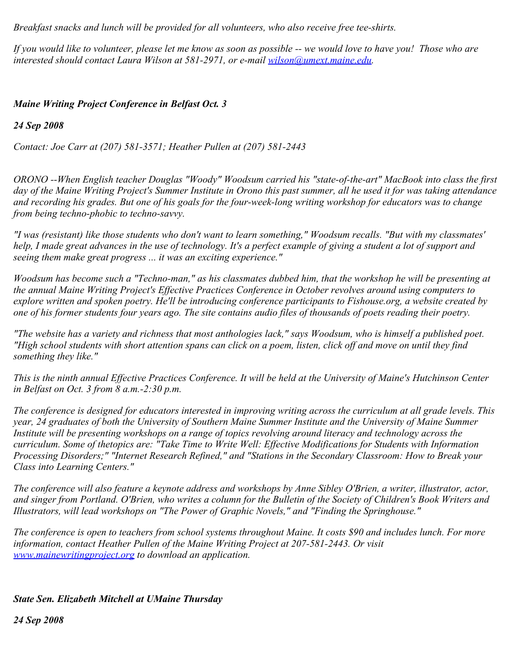*Breakfast snacks and lunch will be provided for all volunteers, who also receive free tee-shirts.*

*If you would like to volunteer, please let me know as soon as possible -- we would love to have you! Those who are interested should contact Laura Wilson at 581-2971, or e-mail [wilson@umext.maine.edu](mailto:wilson@umext.maine.edu).*

# *Maine Writing Project Conference in Belfast Oct. 3*

## *24 Sep 2008*

*Contact: Joe Carr at (207) 581-3571; Heather Pullen at (207) 581-2443*

*ORONO --When English teacher Douglas "Woody" Woodsum carried his "state-of-the-art" MacBook into class the first day of the Maine Writing Project's Summer Institute in Orono this past summer, all he used it for was taking attendance and recording his grades. But one of his goals for the four-week-long writing workshop for educators was to change from being techno-phobic to techno-savvy.*

*"I was (resistant) like those students who don't want to learn something," Woodsum recalls. "But with my classmates' help, I made great advances in the use of technology. It's a perfect example of giving a student a lot of support and seeing them make great progress ... it was an exciting experience."*

*Woodsum has become such a "Techno-man," as his classmates dubbed him, that the workshop he will be presenting at the annual Maine Writing Project's Effective Practices Conference in October revolves around using computers to explore written and spoken poetry. He'll be introducing conference participants to Fishouse.org, a website created by one of his former students four years ago. The site contains audio files of thousands of poets reading their poetry.*

*"The website has a variety and richness that most anthologies lack," says Woodsum, who is himself a published poet. "High school students with short attention spans can click on a poem, listen, click off and move on until they find something they like."*

*This is the ninth annual Effective Practices Conference. It will be held at the University of Maine's Hutchinson Center in Belfast on Oct. 3 from 8 a.m.-2:30 p.m.*

*The conference is designed for educators interested in improving writing across the curriculum at all grade levels. This year, 24 graduates of both the University of Southern Maine Summer Institute and the University of Maine Summer Institute will be presenting workshops on a range of topics revolving around literacy and technology across the curriculum. Some of thetopics are: "Take Time to Write Well: Effective Modifications for Students with Information Processing Disorders;" "Internet Research Refined," and "Stations in the Secondary Classroom: How to Break your Class into Learning Centers."*

*The conference will also feature a keynote address and workshops by Anne Sibley O'Brien, a writer, illustrator, actor, and singer from Portland. O'Brien, who writes a column for the Bulletin of the Society of Children's Book Writers and Illustrators, will lead workshops on "The Power of Graphic Novels," and "Finding the Springhouse."*

*The conference is open to teachers from school systems throughout Maine. It costs \$90 and includes lunch. For more information, contact Heather Pullen of the Maine Writing Project at 207-581-2443. Or visit [www.mainewritingproject.org](http://www.mainewritingproject.org/) to download an application.*

# *State Sen. Elizabeth Mitchell at UMaine Thursday*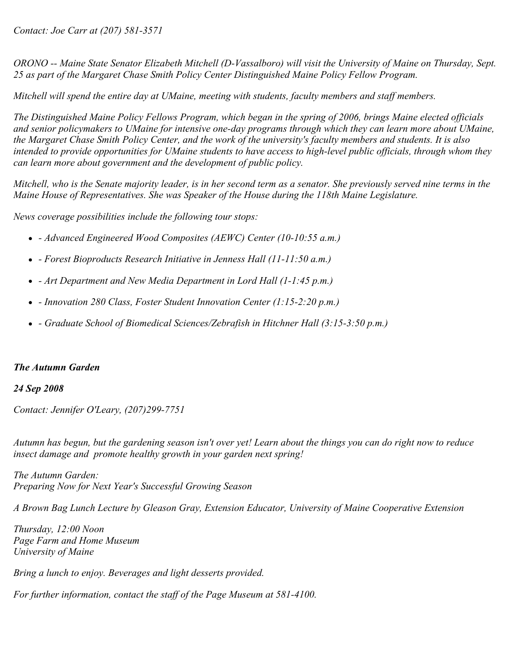*Contact: Joe Carr at (207) 581-3571*

*ORONO -- Maine State Senator Elizabeth Mitchell (D-Vassalboro) will visit the University of Maine on Thursday, Sept. 25 as part of the Margaret Chase Smith Policy Center Distinguished Maine Policy Fellow Program.*

*Mitchell will spend the entire day at UMaine, meeting with students, faculty members and staff members.*

*The Distinguished Maine Policy Fellows Program, which began in the spring of 2006, brings Maine elected officials and senior policymakers to UMaine for intensive one-day programs through which they can learn more about UMaine, the Margaret Chase Smith Policy Center, and the work of the university's faculty members and students. It is also intended to provide opportunities for UMaine students to have access to high-level public officials, through whom they can learn more about government and the development of public policy.*

*Mitchell, who is the Senate majority leader, is in her second term as a senator. She previously served nine terms in the Maine House of Representatives. She was Speaker of the House during the 118th Maine Legislature.*

*News coverage possibilities include the following tour stops:*

- *Advanced Engineered Wood Composites (AEWC) Center (10-10:55 a.m.)*
- *Forest Bioproducts Research Initiative in Jenness Hall (11-11:50 a.m.)*
- *Art Department and New Media Department in Lord Hall (1-1:45 p.m.)*
- *Innovation 280 Class, Foster Student Innovation Center (1:15-2:20 p.m.)*
- *Graduate School of Biomedical Sciences/Zebrafish in Hitchner Hall (3:15-3:50 p.m.)*

#### *The Autumn Garden*

#### *24 Sep 2008*

*Contact: Jennifer O'Leary, (207)299-7751*

*Autumn has begun, but the gardening season isn't over yet! Learn about the things you can do right now to reduce insect damage and promote healthy growth in your garden next spring!*

*The Autumn Garden: Preparing Now for Next Year's Successful Growing Season*

*A Brown Bag Lunch Lecture by Gleason Gray, Extension Educator, University of Maine Cooperative Extension*

*Thursday, 12:00 Noon Page Farm and Home Museum University of Maine*

*Bring a lunch to enjoy. Beverages and light desserts provided.*

*For further information, contact the staff of the Page Museum at 581-4100.*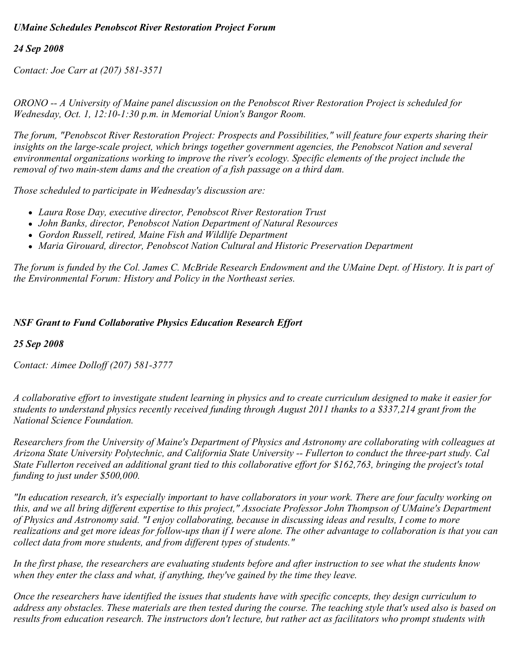# *UMaine Schedules Penobscot River Restoration Project Forum*

### *24 Sep 2008*

*Contact: Joe Carr at (207) 581-3571*

*ORONO -- A University of Maine panel discussion on the Penobscot River Restoration Project is scheduled for Wednesday, Oct. 1, 12:10-1:30 p.m. in Memorial Union's Bangor Room.*

*The forum, "Penobscot River Restoration Project: Prospects and Possibilities," will feature four experts sharing their insights on the large-scale project, which brings together government agencies, the Penobscot Nation and several environmental organizations working to improve the river's ecology. Specific elements of the project include the removal of two main-stem dams and the creation of a fish passage on a third dam.*

*Those scheduled to participate in Wednesday's discussion are:*

- *Laura Rose Day, executive director, Penobscot River Restoration Trust*
- *John Banks, director, Penobscot Nation Department of Natural Resources*
- *Gordon Russell, retired, Maine Fish and Wildlife Department*
- *Maria Girouard, director, Penobscot Nation Cultural and Historic Preservation Department*

*The forum is funded by the Col. James C. McBride Research Endowment and the UMaine Dept. of History. It is part of the Environmental Forum: History and Policy in the Northeast series.*

#### *NSF Grant to Fund Collaborative Physics Education Research Effort*

#### *25 Sep 2008*

*Contact: Aimee Dolloff (207) 581-3777*

*A collaborative effort to investigate student learning in physics and to create curriculum designed to make it easier for students to understand physics recently received funding through August 2011 thanks to a \$337,214 grant from the National Science Foundation.*

*Researchers from the University of Maine's Department of Physics and Astronomy are collaborating with colleagues at Arizona State University Polytechnic, and California State University -- Fullerton to conduct the three-part study. Cal State Fullerton received an additional grant tied to this collaborative effort for \$162,763, bringing the project's total funding to just under \$500,000.*

*"In education research, it's especially important to have collaborators in your work. There are four faculty working on this, and we all bring different expertise to this project," Associate Professor John Thompson of UMaine's Department of Physics and Astronomy said. "I enjoy collaborating, because in discussing ideas and results, I come to more realizations and get more ideas for follow-ups than if I were alone. The other advantage to collaboration is that you can collect data from more students, and from different types of students."*

*In the first phase, the researchers are evaluating students before and after instruction to see what the students know when they enter the class and what, if anything, they've gained by the time they leave.*

*Once the researchers have identified the issues that students have with specific concepts, they design curriculum to address any obstacles. These materials are then tested during the course. The teaching style that's used also is based on results from education research. The instructors don't lecture, but rather act as facilitators who prompt students with*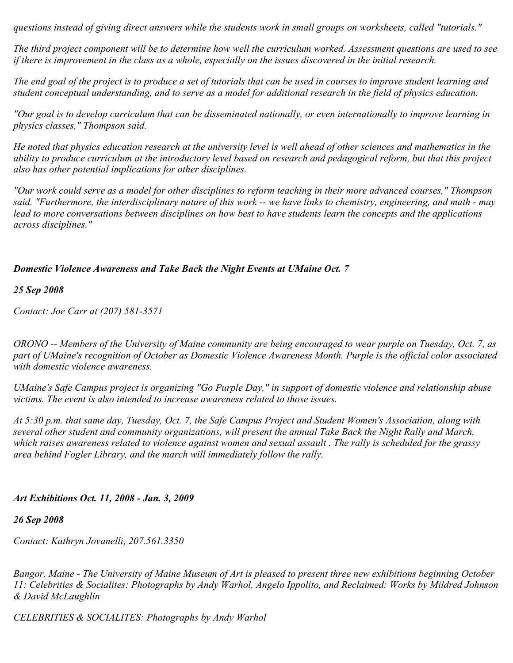*questions instead of giving direct answers while the students work in small groups on worksheets, called "tutorials."*

*The third project component will be to determine how well the curriculum worked. Assessment questions are used to see if there is improvement in the class as a whole, especially on the issues discovered in the initial research.*

*The end goal of the project is to produce a set of tutorials that can be used in courses to improve student learning and student conceptual understanding, and to serve as a model for additional research in the field of physics education.*

*"Our goal is to develop curriculum that can be disseminated nationally, or even internationally to improve learning in physics classes," Thompson said.*

*He noted that physics education research at the university level is well ahead of other sciences and mathematics in the ability to produce curriculum at the introductory level based on research and pedagogical reform, but that this project also has other potential implications for other disciplines.*

*"Our work could serve as a model for other disciplines to reform teaching in their more advanced courses," Thompson said. "Furthermore, the interdisciplinary nature of this work -- we have links to chemistry, engineering, and math - may lead to more conversations between disciplines on how best to have students learn the concepts and the applications across disciplines."*

### *Domestic Violence Awareness and Take Back the Night Events at UMaine Oct. 7*

#### *25 Sep 2008*

*Contact: Joe Carr at (207) 581-3571*

*ORONO -- Members of the University of Maine community are being encouraged to wear purple on Tuesday, Oct. 7, as part of UMaine's recognition of October as Domestic Violence Awareness Month. Purple is the official color associated with domestic violence awareness.*

*UMaine's Safe Campus project is organizing "Go Purple Day," in support of domestic violence and relationship abuse victims. The event is also intended to increase awareness related to those issues.*

*At 5:30 p.m. that same day, Tuesday, Oct. 7, the Safe Campus Project and Student Women's Association, along with several other student and community organizations, will present the annual Take Back the Night Rally and March, which raises awareness related to violence against women and sexual assault . The rally is scheduled for the grassy area behind Fogler Library, and the march will immediately follow the rally.*

### *Art Exhibitions Oct. 11, 2008 - Jan. 3, 2009*

#### *26 Sep 2008*

*Contact: Kathryn Jovanelli, 207.561.3350*

*Bangor, Maine - The University of Maine Museum of Art is pleased to present three new exhibitions beginning October 11: Celebrities & Socialites: Photographs by Andy Warhol, Angelo Ippolito, and Reclaimed: Works by Mildred Johnson & David McLaughlin*

*CELEBRITIES & SOCIALITES: Photographs by Andy Warhol*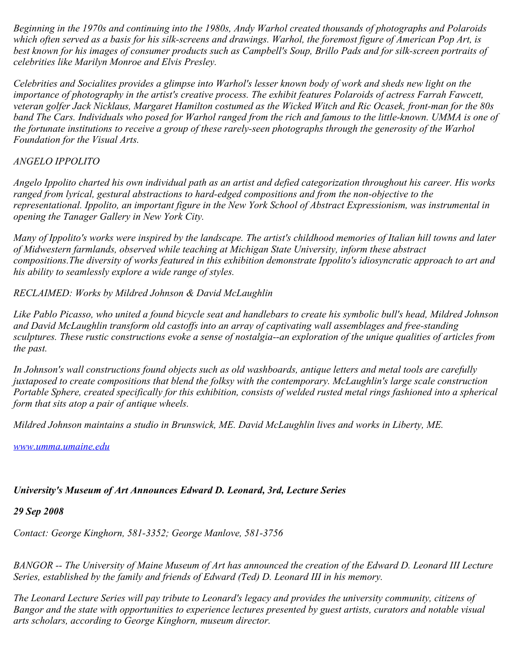*Beginning in the 1970s and continuing into the 1980s, Andy Warhol created thousands of photographs and Polaroids which often served as a basis for his silk-screens and drawings. Warhol, the foremost figure of American Pop Art, is best known for his images of consumer products such as Campbell's Soup, Brillo Pads and for silk-screen portraits of celebrities like Marilyn Monroe and Elvis Presley.*

*Celebrities and Socialites provides a glimpse into Warhol's lesser known body of work and sheds new light on the importance of photography in the artist's creative process. The exhibit features Polaroids of actress Farrah Fawcett, veteran golfer Jack Nicklaus, Margaret Hamilton costumed as the Wicked Witch and Ric Ocasek, front-man for the 80s band The Cars. Individuals who posed for Warhol ranged from the rich and famous to the little-known. UMMA is one of the fortunate institutions to receive a group of these rarely-seen photographs through the generosity of the Warhol Foundation for the Visual Arts.*

# *ANGELO IPPOLITO*

*Angelo Ippolito charted his own individual path as an artist and defied categorization throughout his career. His works ranged from lyrical, gestural abstractions to hard-edged compositions and from the non-objective to the representational. Ippolito, an important figure in the New York School of Abstract Expressionism, was instrumental in opening the Tanager Gallery in New York City.*

*Many of Ippolito's works were inspired by the landscape. The artist's childhood memories of Italian hill towns and later of Midwestern farmlands, observed while teaching at Michigan State University, inform these abstract compositions.The diversity of works featured in this exhibition demonstrate Ippolito's idiosyncratic approach to art and his ability to seamlessly explore a wide range of styles.*

*RECLAIMED: Works by Mildred Johnson & David McLaughlin*

*Like Pablo Picasso, who united a found bicycle seat and handlebars to create his symbolic bull's head, Mildred Johnson and David McLaughlin transform old castoffs into an array of captivating wall assemblages and free-standing sculptures. These rustic constructions evoke a sense of nostalgia--an exploration of the unique qualities of articles from the past.*

*In Johnson's wall constructions found objects such as old washboards, antique letters and metal tools are carefully juxtaposed to create compositions that blend the folksy with the contemporary. McLaughlin's large scale construction Portable Sphere, created specifically for this exhibition, consists of welded rusted metal rings fashioned into a spherical form that sits atop a pair of antique wheels.*

*Mildred Johnson maintains a studio in Brunswick, ME. David McLaughlin lives and works in Liberty, ME.*

*[www.umma.umaine.edu](http://www.umma.umaine.edu/)*

# *University's Museum of Art Announces Edward D. Leonard, 3rd, Lecture Series*

*29 Sep 2008*

*Contact: George Kinghorn, 581-3352; George Manlove, 581-3756*

*BANGOR -- The University of Maine Museum of Art has announced the creation of the Edward D. Leonard III Lecture Series, established by the family and friends of Edward (Ted) D. Leonard III in his memory.*

*The Leonard Lecture Series will pay tribute to Leonard's legacy and provides the university community, citizens of Bangor and the state with opportunities to experience lectures presented by guest artists, curators and notable visual arts scholars, according to George Kinghorn, museum director.*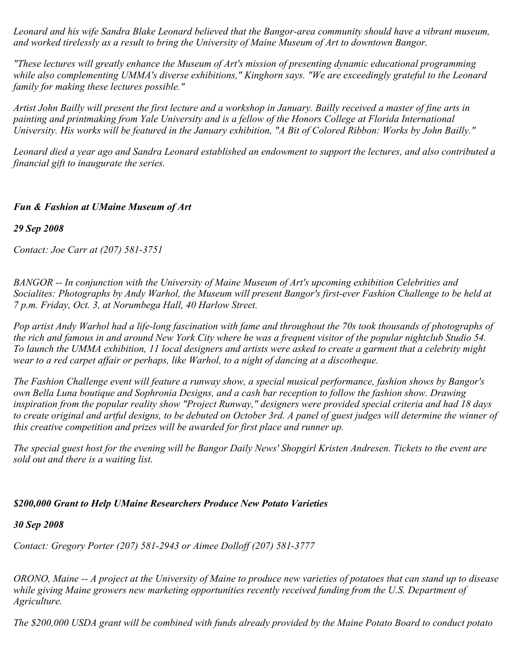*Leonard and his wife Sandra Blake Leonard believed that the Bangor-area community should have a vibrant museum, and worked tirelessly as a result to bring the University of Maine Museum of Art to downtown Bangor.*

*"These lectures will greatly enhance the Museum of Art's mission of presenting dynamic educational programming while also complementing UMMA's diverse exhibitions," Kinghorn says. "We are exceedingly grateful to the Leonard family for making these lectures possible."*

*Artist John Bailly will present the first lecture and a workshop in January. Bailly received a master of fine arts in painting and printmaking from Yale University and is a fellow of the Honors College at Florida International University. His works will be featured in the January exhibition, "A Bit of Colored Ribbon: Works by John Bailly."*

*Leonard died a year ago and Sandra Leonard established an endowment to support the lectures, and also contributed a financial gift to inaugurate the series.*

# *Fun & Fashion at UMaine Museum of Art*

*29 Sep 2008*

*Contact: Joe Carr at (207) 581-3751*

*BANGOR -- In conjunction with the University of Maine Museum of Art's upcoming exhibition Celebrities and Socialites: Photographs by Andy Warhol, the Museum will present Bangor's first-ever Fashion Challenge to be held at 7 p.m. Friday, Oct. 3, at Norumbega Hall, 40 Harlow Street.*

*Pop artist Andy Warhol had a life-long fascination with fame and throughout the 70s took thousands of photographs of the rich and famous in and around New York City where he was a frequent visitor of the popular nightclub Studio 54. To launch the UMMA exhibition, 11 local designers and artists were asked to create a garment that a celebrity might wear to a red carpet affair or perhaps, like Warhol, to a night of dancing at a discotheque.*

*The Fashion Challenge event will feature a runway show, a special musical performance, fashion shows by Bangor's own Bella Luna boutique and Sophronia Designs, and a cash bar reception to follow the fashion show. Drawing inspiration from the popular reality show "Project Runway," designers were provided special criteria and had 18 days to create original and artful designs, to be debuted on October 3rd. A panel of guest judges will determine the winner of this creative competition and prizes will be awarded for first place and runner up.*

*The special guest host for the evening will be Bangor Daily News' Shopgirl Kristen Andresen. Tickets to the event are sold out and there is a waiting list.*

### *\$200,000 Grant to Help UMaine Researchers Produce New Potato Varieties*

*30 Sep 2008*

*Contact: Gregory Porter (207) 581-2943 or Aimee Dolloff (207) 581-3777*

*ORONO, Maine -- A project at the University of Maine to produce new varieties of potatoes that can stand up to disease while giving Maine growers new marketing opportunities recently received funding from the U.S. Department of Agriculture.*

*The \$200,000 USDA grant will be combined with funds already provided by the Maine Potato Board to conduct potato*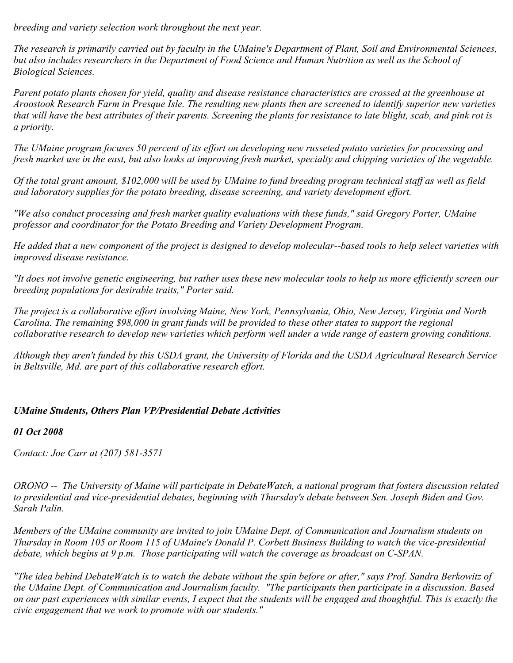*breeding and variety selection work throughout the next year.*

*The research is primarily carried out by faculty in the UMaine's Department of Plant, Soil and Environmental Sciences, but also includes researchers in the Department of Food Science and Human Nutrition as well as the School of Biological Sciences.*

*Parent potato plants chosen for yield, quality and disease resistance characteristics are crossed at the greenhouse at Aroostook Research Farm in Presque Isle. The resulting new plants then are screened to identify superior new varieties that will have the best attributes of their parents. Screening the plants for resistance to late blight, scab, and pink rot is a priority.*

*The UMaine program focuses 50 percent of its effort on developing new russeted potato varieties for processing and fresh market use in the east, but also looks at improving fresh market, specialty and chipping varieties of the vegetable.*

*Of the total grant amount, \$102,000 will be used by UMaine to fund breeding program technical staff as well as field and laboratory supplies for the potato breeding, disease screening, and variety development effort.*

*"We also conduct processing and fresh market quality evaluations with these funds," said Gregory Porter, UMaine professor and coordinator for the Potato Breeding and Variety Development Program.*

*He added that a new component of the project is designed to develop molecular--based tools to help select varieties with improved disease resistance.*

*"It does not involve genetic engineering, but rather uses these new molecular tools to help us more efficiently screen our breeding populations for desirable traits," Porter said.*

*The project is a collaborative effort involving Maine, New York, Pennsylvania, Ohio, New Jersey, Virginia and North Carolina. The remaining \$98,000 in grant funds will be provided to these other states to support the regional collaborative research to develop new varieties which perform well under a wide range of eastern growing conditions.*

*Although they aren't funded by this USDA grant, the University of Florida and the USDA Agricultural Research Service in Beltsville, Md. are part of this collaborative research effort.*

# *UMaine Students, Others Plan VP/Presidential Debate Activities*

*01 Oct 2008*

*Contact: Joe Carr at (207) 581-3571*

*ORONO -- The University of Maine will participate in DebateWatch, a national program that fosters discussion related to presidential and vice-presidential debates, beginning with Thursday's debate between Sen. Joseph Biden and Gov. Sarah Palin.*

*Members of the UMaine community are invited to join UMaine Dept. of Communication and Journalism students on Thursday in Room 105 or Room 115 of UMaine's Donald P. Corbett Business Building to watch the vice-presidential debate, which begins at 9 p.m. Those participating will watch the coverage as broadcast on C-SPAN.*

*"The idea behind DebateWatch is to watch the debate without the spin before or after," says Prof. Sandra Berkowitz of the UMaine Dept. of Communication and Journalism faculty. "The participants then participate in a discussion. Based on our past experiences with similar events, I expect that the students will be engaged and thoughtful. This is exactly the civic engagement that we work to promote with our students."*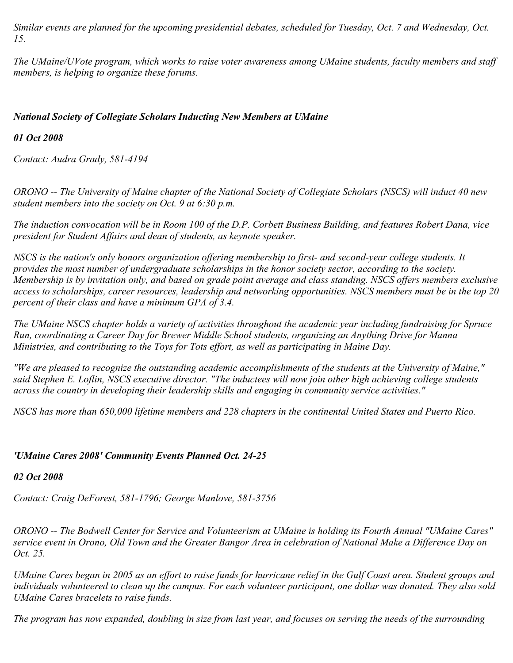*Similar events are planned for the upcoming presidential debates, scheduled for Tuesday, Oct. 7 and Wednesday, Oct. 15.* 

*The UMaine/UVote program, which works to raise voter awareness among UMaine students, faculty members and staff members, is helping to organize these forums.*

## *National Society of Collegiate Scholars Inducting New Members at UMaine*

## *01 Oct 2008*

*Contact: Audra Grady, 581-4194*

*ORONO -- The University of Maine chapter of the National Society of Collegiate Scholars (NSCS) will induct 40 new student members into the society on Oct. 9 at 6:30 p.m.*

*The induction convocation will be in Room 100 of the D.P. Corbett Business Building, and features Robert Dana, vice president for Student Affairs and dean of students, as keynote speaker.*

*NSCS is the nation's only honors organization offering membership to first- and second-year college students. It provides the most number of undergraduate scholarships in the honor society sector, according to the society. Membership is by invitation only, and based on grade point average and class standing. NSCS offers members exclusive access to scholarships, career resources, leadership and networking opportunities. NSCS members must be in the top 20 percent of their class and have a minimum GPA of 3.4.*

*The UMaine NSCS chapter holds a variety of activities throughout the academic year including fundraising for Spruce Run, coordinating a Career Day for Brewer Middle School students, organizing an Anything Drive for Manna Ministries, and contributing to the Toys for Tots effort, as well as participating in Maine Day.*

*"We are pleased to recognize the outstanding academic accomplishments of the students at the University of Maine," said Stephen E. Loflin, NSCS executive director. "The inductees will now join other high achieving college students across the country in developing their leadership skills and engaging in community service activities."*

*NSCS has more than 650,000 lifetime members and 228 chapters in the continental United States and Puerto Rico.*

# *'UMaine Cares 2008' Community Events Planned Oct. 24-25*

### *02 Oct 2008*

*Contact: Craig DeForest, 581-1796; George Manlove, 581-3756*

*ORONO -- The Bodwell Center for Service and Volunteerism at UMaine is holding its Fourth Annual "UMaine Cares" service event in Orono, Old Town and the Greater Bangor Area in celebration of National Make a Difference Day on Oct. 25.*

*UMaine Cares began in 2005 as an effort to raise funds for hurricane relief in the Gulf Coast area. Student groups and individuals volunteered to clean up the campus. For each volunteer participant, one dollar was donated. They also sold UMaine Cares bracelets to raise funds.*

*The program has now expanded, doubling in size from last year, and focuses on serving the needs of the surrounding*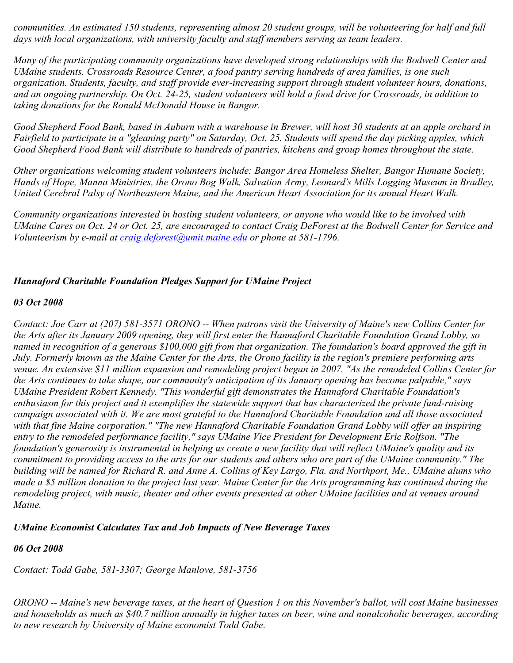*communities. An estimated 150 students, representing almost 20 student groups, will be volunteering for half and full days with local organizations, with university faculty and staff members serving as team leaders.*

*Many of the participating community organizations have developed strong relationships with the Bodwell Center and UMaine students. Crossroads Resource Center, a food pantry serving hundreds of area families, is one such organization. Students, faculty, and staff provide ever-increasing support through student volunteer hours, donations, and an ongoing partnership. On Oct. 24-25, student volunteers will hold a food drive for Crossroads, in addition to taking donations for the Ronald McDonald House in Bangor.*

*Good Shepherd Food Bank, based in Auburn with a warehouse in Brewer, will host 30 students at an apple orchard in Fairfield to participate in a "gleaning party" on Saturday, Oct. 25. Students will spend the day picking apples, which Good Shepherd Food Bank will distribute to hundreds of pantries, kitchens and group homes throughout the state.*

*Other organizations welcoming student volunteers include: Bangor Area Homeless Shelter, Bangor Humane Society, Hands of Hope, Manna Ministries, the Orono Bog Walk, Salvation Army, Leonard's Mills Logging Museum in Bradley, United Cerebral Palsy of Northeastern Maine, and the American Heart Association for its annual Heart Walk.*

*Community organizations interested in hosting student volunteers, or anyone who would like to be involved with UMaine Cares on Oct. 24 or Oct. 25, are encouraged to contact Craig DeForest at the Bodwell Center for Service and Volunteerism by e-mail at [craig.deforest@umit.maine.edu](mailto:craig.deforest@umit.maine.edu) or phone at 581-1796.*

### *Hannaford Charitable Foundation Pledges Support for UMaine Project*

### *03 Oct 2008*

*Contact: Joe Carr at (207) 581-3571 ORONO -- When patrons visit the University of Maine's new Collins Center for the Arts after its January 2009 opening, they will first enter the Hannaford Charitable Foundation Grand Lobby, so named in recognition of a generous \$100,000 gift from that organization. The foundation's board approved the gift in July. Formerly known as the Maine Center for the Arts, the Orono facility is the region's premiere performing arts venue. An extensive \$11 million expansion and remodeling project began in 2007. "As the remodeled Collins Center for the Arts continues to take shape, our community's anticipation of its January opening has become palpable," says UMaine President Robert Kennedy. "This wonderful gift demonstrates the Hannaford Charitable Foundation's enthusiasm for this project and it exemplifies the statewide support that has characterized the private fund-raising campaign associated with it. We are most grateful to the Hannaford Charitable Foundation and all those associated with that fine Maine corporation." "The new Hannaford Charitable Foundation Grand Lobby will offer an inspiring entry to the remodeled performance facility," says UMaine Vice President for Development Eric Rolfson. "The foundation's generosity is instrumental in helping us create a new facility that will reflect UMaine's quality and its commitment to providing access to the arts for our students and others who are part of the UMaine community." The building will be named for Richard R. and Anne A. Collins of Key Largo, Fla. and Northport, Me., UMaine alums who made a \$5 million donation to the project last year. Maine Center for the Arts programming has continued during the remodeling project, with music, theater and other events presented at other UMaine facilities and at venues around Maine.* 

### *UMaine Economist Calculates Tax and Job Impacts of New Beverage Taxes*

### *06 Oct 2008*

*Contact: Todd Gabe, 581-3307; George Manlove, 581-3756*

*ORONO -- Maine's new beverage taxes, at the heart of Question 1 on this November's ballot, will cost Maine businesses and households as much as \$40.7 million annually in higher taxes on beer, wine and nonalcoholic beverages, according to new research by University of Maine economist Todd Gabe.*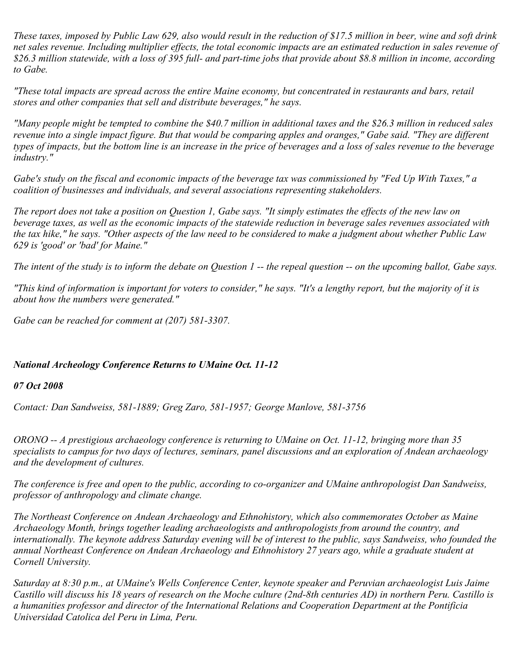*These taxes, imposed by Public Law 629, also would result in the reduction of \$17.5 million in beer, wine and soft drink net sales revenue. Including multiplier effects, the total economic impacts are an estimated reduction in sales revenue of \$26.3 million statewide, with a loss of 395 full- and part-time jobs that provide about \$8.8 million in income, according to Gabe.*

*"These total impacts are spread across the entire Maine economy, but concentrated in restaurants and bars, retail stores and other companies that sell and distribute beverages," he says.*

*"Many people might be tempted to combine the \$40.7 million in additional taxes and the \$26.3 million in reduced sales revenue into a single impact figure. But that would be comparing apples and oranges," Gabe said. "They are different types of impacts, but the bottom line is an increase in the price of beverages and a loss of sales revenue to the beverage industry."*

*Gabe's study on the fiscal and economic impacts of the beverage tax was commissioned by "Fed Up With Taxes," a coalition of businesses and individuals, and several associations representing stakeholders.*

*The report does not take a position on Question 1, Gabe says. "It simply estimates the effects of the new law on beverage taxes, as well as the economic impacts of the statewide reduction in beverage sales revenues associated with the tax hike," he says. "Other aspects of the law need to be considered to make a judgment about whether Public Law 629 is 'good' or 'bad' for Maine."*

*The intent of the study is to inform the debate on Question 1 -- the repeal question -- on the upcoming ballot, Gabe says.*

*"This kind of information is important for voters to consider," he says. "It's a lengthy report, but the majority of it is about how the numbers were generated."*

*Gabe can be reached for comment at (207) 581-3307.*

### *National Archeology Conference Returns to UMaine Oct. 11-12*

#### *07 Oct 2008*

*Contact: Dan Sandweiss, 581-1889; Greg Zaro, 581-1957; George Manlove, 581-3756*

*ORONO -- A prestigious archaeology conference is returning to UMaine on Oct. 11-12, bringing more than 35 specialists to campus for two days of lectures, seminars, panel discussions and an exploration of Andean archaeology and the development of cultures.*

*The conference is free and open to the public, according to co-organizer and UMaine anthropologist Dan Sandweiss, professor of anthropology and climate change.*

*The Northeast Conference on Andean Archaeology and Ethnohistory, which also commemorates October as Maine Archaeology Month, brings together leading archaeologists and anthropologists from around the country, and internationally. The keynote address Saturday evening will be of interest to the public, says Sandweiss, who founded the annual Northeast Conference on Andean Archaeology and Ethnohistory 27 years ago, while a graduate student at Cornell University.*

*Saturday at 8:30 p.m., at UMaine's Wells Conference Center, keynote speaker and Peruvian archaeologist Luis Jaime Castillo will discuss his 18 years of research on the Moche culture (2nd-8th centuries AD) in northern Peru. Castillo is a humanities professor and director of the International Relations and Cooperation Department at the Pontificia Universidad Catolica del Peru in Lima, Peru.*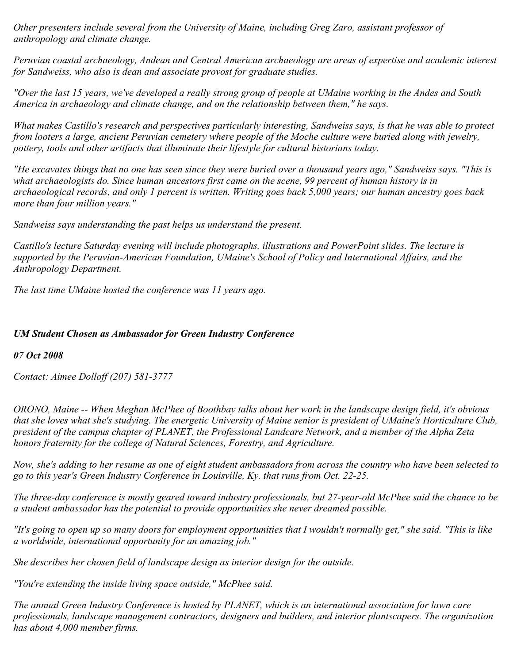*Other presenters include several from the University of Maine, including Greg Zaro, assistant professor of anthropology and climate change.*

*Peruvian coastal archaeology, Andean and Central American archaeology are areas of expertise and academic interest for Sandweiss, who also is dean and associate provost for graduate studies.*

*"Over the last 15 years, we've developed a really strong group of people at UMaine working in the Andes and South America in archaeology and climate change, and on the relationship between them," he says.*

*What makes Castillo's research and perspectives particularly interesting, Sandweiss says, is that he was able to protect from looters a large, ancient Peruvian cemetery where people of the Moche culture were buried along with jewelry, pottery, tools and other artifacts that illuminate their lifestyle for cultural historians today.*

*"He excavates things that no one has seen since they were buried over a thousand years ago," Sandweiss says. "This is what archaeologists do. Since human ancestors first came on the scene, 99 percent of human history is in archaeological records, and only 1 percent is written. Writing goes back 5,000 years; our human ancestry goes back more than four million years."*

*Sandweiss says understanding the past helps us understand the present.*

*Castillo's lecture Saturday evening will include photographs, illustrations and PowerPoint slides. The lecture is supported by the Peruvian-American Foundation, UMaine's School of Policy and International Affairs, and the Anthropology Department.*

*The last time UMaine hosted the conference was 11 years ago.*

# *UM Student Chosen as Ambassador for Green Industry Conference*

*07 Oct 2008*

*Contact: Aimee Dolloff (207) 581-3777*

*ORONO, Maine -- When Meghan McPhee of Boothbay talks about her work in the landscape design field, it's obvious that she loves what she's studying. The energetic University of Maine senior is president of UMaine's Horticulture Club, president of the campus chapter of PLANET, the Professional Landcare Network, and a member of the Alpha Zeta honors fraternity for the college of Natural Sciences, Forestry, and Agriculture.*

*Now, she's adding to her resume as one of eight student ambassadors from across the country who have been selected to go to this year's Green Industry Conference in Louisville, Ky. that runs from Oct. 22-25.*

*The three-day conference is mostly geared toward industry professionals, but 27-year-old McPhee said the chance to be a student ambassador has the potential to provide opportunities she never dreamed possible.*

*"It's going to open up so many doors for employment opportunities that I wouldn't normally get," she said. "This is like a worldwide, international opportunity for an amazing job."*

*She describes her chosen field of landscape design as interior design for the outside.*

*"You're extending the inside living space outside," McPhee said.*

*The annual Green Industry Conference is hosted by PLANET, which is an international association for lawn care professionals, landscape management contractors, designers and builders, and interior plantscapers. The organization has about 4,000 member firms.*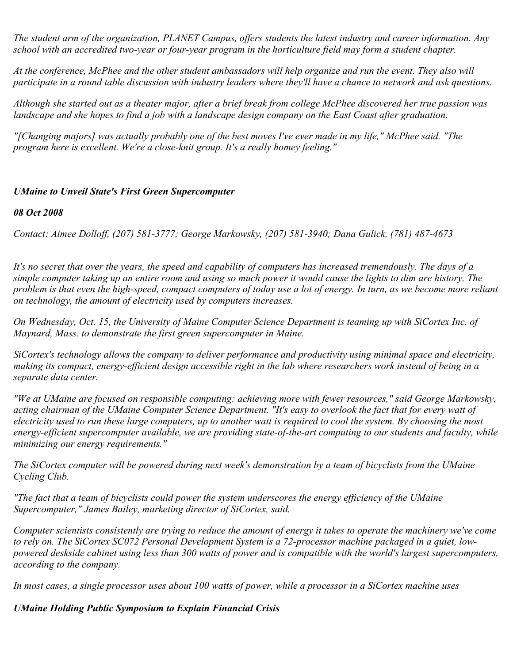*The student arm of the organization, PLANET Campus, offers students the latest industry and career information. Any school with an accredited two-year or four-year program in the horticulture field may form a student chapter.*

*At the conference, McPhee and the other student ambassadors will help organize and run the event. They also will participate in a round table discussion with industry leaders where they'll have a chance to network and ask questions.*

*Although she started out as a theater major, after a brief break from college McPhee discovered her true passion was landscape and she hopes to find a job with a landscape design company on the East Coast after graduation.*

*"[Changing majors] was actually probably one of the best moves I've ever made in my life," McPhee said. "The program here is excellent. We're a close-knit group. It's a really homey feeling."*

# *UMaine to Unveil State's First Green Supercomputer*

### *08 Oct 2008*

*Contact: Aimee Dolloff, (207) 581-3777; George Markowsky, (207) 581-3940; Dana Gulick, (781) 487-4673*

*It's no secret that over the years, the speed and capability of computers has increased tremendously. The days of a simple computer taking up an entire room and using so much power it would cause the lights to dim are history. The problem is that even the high-speed, compact computers of today use a lot of energy. In turn, as we become more reliant on technology, the amount of electricity used by computers increases.*

*On Wednesday, Oct. 15, the University of Maine Computer Science Department is teaming up with SiCortex Inc. of Maynard, Mass. to demonstrate the first green supercomputer in Maine.*

*SiCortex's technology allows the company to deliver performance and productivity using minimal space and electricity, making its compact, energy-efficient design accessible right in the lab where researchers work instead of being in a separate data center.*

*"We at UMaine are focused on responsible computing: achieving more with fewer resources," said George Markowsky, acting chairman of the UMaine Computer Science Department. "It's easy to overlook the fact that for every watt of electricity used to run these large computers, up to another watt is required to cool the system. By choosing the most energy-efficient supercomputer available, we are providing state-of-the-art computing to our students and faculty, while minimizing our energy requirements."*

*The SiCortex computer will be powered during next week's demonstration by a team of bicyclists from the UMaine Cycling Club.*

*"The fact that a team of bicyclists could power the system underscores the energy efficiency of the UMaine Supercomputer," James Bailey, marketing director of SiCortex, said.*

*Computer scientists consistently are trying to reduce the amount of energy it takes to operate the machinery we've come to rely on. The SiCortex SC072 Personal Development System is a 72-processor machine packaged in a quiet, lowpowered deskside cabinet using less than 300 watts of power and is compatible with the world's largest supercomputers, according to the company.*

*In most cases, a single processor uses about 100 watts of power, while a processor in a SiCortex machine uses* 

### *UMaine Holding Public Symposium to Explain Financial Crisis*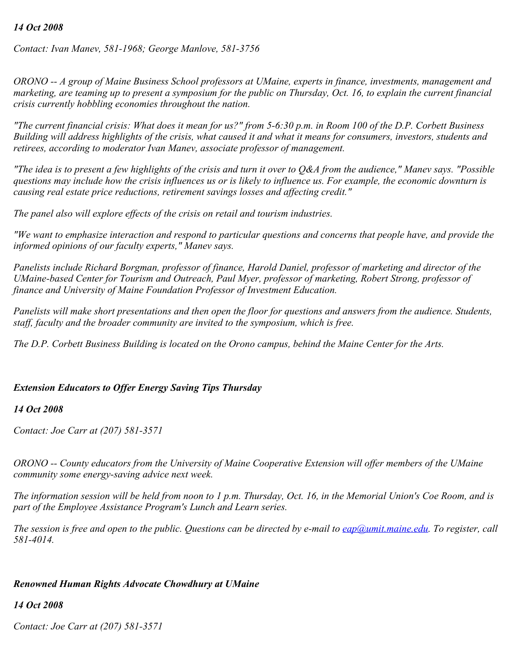### *14 Oct 2008*

*Contact: Ivan Manev, 581-1968; George Manlove, 581-3756*

*ORONO -- A group of Maine Business School professors at UMaine, experts in finance, investments, management and marketing, are teaming up to present a symposium for the public on Thursday, Oct. 16, to explain the current financial crisis currently hobbling economies throughout the nation.*

*"The current financial crisis: What does it mean for us?" from 5-6:30 p.m. in Room 100 of the D.P. Corbett Business Building will address highlights of the crisis, what caused it and what it means for consumers, investors, students and retirees, according to moderator Ivan Manev, associate professor of management.*

*"The idea is to present a few highlights of the crisis and turn it over to Q&A from the audience," Manev says. "Possible questions may include how the crisis influences us or is likely to influence us. For example, the economic downturn is causing real estate price reductions, retirement savings losses and affecting credit."*

*The panel also will explore effects of the crisis on retail and tourism industries.*

*"We want to emphasize interaction and respond to particular questions and concerns that people have, and provide the informed opinions of our faculty experts," Manev says.*

*Panelists include Richard Borgman, professor of finance, Harold Daniel, professor of marketing and director of the UMaine-based Center for Tourism and Outreach, Paul Myer, professor of marketing, Robert Strong, professor of finance and University of Maine Foundation Professor of Investment Education.*

*Panelists will make short presentations and then open the floor for questions and answers from the audience. Students, staff, faculty and the broader community are invited to the symposium, which is free.*

*The D.P. Corbett Business Building is located on the Orono campus, behind the Maine Center for the Arts.*

#### *Extension Educators to Offer Energy Saving Tips Thursday*

#### *14 Oct 2008*

*Contact: Joe Carr at (207) 581-3571*

*ORONO -- County educators from the University of Maine Cooperative Extension will offer members of the UMaine community some energy-saving advice next week.*

*The information session will be held from noon to 1 p.m. Thursday, Oct. 16, in the Memorial Union's Coe Room, and is part of the Employee Assistance Program's Lunch and Learn series.*

*The session is free and open to the public. Questions can be directed by e-mail to [eap@umit.maine.edu](mailto:eap@umit.maine.edu). To register, call 581-4014.*

#### *Renowned Human Rights Advocate Chowdhury at UMaine*

#### *14 Oct 2008*

*Contact: Joe Carr at (207) 581-3571*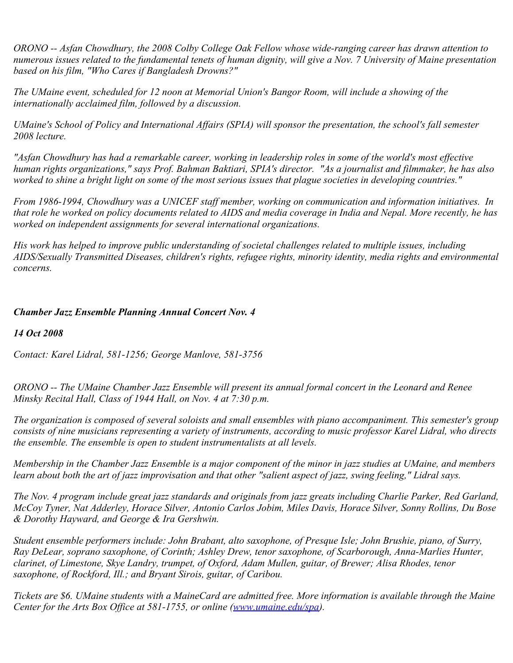*ORONO -- Asfan Chowdhury, the 2008 Colby College Oak Fellow whose wide-ranging career has drawn attention to numerous issues related to the fundamental tenets of human dignity, will give a Nov. 7 University of Maine presentation based on his film, "Who Cares if Bangladesh Drowns?"*

*The UMaine event, scheduled for 12 noon at Memorial Union's Bangor Room, will include a showing of the internationally acclaimed film, followed by a discussion.*

*UMaine's School of Policy and International Affairs (SPIA) will sponsor the presentation, the school's fall semester 2008 lecture.*

*"Asfan Chowdhury has had a remarkable career, working in leadership roles in some of the world's most effective human rights organizations," says Prof. Bahman Baktiari, SPIA's director. "As a journalist and filmmaker, he has also worked to shine a bright light on some of the most serious issues that plague societies in developing countries."*

*From 1986-1994, Chowdhury was a UNICEF staff member, working on communication and information initiatives. In that role he worked on policy documents related to AIDS and media coverage in India and Nepal. More recently, he has worked on independent assignments for several international organizations.*

*His work has helped to improve public understanding of societal challenges related to multiple issues, including AIDS/Sexually Transmitted Diseases, children's rights, refugee rights, minority identity, media rights and environmental concerns.*

### *Chamber Jazz Ensemble Planning Annual Concert Nov. 4*

### *14 Oct 2008*

*Contact: Karel Lidral, 581-1256; George Manlove, 581-3756*

*ORONO -- The UMaine Chamber Jazz Ensemble will present its annual formal concert in the Leonard and Renee Minsky Recital Hall, Class of 1944 Hall, on Nov. 4 at 7:30 p.m.*

*The organization is composed of several soloists and small ensembles with piano accompaniment. This semester's group consists of nine musicians representing a variety of instruments, according to music professor Karel Lidral, who directs the ensemble. The ensemble is open to student instrumentalists at all levels.*

*Membership in the Chamber Jazz Ensemble is a major component of the minor in jazz studies at UMaine, and members learn about both the art of jazz improvisation and that other "salient aspect of jazz, swing feeling," Lidral says.*

*The Nov. 4 program include great jazz standards and originals from jazz greats including Charlie Parker, Red Garland, McCoy Tyner, Nat Adderley, Horace Silver, Antonio Carlos Jobim, Miles Davis, Horace Silver, Sonny Rollins, Du Bose & Dorothy Hayward, and George & Ira Gershwin.*

*Student ensemble performers include: John Brabant, alto saxophone, of Presque Isle; John Brushie, piano, of Surry, Ray DeLear, soprano saxophone, of Corinth; Ashley Drew, tenor saxophone, of Scarborough, Anna-Marlies Hunter, clarinet, of Limestone, Skye Landry, trumpet, of Oxford, Adam Mullen, guitar, of Brewer; Alisa Rhodes, tenor saxophone, of Rockford, Ill.; and Bryant Sirois, guitar, of Caribou.*

*Tickets are \$6. UMaine students with a MaineCard are admitted free. More information is available through the Maine Center for the Arts Box Office at 581-1755, or online [\(www.umaine.edu/spa](http://www.umaine.edu/spa)).*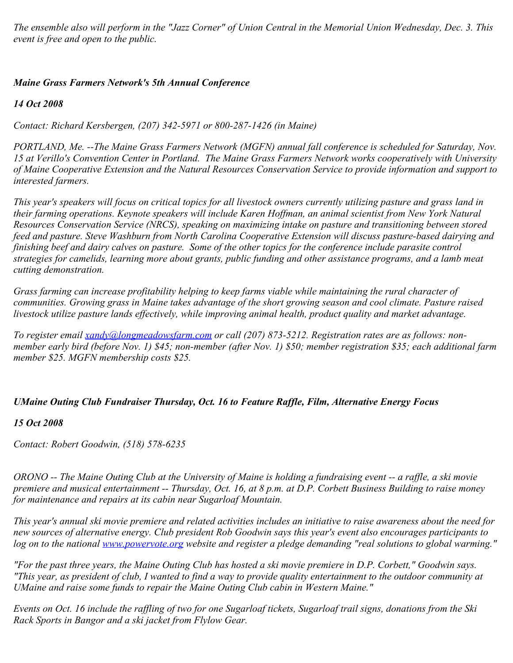*The ensemble also will perform in the "Jazz Corner" of Union Central in the Memorial Union Wednesday, Dec. 3. This event is free and open to the public.*

## *Maine Grass Farmers Network's 5th Annual Conference*

*14 Oct 2008*

*Contact: Richard Kersbergen, (207) 342-5971 or 800-287-1426 (in Maine)*

*PORTLAND, Me. --The Maine Grass Farmers Network (MGFN) annual fall conference is scheduled for Saturday, Nov. 15 at Verillo's Convention Center in Portland. The Maine Grass Farmers Network works cooperatively with University of Maine Cooperative Extension and the Natural Resources Conservation Service to provide information and support to interested farmers.*

*This year's speakers will focus on critical topics for all livestock owners currently utilizing pasture and grass land in their farming operations. Keynote speakers will include Karen Hoffman, an animal scientist from New York Natural Resources Conservation Service (NRCS), speaking on maximizing intake on pasture and transitioning between stored feed and pasture. Steve Washburn from North Carolina Cooperative Extension will discuss pasture-based dairying and finishing beef and dairy calves on pasture. Some of the other topics for the conference include parasite control strategies for camelids, learning more about grants, public funding and other assistance programs, and a lamb meat cutting demonstration.*

*Grass farming can increase profitability helping to keep farms viable while maintaining the rural character of communities. Growing grass in Maine takes advantage of the short growing season and cool climate. Pasture raised livestock utilize pasture lands effectively, while improving animal health, product quality and market advantage.*

*To register email [xandy@longmeadowsfarm.com](mailto:xandy@longmeadowsfarm.com) or call (207) 873-5212. Registration rates are as follows: nonmember early bird (before Nov. 1) \$45; non-member (after Nov. 1) \$50; member registration \$35; each additional farm member \$25. MGFN membership costs \$25.*

# *UMaine Outing Club Fundraiser Thursday, Oct. 16 to Feature Raffle, Film, Alternative Energy Focus*

### *15 Oct 2008*

*Contact: Robert Goodwin, (518) 578-6235*

*ORONO -- The Maine Outing Club at the University of Maine is holding a fundraising event -- a raffle, a ski movie premiere and musical entertainment -- Thursday, Oct. 16, at 8 p.m. at D.P. Corbett Business Building to raise money for maintenance and repairs at its cabin near Sugarloaf Mountain.*

*This year's annual ski movie premiere and related activities includes an initiative to raise awareness about the need for new sources of alternative energy. Club president Rob Goodwin says this year's event also encourages participants to log on to the national [www.powervote.org](http://www.powervote.org/) website and register a pledge demanding "real solutions to global warming."*

*"For the past three years, the Maine Outing Club has hosted a ski movie premiere in D.P. Corbett," Goodwin says. "This year, as president of club, I wanted to find a way to provide quality entertainment to the outdoor community at UMaine and raise some funds to repair the Maine Outing Club cabin in Western Maine."*

*Events on Oct. 16 include the raffling of two for one Sugarloaf tickets, Sugarloaf trail signs, donations from the Ski Rack Sports in Bangor and a ski jacket from Flylow Gear.*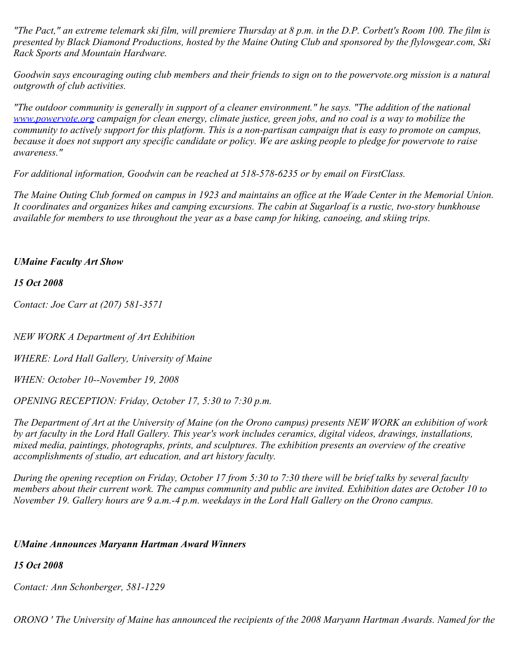*"The Pact," an extreme telemark ski film, will premiere Thursday at 8 p.m. in the D.P. Corbett's Room 100. The film is presented by Black Diamond Productions, hosted by the Maine Outing Club and sponsored by the flylowgear.com, Ski Rack Sports and Mountain Hardware.*

*Goodwin says encouraging outing club members and their friends to sign on to the powervote.org mission is a natural outgrowth of club activities.*

*"The outdoor community is generally in support of a cleaner environment." he says. "The addition of the national [www.powervote.org](http://www.powervote.org/) campaign for clean energy, climate justice, green jobs, and no coal is a way to mobilize the community to actively support for this platform. This is a non-partisan campaign that is easy to promote on campus, because it does not support any specific candidate or policy. We are asking people to pledge for powervote to raise awareness."*

*For additional information, Goodwin can be reached at 518-578-6235 or by email on FirstClass.*

*The Maine Outing Club formed on campus in 1923 and maintains an office at the Wade Center in the Memorial Union. It coordinates and organizes hikes and camping excursions. The cabin at Sugarloaf is a rustic, two-story bunkhouse available for members to use throughout the year as a base camp for hiking, canoeing, and skiing trips.*

### *UMaine Faculty Art Show*

#### *15 Oct 2008*

*Contact: Joe Carr at (207) 581-3571*

*NEW WORK A Department of Art Exhibition*

*WHERE: Lord Hall Gallery, University of Maine*

*WHEN: October 10--November 19, 2008*

*OPENING RECEPTION: Friday, October 17, 5:30 to 7:30 p.m.*

*The Department of Art at the University of Maine (on the Orono campus) presents NEW WORK an exhibition of work by art faculty in the Lord Hall Gallery. This year's work includes ceramics, digital videos, drawings, installations, mixed media, paintings, photographs, prints, and sculptures. The exhibition presents an overview of the creative accomplishments of studio, art education, and art history faculty.*

*During the opening reception on Friday, October 17 from 5:30 to 7:30 there will be brief talks by several faculty members about their current work. The campus community and public are invited. Exhibition dates are October 10 to November 19. Gallery hours are 9 a.m.-4 p.m. weekdays in the Lord Hall Gallery on the Orono campus.*

#### *UMaine Announces Maryann Hartman Award Winners*

### *15 Oct 2008*

*Contact: Ann Schonberger, 581-1229*

*ORONO ' The University of Maine has announced the recipients of the 2008 Maryann Hartman Awards. Named for the*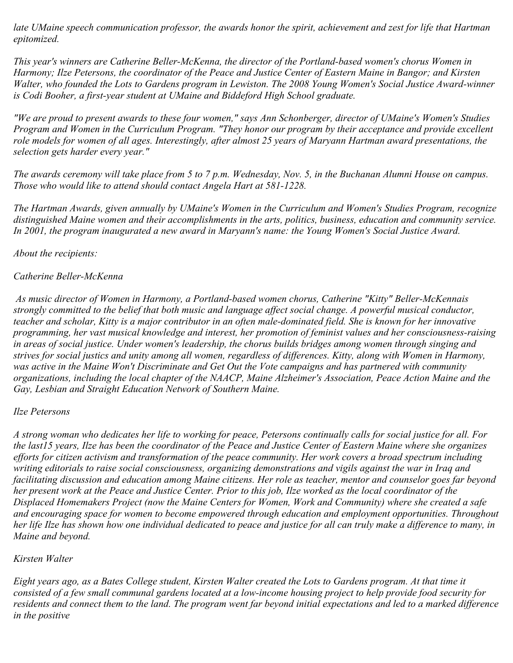*late UMaine speech communication professor, the awards honor the spirit, achievement and zest for life that Hartman epitomized.* 

*This year's winners are Catherine Beller-McKenna, the director of the Portland-based women's chorus Women in Harmony; Ilze Petersons, the coordinator of the Peace and Justice Center of Eastern Maine in Bangor; and Kirsten Walter, who founded the Lots to Gardens program in Lewiston. The 2008 Young Women's Social Justice Award-winner is Codi Booher, a first-year student at UMaine and Biddeford High School graduate.* 

*"We are proud to present awards to these four women," says Ann Schonberger, director of UMaine's Women's Studies Program and Women in the Curriculum Program. "They honor our program by their acceptance and provide excellent role models for women of all ages. Interestingly, after almost 25 years of Maryann Hartman award presentations, the selection gets harder every year."*

*The awards ceremony will take place from 5 to 7 p.m. Wednesday, Nov. 5, in the Buchanan Alumni House on campus. Those who would like to attend should contact Angela Hart at 581-1228.*

*The Hartman Awards, given annually by UMaine's Women in the Curriculum and Women's Studies Program, recognize distinguished Maine women and their accomplishments in the arts, politics, business, education and community service. In 2001, the program inaugurated a new award in Maryann's name: the Young Women's Social Justice Award.*

*About the recipients:*

# *Catherine Beller-McKenna*

*As music director of Women in Harmony, a Portland-based women chorus, Catherine "Kitty" Beller-McKennais strongly committed to the belief that both music and language affect social change. A powerful musical conductor, teacher and scholar, Kitty is a major contributor in an often male-dominated field. She is known for her innovative programming, her vast musical knowledge and interest, her promotion of feminist values and her consciousness-raising in areas of social justice. Under women's leadership, the chorus builds bridges among women through singing and strives for social justics and unity among all women, regardless of differences. Kitty, along with Women in Harmony, was active in the Maine Won't Discriminate and Get Out the Vote campaigns and has partnered with community organizations, including the local chapter of the NAACP, Maine Alzheimer's Association, Peace Action Maine and the Gay, Lesbian and Straight Education Network of Southern Maine.* 

### *Ilze Petersons*

*A strong woman who dedicates her life to working for peace, Petersons continually calls for social justice for all. For the last15 years, Ilze has been the coordinator of the Peace and Justice Center of Eastern Maine where she organizes efforts for citizen activism and transformation of the peace community. Her work covers a broad spectrum including writing editorials to raise social consciousness, organizing demonstrations and vigils against the war in Iraq and facilitating discussion and education among Maine citizens. Her role as teacher, mentor and counselor goes far beyond her present work at the Peace and Justice Center. Prior to this job, Ilze worked as the local coordinator of the Displaced Homemakers Project (now the Maine Centers for Women, Work and Community) where she created a safe and encouraging space for women to become empowered through education and employment opportunities. Throughout her life Ilze has shown how one individual dedicated to peace and justice for all can truly make a difference to many, in Maine and beyond.*

# *Kirsten Walter*

*Eight years ago, as a Bates College student, Kirsten Walter created the Lots to Gardens program. At that time it consisted of a few small communal gardens located at a low-income housing project to help provide food security for residents and connect them to the land. The program went far beyond initial expectations and led to a marked difference in the positive*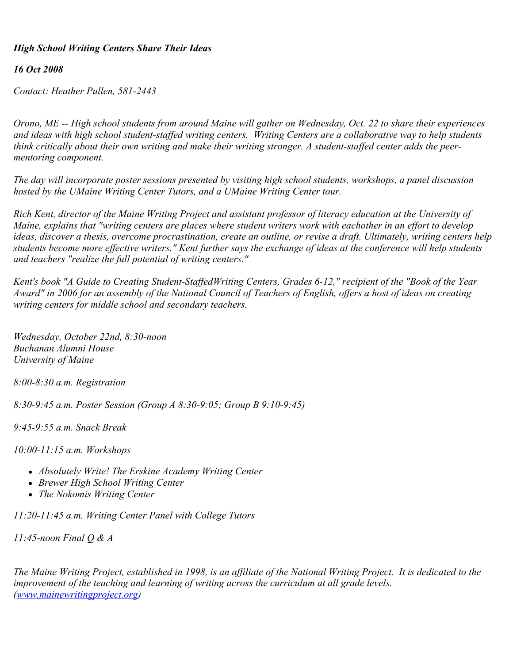### *High School Writing Centers Share Their Ideas*

### *16 Oct 2008*

*Contact: Heather Pullen, 581-2443*

*Orono, ME -- High school students from around Maine will gather on Wednesday, Oct. 22 to share their experiences and ideas with high school student-staffed writing centers. Writing Centers are a collaborative way to help students think critically about their own writing and make their writing stronger. A student-staffed center adds the peermentoring component.*

*The day will incorporate poster sessions presented by visiting high school students, workshops, a panel discussion hosted by the UMaine Writing Center Tutors, and a UMaine Writing Center tour.*

*Rich Kent, director of the Maine Writing Project and assistant professor of literacy education at the University of Maine, explains that "writing centers are places where student writers work with eachother in an effort to develop ideas, discover a thesis, overcome procrastination, create an outline, or revise a draft. Ultimately, writing centers help students become more effective writers." Kent further says the exchange of ideas at the conference will help students and teachers "realize the full potential of writing centers."*

*Kent's book "A Guide to Creating Student-StaffedWriting Centers, Grades 6-12," recipient of the "Book of the Year Award" in 2006 for an assembly of the National Council of Teachers of English, offers a host of ideas on creating writing centers for middle school and secondary teachers.*

*Wednesday, October 22nd, 8:30-noon Buchanan Alumni House University of Maine*

*8:00-8:30 a.m. Registration*

*8:30-9:45 a.m. Poster Session (Group A 8:30-9:05; Group B 9:10-9:45)* 

*9:45-9:55 a.m. Snack Break*

*10:00-11:15 a.m. Workshops*

- *Absolutely Write! The Erskine Academy Writing Center*
- *Brewer High School Writing Center*
- *The Nokomis Writing Center*

*11:20-11:45 a.m. Writing Center Panel with College Tutors*

*11:45-noon Final Q & A*

*The Maine Writing Project, established in 1998, is an affiliate of the National Writing Project. It is dedicated to the improvement of the teaching and learning of writing across the curriculum at all grade levels. ([www.mainewritingproject.org](http://www.mainewritingproject.org/))*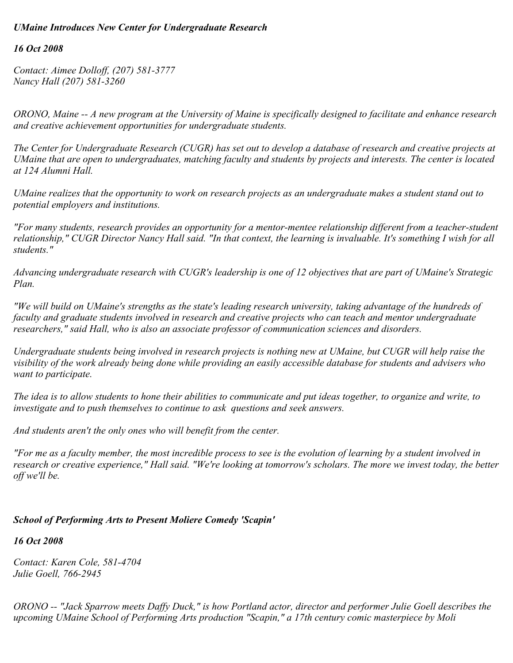## *UMaine Introduces New Center for Undergraduate Research*

### *16 Oct 2008*

*Contact: Aimee Dolloff, (207) 581-3777 Nancy Hall (207) 581-3260*

*ORONO, Maine -- A new program at the University of Maine is specifically designed to facilitate and enhance research and creative achievement opportunities for undergraduate students.*

*The Center for Undergraduate Research (CUGR) has set out to develop a database of research and creative projects at UMaine that are open to undergraduates, matching faculty and students by projects and interests. The center is located at 124 Alumni Hall.*

*UMaine realizes that the opportunity to work on research projects as an undergraduate makes a student stand out to potential employers and institutions.* 

*"For many students, research provides an opportunity for a mentor-mentee relationship different from a teacher-student relationship," CUGR Director Nancy Hall said. "In that context, the learning is invaluable. It's something I wish for all students."* 

*Advancing undergraduate research with CUGR's leadership is one of 12 objectives that are part of UMaine's Strategic Plan.*

*"We will build on UMaine's strengths as the state's leading research university, taking advantage of the hundreds of faculty and graduate students involved in research and creative projects who can teach and mentor undergraduate researchers," said Hall, who is also an associate professor of communication sciences and disorders.*

*Undergraduate students being involved in research projects is nothing new at UMaine, but CUGR will help raise the visibility of the work already being done while providing an easily accessible database for students and advisers who want to participate.*

*The idea is to allow students to hone their abilities to communicate and put ideas together, to organize and write, to investigate and to push themselves to continue to ask questions and seek answers.*

*And students aren't the only ones who will benefit from the center.*

*"For me as a faculty member, the most incredible process to see is the evolution of learning by a student involved in research or creative experience," Hall said. "We're looking at tomorrow's scholars. The more we invest today, the better off we'll be.*

### *School of Performing Arts to Present Moliere Comedy 'Scapin'*

*16 Oct 2008*

*Contact: Karen Cole, 581-4704 Julie Goell, 766-2945*

*ORONO -- "Jack Sparrow meets Daffy Duck," is how Portland actor, director and performer Julie Goell describes the upcoming UMaine School of Performing Arts production "Scapin," a 17th century comic masterpiece by Moli*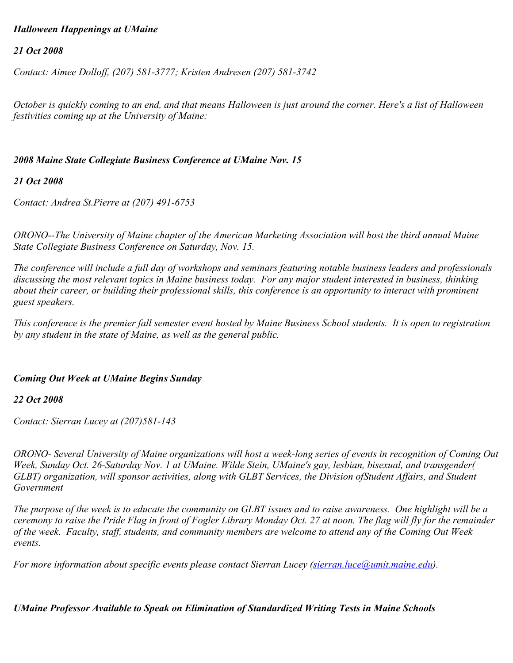#### *Halloween Happenings at UMaine*

#### *21 Oct 2008*

*Contact: Aimee Dolloff, (207) 581-3777; Kristen Andresen (207) 581-3742*

*October is quickly coming to an end, and that means Halloween is just around the corner. Here's a list of Halloween festivities coming up at the University of Maine:*

#### *2008 Maine State Collegiate Business Conference at UMaine Nov. 15*

#### *21 Oct 2008*

*Contact: Andrea St.Pierre at (207) 491-6753*

*ORONO--The University of Maine chapter of the American Marketing Association will host the third annual Maine State Collegiate Business Conference on Saturday, Nov. 15.*

*The conference will include a full day of workshops and seminars featuring notable business leaders and professionals discussing the most relevant topics in Maine business today. For any major student interested in business, thinking about their career, or building their professional skills, this conference is an opportunity to interact with prominent guest speakers.*

*This conference is the premier fall semester event hosted by Maine Business School students. It is open to registration by any student in the state of Maine, as well as the general public.*

### *Coming Out Week at UMaine Begins Sunday*

#### *22 Oct 2008*

*Contact: Sierran Lucey at (207)581-143*

*ORONO- Several University of Maine organizations will host a week-long series of events in recognition of Coming Out Week, Sunday Oct. 26-Saturday Nov. 1 at UMaine. Wilde Stein, UMaine's gay, lesbian, bisexual, and transgender( GLBT) organization, will sponsor activities, along with GLBT Services, the Division ofStudent Affairs, and Student Government*

*The purpose of the week is to educate the community on GLBT issues and to raise awareness. One highlight will be a ceremony to raise the Pride Flag in front of Fogler Library Monday Oct. 27 at noon. The flag will fly for the remainder of the week. Faculty, staff, students, and community members are welcome to attend any of the Coming Out Week events.*

*For more information about specific events please contact Sierran Lucey ([sierran.luce@umit.maine.edu\)](mailto:sierran.luce@umit.maine.edu).* 

### *UMaine Professor Available to Speak on Elimination of Standardized Writing Tests in Maine Schools*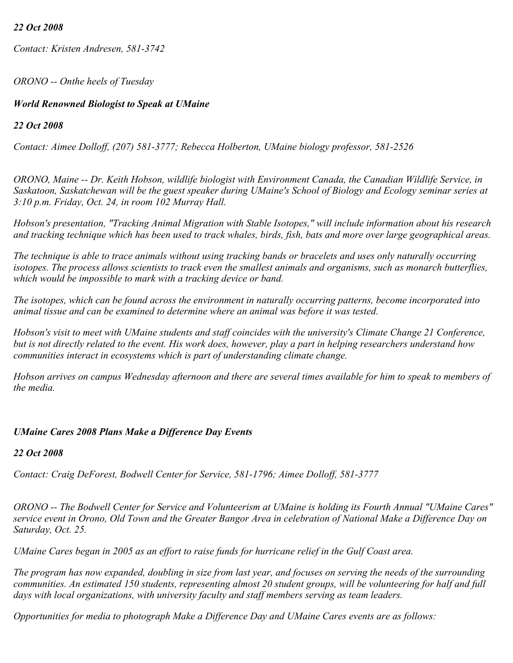### *22 Oct 2008*

*Contact: Kristen Andresen, 581-3742*

*ORONO -- Onthe heels of Tuesday* 

## *World Renowned Biologist to Speak at UMaine*

## *22 Oct 2008*

*Contact: Aimee Dolloff, (207) 581-3777; Rebecca Holberton, UMaine biology professor, 581-2526*

*ORONO, Maine -- Dr. Keith Hobson, wildlife biologist with Environment Canada, the Canadian Wildlife Service, in Saskatoon, Saskatchewan will be the guest speaker during UMaine's School of Biology and Ecology seminar series at 3:10 p.m. Friday, Oct. 24, in room 102 Murray Hall.*

*Hobson's presentation, "Tracking Animal Migration with Stable Isotopes," will include information about his research and tracking technique which has been used to track whales, birds, fish, bats and more over large geographical areas.*

*The technique is able to trace animals without using tracking bands or bracelets and uses only naturally occurring isotopes. The process allows scientists to track even the smallest animals and organisms, such as monarch butterflies, which would be impossible to mark with a tracking device or band.*

*The isotopes, which can be found across the environment in naturally occurring patterns, become incorporated into animal tissue and can be examined to determine where an animal was before it was tested.*

*Hobson's visit to meet with UMaine students and staff coincides with the university's Climate Change 21 Conference, but is not directly related to the event. His work does, however, play a part in helping researchers understand how communities interact in ecosystems which is part of understanding climate change.*

*Hobson arrives on campus Wednesday afternoon and there are several times available for him to speak to members of the media.*

# *UMaine Cares 2008 Plans Make a Difference Day Events*

### *22 Oct 2008*

*Contact: Craig DeForest, Bodwell Center for Service, 581-1796; Aimee Dolloff, 581-3777*

*ORONO -- The Bodwell Center for Service and Volunteerism at UMaine is holding its Fourth Annual "UMaine Cares" service event in Orono, Old Town and the Greater Bangor Area in celebration of National Make a Difference Day on Saturday, Oct. 25.*

*UMaine Cares began in 2005 as an effort to raise funds for hurricane relief in the Gulf Coast area.*

*The program has now expanded, doubling in size from last year, and focuses on serving the needs of the surrounding communities. An estimated 150 students, representing almost 20 student groups, will be volunteering for half and full days with local organizations, with university faculty and staff members serving as team leaders.*

*Opportunities for media to photograph Make a Difference Day and UMaine Cares events are as follows:*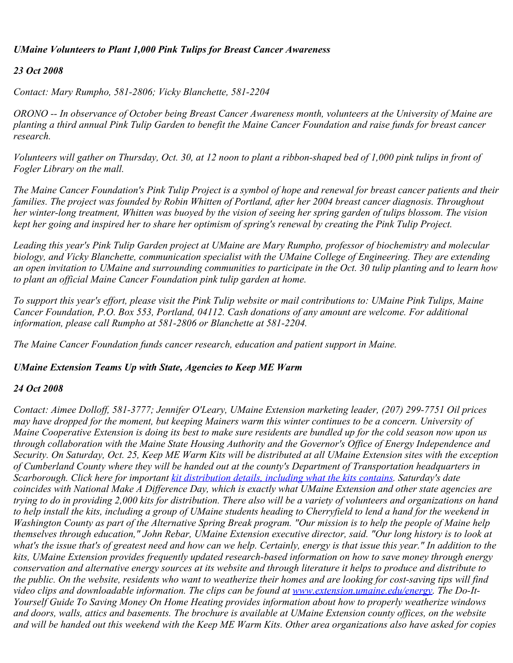### *UMaine Volunteers to Plant 1,000 Pink Tulips for Breast Cancer Awareness*

## *23 Oct 2008*

*Contact: Mary Rumpho, 581-2806; Vicky Blanchette, 581-2204*

*ORONO -- In observance of October being Breast Cancer Awareness month, volunteers at the University of Maine are planting a third annual Pink Tulip Garden to benefit the Maine Cancer Foundation and raise funds for breast cancer research.*

*Volunteers will gather on Thursday, Oct. 30, at 12 noon to plant a ribbon-shaped bed of 1,000 pink tulips in front of Fogler Library on the mall.*

*The Maine Cancer Foundation's Pink Tulip Project is a symbol of hope and renewal for breast cancer patients and their families. The project was founded by Robin Whitten of Portland, after her 2004 breast cancer diagnosis. Throughout her winter-long treatment, Whitten was buoyed by the vision of seeing her spring garden of tulips blossom. The vision kept her going and inspired her to share her optimism of spring's renewal by creating the Pink Tulip Project.*

*Leading this year's Pink Tulip Garden project at UMaine are Mary Rumpho, professor of biochemistry and molecular biology, and Vicky Blanchette, communication specialist with the UMaine College of Engineering. They are extending an open invitation to UMaine and surrounding communities to participate in the Oct. 30 tulip planting and to learn how to plant an official Maine Cancer Foundation pink tulip garden at home.*

*To support this year's effort, please visit the Pink Tulip website or mail contributions to: UMaine Pink Tulips, Maine Cancer Foundation, P.O. Box 553, Portland, 04112. Cash donations of any amount are welcome. For additional information, please call Rumpho at 581-2806 or Blanchette at 581-2204.*

*The Maine Cancer Foundation funds cancer research, education and patient support in Maine.* 

### *UMaine Extension Teams Up with State, Agencies to Keep ME Warm*

### *24 Oct 2008*

*Contact: Aimee Dolloff, 581-3777; Jennifer O'Leary, UMaine Extension marketing leader, (207) 299-7751 Oil prices may have dropped for the moment, but keeping Mainers warm this winter continues to be a concern. University of Maine Cooperative Extension is doing its best to make sure residents are bundled up for the cold season now upon us through collaboration with the Maine State Housing Authority and the Governor's Office of Energy Independence and Security. On Saturday, Oct. 25, Keep ME Warm Kits will be distributed at all UMaine Extension sites with the exception of Cumberland County where they will be handed out at the county's Department of Transportation headquarters in Scarborough. Click here for important [kit distribution details, including what the kits contains](https://umaine.edu/news/wp-content/uploads/sites/3/2011/03/Energy-KMWKitContents.pdf). Saturday's date coincides with National Make A Difference Day, which is exactly what UMaine Extension and other state agencies are trying to do in providing 2,000 kits for distribution. There also will be a variety of volunteers and organizations on hand to help install the kits, including a group of UMaine students heading to Cherryfield to lend a hand for the weekend in Washington County as part of the Alternative Spring Break program. "Our mission is to help the people of Maine help themselves through education," John Rebar, UMaine Extension executive director, said. "Our long history is to look at what's the issue that's of greatest need and how can we help. Certainly, energy is that issue this year." In addition to the kits, UMaine Extension provides frequently updated research-based information on how to save money through energy conservation and alternative energy sources at its website and through literature it helps to produce and distribute to the public. On the website, residents who want to weatherize their homes and are looking for cost-saving tips will find video clips and downloadable information. The clips can be found at [www.extension.umaine.edu/energy](http://www.extension.umaine.edu/energy). The Do-It-Yourself Guide To Saving Money On Home Heating provides information about how to properly weatherize windows and doors, walls, attics and basements. The brochure is available at UMaine Extension county offices, on the website and will be handed out this weekend with the Keep ME Warm Kits. Other area organizations also have asked for copies*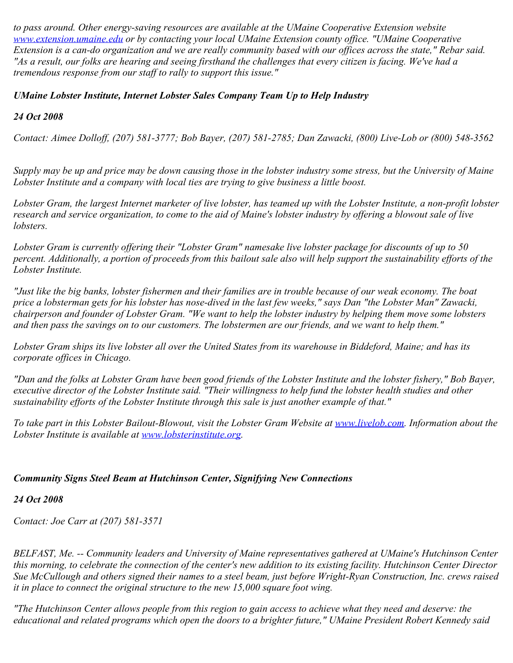*to pass around. Other energy-saving resources are available at the UMaine Cooperative Extension website [www.extension.umaine.edu](http://www.extension.umaine.edu/) or by contacting your local UMaine Extension county office. "UMaine Cooperative Extension is a can-do organization and we are really community based with our offices across the state," Rebar said. "As a result, our folks are hearing and seeing firsthand the challenges that every citizen is facing. We've had a tremendous response from our staff to rally to support this issue."* 

# *UMaine Lobster Institute, Internet Lobster Sales Company Team Up to Help Industry*

## *24 Oct 2008*

*Contact: Aimee Dolloff, (207) 581-3777; Bob Bayer, (207) 581-2785; Dan Zawacki, (800) Live-Lob or (800) 548-3562*

*Supply may be up and price may be down causing those in the lobster industry some stress, but the University of Maine Lobster Institute and a company with local ties are trying to give business a little boost.*

*Lobster Gram, the largest Internet marketer of live lobster, has teamed up with the Lobster Institute, a non-profit lobster research and service organization, to come to the aid of Maine's lobster industry by offering a blowout sale of live lobsters.*

*Lobster Gram is currently offering their "Lobster Gram" namesake live lobster package for discounts of up to 50 percent. Additionally, a portion of proceeds from this bailout sale also will help support the sustainability efforts of the Lobster Institute.*

*"Just like the big banks, lobster fishermen and their families are in trouble because of our weak economy. The boat price a lobsterman gets for his lobster has nose-dived in the last few weeks," says Dan "the Lobster Man" Zawacki, chairperson and founder of Lobster Gram. "We want to help the lobster industry by helping them move some lobsters and then pass the savings on to our customers. The lobstermen are our friends, and we want to help them."*

*Lobster Gram ships its live lobster all over the United States from its warehouse in Biddeford, Maine; and has its corporate offices in Chicago.*

*"Dan and the folks at Lobster Gram have been good friends of the Lobster Institute and the lobster fishery," Bob Bayer, executive director of the Lobster Institute said. "Their willingness to help fund the lobster health studies and other sustainability efforts of the Lobster Institute through this sale is just another example of that."*

*To take part in this Lobster Bailout-Blowout, visit the Lobster Gram Website at [www.livelob.com](http://www.livelob.com/). Information about the Lobster Institute is available at [www.lobsterinstitute.org](http://www.lobsterinstitute.org/).*

### *Community Signs Steel Beam at Hutchinson Center, Signifying New Connections*

### *24 Oct 2008*

*Contact: Joe Carr at (207) 581-3571*

*BELFAST, Me. -- Community leaders and University of Maine representatives gathered at UMaine's Hutchinson Center this morning, to celebrate the connection of the center's new addition to its existing facility. Hutchinson Center Director Sue McCullough and others signed their names to a steel beam, just before Wright-Ryan Construction, Inc. crews raised it in place to connect the original structure to the new 15,000 square foot wing.*

*"The Hutchinson Center allows people from this region to gain access to achieve what they need and deserve: the educational and related programs which open the doors to a brighter future," UMaine President Robert Kennedy said*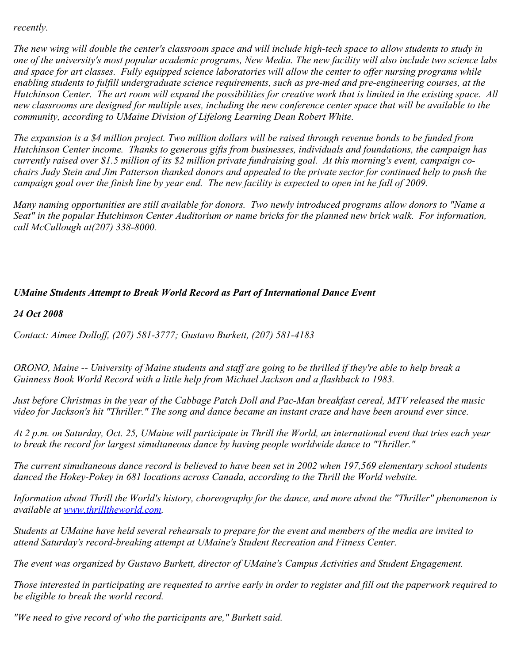*recently.*

*The new wing will double the center's classroom space and will include high-tech space to allow students to study in one of the university's most popular academic programs, New Media. The new facility will also include two science labs and space for art classes. Fully equipped science laboratories will allow the center to offer nursing programs while enabling students to fulfill undergraduate science requirements, such as pre-med and pre-engineering courses, at the Hutchinson Center. The art room will expand the possibilities for creative work that is limited in the existing space. All new classrooms are designed for multiple uses, including the new conference center space that will be available to the community, according to UMaine Division of Lifelong Learning Dean Robert White.*

*The expansion is a \$4 million project. Two million dollars will be raised through revenue bonds to be funded from Hutchinson Center income. Thanks to generous gifts from businesses, individuals and foundations, the campaign has currently raised over \$1.5 million of its \$2 million private fundraising goal. At this morning's event, campaign cochairs Judy Stein and Jim Patterson thanked donors and appealed to the private sector for continued help to push the campaign goal over the finish line by year end. The new facility is expected to open int he fall of 2009.*

*Many naming opportunities are still available for donors. Two newly introduced programs allow donors to "Name a Seat" in the popular Hutchinson Center Auditorium or name bricks for the planned new brick walk. For information, call McCullough at(207) 338-8000.*

## *UMaine Students Attempt to Break World Record as Part of International Dance Event*

*24 Oct 2008*

*Contact: Aimee Dolloff, (207) 581-3777; Gustavo Burkett, (207) 581-4183*

*ORONO, Maine -- University of Maine students and staff are going to be thrilled if they're able to help break a Guinness Book World Record with a little help from Michael Jackson and a flashback to 1983.*

*Just before Christmas in the year of the Cabbage Patch Doll and Pac-Man breakfast cereal, MTV released the music video for Jackson's hit "Thriller." The song and dance became an instant craze and have been around ever since.*

*At 2 p.m. on Saturday, Oct. 25, UMaine will participate in Thrill the World, an international event that tries each year to break the record for largest simultaneous dance by having people worldwide dance to "Thriller."*

*The current simultaneous dance record is believed to have been set in 2002 when 197,569 elementary school students danced the Hokey-Pokey in 681 locations across Canada, according to the Thrill the World website.*

*Information about Thrill the World's history, choreography for the dance, and more about the "Thriller" phenomenon is available at [www.thrilltheworld.com](http://www.thrilltheworld.com/).*

*Students at UMaine have held several rehearsals to prepare for the event and members of the media are invited to attend Saturday's record-breaking attempt at UMaine's Student Recreation and Fitness Center.*

*The event was organized by Gustavo Burkett, director of UMaine's Campus Activities and Student Engagement.*

*Those interested in participating are requested to arrive early in order to register and fill out the paperwork required to be eligible to break the world record.*

*"We need to give record of who the participants are," Burkett said.*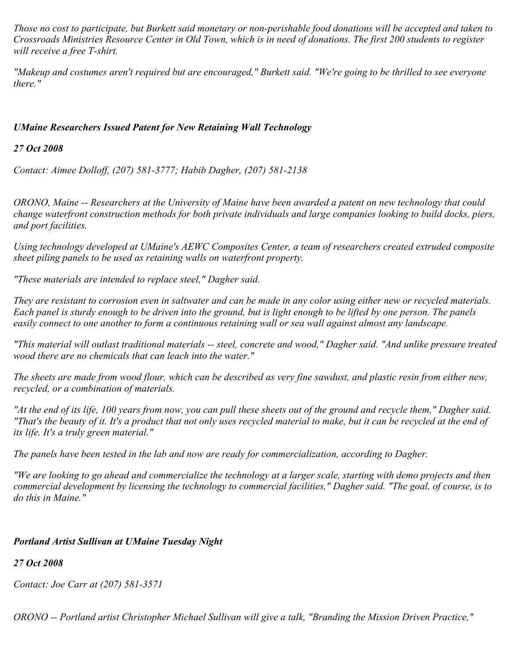*Those no cost to participate, but Burkett said monetary or non-perishable food donations will be accepted and taken to Crossroads Ministries Resource Center in Old Town, which is in need of donations. The first 200 students to register will receive a free T-shirt.*

*"Makeup and costumes aren't required but are encouraged," Burkett said. "We're going to be thrilled to see everyone there."*

# *UMaine Researchers Issued Patent for New Retaining Wall Technology*

## *27 Oct 2008*

*Contact: Aimee Dolloff, (207) 581-3777; Habib Dagher, (207) 581-2138*

*ORONO, Maine -- Researchers at the University of Maine have been awarded a patent on new technology that could change waterfront construction methods for both private individuals and large companies looking to build docks, piers, and port facilities.*

*Using technology developed at UMaine's AEWC Composites Center, a team of researchers created extruded composite sheet piling panels to be used as retaining walls on waterfront property.*

*"These materials are intended to replace steel," Dagher said.*

*They are resistant to corrosion even in saltwater and can be made in any color using either new or recycled materials. Each panel is sturdy enough to be driven into the ground, but is light enough to be lifted by one person. The panels easily connect to one another to form a continuous retaining wall or sea wall against almost any landscape.*

*"This material will outlast traditional materials -- steel, concrete and wood," Dagher said. "And unlike pressure treated wood there are no chemicals that can leach into the water."*

*The sheets are made from wood flour, which can be described as very fine sawdust, and plastic resin from either new, recycled, or a combination of materials.*

*"At the end of its life, 100 years from now, you can pull these sheets out of the ground and recycle them," Dagher said. "That's the beauty of it. It's a product that not only uses recycled material to make, but it can be recycled at the end of its life. It's a truly green material."*

*The panels have been tested in the lab and now are ready for commercialization, according to Dagher.*

*"We are looking to go ahead and commercialize the technology at a larger scale, starting with demo projects and then commercial development by licensing the technology to commercial facilities," Dagher said. "The goal, of course, is to do this in Maine."*

# *Portland Artist Sullivan at UMaine Tuesday Night*

*27 Oct 2008*

*Contact: Joe Carr at (207) 581-3571*

*ORONO -- Portland artist Christopher Michael Sullivan will give a talk, "Branding the Mission Driven Practice,"*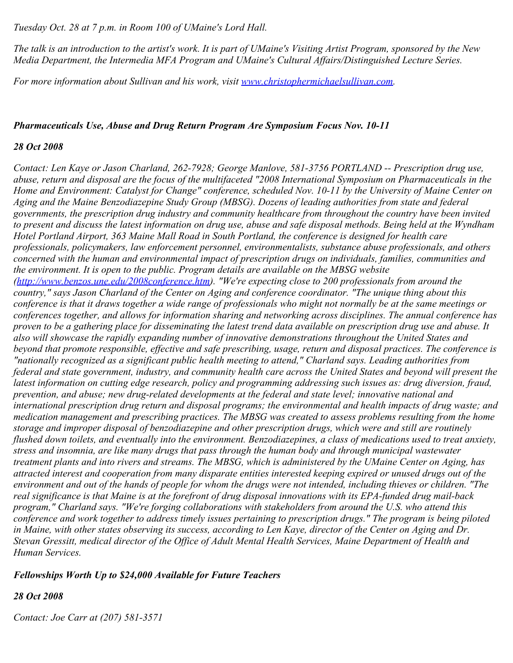*Tuesday Oct. 28 at 7 p.m. in Room 100 of UMaine's Lord Hall.*

*The talk is an introduction to the artist's work. It is part of UMaine's Visiting Artist Program, sponsored by the New Media Department, the Intermedia MFA Program and UMaine's Cultural Affairs/Distinguished Lecture Series.*

*For more information about Sullivan and his work, visit* [www.christophermichaelsullivan.com](http://www.christophermichaelsullivan.com/).

#### *Pharmaceuticals Use, Abuse and Drug Return Program Are Symposium Focus Nov. 10-11*

#### *28 Oct 2008*

*Contact: Len Kaye or Jason Charland, 262-7928; George Manlove, 581-3756 PORTLAND -- Prescription drug use, abuse, return and disposal are the focus of the multifaceted "2008 International Symposium on Pharmaceuticals in the Home and Environment: Catalyst for Change" conference, scheduled Nov. 10-11 by the University of Maine Center on Aging and the Maine Benzodiazepine Study Group (MBSG). Dozens of leading authorities from state and federal governments, the prescription drug industry and community healthcare from throughout the country have been invited to present and discuss the latest information on drug use, abuse and safe disposal methods. Being held at the Wyndham Hotel Portland Airport, 363 Maine Mall Road in South Portland, the conference is designed for health care professionals, policymakers, law enforcement personnel, environmentalists, substance abuse professionals, and others concerned with the human and environmental impact of prescription drugs on individuals, families, communities and the environment. It is open to the public. Program details are available on the MBSG website [\(http://www.benzos.une.edu/2008conference.htm](http://www.benzos.une.edu/2008conference.htm)). "We're expecting close to 200 professionals from around the country," says Jason Charland of the Center on Aging and conference coordinator. "The unique thing about this conference is that it draws together a wide range of professionals who might not normally be at the same meetings or conferences together, and allows for information sharing and networking across disciplines. The annual conference has proven to be a gathering place for disseminating the latest trend data available on prescription drug use and abuse. It also will showcase the rapidly expanding number of innovative demonstrations throughout the United States and beyond that promote responsible, effective and safe prescribing, usage, return and disposal practices. The conference is "nationally recognized as a significant public health meeting to attend," Charland says. Leading authorities from federal and state government, industry, and community health care across the United States and beyond will present the latest information on cutting edge research, policy and programming addressing such issues as: drug diversion, fraud, prevention, and abuse; new drug-related developments at the federal and state level; innovative national and international prescription drug return and disposal programs; the environmental and health impacts of drug waste; and medication management and prescribing practices. The MBSG was created to assess problems resulting from the home storage and improper disposal of benzodiazepine and other prescription drugs, which were and still are routinely flushed down toilets, and eventually into the environment. Benzodiazepines, a class of medications used to treat anxiety, stress and insomnia, are like many drugs that pass through the human body and through municipal wastewater treatment plants and into rivers and streams. The MBSG, which is administered by the UMaine Center on Aging, has attracted interest and cooperation from many disparate entities interested keeping expired or unused drugs out of the environment and out of the hands of people for whom the drugs were not intended, including thieves or children. "The real significance is that Maine is at the forefront of drug disposal innovations with its EPA-funded drug mail-back program," Charland says. "We're forging collaborations with stakeholders from around the U.S. who attend this conference and work together to address timely issues pertaining to prescription drugs." The program is being piloted in Maine, with other states observing its success, according to Len Kaye, director of the Center on Aging and Dr. Stevan Gressitt, medical director of the Office of Adult Mental Health Services, Maine Department of Health and Human Services.* 

### *Fellowships Worth Up to \$24,000 Available for Future Teachers*

### *28 Oct 2008*

*Contact: Joe Carr at (207) 581-3571*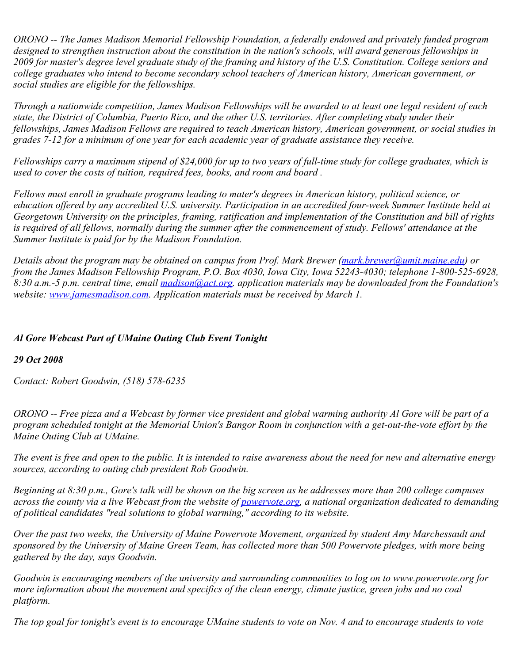*ORONO -- The James Madison Memorial Fellowship Foundation, a federally endowed and privately funded program designed to strengthen instruction about the constitution in the nation's schools, will award generous fellowships in 2009 for master's degree level graduate study of the framing and history of the U.S. Constitution. College seniors and college graduates who intend to become secondary school teachers of American history, American government, or social studies are eligible for the fellowships.*

*Through a nationwide competition, James Madison Fellowships will be awarded to at least one legal resident of each state, the District of Columbia, Puerto Rico, and the other U.S. territories. After completing study under their fellowships, James Madison Fellows are required to teach American history, American government, or social studies in grades 7-12 for a minimum of one year for each academic year of graduate assistance they receive.*

*Fellowships carry a maximum stipend of \$24,000 for up to two years of full-time study for college graduates, which is used to cover the costs of tuition, required fees, books, and room and board .*

*Fellows must enroll in graduate programs leading to mater's degrees in American history, political science, or education offered by any accredited U.S. university. Participation in an accredited four-week Summer Institute held at Georgetown University on the principles, framing, ratification and implementation of the Constitution and bill of rights is required of all fellows, normally during the summer after the commencement of study. Fellows' attendance at the Summer Institute is paid for by the Madison Foundation.*

*Details about the program may be obtained on campus from Prof. Mark Brewer ([mark.brewer@umit.maine.edu](mailto:mark.brewer@umit.maine.edu)) or from the James Madison Fellowship Program, P.O. Box 4030, Iowa City, Iowa 52243-4030; telephone 1-800-525-6928, 8:30 a.m.-5 p.m. central time, email [madison@act.org.](mailto:madison@act.org) application materials may be downloaded from the Foundation's website: [www.jamesmadison.com.](http://www.jamesmadison.com/) Application materials must be received by March 1.*

# *Al Gore Webcast Part of UMaine Outing Club Event Tonight*

### *29 Oct 2008*

*Contact: Robert Goodwin, (518) 578-6235*

*ORONO -- Free pizza and a Webcast by former vice president and global warming authority Al Gore will be part of a program scheduled tonight at the Memorial Union's Bangor Room in conjunction with a get-out-the-vote effort by the Maine Outing Club at UMaine.*

*The event is free and open to the public. It is intended to raise awareness about the need for new and alternative energy sources, according to outing club president Rob Goodwin.*

*Beginning at 8:30 p.m., Gore's talk will be shown on the big screen as he addresses more than 200 college campuses across the county via a live Webcast from the website of [powervote.org](http://www.powervote.org/), a national organization dedicated to demanding of political candidates "real solutions to global warming," according to its website.*

*Over the past two weeks, the University of Maine Powervote Movement, organized by student Amy Marchessault and sponsored by the University of Maine Green Team, has collected more than 500 Powervote pledges, with more being gathered by the day, says Goodwin.*

*Goodwin is encouraging members of the university and surrounding communities to log on to www.powervote.org for more information about the movement and specifics of the clean energy, climate justice, green jobs and no coal platform.*

*The top goal for tonight's event is to encourage UMaine students to vote on Nov. 4 and to encourage students to vote*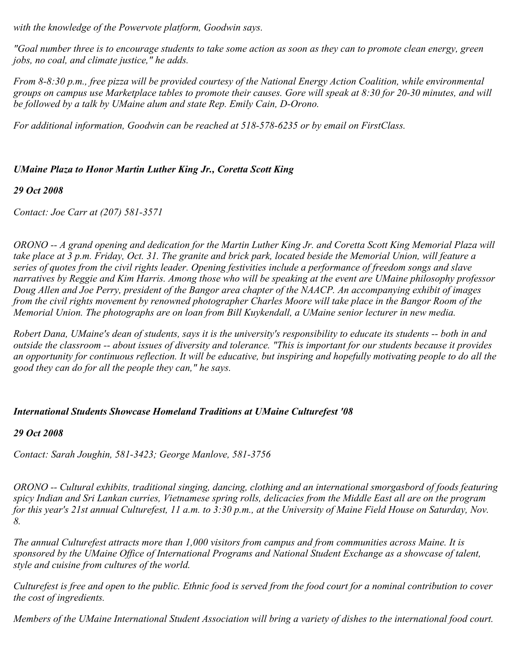*with the knowledge of the Powervote platform, Goodwin says.*

*"Goal number three is to encourage students to take some action as soon as they can to promote clean energy, green jobs, no coal, and climate justice," he adds.*

*From 8-8:30 p.m., free pizza will be provided courtesy of the National Energy Action Coalition, while environmental groups on campus use Marketplace tables to promote their causes. Gore will speak at 8:30 for 20-30 minutes, and will be followed by a talk by UMaine alum and state Rep. Emily Cain, D-Orono.*

*For additional information, Goodwin can be reached at 518-578-6235 or by email on FirstClass.*

## *UMaine Plaza to Honor Martin Luther King Jr., Coretta Scott King*

### *29 Oct 2008*

*Contact: Joe Carr at (207) 581-3571*

*ORONO -- A grand opening and dedication for the Martin Luther King Jr. and Coretta Scott King Memorial Plaza will take place at 3 p.m. Friday, Oct. 31. The granite and brick park, located beside the Memorial Union, will feature a series of quotes from the civil rights leader. Opening festivities include a performance of freedom songs and slave narratives by Reggie and Kim Harris. Among those who will be speaking at the event are UMaine philosophy professor Doug Allen and Joe Perry, president of the Bangor area chapter of the NAACP. An accompanying exhibit of images from the civil rights movement by renowned photographer Charles Moore will take place in the Bangor Room of the Memorial Union. The photographs are on loan from Bill Kuykendall, a UMaine senior lecturer in new media.* 

*Robert Dana, UMaine's dean of students, says it is the university's responsibility to educate its students -- both in and outside the classroom -- about issues of diversity and tolerance. "This is important for our students because it provides an opportunity for continuous reflection. It will be educative, but inspiring and hopefully motivating people to do all the good they can do for all the people they can," he says.*

### *International Students Showcase Homeland Traditions at UMaine Culturefest '08*

*29 Oct 2008*

*Contact: Sarah Joughin, 581-3423; George Manlove, 581-3756*

*ORONO -- Cultural exhibits, traditional singing, dancing, clothing and an international smorgasbord of foods featuring spicy Indian and Sri Lankan curries, Vietnamese spring rolls, delicacies from the Middle East all are on the program for this year's 21st annual Culturefest, 11 a.m. to 3:30 p.m., at the University of Maine Field House on Saturday, Nov. 8.*

*The annual Culturefest attracts more than 1,000 visitors from campus and from communities across Maine. It is sponsored by the UMaine Office of International Programs and National Student Exchange as a showcase of talent, style and cuisine from cultures of the world.*

*Culturefest is free and open to the public. Ethnic food is served from the food court for a nominal contribution to cover the cost of ingredients.*

*Members of the UMaine International Student Association will bring a variety of dishes to the international food court.*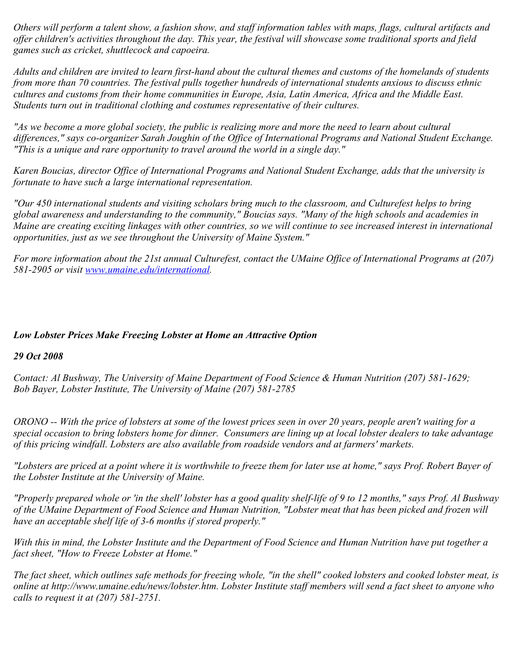*Others will perform a talent show, a fashion show, and staff information tables with maps, flags, cultural artifacts and offer children's activities throughout the day. This year, the festival will showcase some traditional sports and field games such as cricket, shuttlecock and capoeira.*

*Adults and children are invited to learn first-hand about the cultural themes and customs of the homelands of students from more than 70 countries. The festival pulls together hundreds of international students anxious to discuss ethnic cultures and customs from their home communities in Europe, Asia, Latin America, Africa and the Middle East. Students turn out in traditional clothing and costumes representative of their cultures.*

*"As we become a more global society, the public is realizing more and more the need to learn about cultural differences," says co-organizer Sarah Joughin of the Office of International Programs and National Student Exchange. "This is a unique and rare opportunity to travel around the world in a single day."*

*Karen Boucias, director Office of International Programs and National Student Exchange, adds that the university is fortunate to have such a large international representation.*

*"Our 450 international students and visiting scholars bring much to the classroom, and Culturefest helps to bring global awareness and understanding to the community," Boucias says. "Many of the high schools and academies in Maine are creating exciting linkages with other countries, so we will continue to see increased interest in international opportunities, just as we see throughout the University of Maine System."*

*For more information about the 21st annual Culturefest, contact the UMaine Office of International Programs at (207) 581-2905 or visit [www.umaine.edu/international.](http://www.umaine.edu/international)*

### *Low Lobster Prices Make Freezing Lobster at Home an Attractive Option*

### *29 Oct 2008*

*Contact: Al Bushway, The University of Maine Department of Food Science & Human Nutrition (207) 581-1629; Bob Bayer, Lobster Institute, The University of Maine (207) 581-2785*

*ORONO -- With the price of lobsters at some of the lowest prices seen in over 20 years, people aren't waiting for a special occasion to bring lobsters home for dinner. Consumers are lining up at local lobster dealers to take advantage of this pricing windfall. Lobsters are also available from roadside vendors and at farmers' markets.*

*"Lobsters are priced at a point where it is worthwhile to freeze them for later use at home," says Prof. Robert Bayer of the Lobster Institute at the University of Maine.*

*"Properly prepared whole or 'in the shell' lobster has a good quality shelf-life of 9 to 12 months," says Prof. Al Bushway of the UMaine Department of Food Science and Human Nutrition, "Lobster meat that has been picked and frozen will have an acceptable shelf life of 3-6 months if stored properly."*

*With this in mind, the Lobster Institute and the Department of Food Science and Human Nutrition have put together a fact sheet, "How to Freeze Lobster at Home."*

*The fact sheet, which outlines safe methods for freezing whole, "in the shell" cooked lobsters and cooked lobster meat, is online at http://www.umaine.edu/news/lobster.htm. Lobster Institute staff members will send a fact sheet to anyone who calls to request it at (207) 581-2751.*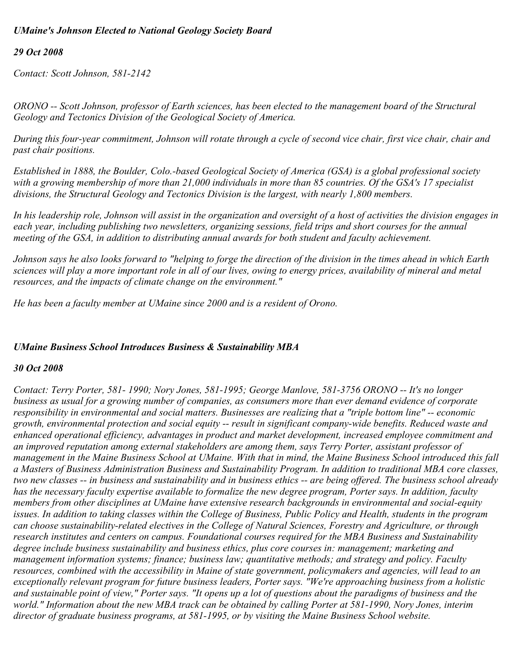## *UMaine's Johnson Elected to National Geology Society Board*

## *29 Oct 2008*

*Contact: Scott Johnson, 581-2142*

*ORONO -- Scott Johnson, professor of Earth sciences, has been elected to the management board of the Structural Geology and Tectonics Division of the Geological Society of America.*

*During this four-year commitment, Johnson will rotate through a cycle of second vice chair, first vice chair, chair and past chair positions.*

*Established in 1888, the Boulder, Colo.-based Geological Society of America (GSA) is a global professional society with a growing membership of more than 21,000 individuals in more than 85 countries. Of the GSA's 17 specialist divisions, the Structural Geology and Tectonics Division is the largest, with nearly 1,800 members.*

*In his leadership role, Johnson will assist in the organization and oversight of a host of activities the division engages in each year, including publishing two newsletters, organizing sessions, field trips and short courses for the annual meeting of the GSA, in addition to distributing annual awards for both student and faculty achievement.*

*Johnson says he also looks forward to "helping to forge the direction of the division in the times ahead in which Earth sciences will play a more important role in all of our lives, owing to energy prices, availability of mineral and metal resources, and the impacts of climate change on the environment."*

*He has been a faculty member at UMaine since 2000 and is a resident of Orono.*

### *UMaine Business School Introduces Business & Sustainability MBA*

### *30 Oct 2008*

*Contact: Terry Porter, 581- 1990; Nory Jones, 581-1995; George Manlove, 581-3756 ORONO -- It's no longer business as usual for a growing number of companies, as consumers more than ever demand evidence of corporate responsibility in environmental and social matters. Businesses are realizing that a "triple bottom line" -- economic growth, environmental protection and social equity -- result in significant company-wide benefits. Reduced waste and enhanced operational efficiency, advantages in product and market development, increased employee commitment and an improved reputation among external stakeholders are among them, says Terry Porter, assistant professor of management in the Maine Business School at UMaine. With that in mind, the Maine Business School introduced this fall a Masters of Business Administration Business and Sustainability Program. In addition to traditional MBA core classes, two new classes -- in business and sustainability and in business ethics -- are being offered. The business school already has the necessary faculty expertise available to formalize the new degree program, Porter says. In addition, faculty members from other disciplines at UMaine have extensive research backgrounds in environmental and social-equity issues. In addition to taking classes within the College of Business, Public Policy and Health, students in the program can choose sustainability-related electives in the College of Natural Sciences, Forestry and Agriculture, or through research institutes and centers on campus. Foundational courses required for the MBA Business and Sustainability degree include business sustainability and business ethics, plus core courses in: management; marketing and management information systems; finance; business law; quantitative methods; and strategy and policy. Faculty resources, combined with the accessibility in Maine of state government, policymakers and agencies, will lead to an exceptionally relevant program for future business leaders, Porter says. "We're approaching business from a holistic and sustainable point of view," Porter says. "It opens up a lot of questions about the paradigms of business and the world." Information about the new MBA track can be obtained by calling Porter at 581-1990, Nory Jones, interim director of graduate business programs, at 581-1995, or by visiting the Maine Business School website.*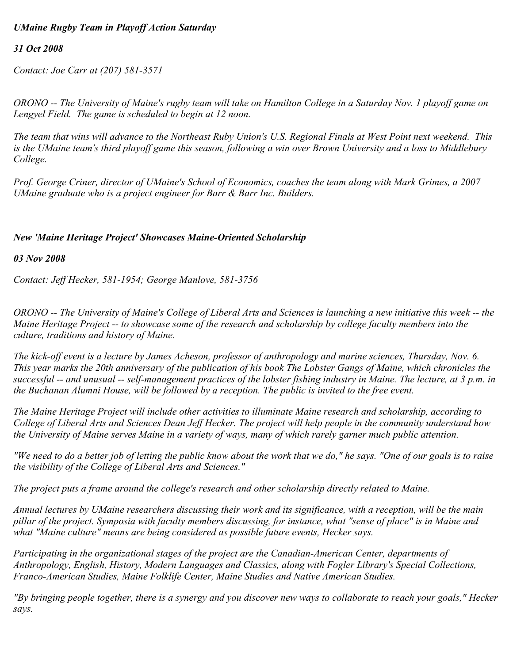# *UMaine Rugby Team in Playoff Action Saturday*

#### *31 Oct 2008*

*Contact: Joe Carr at (207) 581-3571*

*ORONO -- The University of Maine's rugby team will take on Hamilton College in a Saturday Nov. 1 playoff game on Lengyel Field. The game is scheduled to begin at 12 noon.*

*The team that wins will advance to the Northeast Ruby Union's U.S. Regional Finals at West Point next weekend. This is the UMaine team's third playoff game this season, following a win over Brown University and a loss to Middlebury College.*

*Prof. George Criner, director of UMaine's School of Economics, coaches the team along with Mark Grimes, a 2007 UMaine graduate who is a project engineer for Barr & Barr Inc. Builders.*

#### *New 'Maine Heritage Project' Showcases Maine-Oriented Scholarship*

*03 Nov 2008*

*Contact: Jeff Hecker, 581-1954; George Manlove, 581-3756*

*ORONO -- The University of Maine's College of Liberal Arts and Sciences is launching a new initiative this week -- the Maine Heritage Project -- to showcase some of the research and scholarship by college faculty members into the culture, traditions and history of Maine.*

*The kick-off event is a lecture by James Acheson, professor of anthropology and marine sciences, Thursday, Nov. 6. This year marks the 20th anniversary of the publication of his book The Lobster Gangs of Maine, which chronicles the successful -- and unusual -- self-management practices of the lobster fishing industry in Maine. The lecture, at 3 p.m. in the Buchanan Alumni House, will be followed by a reception. The public is invited to the free event.*

*The Maine Heritage Project will include other activities to illuminate Maine research and scholarship, according to College of Liberal Arts and Sciences Dean Jeff Hecker. The project will help people in the community understand how the University of Maine serves Maine in a variety of ways, many of which rarely garner much public attention.*

*"We need to do a better job of letting the public know about the work that we do," he says. "One of our goals is to raise the visibility of the College of Liberal Arts and Sciences."*

*The project puts a frame around the college's research and other scholarship directly related to Maine.*

*Annual lectures by UMaine researchers discussing their work and its significance, with a reception, will be the main pillar of the project. Symposia with faculty members discussing, for instance, what "sense of place" is in Maine and what "Maine culture" means are being considered as possible future events, Hecker says.*

*Participating in the organizational stages of the project are the Canadian-American Center, departments of Anthropology, English, History, Modern Languages and Classics, along with Fogler Library's Special Collections, Franco-American Studies, Maine Folklife Center, Maine Studies and Native American Studies.*

*"By bringing people together, there is a synergy and you discover new ways to collaborate to reach your goals," Hecker says.*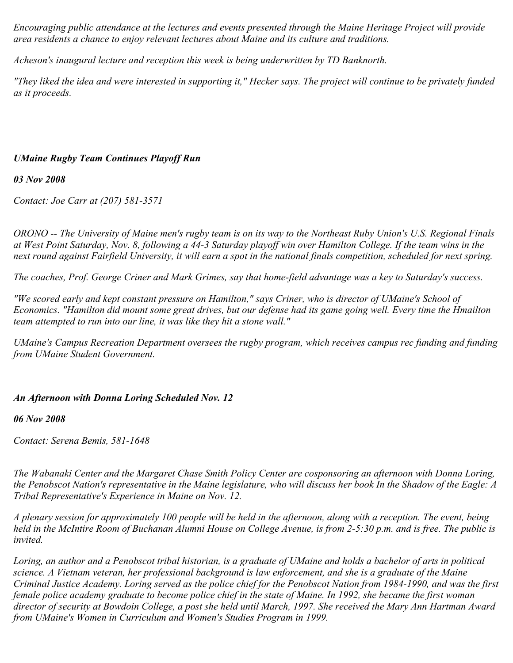*Encouraging public attendance at the lectures and events presented through the Maine Heritage Project will provide area residents a chance to enjoy relevant lectures about Maine and its culture and traditions.*

*Acheson's inaugural lecture and reception this week is being underwritten by TD Banknorth.*

*"They liked the idea and were interested in supporting it," Hecker says. The project will continue to be privately funded as it proceeds.*

## *UMaine Rugby Team Continues Playoff Run*

*03 Nov 2008*

*Contact: Joe Carr at (207) 581-3571*

*ORONO -- The University of Maine men's rugby team is on its way to the Northeast Ruby Union's U.S. Regional Finals at West Point Saturday, Nov. 8, following a 44-3 Saturday playoff win over Hamilton College. If the team wins in the next round against Fairfield University, it will earn a spot in the national finals competition, scheduled for next spring.*

*The coaches, Prof. George Criner and Mark Grimes, say that home-field advantage was a key to Saturday's success.*

*"We scored early and kept constant pressure on Hamilton," says Criner, who is director of UMaine's School of Economics. "Hamilton did mount some great drives, but our defense had its game going well. Every time the Hmailton team attempted to run into our line, it was like they hit a stone wall."*

*UMaine's Campus Recreation Department oversees the rugby program, which receives campus rec funding and funding from UMaine Student Government.*

### *An Afternoon with Donna Loring Scheduled Nov. 12*

*06 Nov 2008*

*Contact: Serena Bemis, 581-1648*

*The Wabanaki Center and the Margaret Chase Smith Policy Center are cosponsoring an afternoon with Donna Loring, the Penobscot Nation's representative in the Maine legislature, who will discuss her book In the Shadow of the Eagle: A Tribal Representative's Experience in Maine on Nov. 12.*

*A plenary session for approximately 100 people will be held in the afternoon, along with a reception. The event, being held in the McIntire Room of Buchanan Alumni House on College Avenue, is from 2-5:30 p.m. and is free. The public is invited.*

*Loring, an author and a Penobscot tribal historian, is a graduate of UMaine and holds a bachelor of arts in political science. A Vietnam veteran, her professional background is law enforcement, and she is a graduate of the Maine Criminal Justice Academy. Loring served as the police chief for the Penobscot Nation from 1984-1990, and was the first female police academy graduate to become police chief in the state of Maine. In 1992, she became the first woman director of security at Bowdoin College, a post she held until March, 1997. She received the Mary Ann Hartman Award from UMaine's Women in Curriculum and Women's Studies Program in 1999.*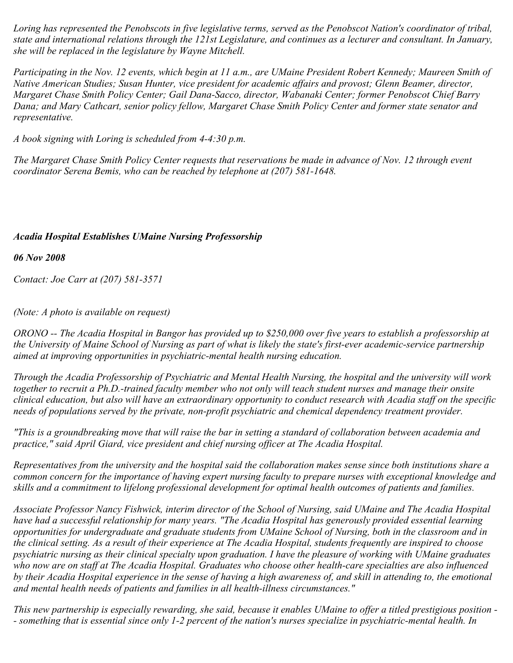*Loring has represented the Penobscots in five legislative terms, served as the Penobscot Nation's coordinator of tribal, state and international relations through the 121st Legislature, and continues as a lecturer and consultant. In January, she will be replaced in the legislature by Wayne Mitchell.*

*Participating in the Nov. 12 events, which begin at 11 a.m., are UMaine President Robert Kennedy; Maureen Smith of Native American Studies; Susan Hunter, vice president for academic affairs and provost; Glenn Beamer, director, Margaret Chase Smith Policy Center; Gail Dana-Sacco, director, Wabanaki Center; former Penobscot Chief Barry Dana; and Mary Cathcart, senior policy fellow, Margaret Chase Smith Policy Center and former state senator and representative.*

*A book signing with Loring is scheduled from 4-4:30 p.m.*

*The Margaret Chase Smith Policy Center requests that reservations be made in advance of Nov. 12 through event coordinator Serena Bemis, who can be reached by telephone at (207) 581-1648.*

## *Acadia Hospital Establishes UMaine Nursing Professorship*

*06 Nov 2008*

*Contact: Joe Carr at (207) 581-3571*

*(Note: A photo is available on request)*

*ORONO -- The Acadia Hospital in Bangor has provided up to \$250,000 over five years to establish a professorship at the University of Maine School of Nursing as part of what is likely the state's first-ever academic-service partnership aimed at improving opportunities in psychiatric-mental health nursing education.*

*Through the Acadia Professorship of Psychiatric and Mental Health Nursing, the hospital and the university will work together to recruit a Ph.D.-trained faculty member who not only will teach student nurses and manage their onsite clinical education, but also will have an extraordinary opportunity to conduct research with Acadia staff on the specific needs of populations served by the private, non-profit psychiatric and chemical dependency treatment provider.*

*"This is a groundbreaking move that will raise the bar in setting a standard of collaboration between academia and practice," said April Giard, vice president and chief nursing officer at The Acadia Hospital.*

*Representatives from the university and the hospital said the collaboration makes sense since both institutions share a common concern for the importance of having expert nursing faculty to prepare nurses with exceptional knowledge and skills and a commitment to lifelong professional development for optimal health outcomes of patients and families.*

*Associate Professor Nancy Fishwick, interim director of the School of Nursing, said UMaine and The Acadia Hospital have had a successful relationship for many years. "The Acadia Hospital has generously provided essential learning opportunities for undergraduate and graduate students from UMaine School of Nursing, both in the classroom and in the clinical setting. As a result of their experience at The Acadia Hospital, students frequently are inspired to choose psychiatric nursing as their clinical specialty upon graduation. I have the pleasure of working with UMaine graduates who now are on staff at The Acadia Hospital. Graduates who choose other health-care specialties are also influenced by their Acadia Hospital experience in the sense of having a high awareness of, and skill in attending to, the emotional and mental health needs of patients and families in all health-illness circumstances."*

*This new partnership is especially rewarding, she said, because it enables UMaine to offer a titled prestigious position - - something that is essential since only 1-2 percent of the nation's nurses specialize in psychiatric-mental health. In*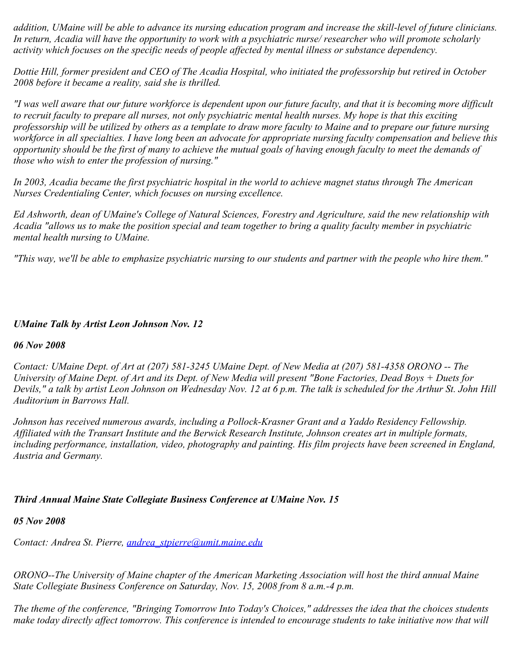*addition, UMaine will be able to advance its nursing education program and increase the skill-level of future clinicians. In return, Acadia will have the opportunity to work with a psychiatric nurse/ researcher who will promote scholarly activity which focuses on the specific needs of people affected by mental illness or substance dependency.*

*Dottie Hill, former president and CEO of The Acadia Hospital, who initiated the professorship but retired in October 2008 before it became a reality, said she is thrilled.*

*"I was well aware that our future workforce is dependent upon our future faculty, and that it is becoming more difficult to recruit faculty to prepare all nurses, not only psychiatric mental health nurses. My hope is that this exciting professorship will be utilized by others as a template to draw more faculty to Maine and to prepare our future nursing workforce in all specialties. I have long been an advocate for appropriate nursing faculty compensation and believe this opportunity should be the first of many to achieve the mutual goals of having enough faculty to meet the demands of those who wish to enter the profession of nursing."*

*In 2003, Acadia became the first psychiatric hospital in the world to achieve magnet status through The American Nurses Credentialing Center, which focuses on nursing excellence.*

*Ed Ashworth, dean of UMaine's College of Natural Sciences, Forestry and Agriculture, said the new relationship with Acadia "allows us to make the position special and team together to bring a quality faculty member in psychiatric mental health nursing to UMaine.*

*"This way, we'll be able to emphasize psychiatric nursing to our students and partner with the people who hire them."*

### *UMaine Talk by Artist Leon Johnson Nov. 12*

### *06 Nov 2008*

*Contact: UMaine Dept. of Art at (207) 581-3245 UMaine Dept. of New Media at (207) 581-4358 ORONO -- The University of Maine Dept. of Art and its Dept. of New Media will present "Bone Factories, Dead Boys + Duets for Devils," a talk by artist Leon Johnson on Wednesday Nov. 12 at 6 p.m. The talk is scheduled for the Arthur St. John Hill Auditorium in Barrows Hall.*

*Johnson has received numerous awards, including a Pollock-Krasner Grant and a Yaddo Residency Fellowship. Affiliated with the Transart Institute and the Berwick Research Institute, Johnson creates art in multiple formats, including performance, installation, video, photography and painting. His film projects have been screened in England, Austria and Germany.*

### *Third Annual Maine State Collegiate Business Conference at UMaine Nov. 15*

### *05 Nov 2008*

*Contact: Andrea St. Pierre, [andrea\\_stpierre@umit.maine.edu](mailto:andrea_stpierre@umit.maine.edu)*

*ORONO--The University of Maine chapter of the American Marketing Association will host the third annual Maine State Collegiate Business Conference on Saturday, Nov. 15, 2008 from 8 a.m.-4 p.m.* 

*The theme of the conference, "Bringing Tomorrow Into Today's Choices," addresses the idea that the choices students make today directly affect tomorrow. This conference is intended to encourage students to take initiative now that will*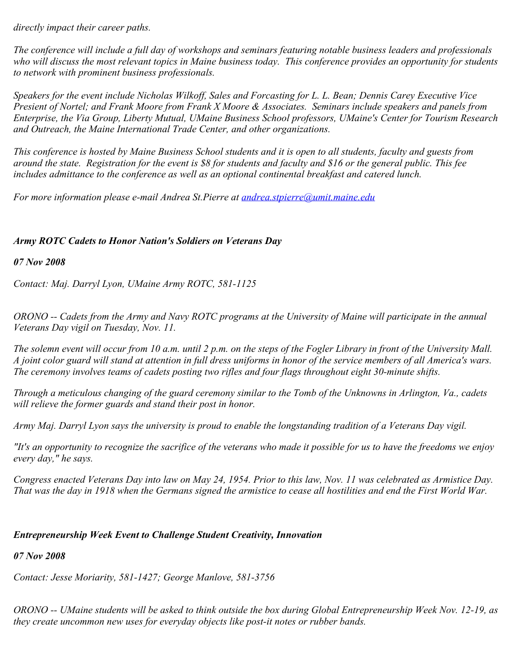*directly impact their career paths.*

*The conference will include a full day of workshops and seminars featuring notable business leaders and professionals who will discuss the most relevant topics in Maine business today. This conference provides an opportunity for students to network with prominent business professionals.* 

*Speakers for the event include Nicholas Wilkoff, Sales and Forcasting for L. L. Bean; Dennis Carey Executive Vice Presient of Nortel; and Frank Moore from Frank X Moore & Associates. Seminars include speakers and panels from Enterprise, the Via Group, Liberty Mutual, UMaine Business School professors, UMaine's Center for Tourism Research and Outreach, the Maine International Trade Center, and other organizations.*

*This conference is hosted by Maine Business School students and it is open to all students, faculty and guests from around the state. Registration for the event is \$8 for students and faculty and \$16 or the general public. This fee includes admittance to the conference as well as an optional continental breakfast and catered lunch.* 

*For more information please e-mail Andrea St.Pierre at [andrea.stpierre@umit.maine.edu](mailto:andrea.stpierre@umit.maine.edu)*

### *Army ROTC Cadets to Honor Nation's Soldiers on Veterans Day*

*07 Nov 2008*

*Contact: Maj. Darryl Lyon, UMaine Army ROTC, 581-1125*

*ORONO -- Cadets from the Army and Navy ROTC programs at the University of Maine will participate in the annual Veterans Day vigil on Tuesday, Nov. 11.*

*The solemn event will occur from 10 a.m. until 2 p.m. on the steps of the Fogler Library in front of the University Mall. A joint color guard will stand at attention in full dress uniforms in honor of the service members of all America's wars. The ceremony involves teams of cadets posting two rifles and four flags throughout eight 30-minute shifts.*

*Through a meticulous changing of the guard ceremony similar to the Tomb of the Unknowns in Arlington, Va., cadets will relieve the former guards and stand their post in honor.*

*Army Maj. Darryl Lyon says the university is proud to enable the longstanding tradition of a Veterans Day vigil.*

*"It's an opportunity to recognize the sacrifice of the veterans who made it possible for us to have the freedoms we enjoy every day," he says.*

*Congress enacted Veterans Day into law on May 24, 1954. Prior to this law, Nov. 11 was celebrated as Armistice Day. That was the day in 1918 when the Germans signed the armistice to cease all hostilities and end the First World War.*

### *Entrepreneurship Week Event to Challenge Student Creativity, Innovation*

*07 Nov 2008*

*Contact: Jesse Moriarity, 581-1427; George Manlove, 581-3756*

*ORONO -- UMaine students will be asked to think outside the box during Global Entrepreneurship Week Nov. 12-19, as they create uncommon new uses for everyday objects like post-it notes or rubber bands.*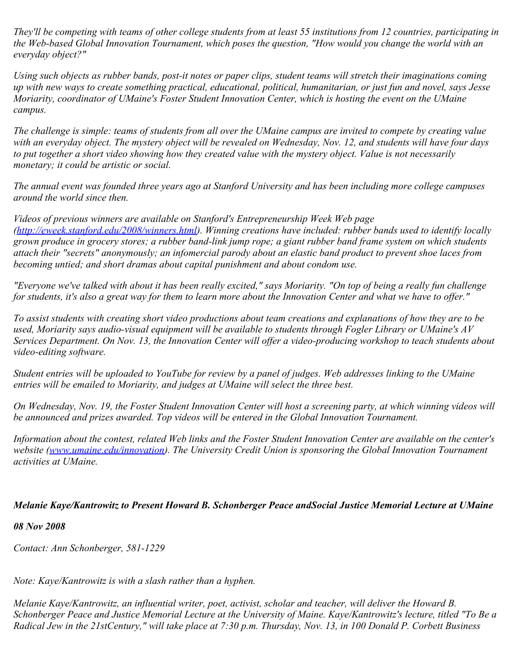*They'll be competing with teams of other college students from at least 55 institutions from 12 countries, participating in the Web-based Global Innovation Tournament, which poses the question, "How would you change the world with an everyday object?"*

*Using such objects as rubber bands, post-it notes or paper clips, student teams will stretch their imaginations coming up with new ways to create something practical, educational, political, humanitarian, or just fun and novel, says Jesse Moriarity, coordinator of UMaine's Foster Student Innovation Center, which is hosting the event on the UMaine campus.*

*The challenge is simple: teams of students from all over the UMaine campus are invited to compete by creating value with an everyday object. The mystery object will be revealed on Wednesday, Nov. 12, and students will have four days to put together a short video showing how they created value with the mystery object. Value is not necessarily monetary; it could be artistic or social.*

*The annual event was founded three years ago at Stanford University and has been including more college campuses around the world since then.*

*Videos of previous winners are available on Stanford's Entrepreneurship Week Web page ([http://eweek.stanford.edu/2008/winners.html\)](http://eweek.stanford.edu/2008/winners.html). Winning creations have included: rubber bands used to identify locally grown produce in grocery stores; a rubber band-link jump rope; a giant rubber band frame system on which students attach their "secrets" anonymously; an infomercial parody about an elastic band product to prevent shoe laces from becoming untied; and short dramas about capital punishment and about condom use.*

*"Everyone we've talked with about it has been really excited," says Moriarity. "On top of being a really fun challenge for students, it's also a great way for them to learn more about the Innovation Center and what we have to offer."*

*To assist students with creating short video productions about team creations and explanations of how they are to be used, Moriarity says audio-visual equipment will be available to students through Fogler Library or UMaine's AV Services Department. On Nov. 13, the Innovation Center will offer a video-producing workshop to teach students about video-editing software.*

*Student entries will be uploaded to YouTube for review by a panel of judges. Web addresses linking to the UMaine entries will be emailed to Moriarity, and judges at UMaine will select the three best.*

*On Wednesday, Nov. 19, the Foster Student Innovation Center will host a screening party, at which winning videos will be announced and prizes awarded. Top videos will be entered in the Global Innovation Tournament.*

*Information about the contest, related Web links and the Foster Student Innovation Center are available on the center's website ([www.umaine.edu/innovation](http://www.umaine.edu/innovation)). The University Credit Union is sponsoring the Global Innovation Tournament activities at UMaine.*

### *Melanie Kaye/Kantrowitz to Present Howard B. Schonberger Peace andSocial Justice Memorial Lecture at UMaine*

### *08 Nov 2008*

*Contact: Ann Schonberger, 581-1229*

*Note: Kaye/Kantrowitz is with a slash rather than a hyphen.*

*Melanie Kaye/Kantrowitz, an influential writer, poet, activist, scholar and teacher, will deliver the Howard B. Schonberger Peace and Justice Memorial Lecture at the University of Maine. Kaye/Kantrowitz's lecture, titled "To Be a Radical Jew in the 21stCentury," will take place at 7:30 p.m. Thursday, Nov. 13, in 100 Donald P. Corbett Business*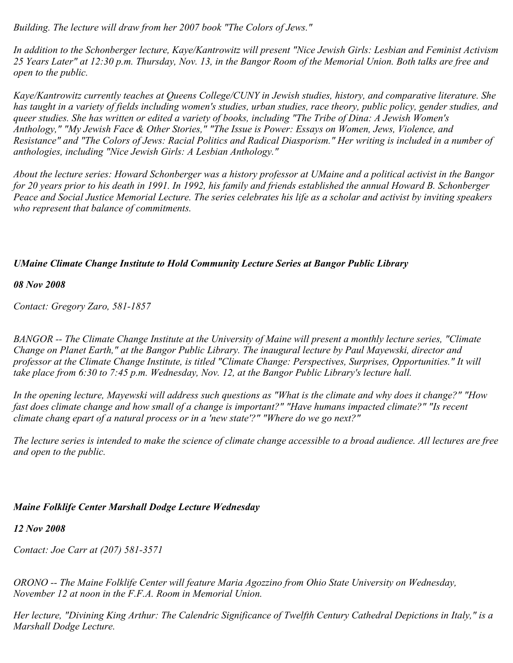*Building. The lecture will draw from her 2007 book "The Colors of Jews."*

*In addition to the Schonberger lecture, Kaye/Kantrowitz will present "Nice Jewish Girls: Lesbian and Feminist Activism 25 Years Later" at 12:30 p.m. Thursday, Nov. 13, in the Bangor Room of the Memorial Union. Both talks are free and open to the public.* 

*Kaye/Kantrowitz currently teaches at Queens College/CUNY in Jewish studies, history, and comparative literature. She has taught in a variety of fields including women's studies, urban studies, race theory, public policy, gender studies, and queer studies. She has written or edited a variety of books, including "The Tribe of Dina: A Jewish Women's Anthology," "My Jewish Face & Other Stories," "The Issue is Power: Essays on Women, Jews, Violence, and Resistance" and "The Colors of Jews: Racial Politics and Radical Diasporism." Her writing is included in a number of anthologies, including "Nice Jewish Girls: A Lesbian Anthology."* 

*About the lecture series: Howard Schonberger was a history professor at UMaine and a political activist in the Bangor for 20 years prior to his death in 1991. In 1992, his family and friends established the annual Howard B. Schonberger Peace and Social Justice Memorial Lecture. The series celebrates his life as a scholar and activist by inviting speakers who represent that balance of commitments.* 

## *UMaine Climate Change Institute to Hold Community Lecture Series at Bangor Public Library*

#### *08 Nov 2008*

*Contact: Gregory Zaro, 581-1857*

*BANGOR -- The Climate Change Institute at the University of Maine will present a monthly lecture series, "Climate Change on Planet Earth," at the Bangor Public Library. The inaugural lecture by Paul Mayewski, director and professor at the Climate Change Institute, is titled "Climate Change: Perspectives, Surprises, Opportunities." It will take place from 6:30 to 7:45 p.m. Wednesday, Nov. 12, at the Bangor Public Library's lecture hall.*

*In the opening lecture, Mayewski will address such questions as "What is the climate and why does it change?" "How fast does climate change and how small of a change is important?" "Have humans impacted climate?" "Is recent climate chang epart of a natural process or in a 'new state'?" "Where do we go next?"*

*The lecture series is intended to make the science of climate change accessible to a broad audience. All lectures are free and open to the public.*

### *Maine Folklife Center Marshall Dodge Lecture Wednesday*

### *12 Nov 2008*

*Contact: Joe Carr at (207) 581-3571*

*ORONO -- The Maine Folklife Center will feature Maria Agozzino from Ohio State University on Wednesday, November 12 at noon in the F.F.A. Room in Memorial Union.*

*Her lecture, "Divining King Arthur: The Calendric Significance of Twelfth Century Cathedral Depictions in Italy," is a Marshall Dodge Lecture.*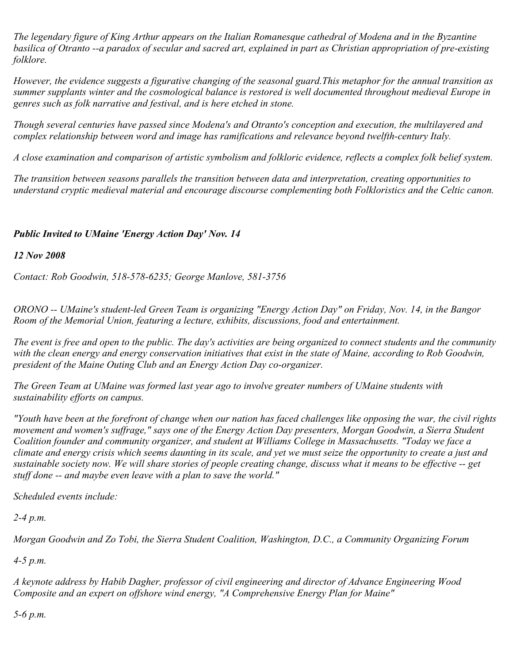*The legendary figure of King Arthur appears on the Italian Romanesque cathedral of Modena and in the Byzantine basilica of Otranto --a paradox of secular and sacred art, explained in part as Christian appropriation of pre-existing folklore.*

*However, the evidence suggests a figurative changing of the seasonal guard.This metaphor for the annual transition as summer supplants winter and the cosmological balance is restored is well documented throughout medieval Europe in genres such as folk narrative and festival, and is here etched in stone.*

*Though several centuries have passed since Modena's and Otranto's conception and execution, the multilayered and complex relationship between word and image has ramifications and relevance beyond twelfth-century Italy.*

*A close examination and comparison of artistic symbolism and folkloric evidence, reflects a complex folk belief system.*

*The transition between seasons parallels the transition between data and interpretation, creating opportunities to understand cryptic medieval material and encourage discourse complementing both Folkloristics and the Celtic canon.*

### *Public Invited to UMaine 'Energy Action Day' Nov. 14*

*12 Nov 2008*

*Contact: Rob Goodwin, 518-578-6235; George Manlove, 581-3756*

*ORONO -- UMaine's student-led Green Team is organizing "Energy Action Day" on Friday, Nov. 14, in the Bangor Room of the Memorial Union, featuring a lecture, exhibits, discussions, food and entertainment.*

*The event is free and open to the public. The day's activities are being organized to connect students and the community with the clean energy and energy conservation initiatives that exist in the state of Maine, according to Rob Goodwin, president of the Maine Outing Club and an Energy Action Day co-organizer.*

*The Green Team at UMaine was formed last year ago to involve greater numbers of UMaine students with sustainability efforts on campus.*

*"Youth have been at the forefront of change when our nation has faced challenges like opposing the war, the civil rights movement and women's suffrage," says one of the Energy Action Day presenters, Morgan Goodwin, a Sierra Student Coalition founder and community organizer, and student at Williams College in Massachusetts. "Today we face a climate and energy crisis which seems daunting in its scale, and yet we must seize the opportunity to create a just and sustainable society now. We will share stories of people creating change, discuss what it means to be effective -- get stuff done -- and maybe even leave with a plan to save the world."*

*Scheduled events include:*

*2-4 p.m.*

*Morgan Goodwin and Zo Tobi, the Sierra Student Coalition, Washington, D.C., a Community Organizing Forum*

*4-5 p.m.*

*A keynote address by Habib Dagher, professor of civil engineering and director of Advance Engineering Wood Composite and an expert on offshore wind energy, "A Comprehensive Energy Plan for Maine"*

*5-6 p.m.*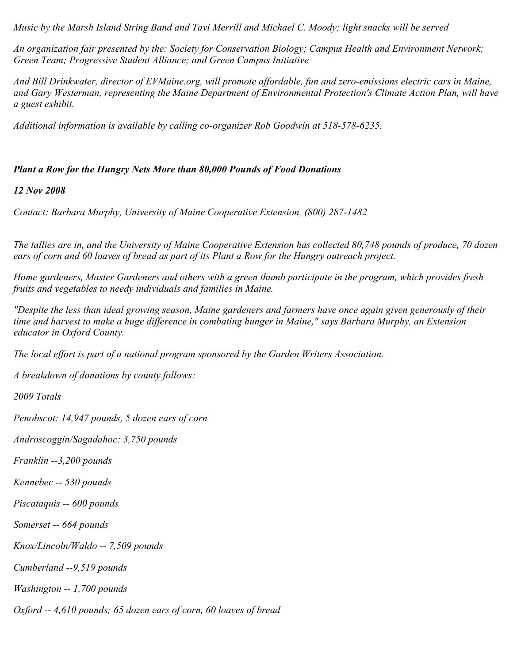*Music by the Marsh Island String Band and Tavi Merrill and Michael C. Moody; light snacks will be served*

*An organization fair presented by the: Society for Conservation Biology; Campus Health and Environment Network; Green Team; Progressive Student Alliance; and Green Campus Initiative*

*And Bill Drinkwater, director of EVMaine.org, will promote affordable, fun and zero-emissions electric cars in Maine, and Gary Westerman, representing the Maine Department of Environmental Protection's Climate Action Plan, will have a guest exhibit.*

*Additional information is available by calling co-organizer Rob Goodwin at 518-578-6235.*

### *Plant a Row for the Hungry Nets More than 80,000 Pounds of Food Donations*

*12 Nov 2008*

*Contact: Barbara Murphy, University of Maine Cooperative Extension, (800) 287-1482*

*The tallies are in, and the University of Maine Cooperative Extension has collected 80,748 pounds of produce, 70 dozen ears of corn and 60 loaves of bread as part of its Plant a Row for the Hungry outreach project.*

*Home gardeners, Master Gardeners and others with a green thumb participate in the program, which provides fresh fruits and vegetables to needy individuals and families in Maine.*

*"Despite the less than ideal growing season, Maine gardeners and farmers have once again given generously of their time and harvest to make a huge difference in combating hunger in Maine," says Barbara Murphy, an Extension educator in Oxford County.*

*The local effort is part of a national program sponsored by the Garden Writers Association.*

*A breakdown of donations by county follows:*

*2009 Totals*

*Penobscot: 14,947 pounds, 5 dozen ears of corn*

*Androscoggin/Sagadahoc: 3,750 pounds*

*Franklin --3,200 pounds*

*Kennebec -- 530 pounds*

*Piscataquis -- 600 pounds*

*Somerset -- 664 pounds*

*Knox/Lincoln/Waldo -- 7,509 pounds*

*Cumberland --9,519 pounds*

*Washington -- 1,700 pounds*

*Oxford -- 4,610 pounds; 65 dozen ears of corn, 60 loaves of bread*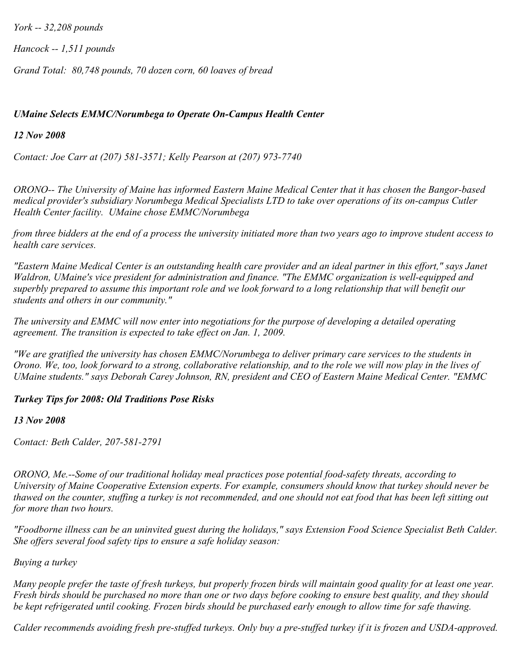*York -- 32,208 pounds*

*Hancock -- 1,511 pounds*

*Grand Total: 80,748 pounds, 70 dozen corn, 60 loaves of bread*

# *UMaine Selects EMMC/Norumbega to Operate On-Campus Health Center*

*12 Nov 2008*

*Contact: Joe Carr at (207) 581-3571; Kelly Pearson at (207) 973-7740*

*ORONO-- The University of Maine has informed Eastern Maine Medical Center that it has chosen the Bangor-based medical provider's subsidiary Norumbega Medical Specialists LTD to take over operations of its on-campus Cutler Health Center facility. UMaine chose EMMC/Norumbega*

*from three bidders at the end of a process the university initiated more than two years ago to improve student access to health care services.*

*"Eastern Maine Medical Center is an outstanding health care provider and an ideal partner in this effort," says Janet Waldron, UMaine's vice president for administration and finance. "The EMMC organization is well-equipped and superbly prepared to assume this important role and we look forward to a long relationship that will benefit our students and others in our community."*

*The university and EMMC will now enter into negotiations for the purpose of developing a detailed operating agreement. The transition is expected to take effect on Jan. 1, 2009.*

*"We are gratified the university has chosen EMMC/Norumbega to deliver primary care services to the students in Orono. We, too, look forward to a strong, collaborative relationship, and to the role we will now play in the lives of UMaine students." says Deborah Carey Johnson, RN, president and CEO of Eastern Maine Medical Center. "EMMC* 

# *Turkey Tips for 2008: Old Traditions Pose Risks*

*13 Nov 2008*

*Contact: Beth Calder, 207-581-2791*

*ORONO, Me.--Some of our traditional holiday meal practices pose potential food-safety threats, according to University of Maine Cooperative Extension experts. For example, consumers should know that turkey should never be thawed on the counter, stuffing a turkey is not recommended, and one should not eat food that has been left sitting out for more than two hours.*

*"Foodborne illness can be an uninvited guest during the holidays," says Extension Food Science Specialist Beth Calder. She offers several food safety tips to ensure a safe holiday season:*

### *Buying a turkey*

*Many people prefer the taste of fresh turkeys, but properly frozen birds will maintain good quality for at least one year. Fresh birds should be purchased no more than one or two days before cooking to ensure best quality, and they should be kept refrigerated until cooking. Frozen birds should be purchased early enough to allow time for safe thawing.*

*Calder recommends avoiding fresh pre-stuffed turkeys. Only buy a pre-stuffed turkey if it is frozen and USDA-approved.*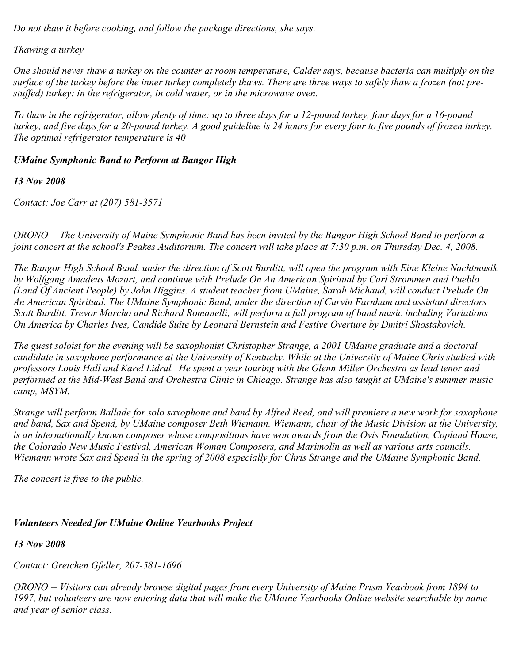*Do not thaw it before cooking, and follow the package directions, she says.*

*Thawing a turkey*

*One should never thaw a turkey on the counter at room temperature, Calder says, because bacteria can multiply on the surface of the turkey before the inner turkey completely thaws. There are three ways to safely thaw a frozen (not prestuffed) turkey: in the refrigerator, in cold water, or in the microwave oven.*

*To thaw in the refrigerator, allow plenty of time: up to three days for a 12-pound turkey, four days for a 16-pound turkey, and five days for a 20-pound turkey. A good guideline is 24 hours for every four to five pounds of frozen turkey. The optimal refrigerator temperature is 40* 

# *UMaine Symphonic Band to Perform at Bangor High*

*13 Nov 2008*

*Contact: Joe Carr at (207) 581-3571*

*ORONO -- The University of Maine Symphonic Band has been invited by the Bangor High School Band to perform a joint concert at the school's Peakes Auditorium. The concert will take place at 7:30 p.m. on Thursday Dec. 4, 2008.*

*The Bangor High School Band, under the direction of Scott Burditt, will open the program with Eine Kleine Nachtmusik by Wolfgang Amadeus Mozart, and continue with Prelude On An American Spiritual by Carl Strommen and Pueblo (Land Of Ancient People) by John Higgins. A student teacher from UMaine, Sarah Michaud, will conduct Prelude On An American Spiritual. The UMaine Symphonic Band, under the direction of Curvin Farnham and assistant directors Scott Burditt, Trevor Marcho and Richard Romanelli, will perform a full program of band music including Variations On America by Charles Ives, Candide Suite by Leonard Bernstein and Festive Overture by Dmitri Shostakovich.*

*The guest soloist for the evening will be saxophonist Christopher Strange, a 2001 UMaine graduate and a doctoral candidate in saxophone performance at the University of Kentucky. While at the University of Maine Chris studied with professors Louis Hall and Karel Lidral. He spent a year touring with the Glenn Miller Orchestra as lead tenor and performed at the Mid-West Band and Orchestra Clinic in Chicago. Strange has also taught at UMaine's summer music camp, MSYM.*

*Strange will perform Ballade for solo saxophone and band by Alfred Reed, and will premiere a new work for saxophone and band, Sax and Spend, by UMaine composer Beth Wiemann. Wiemann, chair of the Music Division at the University, is an internationally known composer whose compositions have won awards from the Ovis Foundation, Copland House, the Colorado New Music Festival, American Woman Composers, and Marimolin as well as various arts councils. Wiemann wrote Sax and Spend in the spring of 2008 especially for Chris Strange and the UMaine Symphonic Band.*

*The concert is free to the public.*

# *Volunteers Needed for UMaine Online Yearbooks Project*

*13 Nov 2008*

*Contact: Gretchen Gfeller, 207-581-1696*

*ORONO -- Visitors can already browse digital pages from every University of Maine Prism Yearbook from 1894 to 1997, but volunteers are now entering data that will make the UMaine Yearbooks Online website searchable by name and year of senior class.*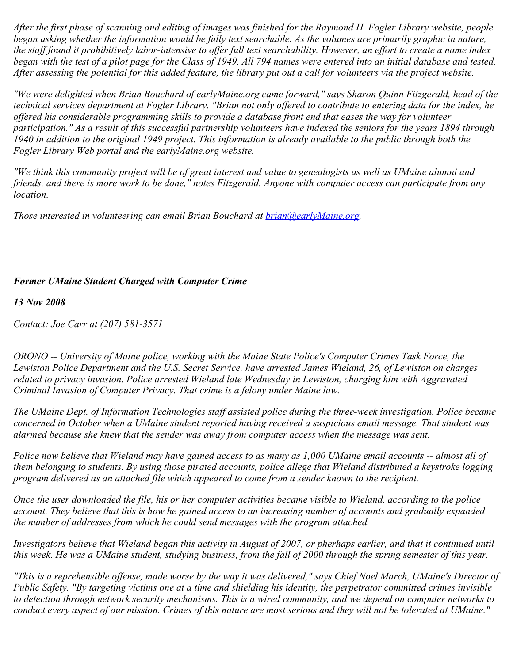*After the first phase of scanning and editing of images was finished for the Raymond H. Fogler Library website, people began asking whether the information would be fully text searchable. As the volumes are primarily graphic in nature, the staff found it prohibitively labor-intensive to offer full text searchability. However, an effort to create a name index began with the test of a pilot page for the Class of 1949. All 794 names were entered into an initial database and tested. After assessing the potential for this added feature, the library put out a call for volunteers via the project website.*

*"We were delighted when Brian Bouchard of earlyMaine.org came forward," says Sharon Quinn Fitzgerald, head of the technical services department at Fogler Library. "Brian not only offered to contribute to entering data for the index, he offered his considerable programming skills to provide a database front end that eases the way for volunteer participation." As a result of this successful partnership volunteers have indexed the seniors for the years 1894 through 1940 in addition to the original 1949 project. This information is already available to the public through both the Fogler Library Web portal and the earlyMaine.org website.*

*"We think this community project will be of great interest and value to genealogists as well as UMaine alumni and friends, and there is more work to be done," notes Fitzgerald. Anyone with computer access can participate from any location.*

*Those interested in volunteering can email Brian Bouchard at <i>[brian@earlyMaine.org.](mailto:brian@earlyMaine.org)* 

## *Former UMaine Student Charged with Computer Crime*

#### *13 Nov 2008*

*Contact: Joe Carr at (207) 581-3571*

*ORONO -- University of Maine police, working with the Maine State Police's Computer Crimes Task Force, the Lewiston Police Department and the U.S. Secret Service, have arrested James Wieland, 26, of Lewiston on charges related to privacy invasion. Police arrested Wieland late Wednesday in Lewiston, charging him with Aggravated Criminal Invasion of Computer Privacy. That crime is a felony under Maine law.*

*The UMaine Dept. of Information Technologies staff assisted police during the three-week investigation. Police became concerned in October when a UMaine student reported having received a suspicious email message. That student was alarmed because she knew that the sender was away from computer access when the message was sent.*

*Police now believe that Wieland may have gained access to as many as 1,000 UMaine email accounts -- almost all of them belonging to students. By using those pirated accounts, police allege that Wieland distributed a keystroke logging program delivered as an attached file which appeared to come from a sender known to the recipient.*

*Once the user downloaded the file, his or her computer activities became visible to Wieland, according to the police account. They believe that this is how he gained access to an increasing number of accounts and gradually expanded the number of addresses from which he could send messages with the program attached.*

*Investigators believe that Wieland began this activity in August of 2007, or pherhaps earlier, and that it continued until this week. He was a UMaine student, studying business, from the fall of 2000 through the spring semester of this year.*

*"This is a reprehensible offense, made worse by the way it was delivered," says Chief Noel March, UMaine's Director of Public Safety. "By targeting victims one at a time and shielding his identity, the perpetrator committed crimes invisible to detection through network security mechanisms. This is a wired community, and we depend on computer networks to conduct every aspect of our mission. Crimes of this nature are most serious and they will not be tolerated at UMaine."*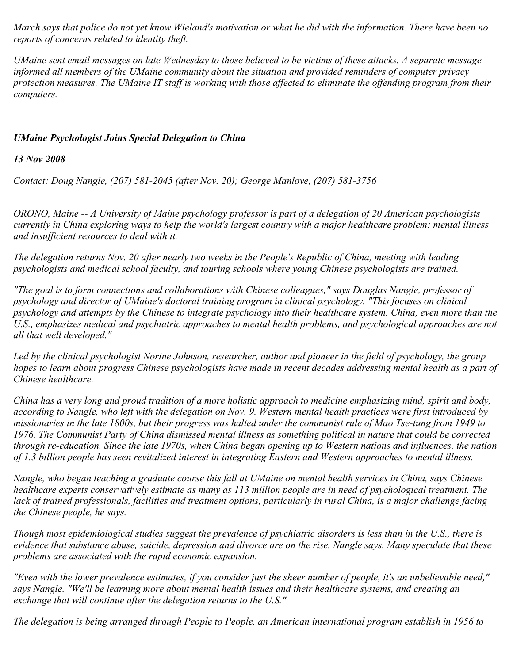*March says that police do not yet know Wieland's motivation or what he did with the information. There have been no reports of concerns related to identity theft.*

*UMaine sent email messages on late Wednesday to those believed to be victims of these attacks. A separate message informed all members of the UMaine community about the situation and provided reminders of computer privacy protection measures. The UMaine IT staff is working with those affected to eliminate the offending program from their computers.*

## *UMaine Psychologist Joins Special Delegation to China*

## *13 Nov 2008*

*Contact: Doug Nangle, (207) 581-2045 (after Nov. 20); George Manlove, (207) 581-3756*

*ORONO, Maine -- A University of Maine psychology professor is part of a delegation of 20 American psychologists currently in China exploring ways to help the world's largest country with a major healthcare problem: mental illness and insufficient resources to deal with it.*

*The delegation returns Nov. 20 after nearly two weeks in the People's Republic of China, meeting with leading psychologists and medical school faculty, and touring schools where young Chinese psychologists are trained.*

*"The goal is to form connections and collaborations with Chinese colleagues," says Douglas Nangle, professor of psychology and director of UMaine's doctoral training program in clinical psychology. "This focuses on clinical psychology and attempts by the Chinese to integrate psychology into their healthcare system. China, even more than the U.S., emphasizes medical and psychiatric approaches to mental health problems, and psychological approaches are not all that well developed."*

*Led by the clinical psychologist Norine Johnson, researcher, author and pioneer in the field of psychology, the group hopes to learn about progress Chinese psychologists have made in recent decades addressing mental health as a part of Chinese healthcare.*

*China has a very long and proud tradition of a more holistic approach to medicine emphasizing mind, spirit and body, according to Nangle, who left with the delegation on Nov. 9. Western mental health practices were first introduced by missionaries in the late 1800s, but their progress was halted under the communist rule of Mao Tse-tung from 1949 to 1976. The Communist Party of China dismissed mental illness as something political in nature that could be corrected through re-education. Since the late 1970s, when China began opening up to Western nations and influences, the nation of 1.3 billion people has seen revitalized interest in integrating Eastern and Western approaches to mental illness.*

*Nangle, who began teaching a graduate course this fall at UMaine on mental health services in China, says Chinese healthcare experts conservatively estimate as many as 113 million people are in need of psychological treatment. The lack of trained professionals, facilities and treatment options, particularly in rural China, is a major challenge facing the Chinese people, he says.*

*Though most epidemiological studies suggest the prevalence of psychiatric disorders is less than in the U.S., there is evidence that substance abuse, suicide, depression and divorce are on the rise, Nangle says. Many speculate that these problems are associated with the rapid economic expansion.*

*"Even with the lower prevalence estimates, if you consider just the sheer number of people, it's an unbelievable need," says Nangle. "We'll be learning more about mental health issues and their healthcare systems, and creating an exchange that will continue after the delegation returns to the U.S."*

*The delegation is being arranged through People to People, an American international program establish in 1956 to*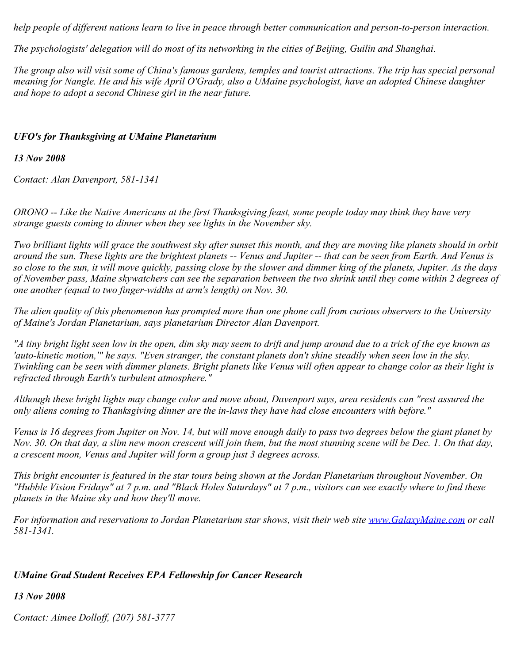*help people of different nations learn to live in peace through better communication and person-to-person interaction.*

*The psychologists' delegation will do most of its networking in the cities of Beijing, Guilin and Shanghai.*

*The group also will visit some of China's famous gardens, temples and tourist attractions. The trip has special personal meaning for Nangle. He and his wife April O'Grady, also a UMaine psychologist, have an adopted Chinese daughter and hope to adopt a second Chinese girl in the near future.*

### *UFO's for Thanksgiving at UMaine Planetarium*

*13 Nov 2008*

*Contact: Alan Davenport, 581-1341*

*ORONO -- Like the Native Americans at the first Thanksgiving feast, some people today may think they have very strange guests coming to dinner when they see lights in the November sky.*

*Two brilliant lights will grace the southwest sky after sunset this month, and they are moving like planets should in orbit around the sun. These lights are the brightest planets -- Venus and Jupiter -- that can be seen from Earth. And Venus is so close to the sun, it will move quickly, passing close by the slower and dimmer king of the planets, Jupiter. As the days of November pass, Maine skywatchers can see the separation between the two shrink until they come within 2 degrees of one another (equal to two finger-widths at arm's length) on Nov. 30.*

*The alien quality of this phenomenon has prompted more than one phone call from curious observers to the University of Maine's Jordan Planetarium, says planetarium Director Alan Davenport.*

*"A tiny bright light seen low in the open, dim sky may seem to drift and jump around due to a trick of the eye known as 'auto-kinetic motion,'" he says. "Even stranger, the constant planets don't shine steadily when seen low in the sky. Twinkling can be seen with dimmer planets. Bright planets like Venus will often appear to change color as their light is refracted through Earth's turbulent atmosphere."*

*Although these bright lights may change color and move about, Davenport says, area residents can "rest assured the only aliens coming to Thanksgiving dinner are the in-laws they have had close encounters with before."*

*Venus is 16 degrees from Jupiter on Nov. 14, but will move enough daily to pass two degrees below the giant planet by Nov. 30. On that day, a slim new moon crescent will join them, but the most stunning scene will be Dec. 1. On that day, a crescent moon, Venus and Jupiter will form a group just 3 degrees across.*

*This bright encounter is featured in the star tours being shown at the Jordan Planetarium throughout November. On "Hubble Vision Fridays" at 7 p.m. and "Black Holes Saturdays" at 7 p.m., visitors can see exactly where to find these planets in the Maine sky and how they'll move.*

*For information and reservations to Jordan Planetarium star shows, visit their web site [www.GalaxyMaine.com](http://www.galaxymaine.com/) or call 581-1341.*

# *UMaine Grad Student Receives EPA Fellowship for Cancer Research*

*13 Nov 2008*

*Contact: Aimee Dolloff, (207) 581-3777*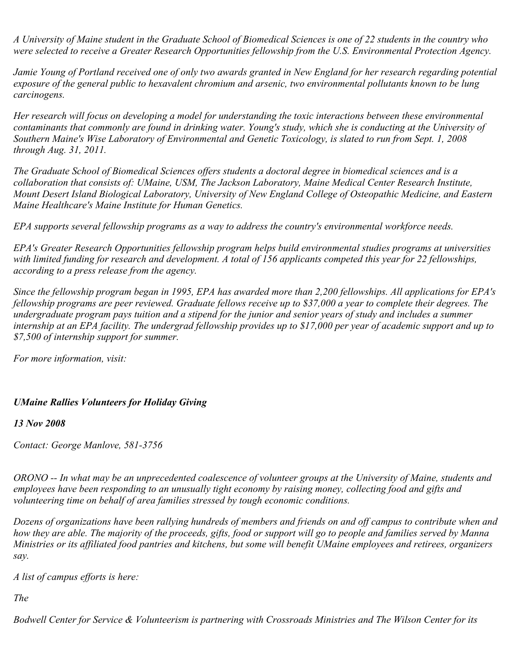*A University of Maine student in the Graduate School of Biomedical Sciences is one of 22 students in the country who were selected to receive a Greater Research Opportunities fellowship from the U.S. Environmental Protection Agency.*

*Jamie Young of Portland received one of only two awards granted in New England for her research regarding potential exposure of the general public to hexavalent chromium and arsenic, two environmental pollutants known to be lung carcinogens.*

*Her research will focus on developing a model for understanding the toxic interactions between these environmental contaminants that commonly are found in drinking water. Young's study, which she is conducting at the University of Southern Maine's Wise Laboratory of Environmental and Genetic Toxicology, is slated to run from Sept. 1, 2008 through Aug. 31, 2011.*

*The Graduate School of Biomedical Sciences offers students a doctoral degree in biomedical sciences and is a collaboration that consists of: UMaine, USM, The Jackson Laboratory, Maine Medical Center Research Institute, Mount Desert Island Biological Laboratory, University of New England College of Osteopathic Medicine, and Eastern Maine Healthcare's Maine Institute for Human Genetics.*

*EPA supports several fellowship programs as a way to address the country's environmental workforce needs.*

*EPA's Greater Research Opportunities fellowship program helps build environmental studies programs at universities with limited funding for research and development. A total of 156 applicants competed this year for 22 fellowships, according to a press release from the agency.*

*Since the fellowship program began in 1995, EPA has awarded more than 2,200 fellowships. All applications for EPA's fellowship programs are peer reviewed. Graduate fellows receive up to \$37,000 a year to complete their degrees. The undergraduate program pays tuition and a stipend for the junior and senior years of study and includes a summer internship at an EPA facility. The undergrad fellowship provides up to \$17,000 per year of academic support and up to \$7,500 of internship support for summer.*

*For more information, visit:*

### *UMaine Rallies Volunteers for Holiday Giving*

#### *13 Nov 2008*

*Contact: George Manlove, 581-3756*

*ORONO -- In what may be an unprecedented coalescence of volunteer groups at the University of Maine, students and employees have been responding to an unusually tight economy by raising money, collecting food and gifts and volunteering time on behalf of area families stressed by tough economic conditions.*

*Dozens of organizations have been rallying hundreds of members and friends on and off campus to contribute when and how they are able. The majority of the proceeds, gifts, food or support will go to people and families served by Manna Ministries or its affiliated food pantries and kitchens, but some will benefit UMaine employees and retirees, organizers say.*

*A list of campus efforts is here:*

*The*

*Bodwell Center for Service & Volunteerism is partnering with Crossroads Ministries and The Wilson Center for its*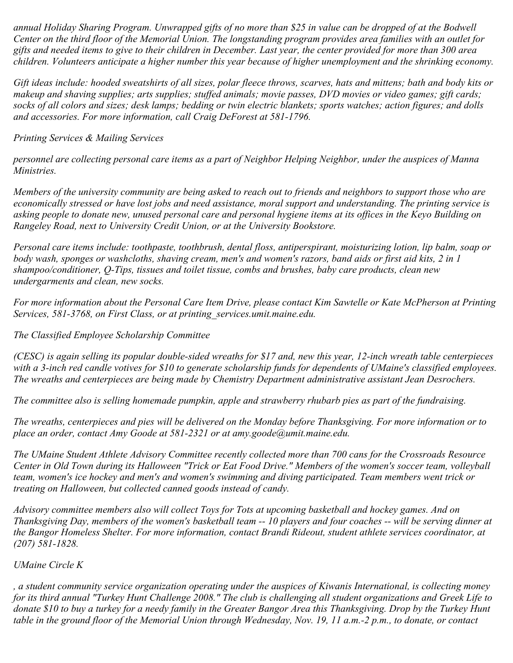*annual Holiday Sharing Program. Unwrapped gifts of no more than \$25 in value can be dropped of at the Bodwell Center on the third floor of the Memorial Union. The longstanding program provides area families with an outlet for gifts and needed items to give to their children in December. Last year, the center provided for more than 300 area children. Volunteers anticipate a higher number this year because of higher unemployment and the shrinking economy.*

*Gift ideas include: hooded sweatshirts of all sizes, polar fleece throws, scarves, hats and mittens; bath and body kits or makeup and shaving supplies; arts supplies; stuffed animals; movie passes, DVD movies or video games; gift cards; socks of all colors and sizes; desk lamps; bedding or twin electric blankets; sports watches; action figures; and dolls and accessories. For more information, call Craig DeForest at 581-1796.*

*Printing Services & Mailing Services*

*personnel are collecting personal care items as a part of Neighbor Helping Neighbor, under the auspices of Manna Ministries.*

*Members of the university community are being asked to reach out to friends and neighbors to support those who are economically stressed or have lost jobs and need assistance, moral support and understanding. The printing service is asking people to donate new, unused personal care and personal hygiene items at its offices in the Keyo Building on Rangeley Road, next to University Credit Union, or at the University Bookstore.*

*Personal care items include: toothpaste, toothbrush, dental floss, antiperspirant, moisturizing lotion, lip balm, soap or body wash, sponges or washcloths, shaving cream, men's and women's razors, band aids or first aid kits, 2 in 1 shampoo/conditioner, Q-Tips, tissues and toilet tissue, combs and brushes, baby care products, clean new undergarments and clean, new socks.*

*For more information about the Personal Care Item Drive, please contact Kim Sawtelle or Kate McPherson at Printing Services, 581-3768, on First Class, or at printing\_services.umit.maine.edu.*

*The Classified Employee Scholarship Committee*

*(CESC) is again selling its popular double-sided wreaths for \$17 and, new this year, 12-inch wreath table centerpieces with a 3-inch red candle votives for \$10 to generate scholarship funds for dependents of UMaine's classified employees. The wreaths and centerpieces are being made by Chemistry Department administrative assistant Jean Desrochers.*

*The committee also is selling homemade pumpkin, apple and strawberry rhubarb pies as part of the fundraising.*

*The wreaths, centerpieces and pies will be delivered on the Monday before Thanksgiving. For more information or to place an order, contact Amy Goode at 581-2321 or at amy.goode@umit.maine.edu.*

*The UMaine Student Athlete Advisory Committee recently collected more than 700 cans for the Crossroads Resource Center in Old Town during its Halloween "Trick or Eat Food Drive." Members of the women's soccer team, volleyball team, women's ice hockey and men's and women's swimming and diving participated. Team members went trick or treating on Halloween, but collected canned goods instead of candy.*

*Advisory committee members also will collect Toys for Tots at upcoming basketball and hockey games. And on Thanksgiving Day, members of the women's basketball team -- 10 players and four coaches -- will be serving dinner at the Bangor Homeless Shelter. For more information, contact Brandi Rideout, student athlete services coordinator, at (207) 581-1828.*

# *UMaine Circle K*

*, a student community service organization operating under the auspices of Kiwanis International, is collecting money for its third annual "Turkey Hunt Challenge 2008." The club is challenging all student organizations and Greek Life to donate \$10 to buy a turkey for a needy family in the Greater Bangor Area this Thanksgiving. Drop by the Turkey Hunt table in the ground floor of the Memorial Union through Wednesday, Nov. 19, 11 a.m.-2 p.m., to donate, or contact*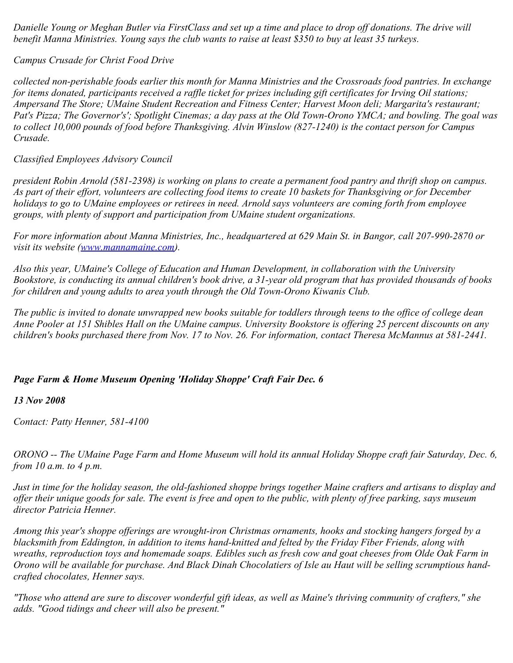*Danielle Young or Meghan Butler via FirstClass and set up a time and place to drop off donations. The drive will benefit Manna Ministries. Young says the club wants to raise at least \$350 to buy at least 35 turkeys.*

*Campus Crusade for Christ Food Drive*

*collected non-perishable foods earlier this month for Manna Ministries and the Crossroads food pantries. In exchange for items donated, participants received a raffle ticket for prizes including gift certificates for Irving Oil stations; Ampersand The Store; UMaine Student Recreation and Fitness Center; Harvest Moon deli; Margarita's restaurant; Pat's Pizza; The Governor's'; Spotlight Cinemas; a day pass at the Old Town-Orono YMCA; and bowling. The goal was to collect 10,000 pounds of food before Thanksgiving. Alvin Winslow (827-1240) is the contact person for Campus Crusade.*

*Classified Employees Advisory Council*

*president Robin Arnold (581-2398) is working on plans to create a permanent food pantry and thrift shop on campus. As part of their effort, volunteers are collecting food items to create 10 baskets for Thanksgiving or for December holidays to go to UMaine employees or retirees in need. Arnold says volunteers are coming forth from employee groups, with plenty of support and participation from UMaine student organizations.*

*For more information about Manna Ministries, Inc., headquartered at 629 Main St. in Bangor, call 207-990-2870 or visit its website [\(www.mannamaine.com](http://www.mannamaine.com/)).*

*Also this year, UMaine's College of Education and Human Development, in collaboration with the University Bookstore, is conducting its annual children's book drive, a 31-year old program that has provided thousands of books for children and young adults to area youth through the Old Town-Orono Kiwanis Club.*

*The public is invited to donate unwrapped new books suitable for toddlers through teens to the office of college dean Anne Pooler at 151 Shibles Hall on the UMaine campus. University Bookstore is offering 25 percent discounts on any children's books purchased there from Nov. 17 to Nov. 26. For information, contact Theresa McMannus at 581-2441.*

# *Page Farm & Home Museum Opening 'Holiday Shoppe' Craft Fair Dec. 6*

### *13 Nov 2008*

*Contact: Patty Henner, 581-4100*

*ORONO -- The UMaine Page Farm and Home Museum will hold its annual Holiday Shoppe craft fair Saturday, Dec. 6, from 10 a.m. to 4 p.m.*

*Just in time for the holiday season, the old-fashioned shoppe brings together Maine crafters and artisans to display and offer their unique goods for sale. The event is free and open to the public, with plenty of free parking, says museum director Patricia Henner.*

*Among this year's shoppe offerings are wrought-iron Christmas ornaments, hooks and stocking hangers forged by a blacksmith from Eddington, in addition to items hand-knitted and felted by the Friday Fiber Friends, along with wreaths, reproduction toys and homemade soaps. Edibles such as fresh cow and goat cheeses from Olde Oak Farm in Orono will be available for purchase. And Black Dinah Chocolatiers of Isle au Haut will be selling scrumptious handcrafted chocolates, Henner says.*

*"Those who attend are sure to discover wonderful gift ideas, as well as Maine's thriving community of crafters," she adds. "Good tidings and cheer will also be present."*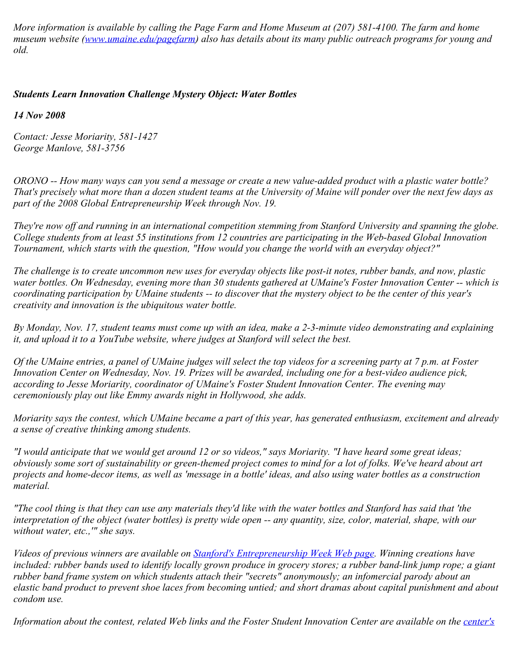*More information is available by calling the Page Farm and Home Museum at (207) 581-4100. The farm and home museum website [\(www.umaine.edu/pagefarm](http://www.umaine.edu/pagefarm)) also has details about its many public outreach programs for young and old.*

## *Students Learn Innovation Challenge Mystery Object: Water Bottles*

*14 Nov 2008*

*Contact: Jesse Moriarity, 581-1427 George Manlove, 581-3756*

*ORONO -- How many ways can you send a message or create a new value-added product with a plastic water bottle? That's precisely what more than a dozen student teams at the University of Maine will ponder over the next few days as part of the 2008 Global Entrepreneurship Week through Nov. 19.*

*They're now off and running in an international competition stemming from Stanford University and spanning the globe. College students from at least 55 institutions from 12 countries are participating in the Web-based Global Innovation Tournament, which starts with the question, "How would you change the world with an everyday object?"*

*The challenge is to create uncommon new uses for everyday objects like post-it notes, rubber bands, and now, plastic water bottles. On Wednesday, evening more than 30 students gathered at UMaine's Foster Innovation Center -- which is coordinating participation by UMaine students -- to discover that the mystery object to be the center of this year's creativity and innovation is the ubiquitous water bottle.*

*By Monday, Nov. 17, student teams must come up with an idea, make a 2-3-minute video demonstrating and explaining it, and upload it to a YouTube website, where judges at Stanford will select the best.*

*Of the UMaine entries, a panel of UMaine judges will select the top videos for a screening party at 7 p.m. at Foster Innovation Center on Wednesday, Nov. 19. Prizes will be awarded, including one for a best-video audience pick, according to Jesse Moriarity, coordinator of UMaine's Foster Student Innovation Center. The evening may ceremoniously play out like Emmy awards night in Hollywood, she adds.* 

*Moriarity says the contest, which UMaine became a part of this year, has generated enthusiasm, excitement and already a sense of creative thinking among students.*

*"I would anticipate that we would get around 12 or so videos," says Moriarity. "I have heard some great ideas; obviously some sort of sustainability or green-themed project comes to mind for a lot of folks. We've heard about art projects and home-decor items, as well as 'message in a bottle' ideas, and also using water bottles as a construction material.* 

*"The cool thing is that they can use any materials they'd like with the water bottles and Stanford has said that 'the interpretation of the object (water bottles) is pretty wide open -- any quantity, size, color, material, shape, with our without water, etc.,'" she says.*

*Videos of previous winners are available on [Stanford's Entrepreneurship Week Web page](http://eweek.stanford.edu/2008/winners.html). Winning creations have included: rubber bands used to identify locally grown produce in grocery stores; a rubber band-link jump rope; a giant rubber band frame system on which students attach their "secrets" anonymously; an infomercial parody about an elastic band product to prevent shoe laces from becoming untied; and short dramas about capital punishment and about condom use.*

*Information about the contest, related Web links and the Foster Student Innovation Center are available on the [center's](http://www.umaine.edu/innovation)*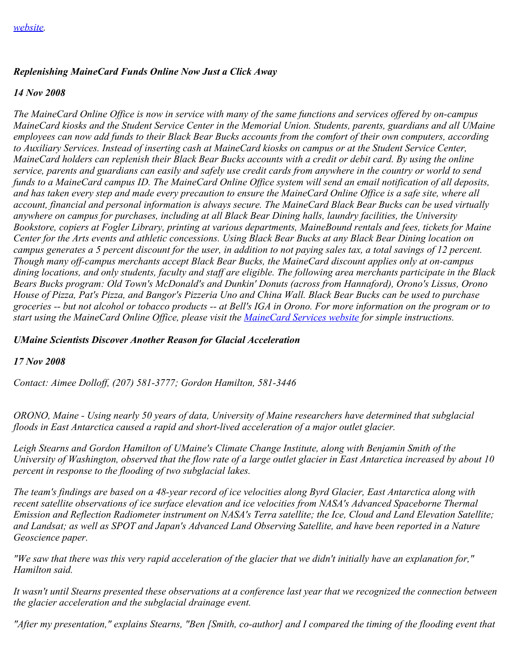### *Replenishing MaineCard Funds Online Now Just a Click Away*

#### *14 Nov 2008*

*The MaineCard Online Office is now in service with many of the same functions and services offered by on-campus MaineCard kiosks and the Student Service Center in the Memorial Union. Students, parents, guardians and all UMaine employees can now add funds to their Black Bear Bucks accounts from the comfort of their own computers, according to Auxiliary Services. Instead of inserting cash at MaineCard kiosks on campus or at the Student Service Center, MaineCard holders can replenish their Black Bear Bucks accounts with a credit or debit card. By using the online service, parents and guardians can easily and safely use credit cards from anywhere in the country or world to send funds to a MaineCard campus ID. The MaineCard Online Office system will send an email notification of all deposits, and has taken every step and made every precaution to ensure the MaineCard Online Office is a safe site, where all account, financial and personal information is always secure. The MaineCard Black Bear Bucks can be used virtually anywhere on campus for purchases, including at all Black Bear Dining halls, laundry facilities, the University Bookstore, copiers at Fogler Library, printing at various departments, MaineBound rentals and fees, tickets for Maine Center for the Arts events and athletic concessions. Using Black Bear Bucks at any Black Bear Dining location on campus generates a 5 percent discount for the user, in addition to not paying sales tax, a total savings of 12 percent. Though many off-campus merchants accept Black Bear Bucks, the MaineCard discount applies only at on-campus dining locations, and only students, faculty and staff are eligible. The following area merchants participate in the Black Bears Bucks program: Old Town's McDonald's and Dunkin' Donuts (across from Hannaford), Orono's Lissus, Orono House of Pizza, Pat's Pizza, and Bangor's Pizzeria Uno and China Wall. Black Bear Bucks can be used to purchase groceries -- but not alcohol or tobacco products -- at Bell's IGA in Orono. For more information on the program or to start using the MaineCard Online Office, please visit the [MaineCard Services website](https://umaine.edu/mainecard/online-card-office/) for simple instructions.* 

### *UMaine Scientists Discover Another Reason for Glacial Acceleration*

#### *17 Nov 2008*

*Contact: Aimee Dolloff, (207) 581-3777; Gordon Hamilton, 581-3446*

*ORONO, Maine - Using nearly 50 years of data, University of Maine researchers have determined that subglacial floods in East Antarctica caused a rapid and short-lived acceleration of a major outlet glacier.*

*Leigh Stearns and Gordon Hamilton of UMaine's Climate Change Institute, along with Benjamin Smith of the University of Washington, observed that the flow rate of a large outlet glacier in East Antarctica increased by about 10 percent in response to the flooding of two subglacial lakes.*

*The team's findings are based on a 48-year record of ice velocities along Byrd Glacier, East Antarctica along with recent satellite observations of ice surface elevation and ice velocities from NASA's Advanced Spaceborne Thermal Emission and Reflection Radiometer instrument on NASA's Terra satellite; the Ice, Cloud and Land Elevation Satellite; and Landsat; as well as SPOT and Japan's Advanced Land Observing Satellite, and have been reported in a Nature Geoscience paper.*

*"We saw that there was this very rapid acceleration of the glacier that we didn't initially have an explanation for," Hamilton said.*

*It wasn't until Stearns presented these observations at a conference last year that we recognized the connection between the glacier acceleration and the subglacial drainage event.*

*"After my presentation," explains Stearns, "Ben [Smith, co-author] and I compared the timing of the flooding event that*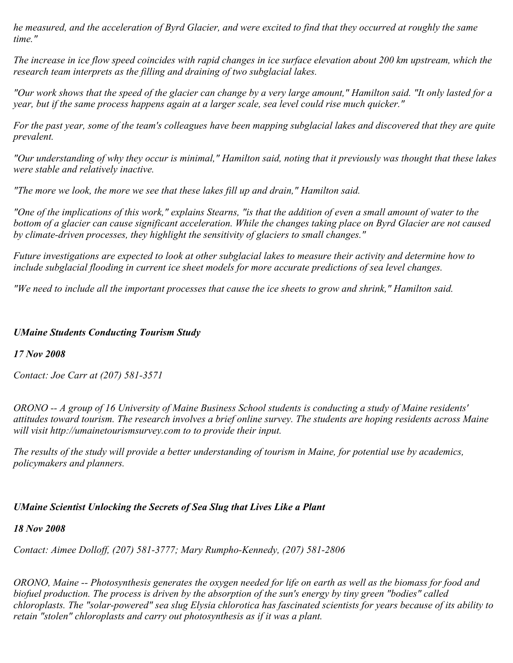*he measured, and the acceleration of Byrd Glacier, and were excited to find that they occurred at roughly the same time."*

*The increase in ice flow speed coincides with rapid changes in ice surface elevation about 200 km upstream, which the research team interprets as the filling and draining of two subglacial lakes.*

*"Our work shows that the speed of the glacier can change by a very large amount," Hamilton said. "It only lasted for a year, but if the same process happens again at a larger scale, sea level could rise much quicker."*

*For the past year, some of the team's colleagues have been mapping subglacial lakes and discovered that they are quite prevalent.*

*"Our understanding of why they occur is minimal," Hamilton said, noting that it previously was thought that these lakes were stable and relatively inactive.*

*"The more we look, the more we see that these lakes fill up and drain," Hamilton said.*

*"One of the implications of this work," explains Stearns, "is that the addition of even a small amount of water to the bottom of a glacier can cause significant acceleration. While the changes taking place on Byrd Glacier are not caused by climate-driven processes, they highlight the sensitivity of glaciers to small changes."*

*Future investigations are expected to look at other subglacial lakes to measure their activity and determine how to include subglacial flooding in current ice sheet models for more accurate predictions of sea level changes.*

*"We need to include all the important processes that cause the ice sheets to grow and shrink," Hamilton said.*

## *UMaine Students Conducting Tourism Study*

### *17 Nov 2008*

*Contact: Joe Carr at (207) 581-3571*

*ORONO -- A group of 16 University of Maine Business School students is conducting a study of Maine residents' attitudes toward tourism. The research involves a brief online survey. The students are hoping residents across Maine will visit http://umainetourismsurvey.com to to provide their input.*

*The results of the study will provide a better understanding of tourism in Maine, for potential use by academics, policymakers and planners.*

# *UMaine Scientist Unlocking the Secrets of Sea Slug that Lives Like a Plant*

### *18 Nov 2008*

*Contact: Aimee Dolloff, (207) 581-3777; Mary Rumpho-Kennedy, (207) 581-2806*

*ORONO, Maine -- Photosynthesis generates the oxygen needed for life on earth as well as the biomass for food and biofuel production. The process is driven by the absorption of the sun's energy by tiny green "bodies" called chloroplasts. The "solar-powered" sea slug Elysia chlorotica has fascinated scientists for years because of its ability to retain "stolen" chloroplasts and carry out photosynthesis as if it was a plant.*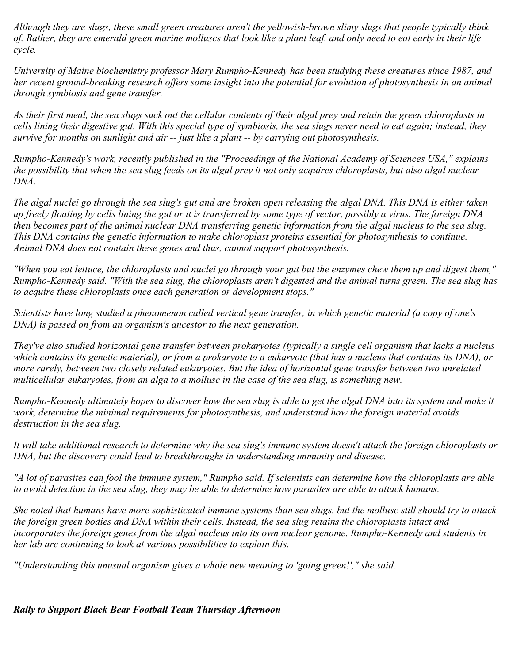*Although they are slugs, these small green creatures aren't the yellowish-brown slimy slugs that people typically think of. Rather, they are emerald green marine molluscs that look like a plant leaf, and only need to eat early in their life cycle.*

*University of Maine biochemistry professor Mary Rumpho-Kennedy has been studying these creatures since 1987, and her recent ground-breaking research offers some insight into the potential for evolution of photosynthesis in an animal through symbiosis and gene transfer.*

*As their first meal, the sea slugs suck out the cellular contents of their algal prey and retain the green chloroplasts in cells lining their digestive gut. With this special type of symbiosis, the sea slugs never need to eat again; instead, they survive for months on sunlight and air -- just like a plant -- by carrying out photosynthesis.*

*Rumpho-Kennedy's work, recently published in the "Proceedings of the National Academy of Sciences USA," explains the possibility that when the sea slug feeds on its algal prey it not only acquires chloroplasts, but also algal nuclear DNA.*

*The algal nuclei go through the sea slug's gut and are broken open releasing the algal DNA. This DNA is either taken up freely floating by cells lining the gut or it is transferred by some type of vector, possibly a virus. The foreign DNA then becomes part of the animal nuclear DNA transferring genetic information from the algal nucleus to the sea slug. This DNA contains the genetic information to make chloroplast proteins essential for photosynthesis to continue. Animal DNA does not contain these genes and thus, cannot support photosynthesis.*

*"When you eat lettuce, the chloroplasts and nuclei go through your gut but the enzymes chew them up and digest them," Rumpho-Kennedy said. "With the sea slug, the chloroplasts aren't digested and the animal turns green. The sea slug has to acquire these chloroplasts once each generation or development stops."*

*Scientists have long studied a phenomenon called vertical gene transfer, in which genetic material (a copy of one's DNA) is passed on from an organism's ancestor to the next generation.*

*They've also studied horizontal gene transfer between prokaryotes (typically a single cell organism that lacks a nucleus which contains its genetic material), or from a prokaryote to a eukaryote (that has a nucleus that contains its DNA), or more rarely, between two closely related eukaryotes. But the idea of horizontal gene transfer between two unrelated multicellular eukaryotes, from an alga to a mollusc in the case of the sea slug, is something new.*

*Rumpho-Kennedy ultimately hopes to discover how the sea slug is able to get the algal DNA into its system and make it work, determine the minimal requirements for photosynthesis, and understand how the foreign material avoids destruction in the sea slug.*

*It will take additional research to determine why the sea slug's immune system doesn't attack the foreign chloroplasts or DNA, but the discovery could lead to breakthroughs in understanding immunity and disease.*

*"A lot of parasites can fool the immune system," Rumpho said. If scientists can determine how the chloroplasts are able to avoid detection in the sea slug, they may be able to determine how parasites are able to attack humans.*

*She noted that humans have more sophisticated immune systems than sea slugs, but the mollusc still should try to attack the foreign green bodies and DNA within their cells. Instead, the sea slug retains the chloroplasts intact and incorporates the foreign genes from the algal nucleus into its own nuclear genome. Rumpho-Kennedy and students in her lab are continuing to look at various possibilities to explain this.*

*"Understanding this unusual organism gives a whole new meaning to 'going green!'," she said.*

#### *Rally to Support Black Bear Football Team Thursday Afternoon*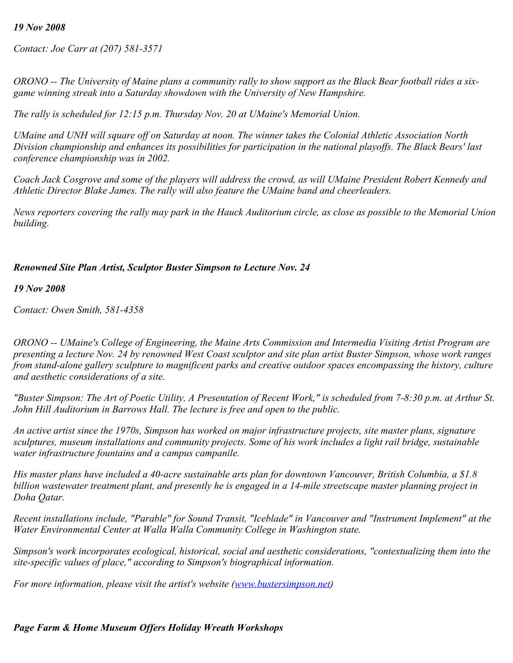#### *19 Nov 2008*

*Contact: Joe Carr at (207) 581-3571*

*ORONO -- The University of Maine plans a community rally to show support as the Black Bear football rides a sixgame winning streak into a Saturday showdown with the University of New Hampshire.*

*The rally is scheduled for 12:15 p.m. Thursday Nov. 20 at UMaine's Memorial Union.*

*UMaine and UNH will square off on Saturday at noon. The winner takes the Colonial Athletic Association North Division championship and enhances its possibilities for participation in the national playoffs. The Black Bears' last conference championship was in 2002.*

*Coach Jack Cosgrove and some of the players will address the crowd, as will UMaine President Robert Kennedy and Athletic Director Blake James. The rally will also feature the UMaine band and cheerleaders.*

*News reporters covering the rally may park in the Hauck Auditorium circle, as close as possible to the Memorial Union building.*

#### *Renowned Site Plan Artist, Sculptor Buster Simpson to Lecture Nov. 24*

*19 Nov 2008*

*Contact: Owen Smith, 581-4358*

*ORONO -- UMaine's College of Engineering, the Maine Arts Commission and Intermedia Visiting Artist Program are presenting a lecture Nov. 24 by renowned West Coast sculptor and site plan artist Buster Simpson, whose work ranges from stand-alone gallery sculpture to magnificent parks and creative outdoor spaces encompassing the history, culture and aesthetic considerations of a site.*

*"Buster Simpson: The Art of Poetic Utility, A Presentation of Recent Work," is scheduled from 7-8:30 p.m. at Arthur St. John Hill Auditorium in Barrows Hall. The lecture is free and open to the public.*

*An active artist since the 1970s, Simpson has worked on major infrastructure projects, site master plans, signature sculptures, museum installations and community projects. Some of his work includes a light rail bridge, sustainable water infrastructure fountains and a campus campanile.*

*His master plans have included a 40-acre sustainable arts plan for downtown Vancouver, British Columbia, a \$1.8 billion wastewater treatment plant, and presently he is engaged in a 14-mile streetscape master planning project in Doha Qatar.*

*Recent installations include, "Parable" for Sound Transit, "Iceblade" in Vancouver and "Instrument Implement" at the Water Environmental Center at Walla Walla Community College in Washington state.*

*Simpson's work incorporates ecological, historical, social and aesthetic considerations, "contextualizing them into the site-specific values of place," according to Simpson's biographical information.*

*For more information, please visit the artist's website [\(www.bustersimpson.net](http://www.bustersimpson.net/))* 

# *Page Farm & Home Museum Offers Holiday Wreath Workshops*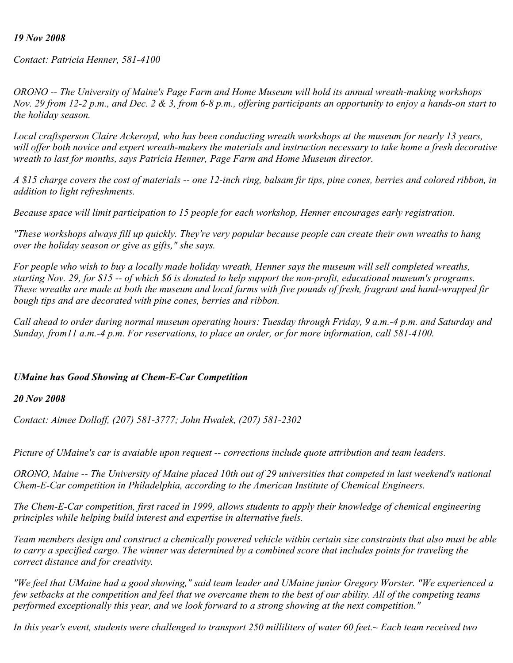#### *19 Nov 2008*

*Contact: Patricia Henner, 581-4100*

*ORONO -- The University of Maine's Page Farm and Home Museum will hold its annual wreath-making workshops Nov. 29 from 12-2 p.m., and Dec. 2 & 3, from 6-8 p.m., offering participants an opportunity to enjoy a hands-on start to the holiday season.*

*Local craftsperson Claire Ackeroyd, who has been conducting wreath workshops at the museum for nearly 13 years, will offer both novice and expert wreath-makers the materials and instruction necessary to take home a fresh decorative wreath to last for months, says Patricia Henner, Page Farm and Home Museum director.*

*A \$15 charge covers the cost of materials -- one 12-inch ring, balsam fir tips, pine cones, berries and colored ribbon, in addition to light refreshments.*

*Because space will limit participation to 15 people for each workshop, Henner encourages early registration.*

*"These workshops always fill up quickly. They're very popular because people can create their own wreaths to hang over the holiday season or give as gifts," she says.*

*For people who wish to buy a locally made holiday wreath, Henner says the museum will sell completed wreaths, starting Nov. 29, for \$15 -- of which \$6 is donated to help support the non-profit, educational museum's programs. These wreaths are made at both the museum and local farms with five pounds of fresh, fragrant and hand-wrapped fir bough tips and are decorated with pine cones, berries and ribbon.*

*Call ahead to order during normal museum operating hours: Tuesday through Friday, 9 a.m.-4 p.m. and Saturday and Sunday, from11 a.m.-4 p.m. For reservations, to place an order, or for more information, call 581-4100.*

#### *UMaine has Good Showing at Chem-E-Car Competition*

#### *20 Nov 2008*

*Contact: Aimee Dolloff, (207) 581-3777; John Hwalek, (207) 581-2302*

*Picture of UMaine's car is avaiable upon request -- corrections include quote attribution and team leaders.*

*ORONO, Maine -- The University of Maine placed 10th out of 29 universities that competed in last weekend's national Chem-E-Car competition in Philadelphia, according to the American Institute of Chemical Engineers.*

*The Chem-E-Car competition, first raced in 1999, allows students to apply their knowledge of chemical engineering principles while helping build interest and expertise in alternative fuels.*

*Team members design and construct a chemically powered vehicle within certain size constraints that also must be able to carry a specified cargo. The winner was determined by a combined score that includes points for traveling the correct distance and for creativity.*

*"We feel that UMaine had a good showing," said team leader and UMaine junior Gregory Worster. "We experienced a few setbacks at the competition and feel that we overcame them to the best of our ability. All of the competing teams performed exceptionally this year, and we look forward to a strong showing at the next competition."*

*In this year's event, students were challenged to transport 250 milliliters of water 60 feet.~ Each team received two*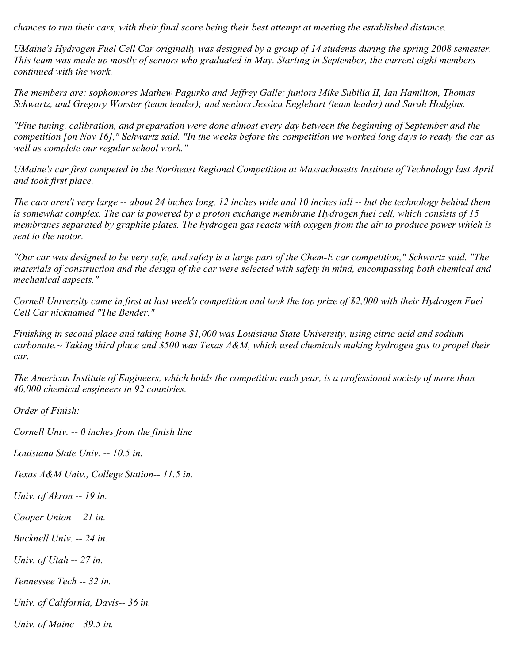*chances to run their cars, with their final score being their best attempt at meeting the established distance.*

*UMaine's Hydrogen Fuel Cell Car originally was designed by a group of 14 students during the spring 2008 semester. This team was made up mostly of seniors who graduated in May. Starting in September, the current eight members continued with the work.*

*The members are: sophomores Mathew Pagurko and Jeffrey Galle; juniors Mike Subilia II, Ian Hamilton, Thomas Schwartz, and Gregory Worster (team leader); and seniors Jessica Englehart (team leader) and Sarah Hodgins.*

*"Fine tuning, calibration, and preparation were done almost every day between the beginning of September and the competition [on Nov 16]," Schwartz said. "In the weeks before the competition we worked long days to ready the car as well as complete our regular school work."*

*UMaine's car first competed in the Northeast Regional Competition at Massachusetts Institute of Technology last April and took first place.*

*The cars aren't very large -- about 24 inches long, 12 inches wide and 10 inches tall -- but the technology behind them is somewhat complex. The car is powered by a proton exchange membrane Hydrogen fuel cell, which consists of 15 membranes separated by graphite plates. The hydrogen gas reacts with oxygen from the air to produce power which is sent to the motor.*

*"Our car was designed to be very safe, and safety is a large part of the Chem-E car competition," Schwartz said. "The materials of construction and the design of the car were selected with safety in mind, encompassing both chemical and mechanical aspects."*

*Cornell University came in first at last week's competition and took the top prize of \$2,000 with their Hydrogen Fuel Cell Car nicknamed "The Bender."*

*Finishing in second place and taking home \$1,000 was Louisiana State University, using citric acid and sodium carbonate.~ Taking third place and \$500 was Texas A&M, which used chemicals making hydrogen gas to propel their car.*

*The American Institute of Engineers, which holds the competition each year, is a professional society of more than 40,000 chemical engineers in 92 countries.*

*Order of Finish:*

*Cornell Univ. -- 0 inches from the finish line*

*Louisiana State Univ. -- 10.5 in.*

*Texas A&M Univ., College Station-- 11.5 in.*

*Univ. of Akron -- 19 in.*

*Cooper Union -- 21 in.*

*Bucknell Univ. -- 24 in.*

*Univ. of Utah -- 27 in.*

*Tennessee Tech -- 32 in.*

*Univ. of California, Davis-- 36 in.*

*Univ. of Maine --39.5 in.*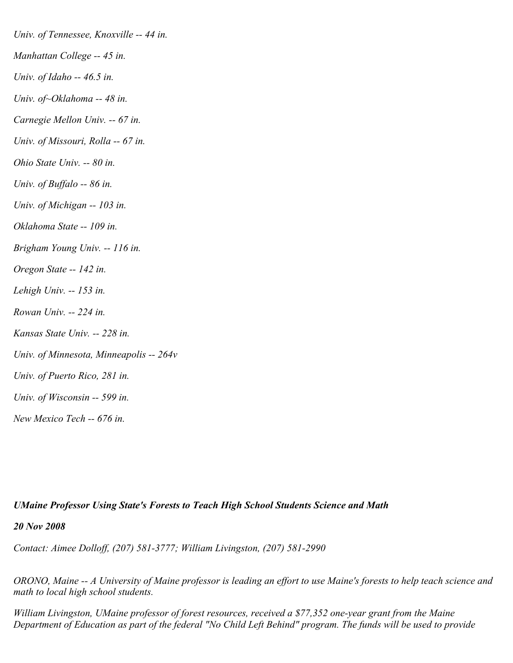*Univ. of Tennessee, Knoxville -- 44 in. Manhattan College -- 45 in. Univ. of Idaho -- 46.5 in. Univ. of~Oklahoma -- 48 in. Carnegie Mellon Univ. -- 67 in. Univ. of Missouri, Rolla -- 67 in. Ohio State Univ. -- 80 in. Univ. of Buffalo -- 86 in. Univ. of Michigan -- 103 in. Oklahoma State -- 109 in. Brigham Young Univ. -- 116 in. Oregon State -- 142 in. Lehigh Univ. -- 153 in. Rowan Univ. -- 224 in. Kansas State Univ. -- 228 in. Univ. of Minnesota, Minneapolis -- 264v Univ. of Puerto Rico, 281 in. Univ. of Wisconsin -- 599 in. New Mexico Tech -- 676 in.*

#### *UMaine Professor Using State's Forests to Teach High School Students Science and Math*

*20 Nov 2008*

*Contact: Aimee Dolloff, (207) 581-3777; William Livingston, (207) 581-2990*

*ORONO, Maine -- A University of Maine professor is leading an effort to use Maine's forests to help teach science and math to local high school students.*

*William Livingston, UMaine professor of forest resources, received a \$77,352 one-year grant from the Maine Department of Education as part of the federal "No Child Left Behind" program. The funds will be used to provide*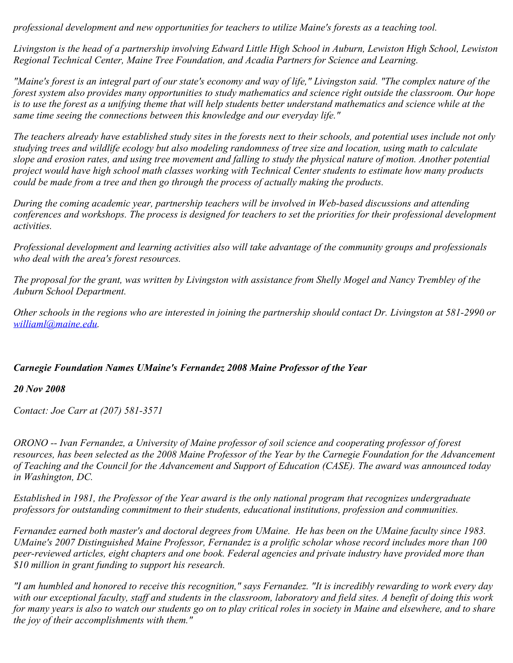*professional development and new opportunities for teachers to utilize Maine's forests as a teaching tool.*

*Livingston is the head of a partnership involving Edward Little High School in Auburn, Lewiston High School, Lewiston Regional Technical Center, Maine Tree Foundation, and Acadia Partners for Science and Learning.*

*"Maine's forest is an integral part of our state's economy and way of life," Livingston said. "The complex nature of the forest system also provides many opportunities to study mathematics and science right outside the classroom. Our hope is to use the forest as a unifying theme that will help students better understand mathematics and science while at the same time seeing the connections between this knowledge and our everyday life."*

*The teachers already have established study sites in the forests next to their schools, and potential uses include not only studying trees and wildlife ecology but also modeling randomness of tree size and location, using math to calculate slope and erosion rates, and using tree movement and falling to study the physical nature of motion. Another potential project would have high school math classes working with Technical Center students to estimate how many products could be made from a tree and then go through the process of actually making the products.*

*During the coming academic year, partnership teachers will be involved in Web-based discussions and attending conferences and workshops. The process is designed for teachers to set the priorities for their professional development activities.*

*Professional development and learning activities also will take advantage of the community groups and professionals who deal with the area's forest resources.*

*The proposal for the grant, was written by Livingston with assistance from Shelly Mogel and Nancy Trembley of the Auburn School Department.*

*Other schools in the regions who are interested in joining the partnership should contact Dr. Livingston at 581-2990 or [williaml@maine.edu](mailto:williaml@maine.edu).*

## *Carnegie Foundation Names UMaine's Fernandez 2008 Maine Professor of the Year*

#### *20 Nov 2008*

*Contact: Joe Carr at (207) 581-3571*

*ORONO -- Ivan Fernandez, a University of Maine professor of soil science and cooperating professor of forest resources, has been selected as the 2008 Maine Professor of the Year by the Carnegie Foundation for the Advancement of Teaching and the Council for the Advancement and Support of Education (CASE). The award was announced today in Washington, DC.*

*Established in 1981, the Professor of the Year award is the only national program that recognizes undergraduate professors for outstanding commitment to their students, educational institutions, profession and communities.*

*Fernandez earned both master's and doctoral degrees from UMaine. He has been on the UMaine faculty since 1983. UMaine's 2007 Distinguished Maine Professor, Fernandez is a prolific scholar whose record includes more than 100 peer-reviewed articles, eight chapters and one book. Federal agencies and private industry have provided more than \$10 million in grant funding to support his research.*

*"I am humbled and honored to receive this recognition," says Fernandez. "It is incredibly rewarding to work every day with our exceptional faculty, staff and students in the classroom, laboratory and field sites. A benefit of doing this work for many years is also to watch our students go on to play critical roles in society in Maine and elsewhere, and to share the joy of their accomplishments with them."*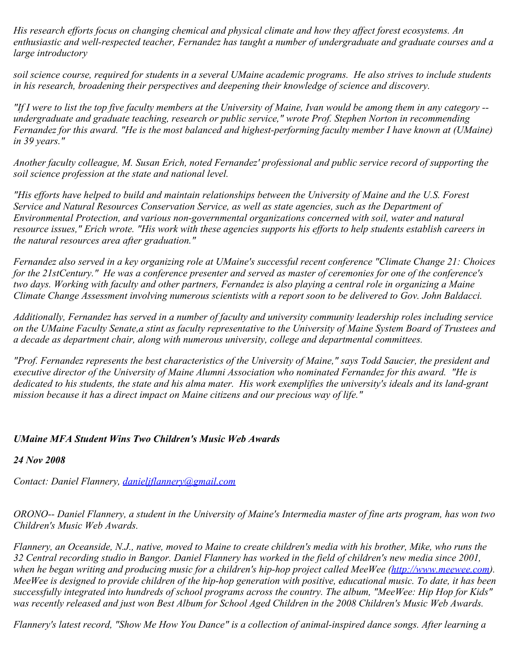*His research efforts focus on changing chemical and physical climate and how they affect forest ecosystems. An enthusiastic and well-respected teacher, Fernandez has taught a number of undergraduate and graduate courses and a large introductory*

*soil science course, required for students in a several UMaine academic programs. He also strives to include students in his research, broadening their perspectives and deepening their knowledge of science and discovery.*

*"If I were to list the top five faculty members at the University of Maine, Ivan would be among them in any category - undergraduate and graduate teaching, research or public service," wrote Prof. Stephen Norton in recommending Fernandez for this award. "He is the most balanced and highest-performing faculty member I have known at (UMaine) in 39 years."*

*Another faculty colleague, M. Susan Erich, noted Fernandez' professional and public service record of supporting the soil science profession at the state and national level.*

*"His efforts have helped to build and maintain relationships between the University of Maine and the U.S. Forest Service and Natural Resources Conservation Service, as well as state agencies, such as the Department of Environmental Protection, and various non-governmental organizations concerned with soil, water and natural resource issues," Erich wrote. "His work with these agencies supports his efforts to help students establish careers in the natural resources area after graduation."*

*Fernandez also served in a key organizing role at UMaine's successful recent conference "Climate Change 21: Choices for the 21stCentury." He was a conference presenter and served as master of ceremonies for one of the conference's two days. Working with faculty and other partners, Fernandez is also playing a central role in organizing a Maine Climate Change Assessment involving numerous scientists with a report soon to be delivered to Gov. John Baldacci.*

*Additionally, Fernandez has served in a number of faculty and university community leadership roles including service on the UMaine Faculty Senate,a stint as faculty representative to the University of Maine System Board of Trustees and a decade as department chair, along with numerous university, college and departmental committees.*

*"Prof. Fernandez represents the best characteristics of the University of Maine," says Todd Saucier, the president and executive director of the University of Maine Alumni Association who nominated Fernandez for this award. "He is dedicated to his students, the state and his alma mater. His work exemplifies the university's ideals and its land-grant mission because it has a direct impact on Maine citizens and our precious way of life."*

## *UMaine MFA Student Wins Two Children's Music Web Awards*

*24 Nov 2008*

*Contact: Daniel Flannery, [danieljflannery@gmail.com](mailto:danieljflannery@gmail.com)*

*ORONO-- Daniel Flannery, a student in the University of Maine's Intermedia master of fine arts program, has won two Children's Music Web Awards.*

*Flannery, an Oceanside, N.J., native, moved to Maine to create children's media with his brother, Mike, who runs the 32 Central recording studio in Bangor. Daniel Flannery has worked in the field of children's new media since 2001,* when he began writing and producing music for a children's hip-hop project called MeeWee [\(http://www.meewee.com](http://www.meewee.com/)). *MeeWee is designed to provide children of the hip-hop generation with positive, educational music. To date, it has been successfully integrated into hundreds of school programs across the country. The album, "MeeWee: Hip Hop for Kids" was recently released and just won Best Album for School Aged Children in the 2008 Children's Music Web Awards.*

*Flannery's latest record, "Show Me How You Dance" is a collection of animal-inspired dance songs. After learning a*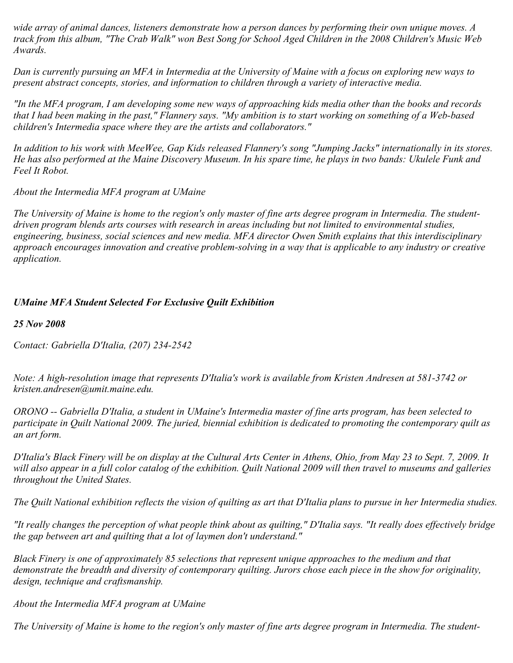*wide array of animal dances, listeners demonstrate how a person dances by performing their own unique moves. A track from this album, "The Crab Walk" won Best Song for School Aged Children in the 2008 Children's Music Web Awards.*

*Dan is currently pursuing an MFA in Intermedia at the University of Maine with a focus on exploring new ways to present abstract concepts, stories, and information to children through a variety of interactive media.*

*"In the MFA program, I am developing some new ways of approaching kids media other than the books and records that I had been making in the past," Flannery says. "My ambition is to start working on something of a Web-based children's Intermedia space where they are the artists and collaborators."*

*In addition to his work with MeeWee, Gap Kids released Flannery's song "Jumping Jacks" internationally in its stores. He has also performed at the Maine Discovery Museum. In his spare time, he plays in two bands: Ukulele Funk and Feel It Robot.*

*About the Intermedia MFA program at UMaine*

*The University of Maine is home to the region's only master of fine arts degree program in Intermedia. The studentdriven program blends arts courses with research in areas including but not limited to environmental studies, engineering, business, social sciences and new media. MFA director Owen Smith explains that this interdisciplinary approach encourages innovation and creative problem-solving in a way that is applicable to any industry or creative application.*

# *UMaine MFA Student Selected For Exclusive Quilt Exhibition*

*25 Nov 2008*

*Contact: Gabriella D'Italia, (207) 234-2542*

*Note: A high-resolution image that represents D'Italia's work is available from Kristen Andresen at 581-3742 or kristen.andresen@umit.maine.edu.*

*ORONO -- Gabriella D'Italia, a student in UMaine's Intermedia master of fine arts program, has been selected to participate in Quilt National 2009. The juried, biennial exhibition is dedicated to promoting the contemporary quilt as an art form.*

*D'Italia's Black Finery will be on display at the Cultural Arts Center in Athens, Ohio, from May 23 to Sept. 7, 2009. It will also appear in a full color catalog of the exhibition. Quilt National 2009 will then travel to museums and galleries throughout the United States.*

*The Quilt National exhibition reflects the vision of quilting as art that D'Italia plans to pursue in her Intermedia studies.*

*"It really changes the perception of what people think about as quilting," D'Italia says. "It really does effectively bridge the gap between art and quilting that a lot of laymen don't understand."*

*Black Finery is one of approximately 85 selections that represent unique approaches to the medium and that demonstrate the breadth and diversity of contemporary quilting. Jurors chose each piece in the show for originality, design, technique and craftsmanship.*

*About the Intermedia MFA program at UMaine*

*The University of Maine is home to the region's only master of fine arts degree program in Intermedia. The student-*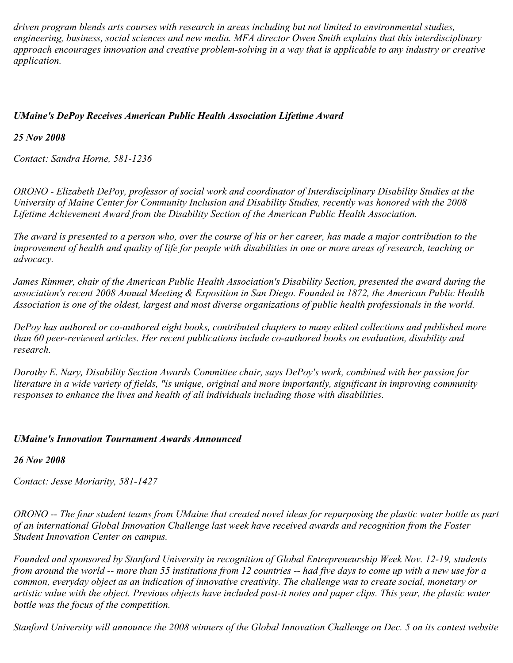*driven program blends arts courses with research in areas including but not limited to environmental studies, engineering, business, social sciences and new media. MFA director Owen Smith explains that this interdisciplinary approach encourages innovation and creative problem-solving in a way that is applicable to any industry or creative application.*

## *UMaine's DePoy Receives American Public Health Association Lifetime Award*

### *25 Nov 2008*

*Contact: Sandra Horne, 581-1236*

*ORONO - Elizabeth DePoy, professor of social work and coordinator of Interdisciplinary Disability Studies at the University of Maine Center for Community Inclusion and Disability Studies, recently was honored with the 2008 Lifetime Achievement Award from the Disability Section of the American Public Health Association.*

*The award is presented to a person who, over the course of his or her career, has made a major contribution to the improvement of health and quality of life for people with disabilities in one or more areas of research, teaching or advocacy.*

*James Rimmer, chair of the American Public Health Association's Disability Section, presented the award during the association's recent 2008 Annual Meeting & Exposition in San Diego. Founded in 1872, the American Public Health Association is one of the oldest, largest and most diverse organizations of public health professionals in the world.*

*DePoy has authored or co-authored eight books, contributed chapters to many edited collections and published more than 60 peer-reviewed articles. Her recent publications include co-authored books on evaluation, disability and research.*

*Dorothy E. Nary, Disability Section Awards Committee chair, says DePoy's work, combined with her passion for literature in a wide variety of fields, "is unique, original and more importantly, significant in improving community responses to enhance the lives and health of all individuals including those with disabilities.*

#### *UMaine's Innovation Tournament Awards Announced*

## *26 Nov 2008*

*Contact: Jesse Moriarity, 581-1427*

*ORONO -- The four student teams from UMaine that created novel ideas for repurposing the plastic water bottle as part of an international Global Innovation Challenge last week have received awards and recognition from the Foster Student Innovation Center on campus.*

*Founded and sponsored by Stanford University in recognition of Global Entrepreneurship Week Nov. 12-19, students from around the world -- more than 55 institutions from 12 countries -- had five days to come up with a new use for a common, everyday object as an indication of innovative creativity. The challenge was to create social, monetary or artistic value with the object. Previous objects have included post-it notes and paper clips. This year, the plastic water bottle was the focus of the competition.*

*Stanford University will announce the 2008 winners of the Global Innovation Challenge on Dec. 5 on its contest website*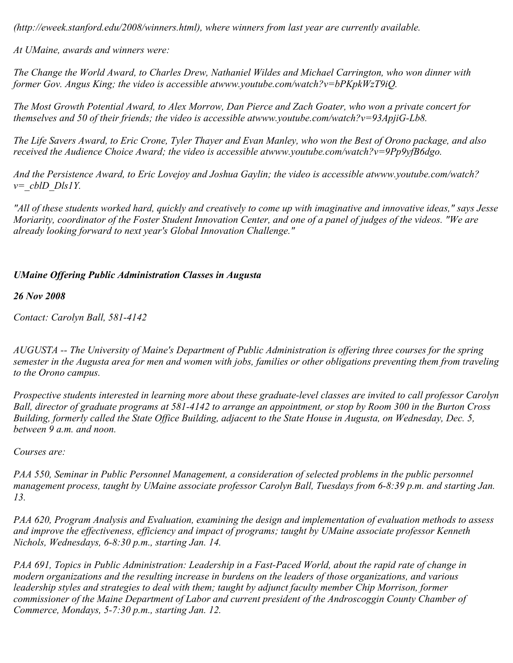*(http://eweek.stanford.edu/2008/winners.html), where winners from last year are currently available.*

*At UMaine, awards and winners were:*

*The Change the World Award, to Charles Drew, Nathaniel Wildes and Michael Carrington, who won dinner with former Gov. Angus King; the video is accessible atwww.youtube.com/watch?v=bPKpkWzT9iQ.*

*The Most Growth Potential Award, to Alex Morrow, Dan Pierce and Zach Goater, who won a private concert for themselves and 50 of their friends; the video is accessible atwww.youtube.com/watch?v=93ApjiG-Lb8.*

*The Life Savers Award, to Eric Crone, Tyler Thayer and Evan Manley, who won the Best of Orono package, and also received the Audience Choice Award; the video is accessible atwww.youtube.com/watch?v=9Pp9yfB6dgo.*

*And the Persistence Award, to Eric Lovejoy and Joshua Gaylin; the video is accessible atwww.youtube.com/watch? v=\_cblD\_Dls1Y.*

*"All of these students worked hard, quickly and creatively to come up with imaginative and innovative ideas," says Jesse Moriarity, coordinator of the Foster Student Innovation Center, and one of a panel of judges of the videos. "We are already looking forward to next year's Global Innovation Challenge."*

## *UMaine Offering Public Administration Classes in Augusta*

*26 Nov 2008*

*Contact: Carolyn Ball, 581-4142*

*AUGUSTA -- The University of Maine's Department of Public Administration is offering three courses for the spring semester in the Augusta area for men and women with jobs, families or other obligations preventing them from traveling to the Orono campus.*

*Prospective students interested in learning more about these graduate-level classes are invited to call professor Carolyn Ball, director of graduate programs at 581-4142 to arrange an appointment, or stop by Room 300 in the Burton Cross Building, formerly called the State Office Building, adjacent to the State House in Augusta, on Wednesday, Dec. 5, between 9 a.m. and noon.*

*Courses are:*

*PAA 550, Seminar in Public Personnel Management, a consideration of selected problems in the public personnel management process, taught by UMaine associate professor Carolyn Ball, Tuesdays from 6-8:39 p.m. and starting Jan. 13.*

*PAA 620, Program Analysis and Evaluation, examining the design and implementation of evaluation methods to assess and improve the effectiveness, efficiency and impact of programs; taught by UMaine associate professor Kenneth Nichols, Wednesdays, 6-8:30 p.m., starting Jan. 14.*

*PAA 691, Topics in Public Administration: Leadership in a Fast-Paced World, about the rapid rate of change in modern organizations and the resulting increase in burdens on the leaders of those organizations, and various leadership styles and strategies to deal with them; taught by adjunct faculty member Chip Morrison, former commissioner of the Maine Department of Labor and current president of the Androscoggin County Chamber of Commerce, Mondays, 5-7:30 p.m., starting Jan. 12.*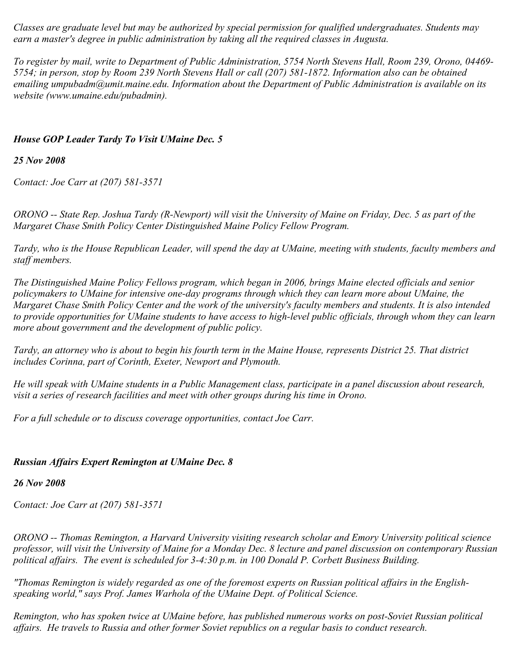*Classes are graduate level but may be authorized by special permission for qualified undergraduates. Students may earn a master's degree in public administration by taking all the required classes in Augusta.*

*To register by mail, write to Department of Public Administration, 5754 North Stevens Hall, Room 239, Orono, 04469- 5754; in person, stop by Room 239 North Stevens Hall or call (207) 581-1872. Information also can be obtained emailing umpubadm@umit.maine.edu. Information about the Department of Public Administration is available on its website (www.umaine.edu/pubadmin).*

## *House GOP Leader Tardy To Visit UMaine Dec. 5*

## *25 Nov 2008*

*Contact: Joe Carr at (207) 581-3571*

*ORONO -- State Rep. Joshua Tardy (R-Newport) will visit the University of Maine on Friday, Dec. 5 as part of the Margaret Chase Smith Policy Center Distinguished Maine Policy Fellow Program.*

*Tardy, who is the House Republican Leader, will spend the day at UMaine, meeting with students, faculty members and staff members.*

*The Distinguished Maine Policy Fellows program, which began in 2006, brings Maine elected officials and senior policymakers to UMaine for intensive one-day programs through which they can learn more about UMaine, the Margaret Chase Smith Policy Center and the work of the university's faculty members and students. It is also intended to provide opportunities for UMaine students to have access to high-level public officials, through whom they can learn more about government and the development of public policy.*

*Tardy, an attorney who is about to begin his fourth term in the Maine House, represents District 25. That district includes Corinna, part of Corinth, Exeter, Newport and Plymouth.*

*He will speak with UMaine students in a Public Management class, participate in a panel discussion about research, visit a series of research facilities and meet with other groups during his time in Orono.*

*For a full schedule or to discuss coverage opportunities, contact Joe Carr.*

## *Russian Affairs Expert Remington at UMaine Dec. 8*

## *26 Nov 2008*

*Contact: Joe Carr at (207) 581-3571*

*ORONO -- Thomas Remington, a Harvard University visiting research scholar and Emory University political science professor, will visit the University of Maine for a Monday Dec. 8 lecture and panel discussion on contemporary Russian political affairs. The event is scheduled for 3-4:30 p.m. in 100 Donald P. Corbett Business Building.*

*"Thomas Remington is widely regarded as one of the foremost experts on Russian political affairs in the Englishspeaking world," says Prof. James Warhola of the UMaine Dept. of Political Science.*

*Remington, who has spoken twice at UMaine before, has published numerous works on post-Soviet Russian political affairs. He travels to Russia and other former Soviet republics on a regular basis to conduct research.*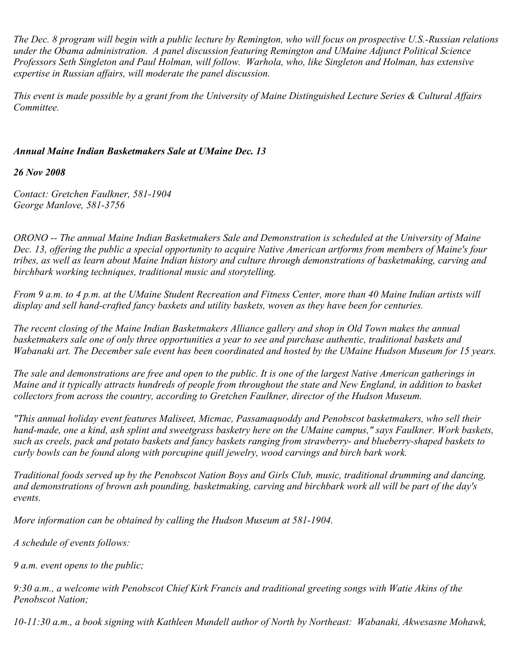*The Dec. 8 program will begin with a public lecture by Remington, who will focus on prospective U.S.-Russian relations under the Obama administration. A panel discussion featuring Remington and UMaine Adjunct Political Science Professors Seth Singleton and Paul Holman, will follow. Warhola, who, like Singleton and Holman, has extensive expertise in Russian affairs, will moderate the panel discussion.*

*This event is made possible by a grant from the University of Maine Distinguished Lecture Series & Cultural Affairs Committee.*

## *Annual Maine Indian Basketmakers Sale at UMaine Dec. 13*

*26 Nov 2008*

*Contact: Gretchen Faulkner, 581-1904 George Manlove, 581-3756*

*ORONO -- The annual Maine Indian Basketmakers Sale and Demonstration is scheduled at the University of Maine Dec. 13, offering the public a special opportunity to acquire Native American artforms from members of Maine's four tribes, as well as learn about Maine Indian history and culture through demonstrations of basketmaking, carving and birchbark working techniques, traditional music and storytelling.*

*From 9 a.m. to 4 p.m. at the UMaine Student Recreation and Fitness Center, more than 40 Maine Indian artists will display and sell hand-crafted fancy baskets and utility baskets, woven as they have been for centuries.*

*The recent closing of the Maine Indian Basketmakers Alliance gallery and shop in Old Town makes the annual basketmakers sale one of only three opportunities a year to see and purchase authentic, traditional baskets and Wabanaki art. The December sale event has been coordinated and hosted by the UMaine Hudson Museum for 15 years.*

*The sale and demonstrations are free and open to the public. It is one of the largest Native American gatherings in Maine and it typically attracts hundreds of people from throughout the state and New England, in addition to basket collectors from across the country, according to Gretchen Faulkner, director of the Hudson Museum.*

*"This annual holiday event features Maliseet, Micmac, Passamaquoddy and Penobscot basketmakers, who sell their hand-made, one a kind, ash splint and sweetgrass basketry here on the UMaine campus," says Faulkner. Work baskets, such as creels, pack and potato baskets and fancy baskets ranging from strawberry- and blueberry-shaped baskets to curly bowls can be found along with porcupine quill jewelry, wood carvings and birch bark work.*

*Traditional foods served up by the Penobscot Nation Boys and Girls Club, music, traditional drumming and dancing, and demonstrations of brown ash pounding, basketmaking, carving and birchbark work all will be part of the day's events.*

*More information can be obtained by calling the Hudson Museum at 581-1904.*

*A schedule of events follows:*

*9 a.m. event opens to the public;*

*9:30 a.m., a welcome with Penobscot Chief Kirk Francis and traditional greeting songs with Watie Akins of the Penobscot Nation;*

*10-11:30 a.m., a book signing with Kathleen Mundell author of North by Northeast: Wabanaki, Akwesasne Mohawk,*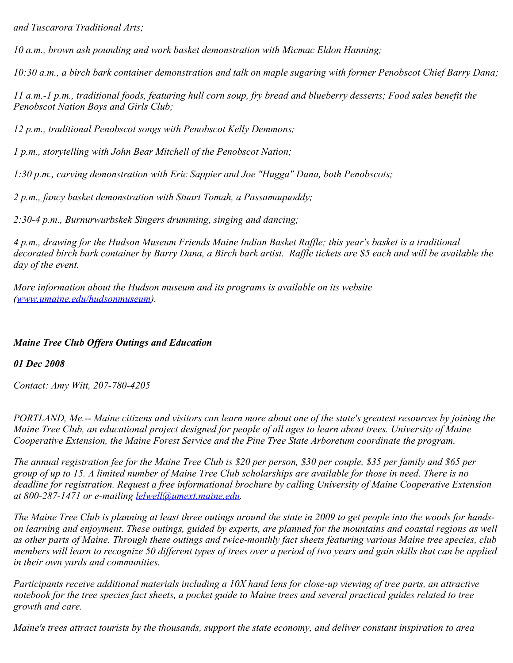*and Tuscarora Traditional Arts;*

*10 a.m., brown ash pounding and work basket demonstration with Micmac Eldon Hanning;*

*10:30 a.m., a birch bark container demonstration and talk on maple sugaring with former Penobscot Chief Barry Dana;*

*11 a.m.-1 p.m., traditional foods, featuring hull corn soup, fry bread and blueberry desserts; Food sales benefit the Penobscot Nation Boys and Girls Club;*

*12 p.m., traditional Penobscot songs with Penobscot Kelly Demmons;*

*1 p.m., storytelling with John Bear Mitchell of the Penobscot Nation;*

*1:30 p.m., carving demonstration with Eric Sappier and Joe "Hugga" Dana, both Penobscots;*

*2 p.m., fancy basket demonstration with Stuart Tomah, a Passamaquoddy;*

*2:30-4 p.m., Burnurwurbskek Singers drumming, singing and dancing;*

*4 p.m., drawing for the Hudson Museum Friends Maine Indian Basket Raffle; this year's basket is a traditional decorated birch bark container by Barry Dana, a Birch bark artist. Raffle tickets are \$5 each and will be available the day of the event.*

*More information about the Hudson museum and its programs is available on its website ([www.umaine.edu/hudsonmuseum\)](http://www.umaine.edu/hudsonmuseum).* 

## *Maine Tree Club Offers Outings and Education*

*01 Dec 2008*

*Contact: Amy Witt, 207-780-4205*

*PORTLAND, Me.-- Maine citizens and visitors can learn more about one of the state's greatest resources by joining the Maine Tree Club, an educational project designed for people of all ages to learn about trees. University of Maine Cooperative Extension, the Maine Forest Service and the Pine Tree State Arboretum coordinate the program.*

*The annual registration fee for the Maine Tree Club is \$20 per person, \$30 per couple, \$35 per family and \$65 per group of up to 15. A limited number of Maine Tree Club scholarships are available for those in need. There is no deadline for registration. Request a free informational brochure by calling University of Maine Cooperative Extension at 800-287-1471 or e-mailing [lelwell@umext.maine.edu](mailto:lelwell@umext.maine.edu).*

*The Maine Tree Club is planning at least three outings around the state in 2009 to get people into the woods for handson learning and enjoyment. These outings, guided by experts, are planned for the mountains and coastal regions as well as other parts of Maine. Through these outings and twice-monthly fact sheets featuring various Maine tree species, club members will learn to recognize 50 different types of trees over a period of two years and gain skills that can be applied in their own yards and communities.*

*Participants receive additional materials including a 10X hand lens for close-up viewing of tree parts, an attractive notebook for the tree species fact sheets, a pocket guide to Maine trees and several practical guides related to tree growth and care.* 

*Maine's trees attract tourists by the thousands, support the state economy, and deliver constant inspiration to area*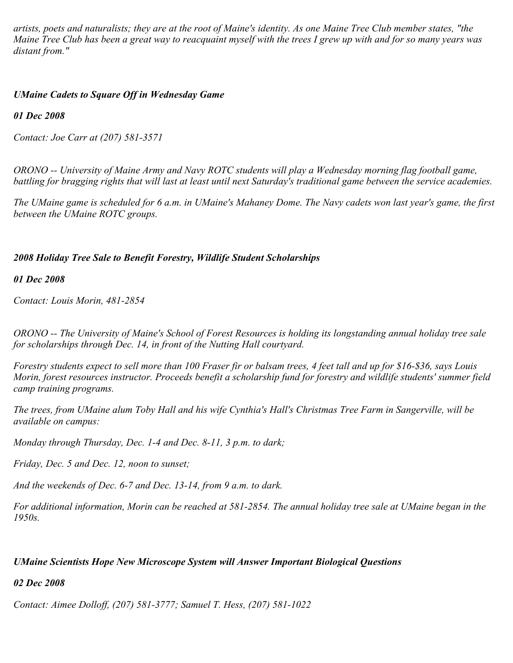*artists, poets and naturalists; they are at the root of Maine's identity. As one Maine Tree Club member states, "the Maine Tree Club has been a great way to reacquaint myself with the trees I grew up with and for so many years was distant from."*

## *UMaine Cadets to Square Off in Wednesday Game*

*01 Dec 2008*

*Contact: Joe Carr at (207) 581-3571*

*ORONO -- University of Maine Army and Navy ROTC students will play a Wednesday morning flag football game, battling for bragging rights that will last at least until next Saturday's traditional game between the service academies.*

*The UMaine game is scheduled for 6 a.m. in UMaine's Mahaney Dome. The Navy cadets won last year's game, the first between the UMaine ROTC groups.*

## *2008 Holiday Tree Sale to Benefit Forestry, Wildlife Student Scholarships*

*01 Dec 2008*

*Contact: Louis Morin, 481-2854*

*ORONO -- The University of Maine's School of Forest Resources is holding its longstanding annual holiday tree sale for scholarships through Dec. 14, in front of the Nutting Hall courtyard.*

*Forestry students expect to sell more than 100 Fraser fir or balsam trees, 4 feet tall and up for \$16-\$36, says Louis Morin, forest resources instructor. Proceeds benefit a scholarship fund for forestry and wildlife students' summer field camp training programs.*

*The trees, from UMaine alum Toby Hall and his wife Cynthia's Hall's Christmas Tree Farm in Sangerville, will be available on campus:*

*Monday through Thursday, Dec. 1-4 and Dec. 8-11, 3 p.m. to dark;*

*Friday, Dec. 5 and Dec. 12, noon to sunset;*

*And the weekends of Dec. 6-7 and Dec. 13-14, from 9 a.m. to dark.*

*For additional information, Morin can be reached at 581-2854. The annual holiday tree sale at UMaine began in the 1950s.*

## *UMaine Scientists Hope New Microscope System will Answer Important Biological Questions*

*02 Dec 2008*

*Contact: Aimee Dolloff, (207) 581-3777; Samuel T. Hess, (207) 581-1022*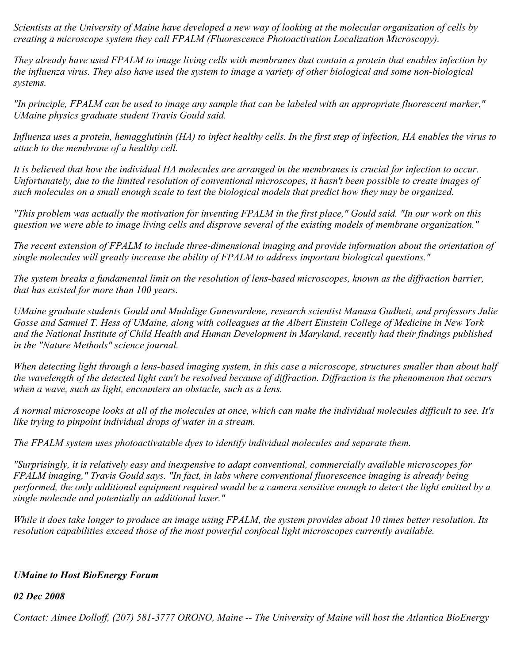*Scientists at the University of Maine have developed a new way of looking at the molecular organization of cells by creating a microscope system they call FPALM (Fluorescence Photoactivation Localization Microscopy).*

*They already have used FPALM to image living cells with membranes that contain a protein that enables infection by the influenza virus. They also have used the system to image a variety of other biological and some non-biological systems.*

*"In principle, FPALM can be used to image any sample that can be labeled with an appropriate fluorescent marker," UMaine physics graduate student Travis Gould said.*

*Influenza uses a protein, hemagglutinin (HA) to infect healthy cells. In the first step of infection, HA enables the virus to attach to the membrane of a healthy cell.*

*It is believed that how the individual HA molecules are arranged in the membranes is crucial for infection to occur. Unfortunately, due to the limited resolution of conventional microscopes, it hasn't been possible to create images of such molecules on a small enough scale to test the biological models that predict how they may be organized.*

*"This problem was actually the motivation for inventing FPALM in the first place," Gould said. "In our work on this question we were able to image living cells and disprove several of the existing models of membrane organization."*

*The recent extension of FPALM to include three-dimensional imaging and provide information about the orientation of single molecules will greatly increase the ability of FPALM to address important biological questions."*

*The system breaks a fundamental limit on the resolution of lens-based microscopes, known as the diffraction barrier, that has existed for more than 100 years.*

*UMaine graduate students Gould and Mudalige Gunewardene, research scientist Manasa Gudheti, and professors Julie Gosse and Samuel T. Hess of UMaine, along with colleagues at the Albert Einstein College of Medicine in New York and the National Institute of Child Health and Human Development in Maryland, recently had their findings published in the "Nature Methods" science journal.*

*When detecting light through a lens-based imaging system, in this case a microscope, structures smaller than about half the wavelength of the detected light can't be resolved because of diffraction. Diffraction is the phenomenon that occurs when a wave, such as light, encounters an obstacle, such as a lens.*

*A normal microscope looks at all of the molecules at once, which can make the individual molecules difficult to see. It's like trying to pinpoint individual drops of water in a stream.*

*The FPALM system uses photoactivatable dyes to identify individual molecules and separate them.*

*"Surprisingly, it is relatively easy and inexpensive to adapt conventional, commercially available microscopes for FPALM imaging," Travis Gould says. "In fact, in labs where conventional fluorescence imaging is already being performed, the only additional equipment required would be a camera sensitive enough to detect the light emitted by a single molecule and potentially an additional laser."*

*While it does take longer to produce an image using FPALM, the system provides about 10 times better resolution. Its resolution capabilities exceed those of the most powerful confocal light microscopes currently available.*

## *UMaine to Host BioEnergy Forum*

#### *02 Dec 2008*

*Contact: Aimee Dolloff, (207) 581-3777 ORONO, Maine -- The University of Maine will host the Atlantica BioEnergy*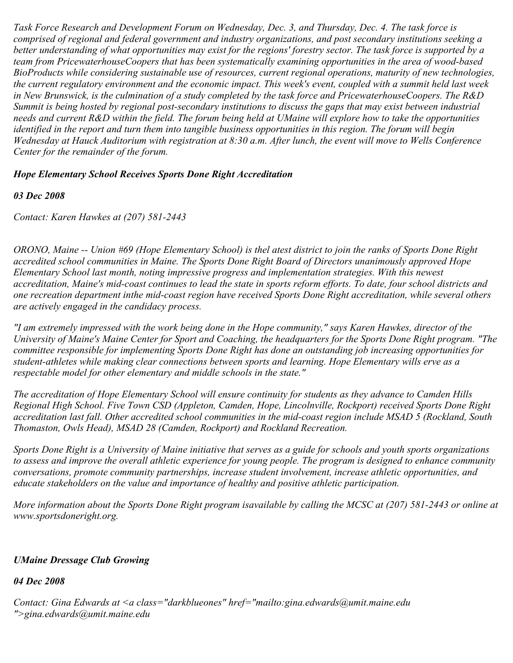*Task Force Research and Development Forum on Wednesday, Dec. 3, and Thursday, Dec. 4. The task force is comprised of regional and federal government and industry organizations, and post secondary institutions seeking a better understanding of what opportunities may exist for the regions' forestry sector. The task force is supported by a team from PricewaterhouseCoopers that has been systematically examining opportunities in the area of wood-based BioProducts while considering sustainable use of resources, current regional operations, maturity of new technologies, the current regulatory environment and the economic impact. This week's event, coupled with a summit held last week in New Brunswick, is the culmination of a study completed by the task force and PricewaterhouseCoopers. The R&D Summit is being hosted by regional post-secondary institutions to discuss the gaps that may exist between industrial needs and current R&D within the field. The forum being held at UMaine will explore how to take the opportunities identified in the report and turn them into tangible business opportunities in this region. The forum will begin Wednesday at Hauck Auditorium with registration at 8:30 a.m. After lunch, the event will move to Wells Conference Center for the remainder of the forum.* 

## *Hope Elementary School Receives Sports Done Right Accreditation*

#### *03 Dec 2008*

*Contact: Karen Hawkes at (207) 581-2443*

*ORONO, Maine -- Union #69 (Hope Elementary School) is thel atest district to join the ranks of Sports Done Right accredited school communities in Maine. The Sports Done Right Board of Directors unanimously approved Hope Elementary School last month, noting impressive progress and implementation strategies. With this newest accreditation, Maine's mid-coast continues to lead the state in sports reform efforts. To date, four school districts and one recreation department inthe mid-coast region have received Sports Done Right accreditation, while several others are actively engaged in the candidacy process.*

*"I am extremely impressed with the work being done in the Hope community," says Karen Hawkes, director of the University of Maine's Maine Center for Sport and Coaching, the headquarters for the Sports Done Right program. "The committee responsible for implementing Sports Done Right has done an outstanding job increasing opportunities for student-athletes while making clear connections between sports and learning. Hope Elementary wills erve as a respectable model for other elementary and middle schools in the state."*

*The accreditation of Hope Elementary School will ensure continuity for students as they advance to Camden Hills Regional High School. Five Town CSD (Appleton, Camden, Hope, Lincolnville, Rockport) received Sports Done Right accreditation last fall. Other accredited school communities in the mid-coast region include MSAD 5 (Rockland, South Thomaston, Owls Head), MSAD 28 (Camden, Rockport) and Rockland Recreation.*

*Sports Done Right is a University of Maine initiative that serves as a guide for schools and youth sports organizations to assess and improve the overall athletic experience for young people. The program is designed to enhance community conversations, promote community partnerships, increase student involvement, increase athletic opportunities, and educate stakeholders on the value and importance of healthy and positive athletic participation.*

*More information about the Sports Done Right program isavailable by calling the MCSC at (207) 581-2443 or online at www.sportsdoneright.org.*

#### *UMaine Dressage Club Growing*

*04 Dec 2008*

*Contact: Gina Edwards at <a class="darkblueones" href="mailto:gina.edwards@umit.maine.edu ">gina.edwards@umit.maine.edu*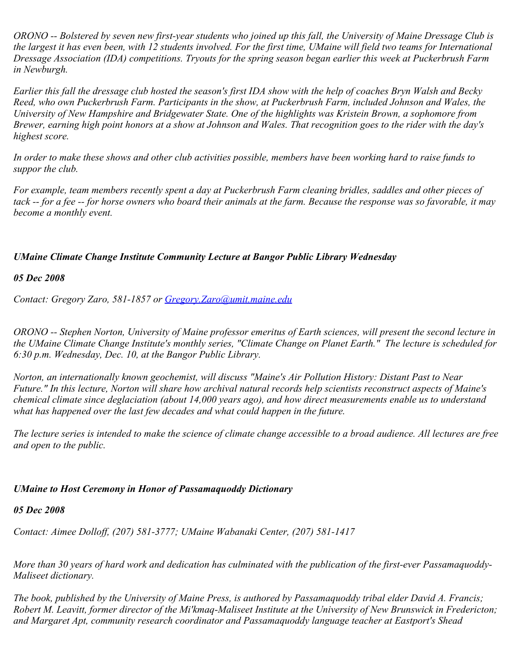*ORONO -- Bolstered by seven new first-year students who joined up this fall, the University of Maine Dressage Club is the largest it has even been, with 12 students involved. For the first time, UMaine will field two teams for International Dressage Association (IDA) competitions. Tryouts for the spring season began earlier this week at Puckerbrush Farm in Newburgh.*

*Earlier this fall the dressage club hosted the season's first IDA show with the help of coaches Bryn Walsh and Becky Reed, who own Puckerbrush Farm. Participants in the show, at Puckerbrush Farm, included Johnson and Wales, the University of New Hampshire and Bridgewater State. One of the highlights was Kristein Brown, a sophomore from Brewer, earning high point honors at a show at Johnson and Wales. That recognition goes to the rider with the day's highest score.*

*In order to make these shows and other club activities possible, members have been working hard to raise funds to suppor the club.*

*For example, team members recently spent a day at Puckerbrush Farm cleaning bridles, saddles and other pieces of tack -- for a fee -- for horse owners who board their animals at the farm. Because the response was so favorable, it may become a monthly event.*

### *UMaine Climate Change Institute Community Lecture at Bangor Public Library Wednesday*

#### *05 Dec 2008*

*Contact: Gregory Zaro, 581-1857 or [Gregory.Zaro@umit.maine.edu](mailto:Gregory.Zaro@umit.maine.edu)*

*ORONO -- Stephen Norton, University of Maine professor emeritus of Earth sciences, will present the second lecture in the UMaine Climate Change Institute's monthly series, "Climate Change on Planet Earth." The lecture is scheduled for 6:30 p.m. Wednesday, Dec. 10, at the Bangor Public Library.*

*Norton, an internationally known geochemist, will discuss "Maine's Air Pollution History: Distant Past to Near Future." In this lecture, Norton will share how archival natural records help scientists reconstruct aspects of Maine's chemical climate since deglaciation (about 14,000 years ago), and how direct measurements enable us to understand what has happened over the last few decades and what could happen in the future.*

*The lecture series is intended to make the science of climate change accessible to a broad audience. All lectures are free and open to the public.*

#### *UMaine to Host Ceremony in Honor of Passamaquoddy Dictionary*

#### *05 Dec 2008*

*Contact: Aimee Dolloff, (207) 581-3777; UMaine Wabanaki Center, (207) 581-1417*

*More than 30 years of hard work and dedication has culminated with the publication of the first-ever Passamaquoddy-Maliseet dictionary.*

*The book, published by the University of Maine Press, is authored by Passamaquoddy tribal elder David A. Francis; Robert M. Leavitt, former director of the Mi'kmaq-Maliseet Institute at the University of New Brunswick in Fredericton; and Margaret Apt, community research coordinator and Passamaquoddy language teacher at Eastport's Shead*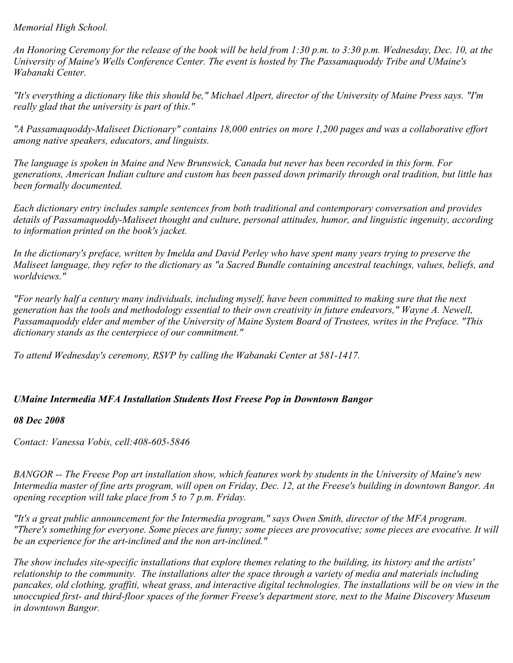## *Memorial High School.*

*An Honoring Ceremony for the release of the book will be held from 1:30 p.m. to 3:30 p.m. Wednesday, Dec. 10, at the University of Maine's Wells Conference Center. The event is hosted by The Passamaquoddy Tribe and UMaine's Wabanaki Center.*

*"It's everything a dictionary like this should be," Michael Alpert, director of the University of Maine Press says. "I'm really glad that the university is part of this."*

*"A Passamaquoddy-Maliseet Dictionary" contains 18,000 entries on more 1,200 pages and was a collaborative effort among native speakers, educators, and linguists.*

*The language is spoken in Maine and New Brunswick, Canada but never has been recorded in this form. For generations, American Indian culture and custom has been passed down primarily through oral tradition, but little has been formally documented.*

*Each dictionary entry includes sample sentences from both traditional and contemporary conversation and provides details of Passamaquoddy-Maliseet thought and culture, personal attitudes, humor, and linguistic ingenuity, according to information printed on the book's jacket.*

*In the dictionary's preface, written by Imelda and David Perley who have spent many years trying to preserve the Maliseet language, they refer to the dictionary as "a Sacred Bundle containing ancestral teachings, values, beliefs, and worldviews."*

*"For nearly half a century many individuals, including myself, have been committed to making sure that the next generation has the tools and methodology essential to their own creativity in future endeavors," Wayne A. Newell, Passamaquoddy elder and member of the University of Maine System Board of Trustees, writes in the Preface. "This dictionary stands as the centerpiece of our commitment."*

*To attend Wednesday's ceremony, RSVP by calling the Wabanaki Center at 581-1417.*

# *UMaine Intermedia MFA Installation Students Host Freese Pop in Downtown Bangor*

## *08 Dec 2008*

*Contact: Vanessa Vobis, cell:408-605-5846*

*BANGOR -- The Freese Pop art installation show, which features work by students in the University of Maine's new Intermedia master of fine arts program, will open on Friday, Dec. 12, at the Freese's building in downtown Bangor. An opening reception will take place from 5 to 7 p.m. Friday.* 

*"It's a great public announcement for the Intermedia program," says Owen Smith, director of the MFA program. "There's something for everyone. Some pieces are funny; some pieces are provocative; some pieces are evocative. It will be an experience for the art-inclined and the non art-inclined."*

*The show includes site-specific installations that explore themes relating to the building, its history and the artists' relationship to the community. The installations alter the space through a variety of media and materials including pancakes, old clothing, graffiti, wheat grass, and interactive digital technologies. The installations will be on view in the unoccupied first- and third-floor spaces of the former Freese's department store, next to the Maine Discovery Museum in downtown Bangor.*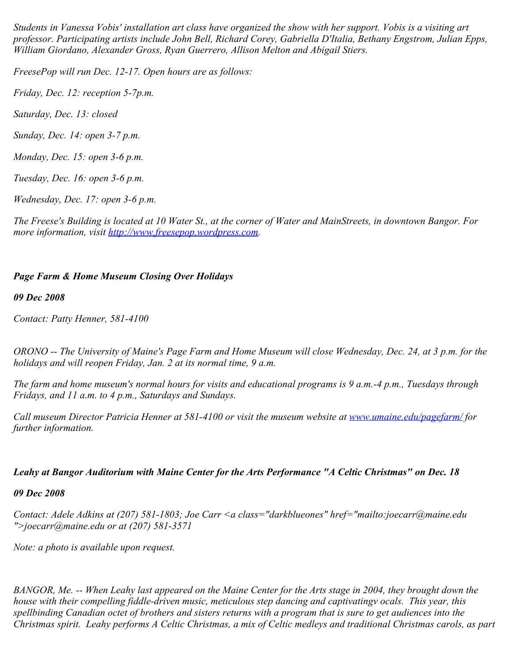*Students in Vanessa Vobis' installation art class have organized the show with her support. Vobis is a visiting art professor. Participating artists include John Bell, Richard Corey, Gabriella D'Italia, Bethany Engstrom, Julian Epps, William Giordano, Alexander Gross, Ryan Guerrero, Allison Melton and Abigail Stiers.*

*FreesePop will run Dec. 12-17. Open hours are as follows:*

*Friday, Dec. 12: reception 5-7p.m.*

*Saturday, Dec. 13: closed*

*Sunday, Dec. 14: open 3-7 p.m.*

*Monday, Dec. 15: open 3-6 p.m.*

*Tuesday, Dec. 16: open 3-6 p.m.*

*Wednesday, Dec. 17: open 3-6 p.m.*

*The Freese's Building is located at 10 Water St., at the corner of Water and MainStreets, in downtown Bangor. For more information, visit [http://www.freesepop.wordpress.com](http://www.freesepop.wordpress.com/).*

## *Page Farm & Home Museum Closing Over Holidays*

*09 Dec 2008*

*Contact: Patty Henner, 581-4100*

*ORONO -- The University of Maine's Page Farm and Home Museum will close Wednesday, Dec. 24, at 3 p.m. for the holidays and will reopen Friday, Jan. 2 at its normal time, 9 a.m.*

*The farm and home museum's normal hours for visits and educational programs is 9 a.m.-4 p.m., Tuesdays through Fridays, and 11 a.m. to 4 p.m., Saturdays and Sundays.*

*Call museum Director Patricia Henner at 581-4100 or visit the museum website at <u>[www.umaine.edu/pagefarm/](http://www.umaine.edu/pagefarm/)</u> for further information.*

## *Leahy at Bangor Auditorium with Maine Center for the Arts Performance "A Celtic Christmas" on Dec. 18*

*09 Dec 2008*

*Contact: Adele Adkins at (207) 581-1803; Joe Carr <a class="darkblueones" href="mailto:joecarr@maine.edu ">joecarr@maine.edu or at (207) 581-3571*

*Note: a photo is available upon request.*

*BANGOR, Me. -- When Leahy last appeared on the Maine Center for the Arts stage in 2004, they brought down the house with their compelling fiddle-driven music, meticulous step dancing and captivatingv ocals. This year, this spellbinding Canadian octet of brothers and sisters returns with a program that is sure to get audiences into the Christmas spirit. Leahy performs A Celtic Christmas, a mix of Celtic medleys and traditional Christmas carols, as part*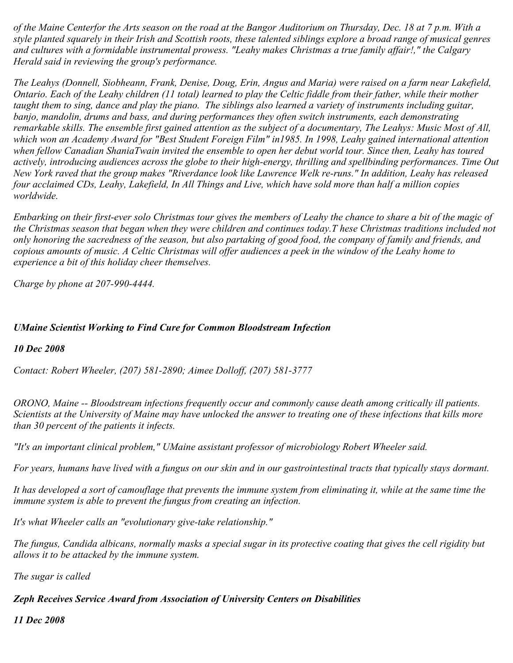*of the Maine Centerfor the Arts season on the road at the Bangor Auditorium on Thursday, Dec. 18 at 7 p.m. With a style planted squarely in their Irish and Scottish roots, these talented siblings explore a broad range of musical genres and cultures with a formidable instrumental prowess. "Leahy makes Christmas a true family affair!," the Calgary Herald said in reviewing the group's performance.*

*The Leahys (Donnell, Siobheann, Frank, Denise, Doug, Erin, Angus and Maria) were raised on a farm near Lakefield, Ontario. Each of the Leahy children (11 total) learned to play the Celtic fiddle from their father, while their mother taught them to sing, dance and play the piano. The siblings also learned a variety of instruments including guitar, banjo, mandolin, drums and bass, and during performances they often switch instruments, each demonstrating remarkable skills. The ensemble first gained attention as the subject of a documentary, The Leahys: Music Most of All, which won an Academy Award for "Best Student Foreign Film" in1985. In 1998, Leahy gained international attention when fellow Canadian ShaniaTwain invited the ensemble to open her debut world tour. Since then, Leahy has toured actively, introducing audiences across the globe to their high-energy, thrilling and spellbinding performances. Time Out New York raved that the group makes "Riverdance look like Lawrence Welk re-runs." In addition, Leahy has released four acclaimed CDs, Leahy, Lakefield, In All Things and Live, which have sold more than half a million copies worldwide.*

*Embarking on their first-ever solo Christmas tour gives the members of Leahy the chance to share a bit of the magic of the Christmas season that began when they were children and continues today.T hese Christmas traditions included not only honoring the sacredness of the season, but also partaking of good food, the company of family and friends, and copious amounts of music. A Celtic Christmas will offer audiences a peek in the window of the Leahy home to experience a bit of this holiday cheer themselves.*

*Charge by phone at 207-990-4444.*

# *UMaine Scientist Working to Find Cure for Common Bloodstream Infection*

## *10 Dec 2008*

*Contact: Robert Wheeler, (207) 581-2890; Aimee Dolloff, (207) 581-3777*

*ORONO, Maine -- Bloodstream infections frequently occur and commonly cause death among critically ill patients. Scientists at the University of Maine may have unlocked the answer to treating one of these infections that kills more than 30 percent of the patients it infects.*

*"It's an important clinical problem," UMaine assistant professor of microbiology Robert Wheeler said.*

*For years, humans have lived with a fungus on our skin and in our gastrointestinal tracts that typically stays dormant.*

*It has developed a sort of camouflage that prevents the immune system from eliminating it, while at the same time the immune system is able to prevent the fungus from creating an infection.*

*It's what Wheeler calls an "evolutionary give-take relationship."*

*The fungus, Candida albicans, normally masks a special sugar in its protective coating that gives the cell rigidity but allows it to be attacked by the immune system.*

*The sugar is called* 

*Zeph Receives Service Award from Association of University Centers on Disabilities*

*11 Dec 2008*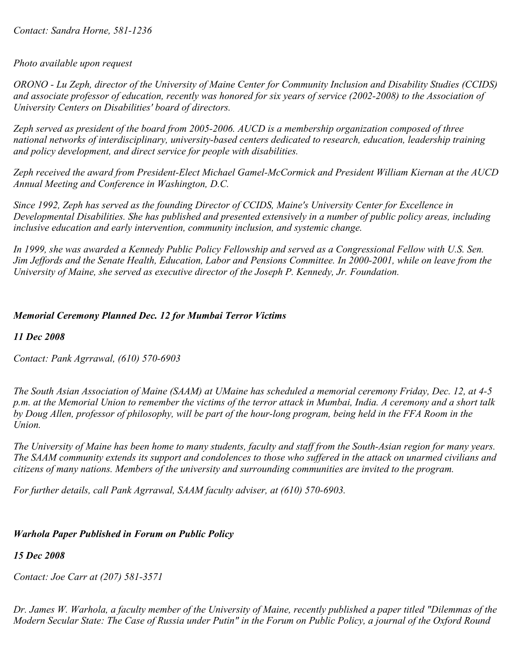## *Photo available upon request*

*ORONO - Lu Zeph, director of the University of Maine Center for Community Inclusion and Disability Studies (CCIDS) and associate professor of education, recently was honored for six years of service (2002-2008) to the Association of University Centers on Disabilities' board of directors.*

*Zeph served as president of the board from 2005-2006. AUCD is a membership organization composed of three national networks of interdisciplinary, university-based centers dedicated to research, education, leadership training and policy development, and direct service for people with disabilities.*

*Zeph received the award from President-Elect Michael Gamel-McCormick and President William Kiernan at the AUCD Annual Meeting and Conference in Washington, D.C.*

*Since 1992, Zeph has served as the founding Director of CCIDS, Maine's University Center for Excellence in Developmental Disabilities. She has published and presented extensively in a number of public policy areas, including inclusive education and early intervention, community inclusion, and systemic change.*

*In 1999, she was awarded a Kennedy Public Policy Fellowship and served as a Congressional Fellow with U.S. Sen. Jim Jeffords and the Senate Health, Education, Labor and Pensions Committee. In 2000-2001, while on leave from the University of Maine, she served as executive director of the Joseph P. Kennedy, Jr. Foundation.*

## *Memorial Ceremony Planned Dec. 12 for Mumbai Terror Victims*

*11 Dec 2008*

*Contact: Pank Agrrawal, (610) 570-6903*

*The South Asian Association of Maine (SAAM) at UMaine has scheduled a memorial ceremony Friday, Dec. 12, at 4-5 p.m. at the Memorial Union to remember the victims of the terror attack in Mumbai, India. A ceremony and a short talk by Doug Allen, professor of philosophy, will be part of the hour-long program, being held in the FFA Room in the Union.*

*The University of Maine has been home to many students, faculty and staff from the South-Asian region for many years. The SAAM community extends its support and condolences to those who suffered in the attack on unarmed civilians and citizens of many nations. Members of the university and surrounding communities are invited to the program.*

*For further details, call Pank Agrrawal, SAAM faculty adviser, at (610) 570-6903.*

# *Warhola Paper Published in Forum on Public Policy*

*15 Dec 2008*

*Contact: Joe Carr at (207) 581-3571*

*Dr. James W. Warhola, a faculty member of the University of Maine, recently published a paper titled "Dilemmas of the Modern Secular State: The Case of Russia under Putin" in the Forum on Public Policy, a journal of the Oxford Round*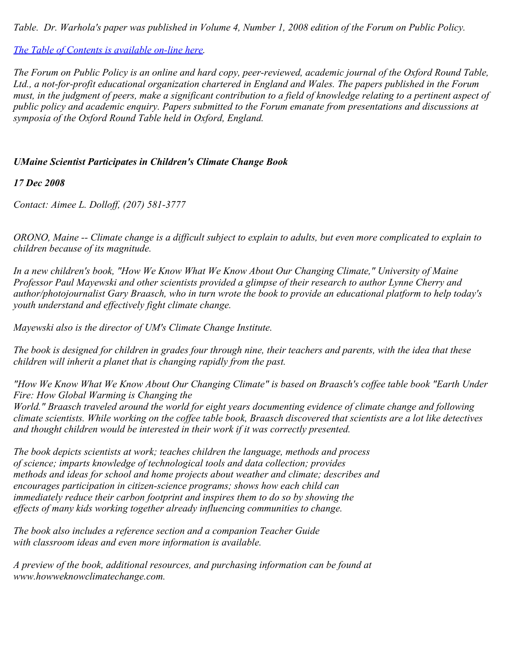*Table. Dr. Warhola's paper was published in Volume 4, Number 1, 2008 edition of the Forum on Public Policy.*

*[The Table of Contents is available on-line here](http://forumonpublicpolicy.com/vol4no1/Vol4no1churchandstatetoc.pdf).*

*The Forum on Public Policy is an online and hard copy, peer-reviewed, academic journal of the Oxford Round Table, Ltd., a not-for-profit educational organization chartered in England and Wales. The papers published in the Forum must, in the judgment of peers, make a significant contribution to a field of knowledge relating to a pertinent aspect of public policy and academic enquiry. Papers submitted to the Forum emanate from presentations and discussions at symposia of the Oxford Round Table held in Oxford, England.*

# *UMaine Scientist Participates in Children's Climate Change Book*

*17 Dec 2008*

*Contact: Aimee L. Dolloff, (207) 581-3777*

*ORONO, Maine -- Climate change is a difficult subject to explain to adults, but even more complicated to explain to children because of its magnitude.*

*In a new children's book, "How We Know What We Know About Our Changing Climate," University of Maine Professor Paul Mayewski and other scientists provided a glimpse of their research to author Lynne Cherry and author/photojournalist Gary Braasch, who in turn wrote the book to provide an educational platform to help today's youth understand and effectively fight climate change.*

*Mayewski also is the director of UM's Climate Change Institute.*

*The book is designed for children in grades four through nine, their teachers and parents, with the idea that these children will inherit a planet that is changing rapidly from the past.*

*"How We Know What We Know About Our Changing Climate" is based on Braasch's coffee table book "Earth Under Fire: How Global Warming is Changing the*

*World." Braasch traveled around the world for eight years documenting evidence of climate change and following climate scientists. While working on the coffee table book, Braasch discovered that scientists are a lot like detectives and thought children would be interested in their work if it was correctly presented.*

*The book depicts scientists at work; teaches children the language, methods and process of science; imparts knowledge of technological tools and data collection; provides methods and ideas for school and home projects about weather and climate; describes and encourages participation in citizen-science programs; shows how each child can immediately reduce their carbon footprint and inspires them to do so by showing the effects of many kids working together already influencing communities to change.*

*The book also includes a reference section and a companion Teacher Guide with classroom ideas and even more information is available.*

*A preview of the book, additional resources, and purchasing information can be found at www.howweknowclimatechange.com.*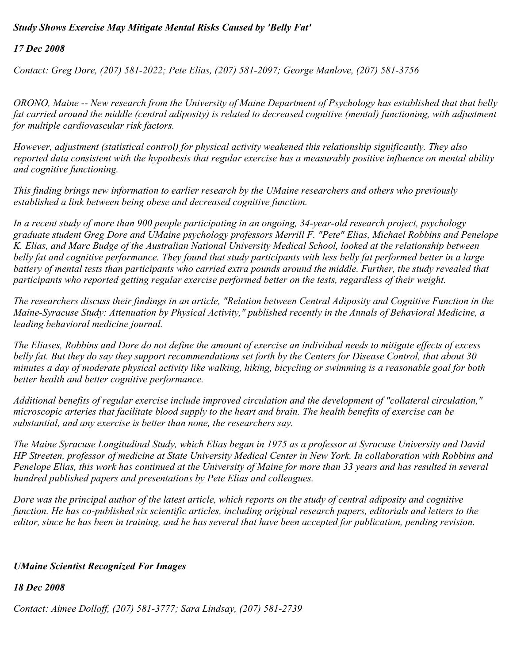## *Study Shows Exercise May Mitigate Mental Risks Caused by 'Belly Fat'*

*17 Dec 2008*

*Contact: Greg Dore, (207) 581-2022; Pete Elias, (207) 581-2097; George Manlove, (207) 581-3756*

*ORONO, Maine -- New research from the University of Maine Department of Psychology has established that that belly fat carried around the middle (central adiposity) is related to decreased cognitive (mental) functioning, with adjustment for multiple cardiovascular risk factors.*

*However, adjustment (statistical control) for physical activity weakened this relationship significantly. They also reported data consistent with the hypothesis that regular exercise has a measurably positive influence on mental ability and cognitive functioning.*

*This finding brings new information to earlier research by the UMaine researchers and others who previously established a link between being obese and decreased cognitive function.*

*In a recent study of more than 900 people participating in an ongoing, 34-year-old research project, psychology graduate student Greg Dore and UMaine psychology professors Merrill F. "Pete" Elias, Michael Robbins and Penelope K. Elias, and Marc Budge of the Australian National University Medical School, looked at the relationship between belly fat and cognitive performance. They found that study participants with less belly fat performed better in a large battery of mental tests than participants who carried extra pounds around the middle. Further, the study revealed that participants who reported getting regular exercise performed better on the tests, regardless of their weight.*

*The researchers discuss their findings in an article, "Relation between Central Adiposity and Cognitive Function in the Maine-Syracuse Study: Attenuation by Physical Activity," published recently in the Annals of Behavioral Medicine, a leading behavioral medicine journal.*

*The Eliases, Robbins and Dore do not define the amount of exercise an individual needs to mitigate effects of excess belly fat. But they do say they support recommendations set forth by the Centers for Disease Control, that about 30 minutes a day of moderate physical activity like walking, hiking, bicycling or swimming is a reasonable goal for both better health and better cognitive performance.*

*Additional benefits of regular exercise include improved circulation and the development of "collateral circulation," microscopic arteries that facilitate blood supply to the heart and brain. The health benefits of exercise can be substantial, and any exercise is better than none, the researchers say.*

*The Maine Syracuse Longitudinal Study, which Elias began in 1975 as a professor at Syracuse University and David HP Streeten, professor of medicine at State University Medical Center in New York. In collaboration with Robbins and Penelope Elias, this work has continued at the University of Maine for more than 33 years and has resulted in several hundred published papers and presentations by Pete Elias and colleagues.*

*Dore was the principal author of the latest article, which reports on the study of central adiposity and cognitive function. He has co-published six scientific articles, including original research papers, editorials and letters to the editor, since he has been in training, and he has several that have been accepted for publication, pending revision.*

## *UMaine Scientist Recognized For Images*

*18 Dec 2008*

*Contact: Aimee Dolloff, (207) 581-3777; Sara Lindsay, (207) 581-2739*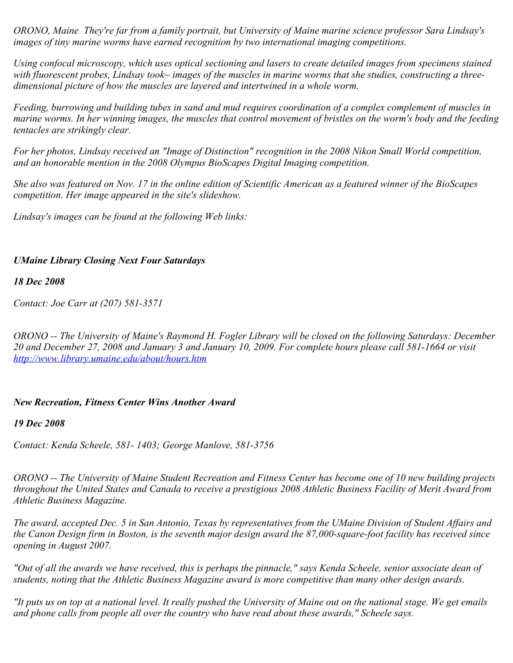*ORONO, Maine They're far from a family portrait, but University of Maine marine science professor Sara Lindsay's images of tiny marine worms have earned recognition by two international imaging competitions.*

*Using confocal microscopy, which uses optical sectioning and lasers to create detailed images from specimens stained with fluorescent probes, Lindsay took~ images of the muscles in marine worms that she studies, constructing a threedimensional picture of how the muscles are layered and intertwined in a whole worm.*

*Feeding, burrowing and building tubes in sand and mud requires coordination of a complex complement of muscles in marine worms. In her winning images, the muscles that control movement of bristles on the worm's body and the feeding tentacles are strikingly clear.*

*For her photos, Lindsay received an "Image of Distinction" recognition in the 2008 Nikon Small World competition, and an honorable mention in the 2008 Olympus BioScapes Digital Imaging competition.*

*She also was featured on Nov. 17 in the online edition of Scientific American as a featured winner of the BioScapes competition. Her image appeared in the site's slideshow.*

*Lindsay's images can be found at the following Web links:*

## *UMaine Library Closing Next Four Saturdays*

#### *18 Dec 2008*

*Contact: Joe Carr at (207) 581-3571*

*ORONO -- The University of Maine's Raymond H. Fogler Library will be closed on the following Saturdays: December 20 and December 27, 2008 and January 3 and January 10, 2009. For complete hours please call 581-1664 or visit <http://www.library.umaine.edu/about/hours.htm>*

#### *New Recreation, Fitness Center Wins Another Award*

#### *19 Dec 2008*

*Contact: Kenda Scheele, 581- 1403; George Manlove, 581-3756*

*ORONO -- The University of Maine Student Recreation and Fitness Center has become one of 10 new building projects throughout the United States and Canada to receive a prestigious 2008 Athletic Business Facility of Merit Award from Athletic Business Magazine.*

*The award, accepted Dec. 5 in San Antonio, Texas by representatives from the UMaine Division of Student Affairs and the Canon Design firm in Boston, is the seventh major design award the 87,000-square-foot facility has received since opening in August 2007.* 

*"Out of all the awards we have received, this is perhaps the pinnacle," says Kenda Scheele, senior associate dean of students, noting that the Athletic Business Magazine award is more competitive than many other design awards.*

*"It puts us on top at a national level. It really pushed the University of Maine out on the national stage. We get emails and phone calls from people all over the country who have read about these awards," Scheele says.*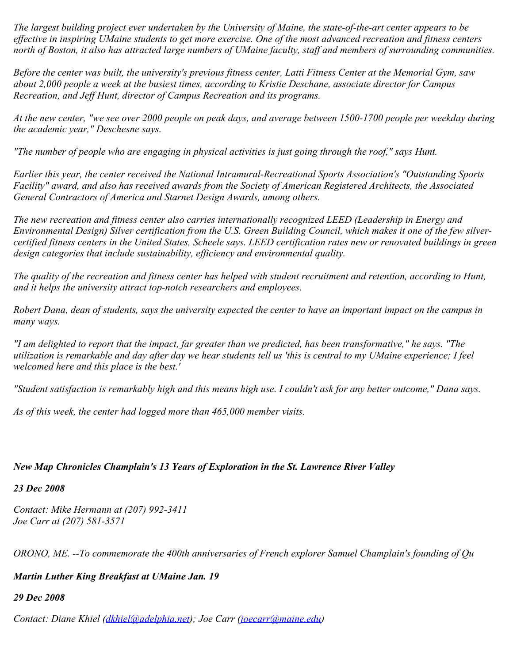*The largest building project ever undertaken by the University of Maine, the state-of-the-art center appears to be effective in inspiring UMaine students to get more exercise. One of the most advanced recreation and fitness centers north of Boston, it also has attracted large numbers of UMaine faculty, staff and members of surrounding communities.*

*Before the center was built, the university's previous fitness center, Latti Fitness Center at the Memorial Gym, saw about 2,000 people a week at the busiest times, according to Kristie Deschane, associate director for Campus Recreation, and Jeff Hunt, director of Campus Recreation and its programs.* 

*At the new center, "we see over 2000 people on peak days, and average between 1500-1700 people per weekday during the academic year," Deschesne says.*

*"The number of people who are engaging in physical activities is just going through the roof," says Hunt.*

*Earlier this year, the center received the National Intramural-Recreational Sports Association's "Outstanding Sports Facility" award, and also has received awards from the Society of American Registered Architects, the Associated General Contractors of America and Starnet Design Awards, among others.* 

*The new recreation and fitness center also carries internationally recognized LEED (Leadership in Energy and Environmental Design) Silver certification from the U.S. Green Building Council, which makes it one of the few silvercertified fitness centers in the United States, Scheele says. LEED certification rates new or renovated buildings in green design categories that include sustainability, efficiency and environmental quality.*

*The quality of the recreation and fitness center has helped with student recruitment and retention, according to Hunt, and it helps the university attract top-notch researchers and employees.*

*Robert Dana, dean of students, says the university expected the center to have an important impact on the campus in many ways.*

*"I am delighted to report that the impact, far greater than we predicted, has been transformative," he says. "The utilization is remarkable and day after day we hear students tell us 'this is central to my UMaine experience; I feel welcomed here and this place is the best.'*

*"Student satisfaction is remarkably high and this means high use. I couldn't ask for any better outcome," Dana says.*

*As of this week, the center had logged more than 465,000 member visits.*

## *New Map Chronicles Champlain's 13 Years of Exploration in the St. Lawrence River Valley*

*23 Dec 2008*

*Contact: Mike Hermann at (207) 992-3411 Joe Carr at (207) 581-3571*

*ORONO, ME. --To commemorate the 400th anniversaries of French explorer Samuel Champlain's founding of Qu* 

# *Martin Luther King Breakfast at UMaine Jan. 19*

*29 Dec 2008*

*Contact: Diane Khiel [\(dkhiel@adelphia.net](mailto:dkhiel@adelphia.net)); Joe Carr [\(joecarr@maine.edu](mailto:joecarr@maine.edu))*